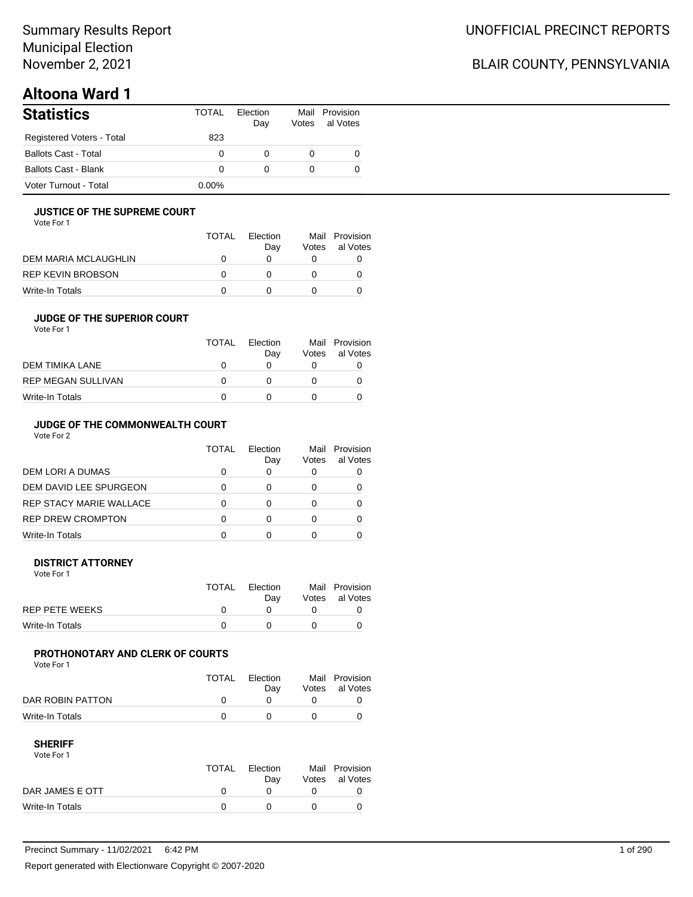# **Altoona Ward 1**

| <b>Statistics</b>           | TOTAL    | Flection<br>Day | Votes | Mail Provision<br>al Votes |
|-----------------------------|----------|-----------------|-------|----------------------------|
| Registered Voters - Total   | 823      |                 |       |                            |
| <b>Ballots Cast - Total</b> | 0        |                 |       |                            |
| <b>Ballots Cast - Blank</b> | 0        | $^{\circ}$      |       |                            |
| Voter Turnout - Total       | $0.00\%$ |                 |       |                            |

#### **JUSTICE OF THE SUPREME COURT**

Vote For 1

|                      | <b>TOTAL</b> | Election<br>Dav | Mail<br>Votes | Provision<br>al Votes |
|----------------------|--------------|-----------------|---------------|-----------------------|
| DEM MARIA MCLAUGHLIN |              |                 |               |                       |
| REP KEVIN BROBSON    |              |                 |               |                       |
| Write-In Totals      |              |                 |               |                       |

#### **JUDGE OF THE SUPERIOR COURT**

| Vote For 1 |  |
|------------|--|
|            |  |

|                    | <b>TOTAL</b> | Election<br>Day | Votes | Mail Provision<br>al Votes |
|--------------------|--------------|-----------------|-------|----------------------------|
| DEM TIMIKA LANE    |              |                 |       |                            |
| REP MEGAN SULLIVAN | n            |                 |       |                            |
| Write-In Totals    |              |                 |       |                            |
|                    |              |                 |       |                            |

### **JUDGE OF THE COMMONWEALTH COURT**

Vote For 2

|                                | TOTAL | Flection<br>Day | Mail<br>Votes | Provision<br>al Votes |
|--------------------------------|-------|-----------------|---------------|-----------------------|
| DEM LORI A DUMAS               |       |                 |               |                       |
| DEM DAVID LEE SPURGEON         |       |                 |               |                       |
| <b>REP STACY MARIE WALLACE</b> |       |                 |               |                       |
| <b>REP DREW CROMPTON</b>       |       |                 |               |                       |
| Write-In Totals                |       |                 |               |                       |

#### **DISTRICT ATTORNEY**

| Vote For 1            |              |                 |                                  |
|-----------------------|--------------|-----------------|----------------------------------|
|                       | <b>TOTAL</b> | Election<br>Dav | Mail Provision<br>Votes al Votes |
| <b>REP PETE WEEKS</b> |              |                 |                                  |
| Write-In Totals       |              |                 |                                  |

#### **PROTHONOTARY AND CLERK OF COURTS**

Vote For 1

|                  | <b>TOTAL</b> | Election<br>Dav | Mail Provision<br>Votes al Votes |
|------------------|--------------|-----------------|----------------------------------|
| DAR ROBIN PATTON |              |                 |                                  |
| Write-In Totals  |              |                 |                                  |

#### **SHERIFF**

Vote For 1

|                 | TOTAL | Election<br>Dav | Mail Provision<br>Votes al Votes |
|-----------------|-------|-----------------|----------------------------------|
| DAR JAMES E OTT |       |                 |                                  |
| Write-In Totals |       |                 |                                  |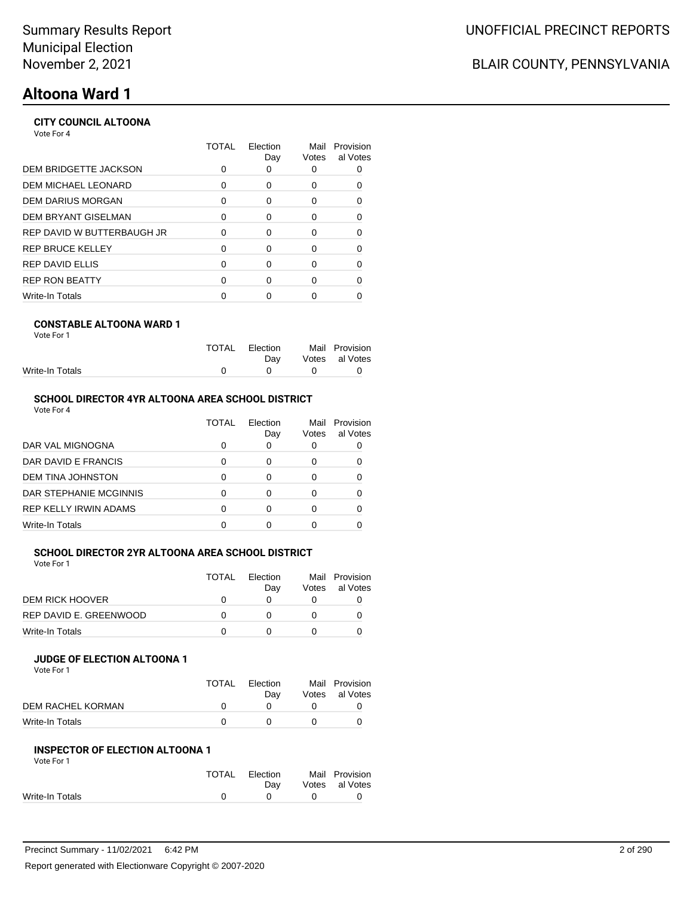# **Altoona Ward 1**

### **CITY COUNCIL ALTOONA**

Vote For 4

|                              | TOTAL    | Election<br>Day | Mail<br>Votes | Provision<br>al Votes |
|------------------------------|----------|-----------------|---------------|-----------------------|
| <b>DEM BRIDGETTE JACKSON</b> | 0        | 0               |               |                       |
| DEM MICHAEL LEONARD          | 0        | 0               | 0             |                       |
| DEM DARIUS MORGAN            | 0        | $\Omega$        | $\Omega$      | 0                     |
| DEM BRYANT GISELMAN          | 0        | $\Omega$        | 0             |                       |
| REP DAVID W BUTTERBAUGH JR   | $\Omega$ | $\Omega$        | 0             |                       |
| REP BRUCE KELLEY             | 0        | $\Omega$        | 0             | 0                     |
| REP DAVID ELLIS              | 0        | $\Omega$        | 0             |                       |
| <b>REP RON BEATTY</b>        | O        | ∩               | ŋ             |                       |
| Write-In Totals              |          |                 |               |                       |
|                              |          |                 |               |                       |

### **CONSTABLE ALTOONA WARD 1**

| Vote For 1 |  |
|------------|--|
|            |  |

|                 | TOTAL Election |              | Mail Provision |
|-----------------|----------------|--------------|----------------|
|                 | Dav            |              | Votes al Votes |
| Write-In Totals | $\overline{0}$ | $\mathbf{0}$ |                |
|                 |                |              |                |

### **SCHOOL DIRECTOR 4YR ALTOONA AREA SCHOOL DISTRICT**

| Vote For 4 |  |
|------------|--|
|------------|--|

|                          | TOTAL | Election<br>Day | Mail<br>Votes | Provision<br>al Votes |
|--------------------------|-------|-----------------|---------------|-----------------------|
| DAR VAL MIGNOGNA         |       |                 | O             |                       |
| DAR DAVID E FRANCIS      |       |                 | O             |                       |
| <b>DEM TINA JOHNSTON</b> |       | ∩               | O             |                       |
| DAR STEPHANIE MCGINNIS   |       | ∩               | O             |                       |
| REP KELLY IRWIN ADAMS    |       | ∩               | 0             |                       |
| Write-In Totals          |       |                 |               |                       |

### **SCHOOL DIRECTOR 2YR ALTOONA AREA SCHOOL DISTRICT**

| Vote For 1 |  |
|------------|--|
|------------|--|

|                        | <b>TOTAL</b> | Election |       | Mail Provision |
|------------------------|--------------|----------|-------|----------------|
|                        |              | Dav      | Votes | al Votes       |
| DEM RICK HOOVER        |              |          |       |                |
| REP DAVID E. GREENWOOD |              |          |       |                |
| Write-In Totals        |              |          |       |                |

#### **JUDGE OF ELECTION ALTOONA 1**

Vote For 1

|                   | <b>TOTAL</b> | Election<br>Dav | Mail Provision<br>Votes al Votes |
|-------------------|--------------|-----------------|----------------------------------|
| DEM RACHEL KORMAN |              |                 |                                  |
| Write-In Totals   |              |                 |                                  |

#### **INSPECTOR OF ELECTION ALTOONA 1** Vote For 1

| 1 J J J J J J   |       |          |              |                |
|-----------------|-------|----------|--------------|----------------|
|                 | TOTAL | Election |              | Mail Provision |
|                 |       | Dav      |              | Votes al Votes |
| Write-In Totals |       |          | <sup>n</sup> |                |
|                 |       |          |              |                |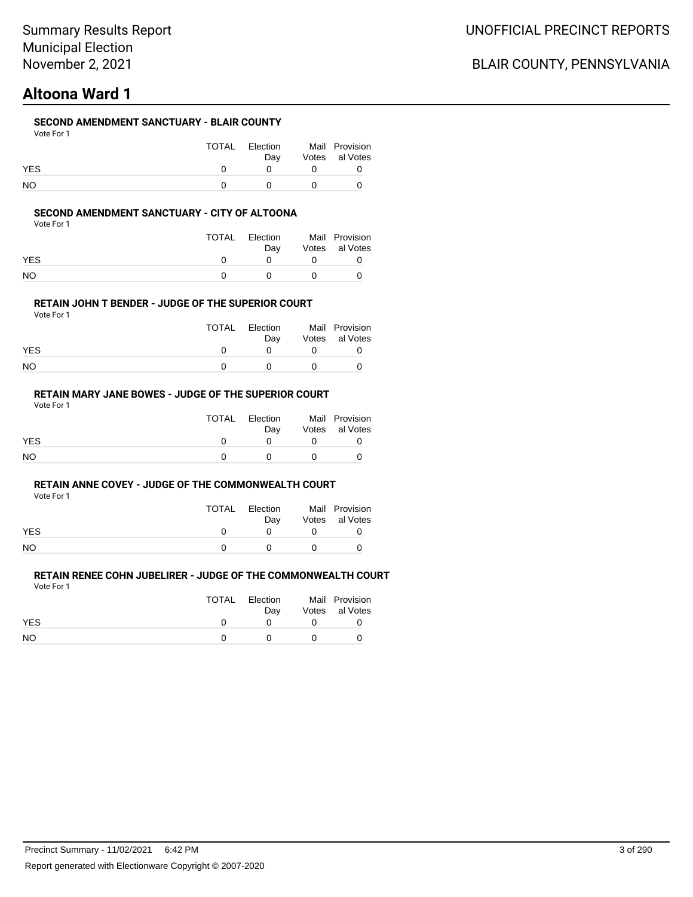# **Altoona Ward 1**

#### **SECOND AMENDMENT SANCTUARY - BLAIR COUNTY**

Vote For 1

|            | TOTAL | Election<br>Dav |            | Mail Provision<br>Votes al Votes |
|------------|-------|-----------------|------------|----------------------------------|
| <b>YES</b> |       | $^{\circ}$      | $\Omega$   |                                  |
| NO         |       |                 | $^{\circ}$ |                                  |

#### **SECOND AMENDMENT SANCTUARY - CITY OF ALTOONA**

Vote For 1

|            | TOTAL | Election<br>Dav | Mail Provision<br>Votes al Votes |
|------------|-------|-----------------|----------------------------------|
| <b>YES</b> |       |                 |                                  |
| NΟ         |       | $\mathbf{r}$    |                                  |

#### **RETAIN JOHN T BENDER - JUDGE OF THE SUPERIOR COURT**

Vote For 1

|            | TOTAL | Election<br>Dav |          | Mail Provision<br>Votes al Votes |
|------------|-------|-----------------|----------|----------------------------------|
| <b>YES</b> |       |                 |          |                                  |
| NO.        |       |                 | $\theta$ |                                  |

#### **RETAIN MARY JANE BOWES - JUDGE OF THE SUPERIOR COURT**

Vote For 1

|            | TOTAL | Election<br>Dav | Mail Provision<br>Votes al Votes |
|------------|-------|-----------------|----------------------------------|
| <b>YES</b> |       |                 |                                  |
| <b>NO</b>  |       |                 |                                  |

#### **RETAIN ANNE COVEY - JUDGE OF THE COMMONWEALTH COURT**

Vote For 1

|            | <b>TOTAL</b> | Election | Mail Provision |
|------------|--------------|----------|----------------|
|            |              | Dav      | Votes al Votes |
| <b>YES</b> |              |          |                |
| <b>NO</b>  |              |          |                |

|            | TOTAL | Election | Mail Provision |
|------------|-------|----------|----------------|
|            |       | Dav      | Votes al Votes |
| <b>YES</b> |       |          |                |
| NO.        |       |          |                |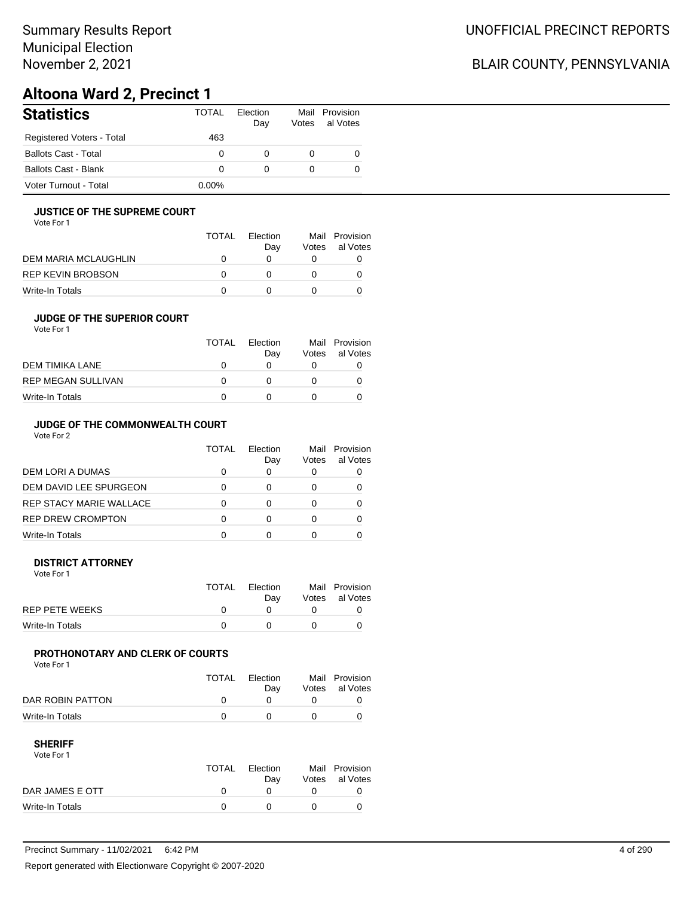## BLAIR COUNTY, PENNSYLVANIA

# **Altoona Ward 2, Precinct 1**

| <b>Statistics</b>           | <b>TOTAL</b> | Election<br>Day | Votes | Mail Provision<br>al Votes |
|-----------------------------|--------------|-----------------|-------|----------------------------|
| Registered Voters - Total   | 463          |                 |       |                            |
| <b>Ballots Cast - Total</b> | 0            | 0               | 0     | 0                          |
| <b>Ballots Cast - Blank</b> | 0            | 0               | 0     | 0                          |
| Voter Turnout - Total       | $0.00\%$     |                 |       |                            |

#### **JUSTICE OF THE SUPREME COURT**

Vote For 1

|                      | TOTAL | Election<br>Dav | Votes | Mail Provision<br>al Votes |
|----------------------|-------|-----------------|-------|----------------------------|
| DEM MARIA MCLAUGHLIN |       |                 |       |                            |
| REP KEVIN BROBSON    |       |                 |       |                            |
| Write-In Totals      |       |                 |       |                            |

#### **JUDGE OF THE SUPERIOR COURT**

| Vote For 1 |  |  |
|------------|--|--|
|            |  |  |

|                    | <b>TOTAL</b> | Election<br>Day | Votes | Mail Provision<br>al Votes |
|--------------------|--------------|-----------------|-------|----------------------------|
| DEM TIMIKA LANE    | $\mathbf{I}$ |                 |       |                            |
| REP MEGAN SULLIVAN | $\mathbf{U}$ |                 |       |                            |
| Write-In Totals    |              |                 |       |                            |
|                    |              |                 |       |                            |

### **JUDGE OF THE COMMONWEALTH COURT**

Vote For 2

|                                | TOTAL | Flection<br>Day | Votes | Mail Provision<br>al Votes |
|--------------------------------|-------|-----------------|-------|----------------------------|
| DEM LORI A DUMAS               |       |                 |       |                            |
| DEM DAVID LEE SPURGEON         |       |                 |       |                            |
| <b>REP STACY MARIE WALLACE</b> |       |                 |       |                            |
| <b>REP DREW CROMPTON</b>       |       |                 |       |                            |
| Write-In Totals                |       |                 |       |                            |

#### **DISTRICT ATTORNEY**

| Vote For 1      |              |                 |                                  |
|-----------------|--------------|-----------------|----------------------------------|
|                 | <b>TOTAL</b> | Election<br>Dav | Mail Provision<br>Votes al Votes |
| REP PETE WEEKS  | $^{\prime}$  |                 |                                  |
| Write-In Totals |              |                 |                                  |

#### **PROTHONOTARY AND CLERK OF COURTS**

Vote For 1

|                  | <b>TOTAL</b> | Election<br>Dav | Mail Provision<br>Votes al Votes |
|------------------|--------------|-----------------|----------------------------------|
| DAR ROBIN PATTON |              |                 |                                  |
| Write-In Totals  |              |                 |                                  |

#### **SHERIFF**

Vote For 1

|                 | TOTAL | Election<br>Dav | Mail Provision<br>Votes al Votes |
|-----------------|-------|-----------------|----------------------------------|
| DAR JAMES E OTT |       |                 |                                  |
| Write-In Totals |       |                 |                                  |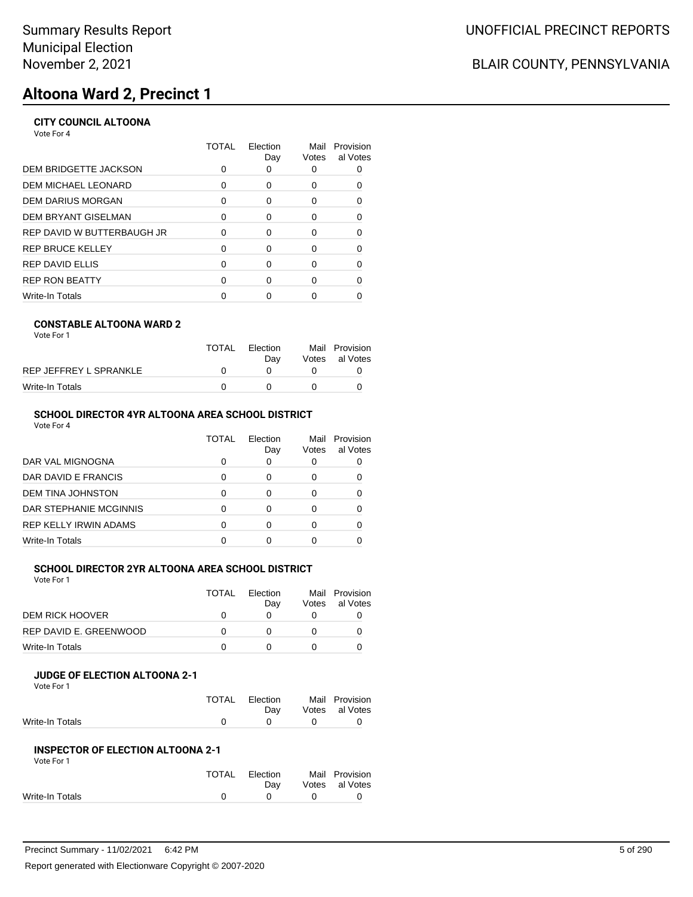# **Altoona Ward 2, Precinct 1**

### **CITY COUNCIL ALTOONA**

Vote For 4

|                              | TOTAL | Election<br>Day | Mail<br>Votes | Provision<br>al Votes |
|------------------------------|-------|-----------------|---------------|-----------------------|
| <b>DEM BRIDGETTE JACKSON</b> |       |                 |               |                       |
| DEM MICHAEL LEONARD          | 0     | $\Omega$        | 0             |                       |
| DEM DARIUS MORGAN            | O     | $\Omega$        | 0             | 0                     |
| DEM BRYANT GISELMAN          | 0     | ∩               | 0             | 0                     |
| REP DAVID W BUTTERBAUGH JR   | ∩     | ∩               | O             |                       |
| REP BRUCE KELLEY             | ∩     | <sup>n</sup>    | O             | ∩                     |
| REP DAVID ELLIS              | ∩     | ∩               | O             | 0                     |
| <b>REP RON BEATTY</b>        | U     | ∩               | ∩             |                       |
| Write-In Totals              |       |                 |               |                       |
|                              |       |                 |               |                       |

#### **CONSTABLE ALTOONA WARD 2**

|                        | <b>TOTAL</b> | Election | Mail Provision |
|------------------------|--------------|----------|----------------|
|                        |              | Dav      | Votes al Votes |
| REP JEFFREY L SPRANKLE |              |          |                |
| Write-In Totals        |              |          |                |

### **SCHOOL DIRECTOR 4YR ALTOONA AREA SCHOOL DISTRICT**

Vote For 4

|                        | TOTAL | Election<br>Day | Mail<br>Votes | Provision<br>al Votes |
|------------------------|-------|-----------------|---------------|-----------------------|
| DAR VAL MIGNOGNA       |       | 0               |               |                       |
| DAR DAVID E FRANCIS    |       |                 |               |                       |
| DEM TINA JOHNSTON      |       |                 |               |                       |
| DAR STEPHANIE MCGINNIS |       |                 |               |                       |
| REP KELLY IRWIN ADAMS  |       |                 |               |                       |
| <b>Write-In Totals</b> |       |                 |               |                       |

### **SCHOOL DIRECTOR 2YR ALTOONA AREA SCHOOL DISTRICT**

Vote For 1

|                        | TOTAL | Election | Mail  | Provision |
|------------------------|-------|----------|-------|-----------|
|                        |       | Dav      | Votes | al Votes  |
| DEM RICK HOOVER        |       |          |       |           |
| REP DAVID E. GREENWOOD |       |          |       |           |
| Write-In Totals        |       |          |       |           |

#### **JUDGE OF ELECTION ALTOONA 2-1** Vote For 1

| .               |       |          |             |                |
|-----------------|-------|----------|-------------|----------------|
|                 | TOTAL | Election |             | Mail Provision |
|                 |       | Dav      |             | Votes al Votes |
| Write-In Totals |       |          | $^{\prime}$ |                |
|                 |       |          |             |                |

#### **INSPECTOR OF ELECTION ALTOONA 2-1** Vote For 1

| VULTUII         |       |            |                |
|-----------------|-------|------------|----------------|
|                 | TOTAL | Election   | Mail Provision |
|                 |       | Dav        | Votes al Votes |
| Write-In Totals |       | $^{\circ}$ |                |
|                 |       |            |                |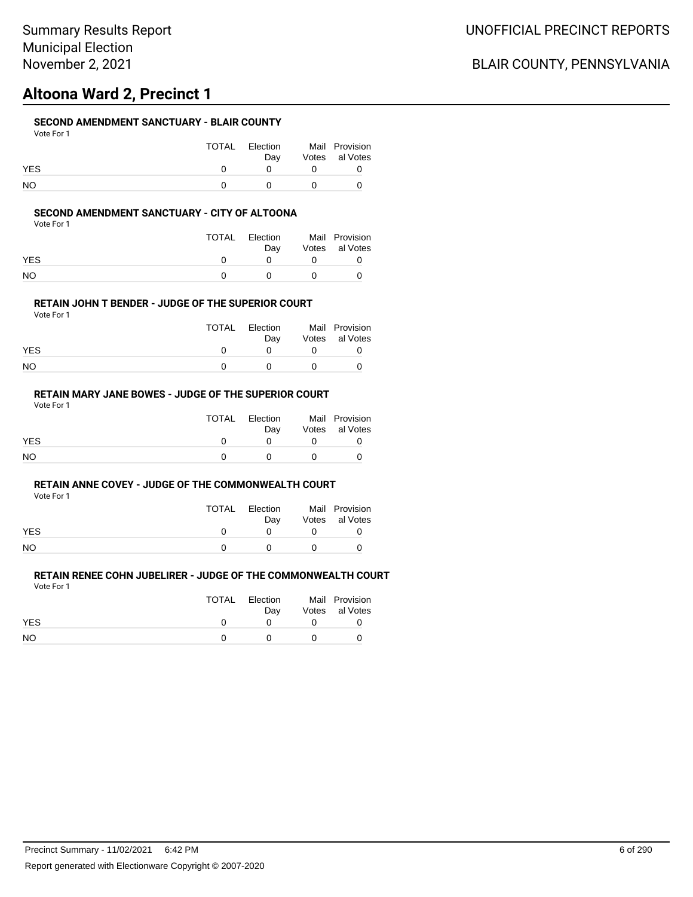# **Altoona Ward 2, Precinct 1**

#### **SECOND AMENDMENT SANCTUARY - BLAIR COUNTY**

| Vote For 1 |  |
|------------|--|
|------------|--|

|            | TOTAL | Election<br>Dav |              | Mail Provision<br>Votes al Votes |
|------------|-------|-----------------|--------------|----------------------------------|
| <b>YES</b> |       |                 |              |                                  |
| NO         |       |                 | $\mathbf{u}$ |                                  |

#### **SECOND AMENDMENT SANCTUARY - CITY OF ALTOONA**

Vote For 1

|            | TOTAL | Election<br>Dav | Mail Provision<br>Votes al Votes |
|------------|-------|-----------------|----------------------------------|
| <b>YES</b> |       |                 |                                  |
| NΟ         |       | $\mathbf{U}$    |                                  |

#### **RETAIN JOHN T BENDER - JUDGE OF THE SUPERIOR COURT**

Vote For 1

|            | TOTAL | Election<br>Dav | Mail Provision<br>Votes al Votes |
|------------|-------|-----------------|----------------------------------|
| <b>YES</b> |       |                 |                                  |
| NO         |       |                 |                                  |

### **RETAIN MARY JANE BOWES - JUDGE OF THE SUPERIOR COURT**

Vote For 1

|            | TOTAL | Election<br>Dav | Mail Provision<br>Votes al Votes |
|------------|-------|-----------------|----------------------------------|
| <b>YES</b> |       |                 |                                  |
| <b>NO</b>  |       |                 |                                  |

#### **RETAIN ANNE COVEY - JUDGE OF THE COMMONWEALTH COURT**

Vote For 1

|            | <b>TOTAL</b> | Election | Mail Provision |
|------------|--------------|----------|----------------|
|            |              | Dav      | Votes al Votes |
| <b>YES</b> |              |          |                |
| <b>NO</b>  |              |          |                |

| .          |       |                 |                                  |
|------------|-------|-----------------|----------------------------------|
|            | TOTAL | Election<br>Dav | Mail Provision<br>Votes al Votes |
| <b>YES</b> |       |                 |                                  |
| NO.        |       |                 |                                  |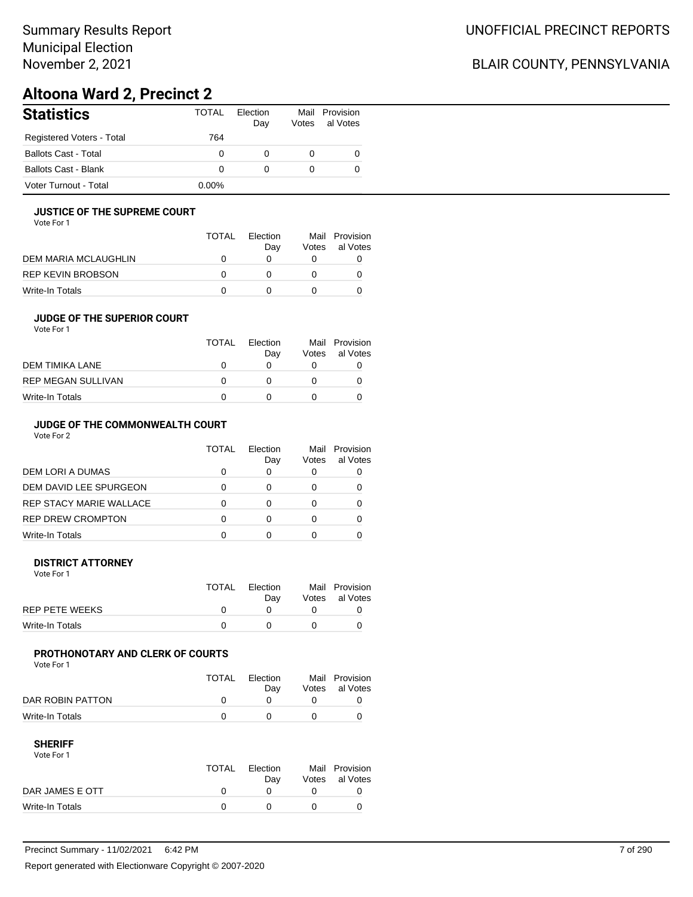## BLAIR COUNTY, PENNSYLVANIA

# **Altoona Ward 2, Precinct 2**

| <b>Statistics</b>           | <b>TOTAL</b> | Election<br>Day | Mail<br>Votes | Provision<br>al Votes |
|-----------------------------|--------------|-----------------|---------------|-----------------------|
| Registered Voters - Total   | 764          |                 |               |                       |
| <b>Ballots Cast - Total</b> | 0            | 0               |               | 0                     |
| Ballots Cast - Blank        | 0            | 0               |               | 0                     |
| Voter Turnout - Total       | 0.00%        |                 |               |                       |

#### **JUSTICE OF THE SUPREME COURT**

Vote For 1

|                      | TOTAL | Election<br>Dav | Votes | Mail Provision<br>al Votes |
|----------------------|-------|-----------------|-------|----------------------------|
| DEM MARIA MCLAUGHLIN |       |                 |       |                            |
| REP KEVIN BROBSON    |       |                 |       |                            |
| Write-In Totals      |       |                 |       |                            |

#### **JUDGE OF THE SUPERIOR COURT**

| Vote For 1 |  |  |
|------------|--|--|
|            |  |  |

|                    | <b>TOTAL</b> | Election<br>Day | Votes | Mail Provision<br>al Votes |
|--------------------|--------------|-----------------|-------|----------------------------|
| DEM TIMIKA LANE    | $\mathbf{I}$ |                 |       |                            |
| REP MEGAN SULLIVAN | $\mathbf{U}$ |                 |       |                            |
| Write-In Totals    |              |                 |       |                            |
|                    |              |                 |       |                            |

### **JUDGE OF THE COMMONWEALTH COURT**

Vote For 2

|                                | TOTAL | Flection<br>Day | Votes | Mail Provision<br>al Votes |
|--------------------------------|-------|-----------------|-------|----------------------------|
| DEM LORI A DUMAS               |       |                 |       |                            |
| DEM DAVID LEE SPURGEON         |       |                 |       |                            |
| <b>REP STACY MARIE WALLACE</b> |       |                 |       |                            |
| <b>REP DREW CROMPTON</b>       |       |                 |       |                            |
| Write-In Totals                |       |                 |       |                            |

#### **DISTRICT ATTORNEY**

| Vote For 1      |       |                 |                                  |
|-----------------|-------|-----------------|----------------------------------|
|                 | TOTAL | Election<br>Dav | Mail Provision<br>Votes al Votes |
| REP PETE WEEKS  |       |                 |                                  |
| Write-In Totals |       |                 |                                  |

### **PROTHONOTARY AND CLERK OF COURTS**

Vote For 1

|                  | TOTAL | Election<br>Dav | Mail Provision<br>Votes al Votes |
|------------------|-------|-----------------|----------------------------------|
| DAR ROBIN PATTON |       |                 |                                  |
| Write-In Totals  |       |                 |                                  |

| Vote For 1      |       |          |                |
|-----------------|-------|----------|----------------|
|                 | TOTAL | Election | Mail Provision |
|                 |       | Dav      | Votes al Votes |
| DAR JAMES E OTT |       |          |                |
| Write-In Totals |       |          |                |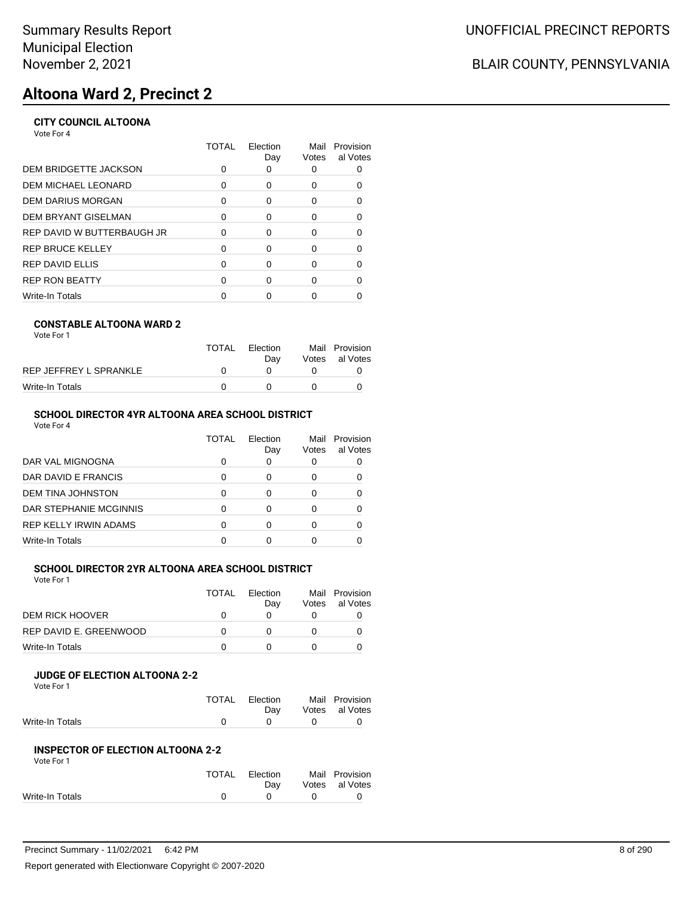# **Altoona Ward 2, Precinct 2**

### **CITY COUNCIL ALTOONA**

Vote For 4

|                              | TOTAL | Election<br>Day | Mail<br>Votes | Provision<br>al Votes |
|------------------------------|-------|-----------------|---------------|-----------------------|
| <b>DEM BRIDGETTE JACKSON</b> |       |                 |               |                       |
| DEM MICHAEL LEONARD          | 0     | $\Omega$        | 0             |                       |
| DEM DARIUS MORGAN            | O     | $\Omega$        | 0             | 0                     |
| DEM BRYANT GISELMAN          | 0     | ∩               | 0             | 0                     |
| REP DAVID W BUTTERBAUGH JR   | ∩     | ∩               | O             |                       |
| REP BRUCE KELLEY             | ∩     | <sup>n</sup>    | O             | ∩                     |
| REP DAVID ELLIS              | ∩     | ∩               | O             | 0                     |
| <b>REP RON BEATTY</b>        | U     | ∩               | ∩             |                       |
| Write-In Totals              |       |                 |               |                       |
|                              |       |                 |               |                       |

#### **CONSTABLE ALTOONA WARD 2**

|                        | <b>TOTAL</b> | Election | Mail Provision |
|------------------------|--------------|----------|----------------|
|                        |              | Dav      | Votes al Votes |
| REP JEFFREY L SPRANKLE |              |          |                |
| Write-In Totals        |              |          |                |

### **SCHOOL DIRECTOR 4YR ALTOONA AREA SCHOOL DISTRICT**

Vote For 4

|                              | TOTAL | Flection<br>Day | Mail<br>Votes | Provision<br>al Votes |
|------------------------------|-------|-----------------|---------------|-----------------------|
| DAR VAL MIGNOGNA             |       | 0               |               |                       |
| DAR DAVID E FRANCIS          |       |                 | O             |                       |
| DEM TINA JOHNSTON            |       |                 |               |                       |
| DAR STEPHANIE MCGINNIS       |       |                 | O             |                       |
| <b>REP KELLY IRWIN ADAMS</b> |       | ∩               |               |                       |
| <b>Write-In Totals</b>       |       |                 |               |                       |

### **SCHOOL DIRECTOR 2YR ALTOONA AREA SCHOOL DISTRICT**

Vote For 1

|                        | TOTAL | Election | Mail  | Provision |
|------------------------|-------|----------|-------|-----------|
|                        |       | Dav      | Votes | al Votes  |
| DEM RICK HOOVER        |       |          |       |           |
| REP DAVID E. GREENWOOD |       |          |       |           |
| Write-In Totals        |       |          |       |           |

#### **JUDGE OF ELECTION ALTOONA 2-2** Vote For 1

| .               |              |          |                |
|-----------------|--------------|----------|----------------|
|                 | <b>TOTAL</b> | Election | Mail Provision |
|                 |              | Dav      | Votes al Votes |
| Write-In Totals |              | $\theta$ |                |
|                 |              |          |                |

#### **INSPECTOR OF ELECTION ALTOONA 2-2** Vote For 1

| VULTUII         |       |          |                |
|-----------------|-------|----------|----------------|
|                 | TOTAL | Election | Mail Provision |
|                 |       | Dav      | Votes al Votes |
| Write-In Totals |       |          |                |
|                 |       |          |                |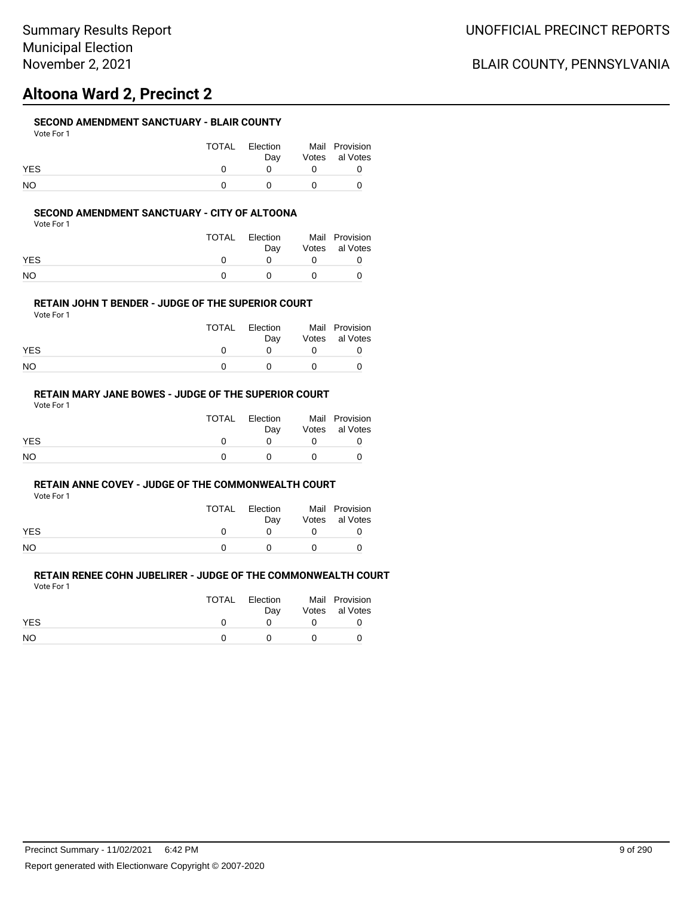# **Altoona Ward 2, Precinct 2**

#### **SECOND AMENDMENT SANCTUARY - BLAIR COUNTY**

| Vote For |  |
|----------|--|
|          |  |

|            | TOTAL | Election<br>Dav |              | Mail Provision<br>Votes al Votes |
|------------|-------|-----------------|--------------|----------------------------------|
| <b>YES</b> |       |                 |              |                                  |
| NO         |       |                 | $\mathbf{u}$ |                                  |

#### **SECOND AMENDMENT SANCTUARY - CITY OF ALTOONA**

Vote For 1

|            | TOTAL | Election<br>Dav | Mail Provision<br>Votes al Votes |
|------------|-------|-----------------|----------------------------------|
| <b>YES</b> |       |                 |                                  |
| NO         |       |                 |                                  |

#### **RETAIN JOHN T BENDER - JUDGE OF THE SUPERIOR COURT**

Vote For 1

|            | TOTAL | Election<br>Dav | Mail Provision<br>Votes al Votes |
|------------|-------|-----------------|----------------------------------|
| <b>YES</b> |       |                 |                                  |
| NO         |       |                 |                                  |

### **RETAIN MARY JANE BOWES - JUDGE OF THE SUPERIOR COURT**

Vote For 1

|            | TOTAL | Election<br>Dav | Mail Provision<br>Votes al Votes |
|------------|-------|-----------------|----------------------------------|
| <b>YES</b> |       |                 |                                  |
| <b>NO</b>  |       |                 |                                  |

#### **RETAIN ANNE COVEY - JUDGE OF THE COMMONWEALTH COURT**

Vote For 1

|            | <b>TOTAL</b> | Election | Mail Provision |
|------------|--------------|----------|----------------|
|            |              | Dav      | Votes al Votes |
| <b>YES</b> |              |          |                |
| <b>NO</b>  |              |          |                |

| .          |       |                 |                                  |
|------------|-------|-----------------|----------------------------------|
|            | TOTAL | Election<br>Dav | Mail Provision<br>Votes al Votes |
| <b>YES</b> |       |                 |                                  |
| NO.        |       |                 |                                  |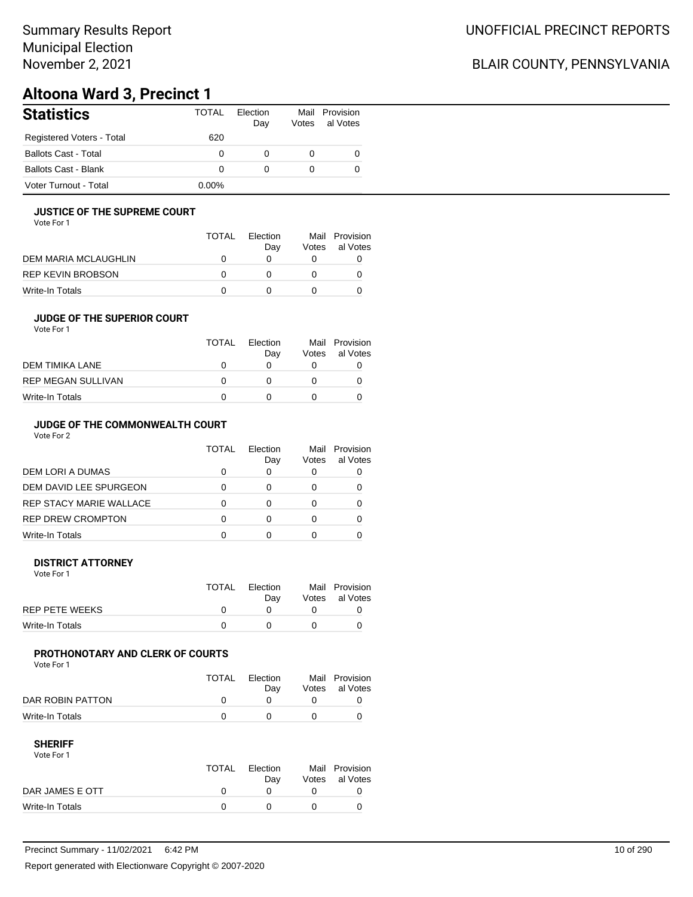## BLAIR COUNTY, PENNSYLVANIA

# **Altoona Ward 3, Precinct 1**

| <b>Statistics</b>           | <b>TOTAL</b> | Election<br>Day | Votes    | Mail Provision<br>al Votes |
|-----------------------------|--------------|-----------------|----------|----------------------------|
| Registered Voters - Total   | 620          |                 |          |                            |
| <b>Ballots Cast - Total</b> | 0            |                 | $\Omega$ |                            |
| Ballots Cast - Blank        | 0            | $\Omega$        | $\Omega$ |                            |
| Voter Turnout - Total       | $0.00\%$     |                 |          |                            |

#### **JUSTICE OF THE SUPREME COURT**

Vote For 1

|                      | TOTAL | Election<br>Dav | Votes | Mail Provision<br>al Votes |
|----------------------|-------|-----------------|-------|----------------------------|
| DEM MARIA MCLAUGHLIN |       |                 |       |                            |
| REP KEVIN BROBSON    |       |                 |       |                            |
| Write-In Totals      |       |                 |       |                            |

#### **JUDGE OF THE SUPERIOR COURT**

| Vote For 1 |  |  |
|------------|--|--|
|            |  |  |

|                           | <b>TOTAL</b> | Election |       | Mail Provision |
|---------------------------|--------------|----------|-------|----------------|
|                           |              | Dav      | Votes | al Votes       |
| DEM TIMIKA LANE           | O            |          |       |                |
| <b>REP MEGAN SULLIVAN</b> | $^{\prime}$  |          |       |                |
| Write-In Totals           |              |          |       |                |
|                           |              |          |       |                |

### **JUDGE OF THE COMMONWEALTH COURT**

Vote For 2

|                                | TOTAL | Flection<br>Day | Mail<br>Votes | Provision<br>al Votes |
|--------------------------------|-------|-----------------|---------------|-----------------------|
| DEM LORI A DUMAS               |       |                 |               |                       |
| DEM DAVID LEE SPURGEON         |       |                 |               |                       |
| <b>REP STACY MARIE WALLACE</b> |       |                 |               |                       |
| <b>REP DREW CROMPTON</b>       |       |                 |               |                       |
| Write-In Totals                |       |                 |               |                       |

#### **DISTRICT ATTORNEY**

| Vote For 1            |              |                 |                                  |
|-----------------------|--------------|-----------------|----------------------------------|
|                       | <b>TOTAL</b> | Election<br>Dav | Mail Provision<br>Votes al Votes |
| <b>REP PETE WEEKS</b> |              |                 |                                  |
| Write-In Totals       |              |                 |                                  |

#### **PROTHONOTARY AND CLERK OF COURTS**

Vote For 1

|                  | <b>TOTAL</b> | Election<br>Dav | Mail Provision<br>Votes al Votes |
|------------------|--------------|-----------------|----------------------------------|
| DAR ROBIN PATTON |              |                 |                                  |
| Write-In Totals  |              |                 |                                  |

#### **SHERIFF**

Vote For 1

|                 | TOTAL | Election<br>Dav | Mail Provision<br>Votes al Votes |
|-----------------|-------|-----------------|----------------------------------|
| DAR JAMES E OTT |       |                 |                                  |
| Write-In Totals |       |                 |                                  |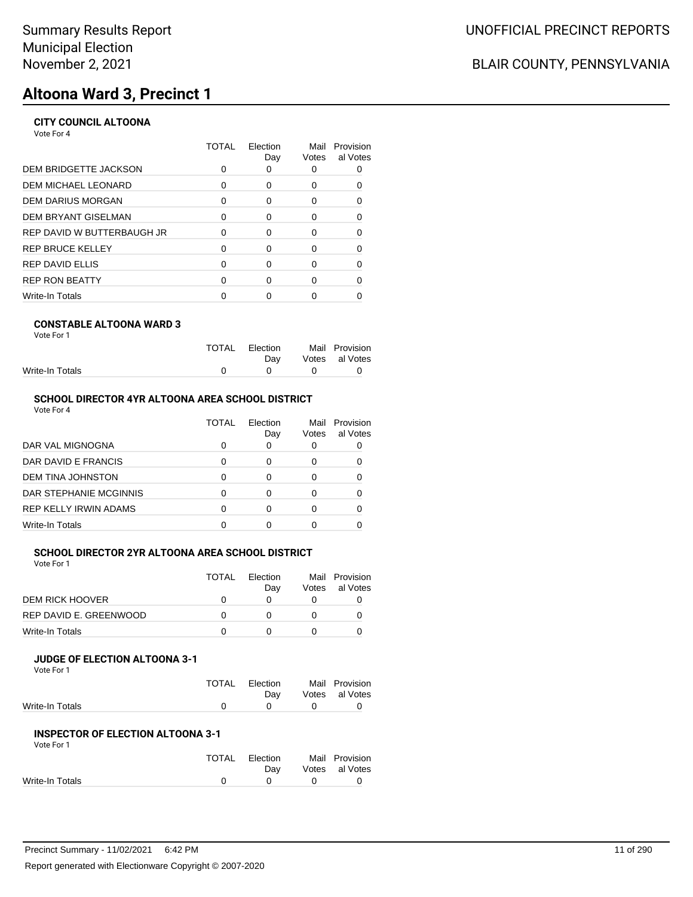# **Altoona Ward 3, Precinct 1**

### **CITY COUNCIL ALTOONA**

Vote For 4

|                            | TOTAL | Election<br>Day | Mail<br>Votes | Provision<br>al Votes |
|----------------------------|-------|-----------------|---------------|-----------------------|
| DEM BRIDGETTE JACKSON      |       |                 |               |                       |
| DEM MICHAEL LEONARD        | 0     | 0               | 0             | 0                     |
| DEM DARIUS MORGAN          | 0     | $\Omega$        | 0             | 0                     |
| DEM BRYANT GISELMAN        | 0     | 0               | 0             | 0                     |
| REP DAVID W BUTTERBAUGH JR | O     | $\Omega$        | 0             | 0                     |
| REP BRUCE KELLEY           | 0     | 0               | 0             | $\Omega$              |
| REP DAVID ELLIS            | O     | 0               | 0             | O                     |
| <b>REP RON BEATTY</b>      | ∩     | ∩               | O             | ∩                     |
| Write-In Totals            |       |                 |               |                       |
|                            |       |                 |               |                       |

#### **CONSTABLE ALTOONA WARD 3**

| Vote For 1 |  |  |
|------------|--|--|
|            |  |  |

|                 | TOTAL Election |     | Mail Provision |
|-----------------|----------------|-----|----------------|
|                 | Dav            |     | Votes al Votes |
| Write-In Totals |                | . വ |                |
|                 |                |     |                |

### **SCHOOL DIRECTOR 4YR ALTOONA AREA SCHOOL DISTRICT**

| Vote For 4 |  |
|------------|--|
|------------|--|

|                        | TOTAL | Election<br>Day | Mail<br>Votes | Provision<br>al Votes |
|------------------------|-------|-----------------|---------------|-----------------------|
| DAR VAL MIGNOGNA       |       |                 | O             |                       |
| DAR DAVID E FRANCIS    |       | ∩               | 0             |                       |
| DEM TINA JOHNSTON      |       |                 | 0             |                       |
| DAR STEPHANIE MCGINNIS |       | ∩               | 0             |                       |
| REP KELLY IRWIN ADAMS  |       | ∩               | 0             |                       |
| Write-In Totals        |       |                 |               |                       |

## **SCHOOL DIRECTOR 2YR ALTOONA AREA SCHOOL DISTRICT**

| Vote For 1 |  |
|------------|--|
|------------|--|

|                        | <b>TOTAL</b> | Election<br>Dav | Votes | Mail Provision<br>al Votes |
|------------------------|--------------|-----------------|-------|----------------------------|
| DEM RICK HOOVER        |              |                 |       |                            |
| REP DAVID E. GREENWOOD |              |                 |       |                            |
| Write-In Totals        |              |                 |       |                            |

#### **JUDGE OF ELECTION ALTOONA 3-1**

Vote For 1

|                 | TOTAL Election                    | Mail Provision |
|-----------------|-----------------------------------|----------------|
|                 | Dav                               | Votes al Votes |
| Write-In Totals | $\overline{a}$ and $\overline{a}$ |                |

#### **INSPECTOR OF ELECTION ALTOONA 3-1**

| TOTAL        | Election | Mail Provision |
|--------------|----------|----------------|
|              | Dav      | Votes al Votes |
| <sup>0</sup> |          |                |
|              |          |                |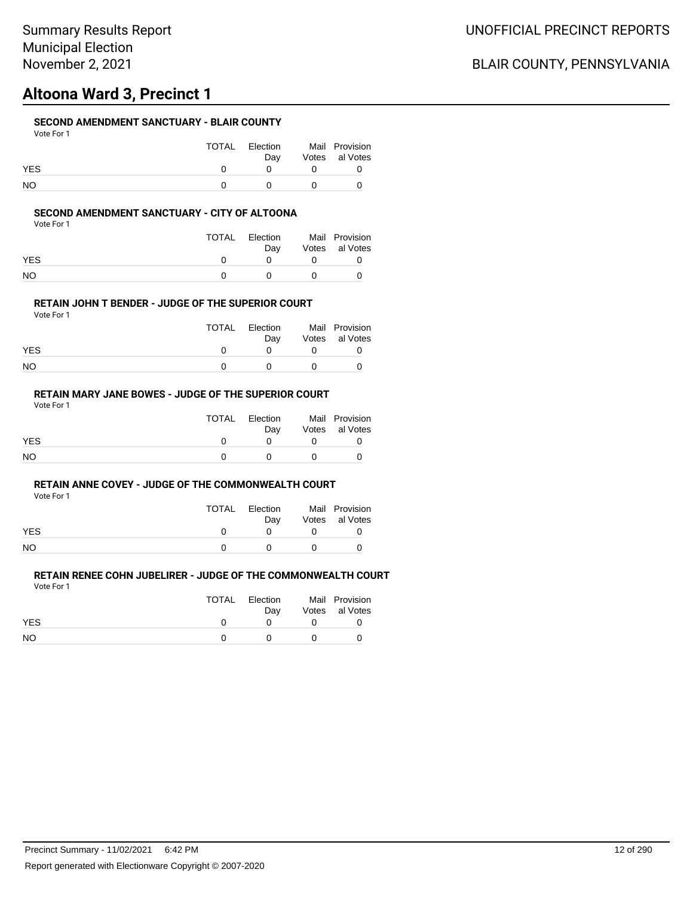# **Altoona Ward 3, Precinct 1**

#### **SECOND AMENDMENT SANCTUARY - BLAIR COUNTY**

| Vote For |  |
|----------|--|
|          |  |

|            | TOTAL | Election<br>Dav |              | Mail Provision<br>Votes al Votes |
|------------|-------|-----------------|--------------|----------------------------------|
| <b>YES</b> |       |                 |              |                                  |
| <b>NO</b>  |       |                 | $\mathbf{O}$ |                                  |

#### **SECOND AMENDMENT SANCTUARY - CITY OF ALTOONA**

Vote For 1

|            | TOTAL | Election<br>Dav | Mail Provision<br>Votes al Votes |
|------------|-------|-----------------|----------------------------------|
| <b>YES</b> |       |                 |                                  |
| NΟ         |       | $\mathbf{U}$    |                                  |

#### **RETAIN JOHN T BENDER - JUDGE OF THE SUPERIOR COURT**

Vote For 1

|            | TOTAL | Election<br>Dav | Mail Provision<br>Votes al Votes |
|------------|-------|-----------------|----------------------------------|
| <b>YES</b> |       |                 |                                  |
| NO         |       |                 |                                  |

### **RETAIN MARY JANE BOWES - JUDGE OF THE SUPERIOR COURT**

Vote For 1

|            | TOTAL | Election<br>Dav | Mail Provision<br>Votes al Votes |
|------------|-------|-----------------|----------------------------------|
| <b>YES</b> |       |                 |                                  |
| <b>NO</b>  |       |                 |                                  |

#### **RETAIN ANNE COVEY - JUDGE OF THE COMMONWEALTH COURT**

Vote For 1

|            | <b>TOTAL</b> | Election | Mail Provision |
|------------|--------------|----------|----------------|
|            |              | Dav      | Votes al Votes |
| <b>YES</b> |              |          |                |
| <b>NO</b>  |              |          |                |

| .          |       |                 |                                  |
|------------|-------|-----------------|----------------------------------|
|            | TOTAL | Election<br>Dav | Mail Provision<br>Votes al Votes |
| <b>YES</b> |       |                 |                                  |
| NO.        |       |                 |                                  |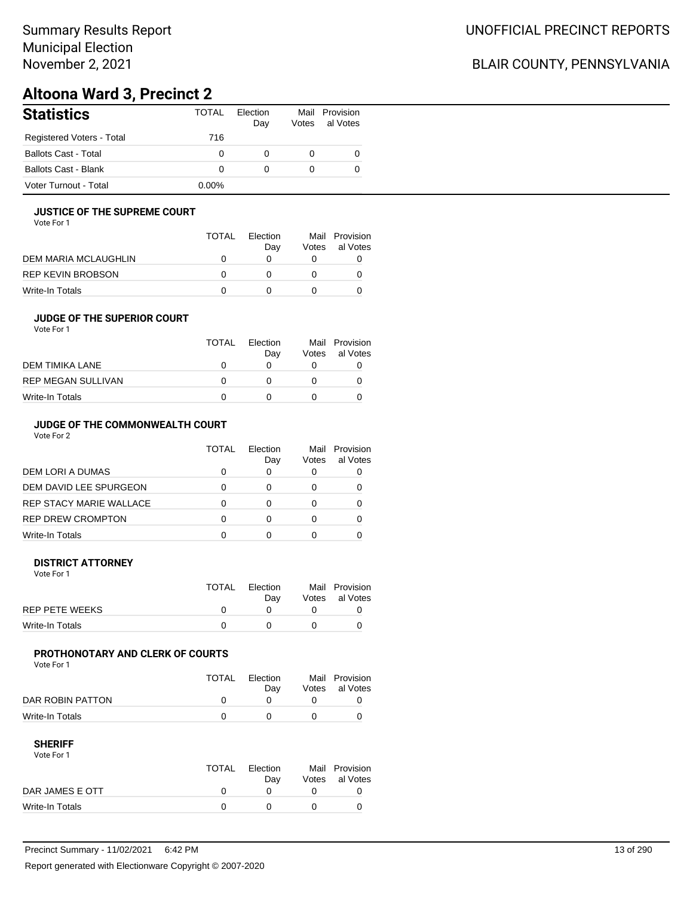## BLAIR COUNTY, PENNSYLVANIA

# **Altoona Ward 3, Precinct 2**

| <b>Statistics</b>           | <b>TOTAL</b> | Election<br>Day | Votes | Mail Provision<br>al Votes |
|-----------------------------|--------------|-----------------|-------|----------------------------|
| Registered Voters - Total   | 716          |                 |       |                            |
| Ballots Cast - Total        | 0            |                 | 0     |                            |
| <b>Ballots Cast - Blank</b> | 0            |                 | 0     |                            |
| Voter Turnout - Total       | $0.00\%$     |                 |       |                            |

#### **JUSTICE OF THE SUPREME COURT**

Vote For 1

|                      | TOTAL | Election<br>Dav | Votes | Mail Provision<br>al Votes |
|----------------------|-------|-----------------|-------|----------------------------|
| DEM MARIA MCLAUGHLIN |       |                 |       |                            |
| REP KEVIN BROBSON    |       |                 |       |                            |
| Write-In Totals      |       |                 |       |                            |

#### **JUDGE OF THE SUPERIOR COURT**

| Vote For 1 |  |
|------------|--|
|            |  |

|                    | <b>TOTAL</b> | Election<br>Dav | Votes | Mail Provision<br>al Votes |
|--------------------|--------------|-----------------|-------|----------------------------|
| DEM TIMIKA LANE    |              |                 |       |                            |
| REP MEGAN SULLIVAN | O            |                 |       |                            |
| Write-In Totals    |              |                 |       |                            |
|                    |              |                 |       |                            |

### **JUDGE OF THE COMMONWEALTH COURT**

Vote For 2

|                                | TOTAL | Flection<br>Day | Votes | Mail Provision<br>al Votes |
|--------------------------------|-------|-----------------|-------|----------------------------|
| DEM LORI A DUMAS               |       |                 |       |                            |
| DEM DAVID LEE SPURGEON         |       |                 |       |                            |
| <b>REP STACY MARIE WALLACE</b> |       |                 |       |                            |
| <b>REP DREW CROMPTON</b>       |       |                 |       |                            |
| Write-In Totals                |       |                 |       |                            |

#### **DISTRICT ATTORNEY**

| Vote For 1      |              |                 |                                  |
|-----------------|--------------|-----------------|----------------------------------|
|                 | <b>TOTAL</b> | Election<br>Dav | Mail Provision<br>Votes al Votes |
| REP PETE WEEKS  |              |                 |                                  |
| Write-In Totals |              |                 |                                  |

#### **PROTHONOTARY AND CLERK OF COURTS**

Vote For 1

|                  | <b>TOTAL</b> | Election<br>Dav | Mail Provision<br>Votes al Votes |
|------------------|--------------|-----------------|----------------------------------|
| DAR ROBIN PATTON |              |                 |                                  |
| Write-In Totals  |              |                 |                                  |

| Vote For 1      |       |                 |                                  |
|-----------------|-------|-----------------|----------------------------------|
|                 | TOTAL | Election<br>Dav | Mail Provision<br>Votes al Votes |
| DAR JAMES E OTT |       |                 |                                  |
| Write-In Totals |       |                 |                                  |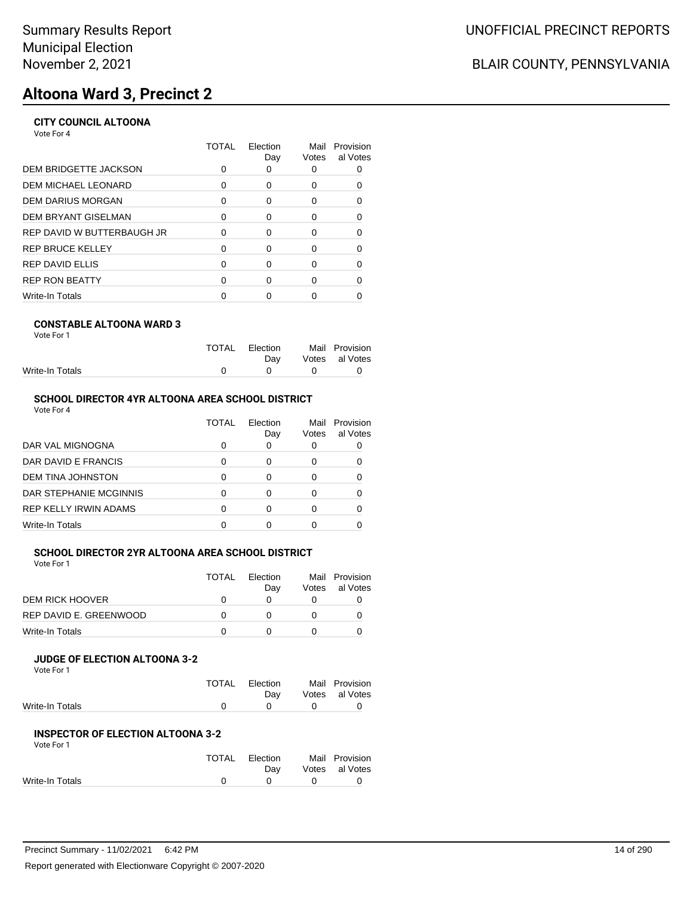# **Altoona Ward 3, Precinct 2**

### **CITY COUNCIL ALTOONA**

Vote For 4

|                            | TOTAL | Election<br>Day | Mail<br>Votes | Provision<br>al Votes |
|----------------------------|-------|-----------------|---------------|-----------------------|
| DEM BRIDGETTE JACKSON      |       |                 |               |                       |
| DEM MICHAEL LEONARD        | 0     | 0               | 0             | 0                     |
| DEM DARIUS MORGAN          | 0     | $\Omega$        | 0             | 0                     |
| DEM BRYANT GISELMAN        | 0     | 0               | 0             | 0                     |
| REP DAVID W BUTTERBAUGH JR | O     | $\Omega$        | 0             | 0                     |
| REP BRUCE KELLEY           | 0     | 0               | 0             | $\Omega$              |
| REP DAVID ELLIS            | O     | 0               | 0             | O                     |
| <b>REP RON BEATTY</b>      | ∩     | ∩               | O             | ∩                     |
| Write-In Totals            |       |                 |               |                       |
|                            |       |                 |               |                       |

#### **CONSTABLE ALTOONA WARD 3**

| Vote For 1 |  |  |
|------------|--|--|
|            |  |  |

|                 | TOTAL Election |              | Mail Provision |
|-----------------|----------------|--------------|----------------|
|                 | Dav            |              | Votes al Votes |
| Write-In Totals |                | $\mathbf{a}$ |                |
|                 |                |              |                |

### **SCHOOL DIRECTOR 4YR ALTOONA AREA SCHOOL DISTRICT**

| Vote For 4 |  |
|------------|--|
|------------|--|

|                              | TOTAL | Election<br>Day | Mail<br>Votes | Provision<br>al Votes |
|------------------------------|-------|-----------------|---------------|-----------------------|
| DAR VAL MIGNOGNA             |       |                 | 0             |                       |
| DAR DAVID E FRANCIS          |       |                 | O             |                       |
| <b>DEM TINA JOHNSTON</b>     |       |                 | 0             |                       |
| DAR STEPHANIE MCGINNIS       |       | ∩               | O             |                       |
| <b>REP KELLY IRWIN ADAMS</b> |       | ∩               | O             |                       |
| Write-In Totals              |       |                 |               |                       |

#### **SCHOOL DIRECTOR 2YR ALTOONA AREA SCHOOL DISTRICT** Vote For 1

| Vote For 1             |       |                 |                                  |
|------------------------|-------|-----------------|----------------------------------|
|                        | TOTAI | Flection<br>Dav | Mail Provision<br>Votes al Votes |
| DEM RICK HOOVER        |       |                 |                                  |
| REP DAVID E. GREENWOOD |       |                 |                                  |

Write-In Totals 0 0 0 0

# **JUDGE OF ELECTION ALTOONA 3-2**

Vote For 1

|                 | TOTAL Election<br>Dav |        | Mail Provision<br>Votes al Votes |
|-----------------|-----------------------|--------|----------------------------------|
| Write-In Totals | $\mathbf{0}$          | $\cap$ |                                  |

#### **INSPECTOR OF ELECTION ALTOONA 3-2** Vote For 1

| 1 IU I V        |              |          |              |                |
|-----------------|--------------|----------|--------------|----------------|
|                 | <b>TOTAL</b> | Election |              | Mail Provision |
|                 |              | Dav      |              | Votes al Votes |
| Write-In Totals |              | $\cap$   | $\mathbf{a}$ |                |
|                 |              |          |              |                |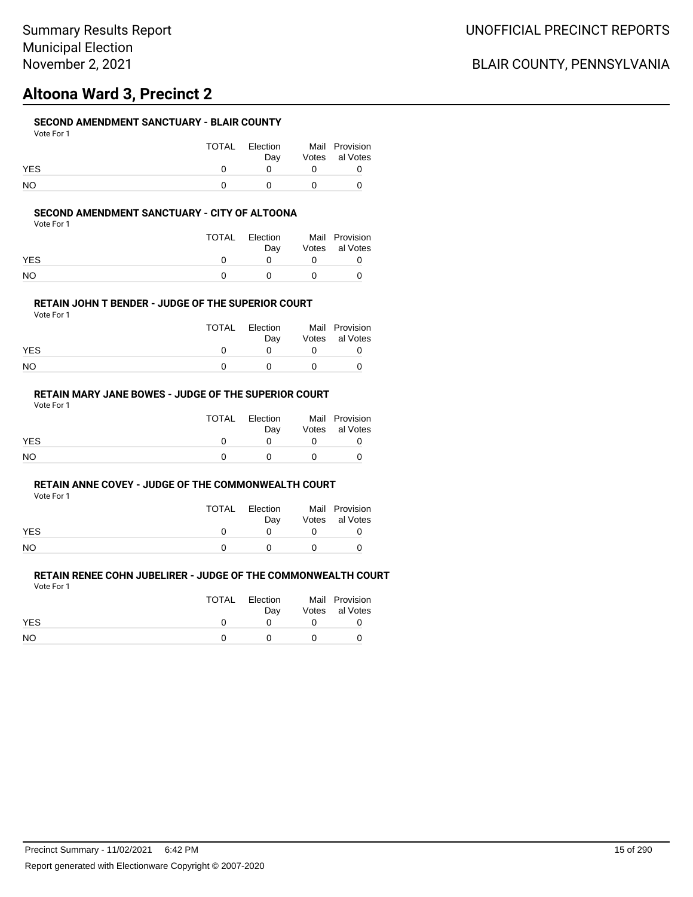# **Altoona Ward 3, Precinct 2**

#### **SECOND AMENDMENT SANCTUARY - BLAIR COUNTY**

| Vote For 1 |  |
|------------|--|
|------------|--|

|            | TOTAL | Election<br>Dav | Mail Provision<br>Votes al Votes |
|------------|-------|-----------------|----------------------------------|
| <b>YES</b> |       |                 |                                  |
| NO         |       |                 |                                  |

#### **SECOND AMENDMENT SANCTUARY - CITY OF ALTOONA**

Vote For 1

|            | TOTAL | Election<br>Dav | Mail Provision<br>Votes al Votes |
|------------|-------|-----------------|----------------------------------|
| <b>YES</b> |       |                 |                                  |
| NO         |       |                 |                                  |

#### **RETAIN JOHN T BENDER - JUDGE OF THE SUPERIOR COURT**

Vote For 1

|            | TOTAL | Election<br>Dav | Mail Provision<br>Votes al Votes |
|------------|-------|-----------------|----------------------------------|
| <b>YES</b> |       |                 |                                  |
| NO         |       |                 |                                  |

### **RETAIN MARY JANE BOWES - JUDGE OF THE SUPERIOR COURT**

Vote For 1

|            | TOTAL | Election<br>Dav | Mail Provision<br>Votes al Votes |
|------------|-------|-----------------|----------------------------------|
| <b>YES</b> |       |                 |                                  |
| <b>NO</b>  |       |                 |                                  |

#### **RETAIN ANNE COVEY - JUDGE OF THE COMMONWEALTH COURT**

Vote For 1

|            | TOTAL | Election | Mail Provision |
|------------|-------|----------|----------------|
|            |       | Dav      | Votes al Votes |
| <b>YES</b> |       |          |                |
| <b>NO</b>  |       |          |                |

| .          |       |                 |                                  |
|------------|-------|-----------------|----------------------------------|
|            | TOTAL | Election<br>Dav | Mail Provision<br>Votes al Votes |
| <b>YES</b> |       |                 |                                  |
| NO.        |       |                 |                                  |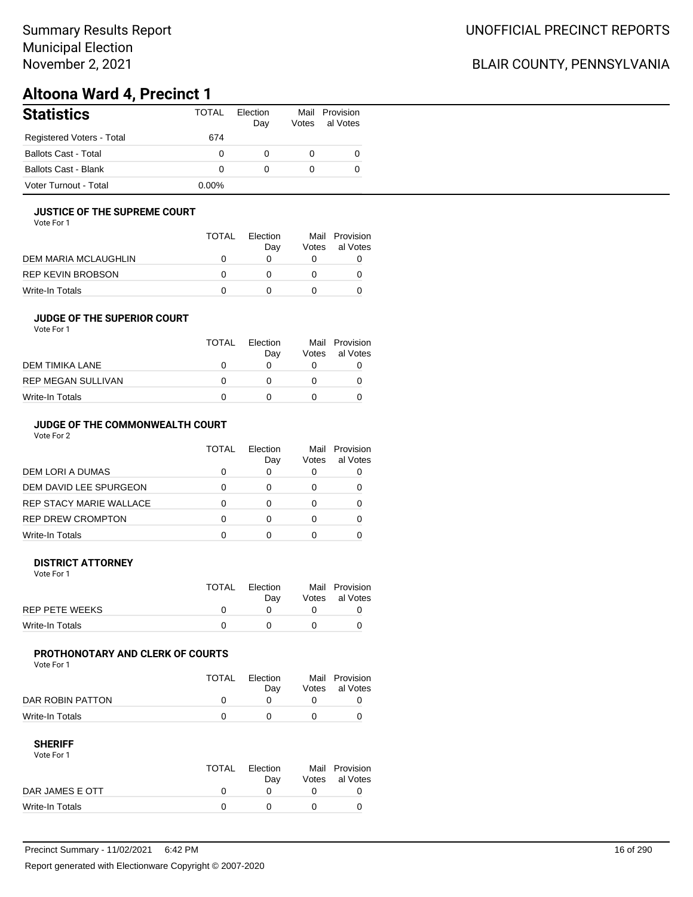## BLAIR COUNTY, PENNSYLVANIA

# **Altoona Ward 4, Precinct 1**

| <b>Statistics</b>           | <b>TOTAL</b> | Election<br>Day | Votes | Mail Provision<br>al Votes |
|-----------------------------|--------------|-----------------|-------|----------------------------|
| Registered Voters - Total   | 674          |                 |       |                            |
| <b>Ballots Cast - Total</b> | 0            |                 |       |                            |
| Ballots Cast - Blank        | 0            |                 |       |                            |
| Voter Turnout - Total       | $0.00\%$     |                 |       |                            |

#### **JUSTICE OF THE SUPREME COURT**

Vote For 1

|                      | <b>TOTAL</b> | Flection<br>Dav | Votes | Mail Provision<br>al Votes |
|----------------------|--------------|-----------------|-------|----------------------------|
| DEM MARIA MCLAUGHLIN |              |                 |       |                            |
| REP KEVIN BROBSON    | $\mathbf{I}$ |                 |       |                            |
| Write-In Totals      |              |                 |       |                            |

#### **JUDGE OF THE SUPERIOR COURT**

| Vote For 1 |  |  |
|------------|--|--|
|            |  |  |

|                           | <b>TOTAL</b> | Election |       | Mail Provision |
|---------------------------|--------------|----------|-------|----------------|
|                           |              | Day      | Votes | al Votes       |
| DEM TIMIKA LANE           | O            |          |       |                |
| <b>REP MEGAN SULLIVAN</b> | $^{\prime}$  |          |       |                |
| Write-In Totals           |              |          |       |                |
|                           |              |          |       |                |

### **JUDGE OF THE COMMONWEALTH COURT**

Vote For 2

|                                | TOTAL | Flection<br>Day | Votes | Mail Provision<br>al Votes |
|--------------------------------|-------|-----------------|-------|----------------------------|
| DEM LORI A DUMAS               |       |                 |       |                            |
| DEM DAVID LEE SPURGEON         |       |                 |       |                            |
| <b>REP STACY MARIE WALLACE</b> |       |                 |       |                            |
| <b>REP DREW CROMPTON</b>       |       |                 |       |                            |
| Write-In Totals                |       |                 |       |                            |

#### **DISTRICT ATTORNEY**

| Vote For 1      |       |                 |                                  |
|-----------------|-------|-----------------|----------------------------------|
|                 | TOTAL | Election<br>Dav | Mail Provision<br>Votes al Votes |
| REP PETE WEEKS  |       |                 |                                  |
| Write-In Totals |       |                 |                                  |

### **PROTHONOTARY AND CLERK OF COURTS**

Vote For 1

|                  | <b>TOTAL</b> | Election<br>Dav | Mail Provision<br>Votes al Votes |
|------------------|--------------|-----------------|----------------------------------|
| DAR ROBIN PATTON |              |                 |                                  |
| Write-In Totals  |              |                 |                                  |

| Vote For 1      |       |          |                |
|-----------------|-------|----------|----------------|
|                 | TOTAL | Election | Mail Provision |
|                 |       | Dav      | Votes al Votes |
| DAR JAMES E OTT |       |          |                |
| Write-In Totals |       |          |                |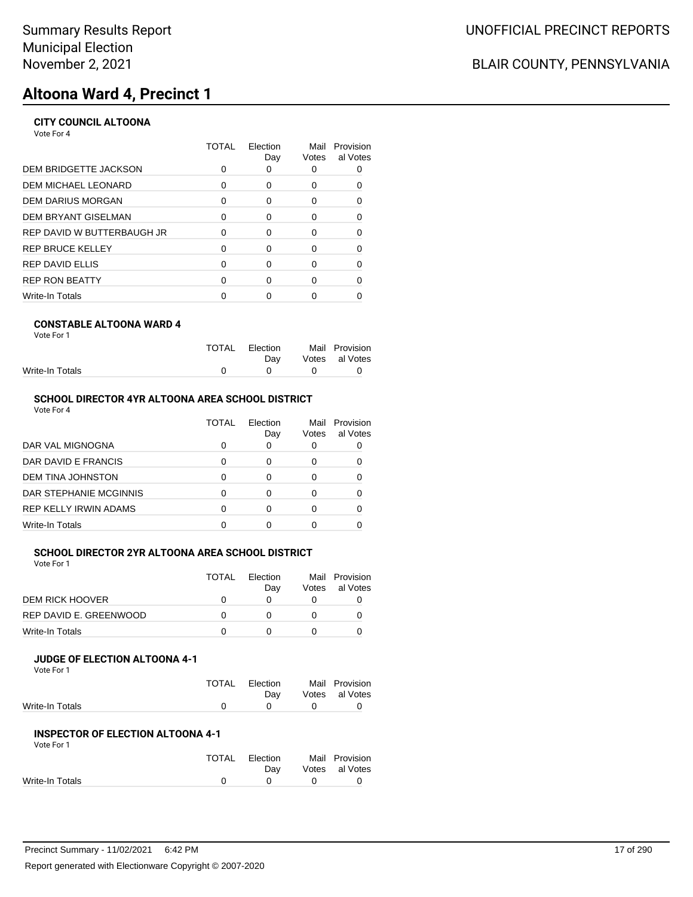# **Altoona Ward 4, Precinct 1**

### **CITY COUNCIL ALTOONA**

Vote For 4

|                            | <b>TOTAL</b> | Election<br>Day | Mail<br>Votes | Provision<br>al Votes |
|----------------------------|--------------|-----------------|---------------|-----------------------|
| DEM BRIDGETTE JACKSON      |              |                 |               |                       |
| DEM MICHAEL LEONARD        | 0            | 0               | 0             | 0                     |
| DEM DARIUS MORGAN          | O            | $\Omega$        | 0             | 0                     |
| DEM BRYANT GISELMAN        | 0            | 0               | 0             | 0                     |
| REP DAVID W BUTTERBAUGH JR | O            | $\Omega$        | 0             | 0                     |
| REP BRUCE KELLEY           |              | $\Omega$        | O             | ∩                     |
| REP DAVID ELLIS            | O            | ∩               | U             | 0                     |
| <b>REP RON BEATTY</b>      | ∩            | ∩               | O             | 0                     |
| Write-In Totals            |              |                 |               |                       |
|                            |              |                 |               |                       |

#### **CONSTABLE ALTOONA WARD 4** Vote For 1

|                 | TOTAL Election                                       | Mail Provision |
|-----------------|------------------------------------------------------|----------------|
|                 | Dav                                                  | Votes al Votes |
| Write-In Totals | $\begin{array}{ccccccc}\n0 & & 0 & & 0\n\end{array}$ |                |

#### **SCHOOL DIRECTOR 4YR ALTOONA AREA SCHOOL DISTRICT**

Vote For 4

|                              | TOTAL | Election<br>Day | Mail<br>Votes | Provision<br>al Votes |
|------------------------------|-------|-----------------|---------------|-----------------------|
| DAR VAL MIGNOGNA             |       |                 |               |                       |
| DAR DAVID E FRANCIS          |       |                 | O             |                       |
| DEM TINA JOHNSTON            |       |                 |               |                       |
| DAR STEPHANIE MCGINNIS       |       |                 | O             |                       |
| <b>REP KELLY IRWIN ADAMS</b> |       |                 | O             |                       |
| Write-In Totals              |       |                 |               |                       |

### **SCHOOL DIRECTOR 2YR ALTOONA AREA SCHOOL DISTRICT**

Vote For 1

|                        | TOTAL | Flection<br>Dav | Votes | Mail Provision<br>al Votes |
|------------------------|-------|-----------------|-------|----------------------------|
| DEM RICK HOOVER        |       |                 |       |                            |
| REP DAVID E. GREENWOOD |       |                 |       |                            |
| Write-In Totals        |       |                 |       |                            |

#### **JUDGE OF ELECTION ALTOONA 4-1**

Vote For 1

|                 | TOTAL Election | Mail Provision |
|-----------------|----------------|----------------|
|                 | Dav            | Votes al Votes |
| Write-In Totals | $\cap$ $\cap$  |                |

#### **INSPECTOR OF ELECTION ALTOONA 4-1** Vote For 1

| .               |              |                |          |                |
|-----------------|--------------|----------------|----------|----------------|
|                 | <b>TOTAL</b> | Election       |          | Mail Provision |
|                 |              | Dav            |          | Votes al Votes |
| Write-In Totals |              | $\overline{0}$ | $\Omega$ |                |
|                 |              |                |          |                |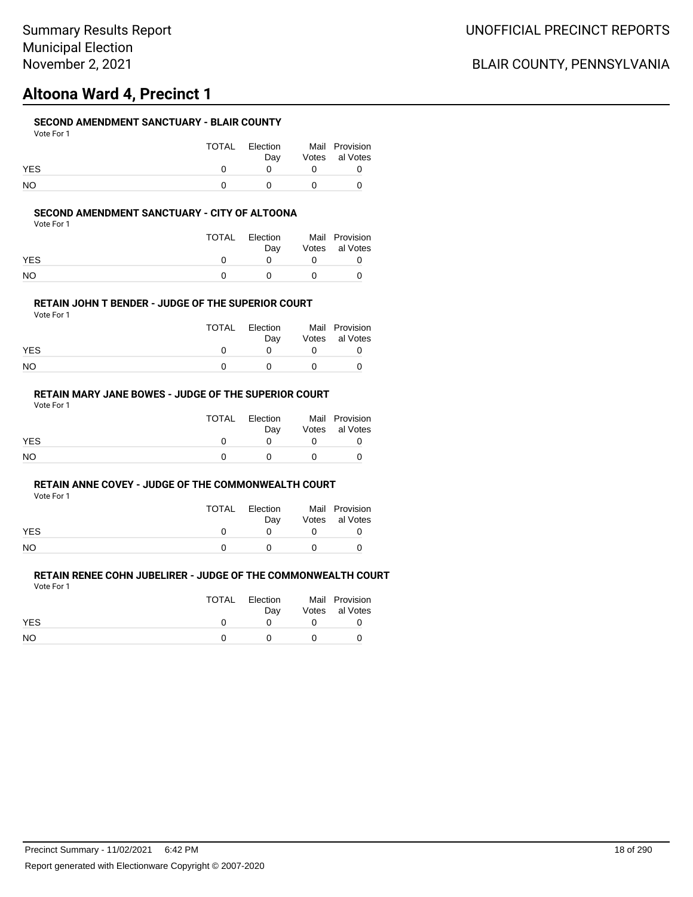# **Altoona Ward 4, Precinct 1**

#### **SECOND AMENDMENT SANCTUARY - BLAIR COUNTY**

| Vote For |  |
|----------|--|
|          |  |

|            | TOTAL | Election<br>Dav |              | Mail Provision<br>Votes al Votes |
|------------|-------|-----------------|--------------|----------------------------------|
| <b>YES</b> |       |                 |              |                                  |
| <b>NO</b>  |       |                 | $\mathbf{O}$ |                                  |

#### **SECOND AMENDMENT SANCTUARY - CITY OF ALTOONA**

Vote For 1

|            | TOTAL | Election<br>Dav | Mail Provision<br>Votes al Votes |
|------------|-------|-----------------|----------------------------------|
| <b>YES</b> |       |                 |                                  |
| NΟ         |       | $\mathbf{U}$    |                                  |

#### **RETAIN JOHN T BENDER - JUDGE OF THE SUPERIOR COURT**

Vote For 1

|            | TOTAL | Election<br>Dav | Mail Provision<br>Votes al Votes |
|------------|-------|-----------------|----------------------------------|
| <b>YES</b> |       |                 |                                  |
| NO         |       |                 |                                  |

### **RETAIN MARY JANE BOWES - JUDGE OF THE SUPERIOR COURT**

Vote For 1

|            | TOTAL | Election<br>Dav | Mail Provision<br>Votes al Votes |
|------------|-------|-----------------|----------------------------------|
| <b>YES</b> |       |                 |                                  |
| <b>NO</b>  |       |                 |                                  |

#### **RETAIN ANNE COVEY - JUDGE OF THE COMMONWEALTH COURT**

Vote For 1

|            | <b>TOTAL</b> | Election | Mail Provision |
|------------|--------------|----------|----------------|
|            |              | Dav      | Votes al Votes |
| <b>YES</b> |              |          |                |
| <b>NO</b>  |              |          |                |

| .          |       |                 |                                  |
|------------|-------|-----------------|----------------------------------|
|            | TOTAL | Election<br>Dav | Mail Provision<br>Votes al Votes |
| <b>YES</b> |       |                 |                                  |
| NO.        |       |                 |                                  |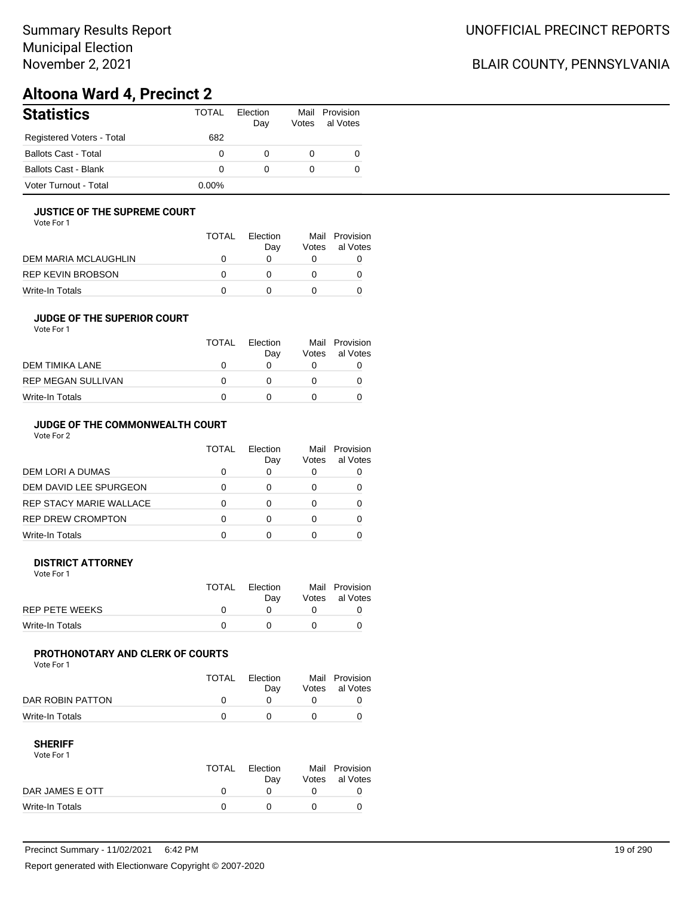## BLAIR COUNTY, PENNSYLVANIA

# **Altoona Ward 4, Precinct 2**

| <b>Statistics</b>           | <b>TOTAL</b> | Election<br>Day | Mail<br>Votes | Provision<br>al Votes |
|-----------------------------|--------------|-----------------|---------------|-----------------------|
| Registered Voters - Total   | 682          |                 |               |                       |
| <b>Ballots Cast - Total</b> | 0            |                 |               | 0                     |
| <b>Ballots Cast - Blank</b> | 0            | 0               |               | 0                     |
| Voter Turnout - Total       | $0.00\%$     |                 |               |                       |

#### **JUSTICE OF THE SUPREME COURT**

Vote For 1

|                      | TOTAL | Election<br>Dav | Votes | Mail Provision<br>al Votes |
|----------------------|-------|-----------------|-------|----------------------------|
| DEM MARIA MCLAUGHLIN |       |                 |       |                            |
| REP KEVIN BROBSON    |       |                 |       |                            |
| Write-In Totals      |       |                 |       |                            |

#### **JUDGE OF THE SUPERIOR COURT**

| Vote For 1 |  |  |
|------------|--|--|
|            |  |  |

|                    | <b>TOTAL</b> | Election<br>Day | Votes | Mail Provision<br>al Votes |
|--------------------|--------------|-----------------|-------|----------------------------|
| DEM TIMIKA LANE    | $\mathbf{I}$ |                 |       |                            |
| REP MEGAN SULLIVAN | $\mathbf{U}$ |                 |       |                            |
| Write-In Totals    |              |                 |       |                            |
|                    |              |                 |       |                            |

### **JUDGE OF THE COMMONWEALTH COURT**

Vote For 2

|                                | TOTAL | Flection<br>Day | Votes | Mail Provision<br>al Votes |
|--------------------------------|-------|-----------------|-------|----------------------------|
| DEM LORI A DUMAS               |       |                 |       |                            |
| DEM DAVID LEE SPURGEON         |       |                 |       |                            |
| <b>REP STACY MARIE WALLACE</b> |       |                 |       |                            |
| <b>REP DREW CROMPTON</b>       |       |                 |       |                            |
| Write-In Totals                |       |                 |       |                            |

#### **DISTRICT ATTORNEY**

| Vote For 1            |              |                 |                                  |
|-----------------------|--------------|-----------------|----------------------------------|
|                       | <b>TOTAL</b> | Election<br>Dav | Mail Provision<br>Votes al Votes |
| <b>REP PETE WEEKS</b> |              |                 |                                  |
| Write-In Totals       |              |                 |                                  |

#### **PROTHONOTARY AND CLERK OF COURTS**

Vote For 1

|                  | <b>TOTAL</b> | Election<br>Dav | Mail Provision<br>Votes al Votes |
|------------------|--------------|-----------------|----------------------------------|
| DAR ROBIN PATTON |              |                 |                                  |
| Write-In Totals  |              |                 |                                  |

| Vote For 1      |              |          |                |
|-----------------|--------------|----------|----------------|
|                 | <b>TOTAL</b> | Election | Mail Provision |
|                 |              | Dav      | Votes al Votes |
| DAR JAMES E OTT | $^{\prime}$  |          |                |
| Write-In Totals |              |          |                |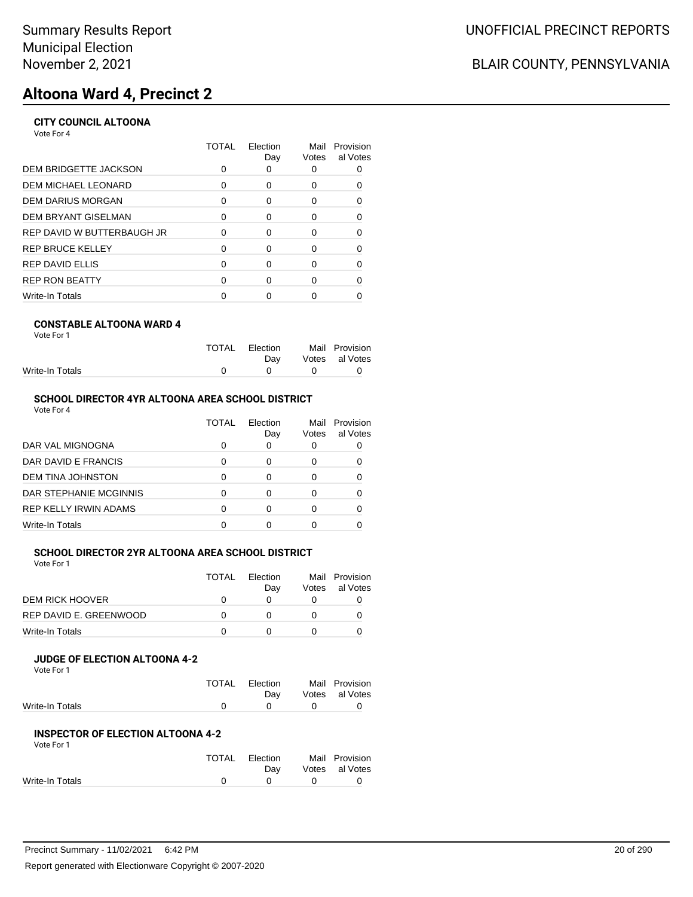# **Altoona Ward 4, Precinct 2**

### **CITY COUNCIL ALTOONA**

Vote For 4

|                            | TOTAL | Election<br>Day | Mail<br>Votes | Provision<br>al Votes |
|----------------------------|-------|-----------------|---------------|-----------------------|
| DEM BRIDGETTE JACKSON      |       |                 |               |                       |
| DEM MICHAEL LEONARD        | 0     | 0               | 0             | 0                     |
| DEM DARIUS MORGAN          | ∩     | $\Omega$        | 0             | $\Omega$              |
| DEM BRYANT GISELMAN        | 0     | $\Omega$        | 0             | 0                     |
| REP DAVID W BUTTERBAUGH JR | O     | 0               | 0             | 0                     |
| REP BRUCE KELLEY           | ∩     | $\Omega$        | 0             | $\Omega$              |
| REP DAVID ELLIS            | O     | ∩               | 0             | 0                     |
| <b>REP RON BEATTY</b>      | ∩     | ∩               | ∩             | O                     |
| Write-In Totals            |       |                 |               |                       |
|                            |       |                 |               |                       |

#### **CONSTABLE ALTOONA WARD 4**

| Vote For 1 |  |  |
|------------|--|--|
|            |  |  |

|                 | TOTAL Election |              | Mail Provision |
|-----------------|----------------|--------------|----------------|
|                 | Dav            |              | Votes al Votes |
| Write-In Totals | $\overline{0}$ | $\mathbf{0}$ |                |
|                 |                |              |                |

### **SCHOOL DIRECTOR 4YR ALTOONA AREA SCHOOL DISTRICT**

| Vote For 4 |  |
|------------|--|
|------------|--|

|                        | TOTAL | Election<br>Day | Mail<br>Votes | Provision<br>al Votes |
|------------------------|-------|-----------------|---------------|-----------------------|
| DAR VAL MIGNOGNA       |       |                 | 0             |                       |
| DAR DAVID E FRANCIS    |       | ∩               | O             |                       |
| DEM TINA JOHNSTON      |       |                 | 0             |                       |
| DAR STEPHANIE MCGINNIS |       | ∩               | 0             |                       |
| REP KELLY IRWIN ADAMS  |       | ∩               | 0             |                       |
| Write-In Totals        |       | n               |               |                       |

## **SCHOOL DIRECTOR 2YR ALTOONA AREA SCHOOL DISTRICT**

| Vote For 1 |  |  |
|------------|--|--|
|------------|--|--|

|                        | <b>TOTAL</b> | <b>Flection</b><br>Dav | Votes | Mail Provision<br>al Votes |
|------------------------|--------------|------------------------|-------|----------------------------|
| DEM RICK HOOVER        |              |                        |       |                            |
| REP DAVID E. GREENWOOD |              |                        |       |                            |
| Write-In Totals        |              |                        |       |                            |

#### **JUDGE OF ELECTION ALTOONA 4-2**

Vote For 1

|                 | TOTAL Election                    | Mail Provision |
|-----------------|-----------------------------------|----------------|
|                 | Dav                               | Votes al Votes |
| Write-In Totals | $\overline{a}$ and $\overline{a}$ |                |

#### **INSPECTOR OF ELECTION ALTOONA 4-2**

| TOTAL        | Election | Mail Provision |
|--------------|----------|----------------|
|              | Dav      | Votes al Votes |
| <sup>0</sup> |          |                |
|              |          |                |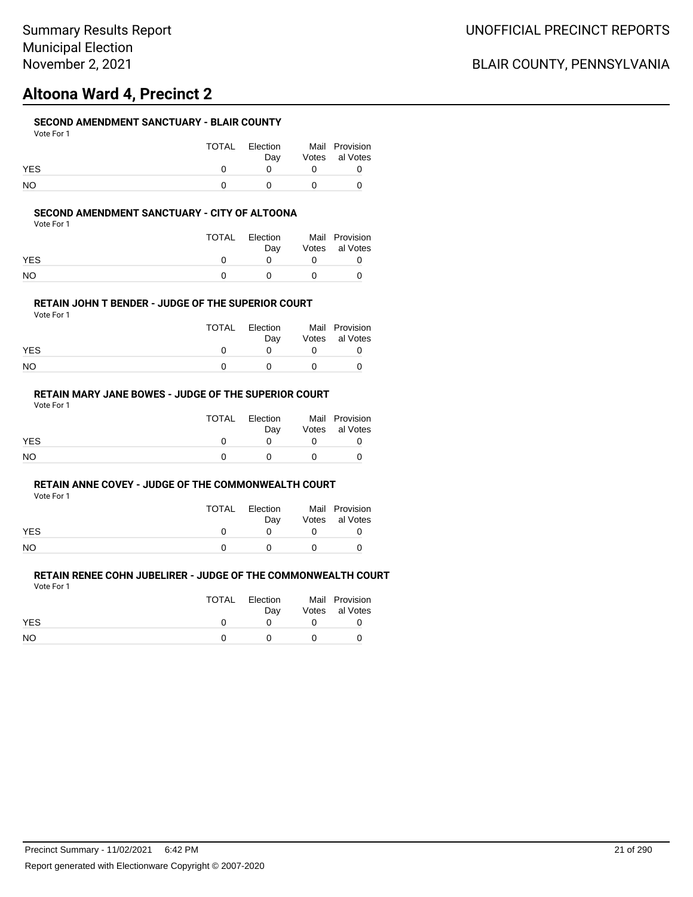# **Altoona Ward 4, Precinct 2**

#### **SECOND AMENDMENT SANCTUARY - BLAIR COUNTY**

| Vote For 1 |  |
|------------|--|
|------------|--|

|            | TOTAL | Election<br>Dav | Mail Provision<br>Votes al Votes |
|------------|-------|-----------------|----------------------------------|
| <b>YES</b> |       |                 |                                  |
| NO.        |       |                 |                                  |

#### **SECOND AMENDMENT SANCTUARY - CITY OF ALTOONA**

Vote For 1

|            | TOTAL | Election<br>Dav | Mail Provision<br>Votes al Votes |
|------------|-------|-----------------|----------------------------------|
| <b>YES</b> |       |                 |                                  |
| NΟ         |       | $\mathbf{U}$    |                                  |

#### **RETAIN JOHN T BENDER - JUDGE OF THE SUPERIOR COURT**

Vote For 1

|            | TOTAL | Election<br>Dav | Mail Provision<br>Votes al Votes |
|------------|-------|-----------------|----------------------------------|
| <b>YES</b> |       |                 |                                  |
| NO         |       |                 |                                  |

### **RETAIN MARY JANE BOWES - JUDGE OF THE SUPERIOR COURT**

Vote For 1

|            | TOTAL | Election<br>Dav | Mail Provision<br>Votes al Votes |
|------------|-------|-----------------|----------------------------------|
| <b>YES</b> |       |                 |                                  |
| <b>NO</b>  |       |                 |                                  |

#### **RETAIN ANNE COVEY - JUDGE OF THE COMMONWEALTH COURT**

Vote For 1

|            | TOTAL | Election | Mail Provision |
|------------|-------|----------|----------------|
|            |       | Dav      | Votes al Votes |
| <b>YES</b> |       |          |                |
| <b>NO</b>  |       |          |                |

|            | TOTAL | Election | Mail Provision |
|------------|-------|----------|----------------|
|            |       | Dav      | Votes al Votes |
| <b>YES</b> |       |          |                |
| NO.        |       |          |                |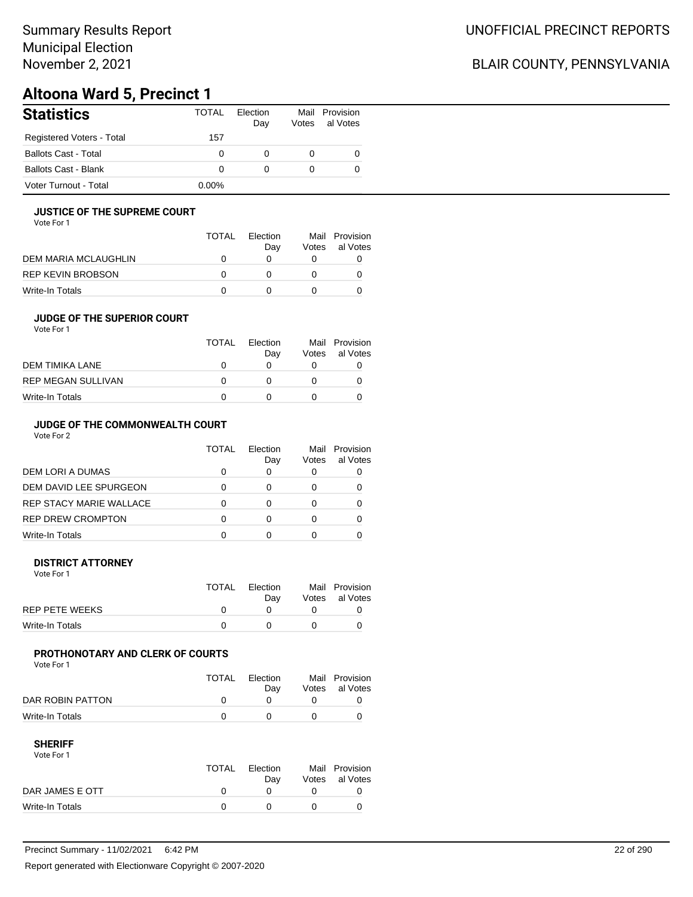## BLAIR COUNTY, PENNSYLVANIA

# **Altoona Ward 5, Precinct 1**

| <b>Statistics</b>           | <b>TOTAL</b> | Election<br>Day | Mail<br>Votes | Provision<br>al Votes |
|-----------------------------|--------------|-----------------|---------------|-----------------------|
| Registered Voters - Total   | 157          |                 |               |                       |
| <b>Ballots Cast - Total</b> | 0            | 0               |               | 0                     |
| Ballots Cast - Blank        | 0            | 0               |               | 0                     |
| Voter Turnout - Total       | $0.00\%$     |                 |               |                       |

#### **JUSTICE OF THE SUPREME COURT**

Vote For 1

|                      | <b>TOTAL</b> | Flection<br>Dav | Votes | Mail Provision<br>al Votes |
|----------------------|--------------|-----------------|-------|----------------------------|
| DEM MARIA MCLAUGHLIN |              |                 |       |                            |
| REP KEVIN BROBSON    | $\mathbf{I}$ |                 |       |                            |
| Write-In Totals      |              |                 |       |                            |

#### **JUDGE OF THE SUPERIOR COURT** Vote For 1

| VOLE FOI I                |              |                 |       |                            |  |
|---------------------------|--------------|-----------------|-------|----------------------------|--|
|                           | <b>TOTAL</b> | Flection<br>Day | Votes | Mail Provision<br>al Votes |  |
| DEM TIMIKA LANE           |              |                 |       |                            |  |
| <b>REP MEGAN SULLIVAN</b> |              |                 |       |                            |  |
| Write-In Totals           |              |                 |       |                            |  |

#### **JUDGE OF THE COMMONWEALTH COURT**

Vote For 2

|                                | TOTAL | Flection<br>Day | Votes | Mail Provision<br>al Votes |
|--------------------------------|-------|-----------------|-------|----------------------------|
| DEM LORI A DUMAS               |       |                 |       |                            |
| DEM DAVID LEE SPURGEON         |       |                 |       |                            |
| <b>REP STACY MARIE WALLACE</b> |       |                 |       |                            |
| <b>REP DREW CROMPTON</b>       |       |                 |       |                            |
| Write-In Totals                |       |                 |       |                            |

#### **DISTRICT ATTORNEY**

| Vote For 1            |       |                 |                                  |
|-----------------------|-------|-----------------|----------------------------------|
|                       | TOTAL | Election<br>Dav | Mail Provision<br>Votes al Votes |
| <b>REP PETE WEEKS</b> |       |                 |                                  |
| Write-In Totals       |       |                 |                                  |

### **PROTHONOTARY AND CLERK OF COURTS**

Vote For 1

|                  | <b>TOTAL</b> | Election<br>Dav | Mail Provision<br>Votes al Votes |
|------------------|--------------|-----------------|----------------------------------|
| DAR ROBIN PATTON |              |                 |                                  |
| Write-In Totals  |              |                 |                                  |

| Vote For 1      |              |          |                |
|-----------------|--------------|----------|----------------|
|                 | TOTAL        | Election | Mail Provision |
|                 |              | Dav      | Votes al Votes |
| DAR JAMES E OTT | $\mathbf{U}$ |          |                |
| Write-In Totals |              |          |                |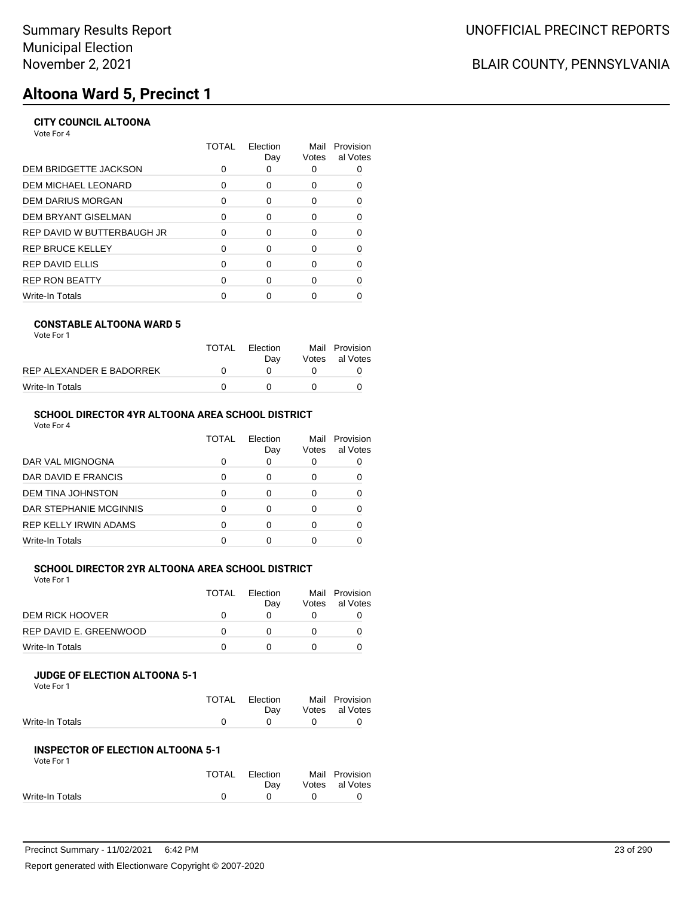# **Altoona Ward 5, Precinct 1**

### **CITY COUNCIL ALTOONA**

Vote For 4

|                              | TOTAL | Election<br>Day | Mail<br>Votes | Provision<br>al Votes |
|------------------------------|-------|-----------------|---------------|-----------------------|
| <b>DEM BRIDGETTE JACKSON</b> | O     | 0               |               |                       |
| DEM MICHAEL LEONARD          | 0     | 0               | 0             |                       |
| DEM DARIUS MORGAN            | 0     | $\Omega$        | 0             |                       |
| DEM BRYANT GISELMAN          | 0     | 0               | 0             | 0                     |
| REP DAVID W BUTTERBAUGH JR   | 0     | $\Omega$        | 0             |                       |
| REP BRUCE KELLEY             | O     | $\Omega$        | O             |                       |
| REP DAVID ELLIS              | 0     | $\Omega$        | ŋ             |                       |
| REP RON BEATTY               | ∩     | $\Omega$        | ∩             |                       |
| Write-In Totals              |       |                 |               |                       |
|                              |       |                 |               |                       |

#### **CONSTABLE ALTOONA WARD 5**

|  | Vote For 1 |  |  |
|--|------------|--|--|
|--|------------|--|--|

|                          | TOTAL | Flection<br>Dav | Mail Provision<br>Votes al Votes |
|--------------------------|-------|-----------------|----------------------------------|
| REP ALEXANDER E BADORREK |       |                 |                                  |
| Write-In Totals          |       | $\mathbf{r}$    |                                  |

### **SCHOOL DIRECTOR 4YR ALTOONA AREA SCHOOL DISTRICT**

Vote For 4

|                              | TOTAL | Election<br>Day | Mail<br>Votes | Provision<br>al Votes |
|------------------------------|-------|-----------------|---------------|-----------------------|
| DAR VAL MIGNOGNA             |       |                 | 0             |                       |
| DAR DAVID E FRANCIS          |       |                 | 0             |                       |
| DEM TINA JOHNSTON            |       |                 | 0             |                       |
| DAR STEPHANIE MCGINNIS       |       |                 | 0             |                       |
| <b>REP KELLY IRWIN ADAMS</b> |       | O               | ŋ             |                       |
| Write-In Totals              |       |                 |               |                       |

### **SCHOOL DIRECTOR 2YR ALTOONA AREA SCHOOL DISTRICT**

Vote For 1

|                        | TOTAL | Election | Mail  | Provision |
|------------------------|-------|----------|-------|-----------|
|                        |       | Dav      | Votes | al Votes  |
| DEM RICK HOOVER        |       |          |       |           |
| REP DAVID E. GREENWOOD |       |          |       |           |
| Write-In Totals        |       |          |       |           |

#### **JUDGE OF ELECTION ALTOONA 5-1** Vote For 1

| .               |       |          |             |                |
|-----------------|-------|----------|-------------|----------------|
|                 | TOTAL | Election |             | Mail Provision |
|                 |       | Dav      |             | Votes al Votes |
| Write-In Totals |       |          | $^{\prime}$ |                |
|                 |       |          |             |                |

#### **INSPECTOR OF ELECTION ALTOONA 5-1** Vote For 1

| TOTAL | Election | Mail Provision |
|-------|----------|----------------|
|       | Dav      | Votes al Votes |
|       |          |                |
|       |          |                |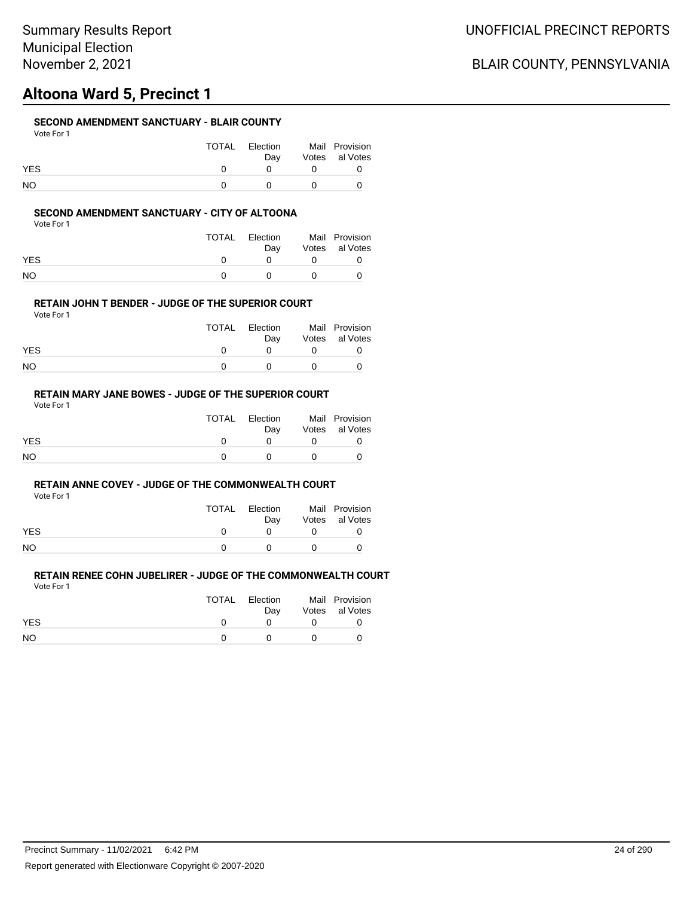# **Altoona Ward 5, Precinct 1**

#### **SECOND AMENDMENT SANCTUARY - BLAIR COUNTY**

| Vote For |  |
|----------|--|
|          |  |

|            | TOTAL | Election<br>Dav |              | Mail Provision<br>Votes al Votes |
|------------|-------|-----------------|--------------|----------------------------------|
| <b>YES</b> |       |                 |              |                                  |
| <b>NO</b>  |       |                 | $\mathbf{O}$ |                                  |

#### **SECOND AMENDMENT SANCTUARY - CITY OF ALTOONA**

Vote For 1

|            | TOTAL | Election<br>Dav | Mail Provision<br>Votes al Votes |
|------------|-------|-----------------|----------------------------------|
| <b>YES</b> |       |                 |                                  |
| NΟ         |       | $\mathbf{U}$    |                                  |

#### **RETAIN JOHN T BENDER - JUDGE OF THE SUPERIOR COURT**

Vote For 1

|            | TOTAL | Election<br>Dav | Mail Provision<br>Votes al Votes |
|------------|-------|-----------------|----------------------------------|
| <b>YES</b> |       |                 |                                  |
| NO         |       |                 |                                  |

### **RETAIN MARY JANE BOWES - JUDGE OF THE SUPERIOR COURT**

Vote For 1

|            | TOTAL | Election<br>Dav | Mail Provision<br>Votes al Votes |
|------------|-------|-----------------|----------------------------------|
| <b>YES</b> |       |                 |                                  |
| <b>NO</b>  |       |                 |                                  |

#### **RETAIN ANNE COVEY - JUDGE OF THE COMMONWEALTH COURT**

Vote For 1

|            | TOTAL | Election | Mail Provision |
|------------|-------|----------|----------------|
|            |       | Dav      | Votes al Votes |
| <b>YES</b> |       |          |                |
| <b>NO</b>  |       |          |                |

| .          |       |                 |                                  |
|------------|-------|-----------------|----------------------------------|
|            | TOTAL | Election<br>Dav | Mail Provision<br>Votes al Votes |
| <b>YES</b> |       |                 |                                  |
| NO.        |       |                 |                                  |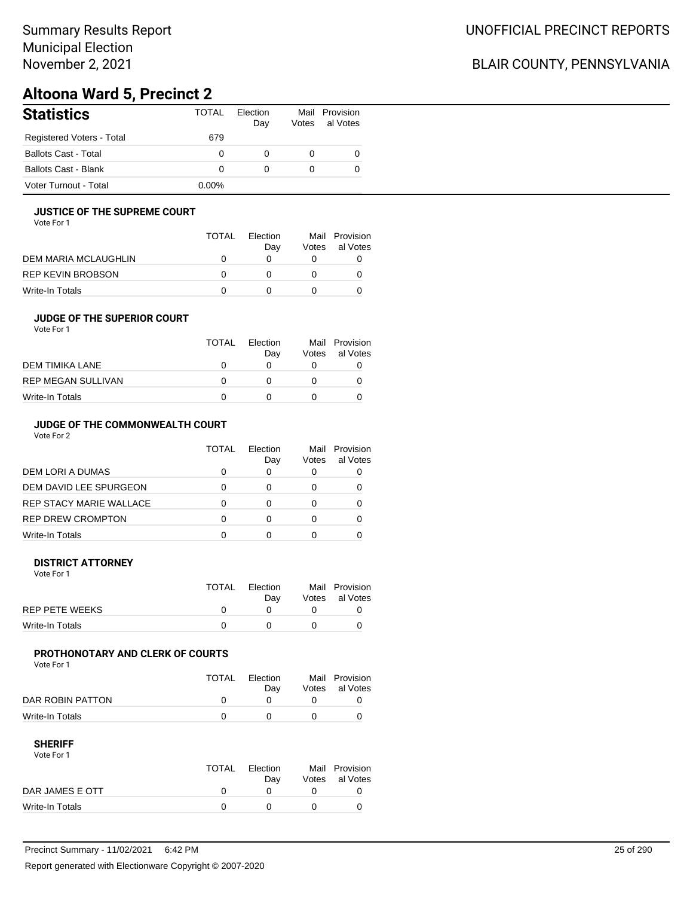## BLAIR COUNTY, PENNSYLVANIA

# **Altoona Ward 5, Precinct 2**

| <b>Statistics</b>         | <b>TOTAL</b> | Election<br>Day | Votes | Mail Provision<br>al Votes |
|---------------------------|--------------|-----------------|-------|----------------------------|
| Registered Voters - Total | 679          |                 |       |                            |
| Ballots Cast - Total      | 0            |                 |       |                            |
| Ballots Cast - Blank      | 0            | 0               |       |                            |
| Voter Turnout - Total     | $0.00\%$     |                 |       |                            |

#### **JUSTICE OF THE SUPREME COURT**

Vote For 1

|                      | TOTAL | Election<br>Dav | Votes | Mail Provision<br>al Votes |
|----------------------|-------|-----------------|-------|----------------------------|
| DEM MARIA MCLAUGHLIN |       |                 |       |                            |
| REP KEVIN BROBSON    |       |                 |       |                            |
| Write-In Totals      |       |                 |       |                            |

#### **JUDGE OF THE SUPERIOR COURT**

| Vote For 1 |  |  |
|------------|--|--|
|            |  |  |

|                    | <b>TOTAL</b> | Election<br>Day | Votes | Mail Provision<br>al Votes |
|--------------------|--------------|-----------------|-------|----------------------------|
| DEM TIMIKA LANE    | $\mathbf{I}$ |                 |       |                            |
| REP MEGAN SULLIVAN | $\mathbf{U}$ |                 |       |                            |
| Write-In Totals    |              |                 |       |                            |
|                    |              |                 |       |                            |

### **JUDGE OF THE COMMONWEALTH COURT**

Vote For 2

|                                | TOTAL | Flection<br>Day | Votes | Mail Provision<br>al Votes |
|--------------------------------|-------|-----------------|-------|----------------------------|
| DEM LORI A DUMAS               |       |                 |       |                            |
| DEM DAVID LEE SPURGEON         |       |                 |       |                            |
| <b>REP STACY MARIE WALLACE</b> |       |                 |       |                            |
| <b>REP DREW CROMPTON</b>       |       |                 |       |                            |
| Write-In Totals                |       |                 |       |                            |

#### **DISTRICT ATTORNEY**

| Vote For 1            |              |                 |                                  |
|-----------------------|--------------|-----------------|----------------------------------|
|                       | <b>TOTAL</b> | Election<br>Dav | Mail Provision<br>Votes al Votes |
| <b>REP PETE WEEKS</b> |              |                 |                                  |
| Write-In Totals       |              |                 |                                  |

#### **PROTHONOTARY AND CLERK OF COURTS**

Vote For 1

|                  | <b>TOTAL</b> | Election<br>Dav | Mail Provision<br>Votes al Votes |
|------------------|--------------|-----------------|----------------------------------|
| DAR ROBIN PATTON |              |                 |                                  |
| Write-In Totals  |              |                 |                                  |

| Vote For 1      |       |                 |                                  |
|-----------------|-------|-----------------|----------------------------------|
|                 | TOTAL | Election<br>Dav | Mail Provision<br>Votes al Votes |
| DAR JAMES E OTT |       |                 |                                  |
| Write-In Totals |       |                 |                                  |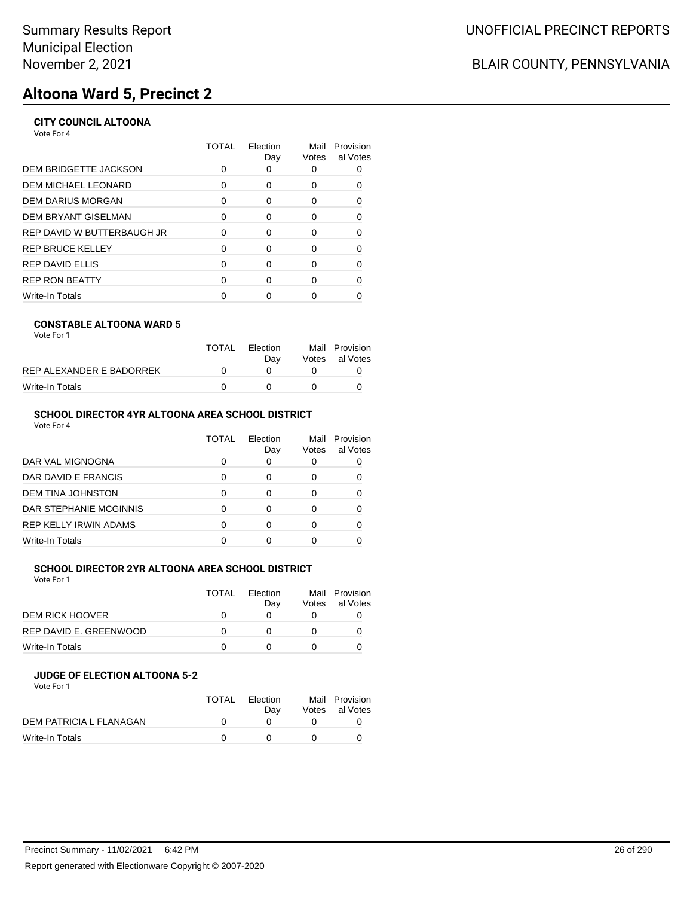# **Altoona Ward 5, Precinct 2**

### **CITY COUNCIL ALTOONA**

Vote For 4

|                            | TOTAL | Election<br>Day | Mail<br>Votes | Provision<br>al Votes |
|----------------------------|-------|-----------------|---------------|-----------------------|
| DEM BRIDGETTE JACKSON      |       |                 |               |                       |
| DEM MICHAEL LEONARD        | 0     | 0               | O             |                       |
| DEM DARIUS MORGAN          | 0     | $\Omega$        | O             | O                     |
| DEM BRYANT GISELMAN        | 0     | ∩               | 0             | 0                     |
| REP DAVID W BUTTERBAUGH JR | O     | $\Omega$        | 0             |                       |
| REP BRUCE KELLEY           | ∩     | ∩               | O             |                       |
| REP DAVID ELLIS            | ∩     | ∩               | O             | 0                     |
| <b>REP RON BEATTY</b>      | O     | ∩               | ∩             |                       |
| Write-In Totals            |       |                 |               |                       |
|                            |       |                 |               |                       |

#### **CONSTABLE ALTOONA WARD 5**

|  | Vote For 1 |  |  |
|--|------------|--|--|
|--|------------|--|--|

|                          | TOTAL | <b>Flection</b> | Mail Provision |
|--------------------------|-------|-----------------|----------------|
|                          |       | Dav             | Votes al Votes |
| REP ALEXANDER E BADORREK |       |                 |                |
| Write-In Totals          |       |                 |                |

### **SCHOOL DIRECTOR 4YR ALTOONA AREA SCHOOL DISTRICT**

Vote For 4

|                              | TOTAL | Flection<br>Day | Mail<br>Votes | Provision<br>al Votes |
|------------------------------|-------|-----------------|---------------|-----------------------|
| DAR VAL MIGNOGNA             |       | 0               | 0             |                       |
| DAR DAVID E FRANCIS          |       |                 | O             |                       |
| DEM TINA JOHNSTON            |       |                 | O             |                       |
| DAR STEPHANIE MCGINNIS       |       |                 | O             |                       |
| <b>REP KELLY IRWIN ADAMS</b> |       | O               | O             |                       |
| Write-In Totals              |       |                 |               |                       |

### **SCHOOL DIRECTOR 2YR ALTOONA AREA SCHOOL DISTRICT**

Vote For 1

|                        | TOTAL | Flection<br>Dav | Votes | Mail Provision<br>al Votes |
|------------------------|-------|-----------------|-------|----------------------------|
| DEM RICK HOOVER        |       |                 |       |                            |
| REP DAVID E. GREENWOOD |       |                 |       |                            |
| Write-In Totals        |       |                 |       |                            |

#### **JUDGE OF ELECTION ALTOONA 5-2** Vote For 1

| 1 J J J J J J           |              |                 |                                  |
|-------------------------|--------------|-----------------|----------------------------------|
|                         | <b>TOTAL</b> | Election<br>Dav | Mail Provision<br>Votes al Votes |
| DEM PATRICIA L FLANAGAN |              |                 |                                  |
| Write-In Totals         |              |                 |                                  |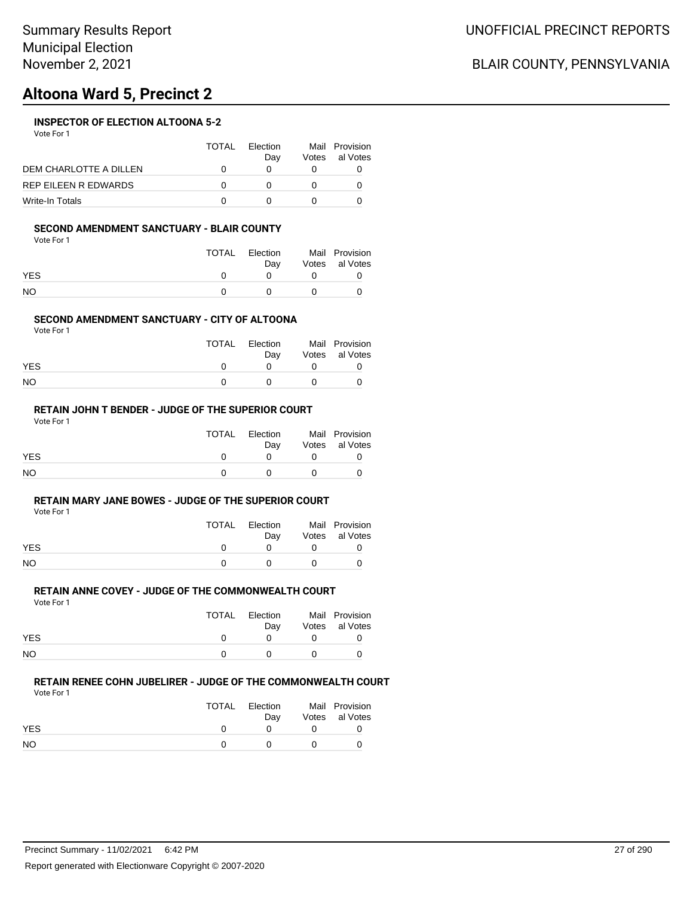# **Altoona Ward 5, Precinct 2**

### **INSPECTOR OF ELECTION ALTOONA 5-2**

Vote For 1

|                        | TOTAL | <b>Flection</b> | Mail Provision |
|------------------------|-------|-----------------|----------------|
|                        |       | Dav             | Votes al Votes |
| DEM CHARLOTTE A DILLEN |       |                 |                |
| REP EILEEN R EDWARDS   |       |                 |                |
| Write-In Totals        |       |                 |                |

#### **SECOND AMENDMENT SANCTUARY - BLAIR COUNTY**

Vote For 1

|            | TOTAL Election<br>Dav | Mail Provision<br>Votes al Votes |
|------------|-----------------------|----------------------------------|
| <b>YES</b> |                       |                                  |
| NO         |                       |                                  |

#### **SECOND AMENDMENT SANCTUARY - CITY OF ALTOONA**

Vote For 1

|            | TOTAL | Election<br>Dav | Mail Provision<br>Votes al Votes |
|------------|-------|-----------------|----------------------------------|
| <b>YES</b> |       |                 |                                  |
| <b>NO</b>  |       |                 |                                  |

#### **RETAIN JOHN T BENDER - JUDGE OF THE SUPERIOR COURT**

Vote For 1

|            | TOTAL | Election<br>Dav | Mail Provision<br>Votes al Votes |
|------------|-------|-----------------|----------------------------------|
| <b>YES</b> |       |                 |                                  |
| <b>NO</b>  |       |                 |                                  |

#### **RETAIN MARY JANE BOWES - JUDGE OF THE SUPERIOR COURT**

Vote For 1

|            | TOTAL | Election<br>Dav | Mail Provision<br>Votes al Votes |
|------------|-------|-----------------|----------------------------------|
| <b>YES</b> |       |                 |                                  |
| <b>NO</b>  |       |                 |                                  |

#### **RETAIN ANNE COVEY - JUDGE OF THE COMMONWEALTH COURT**

Vote For 1

|            | <b>TOTAL</b> | Election<br>Dav | Mail Provision<br>Votes al Votes |
|------------|--------------|-----------------|----------------------------------|
| <b>YES</b> |              | $^{\prime}$     |                                  |
| <b>NO</b>  |              |                 |                                  |

#### **RETAIN RENEE COHN JUBELIRER - JUDGE OF THE COMMONWEALTH COURT**

Vote For 1

|                | <b>TOTAL</b> | Election<br>Dav | Mail Provision<br>Votes al Votes |
|----------------|--------------|-----------------|----------------------------------|
| YES.           |              |                 |                                  |
| N <sub>O</sub> |              |                 |                                  |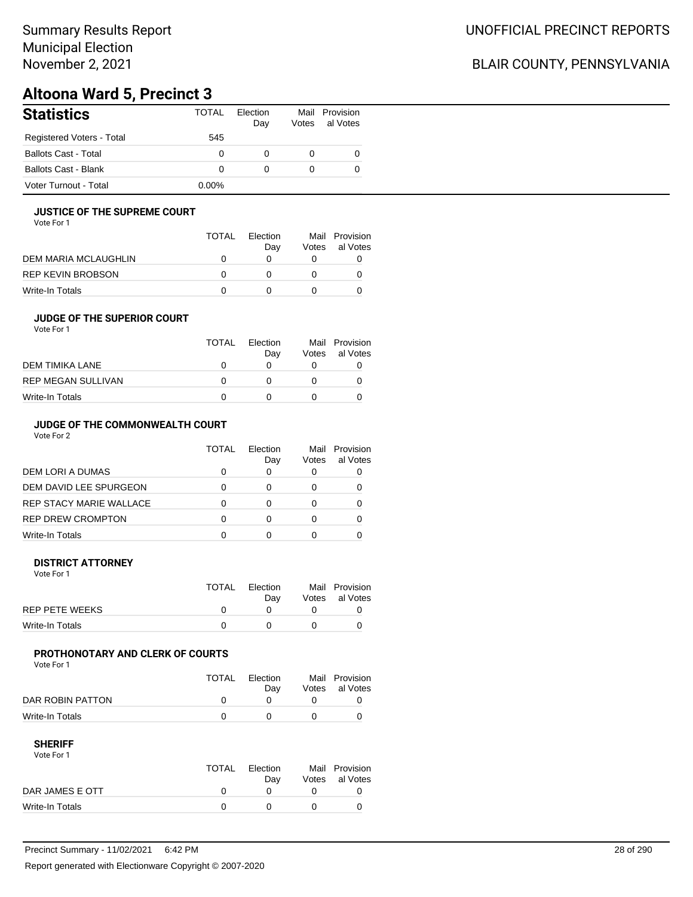## BLAIR COUNTY, PENNSYLVANIA

# **Altoona Ward 5, Precinct 3**

| <b>Statistics</b>           | <b>TOTAL</b> | Election<br>Day | Votes | Mail Provision<br>al Votes |
|-----------------------------|--------------|-----------------|-------|----------------------------|
| Registered Voters - Total   | 545          |                 |       |                            |
| <b>Ballots Cast - Total</b> | 0            | $\Omega$        |       | 0                          |
| <b>Ballots Cast - Blank</b> | 0            | $\Omega$        |       | 0                          |
| Voter Turnout - Total       | $0.00\%$     |                 |       |                            |

#### **JUSTICE OF THE SUPREME COURT**

Vote For 1

|                      | <b>TOTAL</b> | Flection<br>Dav | Votes | Mail Provision<br>al Votes |
|----------------------|--------------|-----------------|-------|----------------------------|
| DEM MARIA MCLAUGHLIN |              |                 |       |                            |
| REP KEVIN BROBSON    | $\mathbf{I}$ |                 |       |                            |
| Write-In Totals      |              |                 |       |                            |

#### **JUDGE OF THE SUPERIOR COURT** Vote For 1

| VULCIUII                  |       |                 |                                  |
|---------------------------|-------|-----------------|----------------------------------|
|                           | TOTAL | Flection<br>Dav | Mail Provision<br>Votes al Votes |
| DEM TIMIKA LANE           |       |                 |                                  |
| <b>REP MEGAN SULLIVAN</b> |       |                 |                                  |
|                           |       |                 |                                  |

Write-In Totals **0** 0 0 0 0 0

#### **JUDGE OF THE COMMONWEALTH COURT**

Vote For 2

|                                | TOTAL | Flection<br>Day | Votes | Mail Provision<br>al Votes |
|--------------------------------|-------|-----------------|-------|----------------------------|
| DEM LORI A DUMAS               |       |                 |       |                            |
| DEM DAVID LEE SPURGEON         |       |                 |       |                            |
| <b>REP STACY MARIE WALLACE</b> |       |                 |       |                            |
| <b>REP DREW CROMPTON</b>       |       |                 |       |                            |
| Write-In Totals                |       |                 |       |                            |

#### **DISTRICT ATTORNEY**

| Vote For 1      |       |                 |                                  |
|-----------------|-------|-----------------|----------------------------------|
|                 | TOTAL | Election<br>Dav | Mail Provision<br>Votes al Votes |
| REP PETE WEEKS  |       |                 |                                  |
| Write-In Totals |       |                 |                                  |

#### **PROTHONOTARY AND CLERK OF COURTS**

Vote For 1

|                  | TOTAL | Election<br>Dav | Mail Provision<br>Votes al Votes |
|------------------|-------|-----------------|----------------------------------|
| DAR ROBIN PATTON |       |                 |                                  |
| Write-In Totals  |       |                 |                                  |

#### **SHERIFF**

Vote For 1

|                 | TOTAL | Election<br>Dav | Mail Provision<br>Votes al Votes |
|-----------------|-------|-----------------|----------------------------------|
| DAR JAMES E OTT |       |                 |                                  |
| Write-In Totals |       |                 |                                  |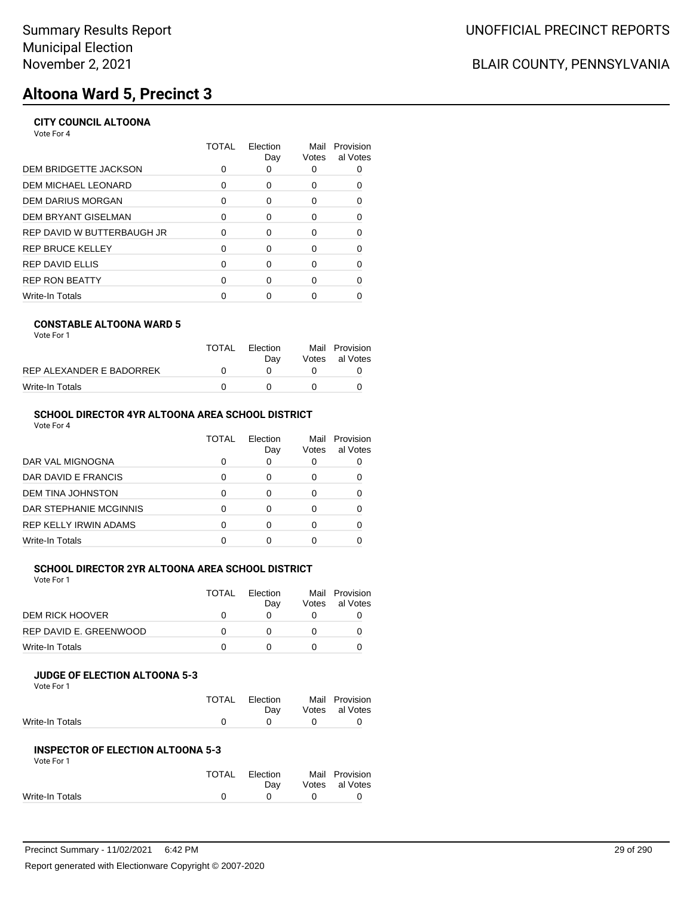# **Altoona Ward 5, Precinct 3**

### **CITY COUNCIL ALTOONA**

Vote For 4

|                            | TOTAL | Election<br>Day | Mail<br>Votes | Provision<br>al Votes |
|----------------------------|-------|-----------------|---------------|-----------------------|
| DEM BRIDGETTE JACKSON      |       |                 |               |                       |
| DEM MICHAEL LEONARD        | 0     | 0               | O             |                       |
| DEM DARIUS MORGAN          | 0     | $\Omega$        | O             | O                     |
| DEM BRYANT GISELMAN        | 0     | ∩               | 0             | 0                     |
| REP DAVID W BUTTERBAUGH JR | O     | $\Omega$        | 0             |                       |
| REP BRUCE KELLEY           | ∩     | ∩               | O             |                       |
| REP DAVID ELLIS            | ∩     | ∩               | O             | 0                     |
| <b>REP RON BEATTY</b>      | O     | ∩               | ∩             |                       |
| Write-In Totals            |       |                 |               |                       |
|                            |       |                 |               |                       |

#### **CONSTABLE ALTOONA WARD 5**

| Vote For 1 |  |
|------------|--|
|------------|--|

|                          | TOTAL | <b>Flection</b><br>Dav | Mail Provision<br>Votes al Votes |
|--------------------------|-------|------------------------|----------------------------------|
| REP ALEXANDER E BADORREK |       |                        |                                  |
| Write-In Totals          |       | $\mathbf{U}$           |                                  |

### **SCHOOL DIRECTOR 4YR ALTOONA AREA SCHOOL DISTRICT**

Vote For 4

|                              | TOTAL | Flection<br>Day | Mail<br>Votes | Provision<br>al Votes |
|------------------------------|-------|-----------------|---------------|-----------------------|
| DAR VAL MIGNOGNA             |       | 0               | 0             |                       |
| DAR DAVID E FRANCIS          |       |                 | O             |                       |
| DEM TINA JOHNSTON            |       |                 | O             |                       |
| DAR STEPHANIE MCGINNIS       |       |                 | O             |                       |
| <b>REP KELLY IRWIN ADAMS</b> |       | O               | O             |                       |
| Write-In Totals              |       |                 |               |                       |

### **SCHOOL DIRECTOR 2YR ALTOONA AREA SCHOOL DISTRICT**

Vote For 1

|                        | TOTAL | Election | Mail  | Provision |
|------------------------|-------|----------|-------|-----------|
|                        |       | Dav      | Votes | al Votes  |
| DEM RICK HOOVER        |       |          |       |           |
| REP DAVID E. GREENWOOD |       |          |       |           |
| Write-In Totals        |       |          |       |           |

#### **JUDGE OF ELECTION ALTOONA 5-3** Vote For 1

| .               |              |          |                |
|-----------------|--------------|----------|----------------|
|                 | <b>TOTAL</b> | Election | Mail Provision |
|                 |              | Dav      | Votes al Votes |
| Write-In Totals |              | $\theta$ |                |
|                 |              |          |                |

#### **INSPECTOR OF ELECTION ALTOONA 5-3** Vote For 1

| 1 U U U         |                |                |
|-----------------|----------------|----------------|
|                 | TOTAL Election | Mail Provision |
|                 | Dav            | Votes al Votes |
| Write-In Totals |                |                |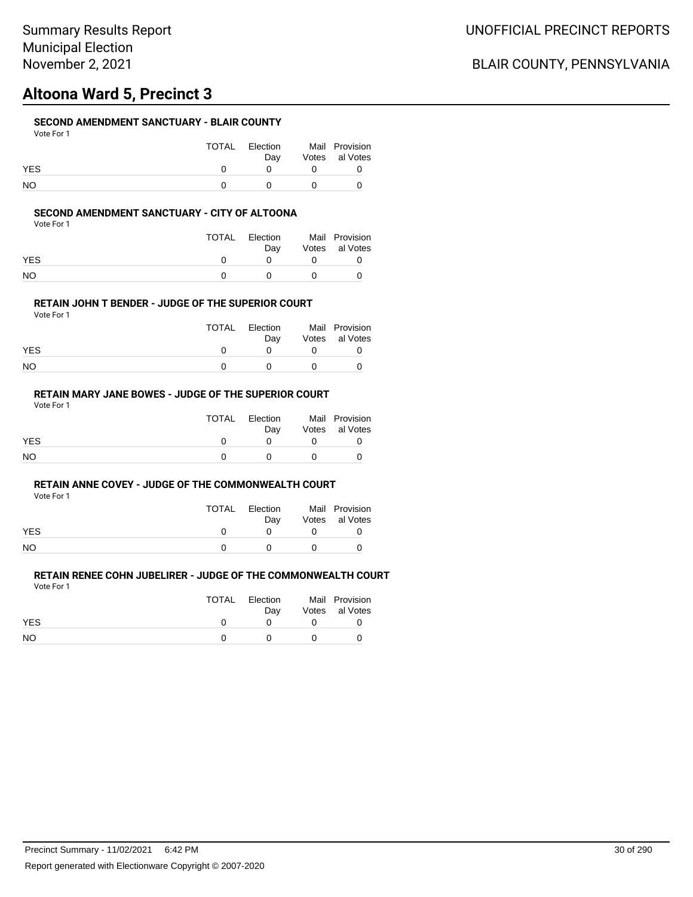# **Altoona Ward 5, Precinct 3**

#### **SECOND AMENDMENT SANCTUARY - BLAIR COUNTY**

| Vote For 1 |  |
|------------|--|
|------------|--|

|            | TOTAL | Election<br>Dav |              | Mail Provision<br>Votes al Votes |
|------------|-------|-----------------|--------------|----------------------------------|
| <b>YES</b> |       |                 |              |                                  |
| NO         |       |                 | $\mathbf{u}$ |                                  |

#### **SECOND AMENDMENT SANCTUARY - CITY OF ALTOONA**

Vote For 1

|            | TOTAL | Election<br>Dav | Mail Provision<br>Votes al Votes |
|------------|-------|-----------------|----------------------------------|
| <b>YES</b> |       |                 |                                  |
| NO         |       |                 |                                  |

#### **RETAIN JOHN T BENDER - JUDGE OF THE SUPERIOR COURT**

Vote For 1

|            | TOTAL Election<br>Dav | Mail Provision<br>Votes al Votes |
|------------|-----------------------|----------------------------------|
| <b>YES</b> |                       |                                  |
| NO         |                       |                                  |

### **RETAIN MARY JANE BOWES - JUDGE OF THE SUPERIOR COURT**

Vote For 1

|            | TOTAL | Election<br>Dav | Mail Provision<br>Votes al Votes |
|------------|-------|-----------------|----------------------------------|
| <b>YES</b> |       |                 |                                  |
| <b>NO</b>  |       |                 |                                  |

#### **RETAIN ANNE COVEY - JUDGE OF THE COMMONWEALTH COURT**

Vote For 1

|            | <b>TOTAL</b> | Election | Mail Provision |
|------------|--------------|----------|----------------|
|            |              | Dav      | Votes al Votes |
| <b>YES</b> |              |          |                |
| <b>NO</b>  |              |          |                |

|            | TOTAL | Election | Mail Provision |
|------------|-------|----------|----------------|
|            |       | Dav      | Votes al Votes |
| <b>YES</b> |       |          |                |
| NO.        |       |          |                |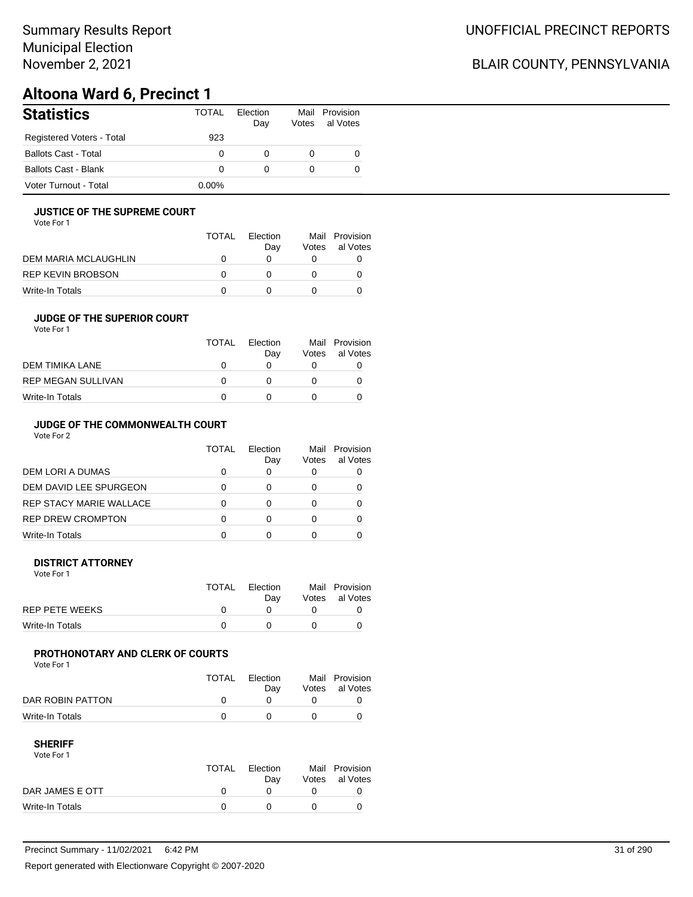## BLAIR COUNTY, PENNSYLVANIA

# **Altoona Ward 6, Precinct 1**

| <b>Statistics</b>           | <b>TOTAL</b> | Election<br>Day | Mail<br>Votes | Provision<br>al Votes |
|-----------------------------|--------------|-----------------|---------------|-----------------------|
| Registered Voters - Total   | 923          |                 |               |                       |
| <b>Ballots Cast - Total</b> | 0            | 0               |               |                       |
| Ballots Cast - Blank        | 0            | $\Omega$        |               |                       |
| Voter Turnout - Total       | $0.00\%$     |                 |               |                       |

#### **JUSTICE OF THE SUPREME COURT**

Vote For 1

|                      | TOTAL | Election<br>Dav | Mail<br>Votes | Provision<br>al Votes |
|----------------------|-------|-----------------|---------------|-----------------------|
| DEM MARIA MCLAUGHLIN |       |                 |               |                       |
| REP KEVIN BROBSON    |       |                 |               |                       |
| Write-In Totals      |       |                 |               |                       |

#### **JUDGE OF THE SUPERIOR COURT**

| Vote For 1 |  |  |
|------------|--|--|
|            |  |  |

| Dav | Votes | Mail Provision<br>al Votes |
|-----|-------|----------------------------|
|     |       |                            |
|     |       |                            |
|     |       |                            |
|     |       | <b>TOTAL</b><br>Election   |

### **JUDGE OF THE COMMONWEALTH COURT**

Vote For 2

|                                | TOTAL | Flection<br>Day | Votes | Mail Provision<br>al Votes |
|--------------------------------|-------|-----------------|-------|----------------------------|
| DEM LORI A DUMAS               |       |                 |       |                            |
| DEM DAVID LEE SPURGEON         |       |                 |       |                            |
| <b>REP STACY MARIE WALLACE</b> |       |                 |       |                            |
| <b>REP DREW CROMPTON</b>       |       |                 |       |                            |
| Write-In Totals                |       |                 |       |                            |

#### **DISTRICT ATTORNEY**

| Vote For 1            |              |                 |                                  |
|-----------------------|--------------|-----------------|----------------------------------|
|                       | <b>TOTAL</b> | Election<br>Dav | Mail Provision<br>Votes al Votes |
| <b>REP PETE WEEKS</b> |              |                 |                                  |
| Write-In Totals       |              |                 |                                  |

#### **PROTHONOTARY AND CLERK OF COURTS**

Vote For 1

|                  | <b>TOTAL</b> | Election<br>Dav | Mail Provision<br>Votes al Votes |
|------------------|--------------|-----------------|----------------------------------|
| DAR ROBIN PATTON |              |                 |                                  |
| Write-In Totals  |              |                 |                                  |

| Vote For 1      |              |          |                |
|-----------------|--------------|----------|----------------|
|                 | <b>TOTAL</b> | Election | Mail Provision |
|                 |              | Dav      | Votes al Votes |
| DAR JAMES E OTT |              |          |                |
| Write-In Totals |              |          |                |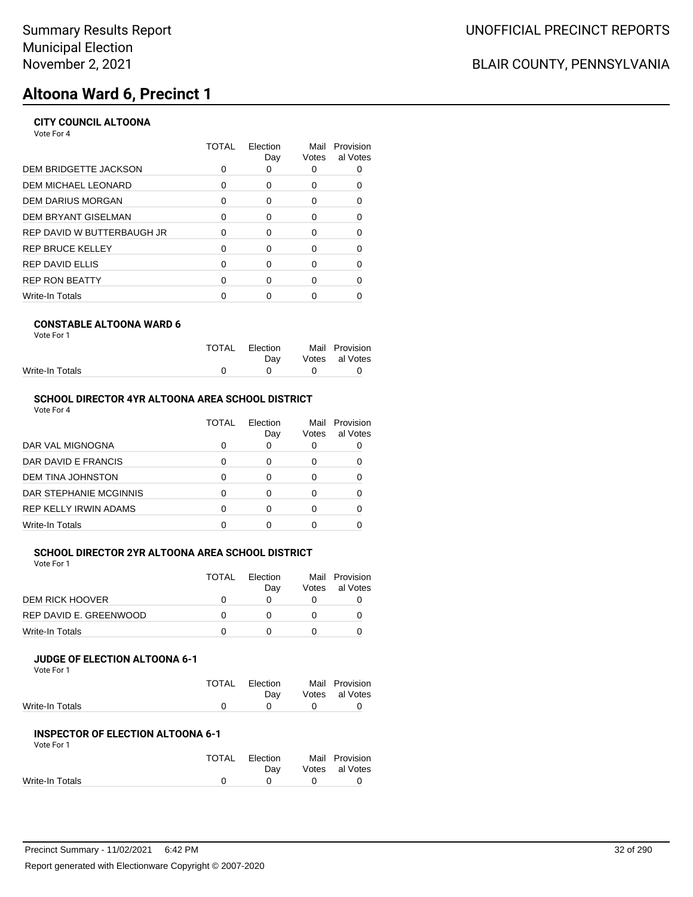# **Altoona Ward 6, Precinct 1**

### **CITY COUNCIL ALTOONA**

Vote For 4

|                            | <b>TOTAL</b> | Election<br>Day | Mail<br>Votes | Provision<br>al Votes |
|----------------------------|--------------|-----------------|---------------|-----------------------|
| DEM BRIDGETTE JACKSON      |              |                 |               |                       |
| DEM MICHAEL LEONARD        | 0            | 0               | 0             | 0                     |
| DEM DARIUS MORGAN          | ∩            | $\Omega$        | 0             | $\Omega$              |
| DEM BRYANT GISELMAN        | 0            | 0               | 0             | 0                     |
| REP DAVID W BUTTERBAUGH JR | O            | 0               | 0             | 0                     |
| REP BRUCE KELLEY           | O            | $\Omega$        | 0             | $\Omega$              |
| REP DAVID ELLIS            | 0            | $\Omega$        | 0             |                       |
| REP RON BEATTY             | ∩            | ∩               | ŋ             | ∩                     |
| Write-In Totals            |              |                 |               |                       |
|                            |              |                 |               |                       |

#### **CONSTABLE ALTOONA WARD 6** Vote For 1

|                 | TOTAL Election                                       | Mail Provision |
|-----------------|------------------------------------------------------|----------------|
|                 | Dav                                                  | Votes al Votes |
| Write-In Totals | $\begin{array}{ccccccc}\n0 & & 0 & & 0\n\end{array}$ |                |

#### **SCHOOL DIRECTOR 4YR ALTOONA AREA SCHOOL DISTRICT**

Vote For 4

|                              | TOTAL | Election<br>Day | Mail<br>Votes | Provision<br>al Votes |
|------------------------------|-------|-----------------|---------------|-----------------------|
| DAR VAL MIGNOGNA             |       |                 |               |                       |
| DAR DAVID E FRANCIS          |       |                 | 0             |                       |
| DEM TINA JOHNSTON            |       | O               | O             |                       |
| DAR STEPHANIE MCGINNIS       |       |                 | O             |                       |
| <b>REP KELLY IRWIN ADAMS</b> |       |                 | O             |                       |
| Write-In Totals              |       |                 |               |                       |

#### **SCHOOL DIRECTOR 2YR ALTOONA AREA SCHOOL DISTRICT** Vote For 1

| 1 IU PU                |              |                        |       |                            |
|------------------------|--------------|------------------------|-------|----------------------------|
|                        | <b>TOTAL</b> | <b>Flection</b><br>Dav | Votes | Mail Provision<br>al Votes |
| DEM RICK HOOVER        |              |                        |       |                            |
| REP DAVID E. GREENWOOD |              |                        |       |                            |
| Write-In Totals        |              |                        |       |                            |

#### **JUDGE OF ELECTION ALTOONA 6-1**

Vote For 1

|                 | TOTAL Election | Mail Provision |
|-----------------|----------------|----------------|
|                 | Dav            | Votes al Votes |
| Write-In Totals | $\cap$ $\cap$  |                |

#### **INSPECTOR OF ELECTION ALTOONA 6-1**

| TOTAL        | Election | Mail Provision |
|--------------|----------|----------------|
|              | Dav      | Votes al Votes |
| <sup>0</sup> |          |                |
|              |          |                |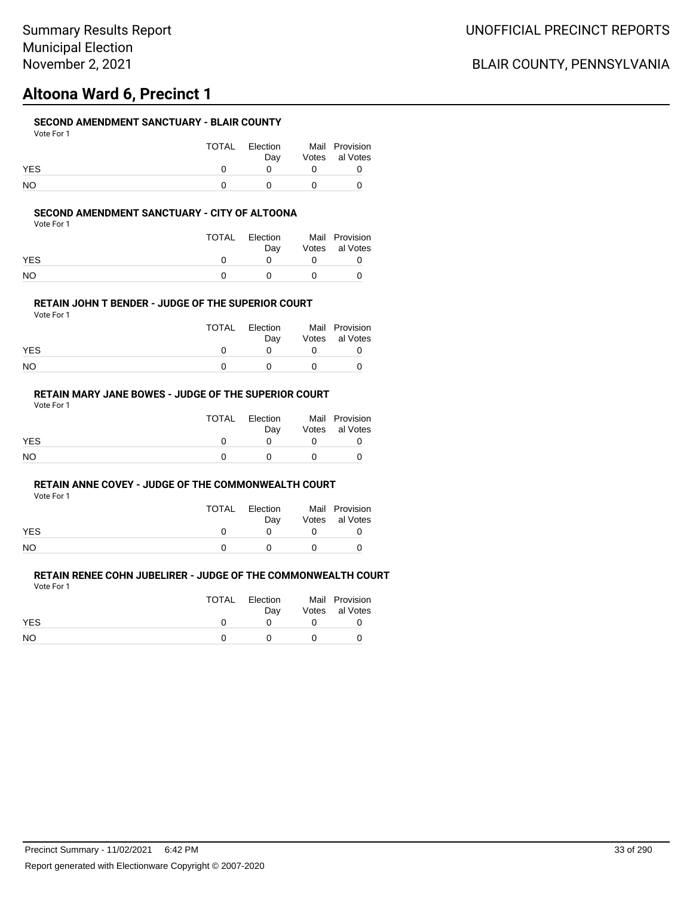# **Altoona Ward 6, Precinct 1**

#### **SECOND AMENDMENT SANCTUARY - BLAIR COUNTY**

| Vote For 1 |  |
|------------|--|
|------------|--|

|            | TOTAL | Election<br>Dav |              | Mail Provision<br>Votes al Votes |
|------------|-------|-----------------|--------------|----------------------------------|
| <b>YES</b> |       |                 |              |                                  |
| <b>NO</b>  |       |                 | $\mathbf{O}$ |                                  |

#### **SECOND AMENDMENT SANCTUARY - CITY OF ALTOONA**

Vote For 1

|            | TOTAL | Election<br>Dav | Mail Provision<br>Votes al Votes |
|------------|-------|-----------------|----------------------------------|
| <b>YES</b> |       |                 |                                  |
| NΟ         |       | $\mathbf{U}$    |                                  |

#### **RETAIN JOHN T BENDER - JUDGE OF THE SUPERIOR COURT**

Vote For 1

|            | TOTAL | Election<br>Dav | Mail Provision<br>Votes al Votes |
|------------|-------|-----------------|----------------------------------|
| <b>YES</b> |       |                 |                                  |
| NO         |       |                 |                                  |

### **RETAIN MARY JANE BOWES - JUDGE OF THE SUPERIOR COURT**

Vote For 1

|            | TOTAL | Election<br>Dav | Mail Provision<br>Votes al Votes |
|------------|-------|-----------------|----------------------------------|
| <b>YES</b> |       |                 |                                  |
| <b>NO</b>  |       |                 |                                  |

#### **RETAIN ANNE COVEY - JUDGE OF THE COMMONWEALTH COURT**

Vote For 1

|            | <b>TOTAL</b> | Election | Mail Provision |
|------------|--------------|----------|----------------|
|            |              | Dav      | Votes al Votes |
| <b>YES</b> |              |          |                |
| <b>NO</b>  |              |          |                |

| .          |       |                 |                                  |
|------------|-------|-----------------|----------------------------------|
|            | TOTAL | Election<br>Dav | Mail Provision<br>Votes al Votes |
| <b>YES</b> |       |                 |                                  |
| NO.        |       |                 |                                  |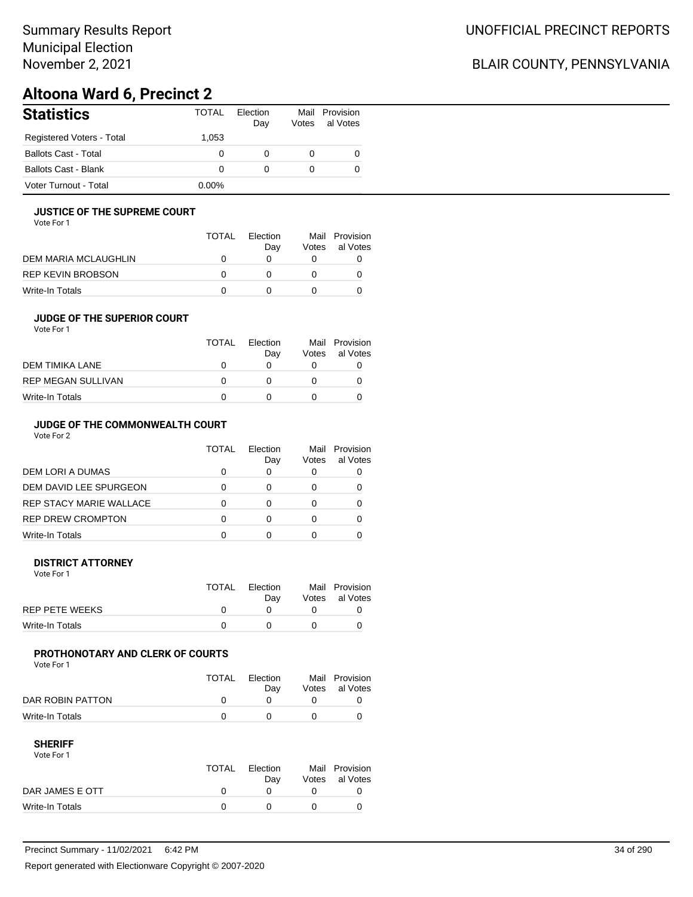## BLAIR COUNTY, PENNSYLVANIA

# **Altoona Ward 6, Precinct 2**

| <b>Statistics</b>         | <b>TOTAL</b> | Election<br>Day | Votes | Mail Provision<br>al Votes |
|---------------------------|--------------|-----------------|-------|----------------------------|
| Registered Voters - Total | 1.053        |                 |       |                            |
| Ballots Cast - Total      |              | 0               | 0     |                            |
| Ballots Cast - Blank      |              | 0               | 0     |                            |
| Voter Turnout - Total     | $0.00\%$     |                 |       |                            |

#### **JUSTICE OF THE SUPREME COURT**

Vote For 1

|                      | TOTAL | Election<br>Dav | Votes | Mail Provision<br>al Votes |
|----------------------|-------|-----------------|-------|----------------------------|
| DEM MARIA MCLAUGHLIN |       |                 |       |                            |
| REP KEVIN BROBSON    |       |                 |       |                            |
| Write-In Totals      |       |                 |       |                            |

#### **JUDGE OF THE SUPERIOR COURT**

| Vote For 1 |  |  |
|------------|--|--|
|            |  |  |

|                           | <b>TOTAL</b> | Election<br>Day | Votes | Mail Provision<br>al Votes |
|---------------------------|--------------|-----------------|-------|----------------------------|
| DEM TIMIKA LANE           |              |                 |       |                            |
| <b>REP MEGAN SULLIVAN</b> |              |                 |       |                            |
| Write-In Totals           |              |                 |       |                            |
|                           |              |                 |       |                            |

### **JUDGE OF THE COMMONWEALTH COURT**

Vote For 2

|                                | TOTAL | Flection<br>Day | Votes | Mail Provision<br>al Votes |
|--------------------------------|-------|-----------------|-------|----------------------------|
| DEM LORI A DUMAS               |       |                 |       |                            |
| DEM DAVID LEE SPURGEON         |       |                 |       |                            |
| <b>REP STACY MARIE WALLACE</b> |       |                 |       |                            |
| <b>REP DREW CROMPTON</b>       |       |                 |       |                            |
| Write-In Totals                |       |                 |       |                            |

#### **DISTRICT ATTORNEY**

| Vote For 1            |              |                 |                                  |
|-----------------------|--------------|-----------------|----------------------------------|
|                       | <b>TOTAL</b> | Election<br>Dav | Mail Provision<br>Votes al Votes |
| <b>REP PETE WEEKS</b> |              |                 |                                  |
| Write-In Totals       |              |                 |                                  |

### **PROTHONOTARY AND CLERK OF COURTS**

Vote For 1

|                  | <b>TOTAL</b> | Election<br>Dav | Mail Provision<br>Votes al Votes |
|------------------|--------------|-----------------|----------------------------------|
| DAR ROBIN PATTON |              |                 |                                  |
| Write-In Totals  |              |                 |                                  |

| Vote For 1      |              |          |                |
|-----------------|--------------|----------|----------------|
|                 | <b>TOTAL</b> | Election | Mail Provision |
|                 |              | Dav      | Votes al Votes |
| DAR JAMES E OTT |              |          |                |
| Write-In Totals |              |          |                |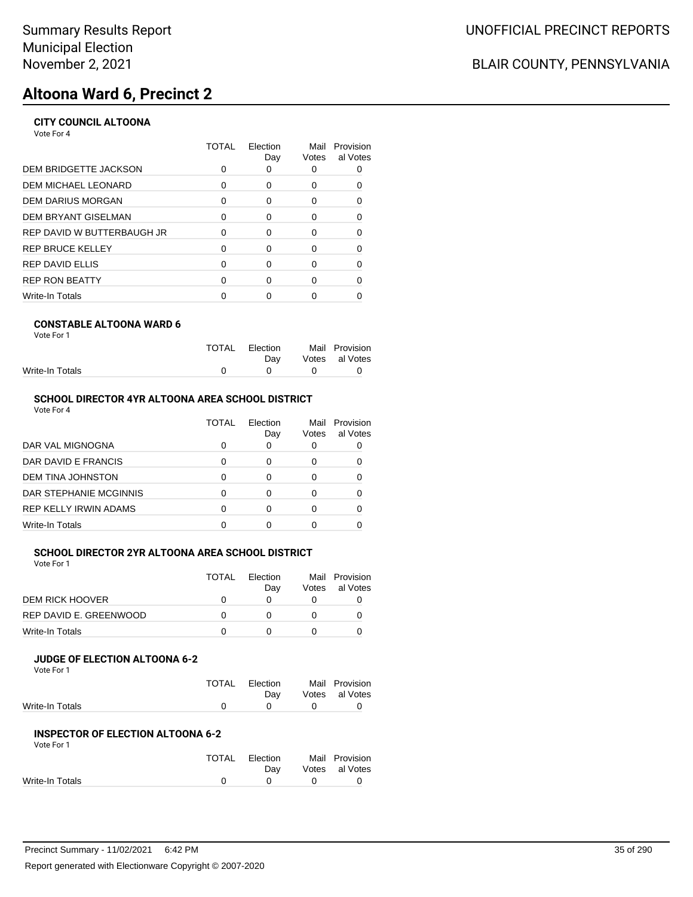# **Altoona Ward 6, Precinct 2**

### **CITY COUNCIL ALTOONA**

Vote For 4

|                            | TOTAL | Election<br>Day | Mail<br>Votes | Provision<br>al Votes |
|----------------------------|-------|-----------------|---------------|-----------------------|
| DEM BRIDGETTE JACKSON      |       |                 |               |                       |
| DEM MICHAEL LEONARD        | 0     | 0               | 0             | 0                     |
| DEM DARIUS MORGAN          | 0     | $\Omega$        | 0             | 0                     |
| DEM BRYANT GISELMAN        | 0     | 0               | 0             | 0                     |
| REP DAVID W BUTTERBAUGH JR | O     | $\Omega$        | 0             | 0                     |
| REP BRUCE KELLEY           | 0     | 0               | 0             | $\Omega$              |
| REP DAVID ELLIS            | O     | 0               | 0             | O                     |
| <b>REP RON BEATTY</b>      | ∩     | ∩               | O             | ∩                     |
| Write-In Totals            |       |                 |               |                       |
|                            |       |                 |               |                       |

#### **CONSTABLE ALTOONA WARD 6**

|  | Vote For 1 |  |
|--|------------|--|
|  |            |  |

|                 | TOTAL Election |              | Mail Provision |
|-----------------|----------------|--------------|----------------|
|                 | Dav            |              | Votes al Votes |
| Write-In Totals |                | $\mathbf{a}$ |                |
|                 |                |              |                |

### **SCHOOL DIRECTOR 4YR ALTOONA AREA SCHOOL DISTRICT**

| Vote For 4 |  |
|------------|--|
|------------|--|

|                          | TOTAL | Election<br>Day | Mail<br>Votes | Provision<br>al Votes |
|--------------------------|-------|-----------------|---------------|-----------------------|
| DAR VAL MIGNOGNA         |       |                 | O             |                       |
| DAR DAVID E FRANCIS      |       |                 | Ω             |                       |
| <b>DEM TINA JOHNSTON</b> |       | ∩               | Ω             |                       |
| DAR STEPHANIE MCGINNIS   |       | ∩               | Ω             |                       |
| REP KELLY IRWIN ADAMS    |       | ∩               | 0             |                       |
| Write-In Totals          |       |                 |               |                       |

#### **SCHOOL DIRECTOR 2YR ALTOONA AREA SCHOOL DISTRICT** Vote For 1

| Vote For T             | TOTAL    | Flection<br>Day | Votes | Mail Provision<br>al Votes |
|------------------------|----------|-----------------|-------|----------------------------|
| DEM RICK HOOVER        | $\Omega$ |                 |       |                            |
| REP DAVID E. GREENWOOD | O        |                 |       |                            |
| Write-In Totals        |          |                 |       |                            |

### **JUDGE OF ELECTION ALTOONA 6-2**

Vote For 1

|                 | TOTAL Election | Mail Provision |
|-----------------|----------------|----------------|
|                 | Dav            | Votes al Votes |
| Write-In Totals | $\cap$ $\cap$  |                |
|                 |                |                |

#### **INSPECTOR OF ELECTION ALTOONA 6-2** Vote For 1

| 1 IU I V        |              |          |              |                |
|-----------------|--------------|----------|--------------|----------------|
|                 | <b>TOTAL</b> | Election |              | Mail Provision |
|                 |              | Dav      |              | Votes al Votes |
| Write-In Totals |              | $\cap$   | $\mathbf{a}$ |                |
|                 |              |          |              |                |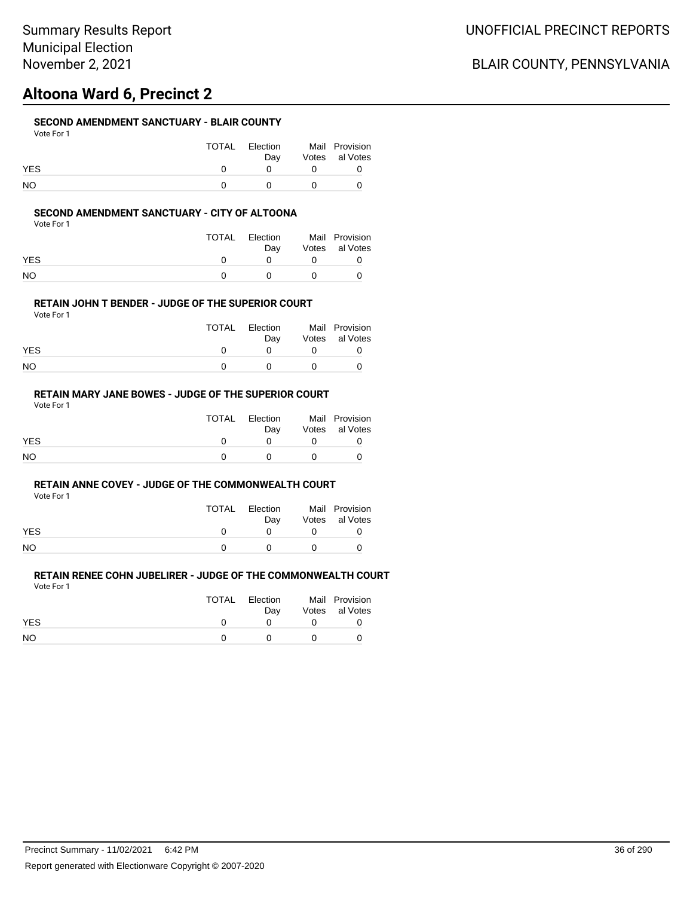# **Altoona Ward 6, Precinct 2**

#### **SECOND AMENDMENT SANCTUARY - BLAIR COUNTY**

| Vote For 1 |  |
|------------|--|
|------------|--|

|            | TOTAL | Election<br>Dav | Mail Provision<br>Votes al Votes |
|------------|-------|-----------------|----------------------------------|
| <b>YES</b> |       |                 |                                  |
| NO.        |       |                 |                                  |

#### **SECOND AMENDMENT SANCTUARY - CITY OF ALTOONA**

Vote For 1

|            | TOTAL | Election<br>Dav | Mail Provision<br>Votes al Votes |
|------------|-------|-----------------|----------------------------------|
| <b>YES</b> |       |                 |                                  |
| NΟ         |       | $^{\prime}$     |                                  |

#### **RETAIN JOHN T BENDER - JUDGE OF THE SUPERIOR COURT**

Vote For 1

|            | TOTAL Election<br>Dav | Mail Provision<br>Votes al Votes |
|------------|-----------------------|----------------------------------|
| <b>YES</b> |                       |                                  |
| NO         |                       |                                  |

### **RETAIN MARY JANE BOWES - JUDGE OF THE SUPERIOR COURT**

Vote For 1

|            | TOTAL | Election<br>Dav | Mail Provision<br>Votes al Votes |
|------------|-------|-----------------|----------------------------------|
| <b>YES</b> |       |                 |                                  |
| <b>NO</b>  |       |                 |                                  |

#### **RETAIN ANNE COVEY - JUDGE OF THE COMMONWEALTH COURT**

Vote For 1

|            | <b>TOTAL</b> | Election | Mail Provision |
|------------|--------------|----------|----------------|
|            |              | Dav      | Votes al Votes |
| <b>YES</b> |              |          |                |
| <b>NO</b>  |              |          |                |

|            | TOTAL | Election | Mail Provision |
|------------|-------|----------|----------------|
|            |       | Dav      | Votes al Votes |
| <b>YES</b> |       |          |                |
| NO.        |       |          |                |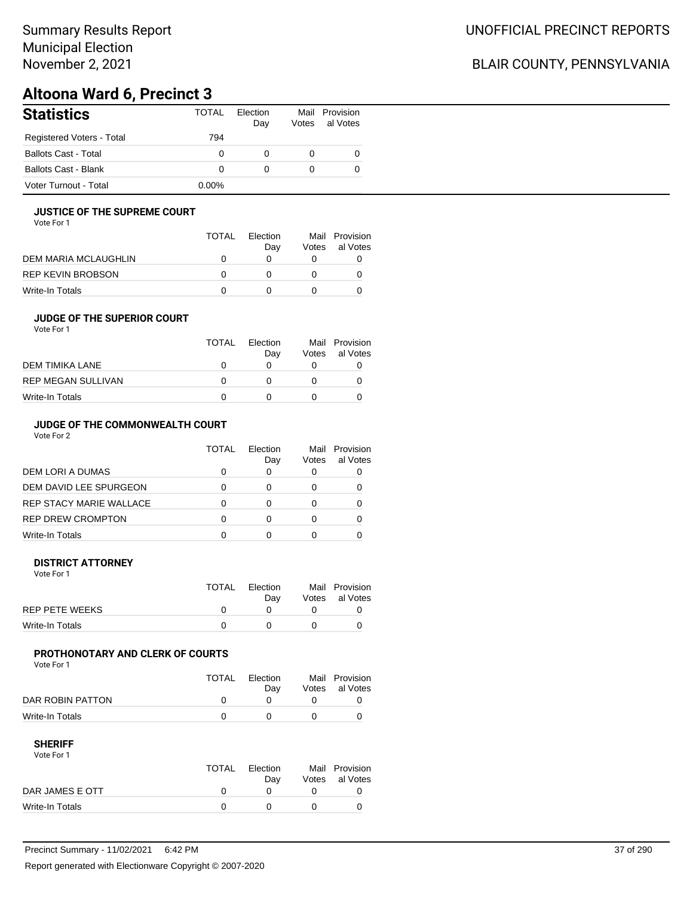# Summary Results Report Municipal Election November 2, 2021

# BLAIR COUNTY, PENNSYLVANIA

# **Altoona Ward 6, Precinct 3**

| <b>Statistics</b>           | <b>TOTAL</b> | Election<br>Dav | Mail<br>Votes | Provision<br>al Votes |
|-----------------------------|--------------|-----------------|---------------|-----------------------|
| Registered Voters - Total   | 794          |                 |               |                       |
| <b>Ballots Cast - Total</b> | 0            | 0               |               | 0                     |
| Ballots Cast - Blank        | 0            | 0               |               | 0                     |
| Voter Turnout - Total       | $0.00\%$     |                 |               |                       |

### **JUSTICE OF THE SUPREME COURT**

Vote For 1

|                      | TOTAL | Election<br>Dav | Votes | Mail Provision<br>al Votes |
|----------------------|-------|-----------------|-------|----------------------------|
| DEM MARIA MCLAUGHLIN |       |                 |       |                            |
| REP KEVIN BROBSON    |       |                 |       |                            |
| Write-In Totals      |       |                 |       |                            |

### **JUDGE OF THE SUPERIOR COURT**

| Vote For 1 |  |  |
|------------|--|--|
|            |  |  |

|                           | <b>TOTAL</b> | Election<br>Day | Votes | Mail Provision<br>al Votes |
|---------------------------|--------------|-----------------|-------|----------------------------|
| DEM TIMIKA LANE           |              |                 |       |                            |
| <b>REP MEGAN SULLIVAN</b> |              |                 |       |                            |
| Write-In Totals           |              |                 |       |                            |
|                           |              |                 |       |                            |

## **JUDGE OF THE COMMONWEALTH COURT**

Vote For 2

|                                | TOTAL | Flection<br>Day | Votes | Mail Provision<br>al Votes |
|--------------------------------|-------|-----------------|-------|----------------------------|
| DEM LORI A DUMAS               |       |                 |       |                            |
| DEM DAVID LEE SPURGEON         |       |                 |       |                            |
| <b>REP STACY MARIE WALLACE</b> |       |                 |       |                            |
| <b>REP DREW CROMPTON</b>       |       |                 |       |                            |
| Write-In Totals                |       |                 |       |                            |

### **DISTRICT ATTORNEY**

| Vote For 1      |              |                 |                                  |
|-----------------|--------------|-----------------|----------------------------------|
|                 | <b>TOTAL</b> | Election<br>Dav | Mail Provision<br>Votes al Votes |
| REP PETE WEEKS  |              |                 |                                  |
| Write-In Totals |              |                 |                                  |

## **PROTHONOTARY AND CLERK OF COURTS**

Vote For 1

|                  | TOTAL | Election<br>Dav | Mail Provision<br>Votes al Votes |
|------------------|-------|-----------------|----------------------------------|
| DAR ROBIN PATTON |       |                 |                                  |
| Write-In Totals  |       |                 |                                  |

### **SHERIFF**

Vote For 1

|                 | TOTAL | Election<br>Dav | Mail Provision<br>Votes al Votes |
|-----------------|-------|-----------------|----------------------------------|
| DAR JAMES E OTT |       |                 |                                  |
| Write-In Totals |       |                 |                                  |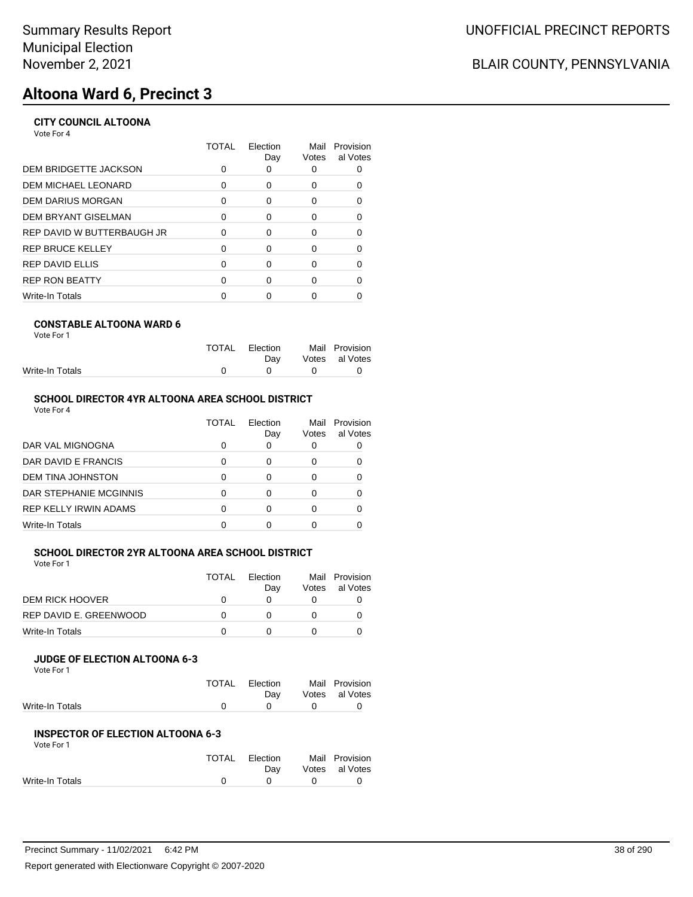# **Altoona Ward 6, Precinct 3**

## **CITY COUNCIL ALTOONA**

Vote For 4

|                            | TOTAL | Election<br>Day | Mail<br>Votes | Provision<br>al Votes |
|----------------------------|-------|-----------------|---------------|-----------------------|
| DEM BRIDGETTE JACKSON      |       |                 |               |                       |
| DEM MICHAEL LEONARD        | 0     | 0               | 0             | 0                     |
| DEM DARIUS MORGAN          | ∩     | $\Omega$        | 0             | $\Omega$              |
| DEM BRYANT GISELMAN        | 0     | $\Omega$        | 0             | 0                     |
| REP DAVID W BUTTERBAUGH JR | O     | 0               | 0             | 0                     |
| REP BRUCE KELLEY           | ∩     | $\Omega$        | 0             | $\Omega$              |
| REP DAVID ELLIS            | O     | ∩               | 0             | 0                     |
| <b>REP RON BEATTY</b>      | ∩     | ∩               | ∩             | O                     |
| Write-In Totals            |       |                 |               |                       |
|                            |       |                 |               |                       |

#### **CONSTABLE ALTOONA WARD 6** Vote For 1

|                 | TOTAL Election<br>Dav |                                                   | Mail Provision<br>Votes al Votes |
|-----------------|-----------------------|---------------------------------------------------|----------------------------------|
| Write-In Totals |                       | $\begin{array}{cccccccc}\n0 & 0 & 0\n\end{array}$ |                                  |

## **SCHOOL DIRECTOR 4YR ALTOONA AREA SCHOOL DISTRICT**

Vote For 4

|                              | TOTAL | Flection<br>Day | Mail<br>Votes | Provision<br>al Votes |
|------------------------------|-------|-----------------|---------------|-----------------------|
| DAR VAL MIGNOGNA             |       |                 |               |                       |
| DAR DAVID E FRANCIS          |       |                 | O             |                       |
| DEM TINA JOHNSTON            |       |                 | O             |                       |
| DAR STEPHANIE MCGINNIS       |       |                 |               |                       |
| <b>REP KELLY IRWIN ADAMS</b> |       |                 | O             |                       |
| Write-In Totals              |       |                 |               |                       |

#### **SCHOOL DIRECTOR 2YR ALTOONA AREA SCHOOL DISTRICT** Vote For 1

| VOLE FOI I             | <b>TOTAL</b> | Flection |       | Mail Provision |
|------------------------|--------------|----------|-------|----------------|
| <b>DEM RICK HOOVER</b> |              | Day      | Votes | al Votes       |
| REP DAVID E. GREENWOOD |              |          |       |                |
| Write-In Totals        |              |          |       |                |

### **JUDGE OF ELECTION ALTOONA 6-3**

Vote For 1

|                 | TOTAL Election | Mail Provision |
|-----------------|----------------|----------------|
|                 | Dav            | Votes al Votes |
| Write-In Totals | $\cap$ $\cap$  |                |

#### **INSPECTOR OF ELECTION ALTOONA 6-3** Vote For 1

| 1 J J J J J J   |       |              |          |                |
|-----------------|-------|--------------|----------|----------------|
|                 | TOTAL | Election     |          | Mail Provision |
|                 |       | Dav          |          | Votes al Votes |
| Write-In Totals |       | $\mathsf{n}$ | $\Omega$ |                |
|                 |       |              |          |                |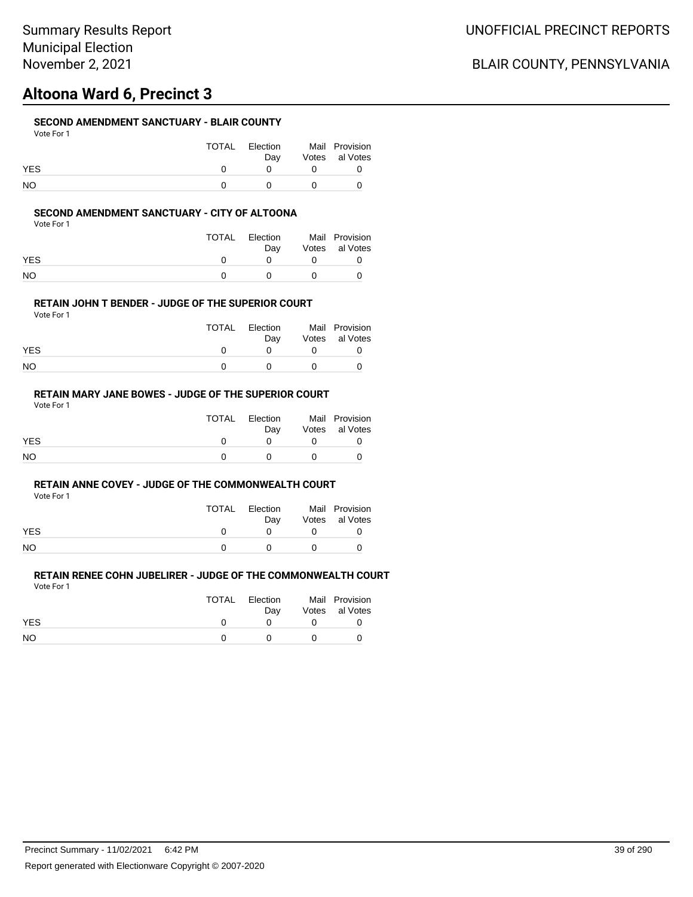# **Altoona Ward 6, Precinct 3**

## **SECOND AMENDMENT SANCTUARY - BLAIR COUNTY**

| Vote For 1 |  |
|------------|--|
|------------|--|

|            | TOTAL | Election<br>Dav | Mail Provision<br>Votes al Votes |
|------------|-------|-----------------|----------------------------------|
| <b>YES</b> |       |                 |                                  |
| NO.        |       |                 |                                  |

### **SECOND AMENDMENT SANCTUARY - CITY OF ALTOONA**

Vote For 1

|            | TOTAL | Election<br>Dav | Mail Provision<br>Votes al Votes |
|------------|-------|-----------------|----------------------------------|
| <b>YES</b> |       |                 |                                  |
| NΟ         |       | $\mathbf{U}$    |                                  |

### **RETAIN JOHN T BENDER - JUDGE OF THE SUPERIOR COURT**

Vote For 1

|            | TOTAL | Election<br>Dav | Mail Provision<br>Votes al Votes |
|------------|-------|-----------------|----------------------------------|
| <b>YES</b> |       |                 |                                  |
| NO         |       |                 |                                  |

## **RETAIN MARY JANE BOWES - JUDGE OF THE SUPERIOR COURT**

Vote For 1

|            | TOTAL | Election<br>Dav | Mail Provision<br>Votes al Votes |
|------------|-------|-----------------|----------------------------------|
| <b>YES</b> |       |                 |                                  |
| <b>NO</b>  |       |                 |                                  |

### **RETAIN ANNE COVEY - JUDGE OF THE COMMONWEALTH COURT**

Vote For 1

|            | TOTAL | Election | Mail Provision |
|------------|-------|----------|----------------|
|            |       | Dav      | Votes al Votes |
| <b>YES</b> |       |          |                |
| <b>NO</b>  |       |          |                |

| .          |       |                 |                                  |
|------------|-------|-----------------|----------------------------------|
|            | TOTAL | Election<br>Dav | Mail Provision<br>Votes al Votes |
| <b>YES</b> |       |                 |                                  |
| NO.        |       |                 |                                  |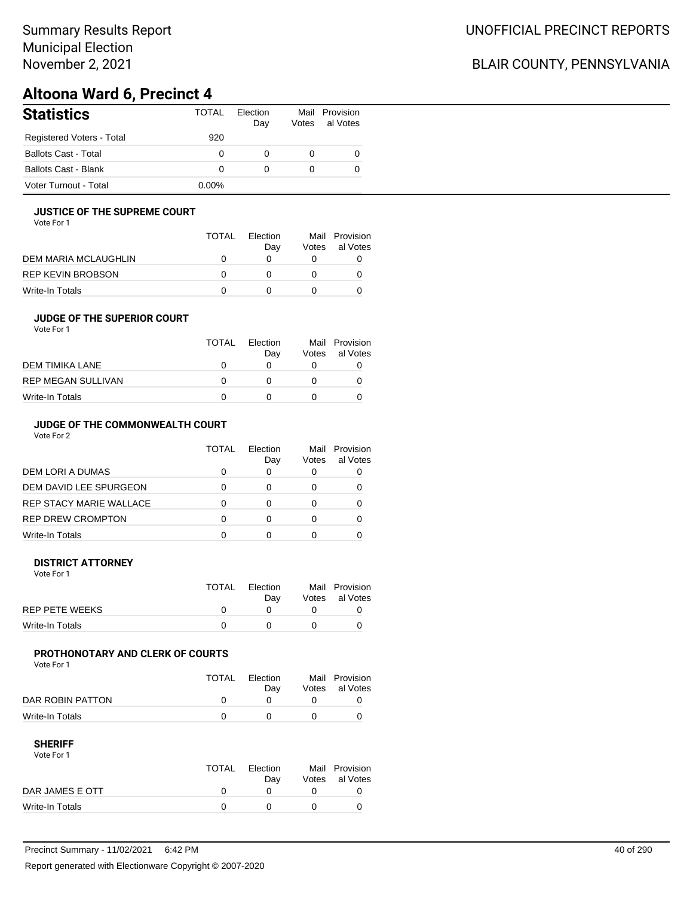# Summary Results Report Municipal Election November 2, 2021

# BLAIR COUNTY, PENNSYLVANIA

# **Altoona Ward 6, Precinct 4**

| <b>Statistics</b>           | <b>TOTAL</b> | Election<br>Day | Votes | Mail Provision<br>al Votes |
|-----------------------------|--------------|-----------------|-------|----------------------------|
| Registered Voters - Total   | 920          |                 |       |                            |
| <b>Ballots Cast - Total</b> | 0            | O               | 0     |                            |
| Ballots Cast - Blank        | 0            | 0               | 0     |                            |
| Voter Turnout - Total       | $0.00\%$     |                 |       |                            |

### **JUSTICE OF THE SUPREME COURT**

Vote For 1

|                      | TOTAL | Election<br>Dav | Votes | Mail Provision<br>al Votes |
|----------------------|-------|-----------------|-------|----------------------------|
| DEM MARIA MCLAUGHLIN |       |                 |       |                            |
| REP KEVIN BROBSON    |       |                 |       |                            |
| Write-In Totals      |       |                 |       |                            |

### **JUDGE OF THE SUPERIOR COURT**

| Vote For 1 |  |  |
|------------|--|--|
|            |  |  |

| Dav | Votes | Mail Provision<br>al Votes |
|-----|-------|----------------------------|
|     |       |                            |
|     |       |                            |
|     |       |                            |
|     |       | <b>TOTAL</b><br>Election   |

## **JUDGE OF THE COMMONWEALTH COURT**

Vote For 2

|                                | TOTAL | Flection<br>Day | Votes | Mail Provision<br>al Votes |
|--------------------------------|-------|-----------------|-------|----------------------------|
| DEM LORI A DUMAS               |       |                 |       |                            |
| DEM DAVID LEE SPURGEON         |       |                 |       |                            |
| <b>REP STACY MARIE WALLACE</b> |       |                 |       |                            |
| <b>REP DREW CROMPTON</b>       |       |                 |       |                            |
| Write-In Totals                |       |                 |       |                            |

### **DISTRICT ATTORNEY**

| Vote For 1            |              |                 |                                  |
|-----------------------|--------------|-----------------|----------------------------------|
|                       | <b>TOTAL</b> | Election<br>Dav | Mail Provision<br>Votes al Votes |
| <b>REP PETE WEEKS</b> |              |                 |                                  |
| Write-In Totals       |              |                 |                                  |

## **PROTHONOTARY AND CLERK OF COURTS**

Vote For 1

|                  | <b>TOTAL</b> | Election<br>Dav | Mail Provision<br>Votes al Votes |
|------------------|--------------|-----------------|----------------------------------|
| DAR ROBIN PATTON |              |                 |                                  |
| Write-In Totals  |              |                 |                                  |

### **SHERIFF**

Vote For 1

|                 | TOTAL | Election<br>Dav | Mail Provision<br>Votes al Votes |
|-----------------|-------|-----------------|----------------------------------|
| DAR JAMES E OTT |       |                 |                                  |
| Write-In Totals |       |                 |                                  |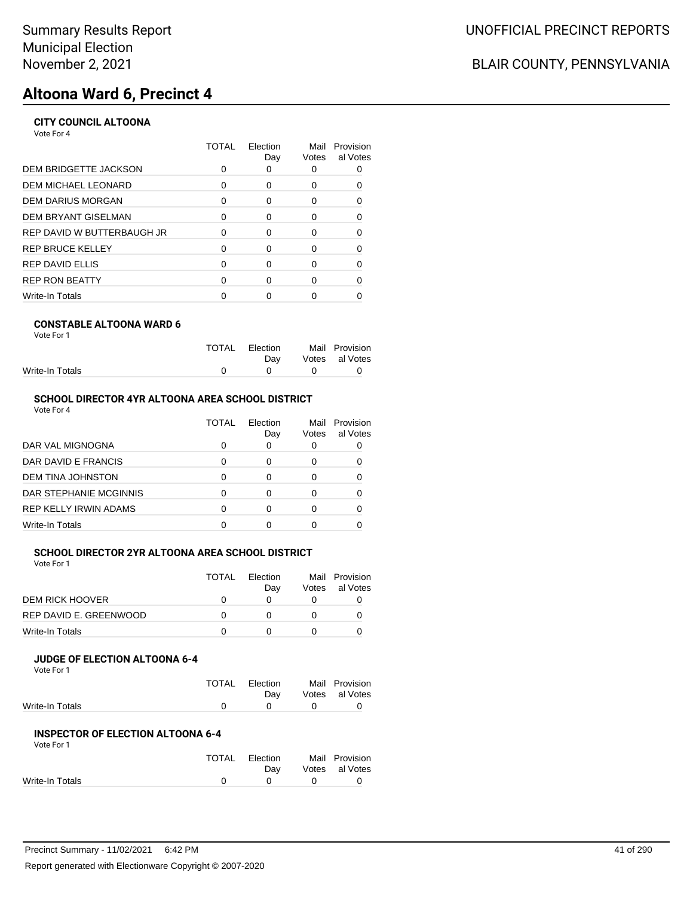# **Altoona Ward 6, Precinct 4**

## **CITY COUNCIL ALTOONA**

Vote For 4

|                            | <b>TOTAL</b> | Election<br>Day | Mail<br>Votes | Provision<br>al Votes |
|----------------------------|--------------|-----------------|---------------|-----------------------|
| DEM BRIDGETTE JACKSON      |              |                 |               |                       |
| DEM MICHAEL LEONARD        | 0            | 0               | 0             | 0                     |
| DEM DARIUS MORGAN          | O            | $\Omega$        | 0             | 0                     |
| DEM BRYANT GISELMAN        | 0            | 0               | 0             | 0                     |
| REP DAVID W BUTTERBAUGH JR | O            | $\Omega$        | 0             | 0                     |
| REP BRUCE KELLEY           |              | $\Omega$        | O             | ∩                     |
| REP DAVID ELLIS            | O            | ∩               | U             | 0                     |
| <b>REP RON BEATTY</b>      | ∩            | ∩               | O             | 0                     |
| Write-In Totals            |              |                 |               |                       |
|                            |              |                 |               |                       |

#### **CONSTABLE ALTOONA WARD 6** Vote For 1

| <b>VULCIUI</b> |  |  |
|----------------|--|--|
|                |  |  |
|                |  |  |
|                |  |  |

|                 | TOTAL Election<br>Dav |                               | Mail Provision<br>Votes al Votes |
|-----------------|-----------------------|-------------------------------|----------------------------------|
| Write-In Totals |                       | $\overline{a}$ $\overline{a}$ | n                                |
|                 |                       |                               |                                  |

## **SCHOOL DIRECTOR 4YR ALTOONA AREA SCHOOL DISTRICT**

| Vote For 4 |  |
|------------|--|
|------------|--|

|                              | TOTAL | Election<br>Day | Mail<br>Votes | Provision<br>al Votes |
|------------------------------|-------|-----------------|---------------|-----------------------|
| DAR VAL MIGNOGNA             |       | O               | 0             |                       |
| DAR DAVID E FRANCIS          |       | ∩               | 0             |                       |
| <b>DEM TINA JOHNSTON</b>     |       | ∩               | 0             |                       |
| DAR STEPHANIE MCGINNIS       |       | ∩               | O             |                       |
| <b>REP KELLY IRWIN ADAMS</b> |       | ∩               | O             |                       |
| Write-In Totals              |       | ∩               |               |                       |

## **SCHOOL DIRECTOR 2YR ALTOONA AREA SCHOOL DISTRICT**

| Vote For 1 |  |  |  |
|------------|--|--|--|
|            |  |  |  |

|                        | TOTAL | Election | Mail  | Provision |
|------------------------|-------|----------|-------|-----------|
|                        |       | Dav      | Votes | al Votes  |
| DEM RICK HOOVER        |       |          |       |           |
| REP DAVID E. GREENWOOD |       |          |       |           |
| Write-In Totals        |       |          |       |           |

### **JUDGE OF ELECTION ALTOONA 6-4**

Vote For 1

|                 | TOTAL Election | Mail Provision |
|-----------------|----------------|----------------|
|                 | Dav            | Votes al Votes |
| Write-In Totals | $\cap$ $\cap$  |                |

### **INSPECTOR OF ELECTION ALTOONA 6-4**

| TOTAL        | Election | Mail Provision |
|--------------|----------|----------------|
|              | Dav      | Votes al Votes |
| <sup>0</sup> |          |                |
|              |          |                |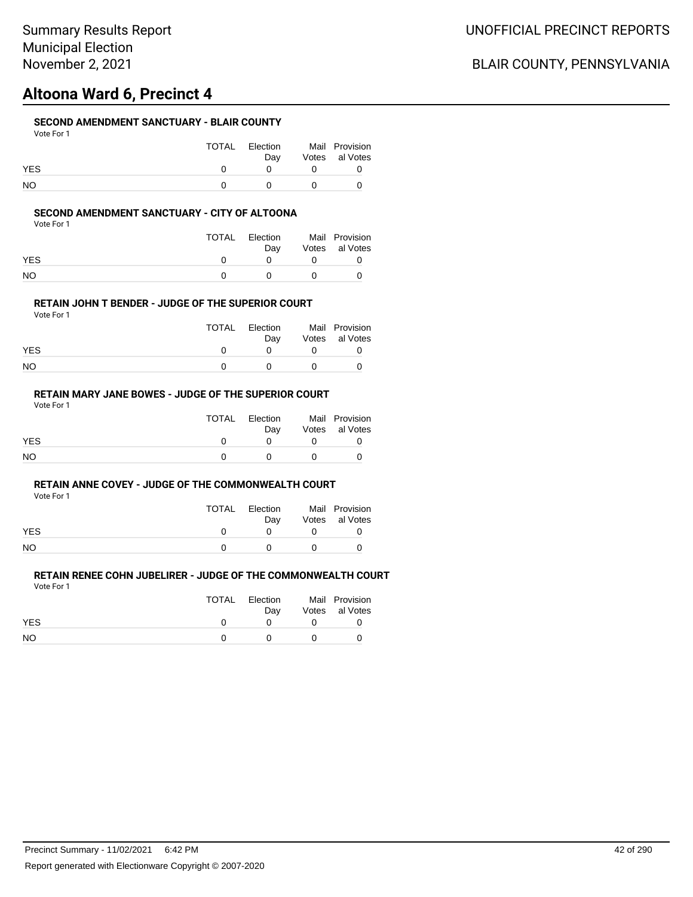# **Altoona Ward 6, Precinct 4**

## **SECOND AMENDMENT SANCTUARY - BLAIR COUNTY**

| Vote For |  |
|----------|--|
|          |  |

|            | TOTAL | Election<br>Dav | Mail Provision<br>Votes al Votes |
|------------|-------|-----------------|----------------------------------|
| <b>YES</b> |       |                 |                                  |
| NO.        |       |                 |                                  |

### **SECOND AMENDMENT SANCTUARY - CITY OF ALTOONA**

Vote For 1

|            | TOTAL | Election<br>Dav | Mail Provision<br>Votes al Votes |
|------------|-------|-----------------|----------------------------------|
| <b>YES</b> |       |                 |                                  |
| NO         |       |                 |                                  |

### **RETAIN JOHN T BENDER - JUDGE OF THE SUPERIOR COURT**

Vote For 1

|            | TOTAL | Election<br>Dav | Mail Provision<br>Votes al Votes |
|------------|-------|-----------------|----------------------------------|
| <b>YES</b> |       |                 |                                  |
| NO         |       |                 |                                  |

## **RETAIN MARY JANE BOWES - JUDGE OF THE SUPERIOR COURT**

Vote For 1

|            | TOTAL | Election<br>Dav | Mail Provision<br>Votes al Votes |
|------------|-------|-----------------|----------------------------------|
| <b>YES</b> |       |                 |                                  |
| NO.        |       |                 |                                  |

### **RETAIN ANNE COVEY - JUDGE OF THE COMMONWEALTH COURT**

Vote For 1

|            | <b>TOTAL</b> | Election | Mail Provision |
|------------|--------------|----------|----------------|
|            |              | Dav      | Votes al Votes |
| <b>YES</b> |              |          |                |
| <b>NO</b>  |              |          |                |

|            | TOTAL | Election | Mail Provision |
|------------|-------|----------|----------------|
|            |       | Dav      | Votes al Votes |
| <b>YES</b> |       |          |                |
| NO.        |       |          |                |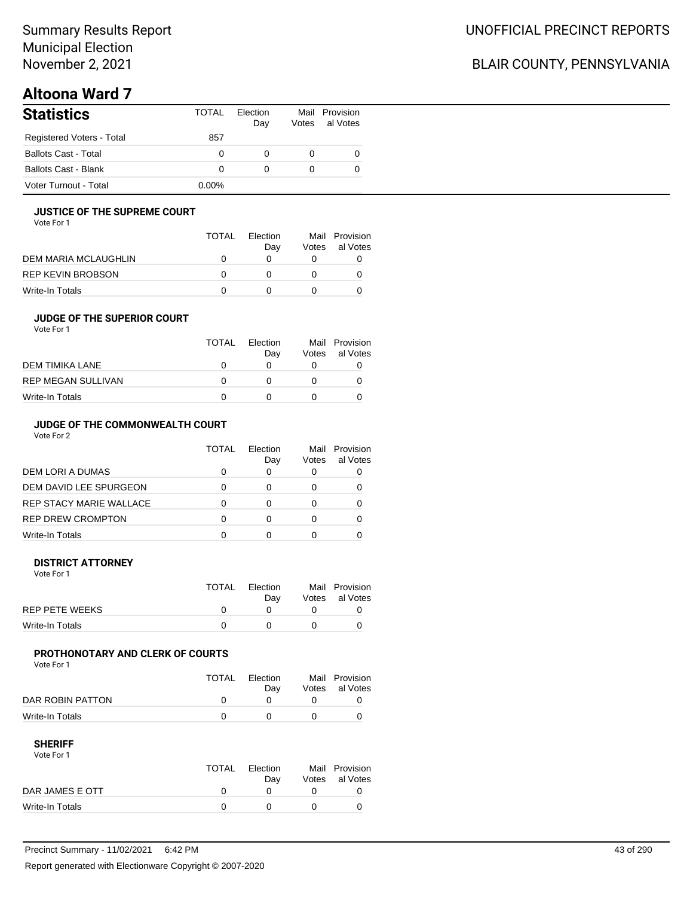# **Altoona Ward 7**

| <b>Statistics</b>           | TOTAL    | Flection<br>Day | Votes | Mail Provision<br>al Votes |
|-----------------------------|----------|-----------------|-------|----------------------------|
| Registered Voters - Total   | 857      |                 |       |                            |
| <b>Ballots Cast - Total</b> | 0        |                 |       |                            |
| <b>Ballots Cast - Blank</b> | 0        |                 |       |                            |
| Voter Turnout - Total       | $0.00\%$ |                 |       |                            |

## **JUSTICE OF THE SUPREME COURT**

Vote For 1

|                      | <b>TOTAL</b> | Election<br>Dav | Mail<br>Votes | Provision<br>al Votes |
|----------------------|--------------|-----------------|---------------|-----------------------|
| DEM MARIA MCLAUGHLIN |              |                 |               |                       |
| REP KEVIN BROBSON    |              |                 |               |                       |
| Write-In Totals      |              |                 |               |                       |

## **JUDGE OF THE SUPERIOR COURT**

| Vote For 1 |  |  |
|------------|--|--|
|            |  |  |

| Dav | Votes | Mail Provision<br>al Votes |
|-----|-------|----------------------------|
|     |       |                            |
|     |       |                            |
|     |       |                            |
|     |       | <b>TOTAL</b><br>Election   |

## **JUDGE OF THE COMMONWEALTH COURT**

Vote For 2

|                                | TOTAL | Flection<br>Day | Votes | Mail Provision<br>al Votes |
|--------------------------------|-------|-----------------|-------|----------------------------|
| DEM LORI A DUMAS               |       |                 |       |                            |
| DEM DAVID LEE SPURGEON         |       |                 |       |                            |
| <b>REP STACY MARIE WALLACE</b> |       |                 |       |                            |
| <b>REP DREW CROMPTON</b>       |       |                 |       |                            |
| Write-In Totals                |       |                 |       |                            |

### **DISTRICT ATTORNEY**

| Vote For 1      |              |                 |                                  |
|-----------------|--------------|-----------------|----------------------------------|
|                 | <b>TOTAL</b> | Election<br>Dav | Mail Provision<br>Votes al Votes |
| REP PETE WEEKS  |              |                 |                                  |
| Write-In Totals |              |                 |                                  |

## **PROTHONOTARY AND CLERK OF COURTS**

Vote For 1

|                  | <b>TOTAL</b> | Election<br>Dav | Mail Provision<br>Votes al Votes |
|------------------|--------------|-----------------|----------------------------------|
| DAR ROBIN PATTON |              |                 |                                  |
| Write-In Totals  |              |                 |                                  |

| Vote For 1      |       |                 |                |
|-----------------|-------|-----------------|----------------|
|                 | TOTAL | <b>Flection</b> | Mail Provision |
|                 |       | Dav             | Votes al Votes |
| DAR JAMES E OTT |       |                 |                |
| Write-In Totals |       |                 |                |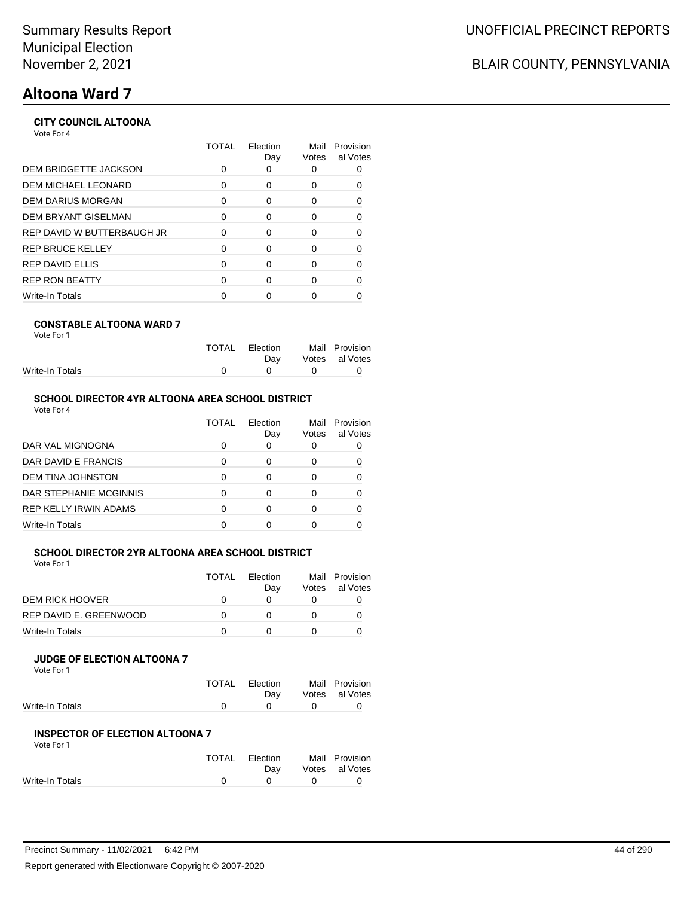# **Altoona Ward 7**

## **CITY COUNCIL ALTOONA**

Vote For 4

|                              | TOTAL    | Election<br>Day | Mail<br>Votes | Provision<br>al Votes |
|------------------------------|----------|-----------------|---------------|-----------------------|
| <b>DEM BRIDGETTE JACKSON</b> | 0        | 0               |               |                       |
| DEM MICHAEL LEONARD          | 0        | 0               | 0             |                       |
| DEM DARIUS MORGAN            | 0        | $\Omega$        | $\Omega$      | 0                     |
| DEM BRYANT GISELMAN          | 0        | $\Omega$        | 0             |                       |
| REP DAVID W BUTTERBAUGH JR   | $\Omega$ | $\Omega$        | 0             |                       |
| REP BRUCE KELLEY             | 0        | $\Omega$        | 0             | 0                     |
| REP DAVID ELLIS              | 0        | $\Omega$        | 0             |                       |
| <b>REP RON BEATTY</b>        | O        | ∩               | ŋ             |                       |
| Write-In Totals              |          |                 |               |                       |
|                              |          |                 |               |                       |

#### **CONSTABLE ALTOONA WARD 7** Vote For 1

|                 | TOTAL Election<br>Dav |                                            | Mail Provision<br>Votes al Votes |
|-----------------|-----------------------|--------------------------------------------|----------------------------------|
| Write-In Totals |                       | $\begin{array}{ccc} 0 & 0 & 0 \end{array}$ |                                  |

## **SCHOOL DIRECTOR 4YR ALTOONA AREA SCHOOL DISTRICT**

Vote For 4

|                              | TOTAL | Flection<br>Day | Mail<br>Votes | Provision<br>al Votes |
|------------------------------|-------|-----------------|---------------|-----------------------|
| DAR VAL MIGNOGNA             |       |                 | 0             |                       |
| DAR DAVID E FRANCIS          |       |                 | O             |                       |
| DEM TINA JOHNSTON            |       |                 | 0             |                       |
| DAR STEPHANIE MCGINNIS       |       | O               | O             |                       |
| <b>REP KELLY IRWIN ADAMS</b> |       |                 | 0             |                       |
| Write-In Totals              |       |                 |               |                       |

#### **SCHOOL DIRECTOR 2YR ALTOONA AREA SCHOOL DISTRICT** Vote For 1

| Vote For 1             |       |                 |       |                            |
|------------------------|-------|-----------------|-------|----------------------------|
|                        | TOTAL | Flection<br>Dav | Votes | Mail Provision<br>al Votes |
| <b>DEM RICK HOOVER</b> |       |                 |       |                            |
| REP DAVID E. GREENWOOD |       |                 |       |                            |

Write-In Totals 0 0 0 0

## **JUDGE OF ELECTION ALTOONA 7**

Vote For 1

|                 | TOTAL Election                    | Mail Provision |
|-----------------|-----------------------------------|----------------|
|                 | Dav                               | Votes al Votes |
| Write-In Totals | $\overline{a}$ and $\overline{a}$ |                |
|                 |                                   |                |

#### **INSPECTOR OF ELECTION ALTOONA 7** Vote For 1

| 1 IU I V        |              |          |        |                |
|-----------------|--------------|----------|--------|----------------|
|                 | <b>TOTAL</b> | Election |        | Mail Provision |
|                 |              | Dav      |        | Votes al Votes |
| Write-In Totals |              | $\cap$   | $\cap$ |                |
|                 |              |          |        |                |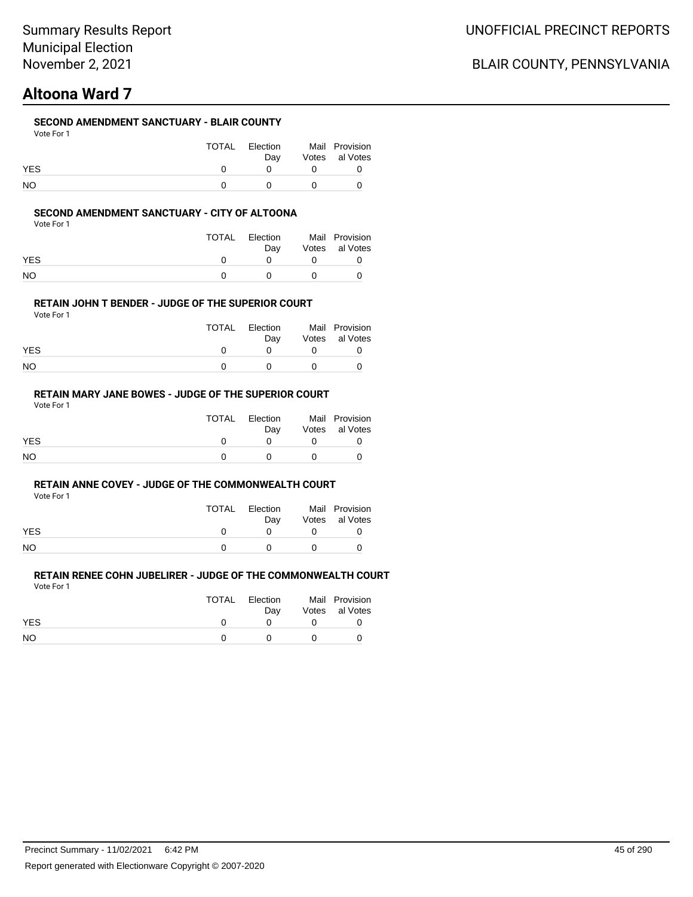# **Altoona Ward 7**

## **SECOND AMENDMENT SANCTUARY - BLAIR COUNTY**

Vote For 1

|            | TOTAL | Election<br>Dav |            | Mail Provision<br>Votes al Votes |
|------------|-------|-----------------|------------|----------------------------------|
| <b>YES</b> |       |                 | $\Omega$   |                                  |
| <b>NO</b>  |       |                 | $^{\circ}$ |                                  |

### **SECOND AMENDMENT SANCTUARY - CITY OF ALTOONA**

Vote For 1

|            | TOTAL | Election<br>Dav | Mail Provision<br>Votes al Votes |
|------------|-------|-----------------|----------------------------------|
| <b>YES</b> |       |                 |                                  |
| NΟ         |       |                 |                                  |

### **RETAIN JOHN T BENDER - JUDGE OF THE SUPERIOR COURT**

Vote For 1

|            | TOTAL | Election<br>Dav |          | Mail Provision<br>Votes al Votes |
|------------|-------|-----------------|----------|----------------------------------|
| <b>YES</b> |       |                 |          |                                  |
| NO.        |       |                 | $\theta$ |                                  |

## **RETAIN MARY JANE BOWES - JUDGE OF THE SUPERIOR COURT**

Vote For 1

|            | TOTAL | Election<br>Dav | Mail Provision<br>Votes al Votes |
|------------|-------|-----------------|----------------------------------|
| <b>YES</b> |       |                 |                                  |
| <b>NO</b>  |       |                 |                                  |

### **RETAIN ANNE COVEY - JUDGE OF THE COMMONWEALTH COURT**

Vote For 1

|            | <b>TOTAL</b> | Election | Mail Provision |
|------------|--------------|----------|----------------|
|            |              | Dav      | Votes al Votes |
| <b>YES</b> |              |          |                |
| <b>NO</b>  |              |          |                |

| .          |       |                 |                                  |
|------------|-------|-----------------|----------------------------------|
|            | TOTAL | Election<br>Dav | Mail Provision<br>Votes al Votes |
| <b>YES</b> |       |                 |                                  |
| NO.        |       |                 |                                  |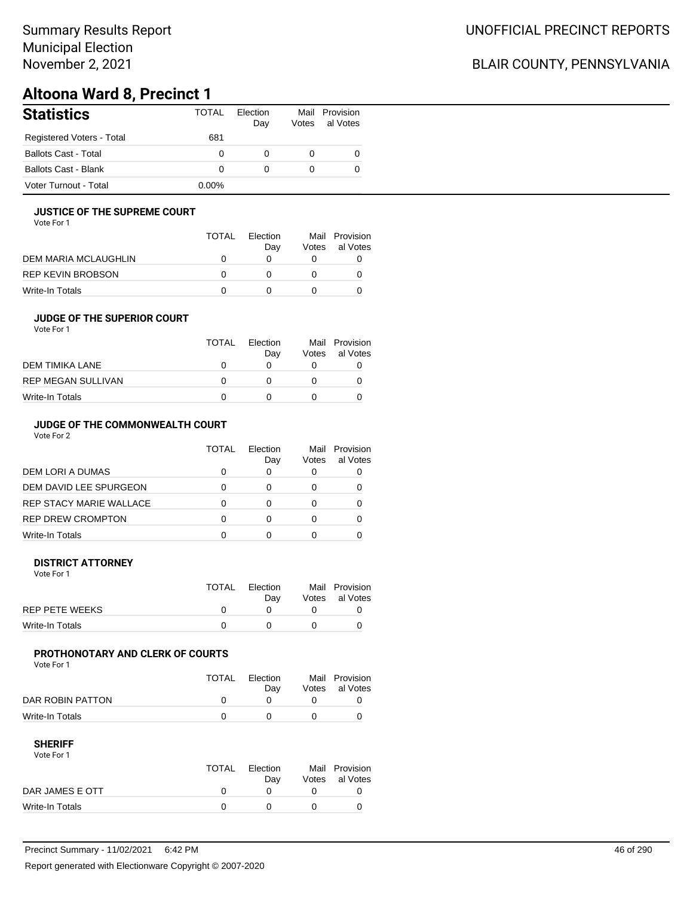# Summary Results Report Municipal Election November 2, 2021

# BLAIR COUNTY, PENNSYLVANIA

# **Altoona Ward 8, Precinct 1**

| <b>Statistics</b>           | <b>TOTAL</b> | Election<br>Day | Votes | Mail Provision<br>al Votes |
|-----------------------------|--------------|-----------------|-------|----------------------------|
| Registered Voters - Total   | 681          |                 |       |                            |
| <b>Ballots Cast - Total</b> | 0            | 0               |       |                            |
| Ballots Cast - Blank        | 0            | 0               |       |                            |
| Voter Turnout - Total       | $0.00\%$     |                 |       |                            |

### **JUSTICE OF THE SUPREME COURT**

Vote For 1

|                      | <b>TOTAL</b> | Election<br>Dav | Mail<br>Votes | Provision<br>al Votes |
|----------------------|--------------|-----------------|---------------|-----------------------|
| DEM MARIA MCLAUGHLIN |              |                 |               |                       |
| REP KEVIN BROBSON    |              |                 |               |                       |
| Write-In Totals      |              |                 |               |                       |

## **JUDGE OF THE SUPERIOR COURT**

| Vote For 1 |  |  |
|------------|--|--|
|            |  |  |

|                    | <b>TOTAL</b> | Election<br>Dav | Votes | Mail Provision<br>al Votes |
|--------------------|--------------|-----------------|-------|----------------------------|
| DEM TIMIKA LANE    | O            |                 |       |                            |
| REP MEGAN SULLIVAN | $\mathbf{U}$ |                 |       |                            |
| Write-In Totals    |              |                 |       |                            |
|                    |              |                 |       |                            |

## **JUDGE OF THE COMMONWEALTH COURT**

Vote For 2

|                                | TOTAL | Flection<br>Day | Votes | Mail Provision<br>al Votes |
|--------------------------------|-------|-----------------|-------|----------------------------|
| DEM LORI A DUMAS               |       |                 |       |                            |
| DEM DAVID LEE SPURGEON         |       |                 |       |                            |
| <b>REP STACY MARIE WALLACE</b> |       |                 |       |                            |
| <b>REP DREW CROMPTON</b>       |       |                 |       |                            |
| Write-In Totals                |       |                 |       |                            |

### **DISTRICT ATTORNEY**

| Vote For 1      |       |                 |                                  |
|-----------------|-------|-----------------|----------------------------------|
|                 | TOTAL | Election<br>Dav | Mail Provision<br>Votes al Votes |
| REP PETE WEEKS  |       |                 |                                  |
| Write-In Totals |       |                 |                                  |

## **PROTHONOTARY AND CLERK OF COURTS**

Vote For 1

|                  | <b>TOTAL</b> | Election<br>Dav | Mail Provision<br>Votes al Votes |
|------------------|--------------|-----------------|----------------------------------|
| DAR ROBIN PATTON |              |                 |                                  |
| Write-In Totals  |              |                 |                                  |

### **SHERIFF**

Vote For 1

|                 | TOTAL | Election<br>Dav | Mail Provision<br>Votes al Votes |
|-----------------|-------|-----------------|----------------------------------|
| DAR JAMES E OTT |       |                 |                                  |
| Write-In Totals |       |                 |                                  |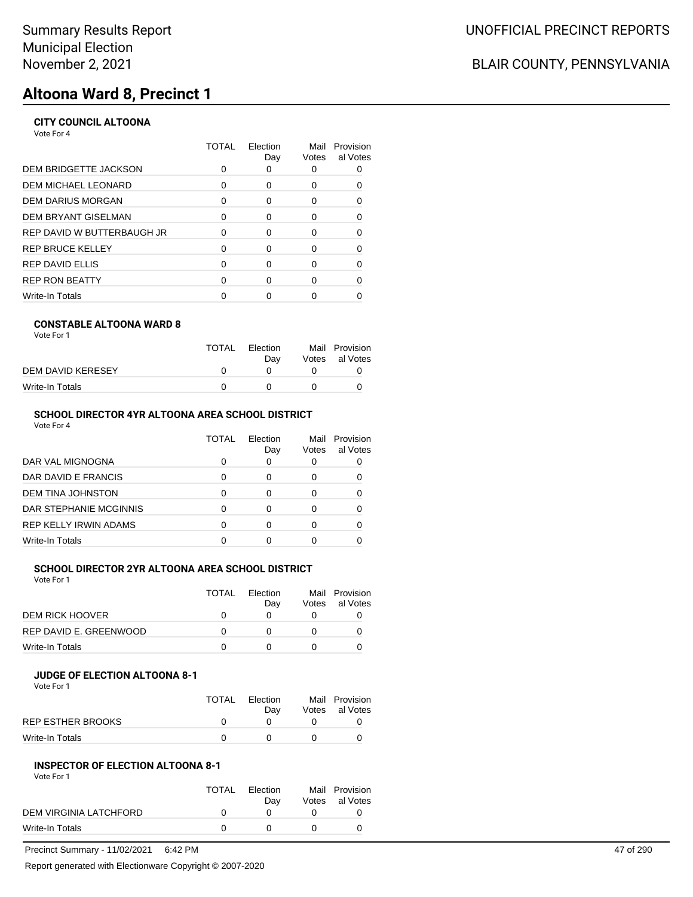# **Altoona Ward 8, Precinct 1**

## **CITY COUNCIL ALTOONA**

Vote For 4

|                            | TOTAL | Flection<br>Day | Mail<br>Votes | Provision<br>al Votes |
|----------------------------|-------|-----------------|---------------|-----------------------|
| DEM BRIDGETTE JACKSON      |       |                 |               |                       |
| DEM MICHAEL LEONARD        | 0     | 0               | O             |                       |
| DEM DARIUS MORGAN          | 0     | $\Omega$        | 0             | 0                     |
| DEM BRYANT GISELMAN        | 0     | 0               | 0             | 0                     |
| REP DAVID W BUTTERBAUGH JR | ∩     | $\Omega$        | O             |                       |
| REP BRUCE KELLEY           | ∩     | <sup>n</sup>    | ∩             | ŋ                     |
| REP DAVID ELLIS            | 0     | $\Omega$        | O             | 0                     |
| <b>REP RON BEATTY</b>      | ∩     | $\Omega$        | ∩             |                       |
| Write-In Totals            |       |                 |               |                       |
|                            |       |                 |               |                       |

## **CONSTABLE ALTOONA WARD 8**

|                   | TOTAL | Election<br>Dav | Mail Provision<br>Votes al Votes |
|-------------------|-------|-----------------|----------------------------------|
| DEM DAVID KERESEY |       |                 |                                  |
| Write-In Totals   |       |                 |                                  |

## **SCHOOL DIRECTOR 4YR ALTOONA AREA SCHOOL DISTRICT**

Vote For 4

|                              | TOTAL | Flection<br>Day | Mail<br>Votes | Provision<br>al Votes |
|------------------------------|-------|-----------------|---------------|-----------------------|
| DAR VAL MIGNOGNA             |       | 0               |               |                       |
| DAR DAVID E FRANCIS          |       |                 | O             |                       |
| DEM TINA JOHNSTON            |       |                 |               |                       |
| DAR STEPHANIE MCGINNIS       |       |                 | O             |                       |
| <b>REP KELLY IRWIN ADAMS</b> |       | ∩               |               |                       |
| <b>Write-In Totals</b>       |       |                 |               |                       |

## **SCHOOL DIRECTOR 2YR ALTOONA AREA SCHOOL DISTRICT**

Vote For 1

|                        | <b>TOTAL</b> | Election |       | Mail Provision |
|------------------------|--------------|----------|-------|----------------|
|                        |              | Dav      | Votes | al Votes       |
| DEM RICK HOOVER        |              |          |       |                |
| REP DAVID E. GREENWOOD |              |          |       |                |
| Write-In Totals        |              |          |       |                |

#### **JUDGE OF ELECTION ALTOONA 8-1** Vote For 1

|                   | TOTAL | Election<br>Dav | Mail Provision<br>Votes al Votes |
|-------------------|-------|-----------------|----------------------------------|
| REP ESTHER BROOKS |       |                 |                                  |
| Write-In Totals   |       |                 |                                  |
|                   |       |                 |                                  |

## **INSPECTOR OF ELECTION ALTOONA 8-1**

Vote For 1

|                        | TOTAL | Election<br>Dav | Mail Provision<br>Votes al Votes |
|------------------------|-------|-----------------|----------------------------------|
| DEM VIRGINIA LATCHFORD |       |                 |                                  |
| Write-In Totals        | n     |                 |                                  |

Precinct Summary - 11/02/2021 6:42 PM 47 of 290

Report generated with Electionware Copyright © 2007-2020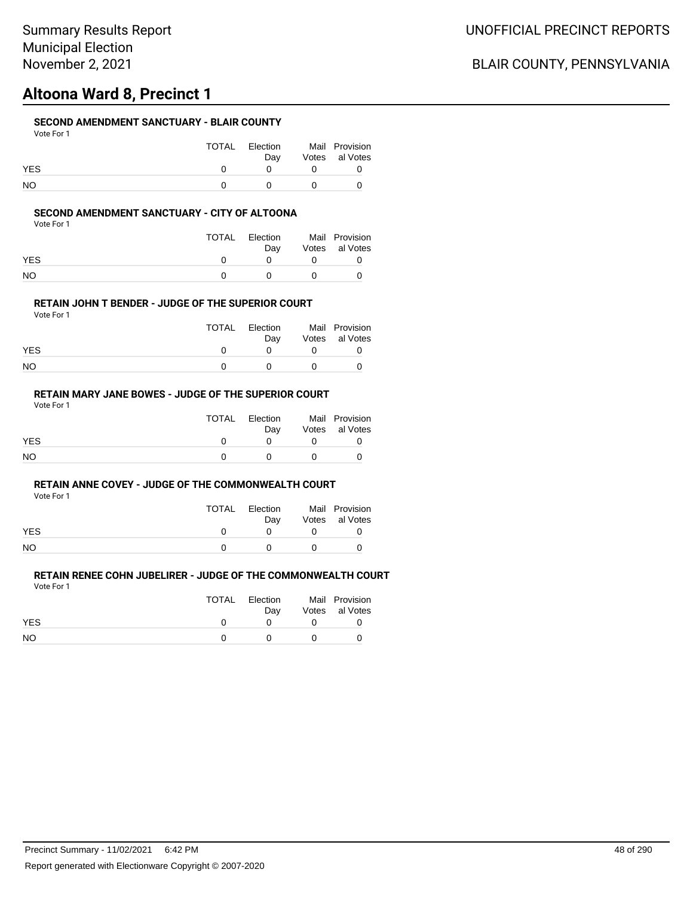# **Altoona Ward 8, Precinct 1**

### **SECOND AMENDMENT SANCTUARY - BLAIR COUNTY**

| Vote For |  |
|----------|--|
|          |  |

|            | TOTAL | Election<br>Dav |              | Mail Provision<br>Votes al Votes |
|------------|-------|-----------------|--------------|----------------------------------|
| <b>YES</b> |       |                 |              |                                  |
| <b>NO</b>  |       |                 | $\mathbf{O}$ |                                  |

### **SECOND AMENDMENT SANCTUARY - CITY OF ALTOONA**

Vote For 1

|            | TOTAL | Election<br>Dav | Mail Provision<br>Votes al Votes |
|------------|-------|-----------------|----------------------------------|
| <b>YES</b> |       |                 |                                  |
| NΟ         |       | $\mathbf{U}$    |                                  |

### **RETAIN JOHN T BENDER - JUDGE OF THE SUPERIOR COURT**

Vote For 1

|            | TOTAL | Election<br>Dav | Mail Provision<br>Votes al Votes |
|------------|-------|-----------------|----------------------------------|
| <b>YES</b> |       |                 |                                  |
| NO         |       |                 |                                  |

## **RETAIN MARY JANE BOWES - JUDGE OF THE SUPERIOR COURT**

Vote For 1

|            | TOTAL | Election<br>Dav | Mail Provision<br>Votes al Votes |
|------------|-------|-----------------|----------------------------------|
| <b>YES</b> |       |                 |                                  |
| <b>NO</b>  |       |                 |                                  |

### **RETAIN ANNE COVEY - JUDGE OF THE COMMONWEALTH COURT**

Vote For 1

|            | <b>TOTAL</b> | Election | Mail Provision |
|------------|--------------|----------|----------------|
|            |              | Dav      | Votes al Votes |
| <b>YES</b> |              |          |                |
| <b>NO</b>  |              |          |                |

| .          |       |                 |                                  |
|------------|-------|-----------------|----------------------------------|
|            | TOTAL | Election<br>Dav | Mail Provision<br>Votes al Votes |
| <b>YES</b> |       |                 |                                  |
| NO.        |       |                 |                                  |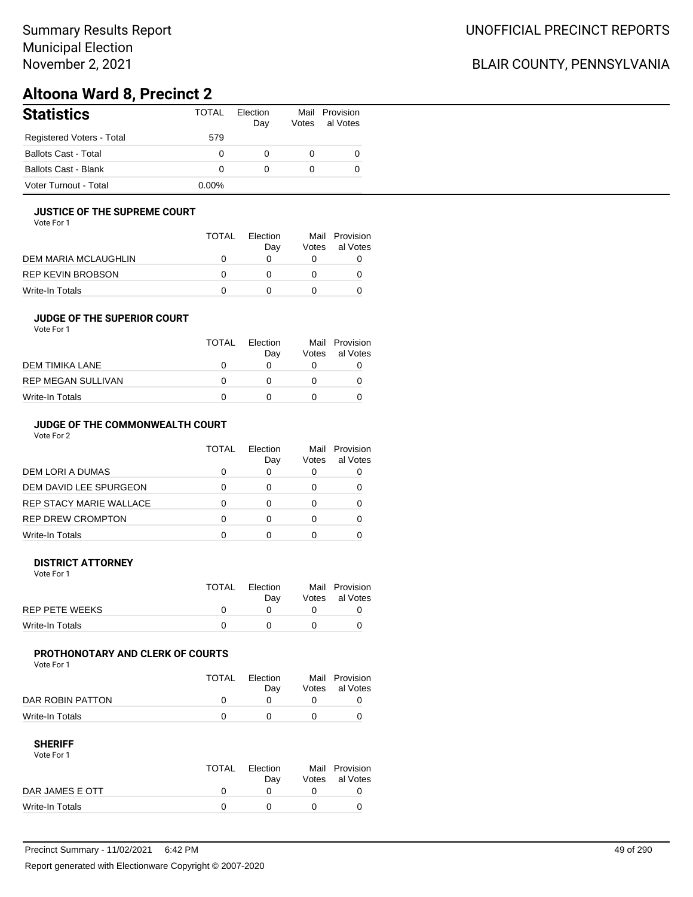# Summary Results Report Municipal Election November 2, 2021

# BLAIR COUNTY, PENNSYLVANIA

# **Altoona Ward 8, Precinct 2**

| <b>Statistics</b>         | <b>TOTAL</b> | Election<br>Day | Votes | Mail Provision<br>al Votes |
|---------------------------|--------------|-----------------|-------|----------------------------|
| Registered Voters - Total | 579          |                 |       |                            |
| Ballots Cast - Total      | 0            |                 | 0     |                            |
| Ballots Cast - Blank      | 0            |                 | 0     |                            |
| Voter Turnout - Total     | $0.00\%$     |                 |       |                            |

### **JUSTICE OF THE SUPREME COURT**

Vote For 1

|                      | TOTAL | Election<br>Dav | Votes | Mail Provision<br>al Votes |
|----------------------|-------|-----------------|-------|----------------------------|
| DEM MARIA MCLAUGHLIN |       |                 |       |                            |
| REP KEVIN BROBSON    |       |                 |       |                            |
| Write-In Totals      |       |                 |       |                            |

## **JUDGE OF THE SUPERIOR COURT**

| Vote For 1 |  |  |
|------------|--|--|
|            |  |  |

|                           | <b>TOTAL</b> | Election |       | Mail Provision |
|---------------------------|--------------|----------|-------|----------------|
|                           |              | Dav      | Votes | al Votes       |
| DEM TIMIKA LANE           | $\Omega$     |          |       |                |
| <b>REP MEGAN SULLIVAN</b> | $^{\prime}$  |          |       |                |
| Write-In Totals           | n            |          |       |                |
|                           |              |          |       |                |

## **JUDGE OF THE COMMONWEALTH COURT**

Vote For 2

|                                | TOTAL | Flection<br>Day | Votes | Mail Provision<br>al Votes |
|--------------------------------|-------|-----------------|-------|----------------------------|
| DEM LORI A DUMAS               |       |                 |       |                            |
| DEM DAVID LEE SPURGEON         |       |                 |       |                            |
| <b>REP STACY MARIE WALLACE</b> |       |                 |       |                            |
| <b>REP DREW CROMPTON</b>       |       |                 |       |                            |
| Write-In Totals                |       |                 |       |                            |

### **DISTRICT ATTORNEY**

| Vote For 1      |              |                 |                                  |
|-----------------|--------------|-----------------|----------------------------------|
|                 | <b>TOTAL</b> | Election<br>Dav | Mail Provision<br>Votes al Votes |
| REP PETE WEEKS  |              |                 |                                  |
| Write-In Totals |              |                 |                                  |

## **PROTHONOTARY AND CLERK OF COURTS**

Vote For 1

|                  | <b>TOTAL</b> | Election<br>Dav | Mail Provision<br>Votes al Votes |
|------------------|--------------|-----------------|----------------------------------|
| DAR ROBIN PATTON |              |                 |                                  |
| Write-In Totals  |              |                 |                                  |

| Vote For 1      |              |          |                |
|-----------------|--------------|----------|----------------|
|                 | TOTAL        | Flection | Mail Provision |
|                 |              | Dav      | Votes al Votes |
| DAR JAMES E OTT | <sup>n</sup> |          |                |
| Write-In Totals |              |          |                |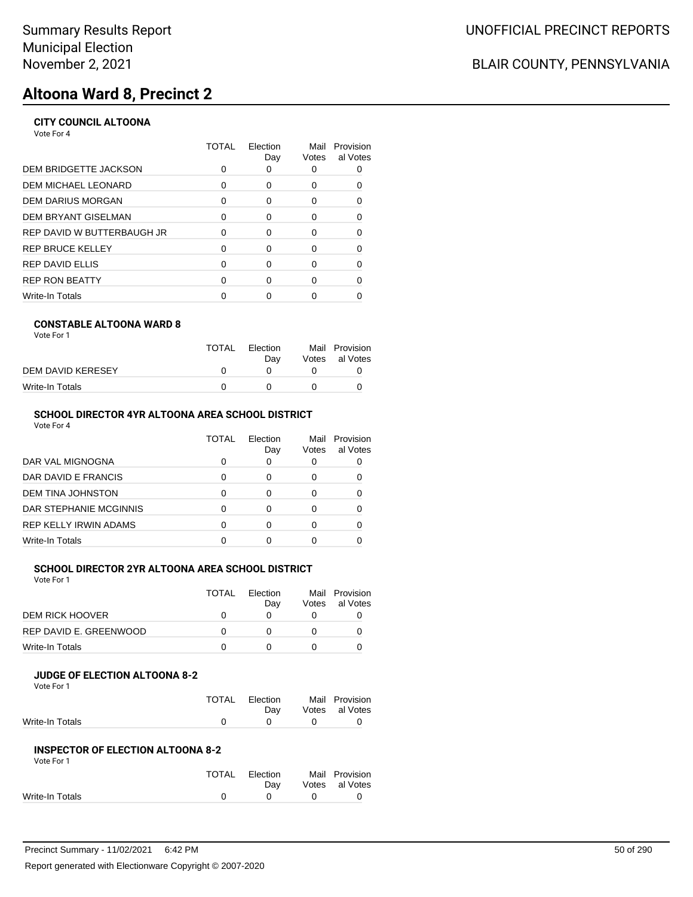# **Altoona Ward 8, Precinct 2**

## **CITY COUNCIL ALTOONA**

Vote For 4

|                            | TOTAL | Flection<br>Day | Mail<br>Votes | Provision<br>al Votes |
|----------------------------|-------|-----------------|---------------|-----------------------|
| DEM BRIDGETTE JACKSON      |       |                 |               |                       |
| DEM MICHAEL LEONARD        | 0     | 0               | O             |                       |
| DEM DARIUS MORGAN          | 0     | $\Omega$        | 0             | 0                     |
| DEM BRYANT GISELMAN        | 0     | 0               | 0             | 0                     |
| REP DAVID W BUTTERBAUGH JR | ∩     | $\Omega$        | O             |                       |
| REP BRUCE KELLEY           | ∩     | <sup>n</sup>    | ∩             | ŋ                     |
| REP DAVID ELLIS            | 0     | $\Omega$        | O             | 0                     |
| <b>REP RON BEATTY</b>      | ∩     | $\Omega$        | ∩             |                       |
| Write-In Totals            |       |                 |               |                       |
|                            |       |                 |               |                       |

## **CONSTABLE ALTOONA WARD 8**

| Vote For 1 |  |
|------------|--|
|------------|--|

|                   | TOTAL | Election<br>Dav | Mail Provision<br>Votes al Votes |
|-------------------|-------|-----------------|----------------------------------|
| DEM DAVID KERESEY |       |                 |                                  |
| Write-In Totals   |       |                 |                                  |

## **SCHOOL DIRECTOR 4YR ALTOONA AREA SCHOOL DISTRICT**

Vote For 4

|                              | TOTAL | Flection<br>Day | Mail<br>Votes | Provision<br>al Votes |
|------------------------------|-------|-----------------|---------------|-----------------------|
| DAR VAL MIGNOGNA             |       | 0               |               |                       |
| DAR DAVID E FRANCIS          |       |                 | O             |                       |
| DEM TINA JOHNSTON            |       |                 |               |                       |
| DAR STEPHANIE MCGINNIS       |       |                 | O             |                       |
| <b>REP KELLY IRWIN ADAMS</b> |       | ∩               |               |                       |
| <b>Write-In Totals</b>       |       |                 |               |                       |

## **SCHOOL DIRECTOR 2YR ALTOONA AREA SCHOOL DISTRICT**

| Vote For 1 |  |  |  |
|------------|--|--|--|
|            |  |  |  |

|                        | TOTAL | Election | Mail  | Provision |
|------------------------|-------|----------|-------|-----------|
|                        |       | Dav      | Votes | al Votes  |
| DEM RICK HOOVER        |       |          |       |           |
| REP DAVID E. GREENWOOD |       |          |       |           |
| Write-In Totals        |       |          |       |           |

#### **JUDGE OF ELECTION ALTOONA 8-2** Vote For 1

| 1 J J J J J J   |       |                 |              |                                  |
|-----------------|-------|-----------------|--------------|----------------------------------|
|                 | TOTAL | Election<br>Dav |              | Mail Provision<br>Votes al Votes |
| Write-In Totals |       | $\theta$        | <sup>o</sup> |                                  |
|                 |       |                 |              |                                  |

#### **INSPECTOR OF ELECTION ALTOONA 8-2** Vote For 1

| VULTUII         |       |            |              |                |
|-----------------|-------|------------|--------------|----------------|
|                 | TOTAL | Election   |              | Mail Provision |
|                 |       | Dav        |              | Votes al Votes |
| Write-In Totals |       | $^{\circ}$ | $\mathbf{U}$ |                |
|                 |       |            |              |                |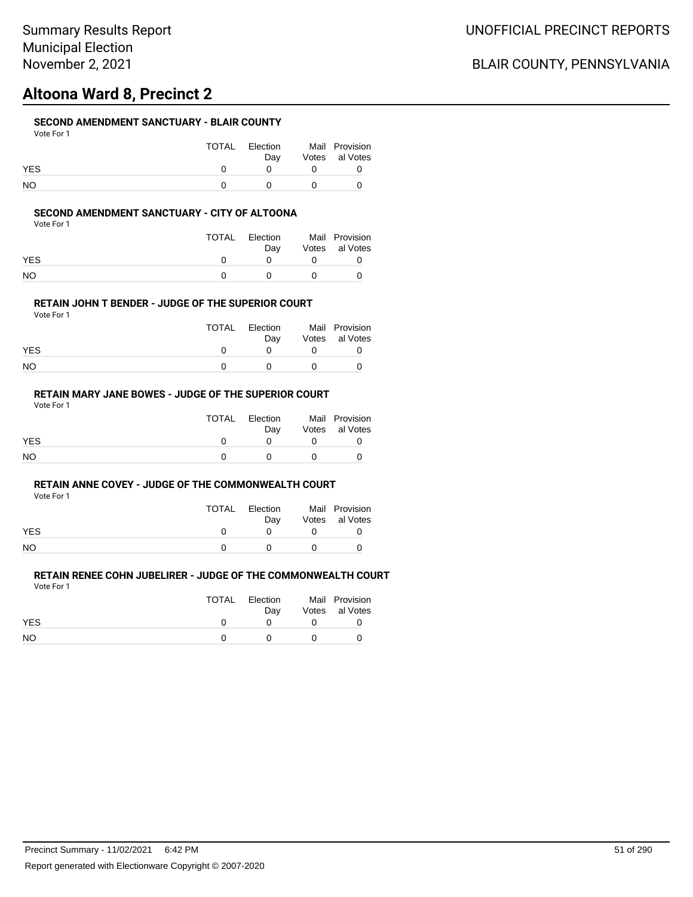# **Altoona Ward 8, Precinct 2**

## **SECOND AMENDMENT SANCTUARY - BLAIR COUNTY**

| Vote For 1 |  |
|------------|--|
|------------|--|

|            | TOTAL | Election<br>Dav | Mail Provision<br>Votes al Votes |
|------------|-------|-----------------|----------------------------------|
| <b>YES</b> |       |                 |                                  |
| NO.        |       |                 |                                  |

### **SECOND AMENDMENT SANCTUARY - CITY OF ALTOONA**

Vote For 1

|            | TOTAL | Election<br>Dav | Mail Provision<br>Votes al Votes |
|------------|-------|-----------------|----------------------------------|
| <b>YES</b> |       |                 |                                  |
| NΟ         |       | $\mathbf{U}$    |                                  |

### **RETAIN JOHN T BENDER - JUDGE OF THE SUPERIOR COURT**

Vote For 1

|            | TOTAL Election<br>Dav | Mail Provision<br>Votes al Votes |
|------------|-----------------------|----------------------------------|
| <b>YES</b> |                       |                                  |
| NO         |                       |                                  |

## **RETAIN MARY JANE BOWES - JUDGE OF THE SUPERIOR COURT**

Vote For 1

|            | TOTAL | Election<br>Dav | Mail Provision<br>Votes al Votes |
|------------|-------|-----------------|----------------------------------|
| <b>YES</b> |       |                 |                                  |
| <b>NO</b>  |       |                 |                                  |

### **RETAIN ANNE COVEY - JUDGE OF THE COMMONWEALTH COURT**

Vote For 1

|            | <b>TOTAL</b> | Election | Mail Provision |
|------------|--------------|----------|----------------|
|            |              | Dav      | Votes al Votes |
| <b>YES</b> |              |          |                |
| <b>NO</b>  |              |          |                |

|            | TOTAL | Election | Mail Provision |
|------------|-------|----------|----------------|
|            |       | Dav      | Votes al Votes |
| <b>YES</b> |       |          |                |
| NO.        |       |          |                |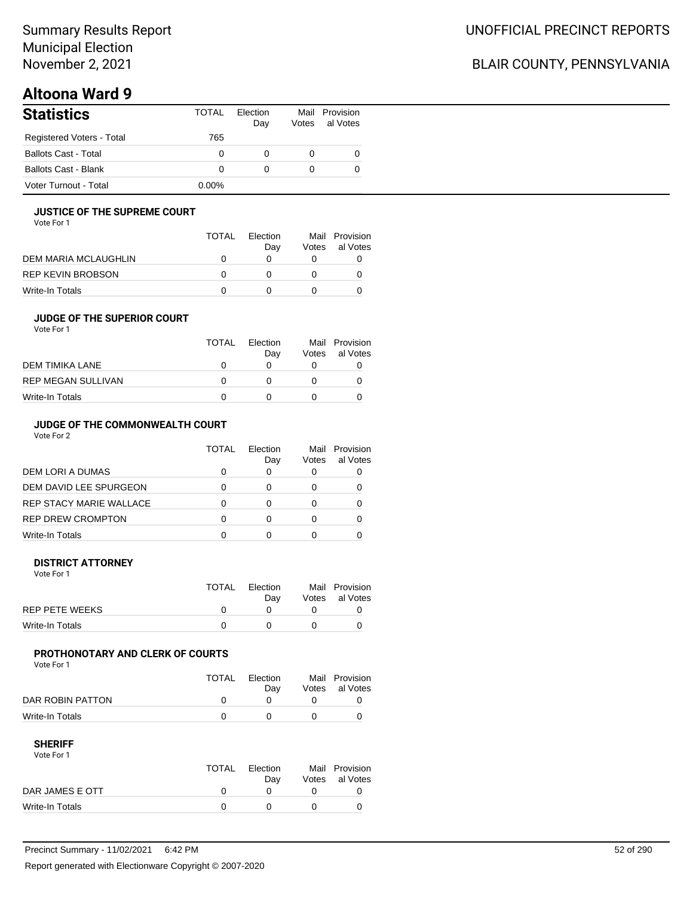# **Altoona Ward 9**

| <b>Statistics</b>           | TOTAL    | <b>Flection</b><br>Day | Votes | Mail Provision<br>al Votes |
|-----------------------------|----------|------------------------|-------|----------------------------|
| Registered Voters - Total   | 765      |                        |       |                            |
| <b>Ballots Cast - Total</b> | 0        | 0                      |       |                            |
| <b>Ballots Cast - Blank</b> | O        | 0                      |       |                            |
| Voter Turnout - Total       | $0.00\%$ |                        |       |                            |

## **JUSTICE OF THE SUPREME COURT**

Vote For 1

|                      | <b>TOTAL</b> | Election<br>Dav | Mail<br>Votes | Provision<br>al Votes |
|----------------------|--------------|-----------------|---------------|-----------------------|
| DEM MARIA MCLAUGHLIN |              |                 |               |                       |
| REP KEVIN BROBSON    |              |                 |               |                       |
| Write-In Totals      |              |                 |               |                       |

## **JUDGE OF THE SUPERIOR COURT**

| Vote For 1 |  |  |
|------------|--|--|
|            |  |  |

|                           | <b>TOTAL</b> | Election |       | Mail Provision |
|---------------------------|--------------|----------|-------|----------------|
|                           |              | Dav      | Votes | al Votes       |
| DEM TIMIKA LANE           |              |          |       |                |
| <b>REP MEGAN SULLIVAN</b> |              |          |       |                |
| Write-In Totals           |              |          |       |                |
|                           |              |          |       |                |

## **JUDGE OF THE COMMONWEALTH COURT**

Vote For 2

|                                | TOTAL | Flection<br>Day | Votes | Mail Provision<br>al Votes |
|--------------------------------|-------|-----------------|-------|----------------------------|
| DEM LORI A DUMAS               |       |                 |       |                            |
| DEM DAVID LEE SPURGEON         |       |                 |       |                            |
| <b>REP STACY MARIE WALLACE</b> |       |                 |       |                            |
| <b>REP DREW CROMPTON</b>       |       |                 |       |                            |
| Write-In Totals                |       |                 |       |                            |

### **DISTRICT ATTORNEY**

| Vote For 1      |       |                 |                                  |
|-----------------|-------|-----------------|----------------------------------|
|                 | TOTAL | Election<br>Dav | Mail Provision<br>Votes al Votes |
| REP PETE WEEKS  |       |                 |                                  |
| Write-In Totals |       |                 |                                  |

## **PROTHONOTARY AND CLERK OF COURTS**

Vote For 1

|                  | <b>TOTAL</b> | Election<br>Dav | Mail Provision<br>Votes al Votes |
|------------------|--------------|-----------------|----------------------------------|
| DAR ROBIN PATTON |              |                 |                                  |
| Write-In Totals  |              |                 |                                  |

| Vote For 1      |       |          |                |
|-----------------|-------|----------|----------------|
|                 | TOTAL | Election | Mail Provision |
|                 |       | Dav      | Votes al Votes |
| DAR JAMES E OTT |       |          |                |
| Write-In Totals |       |          |                |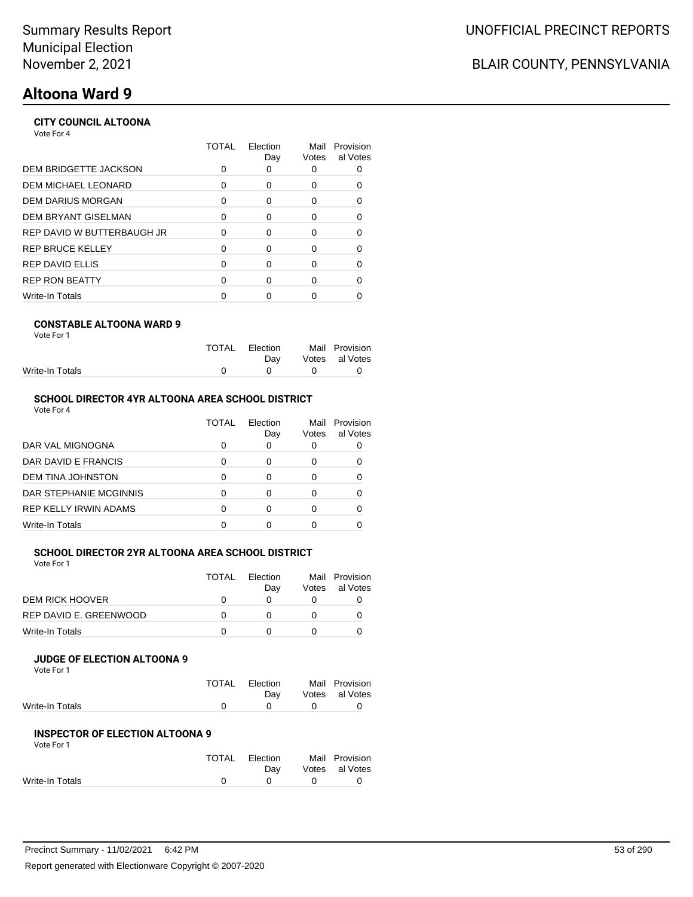# **Altoona Ward 9**

## **CITY COUNCIL ALTOONA**

Vote For 4

|                            | TOTAL | Election<br>Day | Mail<br>Votes | Provision<br>al Votes |
|----------------------------|-------|-----------------|---------------|-----------------------|
| DEM BRIDGETTE JACKSON      |       |                 |               |                       |
| DEM MICHAEL LEONARD        | 0     | 0               | 0             | 0                     |
| DEM DARIUS MORGAN          | 0     | $\Omega$        | 0             | 0                     |
| DEM BRYANT GISELMAN        | 0     | 0               | 0             | 0                     |
| REP DAVID W BUTTERBAUGH JR | O     | $\Omega$        | 0             | 0                     |
| REP BRUCE KELLEY           | 0     | 0               | 0             | $\Omega$              |
| REP DAVID ELLIS            | O     | 0               | 0             | O                     |
| <b>REP RON BEATTY</b>      | ∩     | ∩               | O             | ∩                     |
| Write-In Totals            |       |                 |               |                       |
|                            |       |                 |               |                       |

## **CONSTABLE ALTOONA WARD 9**

|  | Vote For 1 |  |
|--|------------|--|
|  |            |  |

|                 | TOTAL Election |              | Mail Provision |
|-----------------|----------------|--------------|----------------|
|                 | Dav            |              | Votes al Votes |
| Write-In Totals | $\mathbf{0}$   | $\mathbf{u}$ |                |
|                 |                |              |                |

## **SCHOOL DIRECTOR 4YR ALTOONA AREA SCHOOL DISTRICT**

| Vote For 4 |  |
|------------|--|
|------------|--|

|                          | TOTAL | Election<br>Day | Mail<br>Votes | Provision<br>al Votes |
|--------------------------|-------|-----------------|---------------|-----------------------|
| DAR VAL MIGNOGNA         |       |                 |               |                       |
| DAR DAVID E FRANCIS      |       |                 | O             |                       |
| <b>DEM TINA JOHNSTON</b> |       |                 |               |                       |
| DAR STEPHANIE MCGINNIS   |       |                 | 0             |                       |
| REP KELLY IRWIN ADAMS    |       |                 | O             |                       |
| Write-In Totals          |       |                 |               |                       |

## **SCHOOL DIRECTOR 2YR ALTOONA AREA SCHOOL DISTRICT**

|  | Vote For 1 |  |
|--|------------|--|
|  |            |  |

|                        | <b>TOTAL</b> | Election | Mail  | Provision |
|------------------------|--------------|----------|-------|-----------|
|                        |              | Dav      | Votes | al Votes  |
| <b>DEM RICK HOOVER</b> |              |          |       |           |
| REP DAVID E. GREENWOOD |              |          |       |           |
| Write-In Totals        |              |          |       |           |

### **JUDGE OF ELECTION ALTOONA 9**

Vote For 1

|                 | TOTAL Election                    | Mail Provision |
|-----------------|-----------------------------------|----------------|
|                 | Dav                               | Votes al Votes |
| Write-In Totals | $\overline{a}$ and $\overline{a}$ |                |

### **INSPECTOR OF ELECTION ALTOONA 9**

| TOTAL        | Election | Mail Provision |
|--------------|----------|----------------|
|              | Dav      | Votes al Votes |
| <sup>0</sup> |          |                |
|              |          |                |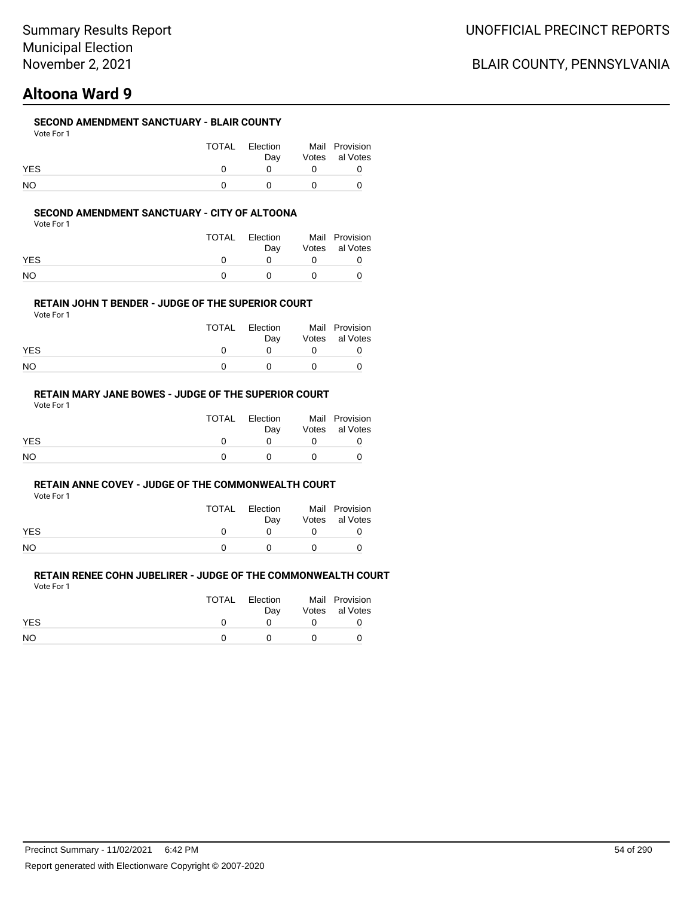# **Altoona Ward 9**

## **SECOND AMENDMENT SANCTUARY - BLAIR COUNTY**

Vote For 1

|            | TOTAL | Election<br>Dav |            | Mail Provision<br>Votes al Votes |
|------------|-------|-----------------|------------|----------------------------------|
| <b>YES</b> |       |                 | $\Omega$   |                                  |
| <b>NO</b>  |       |                 | $^{\circ}$ |                                  |

### **SECOND AMENDMENT SANCTUARY - CITY OF ALTOONA**

Vote For 1

|            | TOTAL | Election<br>Dav | Mail Provision<br>Votes al Votes |
|------------|-------|-----------------|----------------------------------|
| <b>YES</b> |       |                 |                                  |
| NΟ         |       |                 |                                  |

### **RETAIN JOHN T BENDER - JUDGE OF THE SUPERIOR COURT**

Vote For 1

|            | TOTAL | Election<br>Dav | Mail Provision<br>Votes al Votes |
|------------|-------|-----------------|----------------------------------|
| <b>YES</b> |       |                 |                                  |
| NO.        |       |                 |                                  |

## **RETAIN MARY JANE BOWES - JUDGE OF THE SUPERIOR COURT**

Vote For 1

|            | TOTAL | Election<br>Dav | Mail Provision<br>Votes al Votes |
|------------|-------|-----------------|----------------------------------|
| <b>YES</b> |       |                 |                                  |
| <b>NO</b>  |       |                 |                                  |

### **RETAIN ANNE COVEY - JUDGE OF THE COMMONWEALTH COURT**

Vote For 1

|            | <b>TOTAL</b> | Election | Mail Provision |
|------------|--------------|----------|----------------|
|            |              | Dav      | Votes al Votes |
| <b>YES</b> |              |          |                |
| <b>NO</b>  |              |          |                |

| .          |       |                 |                                  |
|------------|-------|-----------------|----------------------------------|
|            | TOTAL | Election<br>Dav | Mail Provision<br>Votes al Votes |
| <b>YES</b> |       |                 |                                  |
| NO.        |       |                 |                                  |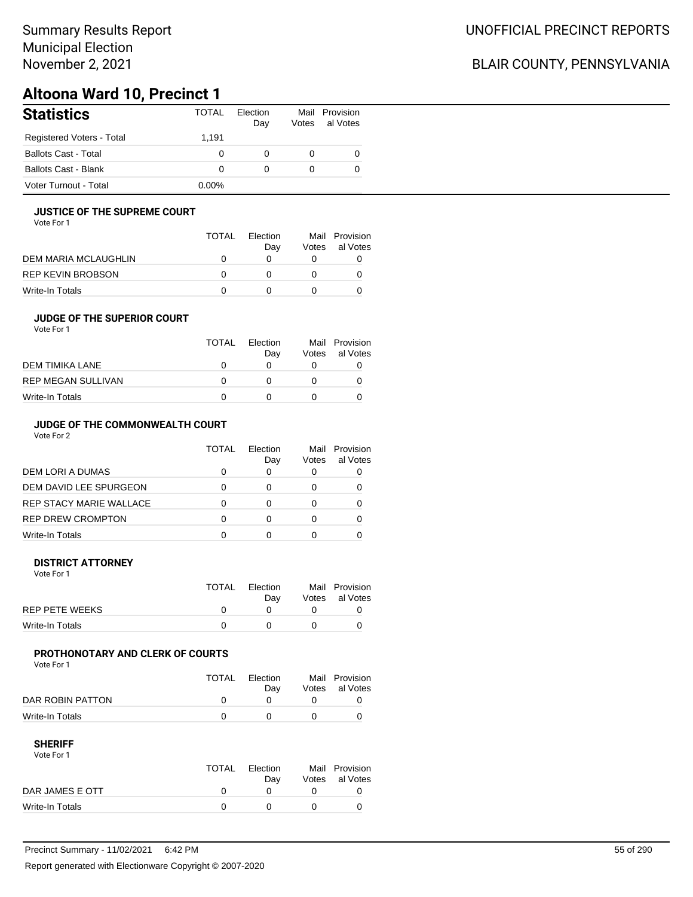# **Altoona Ward 10, Precinct 1**

| <b>Statistics</b>           | TOTAL    | Election<br>Day | Mail<br>Votes | Provision<br>al Votes |
|-----------------------------|----------|-----------------|---------------|-----------------------|
| Registered Voters - Total   | 1.191    |                 |               |                       |
| <b>Ballots Cast - Total</b> | 0        | 0               |               | O                     |
| <b>Ballots Cast - Blank</b> | 0        | 0               |               | 0                     |
| Voter Turnout - Total       | $0.00\%$ |                 |               |                       |

### **JUSTICE OF THE SUPREME COURT**

Vote For 1

|                      | TOTAL | Election<br>Dav | Mail<br>Votes | Provision<br>al Votes |
|----------------------|-------|-----------------|---------------|-----------------------|
| DEM MARIA MCLAUGHLIN |       |                 |               |                       |
| REP KEVIN BROBSON    |       |                 |               |                       |
| Write-In Totals      |       |                 |               |                       |

## **JUDGE OF THE SUPERIOR COURT**

| Vote For 1 |  |
|------------|--|
|            |  |

|                           | <b>TOTAL</b> | Election |       | Mail Provision |
|---------------------------|--------------|----------|-------|----------------|
|                           |              | Dav      | Votes | al Votes       |
| DEM TIMIKA LANE           |              |          |       |                |
| <b>REP MEGAN SULLIVAN</b> |              |          |       |                |
| Write-In Totals           |              |          |       |                |
|                           |              |          |       |                |

## **JUDGE OF THE COMMONWEALTH COURT**

Vote For 2

|                                | TOTAL | Flection<br>Day | Votes | Mail Provision<br>al Votes |
|--------------------------------|-------|-----------------|-------|----------------------------|
| DEM LORI A DUMAS               |       |                 |       |                            |
| DEM DAVID LEE SPURGEON         |       |                 |       |                            |
| <b>REP STACY MARIE WALLACE</b> |       |                 |       |                            |
| <b>REP DREW CROMPTON</b>       |       |                 |       |                            |
| Write-In Totals                |       |                 |       |                            |

### **DISTRICT ATTORNEY**

| Vote For 1            |             |                 |                                  |
|-----------------------|-------------|-----------------|----------------------------------|
|                       | TOTAL       | Election<br>Dav | Mail Provision<br>Votes al Votes |
| <b>REP PETE WEEKS</b> | $^{\prime}$ |                 |                                  |
| Write-In Totals       |             |                 |                                  |

## **PROTHONOTARY AND CLERK OF COURTS**

Vote For 1

|                  | <b>TOTAL</b> | Election<br>Dav | Mail Provision<br>Votes al Votes |
|------------------|--------------|-----------------|----------------------------------|
| DAR ROBIN PATTON |              |                 |                                  |
| Write-In Totals  |              |                 |                                  |

| Vote For 1      |       |          |                |
|-----------------|-------|----------|----------------|
|                 | TOTAL | Election | Mail Provision |
|                 |       | Dav      | Votes al Votes |
| DAR JAMES E OTT |       |          |                |
| Write-In Totals |       |          |                |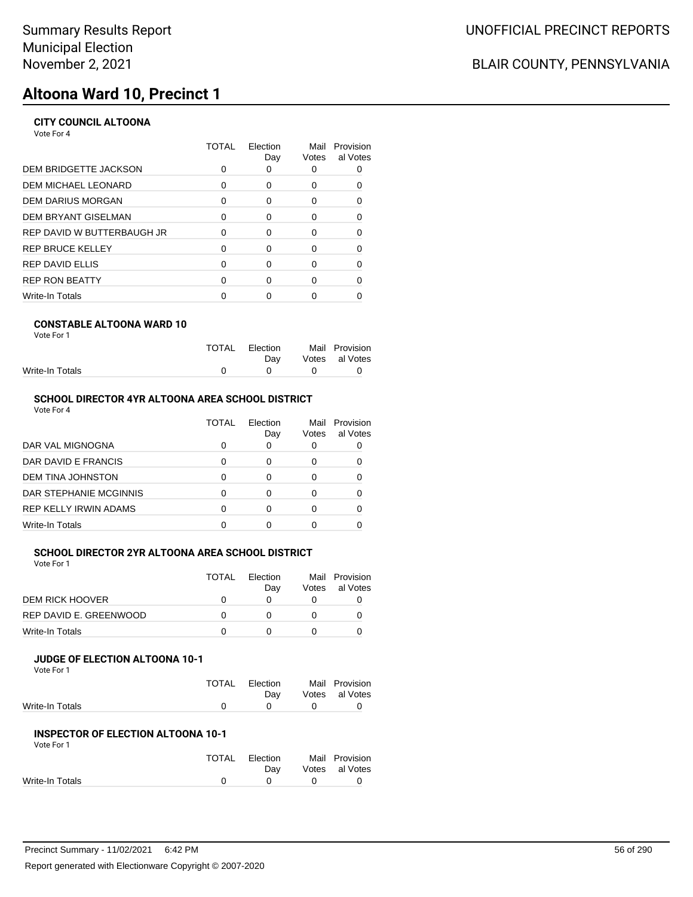# **Altoona Ward 10, Precinct 1**

## **CITY COUNCIL ALTOONA**

Vote For 4

|                              | TOTAL    | Election<br>Day | Mail<br>Votes | Provision<br>al Votes |
|------------------------------|----------|-----------------|---------------|-----------------------|
| <b>DEM BRIDGETTE JACKSON</b> | 0        | 0               |               |                       |
| DEM MICHAEL LEONARD          | 0        | 0               | 0             |                       |
| DEM DARIUS MORGAN            | 0        | $\Omega$        | $\Omega$      | 0                     |
| DEM BRYANT GISELMAN          | 0        | $\Omega$        | 0             |                       |
| REP DAVID W BUTTERBAUGH JR   | $\Omega$ | $\Omega$        | 0             |                       |
| REP BRUCE KELLEY             | 0        | $\Omega$        | 0             | 0                     |
| REP DAVID ELLIS              | 0        | $\Omega$        | 0             |                       |
| <b>REP RON BEATTY</b>        | O        | ∩               | ŋ             |                       |
| Write-In Totals              |          |                 |               |                       |
|                              |          |                 |               |                       |

## **CONSTABLE ALTOONA WARD 10**

| Vote For 1 |  |  |
|------------|--|--|
|            |  |  |

|                 | TOTAL Election |              | Mail Provision |
|-----------------|----------------|--------------|----------------|
|                 | Dav            |              | Votes al Votes |
| Write-In Totals |                | $\mathbf{a}$ |                |
|                 |                |              |                |

## **SCHOOL DIRECTOR 4YR ALTOONA AREA SCHOOL DISTRICT**

| Vote For 4 |  |
|------------|--|
|------------|--|

|                          | TOTAL | Election<br>Day | Mail<br>Votes | Provision<br>al Votes |
|--------------------------|-------|-----------------|---------------|-----------------------|
| DAR VAL MIGNOGNA         |       |                 |               |                       |
| DAR DAVID E FRANCIS      |       |                 | O             |                       |
| <b>DEM TINA JOHNSTON</b> |       |                 |               |                       |
| DAR STEPHANIE MCGINNIS   |       |                 | 0             |                       |
| REP KELLY IRWIN ADAMS    |       |                 | O             |                       |
| Write-In Totals          |       |                 |               |                       |

#### **SCHOOL DIRECTOR 2YR ALTOONA AREA SCHOOL DISTRICT** Vote For 1

|                        | <b>TOTAL</b> | <b>Flection</b><br>Dav | Votes | Mail Provision<br>al Votes |
|------------------------|--------------|------------------------|-------|----------------------------|
| <b>DEM RICK HOOVER</b> |              |                        |       |                            |
| REP DAVID E. GREENWOOD |              |                        |       |                            |
| Write-In Totals        |              |                        |       |                            |

### **JUDGE OF ELECTION ALTOONA 10-1**

Vote For 1

|                 | TOTAL Election | Mail Provision |
|-----------------|----------------|----------------|
|                 | Dav            | Votes al Votes |
| Write-In Totals | $\cap$ $\cap$  |                |

### **INSPECTOR OF ELECTION ALTOONA 10-1**

| Vote For 1      |       |             |             |                |
|-----------------|-------|-------------|-------------|----------------|
|                 | TOTAL | Election    |             | Mail Provision |
|                 |       | Dav         |             | Votes al Votes |
| Write-In Totals | n     | $^{\prime}$ | $^{\prime}$ |                |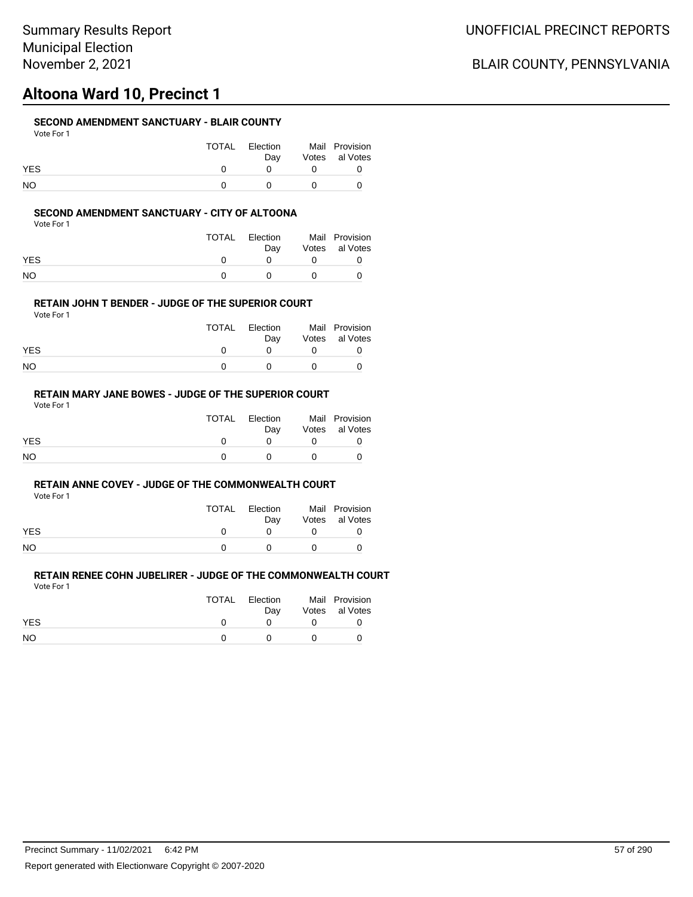# **Altoona Ward 10, Precinct 1**

## **SECOND AMENDMENT SANCTUARY - BLAIR COUNTY**

| Vote For 1 |
|------------|
|------------|

|            | TOTAL | Election<br>Dav | Mail Provision<br>Votes al Votes |
|------------|-------|-----------------|----------------------------------|
| <b>YES</b> |       | <sup>n</sup>    |                                  |
| NO         |       |                 |                                  |

### **SECOND AMENDMENT SANCTUARY - CITY OF ALTOONA**

Vote For 1

|            | TOTAL | Election<br>Dav | Mail Provision<br>Votes al Votes |
|------------|-------|-----------------|----------------------------------|
| <b>YES</b> |       |                 |                                  |
| NΟ         |       | $\mathbf{U}$    |                                  |

### **RETAIN JOHN T BENDER - JUDGE OF THE SUPERIOR COURT**

Vote For 1

|            | TOTAL | Election<br>Dav | Mail Provision<br>Votes al Votes |
|------------|-------|-----------------|----------------------------------|
| <b>YES</b> |       |                 |                                  |
| NO         |       |                 |                                  |

## **RETAIN MARY JANE BOWES - JUDGE OF THE SUPERIOR COURT**

Vote For 1

|            | TOTAL | Election<br>Dav | Mail Provision<br>Votes al Votes |
|------------|-------|-----------------|----------------------------------|
| <b>YES</b> |       |                 |                                  |
| <b>NO</b>  |       |                 |                                  |

### **RETAIN ANNE COVEY - JUDGE OF THE COMMONWEALTH COURT**

Vote For 1

|            | TOTAL | Election | Mail Provision |
|------------|-------|----------|----------------|
|            |       | Dav      | Votes al Votes |
| <b>YES</b> |       |          |                |
| <b>NO</b>  |       |          |                |

|            | TOTAL | Election | Mail Provision |
|------------|-------|----------|----------------|
|            |       | Dav      | Votes al Votes |
| <b>YES</b> |       |          |                |
| NO.        |       |          |                |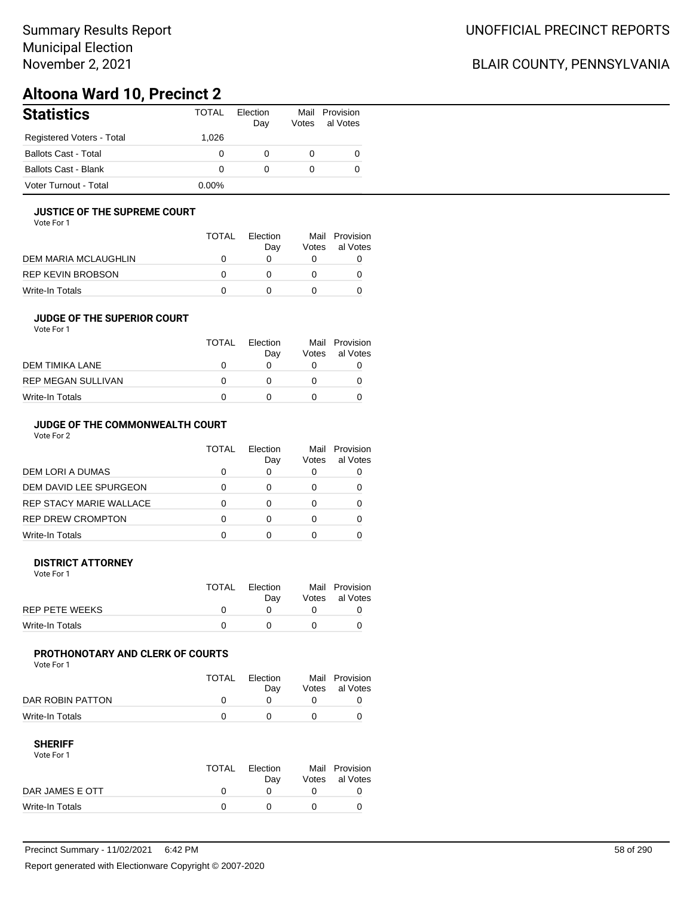# **Altoona Ward 10, Precinct 2**

| <b>Statistics</b>           | TOTAL    | Election<br>Day | Mail<br>Votes | Provision<br>al Votes |
|-----------------------------|----------|-----------------|---------------|-----------------------|
| Registered Voters - Total   | 1.026    |                 |               |                       |
| <b>Ballots Cast - Total</b> | 0        | 0               |               |                       |
| <b>Ballots Cast - Blank</b> | 0        | 0               |               |                       |
| Voter Turnout - Total       | $0.00\%$ |                 |               |                       |

### **JUSTICE OF THE SUPREME COURT**

Vote For 1

|                      | TOTAL | Election<br>Dav | Votes | Mail Provision<br>al Votes |
|----------------------|-------|-----------------|-------|----------------------------|
| DEM MARIA MCLAUGHLIN |       |                 |       |                            |
| REP KEVIN BROBSON    |       |                 |       |                            |
| Write-In Totals      |       |                 |       |                            |

## **JUDGE OF THE SUPERIOR COURT**

| Vote For 1 |  |  |
|------------|--|--|
|            |  |  |

|                           | <b>TOTAL</b> | Election<br>Day | Votes | Mail Provision<br>al Votes |
|---------------------------|--------------|-----------------|-------|----------------------------|
| DEM TIMIKA LANE           |              |                 |       |                            |
| <b>REP MEGAN SULLIVAN</b> |              |                 |       |                            |
| Write-In Totals           |              |                 |       |                            |
|                           |              |                 |       |                            |

## **JUDGE OF THE COMMONWEALTH COURT**

Vote For 2

|                                | TOTAL | Flection<br>Day | Votes | Mail Provision<br>al Votes |
|--------------------------------|-------|-----------------|-------|----------------------------|
| DEM LORI A DUMAS               |       |                 |       |                            |
| DEM DAVID LEE SPURGEON         |       |                 |       |                            |
| <b>REP STACY MARIE WALLACE</b> |       |                 |       |                            |
| <b>REP DREW CROMPTON</b>       |       |                 |       |                            |
| Write-In Totals                |       |                 |       |                            |

### **DISTRICT ATTORNEY**

| Vote For 1      |              |                 |                                  |
|-----------------|--------------|-----------------|----------------------------------|
|                 | <b>TOTAL</b> | Election<br>Dav | Mail Provision<br>Votes al Votes |
| REP PETE WEEKS  |              |                 |                                  |
| Write-In Totals |              |                 |                                  |

## **PROTHONOTARY AND CLERK OF COURTS**

Vote For 1

|                  | <b>TOTAL</b> | Election<br>Dav | Mail Provision<br>Votes al Votes |
|------------------|--------------|-----------------|----------------------------------|
| DAR ROBIN PATTON |              |                 |                                  |
| Write-In Totals  |              |                 |                                  |

| Vote For 1      |       |                 |                |
|-----------------|-------|-----------------|----------------|
|                 | TOTAL | <b>Flection</b> | Mail Provision |
|                 |       | Dav             | Votes al Votes |
| DAR JAMES E OTT |       |                 |                |
| Write-In Totals |       |                 |                |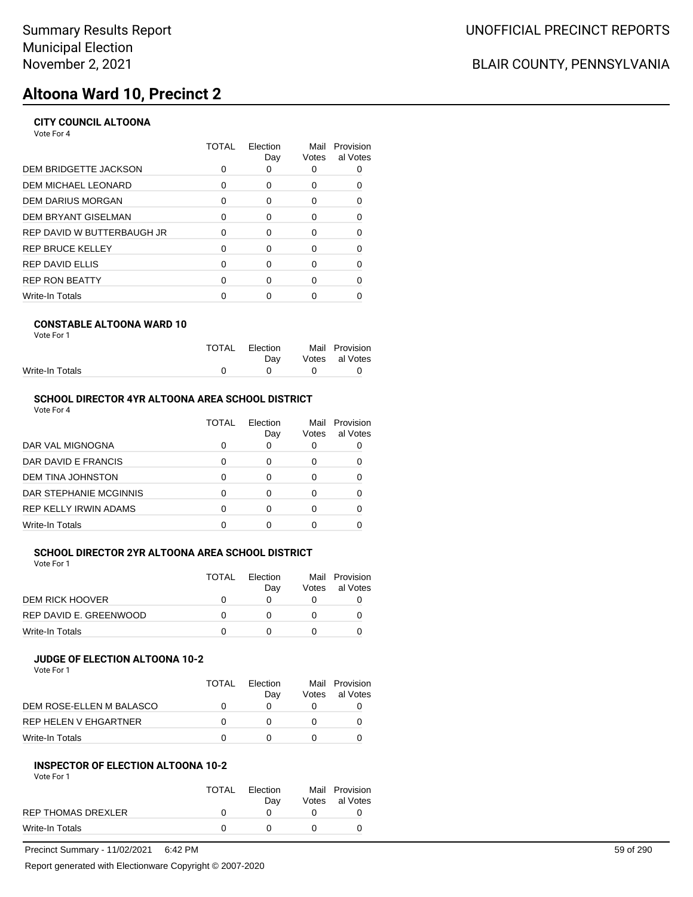# **Altoona Ward 10, Precinct 2**

## **CITY COUNCIL ALTOONA**

Vote For 4

|                              | TOTAL | Election<br>Day | Mail<br>Votes | Provision<br>al Votes |
|------------------------------|-------|-----------------|---------------|-----------------------|
| <b>DEM BRIDGETTE JACKSON</b> |       |                 | 0             |                       |
| DEM MICHAEL LEONARD          | 0     | 0               | 0             |                       |
| DEM DARIUS MORGAN            | 0     | $\Omega$        | O             | 0                     |
| DEM BRYANT GISELMAN          | 0     | $\Omega$        | 0             | 0                     |
| REP DAVID W BUTTERBAUGH JR   | O     | $\Omega$        | 0             | 0                     |
| REP BRUCE KELLEY             | 0     | $\Omega$        | 0             | 0                     |
| REP DAVID ELLIS              | O     | 0               | 0             | 0                     |
| <b>REP RON BEATTY</b>        | ∩     | $\Omega$        | O             | O                     |
| Write-In Totals              |       |                 |               |                       |
|                              |       |                 |               |                       |

## **CONSTABLE ALTOONA WARD 10**

| Vote For 1 |  |
|------------|--|
|------------|--|

|                 | TOTAL Election |              | Mail Provision |
|-----------------|----------------|--------------|----------------|
|                 | Dav            |              | Votes al Votes |
| Write-In Totals |                | $\mathbf{u}$ |                |
|                 |                |              |                |

## **SCHOOL DIRECTOR 4YR ALTOONA AREA SCHOOL DISTRICT**

|                              | TOTAL | Flection<br>Day | Mail<br>Votes | Provision<br>al Votes |
|------------------------------|-------|-----------------|---------------|-----------------------|
| DAR VAL MIGNOGNA             |       |                 | 0             |                       |
| DAR DAVID E FRANCIS          |       |                 | O             |                       |
| <b>DEM TINA JOHNSTON</b>     |       |                 | 0             |                       |
| DAR STEPHANIE MCGINNIS       |       |                 |               |                       |
| <b>REP KELLY IRWIN ADAMS</b> |       |                 | 0             |                       |
| Write-In Totals              |       |                 |               |                       |

#### **SCHOOL DIRECTOR 2YR ALTOONA AREA SCHOOL DISTRICT** Vote For 1

|                        | <b>TOTAL</b> | Election<br>Dav | Votes | Mail Provision<br>al Votes |
|------------------------|--------------|-----------------|-------|----------------------------|
| <b>DEM RICK HOOVER</b> |              |                 |       |                            |
| REP DAVID E. GREENWOOD |              |                 |       |                            |
| Write-In Totals        |              |                 |       |                            |

### **JUDGE OF ELECTION ALTOONA 10-2**

Vote For 1

|                              | TOTAL | Flection<br>Dav | Votes | Mail Provision<br>al Votes |
|------------------------------|-------|-----------------|-------|----------------------------|
| DEM ROSE-ELLEN M BALASCO     |       |                 |       |                            |
| <b>REP HELEN V EHGARTNER</b> |       |                 |       |                            |
| Write-In Totals              |       |                 |       |                            |

### **INSPECTOR OF ELECTION ALTOONA 10-2**

Vote For 1

|                    | <b>TOTAL</b> | Election<br>Dav | Mail Provision<br>Votes al Votes |
|--------------------|--------------|-----------------|----------------------------------|
| REP THOMAS DREXLER | $^{\prime}$  |                 |                                  |
| Write-In Totals    | <sup>n</sup> | $\bigcap$       |                                  |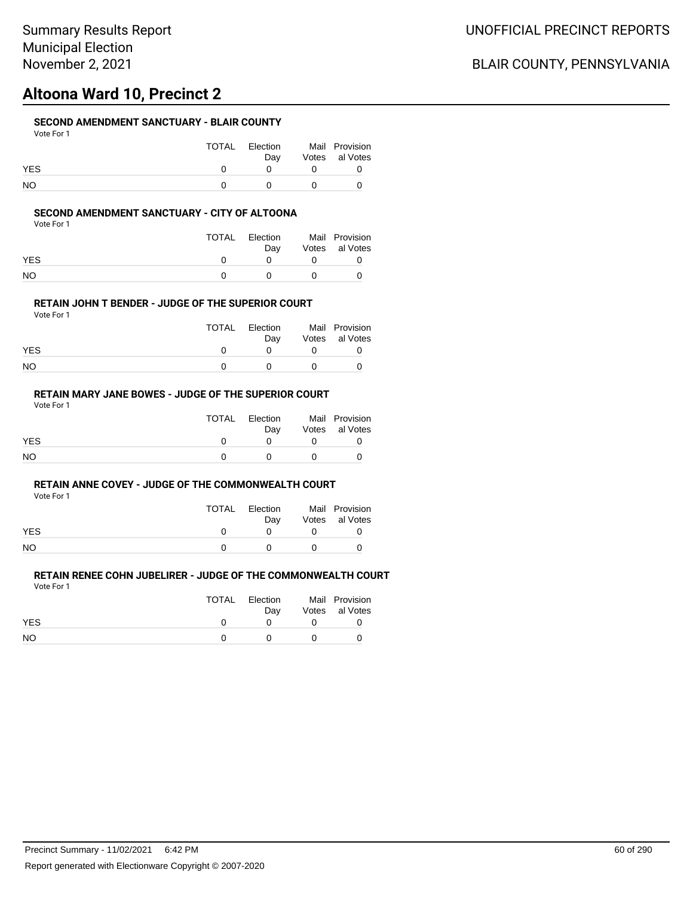# **Altoona Ward 10, Precinct 2**

## **SECOND AMENDMENT SANCTUARY - BLAIR COUNTY**

| Vote For |  |
|----------|--|
|          |  |

|            | TOTAL | Election<br>Dav | Mail Provision<br>Votes al Votes |
|------------|-------|-----------------|----------------------------------|
| <b>YES</b> |       |                 |                                  |
| NO.        |       |                 |                                  |

### **SECOND AMENDMENT SANCTUARY - CITY OF ALTOONA**

Vote For 1

|            | TOTAL | Election<br>Dav | Mail Provision<br>Votes al Votes |
|------------|-------|-----------------|----------------------------------|
| <b>YES</b> |       |                 |                                  |
| NΟ         |       | $\mathbf{U}$    |                                  |

### **RETAIN JOHN T BENDER - JUDGE OF THE SUPERIOR COURT**

Vote For 1

|            | TOTAL | Election<br>Dav | Mail Provision<br>Votes al Votes |
|------------|-------|-----------------|----------------------------------|
| <b>YES</b> |       |                 |                                  |
| NO         |       |                 |                                  |

## **RETAIN MARY JANE BOWES - JUDGE OF THE SUPERIOR COURT**

Vote For 1

|            | TOTAL | Election<br>Dav | Mail Provision<br>Votes al Votes |
|------------|-------|-----------------|----------------------------------|
| <b>YES</b> |       |                 |                                  |
| <b>NO</b>  |       |                 |                                  |

### **RETAIN ANNE COVEY - JUDGE OF THE COMMONWEALTH COURT**

Vote For 1

|            | TOTAL | Election | Mail Provision |
|------------|-------|----------|----------------|
|            |       | Dav      | Votes al Votes |
| <b>YES</b> |       |          |                |
| <b>NO</b>  |       |          |                |

|            | TOTAL | Election | Mail Provision |
|------------|-------|----------|----------------|
|            |       | Dav      | Votes al Votes |
| <b>YES</b> |       |          |                |
| NO.        |       |          |                |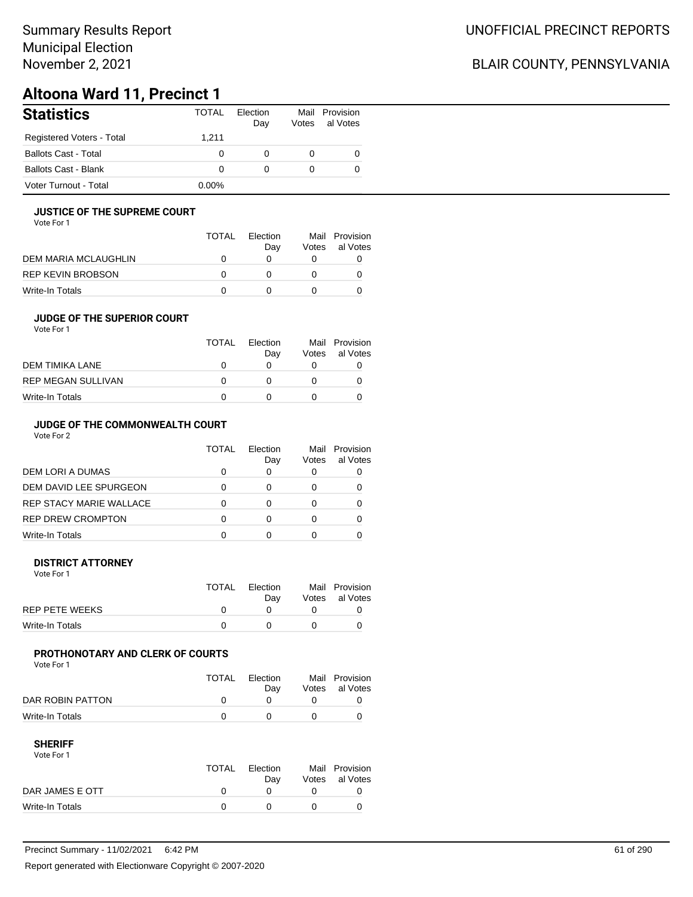# **Altoona Ward 11, Precinct 1**

| <b>Statistics</b>           | TOTAL    | Election<br>Day | Mail<br>Votes | Provision<br>al Votes |
|-----------------------------|----------|-----------------|---------------|-----------------------|
| Registered Voters - Total   | 1.211    |                 |               |                       |
| <b>Ballots Cast - Total</b> | 0        | $\Omega$        |               |                       |
| <b>Ballots Cast - Blank</b> | 0        | $\Omega$        |               |                       |
| Voter Turnout - Total       | $0.00\%$ |                 |               |                       |

### **JUSTICE OF THE SUPREME COURT**

Vote For 1

|                      | TOTAL | Election<br>Dav | Votes | Mail Provision<br>al Votes |
|----------------------|-------|-----------------|-------|----------------------------|
| DEM MARIA MCLAUGHLIN |       |                 |       |                            |
| REP KEVIN BROBSON    |       |                 |       |                            |
| Write-In Totals      |       |                 |       |                            |

## **JUDGE OF THE SUPERIOR COURT**

| Vote For 1 |  |  |
|------------|--|--|
|            |  |  |

|                           | <b>TOTAL</b> | Election<br>Day | Votes | Mail Provision<br>al Votes |
|---------------------------|--------------|-----------------|-------|----------------------------|
| DEM TIMIKA LANE           |              |                 |       |                            |
| <b>REP MEGAN SULLIVAN</b> |              |                 |       |                            |
| Write-In Totals           |              |                 |       |                            |
|                           |              |                 |       |                            |

## **JUDGE OF THE COMMONWEALTH COURT**

Vote For 2

|                                | TOTAL | Flection<br>Day | Votes | Mail Provision<br>al Votes |
|--------------------------------|-------|-----------------|-------|----------------------------|
| DEM LORI A DUMAS               |       |                 |       |                            |
| DEM DAVID LEE SPURGEON         |       |                 |       |                            |
| <b>REP STACY MARIE WALLACE</b> |       |                 |       |                            |
| <b>REP DREW CROMPTON</b>       | O     |                 |       |                            |
| <b>Write-In Totals</b>         |       |                 |       |                            |

### **DISTRICT ATTORNEY**

| Vote For 1      |              |                 |                                  |
|-----------------|--------------|-----------------|----------------------------------|
|                 | <b>TOTAL</b> | Election<br>Dav | Mail Provision<br>Votes al Votes |
| REP PETE WEEKS  |              |                 |                                  |
| Write-In Totals |              |                 |                                  |

## **PROTHONOTARY AND CLERK OF COURTS**

Vote For 1

|                  | <b>TOTAL</b> | Election<br>Dav | Mail Provision<br>Votes al Votes |
|------------------|--------------|-----------------|----------------------------------|
| DAR ROBIN PATTON |              |                 |                                  |
| Write-In Totals  |              |                 |                                  |

| Vote For 1      |       |                 |                |
|-----------------|-------|-----------------|----------------|
|                 | TOTAL | <b>Flection</b> | Mail Provision |
|                 |       | Dav             | Votes al Votes |
| DAR JAMES E OTT |       |                 |                |
| Write-In Totals |       |                 |                |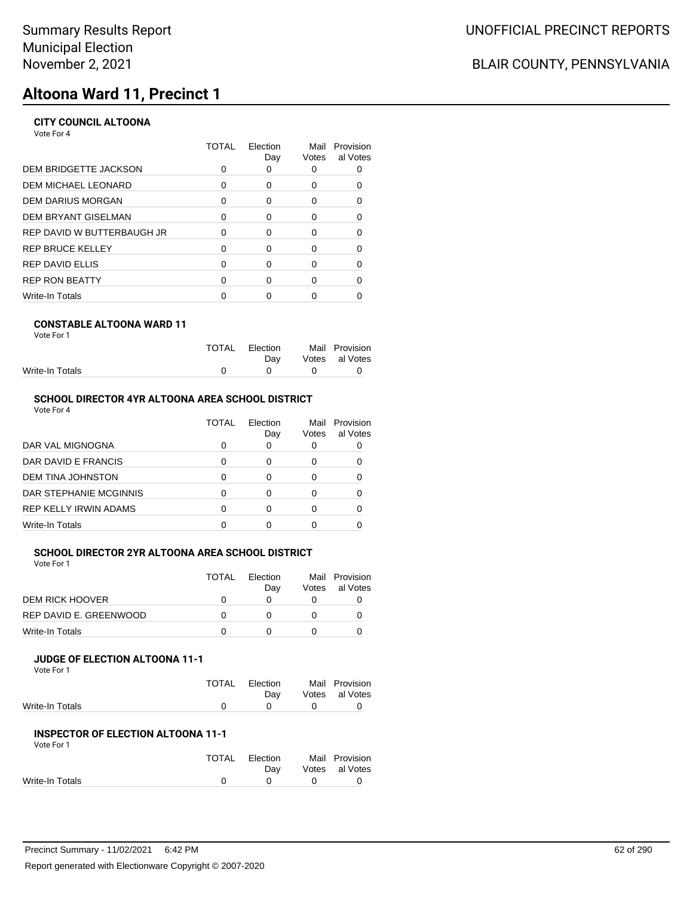# **Altoona Ward 11, Precinct 1**

## **CITY COUNCIL ALTOONA**

Vote For 4

|                              | TOTAL    | Election<br>Day | Mail<br>Votes | Provision<br>al Votes |
|------------------------------|----------|-----------------|---------------|-----------------------|
| <b>DEM BRIDGETTE JACKSON</b> | 0        | 0               |               |                       |
| DEM MICHAEL LEONARD          | 0        | 0               | 0             |                       |
| DEM DARIUS MORGAN            | 0        | $\Omega$        | $\Omega$      | 0                     |
| DEM BRYANT GISELMAN          | 0        | $\Omega$        | 0             |                       |
| REP DAVID W BUTTERBAUGH JR   | $\Omega$ | $\Omega$        | 0             |                       |
| REP BRUCE KELLEY             | 0        | $\Omega$        | 0             | 0                     |
| REP DAVID ELLIS              | 0        | $\Omega$        | 0             |                       |
| <b>REP RON BEATTY</b>        | O        | ∩               | ŋ             |                       |
| Write-In Totals              |          |                 |               |                       |
|                              |          |                 |               |                       |

## **CONSTABLE ALTOONA WARD 11**

| Vote For 1 |  |
|------------|--|
|------------|--|

|                 | TOTAL Election |        | Mail Provision |
|-----------------|----------------|--------|----------------|
|                 | Dav            |        | Votes al Votes |
| Write-In Totals | $\overline{0}$ | $\cap$ |                |
|                 |                |        |                |

## **SCHOOL DIRECTOR 4YR ALTOONA AREA SCHOOL DISTRICT**

| Vote For 4 |  |
|------------|--|
|------------|--|

|                              | TOTAL | Flection<br>Day | Mail<br>Votes | Provision<br>al Votes |
|------------------------------|-------|-----------------|---------------|-----------------------|
| DAR VAL MIGNOGNA             |       |                 | 0             |                       |
| DAR DAVID E FRANCIS          |       |                 | O             |                       |
| <b>DEM TINA JOHNSTON</b>     |       |                 | 0             |                       |
| DAR STEPHANIE MCGINNIS       |       |                 |               |                       |
| <b>REP KELLY IRWIN ADAMS</b> |       |                 | 0             |                       |
| Write-In Totals              |       |                 |               |                       |

#### **SCHOOL DIRECTOR 2YR ALTOONA AREA SCHOOL DISTRICT** Vote For 1

| Vote For 1             |              |          |                |
|------------------------|--------------|----------|----------------|
|                        | TOTAL        | Flection | Mail Provision |
|                        |              | Dav      | Votes al Votes |
| <b>DEM RICK HOOVER</b> | $\mathbf{I}$ |          |                |
| REP DAVID E. GREENWOOD |              |          |                |
|                        |              |          |                |

Write-In Totals 0 0 0 0

## **JUDGE OF ELECTION ALTOONA 11-1**

Vote For 1

|                 | TOTAL Election<br>Dav |        | Mail Provision<br>Votes al Votes |
|-----------------|-----------------------|--------|----------------------------------|
| Write-In Totals | $\mathbf{0}$          | $\cap$ |                                  |

## **INSPECTOR OF ELECTION ALTOONA 11-1**

| TOTAL | Election | Mail Provision |
|-------|----------|----------------|
|       | Dav      | Votes al Votes |
| O     |          |                |
|       |          |                |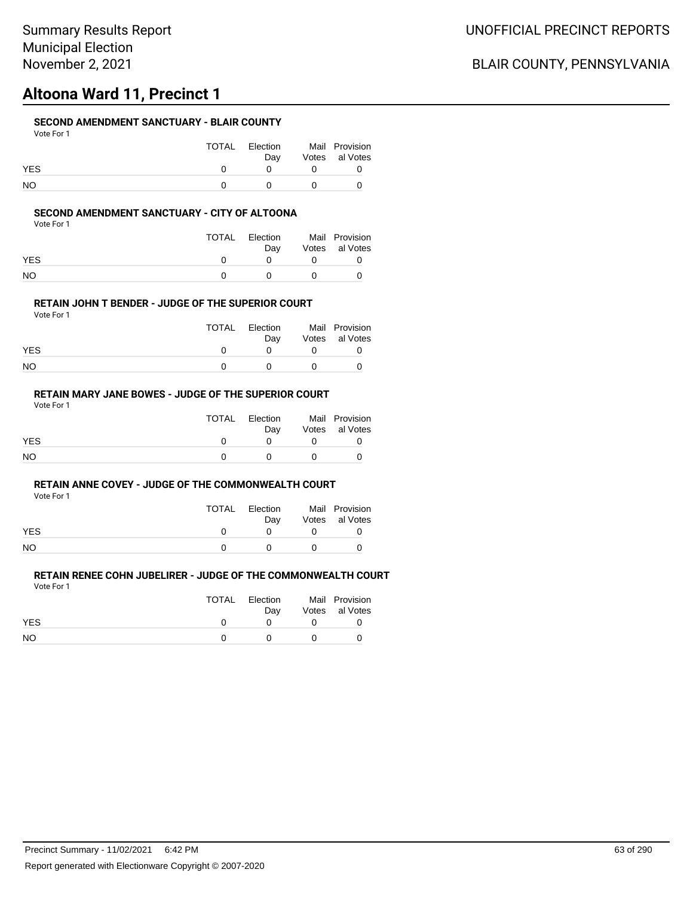# **Altoona Ward 11, Precinct 1**

## **SECOND AMENDMENT SANCTUARY - BLAIR COUNTY**

| Vote For |  |
|----------|--|
|          |  |

|            | TOTAL | Election<br>Dav | Mail Provision<br>Votes al Votes |
|------------|-------|-----------------|----------------------------------|
| <b>YES</b> |       |                 |                                  |
| NO.        |       |                 |                                  |

### **SECOND AMENDMENT SANCTUARY - CITY OF ALTOONA**

Vote For 1

|            | TOTAL | Election<br>Dav | Mail Provision<br>Votes al Votes |
|------------|-------|-----------------|----------------------------------|
| <b>YES</b> |       |                 |                                  |
| NΟ         |       | $\mathbf{U}$    |                                  |

### **RETAIN JOHN T BENDER - JUDGE OF THE SUPERIOR COURT**

Vote For 1

|            | TOTAL | Election<br>Dav | Mail Provision<br>Votes al Votes |
|------------|-------|-----------------|----------------------------------|
| <b>YES</b> |       |                 |                                  |
| NO         |       |                 |                                  |

## **RETAIN MARY JANE BOWES - JUDGE OF THE SUPERIOR COURT**

Vote For 1

|            | TOTAL | Election<br>Dav | Mail Provision<br>Votes al Votes |
|------------|-------|-----------------|----------------------------------|
| <b>YES</b> |       |                 |                                  |
| <b>NO</b>  |       |                 |                                  |

### **RETAIN ANNE COVEY - JUDGE OF THE COMMONWEALTH COURT**

Vote For 1

|            | <b>TOTAL</b> | Election | Mail Provision |
|------------|--------------|----------|----------------|
|            |              | Dav      | Votes al Votes |
| <b>YES</b> |              |          |                |
| <b>NO</b>  |              |          |                |

| .          |       |                 |                                  |
|------------|-------|-----------------|----------------------------------|
|            | TOTAL | Election<br>Dav | Mail Provision<br>Votes al Votes |
| <b>YES</b> |       |                 |                                  |
| NO.        |       |                 |                                  |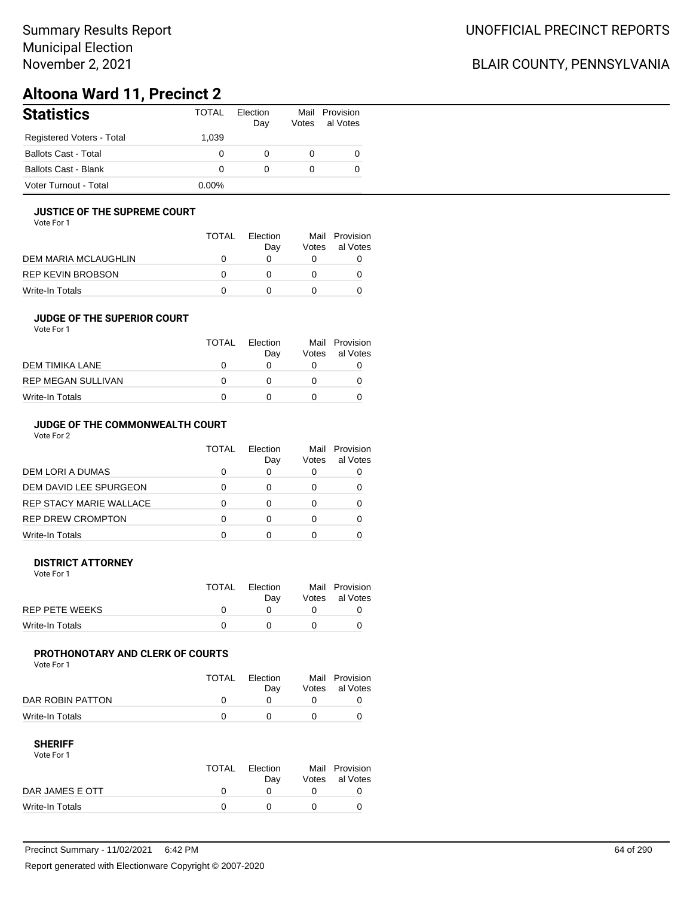# **Altoona Ward 11, Precinct 2**

| <b>Statistics</b>           | TOTAL | Election<br>Day | Mail<br>Votes | Provision<br>al Votes |
|-----------------------------|-------|-----------------|---------------|-----------------------|
| Registered Voters - Total   | 1.039 |                 |               |                       |
| <b>Ballots Cast - Total</b> | 0     | 0               | 0             | 0                     |
| Ballots Cast - Blank        | 0     | 0               | 0             | 0                     |
| Voter Turnout - Total       | 0.00% |                 |               |                       |

### **JUSTICE OF THE SUPREME COURT**

Vote For 1

|                      | TOTAL | Election<br>Dav | Votes | Mail Provision<br>al Votes |
|----------------------|-------|-----------------|-------|----------------------------|
| DEM MARIA MCLAUGHLIN |       |                 |       |                            |
| REP KEVIN BROBSON    |       |                 |       |                            |
| Write-In Totals      |       |                 |       |                            |

## **JUDGE OF THE SUPERIOR COURT**

| Vote For 1 |  |  |
|------------|--|--|
|            |  |  |

|                           | <b>TOTAL</b> | Election<br>Day | Votes | Mail Provision<br>al Votes |
|---------------------------|--------------|-----------------|-------|----------------------------|
| DEM TIMIKA LANE           |              |                 |       |                            |
| <b>REP MEGAN SULLIVAN</b> |              |                 |       |                            |
| Write-In Totals           |              |                 |       |                            |
|                           |              |                 |       |                            |

## **JUDGE OF THE COMMONWEALTH COURT**

Vote For 2

|                                | TOTAL | Flection<br>Day | Votes | Mail Provision<br>al Votes |
|--------------------------------|-------|-----------------|-------|----------------------------|
| DEM LORI A DUMAS               |       |                 |       |                            |
| DEM DAVID LEE SPURGEON         |       |                 |       |                            |
| <b>REP STACY MARIE WALLACE</b> |       |                 |       |                            |
| <b>REP DREW CROMPTON</b>       |       |                 |       |                            |
| Write-In Totals                |       |                 |       |                            |

### **DISTRICT ATTORNEY**

| Vote For 1            |             |                 |                                  |
|-----------------------|-------------|-----------------|----------------------------------|
|                       | TOTAL       | Election<br>Dav | Mail Provision<br>Votes al Votes |
| <b>REP PETE WEEKS</b> | $^{\prime}$ |                 |                                  |
| Write-In Totals       |             |                 |                                  |

## **PROTHONOTARY AND CLERK OF COURTS**

Vote For 1

|                  | <b>TOTAL</b> | Election<br>Dav | Mail Provision<br>Votes al Votes |
|------------------|--------------|-----------------|----------------------------------|
| DAR ROBIN PATTON |              |                 |                                  |
| Write-In Totals  |              |                 |                                  |

| Vote For 1      |       |                 |                |
|-----------------|-------|-----------------|----------------|
|                 | TOTAL | <b>Flection</b> | Mail Provision |
|                 |       | Dav             | Votes al Votes |
| DAR JAMES E OTT |       |                 |                |
| Write-In Totals |       |                 |                |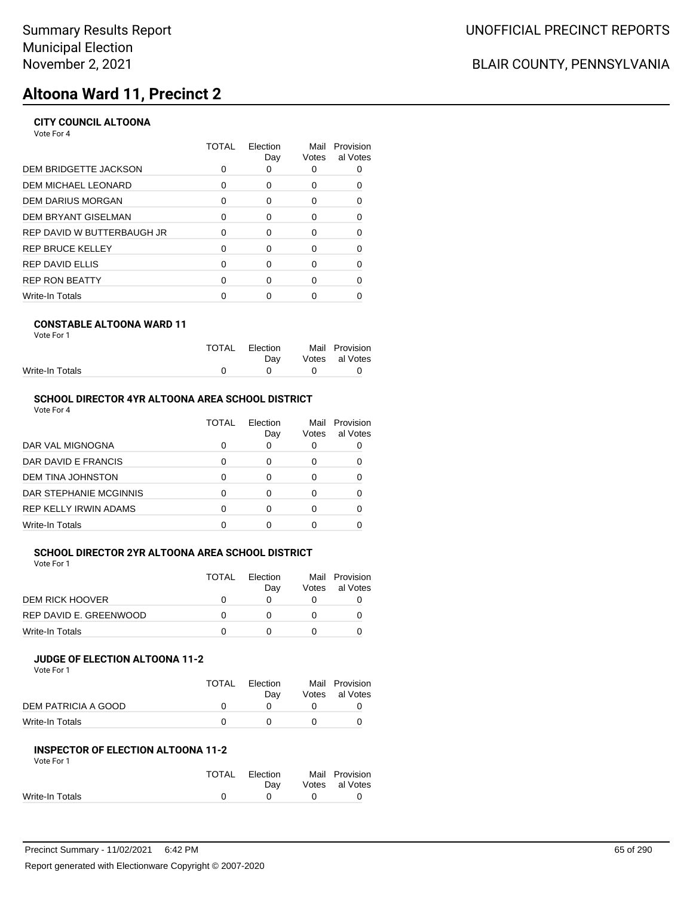# **Altoona Ward 11, Precinct 2**

## **CITY COUNCIL ALTOONA**

Vote For 4

|                              | TOTAL | Election<br>Day | Mail<br>Votes | Provision<br>al Votes |
|------------------------------|-------|-----------------|---------------|-----------------------|
| <b>DEM BRIDGETTE JACKSON</b> | 0     | O               |               |                       |
| DEM MICHAEL LEONARD          | 0     | 0               | 0             |                       |
| DEM DARIUS MORGAN            | 0     | $\Omega$        | 0             | 0                     |
| DEM BRYANT GISELMAN          | 0     | $\Omega$        | 0             |                       |
| REP DAVID W BUTTERBAUGH JR   | 0     | $\Omega$        | 0             |                       |
| REP BRUCE KELLEY             | 0     | $\Omega$        | 0             | 0                     |
| REP DAVID ELLIS              | 0     | $\Omega$        | 0             |                       |
| <b>REP RON BEATTY</b>        | O     | $\Omega$        | O             |                       |
| Write-In Totals              |       |                 |               |                       |
|                              |       |                 |               |                       |

## **CONSTABLE ALTOONA WARD 11**

| Vote For 1 |  |
|------------|--|
|------------|--|

|                 | TOTAL Election |        | Mail Provision |
|-----------------|----------------|--------|----------------|
|                 | Dav            |        | Votes al Votes |
| Write-In Totals | $\overline{0}$ | $\cap$ |                |
|                 |                |        |                |

## **SCHOOL DIRECTOR 4YR ALTOONA AREA SCHOOL DISTRICT**

| Vote For 4 |  |
|------------|--|
|------------|--|

|                              | TOTAL | Flection<br>Day | Mail<br>Votes | Provision<br>al Votes |
|------------------------------|-------|-----------------|---------------|-----------------------|
| DAR VAL MIGNOGNA             |       |                 | 0             |                       |
| DAR DAVID E FRANCIS          |       |                 | O             |                       |
| <b>DEM TINA JOHNSTON</b>     |       |                 | 0             |                       |
| DAR STEPHANIE MCGINNIS       |       |                 |               |                       |
| <b>REP KELLY IRWIN ADAMS</b> |       |                 | 0             |                       |
| Write-In Totals              |       |                 |               |                       |

#### **SCHOOL DIRECTOR 2YR ALTOONA AREA SCHOOL DISTRICT** Vote For 1

|                        | TOTAL | Flection<br>Dav | Votes | Mail Provision<br>al Votes |
|------------------------|-------|-----------------|-------|----------------------------|
| <b>DEM RICK HOOVER</b> |       |                 |       |                            |
| REP DAVID E. GREENWOOD |       |                 |       |                            |
| Write-In Totals        |       |                 |       |                            |

### **JUDGE OF ELECTION ALTOONA 11-2**

Vote For 1

|                     | TOTAL | Election<br>Dav | Mail Provision<br>Votes al Votes |
|---------------------|-------|-----------------|----------------------------------|
| DEM PATRICIA A GOOD |       |                 |                                  |
| Write-In Totals     |       |                 |                                  |

#### **INSPECTOR OF ELECTION ALTOONA 11-2** Vote For 1

| 1 U U U         |       |          |              |                |
|-----------------|-------|----------|--------------|----------------|
|                 | TOTAL | Election |              | Mail Provision |
|                 |       | Dav      |              | Votes al Votes |
| Write-In Totals |       |          | <sup>n</sup> |                |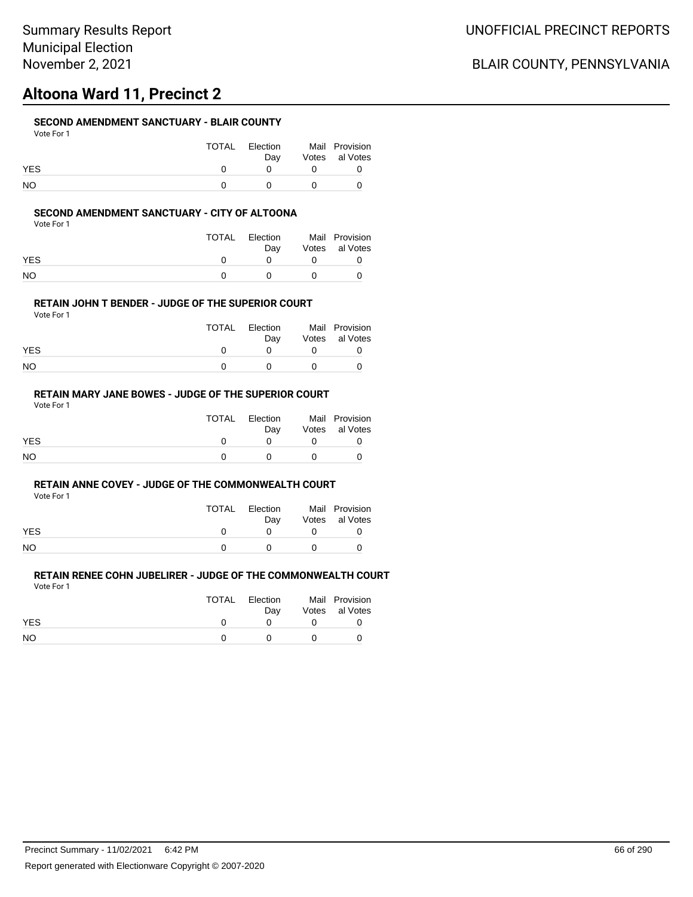# **Altoona Ward 11, Precinct 2**

## **SECOND AMENDMENT SANCTUARY - BLAIR COUNTY**

| Vote For 1 |
|------------|
|------------|

|            | TOTAL Election<br>Dav | Mail Provision<br>Votes al Votes |
|------------|-----------------------|----------------------------------|
| <b>YES</b> |                       |                                  |
| <b>NO</b>  |                       |                                  |

### **SECOND AMENDMENT SANCTUARY - CITY OF ALTOONA**

Vote For 1

|            | TOTAL | Election<br>Dav | Mail Provision<br>Votes al Votes |
|------------|-------|-----------------|----------------------------------|
| <b>YES</b> |       |                 |                                  |
| NΟ         |       | $\mathbf{U}$    |                                  |

### **RETAIN JOHN T BENDER - JUDGE OF THE SUPERIOR COURT**

Vote For 1

|            | TOTAL | Election<br>Dav | Mail Provision<br>Votes al Votes |
|------------|-------|-----------------|----------------------------------|
| <b>YES</b> |       |                 |                                  |
| NO         |       |                 |                                  |

## **RETAIN MARY JANE BOWES - JUDGE OF THE SUPERIOR COURT**

Vote For 1

|            | TOTAL | Election<br>Dav | Mail Provision<br>Votes al Votes |
|------------|-------|-----------------|----------------------------------|
| <b>YES</b> |       |                 |                                  |
| <b>NO</b>  |       |                 |                                  |

### **RETAIN ANNE COVEY - JUDGE OF THE COMMONWEALTH COURT**

Vote For 1

|            | <b>TOTAL</b> | Election | Mail Provision |
|------------|--------------|----------|----------------|
|            |              | Dav      | Votes al Votes |
| <b>YES</b> |              |          |                |
| <b>NO</b>  |              |          |                |

| .          |       |          |                |
|------------|-------|----------|----------------|
|            | TOTAL | Election | Mail Provision |
|            |       | Dav      | Votes al Votes |
| <b>YES</b> |       |          |                |
| NO.        |       |          |                |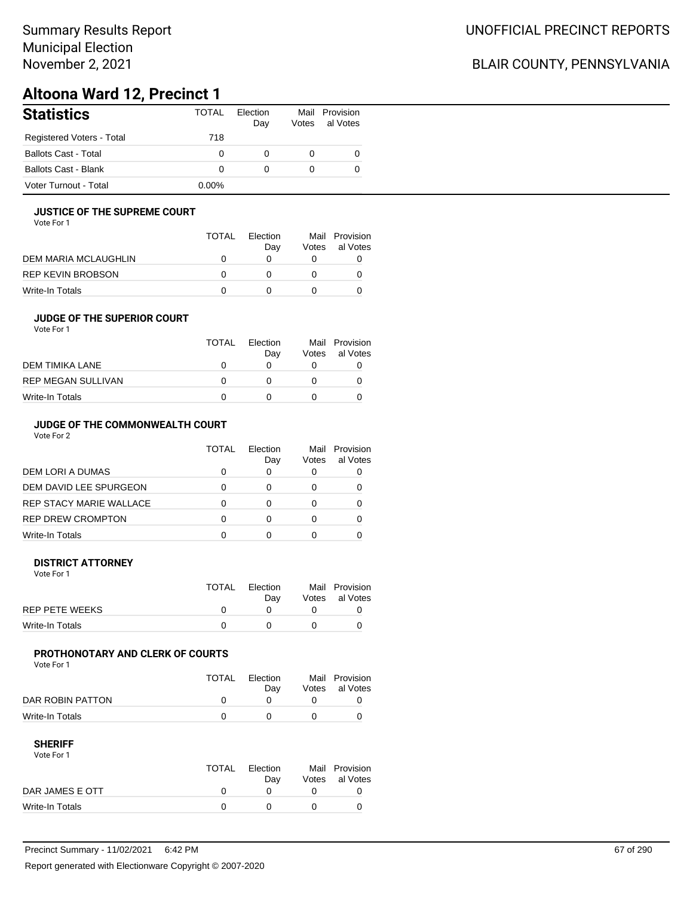# **Altoona Ward 12, Precinct 1**

| <b>Statistics</b>           | TOTAL    | Election<br>Day | Votes | Mail Provision<br>al Votes |
|-----------------------------|----------|-----------------|-------|----------------------------|
| Registered Voters - Total   | 718      |                 |       |                            |
| <b>Ballots Cast - Total</b> | 0        | $\Omega$        |       |                            |
| Ballots Cast - Blank        | 0        | $\Omega$        | 0     |                            |
| Voter Turnout - Total       | $0.00\%$ |                 |       |                            |

### **JUSTICE OF THE SUPREME COURT**

Vote For 1

|                      | TOTAL | Election<br>Dav | Votes | Mail Provision<br>al Votes |
|----------------------|-------|-----------------|-------|----------------------------|
| DEM MARIA MCLAUGHLIN |       |                 |       |                            |
| REP KEVIN BROBSON    |       |                 |       |                            |
| Write-In Totals      |       |                 |       |                            |

### **JUDGE OF THE SUPERIOR COURT**

| Vote For 1 |  |  |
|------------|--|--|
|            |  |  |

| Dav | Votes | Mail Provision<br>al Votes |
|-----|-------|----------------------------|
|     |       |                            |
|     |       |                            |
|     |       |                            |
|     |       | <b>TOTAL</b><br>Election   |

## **JUDGE OF THE COMMONWEALTH COURT**

Vote For 2

|                                | TOTAL | Flection<br>Day | Votes | Mail Provision<br>al Votes |
|--------------------------------|-------|-----------------|-------|----------------------------|
| DEM LORI A DUMAS               |       |                 |       |                            |
| DEM DAVID LEE SPURGEON         |       |                 |       |                            |
| <b>REP STACY MARIE WALLACE</b> |       |                 |       |                            |
| <b>REP DREW CROMPTON</b>       |       |                 |       |                            |
| Write-In Totals                |       |                 |       |                            |

### **DISTRICT ATTORNEY**

| Vote For 1      |              |                 |                                  |
|-----------------|--------------|-----------------|----------------------------------|
|                 | <b>TOTAL</b> | Election<br>Dav | Mail Provision<br>Votes al Votes |
| REP PETE WEEKS  |              |                 |                                  |
| Write-In Totals |              |                 |                                  |

## **PROTHONOTARY AND CLERK OF COURTS**

Vote For 1

|                  | <b>TOTAL</b> | Election<br>Dav | Mail Provision<br>Votes al Votes |
|------------------|--------------|-----------------|----------------------------------|
| DAR ROBIN PATTON |              |                 |                                  |
| Write-In Totals  |              |                 |                                  |

| Vote For 1      |       |          |                |
|-----------------|-------|----------|----------------|
|                 | TOTAL | Election | Mail Provision |
|                 |       | Dav      | Votes al Votes |
| DAR JAMES E OTT |       |          |                |
| Write-In Totals |       |          |                |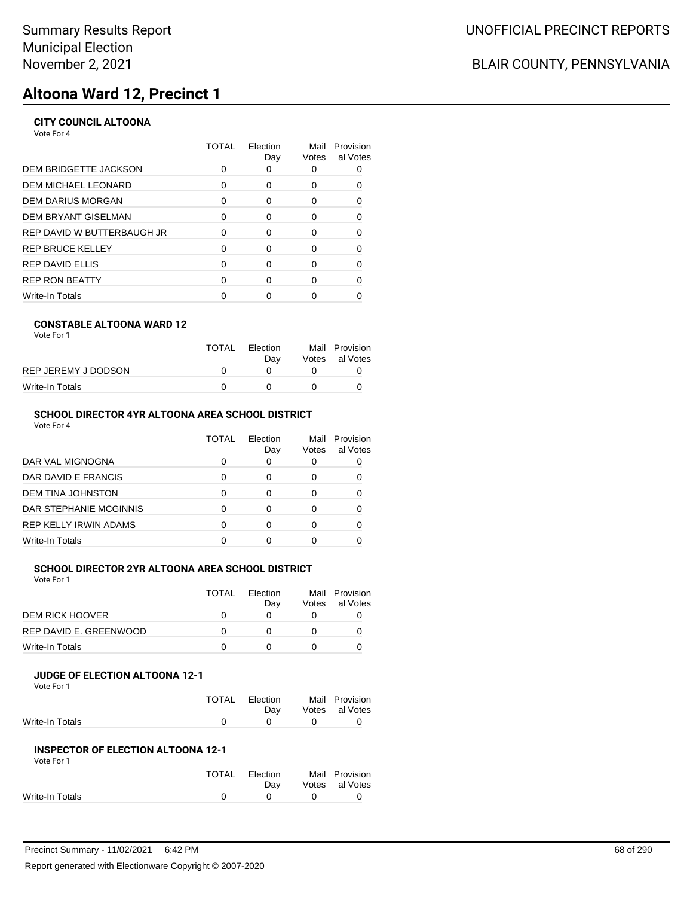# **Altoona Ward 12, Precinct 1**

## **CITY COUNCIL ALTOONA**

Vote For 4

|                            | TOTAL | Election<br>Day | Mail<br>Votes | Provision<br>al Votes |
|----------------------------|-------|-----------------|---------------|-----------------------|
| DEM BRIDGETTE JACKSON      | 0     | O               |               |                       |
| DEM MICHAEL LEONARD        | 0     | 0               | 0             |                       |
| DEM DARIUS MORGAN          | 0     | $\Omega$        | 0             | 0                     |
| DEM BRYANT GISELMAN        | 0     | 0               | 0             |                       |
| REP DAVID W BUTTERBAUGH JR | 0     | $\Omega$        | 0             |                       |
| REP BRUCE KELLEY           | O     | $\Omega$        | O             |                       |
| REP DAVID ELLIS            | 0     | $\Omega$        | O             |                       |
| <b>REP RON BEATTY</b>      | ∩     | $\Omega$        | ∩             |                       |
| Write-In Totals            |       |                 |               |                       |
|                            |       |                 |               |                       |

## **CONSTABLE ALTOONA WARD 12**

| Vote For 1 |  |  |
|------------|--|--|
|------------|--|--|

|                     | TOTAL | Election<br>Dav | Mail Provision<br>Votes al Votes |
|---------------------|-------|-----------------|----------------------------------|
| REP JEREMY J DODSON |       |                 |                                  |
| Write-In Totals     |       | $^{\circ}$      |                                  |

## **SCHOOL DIRECTOR 4YR ALTOONA AREA SCHOOL DISTRICT**

Vote For 4

|                              | TOTAL | Flection<br>Day | Mail<br>Votes | Provision<br>al Votes |
|------------------------------|-------|-----------------|---------------|-----------------------|
| DAR VAL MIGNOGNA             |       | 0               |               |                       |
| DAR DAVID E FRANCIS          |       |                 | O             |                       |
| DEM TINA JOHNSTON            |       |                 |               |                       |
| DAR STEPHANIE MCGINNIS       |       |                 | Ω             |                       |
| <b>REP KELLY IRWIN ADAMS</b> |       | ∩               |               |                       |
| <b>Write-In Totals</b>       |       |                 |               |                       |

#### **SCHOOL DIRECTOR 2YR ALTOONA AREA SCHOOL DISTRICT**  $V_{\alpha}$ te F

| Vote For 1 |  |  |
|------------|--|--|
|            |  |  |

|                        | TOTAL | Election | Mail  | Provision |
|------------------------|-------|----------|-------|-----------|
|                        |       | Dav      | Votes | al Votes  |
| DEM RICK HOOVER        |       |          |       |           |
| REP DAVID E. GREENWOOD |       |          |       |           |
| Write-In Totals        |       |          |       |           |

#### **JUDGE OF ELECTION ALTOONA 12-1** Vote For 1

| 1 J J J J J J   |       |                 |              |                                  |
|-----------------|-------|-----------------|--------------|----------------------------------|
|                 | TOTAL | Election<br>Dav |              | Mail Provision<br>Votes al Votes |
|                 |       |                 |              |                                  |
| Write-In Totals |       | $\theta$        | $\mathbf{u}$ |                                  |
|                 |       |                 |              |                                  |

#### **INSPECTOR OF ELECTION ALTOONA 12-1** Vote For 1

| VULTUII         |       |            |              |                |
|-----------------|-------|------------|--------------|----------------|
|                 | TOTAL | Election   |              | Mail Provision |
|                 |       | Dav        |              | Votes al Votes |
| Write-In Totals |       | $^{\circ}$ | $\mathbf{U}$ |                |
|                 |       |            |              |                |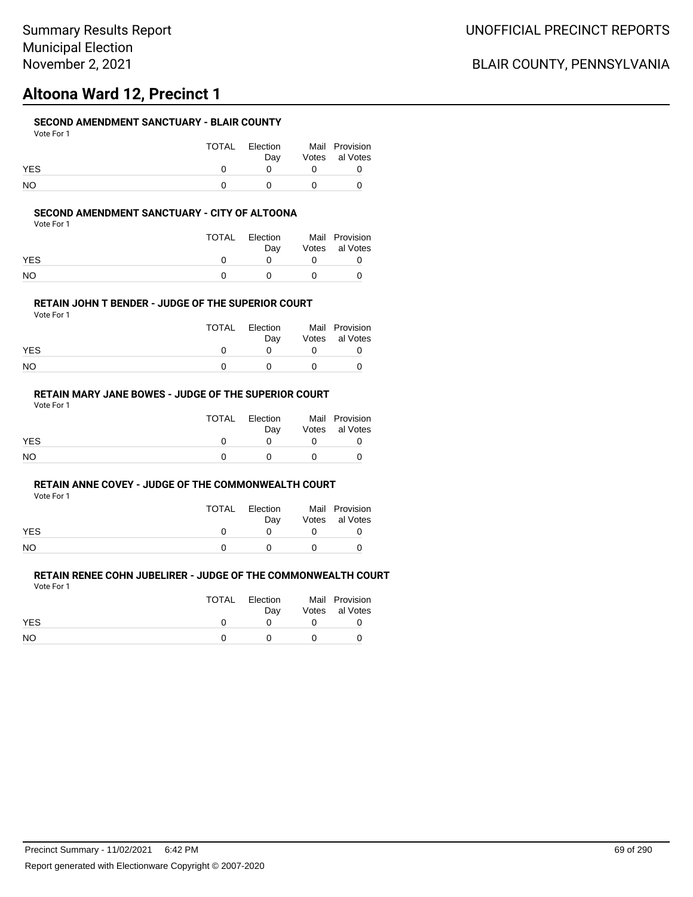# **Altoona Ward 12, Precinct 1**

## **SECOND AMENDMENT SANCTUARY - BLAIR COUNTY**

| Vote For |  |
|----------|--|
|          |  |

|            | TOTAL | Election<br>Dav | Mail Provision<br>Votes al Votes |
|------------|-------|-----------------|----------------------------------|
| <b>YES</b> |       |                 |                                  |
| NO.        |       |                 |                                  |

### **SECOND AMENDMENT SANCTUARY - CITY OF ALTOONA**

Vote For 1

|            | TOTAL | Election<br>Dav | Mail Provision<br>Votes al Votes |
|------------|-------|-----------------|----------------------------------|
| <b>YES</b> |       |                 |                                  |
| NΟ         |       | $\mathbf{U}$    |                                  |

### **RETAIN JOHN T BENDER - JUDGE OF THE SUPERIOR COURT**

Vote For 1

|            | TOTAL | Election<br>Dav | Mail Provision<br>Votes al Votes |
|------------|-------|-----------------|----------------------------------|
| <b>YES</b> |       |                 |                                  |
| NO         |       |                 |                                  |

## **RETAIN MARY JANE BOWES - JUDGE OF THE SUPERIOR COURT**

Vote For 1

|            | TOTAL | Election<br>Dav | Mail Provision<br>Votes al Votes |
|------------|-------|-----------------|----------------------------------|
| <b>YES</b> |       |                 |                                  |
| <b>NO</b>  |       |                 |                                  |

### **RETAIN ANNE COVEY - JUDGE OF THE COMMONWEALTH COURT**

Vote For 1

|            | <b>TOTAL</b> | Election | Mail Provision |
|------------|--------------|----------|----------------|
|            |              | Dav      | Votes al Votes |
| <b>YES</b> |              |          |                |
| <b>NO</b>  |              |          |                |

| .          |       |                 |                                  |
|------------|-------|-----------------|----------------------------------|
|            | TOTAL | Election<br>Dav | Mail Provision<br>Votes al Votes |
| <b>YES</b> |       |                 |                                  |
| NO.        |       |                 |                                  |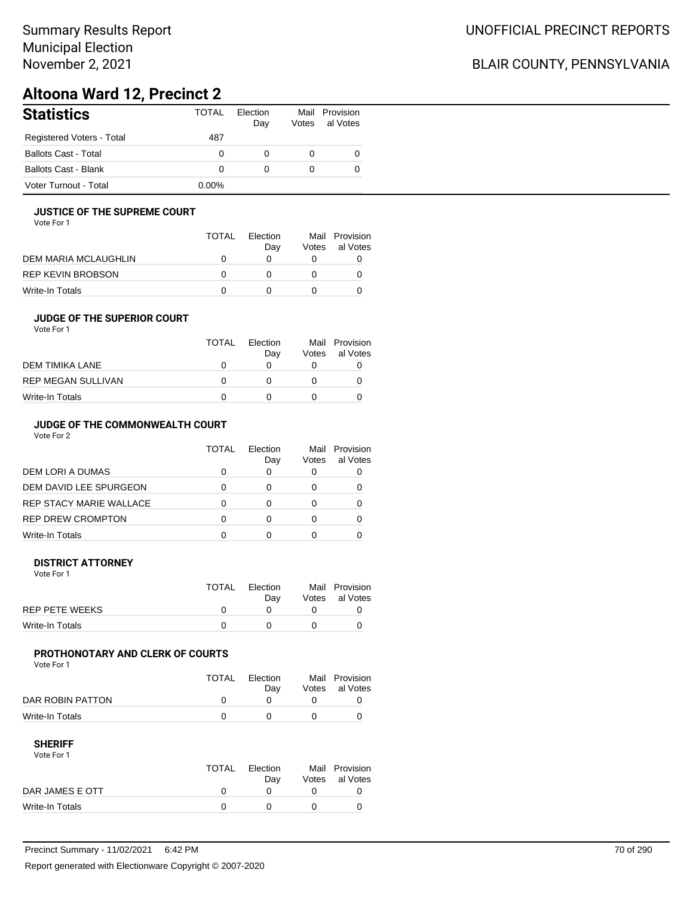# Summary Results Report Municipal Election November 2, 2021

# BLAIR COUNTY, PENNSYLVANIA

# **Altoona Ward 12, Precinct 2**

| <b>Statistics</b>           | <b>TOTAL</b> | Election<br>Day | Votes | Mail Provision<br>al Votes |
|-----------------------------|--------------|-----------------|-------|----------------------------|
| Registered Voters - Total   | 487          |                 |       |                            |
| <b>Ballots Cast - Total</b> |              | $\Omega$        | 0     | O                          |
| <b>Ballots Cast - Blank</b> | 0            | 0               | 0     | 0                          |
| Voter Turnout - Total       | $0.00\%$     |                 |       |                            |

## **JUSTICE OF THE SUPREME COURT**

Vote For 1

|                      | TOTAL | Election<br>Dav | Votes | Mail Provision<br>al Votes |
|----------------------|-------|-----------------|-------|----------------------------|
| DEM MARIA MCLAUGHLIN |       |                 |       |                            |
| REP KEVIN BROBSON    |       |                 |       |                            |
| Write-In Totals      |       |                 |       |                            |

### **JUDGE OF THE SUPERIOR COURT**

| Vote For 1 |  |  |
|------------|--|--|
|            |  |  |

|                    | <b>TOTAL</b> | Election<br>Day | Votes | Mail Provision<br>al Votes |
|--------------------|--------------|-----------------|-------|----------------------------|
| DEM TIMIKA LANE    | $\mathbf{I}$ |                 |       |                            |
| REP MEGAN SULLIVAN | $\mathbf{U}$ |                 |       |                            |
| Write-In Totals    |              |                 |       |                            |
|                    |              |                 |       |                            |

## **JUDGE OF THE COMMONWEALTH COURT**

Vote For 2

|                                | TOTAL | Flection<br>Day | Votes | Mail Provision<br>al Votes |
|--------------------------------|-------|-----------------|-------|----------------------------|
| DEM LORI A DUMAS               |       |                 |       |                            |
| DEM DAVID LEE SPURGEON         |       |                 |       |                            |
| <b>REP STACY MARIE WALLACE</b> |       |                 |       |                            |
| <b>REP DREW CROMPTON</b>       |       |                 |       |                            |
| Write-In Totals                |       |                 |       |                            |

### **DISTRICT ATTORNEY**

| Vote For 1      |       |                 |                                  |
|-----------------|-------|-----------------|----------------------------------|
|                 | TOTAL | Election<br>Dav | Mail Provision<br>Votes al Votes |
| REP PETE WEEKS  |       |                 |                                  |
| Write-In Totals |       |                 |                                  |

## **PROTHONOTARY AND CLERK OF COURTS**

Vote For 1

|                  | <b>TOTAL</b> | Election<br>Dav | Mail Provision<br>Votes al Votes |
|------------------|--------------|-----------------|----------------------------------|
| DAR ROBIN PATTON |              |                 |                                  |
| Write-In Totals  |              |                 |                                  |

| Vote For 1      |              |          |                |
|-----------------|--------------|----------|----------------|
|                 | <b>TOTAL</b> | Election | Mail Provision |
|                 |              | Dav      | Votes al Votes |
| DAR JAMES E OTT |              |          |                |
| Write-In Totals |              |          |                |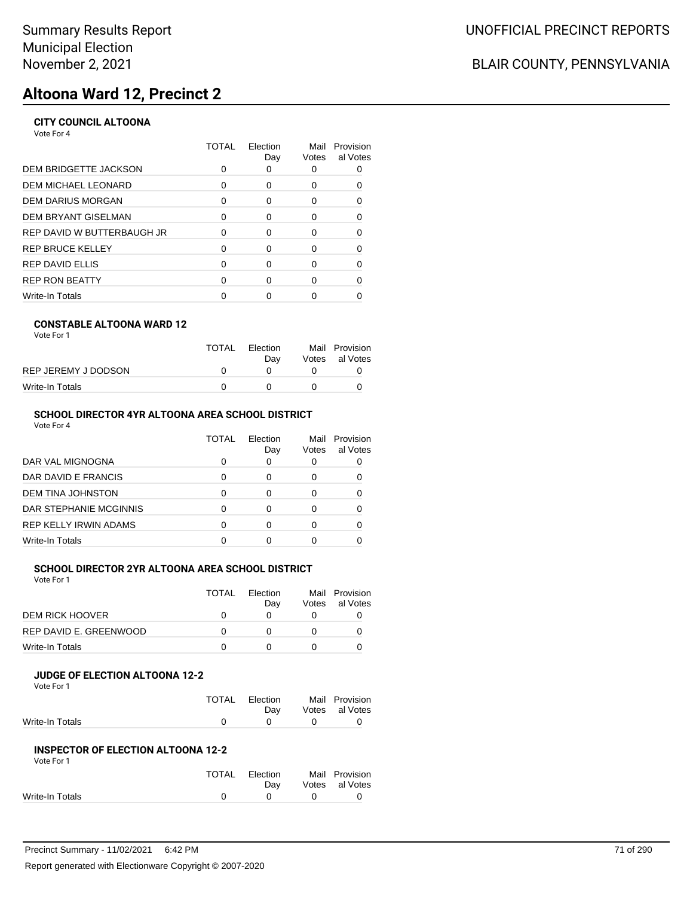# **Altoona Ward 12, Precinct 2**

## **CITY COUNCIL ALTOONA**

Vote For 4

|                            | TOTAL | Election<br>Day | Mail<br>Votes | Provision<br>al Votes |
|----------------------------|-------|-----------------|---------------|-----------------------|
| DEM BRIDGETTE JACKSON      | 0     | O               |               |                       |
| DEM MICHAEL LEONARD        | 0     | 0               | 0             |                       |
| DEM DARIUS MORGAN          | 0     | $\Omega$        | 0             | 0                     |
| DEM BRYANT GISELMAN        | 0     | 0               | 0             |                       |
| REP DAVID W BUTTERBAUGH JR | 0     | $\Omega$        | 0             |                       |
| REP BRUCE KELLEY           | O     | $\Omega$        | O             |                       |
| REP DAVID ELLIS            | 0     | $\Omega$        | O             |                       |
| <b>REP RON BEATTY</b>      | ∩     | $\Omega$        | ∩             |                       |
| Write-In Totals            |       |                 |               |                       |
|                            |       |                 |               |                       |

## **CONSTABLE ALTOONA WARD 12**

| Vote For 1 |  |  |
|------------|--|--|
|------------|--|--|

|                     | TOTAL | Election<br>Dav | Mail Provision<br>Votes al Votes |
|---------------------|-------|-----------------|----------------------------------|
| REP JEREMY J DODSON |       |                 |                                  |
| Write-In Totals     |       |                 |                                  |

## **SCHOOL DIRECTOR 4YR ALTOONA AREA SCHOOL DISTRICT**

Vote For 4

|                              | TOTAL | Flection<br>Day | Mail<br>Votes | Provision<br>al Votes |
|------------------------------|-------|-----------------|---------------|-----------------------|
| DAR VAL MIGNOGNA             |       | 0               |               |                       |
| DAR DAVID E FRANCIS          |       |                 | O             |                       |
| DEM TINA JOHNSTON            |       |                 |               |                       |
| DAR STEPHANIE MCGINNIS       |       |                 | Ω             |                       |
| <b>REP KELLY IRWIN ADAMS</b> |       | ∩               |               |                       |
| <b>Write-In Totals</b>       |       |                 |               |                       |

## **SCHOOL DIRECTOR 2YR ALTOONA AREA SCHOOL DISTRICT**

Vote For 1

|                        | TOTAL | Election | Mail  | Provision |
|------------------------|-------|----------|-------|-----------|
|                        |       | Dav      | Votes | al Votes  |
| DEM RICK HOOVER        |       |          |       |           |
| REP DAVID E. GREENWOOD |       |          |       |           |
| Write-In Totals        |       |          |       |           |

#### **JUDGE OF ELECTION ALTOONA 12-2** Vote For 1

| .               |                |                |
|-----------------|----------------|----------------|
|                 | TOTAL Election | Mail Provision |
|                 | Dav            | Votes al Votes |
| Write-In Totals |                |                |
|                 |                |                |

#### **INSPECTOR OF ELECTION ALTOONA 12-2** Vote For 1

| <u>vuurivii</u> |       |            |                |
|-----------------|-------|------------|----------------|
|                 | TOTAL | Election   | Mail Provision |
|                 |       | Dav        | Votes al Votes |
| Write-In Totals |       | $^{\circ}$ |                |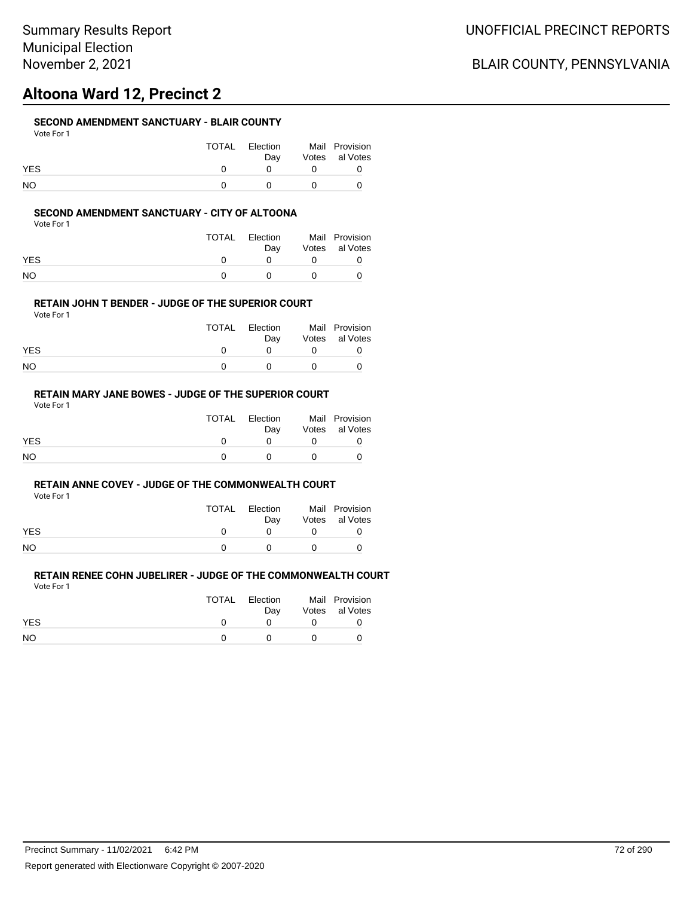# **Altoona Ward 12, Precinct 2**

## **SECOND AMENDMENT SANCTUARY - BLAIR COUNTY**

|            | TOTAL | Election<br>Dav | Mail Provision<br>Votes al Votes |
|------------|-------|-----------------|----------------------------------|
| <b>YES</b> |       |                 |                                  |
| NO.        |       |                 |                                  |

### **SECOND AMENDMENT SANCTUARY - CITY OF ALTOONA**

Vote For 1

|            | TOTAL | Election<br>Dav | Mail Provision<br>Votes al Votes |
|------------|-------|-----------------|----------------------------------|
| <b>YES</b> |       |                 |                                  |
| NΟ         |       | $\mathbf{U}$    |                                  |

### **RETAIN JOHN T BENDER - JUDGE OF THE SUPERIOR COURT**

Vote For 1

|            | TOTAL | Election<br>Dav | Mail Provision<br>Votes al Votes |
|------------|-------|-----------------|----------------------------------|
| <b>YES</b> |       |                 |                                  |
| NO         |       |                 |                                  |

## **RETAIN MARY JANE BOWES - JUDGE OF THE SUPERIOR COURT**

Vote For 1

|            | TOTAL | Election<br>Dav | Mail Provision<br>Votes al Votes |
|------------|-------|-----------------|----------------------------------|
| <b>YES</b> |       |                 |                                  |
| <b>NO</b>  |       |                 |                                  |

### **RETAIN ANNE COVEY - JUDGE OF THE COMMONWEALTH COURT**

Vote For 1

|            | <b>TOTAL</b> | Election | Mail Provision |
|------------|--------------|----------|----------------|
|            |              | Dav      | Votes al Votes |
| <b>YES</b> |              |          |                |
| <b>NO</b>  |              |          |                |

| .          |       |                 |                                  |
|------------|-------|-----------------|----------------------------------|
|            | TOTAL | Election<br>Dav | Mail Provision<br>Votes al Votes |
| <b>YES</b> |       |                 |                                  |
| NO.        |       |                 |                                  |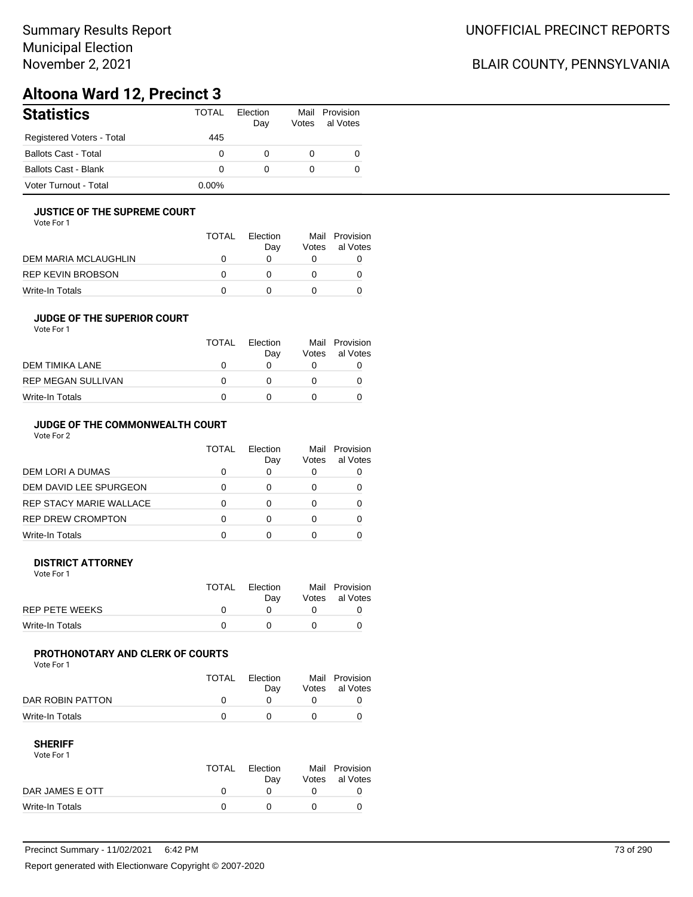# Summary Results Report Municipal Election November 2, 2021

# BLAIR COUNTY, PENNSYLVANIA

# **Altoona Ward 12, Precinct 3**

| <b>Statistics</b>           | <b>TOTAL</b> | Election<br>Day | Votes | Mail Provision<br>al Votes |
|-----------------------------|--------------|-----------------|-------|----------------------------|
| Registered Voters - Total   | 445          |                 |       |                            |
| <b>Ballots Cast - Total</b> | 0            | $\Omega$        |       | 0                          |
| <b>Ballots Cast - Blank</b> | 0            | $\Omega$        |       | 0                          |
| Voter Turnout - Total       | $0.00\%$     |                 |       |                            |

## **JUSTICE OF THE SUPREME COURT**

Vote For 1

|                      | <b>TOTAL</b> | Flection<br>Dav | Votes | Mail Provision<br>al Votes |
|----------------------|--------------|-----------------|-------|----------------------------|
| DEM MARIA MCLAUGHLIN |              |                 |       |                            |
| REP KEVIN BROBSON    | $\mathbf{I}$ |                 |       |                            |
| Write-In Totals      |              |                 |       |                            |

## **JUDGE OF THE SUPERIOR COURT**

| Vote For 1 |  |  |
|------------|--|--|
|            |  |  |

| <b>TOTAL</b> | Election<br>Day | Mail<br>Votes | Provision<br>al Votes |
|--------------|-----------------|---------------|-----------------------|
| $\mathbf{0}$ |                 |               |                       |
| $\Omega$     |                 |               |                       |
| O            |                 |               |                       |
|              |                 |               |                       |

# **JUDGE OF THE COMMONWEALTH COURT**

Vote For 2

|                                | TOTAL | Flection<br>Day | Votes | Mail Provision<br>al Votes |
|--------------------------------|-------|-----------------|-------|----------------------------|
| DEM LORI A DUMAS               |       |                 |       |                            |
| DEM DAVID LEE SPURGEON         |       |                 |       |                            |
| <b>REP STACY MARIE WALLACE</b> |       |                 |       |                            |
| <b>REP DREW CROMPTON</b>       |       |                 |       |                            |
| Write-In Totals                |       |                 |       |                            |

### **DISTRICT ATTORNEY**

| Vote For 1      |       |                 |                                  |
|-----------------|-------|-----------------|----------------------------------|
|                 | TOTAL | Election<br>Dav | Mail Provision<br>Votes al Votes |
| REP PETE WEEKS  |       |                 |                                  |
| Write-In Totals |       |                 |                                  |

## **PROTHONOTARY AND CLERK OF COURTS**

Vote For 1

|                  | <b>TOTAL</b> | Election<br>Dav | Mail Provision<br>Votes al Votes |
|------------------|--------------|-----------------|----------------------------------|
| DAR ROBIN PATTON |              |                 |                                  |
| Write-In Totals  |              |                 |                                  |

| Vote For 1      |       |          |                |
|-----------------|-------|----------|----------------|
|                 | TOTAL | Flection | Mail Provision |
|                 |       | Dav      | Votes al Votes |
| DAR JAMES E OTT |       |          |                |
| Write-In Totals |       |          |                |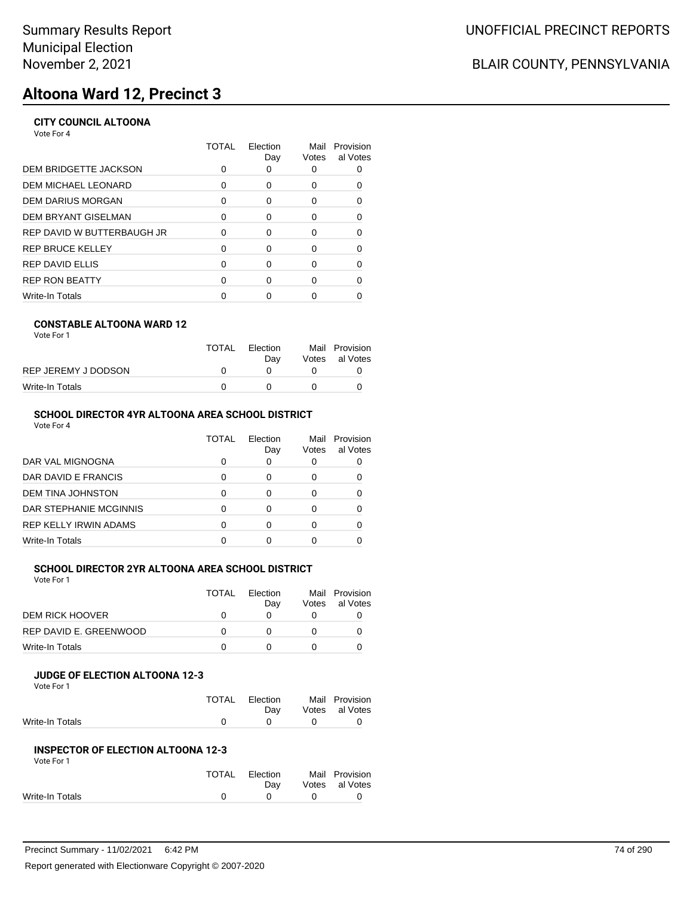# **Altoona Ward 12, Precinct 3**

# **CITY COUNCIL ALTOONA**

Vote For 4

|                            | TOTAL | Election<br>Day | Mail<br>Votes | Provision<br>al Votes |
|----------------------------|-------|-----------------|---------------|-----------------------|
| DEM BRIDGETTE JACKSON      | 0     | O               |               |                       |
| DEM MICHAEL LEONARD        | 0     | 0               | 0             |                       |
| DEM DARIUS MORGAN          | 0     | $\Omega$        | 0             | 0                     |
| DEM BRYANT GISELMAN        | 0     | 0               | 0             |                       |
| REP DAVID W BUTTERBAUGH JR | 0     | $\Omega$        | 0             |                       |
| REP BRUCE KELLEY           | O     | $\Omega$        | O             |                       |
| REP DAVID ELLIS            | 0     | $\Omega$        | O             |                       |
| <b>REP RON BEATTY</b>      | ∩     | $\Omega$        | ∩             |                       |
| Write-In Totals            |       |                 |               |                       |
|                            |       |                 |               |                       |

## **CONSTABLE ALTOONA WARD 12**

| Vote For 1 |  |  |
|------------|--|--|
|------------|--|--|

|                     | TOTAL | Election<br>Dav | Mail Provision<br>Votes al Votes |
|---------------------|-------|-----------------|----------------------------------|
| REP JEREMY J DODSON |       |                 |                                  |
| Write-In Totals     |       | $^{\circ}$      |                                  |

# **SCHOOL DIRECTOR 4YR ALTOONA AREA SCHOOL DISTRICT**

Vote For 4

|                        | TOTAL | Flection<br>Day | Mail<br>Votes | Provision<br>al Votes |
|------------------------|-------|-----------------|---------------|-----------------------|
| DAR VAL MIGNOGNA       |       |                 | 0             |                       |
| DAR DAVID E FRANCIS    |       |                 | O             |                       |
| DEM TINA JOHNSTON      |       |                 | Ω             |                       |
| DAR STEPHANIE MCGINNIS |       |                 | 0             |                       |
| REP KELLY IRWIN ADAMS  |       | ∩               | O             |                       |
| Write-In Totals        |       |                 |               |                       |

# **SCHOOL DIRECTOR 2YR ALTOONA AREA SCHOOL DISTRICT**

Vote For 1

|                        | TOTAL | Election |       | Mail Provision |
|------------------------|-------|----------|-------|----------------|
|                        |       | Dav      | Votes | al Votes       |
| DEM RICK HOOVER        |       |          |       |                |
| REP DAVID E. GREENWOOD |       |          |       |                |
| Write-In Totals        |       |          |       |                |

#### **JUDGE OF ELECTION ALTOONA 12-3** Vote For 1

|                 | TOTAL Election<br>Dav | Mail Provision<br>Votes al Votes |
|-----------------|-----------------------|----------------------------------|
| Write-In Totals |                       |                                  |

# **INSPECTOR OF ELECTION ALTOONA 12-3**

| Vote For 1      |       |          |                |
|-----------------|-------|----------|----------------|
|                 | TOTAL | Election | Mail Provision |
|                 |       | Dav      | Votes al Votes |
| Write-In Totals | O     |          |                |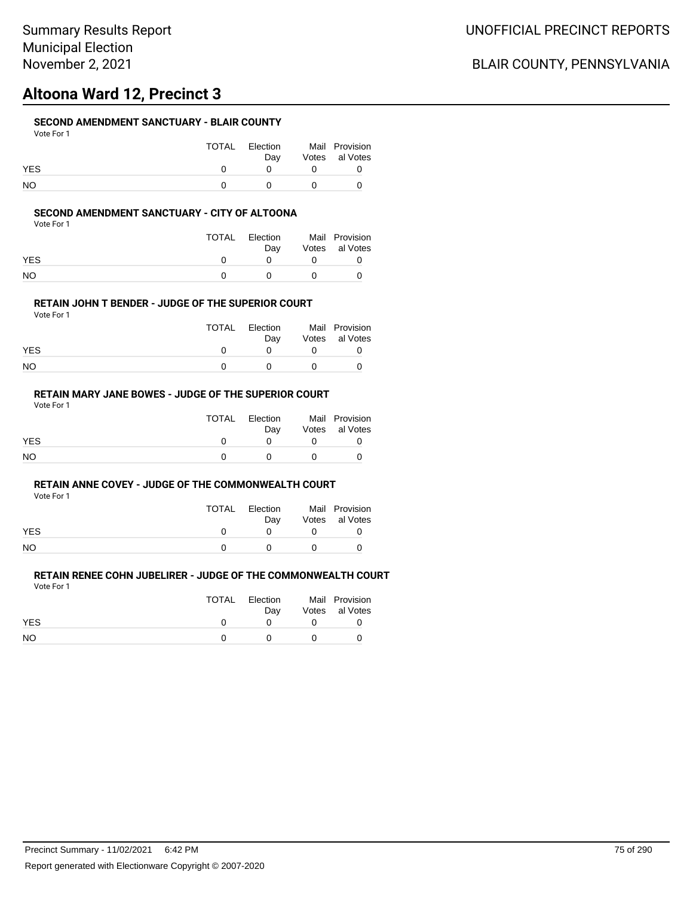# **Altoona Ward 12, Precinct 3**

## **SECOND AMENDMENT SANCTUARY - BLAIR COUNTY**

|            | TOTAL | Election<br>Dav | Mail Provision<br>Votes al Votes |
|------------|-------|-----------------|----------------------------------|
| <b>YES</b> |       |                 |                                  |
| NO.        |       |                 |                                  |

### **SECOND AMENDMENT SANCTUARY - CITY OF ALTOONA**

Vote For 1

|            | TOTAL | Election<br>Dav | Mail Provision<br>Votes al Votes |
|------------|-------|-----------------|----------------------------------|
| <b>YES</b> |       |                 |                                  |
| NΟ         |       | $\mathbf{U}$    |                                  |

### **RETAIN JOHN T BENDER - JUDGE OF THE SUPERIOR COURT**

Vote For 1

|            | TOTAL | Election<br>Dav | Mail Provision<br>Votes al Votes |
|------------|-------|-----------------|----------------------------------|
| <b>YES</b> |       |                 |                                  |
| NO         |       |                 |                                  |

# **RETAIN MARY JANE BOWES - JUDGE OF THE SUPERIOR COURT**

Vote For 1

|            | TOTAL | Election<br>Dav | Mail Provision<br>Votes al Votes |
|------------|-------|-----------------|----------------------------------|
| <b>YES</b> |       |                 |                                  |
| <b>NO</b>  |       |                 |                                  |

#### **RETAIN ANNE COVEY - JUDGE OF THE COMMONWEALTH COURT**

Vote For 1

|            | <b>TOTAL</b> | Election | Mail Provision |
|------------|--------------|----------|----------------|
|            |              | Dav      | Votes al Votes |
| <b>YES</b> |              |          |                |
| <b>NO</b>  |              |          |                |

| .          |       |                 |                                  |
|------------|-------|-----------------|----------------------------------|
|            | TOTAL | Election<br>Dav | Mail Provision<br>Votes al Votes |
| <b>YES</b> |       |                 |                                  |
| NO.        |       |                 |                                  |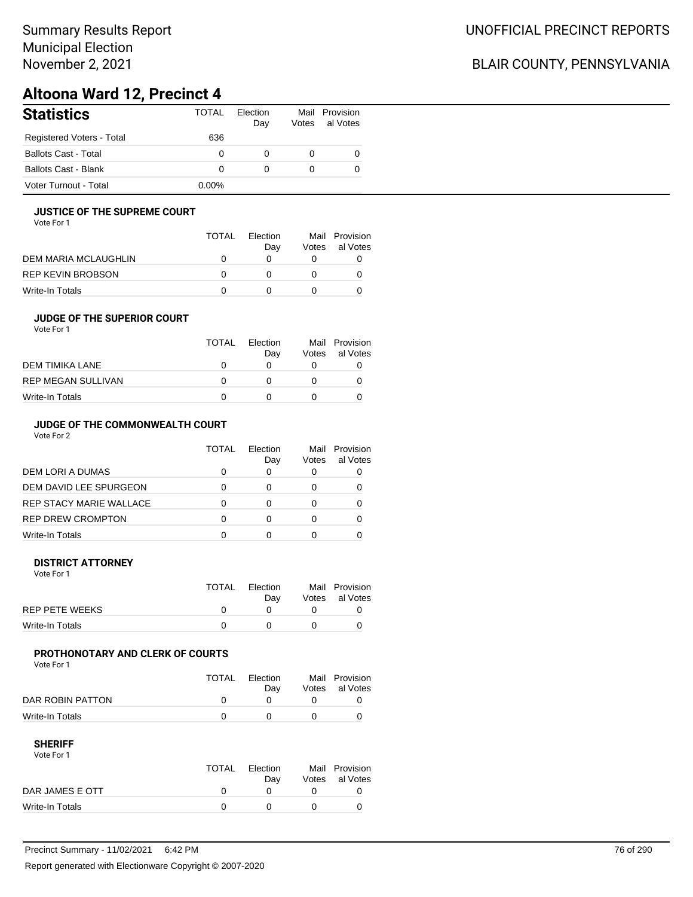# **Altoona Ward 12, Precinct 4**

| <b>Statistics</b>           | <b>TOTAL</b> | Election<br>Day | Votes | Mail Provision<br>al Votes |
|-----------------------------|--------------|-----------------|-------|----------------------------|
| Registered Voters - Total   | 636          |                 |       |                            |
| <b>Ballots Cast - Total</b> | 0            | 0               |       | 0                          |
| <b>Ballots Cast - Blank</b> | 0            | 0               |       | 0                          |
| Voter Turnout - Total       | $0.00\%$     |                 |       |                            |

Mail Provision

al Votes

## **JUSTICE OF THE SUPREME COURT**

Vote For 1

|                      | <b>TOTAL</b> | Election<br>Dav | Votes | Mail Provision<br>al Votes |
|----------------------|--------------|-----------------|-------|----------------------------|
| DEM MARIA MCLAUGHLIN |              |                 |       |                            |
| REP KEVIN BROBSON    |              |                 |       |                            |
| Write-In Totals      |              |                 |       |                            |

### **JUDGE OF THE SUPERIOR COURT**

| Vote For 1                |              |                 |               |                    |
|---------------------------|--------------|-----------------|---------------|--------------------|
|                           | <b>TOTAL</b> | Election<br>Dav | Mail<br>Votes | Provisio<br>al Vot |
| DEM TIMIKA LANE           |              |                 |               |                    |
| <b>REP MEGAN SULLIVAN</b> |              |                 |               |                    |

### **JUDGE OF THE COMMONWEALTH COURT**

Vote For 2

|                          | TOTAL | Flection<br>Day | Votes | Mail Provision<br>al Votes |
|--------------------------|-------|-----------------|-------|----------------------------|
| DEM LORI A DUMAS         |       |                 |       |                            |
| DEM DAVID LEE SPURGEON   |       |                 |       |                            |
| REP STACY MARIE WALLACE  |       |                 |       |                            |
| <b>REP DREW CROMPTON</b> |       |                 |       |                            |
| Write-In Totals          |       |                 |       |                            |

Write-In Totals 0 0 0 0

### **DISTRICT ATTORNEY**

| Vote For 1      |       |                 |                                  |
|-----------------|-------|-----------------|----------------------------------|
|                 | TOTAL | Election<br>Dav | Mail Provision<br>Votes al Votes |
| REP PETE WEEKS  |       |                 |                                  |
| Write-In Totals |       |                 |                                  |

## **PROTHONOTARY AND CLERK OF COURTS**

Vote For 1

|                  | <b>TOTAL</b> | Election<br>Dav | Mail Provision<br>Votes al Votes |
|------------------|--------------|-----------------|----------------------------------|
| DAR ROBIN PATTON |              |                 |                                  |
| Write-In Totals  |              |                 |                                  |

| Vote For 1      |       |          |                |
|-----------------|-------|----------|----------------|
|                 | TOTAL | Flection | Mail Provision |
|                 |       | Dav      | Votes al Votes |
| DAR JAMES E OTT |       |          |                |
| Write-In Totals |       |          |                |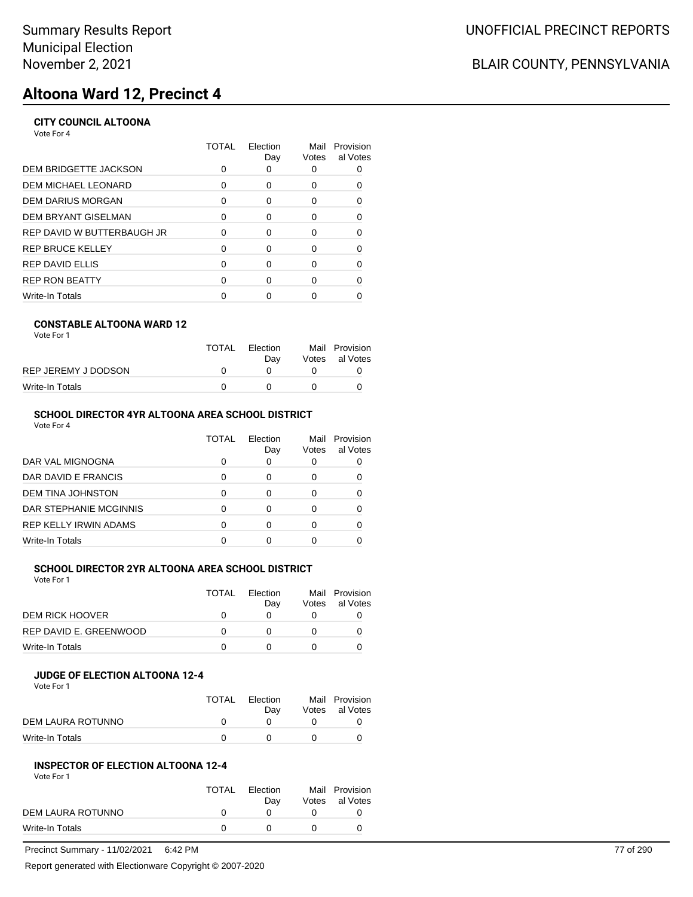# **Altoona Ward 12, Precinct 4**

# **CITY COUNCIL ALTOONA**

Vote For 4

|                              | TOTAL | Election<br>Day | Mail<br>Votes | Provision<br>al Votes |
|------------------------------|-------|-----------------|---------------|-----------------------|
| <b>DEM BRIDGETTE JACKSON</b> |       |                 | 0             |                       |
| DEM MICHAEL LEONARD          | 0     | 0               | 0             |                       |
| DEM DARIUS MORGAN            | 0     | $\Omega$        | O             | 0                     |
| DEM BRYANT GISELMAN          | 0     | 0               | 0             | 0                     |
| REP DAVID W BUTTERBAUGH JR   | O     | $\Omega$        | 0             | 0                     |
| <b>REP BRUCE KELLEY</b>      |       | $\Omega$        | 0             | $\Omega$              |
| REP DAVID ELLIS              | O     | ∩               | ŋ             | 0                     |
| <b>REP RON BEATTY</b>        |       | ∩               | O             | U                     |
| Write-In Totals              |       |                 |               |                       |
|                              |       |                 |               |                       |

## **CONSTABLE ALTOONA WARD 12**

| Vote For 1 |  |
|------------|--|
|------------|--|

|                     | <b>TOTAL</b> | Election<br>Dav | Mail Provision<br>Votes al Votes |
|---------------------|--------------|-----------------|----------------------------------|
| REP JEREMY J DODSON |              |                 |                                  |
| Write-In Totals     |              | $^{\circ}$      |                                  |

# **SCHOOL DIRECTOR 4YR ALTOONA AREA SCHOOL DISTRICT**

Vote For 4

|                              | TOTAL | Flection<br>Day | Mail<br>Votes | Provision<br>al Votes |
|------------------------------|-------|-----------------|---------------|-----------------------|
| DAR VAL MIGNOGNA             |       | 0               |               |                       |
| DAR DAVID E FRANCIS          |       |                 | O             |                       |
| DEM TINA JOHNSTON            |       |                 |               |                       |
| DAR STEPHANIE MCGINNIS       |       |                 | Ω             |                       |
| <b>REP KELLY IRWIN ADAMS</b> |       | ∩               |               |                       |
| <b>Write-In Totals</b>       |       |                 |               |                       |

# **SCHOOL DIRECTOR 2YR ALTOONA AREA SCHOOL DISTRICT**

Vote For 1

|                        | TOTAL | Flection<br>Dav | Votes | Mail Provision<br>al Votes |
|------------------------|-------|-----------------|-------|----------------------------|
| DEM RICK HOOVER        |       |                 |       |                            |
| REP DAVID E. GREENWOOD |       |                 |       |                            |
| Write-In Totals        |       |                 |       |                            |

#### **JUDGE OF ELECTION ALTOONA 12-4** Vote For 1

| .                 |       |                 |                                  |
|-------------------|-------|-----------------|----------------------------------|
|                   | TOTAL | Election<br>Dav | Mail Provision<br>Votes al Votes |
| DEM LAURA ROTUNNO |       |                 |                                  |
| Write-In Totals   |       |                 |                                  |

## **INSPECTOR OF ELECTION ALTOONA 12-4**

Vote For 1

|                   | TOTAL | Election<br>Dav | Mail Provision<br>Votes al Votes |
|-------------------|-------|-----------------|----------------------------------|
| DEM LAURA ROTUNNO |       |                 |                                  |
| Write-In Totals   | n     |                 |                                  |

Precinct Summary - 11/02/2021 6:42 PM 77 of 290

Report generated with Electionware Copyright © 2007-2020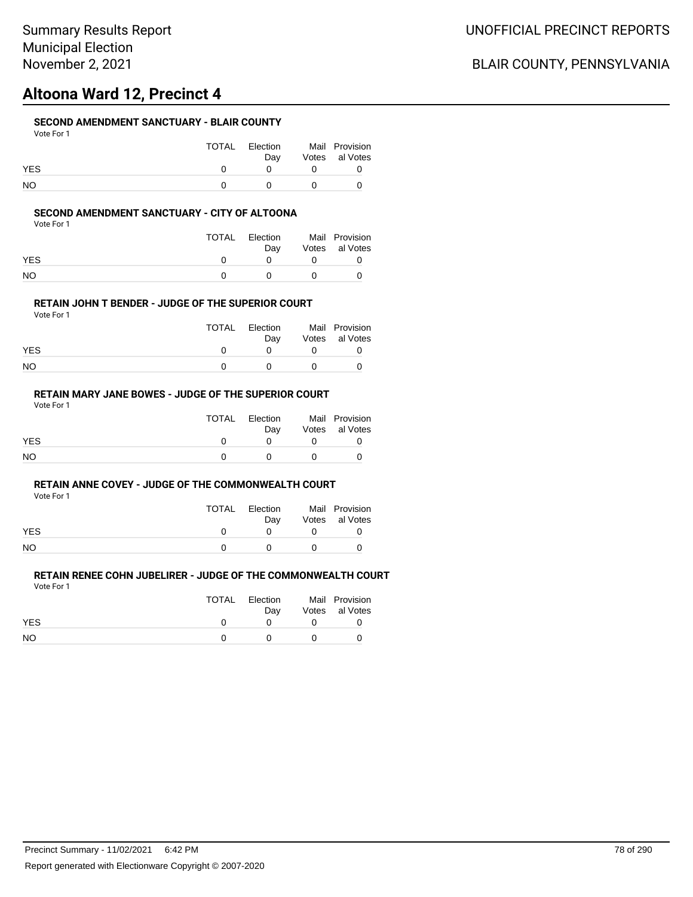# **Altoona Ward 12, Precinct 4**

## **SECOND AMENDMENT SANCTUARY - BLAIR COUNTY**

|            | TOTAL | Election<br>Dav | Mail Provision<br>Votes al Votes |
|------------|-------|-----------------|----------------------------------|
| <b>YES</b> |       |                 |                                  |
| NO.        |       |                 |                                  |

### **SECOND AMENDMENT SANCTUARY - CITY OF ALTOONA**

Vote For 1

|            | TOTAL | Election<br>Dav | Mail Provision<br>Votes al Votes |
|------------|-------|-----------------|----------------------------------|
| <b>YES</b> |       |                 |                                  |
| NΟ         |       | $\mathbf{U}$    |                                  |

### **RETAIN JOHN T BENDER - JUDGE OF THE SUPERIOR COURT**

Vote For 1

|            | TOTAL | Election<br>Dav | Mail Provision<br>Votes al Votes |
|------------|-------|-----------------|----------------------------------|
| <b>YES</b> |       |                 |                                  |
| NO         |       |                 |                                  |

# **RETAIN MARY JANE BOWES - JUDGE OF THE SUPERIOR COURT**

Vote For 1

|            | TOTAL | Election<br>Dav | Mail Provision<br>Votes al Votes |
|------------|-------|-----------------|----------------------------------|
| <b>YES</b> |       |                 |                                  |
| <b>NO</b>  |       |                 |                                  |

#### **RETAIN ANNE COVEY - JUDGE OF THE COMMONWEALTH COURT**

Vote For 1

|            | <b>TOTAL</b> | Election | Mail Provision |
|------------|--------------|----------|----------------|
|            |              | Dav      | Votes al Votes |
| <b>YES</b> |              |          |                |
| <b>NO</b>  |              |          |                |

|            | TOTAL | Election | Mail Provision |
|------------|-------|----------|----------------|
|            |       | Dav      | Votes al Votes |
| <b>YES</b> |       |          |                |
| NO.        |       |          |                |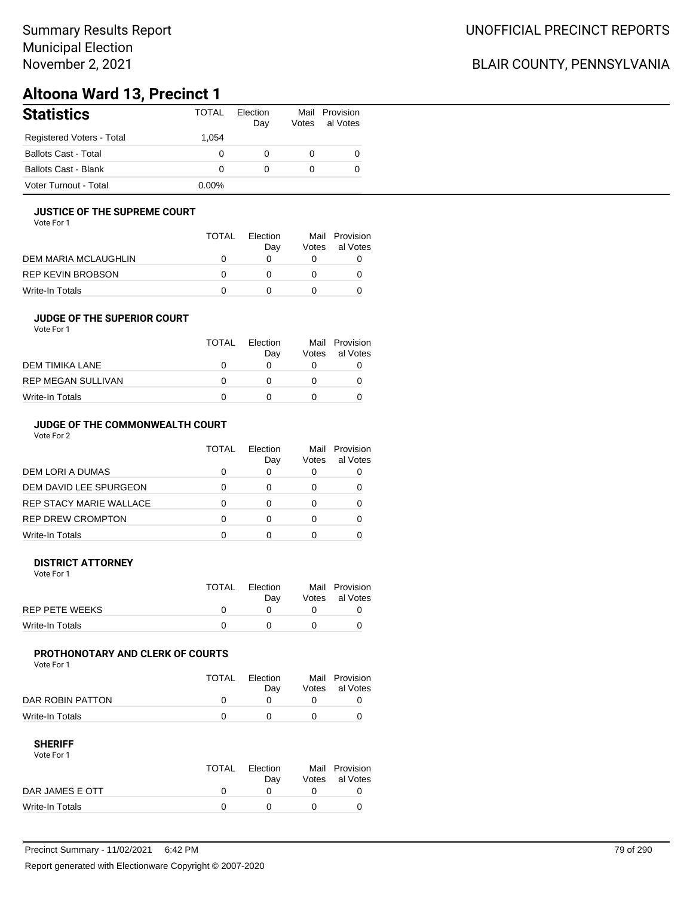# **Altoona Ward 13, Precinct 1**

| <b>Statistics</b>           | TOTAL | Election<br>Day | Votes | Mail Provision<br>al Votes |
|-----------------------------|-------|-----------------|-------|----------------------------|
| Registered Voters - Total   | 1,054 |                 |       |                            |
| <b>Ballots Cast - Total</b> | 0     | 0               |       | 0                          |
| Ballots Cast - Blank        | 0     | 0               |       | 0                          |
| Voter Turnout - Total       | 0.00% |                 |       |                            |

## **JUSTICE OF THE SUPREME COURT**

Vote For 1

|                      | TOTAL | Election<br>Dav | Votes | Mail Provision<br>al Votes |
|----------------------|-------|-----------------|-------|----------------------------|
| DEM MARIA MCLAUGHLIN |       |                 |       |                            |
| REP KEVIN BROBSON    |       |                 |       |                            |
| Write-In Totals      |       |                 |       |                            |

## **JUDGE OF THE SUPERIOR COURT**

| Vote For 1 |  |  |
|------------|--|--|
|            |  |  |

|                           | <b>TOTAL</b> | Election<br>Day | Votes | Mail Provision<br>al Votes |
|---------------------------|--------------|-----------------|-------|----------------------------|
| DEM TIMIKA LANE           |              |                 |       |                            |
| <b>REP MEGAN SULLIVAN</b> |              |                 |       |                            |
| Write-In Totals           |              |                 |       |                            |
|                           |              |                 |       |                            |

# **JUDGE OF THE COMMONWEALTH COURT**

Vote For 2

|                                | TOTAL | Flection<br>Day | Votes | Mail Provision<br>al Votes |
|--------------------------------|-------|-----------------|-------|----------------------------|
| DEM LORI A DUMAS               |       |                 |       |                            |
| DEM DAVID LEE SPURGEON         |       |                 |       |                            |
| <b>REP STACY MARIE WALLACE</b> |       |                 |       |                            |
| <b>REP DREW CROMPTON</b>       |       |                 |       |                            |
| Write-In Totals                |       |                 |       |                            |

### **DISTRICT ATTORNEY**

| Vote For 1      |              |                 |                                  |
|-----------------|--------------|-----------------|----------------------------------|
|                 | <b>TOTAL</b> | Election<br>Dav | Mail Provision<br>Votes al Votes |
| REP PETE WEEKS  |              |                 |                                  |
| Write-In Totals |              |                 |                                  |

## **PROTHONOTARY AND CLERK OF COURTS**

Vote For 1

|                  | <b>TOTAL</b> | Election<br>Dav | Mail Provision<br>Votes al Votes |
|------------------|--------------|-----------------|----------------------------------|
| DAR ROBIN PATTON |              |                 |                                  |
| Write-In Totals  |              |                 |                                  |

| Vote For 1      |              |          |                |
|-----------------|--------------|----------|----------------|
|                 | <b>TOTAL</b> | Election | Mail Provision |
|                 |              | Dav      | Votes al Votes |
| DAR JAMES E OTT |              |          |                |
| Write-In Totals |              |          |                |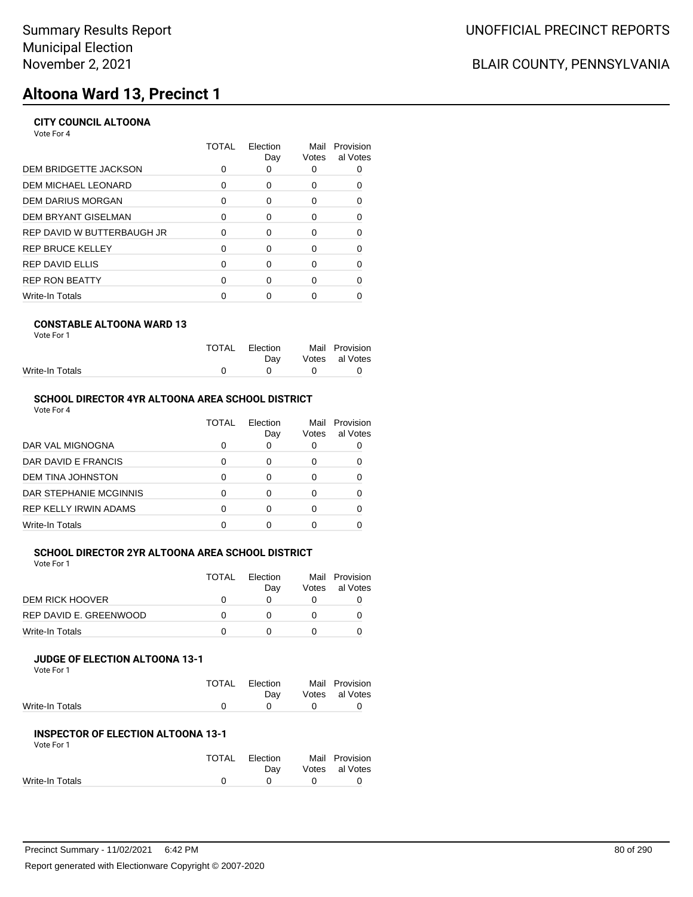# **Altoona Ward 13, Precinct 1**

# **CITY COUNCIL ALTOONA**

Vote For 4

|                              | TOTAL    | Election<br>Day | Mail<br>Votes | Provision<br>al Votes |
|------------------------------|----------|-----------------|---------------|-----------------------|
| <b>DEM BRIDGETTE JACKSON</b> | 0        | 0               |               |                       |
| DEM MICHAEL LEONARD          | 0        | 0               | 0             |                       |
| DEM DARIUS MORGAN            | 0        | $\Omega$        | $\Omega$      | 0                     |
| DEM BRYANT GISELMAN          | 0        | $\Omega$        | 0             |                       |
| REP DAVID W BUTTERBAUGH JR   | $\Omega$ | $\Omega$        | 0             |                       |
| REP BRUCE KELLEY             | 0        | $\Omega$        | 0             | 0                     |
| REP DAVID ELLIS              | 0        | $\Omega$        | 0             |                       |
| <b>REP RON BEATTY</b>        | O        | ∩               | ŋ             |                       |
| Write-In Totals              |          |                 |               |                       |
|                              |          |                 |               |                       |

## **CONSTABLE ALTOONA WARD 13**

| Vote For 1 |  |  |
|------------|--|--|
|            |  |  |

|                 | TOTAL Election |              | Mail Provision |
|-----------------|----------------|--------------|----------------|
|                 | Dav            |              | Votes al Votes |
| Write-In Totals |                | $\mathbf{a}$ |                |
|                 |                |              |                |

# **SCHOOL DIRECTOR 4YR ALTOONA AREA SCHOOL DISTRICT**

| Vote For 4 |  |
|------------|--|
|------------|--|

|                              | TOTAL | Election<br>Day | Mail<br>Votes | Provision<br>al Votes |
|------------------------------|-------|-----------------|---------------|-----------------------|
| DAR VAL MIGNOGNA             |       |                 |               |                       |
| DAR DAVID E FRANCIS          |       |                 | 0             |                       |
| DEM TINA JOHNSTON            |       |                 | O             |                       |
| DAR STEPHANIE MCGINNIS       |       | O               | 0             |                       |
| <b>REP KELLY IRWIN ADAMS</b> |       |                 | O             |                       |
| Write-In Totals              |       |                 |               |                       |

#### **SCHOOL DIRECTOR 2YR ALTOONA AREA SCHOOL DISTRICT** Vote For 1

| Vote For 1             |          |          |                |
|------------------------|----------|----------|----------------|
|                        | TOTAI    | Flection | Mail Provision |
|                        |          | Dav      | Votes al Votes |
| DEM RICK HOOVER        | $\Omega$ |          |                |
| REP DAVID E. GREENWOOD |          |          |                |
|                        |          |          |                |

Write-In Totals 0 0 0 0

# **JUDGE OF ELECTION ALTOONA 13-1**

Vote For 1

|                 | TOTAL Election                    | Mail Provision |
|-----------------|-----------------------------------|----------------|
|                 | Dav                               | Votes al Votes |
| Write-In Totals | $\overline{a}$ and $\overline{a}$ |                |
|                 |                                   |                |

# **INSPECTOR OF ELECTION ALTOONA 13-1**

| TOTAL | Election | Mail Provision |
|-------|----------|----------------|
|       | Dav      | Votes al Votes |
| O     |          |                |
|       |          |                |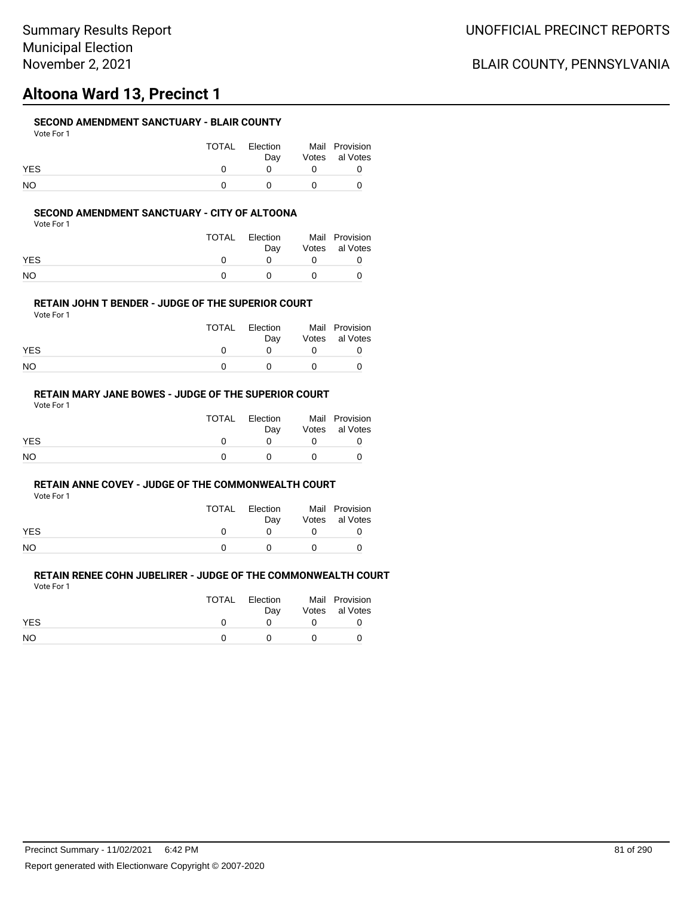# **Altoona Ward 13, Precinct 1**

## **SECOND AMENDMENT SANCTUARY - BLAIR COUNTY**

|            | TOTAL | Election<br>Dav | Mail Provision<br>Votes al Votes |
|------------|-------|-----------------|----------------------------------|
| <b>YES</b> |       |                 |                                  |
| NO.        |       |                 |                                  |

### **SECOND AMENDMENT SANCTUARY - CITY OF ALTOONA**

Vote For 1

|            | TOTAL | Election<br>Dav | Mail Provision<br>Votes al Votes |
|------------|-------|-----------------|----------------------------------|
| <b>YES</b> |       |                 |                                  |
| NO         |       |                 |                                  |

### **RETAIN JOHN T BENDER - JUDGE OF THE SUPERIOR COURT**

Vote For 1

|            | TOTAL Election<br>Dav | Mail Provision<br>Votes al Votes |
|------------|-----------------------|----------------------------------|
| <b>YES</b> |                       |                                  |
| NO         |                       |                                  |

# **RETAIN MARY JANE BOWES - JUDGE OF THE SUPERIOR COURT**

Vote For 1

|            | TOTAL | Election<br>Dav | Mail Provision<br>Votes al Votes |
|------------|-------|-----------------|----------------------------------|
| <b>YES</b> |       |                 |                                  |
| <b>NO</b>  |       |                 |                                  |

#### **RETAIN ANNE COVEY - JUDGE OF THE COMMONWEALTH COURT**

Vote For 1

|            | <b>TOTAL</b> | Election | Mail Provision |
|------------|--------------|----------|----------------|
|            |              | Dav      | Votes al Votes |
| <b>YES</b> |              |          |                |
| <b>NO</b>  |              |          |                |

|            | TOTAL | Election | Mail Provision |
|------------|-------|----------|----------------|
|            |       | Dav      | Votes al Votes |
| <b>YES</b> |       |          |                |
| NO.        |       |          |                |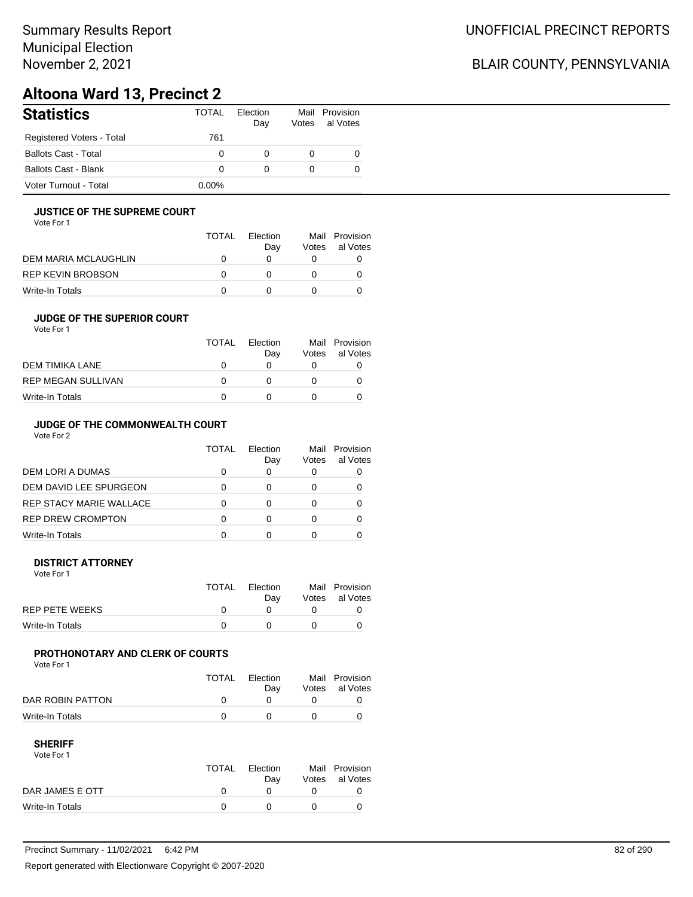# Summary Results Report Municipal Election November 2, 2021

# BLAIR COUNTY, PENNSYLVANIA

# **Altoona Ward 13, Precinct 2**

| <b>Statistics</b>           | <b>TOTAL</b> | Election<br>Day | Votes | Mail Provision<br>al Votes |
|-----------------------------|--------------|-----------------|-------|----------------------------|
| Registered Voters - Total   | 761          |                 |       |                            |
| <b>Ballots Cast - Total</b> | 0            | 0               | 0     | 0                          |
| <b>Ballots Cast - Blank</b> | 0            | 0               | 0     |                            |
| Voter Turnout - Total       | $0.00\%$     |                 |       |                            |

## **JUSTICE OF THE SUPREME COURT**

Vote For 1

|                      | TOTAL | Election<br>Dav | Votes | Mail Provision<br>al Votes |
|----------------------|-------|-----------------|-------|----------------------------|
| DEM MARIA MCLAUGHLIN |       |                 |       |                            |
| REP KEVIN BROBSON    |       |                 |       |                            |
| Write-In Totals      |       |                 |       |                            |

## **JUDGE OF THE SUPERIOR COURT**

| <b>TOTAL</b> | Election |     | Mail Provision<br>al Votes |
|--------------|----------|-----|----------------------------|
|              |          |     |                            |
|              |          |     |                            |
|              |          |     |                            |
|              |          | Dav | Votes                      |

# **JUDGE OF THE COMMONWEALTH COURT**

Vote For 2

|                                | TOTAL | Flection<br>Day | Votes | Mail Provision<br>al Votes |
|--------------------------------|-------|-----------------|-------|----------------------------|
| DEM LORI A DUMAS               |       |                 |       |                            |
| DEM DAVID LEE SPURGEON         |       |                 |       |                            |
| <b>REP STACY MARIE WALLACE</b> |       |                 |       |                            |
| <b>REP DREW CROMPTON</b>       |       |                 |       |                            |
| Write-In Totals                |       |                 |       |                            |

### **DISTRICT ATTORNEY**

| Vote For 1      |       |                 |                                  |
|-----------------|-------|-----------------|----------------------------------|
|                 | TOTAL | Election<br>Dav | Mail Provision<br>Votes al Votes |
| REP PETE WEEKS  |       |                 |                                  |
| Write-In Totals |       |                 |                                  |

## **PROTHONOTARY AND CLERK OF COURTS**

Vote For 1

|                  | <b>TOTAL</b> | Election<br>Dav | Mail Provision<br>Votes al Votes |
|------------------|--------------|-----------------|----------------------------------|
| DAR ROBIN PATTON |              |                 |                                  |
| Write-In Totals  |              |                 |                                  |

| Vote For 1      |       |          |                |
|-----------------|-------|----------|----------------|
|                 | TOTAL | Election | Mail Provision |
|                 |       | Dav      | Votes al Votes |
| DAR JAMES E OTT |       |          |                |
| Write-In Totals |       |          |                |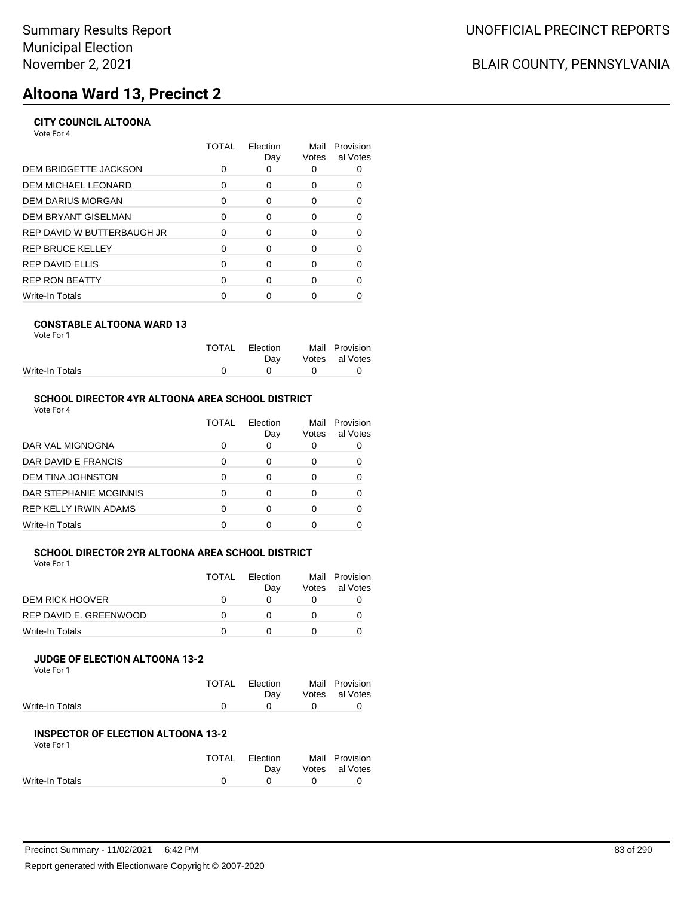# **Altoona Ward 13, Precinct 2**

# **CITY COUNCIL ALTOONA**

Vote For 4

|                              | TOTAL | Election<br>Day | Mail<br>Votes | Provision<br>al Votes |
|------------------------------|-------|-----------------|---------------|-----------------------|
| <b>DEM BRIDGETTE JACKSON</b> | 0     | O               |               |                       |
| DEM MICHAEL LEONARD          | 0     | 0               | 0             |                       |
| DEM DARIUS MORGAN            | 0     | $\Omega$        | 0             | 0                     |
| DEM BRYANT GISELMAN          | 0     | $\Omega$        | 0             |                       |
| REP DAVID W BUTTERBAUGH JR   | 0     | $\Omega$        | 0             |                       |
| REP BRUCE KELLEY             | 0     | $\Omega$        | 0             | 0                     |
| REP DAVID ELLIS              | 0     | $\Omega$        | 0             |                       |
| <b>REP RON BEATTY</b>        | O     | $\Omega$        | O             |                       |
| Write-In Totals              |       |                 |               |                       |
|                              |       |                 |               |                       |

## **CONSTABLE ALTOONA WARD 13**

| Vote For 1 |  |
|------------|--|
|            |  |

|                 | TOTAL Election | Mail Provision |
|-----------------|----------------|----------------|
|                 | Dav            | Votes al Votes |
| Write-In Totals | $\cap$ $\cap$  |                |
|                 |                |                |

# **SCHOOL DIRECTOR 4YR ALTOONA AREA SCHOOL DISTRICT**

| Vote For 4 |  |
|------------|--|
|------------|--|

|                        | TOTAL | Election<br>Day | Mail<br>Votes | Provision<br>al Votes |
|------------------------|-------|-----------------|---------------|-----------------------|
| DAR VAL MIGNOGNA       |       |                 | 0             |                       |
| DAR DAVID E FRANCIS    |       |                 | Ω             |                       |
| DEM TINA JOHNSTON      |       |                 | 0             |                       |
| DAR STEPHANIE MCGINNIS |       | ∩               | Ω             |                       |
| REP KELLY IRWIN ADAMS  |       |                 | Ω             |                       |
| Write-In Totals        |       |                 |               |                       |

#### **SCHOOL DIRECTOR 2YR ALTOONA AREA SCHOOL DISTRICT** Vote For 1

| Vote For 1             |              |                 |       |                            |
|------------------------|--------------|-----------------|-------|----------------------------|
|                        | <b>TOTAL</b> | Flection<br>Day | Votes | Mail Provision<br>al Votes |
| <b>DEM RICK HOOVER</b> |              |                 |       |                            |
| REP DAVID E. GREENWOOD |              |                 |       |                            |
| Write-In Totals        |              |                 |       |                            |

# **JUDGE OF ELECTION ALTOONA 13-2**

Vote For 1

|                 | TOTAL Election | Mail Provision |
|-----------------|----------------|----------------|
|                 | Dav            | Votes al Votes |
| Write-In Totals | $\cap$ $\cap$  |                |
|                 |                |                |

# **INSPECTOR OF ELECTION ALTOONA 13-2**

| TOTAL | Election | Mail Provision |
|-------|----------|----------------|
|       | Dav      | Votes al Votes |
| O     |          |                |
|       |          |                |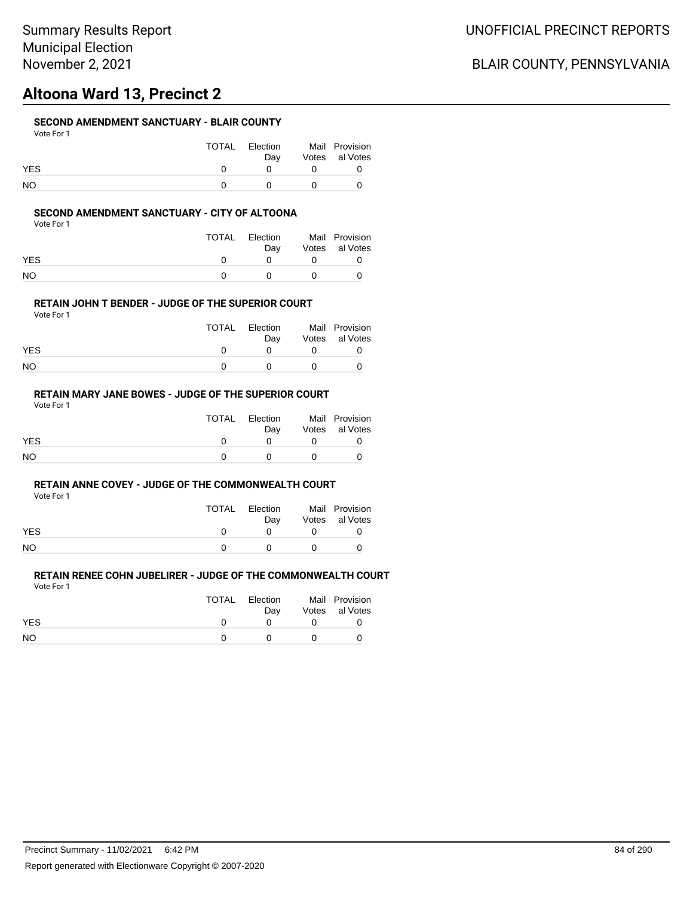# **Altoona Ward 13, Precinct 2**

## **SECOND AMENDMENT SANCTUARY - BLAIR COUNTY**

| Vote For |  |
|----------|--|
|          |  |

|            | TOTAL | Election<br>Dav | Mail Provision<br>Votes al Votes |
|------------|-------|-----------------|----------------------------------|
| <b>YES</b> |       |                 |                                  |
| NO.        |       |                 |                                  |

### **SECOND AMENDMENT SANCTUARY - CITY OF ALTOONA**

Vote For 1

|            | TOTAL | Election<br>Dav | Mail Provision<br>Votes al Votes |
|------------|-------|-----------------|----------------------------------|
| <b>YES</b> |       |                 |                                  |
| NΟ         |       | $\mathbf{U}$    |                                  |

### **RETAIN JOHN T BENDER - JUDGE OF THE SUPERIOR COURT**

Vote For 1

|            | TOTAL | Election<br>Dav | Mail Provision<br>Votes al Votes |
|------------|-------|-----------------|----------------------------------|
| <b>YES</b> |       |                 |                                  |
| NO         |       |                 |                                  |

# **RETAIN MARY JANE BOWES - JUDGE OF THE SUPERIOR COURT**

Vote For 1

|            | TOTAL | Election<br>Dav | Mail Provision<br>Votes al Votes |
|------------|-------|-----------------|----------------------------------|
| <b>YES</b> |       |                 |                                  |
| <b>NO</b>  |       |                 |                                  |

#### **RETAIN ANNE COVEY - JUDGE OF THE COMMONWEALTH COURT**

Vote For 1

|            | TOTAL | Election | Mail Provision |
|------------|-------|----------|----------------|
|            |       | Dav      | Votes al Votes |
| <b>YES</b> |       |          |                |
| <b>NO</b>  |       |          |                |

|            | TOTAL | Election | Mail Provision |
|------------|-------|----------|----------------|
|            |       | Dav      | Votes al Votes |
| <b>YES</b> |       |          |                |
| NO.        |       |          |                |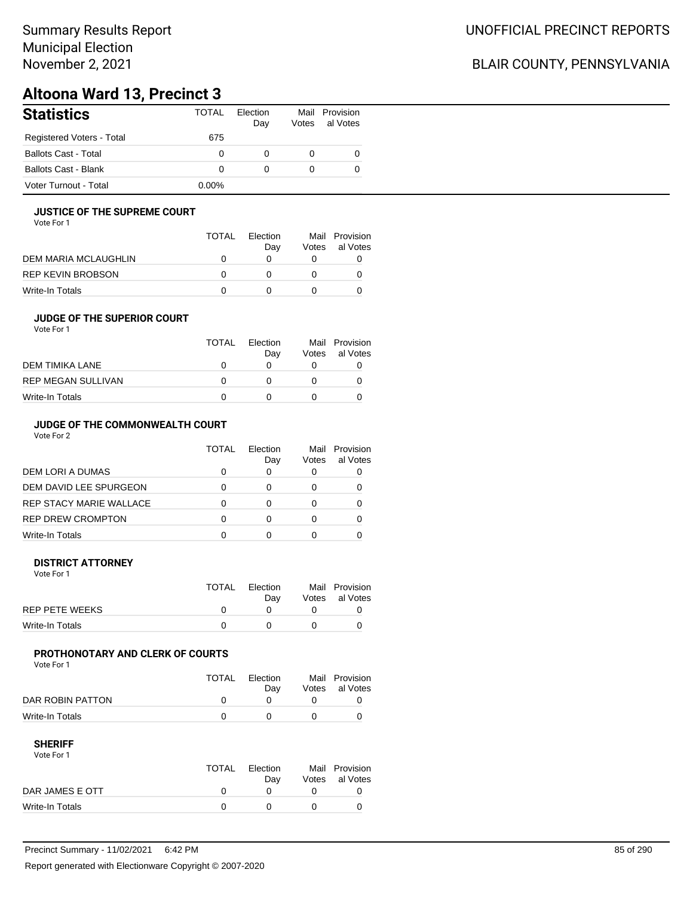# Summary Results Report Municipal Election November 2, 2021

# BLAIR COUNTY, PENNSYLVANIA

# **Altoona Ward 13, Precinct 3**

| <b>Statistics</b>           | <b>TOTAL</b> | Election<br>Day | Votes | Mail Provision<br>al Votes |
|-----------------------------|--------------|-----------------|-------|----------------------------|
| Registered Voters - Total   | 675          |                 |       |                            |
| <b>Ballots Cast - Total</b> | 0            | $\Omega$        |       |                            |
| <b>Ballots Cast - Blank</b> | 0            | $\Omega$        |       |                            |
| Voter Turnout - Total       | 0.00%        |                 |       |                            |

## **JUSTICE OF THE SUPREME COURT**

Vote For 1

|                      | TOTAL | Election<br>Dav | Votes | Mail Provision<br>al Votes |
|----------------------|-------|-----------------|-------|----------------------------|
| DEM MARIA MCLAUGHLIN |       |                 |       |                            |
| REP KEVIN BROBSON    |       |                 |       |                            |
| Write-In Totals      |       |                 |       |                            |

### **JUDGE OF THE SUPERIOR COURT**

| Vote For 1 |  |  |
|------------|--|--|
|            |  |  |

|                           | <b>TOTAL</b> | Election<br>Day | Votes | Mail Provision<br>al Votes |
|---------------------------|--------------|-----------------|-------|----------------------------|
| DEM TIMIKA LANE           | $\Omega$     |                 |       |                            |
| <b>REP MEGAN SULLIVAN</b> | O            |                 |       |                            |
| Write-In Totals           |              |                 |       |                            |
|                           |              |                 |       |                            |

# **JUDGE OF THE COMMONWEALTH COURT**

Vote For 2

|                                | TOTAL | Flection<br>Day | Votes | Mail Provision<br>al Votes |
|--------------------------------|-------|-----------------|-------|----------------------------|
| DEM LORI A DUMAS               |       |                 |       |                            |
| DEM DAVID LEE SPURGEON         |       |                 |       |                            |
| <b>REP STACY MARIE WALLACE</b> |       |                 |       |                            |
| <b>REP DREW CROMPTON</b>       |       |                 |       |                            |
| Write-In Totals                |       |                 |       |                            |

### **DISTRICT ATTORNEY**

| Vote For 1      |       |                 |                                  |
|-----------------|-------|-----------------|----------------------------------|
|                 | TOTAL | Election<br>Dav | Mail Provision<br>Votes al Votes |
| REP PETE WEEKS  |       |                 |                                  |
| Write-In Totals |       |                 |                                  |

## **PROTHONOTARY AND CLERK OF COURTS**

Vote For 1

|                  | TOTAL | Election<br>Dav | Mail Provision<br>Votes al Votes |
|------------------|-------|-----------------|----------------------------------|
| DAR ROBIN PATTON |       |                 |                                  |
| Write-In Totals  |       |                 |                                  |

| Vote For 1      |       |          |                |
|-----------------|-------|----------|----------------|
|                 | TOTAL | Flection | Mail Provision |
|                 |       | Dav      | Votes al Votes |
| DAR JAMES E OTT |       |          |                |
| Write-In Totals |       |          |                |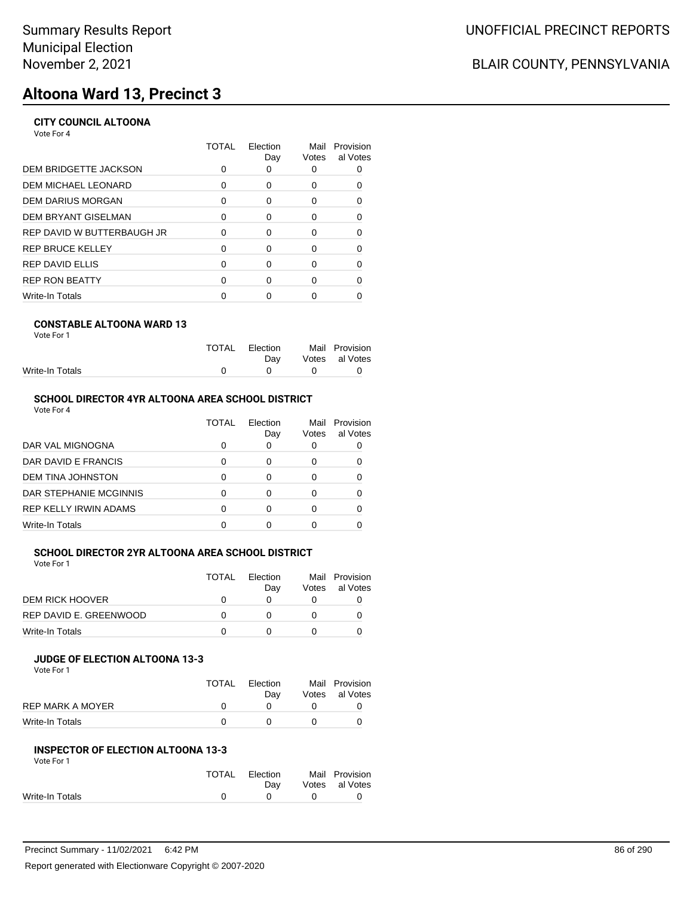# **Altoona Ward 13, Precinct 3**

# **CITY COUNCIL ALTOONA**

Vote For 4

|                              | TOTAL    | Election<br>Day | Mail<br>Votes | Provision<br>al Votes |
|------------------------------|----------|-----------------|---------------|-----------------------|
| <b>DEM BRIDGETTE JACKSON</b> | 0        | 0               |               |                       |
| DEM MICHAEL LEONARD          | 0        | 0               | 0             |                       |
| DEM DARIUS MORGAN            | 0        | $\Omega$        | $\Omega$      | 0                     |
| DEM BRYANT GISELMAN          | 0        | $\Omega$        | 0             |                       |
| REP DAVID W BUTTERBAUGH JR   | $\Omega$ | $\Omega$        | 0             |                       |
| REP BRUCE KELLEY             | 0        | $\Omega$        | 0             | 0                     |
| REP DAVID ELLIS              | 0        | $\Omega$        | 0             |                       |
| <b>REP RON BEATTY</b>        | O        | ∩               | ŋ             |                       |
| Write-In Totals              |          |                 |               |                       |
|                              |          |                 |               |                       |

## **CONSTABLE ALTOONA WARD 13**

| Vote For 1 |  |  |
|------------|--|--|
|            |  |  |

|                 | TOTAL Election | Mail Provision |
|-----------------|----------------|----------------|
|                 | Dav            | Votes al Votes |
| Write-In Totals |                |                |
|                 |                |                |

# **SCHOOL DIRECTOR 4YR ALTOONA AREA SCHOOL DISTRICT**

| Vote For 4 |  |
|------------|--|
|------------|--|

|                          | TOTAL | Election<br>Day | Mail<br>Votes | Provision<br>al Votes |
|--------------------------|-------|-----------------|---------------|-----------------------|
| DAR VAL MIGNOGNA         |       |                 | O             |                       |
| DAR DAVID E FRANCIS      |       |                 | Ω             |                       |
| <b>DEM TINA JOHNSTON</b> |       | ∩               | Ω             |                       |
| DAR STEPHANIE MCGINNIS   |       | ∩               | Ω             |                       |
| REP KELLY IRWIN ADAMS    |       | ∩               | 0             |                       |
| Write-In Totals          |       |                 |               |                       |

# **SCHOOL DIRECTOR 2YR ALTOONA AREA SCHOOL DISTRICT**

| Vote For 1 |  |  |
|------------|--|--|
|------------|--|--|

|                        | <b>TOTAL</b> | Election<br>Dav | Votes | Mail Provision<br>al Votes |
|------------------------|--------------|-----------------|-------|----------------------------|
| DEM RICK HOOVER        |              |                 |       |                            |
| REP DAVID E. GREENWOOD |              |                 |       |                            |
| Write-In Totals        |              |                 |       |                            |

### **JUDGE OF ELECTION ALTOONA 13-3**

Vote For 1

|                  | TOTAL | Election<br>Dav | Mail Provision<br>Votes al Votes |
|------------------|-------|-----------------|----------------------------------|
| REP MARK A MOYER |       |                 |                                  |
| Write-In Totals  |       |                 |                                  |

#### **INSPECTOR OF ELECTION ALTOONA 13-3** Vote For 1

| 1 IU I V        |              |          |             |                |
|-----------------|--------------|----------|-------------|----------------|
|                 | <b>TOTAL</b> | Election |             | Mail Provision |
|                 |              | Dav      |             | Votes al Votes |
| Write-In Totals |              |          | $^{\prime}$ |                |
|                 |              |          |             |                |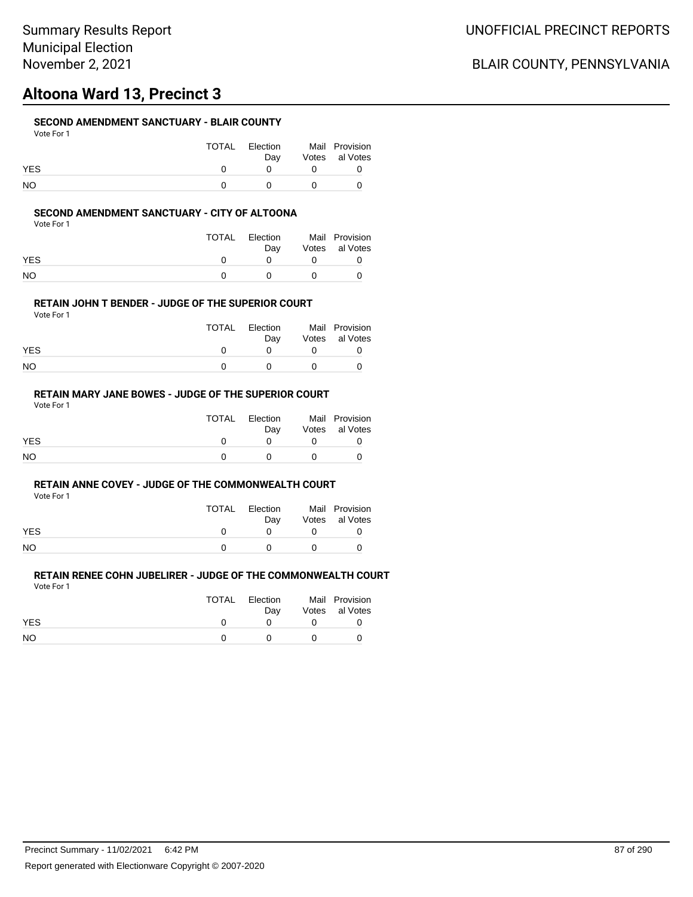# **Altoona Ward 13, Precinct 3**

## **SECOND AMENDMENT SANCTUARY - BLAIR COUNTY**

|            | TOTAL | Election<br>Dav | Mail Provision<br>Votes al Votes |
|------------|-------|-----------------|----------------------------------|
| <b>YES</b> |       |                 |                                  |
| NO.        |       |                 |                                  |

### **SECOND AMENDMENT SANCTUARY - CITY OF ALTOONA**

Vote For 1

|            | TOTAL | Election<br>Dav | Mail Provision<br>Votes al Votes |
|------------|-------|-----------------|----------------------------------|
| <b>YES</b> |       |                 |                                  |
| NΟ         |       | $\mathbf{U}$    |                                  |

### **RETAIN JOHN T BENDER - JUDGE OF THE SUPERIOR COURT**

Vote For 1

|            | TOTAL | Election<br>Dav | Mail Provision<br>Votes al Votes |
|------------|-------|-----------------|----------------------------------|
| <b>YES</b> |       |                 |                                  |
| NO         |       |                 |                                  |

# **RETAIN MARY JANE BOWES - JUDGE OF THE SUPERIOR COURT**

Vote For 1

|            | TOTAL | Election<br>Dav | Mail Provision<br>Votes al Votes |
|------------|-------|-----------------|----------------------------------|
| <b>YES</b> |       |                 |                                  |
| <b>NO</b>  |       |                 |                                  |

#### **RETAIN ANNE COVEY - JUDGE OF THE COMMONWEALTH COURT**

Vote For 1

|            | TOTAL | Election | Mail Provision |
|------------|-------|----------|----------------|
|            |       | Dav      | Votes al Votes |
| <b>YES</b> |       |          |                |
| <b>NO</b>  |       |          |                |

|            | TOTAL | Election | Mail Provision |
|------------|-------|----------|----------------|
|            |       | Dav      | Votes al Votes |
| <b>YES</b> |       |          |                |
| NO.        |       |          |                |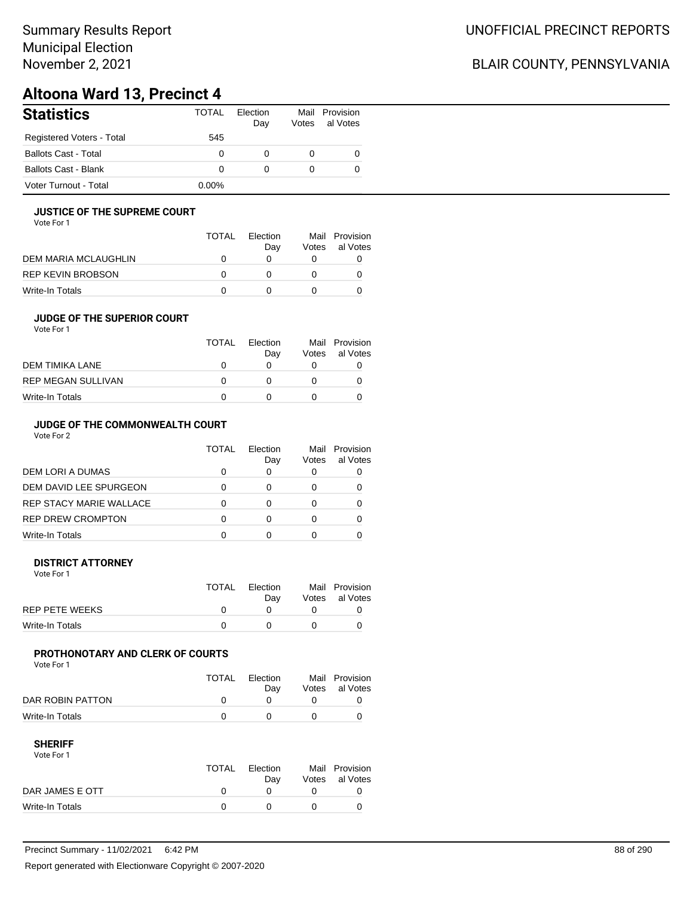# **Altoona Ward 13, Precinct 4**

| <b>Statistics</b>           | TOTAL    | Election<br>Day | Votes | Mail Provision<br>al Votes |
|-----------------------------|----------|-----------------|-------|----------------------------|
| Registered Voters - Total   | 545      |                 |       |                            |
| <b>Ballots Cast - Total</b> | 0        | 0               |       |                            |
| <b>Ballots Cast - Blank</b> | 0        | 0               |       |                            |
| Voter Turnout - Total       | $0.00\%$ |                 |       |                            |

## **JUSTICE OF THE SUPREME COURT**

Vote For 1

|                      | TOTAL | Election<br>Dav | Votes | Mail Provision<br>al Votes |
|----------------------|-------|-----------------|-------|----------------------------|
| DEM MARIA MCLAUGHLIN |       |                 |       |                            |
| REP KEVIN BROBSON    |       |                 |       |                            |
| Write-In Totals      |       |                 |       |                            |

## **JUDGE OF THE SUPERIOR COURT**

| Vote For 1 |  |  |
|------------|--|--|
|            |  |  |

|                           | <b>TOTAL</b> | Election<br>Day | Votes | Mail Provision<br>al Votes |
|---------------------------|--------------|-----------------|-------|----------------------------|
| DEM TIMIKA LANE           |              |                 |       |                            |
| <b>REP MEGAN SULLIVAN</b> |              |                 |       |                            |
| Write-In Totals           |              |                 |       |                            |
|                           |              |                 |       |                            |

# **JUDGE OF THE COMMONWEALTH COURT**

Vote For 2

|                                | TOTAL | Flection<br>Day | Votes | Mail Provision<br>al Votes |
|--------------------------------|-------|-----------------|-------|----------------------------|
| DEM LORI A DUMAS               |       |                 |       |                            |
| DEM DAVID LEE SPURGEON         |       |                 |       |                            |
| <b>REP STACY MARIE WALLACE</b> |       |                 |       |                            |
| <b>REP DREW CROMPTON</b>       |       |                 |       |                            |
| Write-In Totals                |       |                 |       |                            |

### **DISTRICT ATTORNEY**

| Vote For 1      |       |                 |                                  |
|-----------------|-------|-----------------|----------------------------------|
|                 | TOTAL | Election<br>Dav | Mail Provision<br>Votes al Votes |
| REP PETE WEEKS  |       |                 |                                  |
| Write-In Totals |       |                 |                                  |

## **PROTHONOTARY AND CLERK OF COURTS**

Vote For 1

|                  | TOTAL | Election<br>Dav | Mail Provision<br>Votes al Votes |
|------------------|-------|-----------------|----------------------------------|
| DAR ROBIN PATTON |       |                 |                                  |
| Write-In Totals  |       |                 |                                  |

| Vote For 1      |       |                 |                |
|-----------------|-------|-----------------|----------------|
|                 | TOTAL | <b>Flection</b> | Mail Provision |
|                 |       | Dav             | Votes al Votes |
| DAR JAMES E OTT |       |                 |                |
| Write-In Totals |       |                 |                |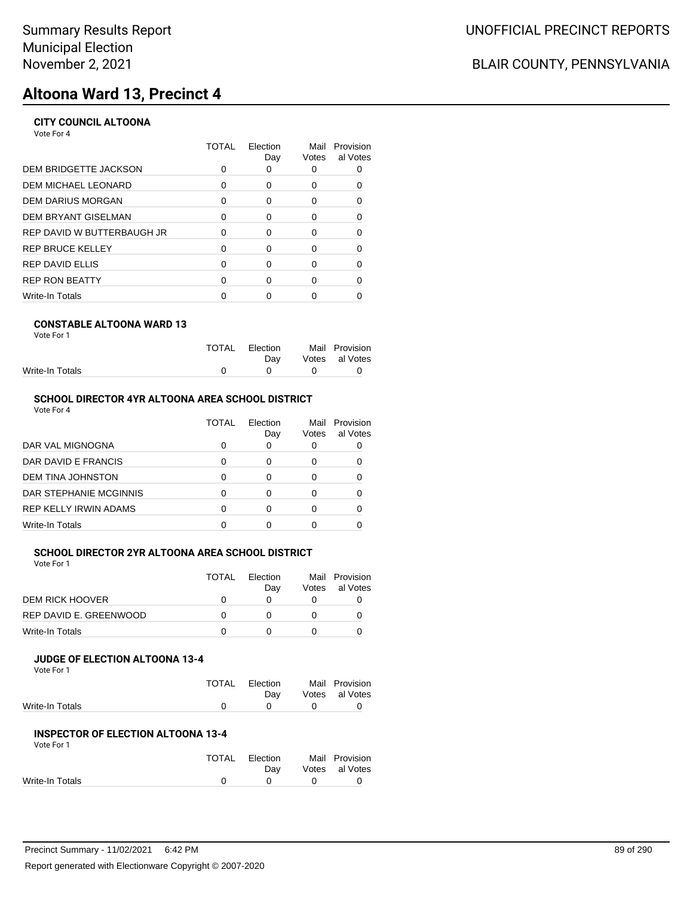# **Altoona Ward 13, Precinct 4**

# **CITY COUNCIL ALTOONA**

Vote For 4

|                              | TOTAL | Election<br>Day | Mail<br>Votes | Provision<br>al Votes |
|------------------------------|-------|-----------------|---------------|-----------------------|
| <b>DEM BRIDGETTE JACKSON</b> | 0     | O               |               |                       |
| DEM MICHAEL LEONARD          | 0     | 0               | 0             |                       |
| DEM DARIUS MORGAN            | 0     | $\Omega$        | 0             | 0                     |
| DEM BRYANT GISELMAN          | 0     | $\Omega$        | 0             |                       |
| REP DAVID W BUTTERBAUGH JR   | 0     | $\Omega$        | 0             |                       |
| REP BRUCE KELLEY             | 0     | $\Omega$        | 0             | 0                     |
| REP DAVID ELLIS              | 0     | $\Omega$        | 0             |                       |
| <b>REP RON BEATTY</b>        | O     | $\Omega$        | O             |                       |
| Write-In Totals              |       |                 |               |                       |
|                              |       |                 |               |                       |

## **CONSTABLE ALTOONA WARD 13**

| Vote For 1 |  |  |
|------------|--|--|
|            |  |  |

|                 | TOTAL Election                | Mail Provision |
|-----------------|-------------------------------|----------------|
|                 | Dav                           | Votes al Votes |
| Write-In Totals | $\overline{0}$ $\overline{0}$ |                |
|                 |                               |                |

# **SCHOOL DIRECTOR 4YR ALTOONA AREA SCHOOL DISTRICT**

| Vote For 4 |  |  |
|------------|--|--|
|------------|--|--|

|                          | TOTAL | Election<br>Day | Mail<br>Votes | Provision<br>al Votes |
|--------------------------|-------|-----------------|---------------|-----------------------|
| DAR VAL MIGNOGNA         |       |                 |               |                       |
| DAR DAVID E FRANCIS      |       |                 | Ω             |                       |
| <b>DEM TINA JOHNSTON</b> |       |                 |               |                       |
| DAR STEPHANIE MCGINNIS   |       |                 | 0             |                       |
| REP KELLY IRWIN ADAMS    |       |                 | O             |                       |
| Write-In Totals          |       |                 |               |                       |

# **SCHOOL DIRECTOR 2YR ALTOONA AREA SCHOOL DISTRICT**

| Vote For 1 |  |
|------------|--|
|            |  |

|                        | <b>TOTAL</b> | Election | Mail  | Provision |
|------------------------|--------------|----------|-------|-----------|
|                        |              | Dav      | Votes | al Votes  |
| DEM RICK HOOVER        |              |          |       |           |
| REP DAVID E. GREENWOOD |              |          |       |           |
| Write-In Totals        |              |          |       |           |

## **JUDGE OF ELECTION ALTOONA 13-4**

Vote For 1

|                 | TOTAL Election                    | Mail Provision |
|-----------------|-----------------------------------|----------------|
|                 | Dav                               | Votes al Votes |
| Write-In Totals | $\overline{a}$ and $\overline{a}$ |                |

#### **INSPECTOR OF ELECTION ALTOONA 13-4** Vote For 1

| 1 U U U U       |              |              |              |                |
|-----------------|--------------|--------------|--------------|----------------|
|                 | <b>TOTAL</b> | Election     |              | Mail Provision |
|                 |              | Dav          |              | Votes al Votes |
| Write-In Totals |              | $\mathsf{O}$ | <sup>o</sup> |                |
|                 |              |              |              |                |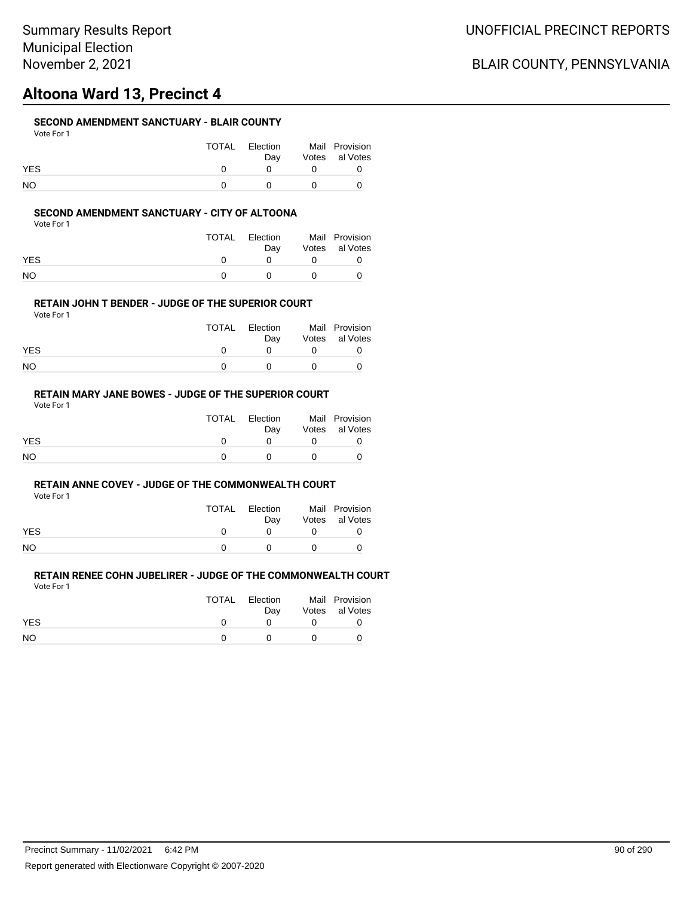# **Altoona Ward 13, Precinct 4**

## **SECOND AMENDMENT SANCTUARY - BLAIR COUNTY**

|            | TOTAL | Election<br>Dav | Mail Provision<br>Votes al Votes |
|------------|-------|-----------------|----------------------------------|
| <b>YES</b> |       |                 |                                  |
| NO.        |       |                 |                                  |

### **SECOND AMENDMENT SANCTUARY - CITY OF ALTOONA**

Vote For 1

|            | TOTAL | Election<br>Dav | Mail Provision<br>Votes al Votes |
|------------|-------|-----------------|----------------------------------|
| <b>YES</b> |       |                 |                                  |
| NΟ         |       | $\mathbf{U}$    |                                  |

### **RETAIN JOHN T BENDER - JUDGE OF THE SUPERIOR COURT**

Vote For 1

|            | TOTAL | Election<br>Dav | Mail Provision<br>Votes al Votes |
|------------|-------|-----------------|----------------------------------|
| <b>YES</b> |       |                 |                                  |
| NO         |       |                 |                                  |

# **RETAIN MARY JANE BOWES - JUDGE OF THE SUPERIOR COURT**

Vote For 1

|            | TOTAL | Election<br>Dav | Mail Provision<br>Votes al Votes |
|------------|-------|-----------------|----------------------------------|
| <b>YES</b> |       |                 |                                  |
| <b>NO</b>  |       |                 |                                  |

#### **RETAIN ANNE COVEY - JUDGE OF THE COMMONWEALTH COURT**

Vote For 1

|            | <b>TOTAL</b> | Election | Mail Provision |
|------------|--------------|----------|----------------|
|            |              | Dav      | Votes al Votes |
| <b>YES</b> |              |          |                |
| <b>NO</b>  |              |          |                |

| .          |       |                 |                                  |
|------------|-------|-----------------|----------------------------------|
|            | TOTAL | Election<br>Dav | Mail Provision<br>Votes al Votes |
| <b>YES</b> |       |                 |                                  |
| NO.        |       |                 |                                  |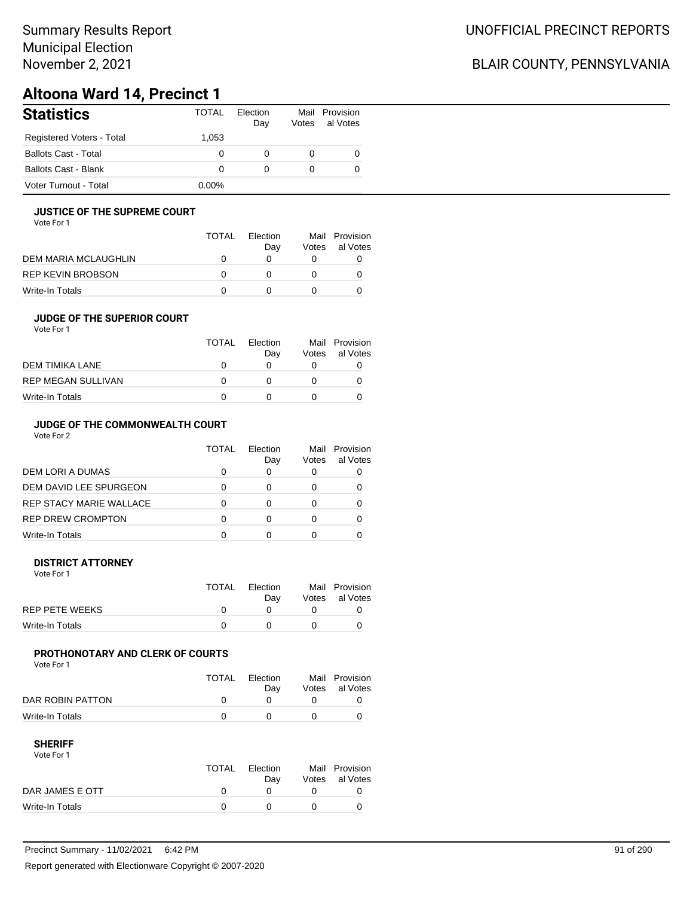# **Altoona Ward 14, Precinct 1**

| <b>Statistics</b>           | TOTAL    | Election<br>Day | Mail<br>Votes | Provision<br>al Votes |
|-----------------------------|----------|-----------------|---------------|-----------------------|
| Registered Voters - Total   | 1,053    |                 |               |                       |
| <b>Ballots Cast - Total</b> | $\Omega$ | 0               | 0             |                       |
| Ballots Cast - Blank        | $\Omega$ | 0               | 0             |                       |
| Voter Turnout - Total       | $0.00\%$ |                 |               |                       |

## **JUSTICE OF THE SUPREME COURT**

Vote For 1

|                      | TOTAL | Election<br>Dav | Votes | Mail Provision<br>al Votes |
|----------------------|-------|-----------------|-------|----------------------------|
| DEM MARIA MCLAUGHLIN |       |                 |       |                            |
| REP KEVIN BROBSON    |       |                 |       |                            |
| Write-In Totals      |       |                 |       |                            |

## **JUDGE OF THE SUPERIOR COURT**

| Vote For 1 |  |  |
|------------|--|--|
|            |  |  |

|                           | <b>TOTAL</b> | Election<br>Day | Votes | Mail Provision<br>al Votes |
|---------------------------|--------------|-----------------|-------|----------------------------|
| DEM TIMIKA LANE           |              |                 |       |                            |
| <b>REP MEGAN SULLIVAN</b> |              |                 |       |                            |
| Write-In Totals           |              |                 |       |                            |
|                           |              |                 |       |                            |

# **JUDGE OF THE COMMONWEALTH COURT**

Vote For 2

|                                | TOTAL | Flection<br>Day | Votes | Mail Provision<br>al Votes |
|--------------------------------|-------|-----------------|-------|----------------------------|
| DEM LORI A DUMAS               |       |                 |       |                            |
| DEM DAVID LEE SPURGEON         |       |                 |       |                            |
| <b>REP STACY MARIE WALLACE</b> |       |                 |       |                            |
| <b>REP DREW CROMPTON</b>       |       |                 |       |                            |
| Write-In Totals                |       |                 |       |                            |

### **DISTRICT ATTORNEY**

| Vote For 1            |              |                 |                                  |
|-----------------------|--------------|-----------------|----------------------------------|
|                       | <b>TOTAL</b> | Election<br>Dav | Mail Provision<br>Votes al Votes |
| <b>REP PETE WEEKS</b> |              |                 |                                  |
| Write-In Totals       |              |                 |                                  |

## **PROTHONOTARY AND CLERK OF COURTS**

Vote For 1

|                  | <b>TOTAL</b> | Election<br>Dav | Mail Provision<br>Votes al Votes |
|------------------|--------------|-----------------|----------------------------------|
| DAR ROBIN PATTON |              |                 |                                  |
| Write-In Totals  |              |                 |                                  |

| Vote For 1      |       |                 |                |
|-----------------|-------|-----------------|----------------|
|                 | TOTAL | <b>Flection</b> | Mail Provision |
|                 |       | Dav             | Votes al Votes |
| DAR JAMES E OTT |       |                 |                |
| Write-In Totals |       |                 |                |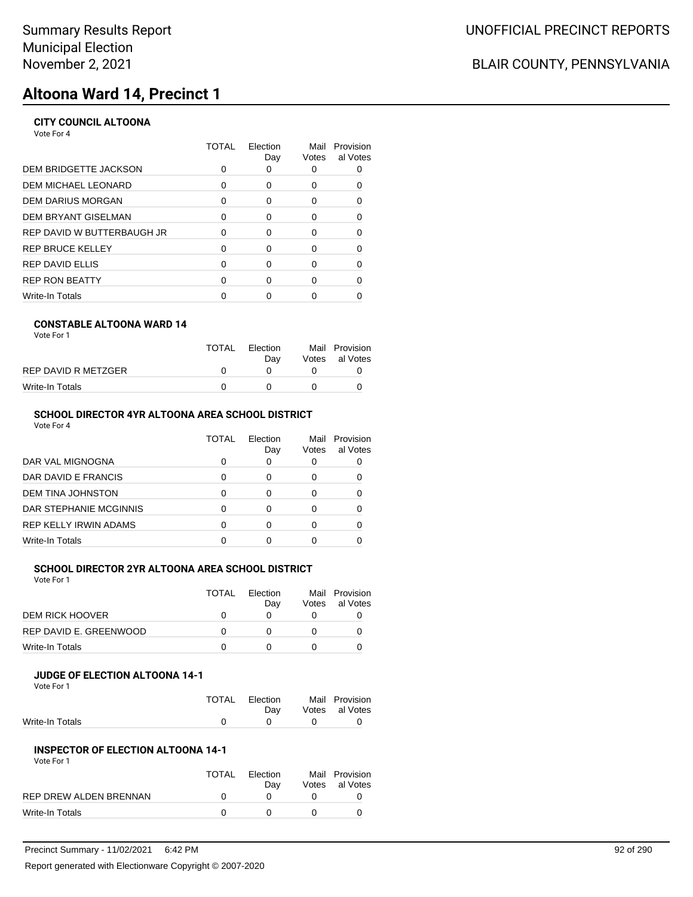# **Altoona Ward 14, Precinct 1**

## **CITY COUNCIL ALTOONA**

Vote For 4

|                            | TOTAL | Election<br>Day | Mail<br>Votes | Provision<br>al Votes |
|----------------------------|-------|-----------------|---------------|-----------------------|
| DEM BRIDGETTE JACKSON      | 0     | O               |               |                       |
| DEM MICHAEL LEONARD        | 0     | 0               | 0             |                       |
| DEM DARIUS MORGAN          | 0     | $\Omega$        | 0             | 0                     |
| DEM BRYANT GISELMAN        | 0     | 0               | 0             |                       |
| REP DAVID W BUTTERBAUGH JR | 0     | $\Omega$        | 0             |                       |
| REP BRUCE KELLEY           | O     | $\Omega$        | O             |                       |
| REP DAVID ELLIS            | 0     | $\Omega$        | O             |                       |
| <b>REP RON BEATTY</b>      | ∩     | $\Omega$        | ∩             |                       |
| Write-In Totals            |       |                 |               |                       |
|                            |       |                 |               |                       |

## **CONSTABLE ALTOONA WARD 14**

| Vote For 1 |  |  |
|------------|--|--|
|------------|--|--|

|                     | <b>TOTAL</b> | Election<br>Dav | Mail Provision<br>Votes al Votes |
|---------------------|--------------|-----------------|----------------------------------|
| REP DAVID R METZGER |              |                 |                                  |
| Write-In Totals     |              | $^{\prime}$     |                                  |

# **SCHOOL DIRECTOR 4YR ALTOONA AREA SCHOOL DISTRICT**

Vote For 4

|                              | TOTAL | Flection<br>Day | Mail<br>Votes | Provision<br>al Votes |
|------------------------------|-------|-----------------|---------------|-----------------------|
| DAR VAL MIGNOGNA             |       | 0               |               |                       |
| DAR DAVID E FRANCIS          |       |                 | O             |                       |
| DEM TINA JOHNSTON            |       |                 |               |                       |
| DAR STEPHANIE MCGINNIS       |       |                 | Ω             |                       |
| <b>REP KELLY IRWIN ADAMS</b> |       | ∩               |               |                       |
| <b>Write-In Totals</b>       |       |                 |               |                       |

# **SCHOOL DIRECTOR 2YR ALTOONA AREA SCHOOL DISTRICT**

Vote For 1

|                        | TOTAL | Election |       | Mail Provision |
|------------------------|-------|----------|-------|----------------|
|                        |       | Dav      | Votes | al Votes       |
| DEM RICK HOOVER        |       |          |       |                |
| REP DAVID E. GREENWOOD |       |          |       |                |
| Write-In Totals        |       |          |       |                |

#### **JUDGE OF ELECTION ALTOONA 14-1** Vote For 1

|                 | TOTAL Election<br>Dav |             | Mail Provision<br>Votes al Votes |
|-----------------|-----------------------|-------------|----------------------------------|
| Write-In Totals | $\eta$                | $^{\prime}$ |                                  |

#### **INSPECTOR OF ELECTION ALTOONA 14-1** Vote For 1

| <u>vuurivii</u>        |              |                 |                                  |
|------------------------|--------------|-----------------|----------------------------------|
|                        | <b>TOTAL</b> | Election<br>Dav | Mail Provision<br>Votes al Votes |
| REP DREW ALDEN BRENNAN |              |                 |                                  |
| Write-In Totals        |              |                 |                                  |
|                        |              |                 |                                  |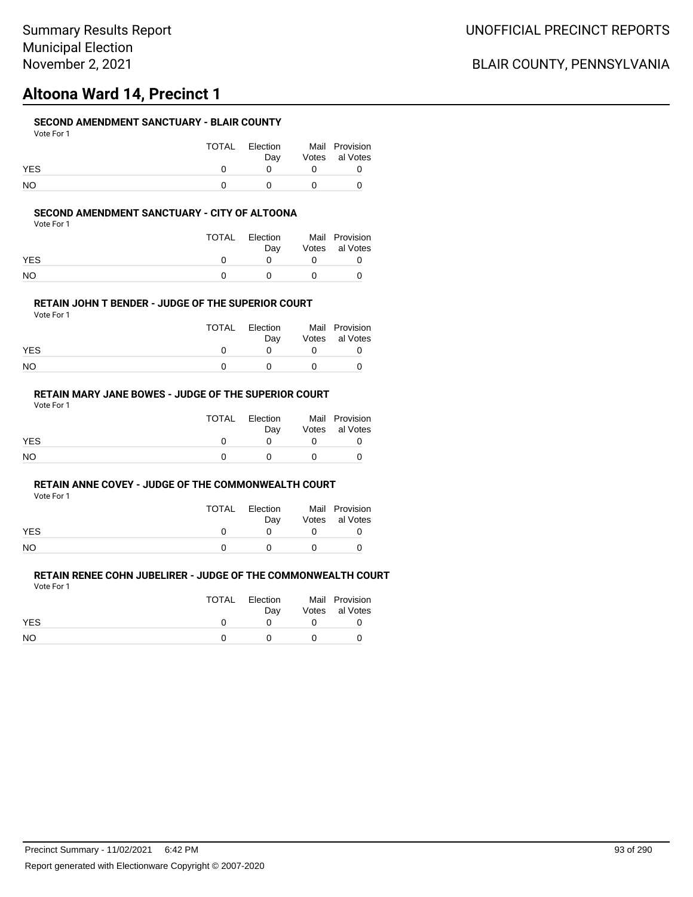# **Altoona Ward 14, Precinct 1**

## **SECOND AMENDMENT SANCTUARY - BLAIR COUNTY**

| Vote For 1 |
|------------|
|------------|

|            | TOTAL | Election<br>Dav | Mail Provision<br>Votes al Votes |
|------------|-------|-----------------|----------------------------------|
| <b>YES</b> |       |                 |                                  |
| NO.        |       |                 |                                  |

### **SECOND AMENDMENT SANCTUARY - CITY OF ALTOONA**

Vote For 1

|            | TOTAL | Election<br>Dav | Mail Provision<br>Votes al Votes |
|------------|-------|-----------------|----------------------------------|
| <b>YES</b> |       |                 |                                  |
| NΟ         |       | $\mathbf{U}$    |                                  |

### **RETAIN JOHN T BENDER - JUDGE OF THE SUPERIOR COURT**

Vote For 1

|            | TOTAL | Election<br>Dav | Mail Provision<br>Votes al Votes |
|------------|-------|-----------------|----------------------------------|
| <b>YES</b> |       |                 |                                  |
| NO         |       |                 |                                  |

# **RETAIN MARY JANE BOWES - JUDGE OF THE SUPERIOR COURT**

Vote For 1

|            | TOTAL | Election<br>Dav | Mail Provision<br>Votes al Votes |
|------------|-------|-----------------|----------------------------------|
| <b>YES</b> |       |                 |                                  |
| <b>NO</b>  |       |                 |                                  |

#### **RETAIN ANNE COVEY - JUDGE OF THE COMMONWEALTH COURT**

Vote For 1

|            | TOTAL | Election | Mail Provision |
|------------|-------|----------|----------------|
|            |       | Dav      | Votes al Votes |
| <b>YES</b> |       |          |                |
| <b>NO</b>  |       |          |                |

|            | TOTAL | Election | Mail Provision |
|------------|-------|----------|----------------|
|            |       | Dav      | Votes al Votes |
| <b>YES</b> |       |          |                |
| NO.        |       |          |                |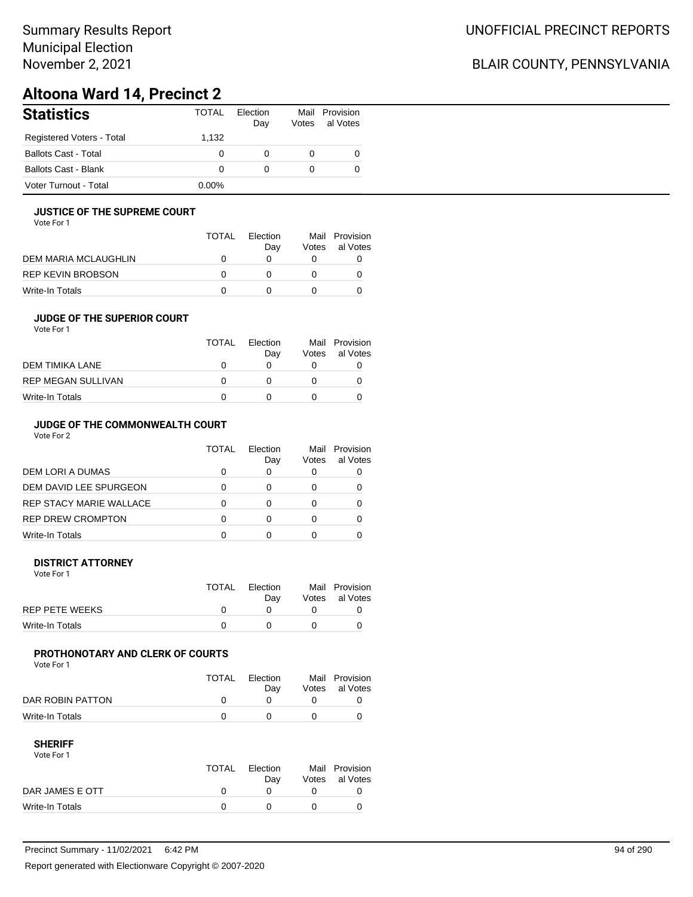# **Altoona Ward 14, Precinct 2**

| <b>Statistics</b>           | <b>TOTAL</b> | Election<br>Day | Votes    | Mail Provision<br>al Votes |
|-----------------------------|--------------|-----------------|----------|----------------------------|
| Registered Voters - Total   | 1.132        |                 |          |                            |
| <b>Ballots Cast - Total</b> | 0            | 0               | $\Omega$ |                            |
| <b>Ballots Cast - Blank</b> |              | 0               | $\Omega$ |                            |
| Voter Turnout - Total       | 0.00%        |                 |          |                            |

## **JUSTICE OF THE SUPREME COURT**

Vote For 1

|                      | TOTAL | Election<br>Dav | Votes | Mail Provision<br>al Votes |
|----------------------|-------|-----------------|-------|----------------------------|
| DEM MARIA MCLAUGHLIN |       |                 |       |                            |
| REP KEVIN BROBSON    |       |                 |       |                            |
| Write-In Totals      |       |                 |       |                            |

## **JUDGE OF THE SUPERIOR COURT**

| Vote For 1 |  |  |
|------------|--|--|
|            |  |  |

| Dav | Votes | Mail Provision<br>al Votes |
|-----|-------|----------------------------|
|     |       |                            |
|     |       |                            |
|     |       |                            |
|     |       | <b>TOTAL</b><br>Election   |

# **JUDGE OF THE COMMONWEALTH COURT**

Vote For 2

|                                | TOTAL | Flection<br>Day | Votes | Mail Provision<br>al Votes |
|--------------------------------|-------|-----------------|-------|----------------------------|
| DEM LORI A DUMAS               |       |                 |       |                            |
| DEM DAVID LEE SPURGEON         |       |                 |       |                            |
| <b>REP STACY MARIE WALLACE</b> |       |                 |       |                            |
| <b>REP DREW CROMPTON</b>       |       |                 |       |                            |
| Write-In Totals                |       |                 |       |                            |

### **DISTRICT ATTORNEY**

| Vote For 1            |              |                 |                                  |
|-----------------------|--------------|-----------------|----------------------------------|
|                       | <b>TOTAL</b> | Election<br>Dav | Mail Provision<br>Votes al Votes |
| <b>REP PETE WEEKS</b> |              |                 |                                  |
| Write-In Totals       |              |                 |                                  |

## **PROTHONOTARY AND CLERK OF COURTS**

Vote For 1

|                  | <b>TOTAL</b> | Election<br>Dav | Mail Provision<br>Votes al Votes |
|------------------|--------------|-----------------|----------------------------------|
| DAR ROBIN PATTON |              |                 |                                  |
| Write-In Totals  |              |                 |                                  |

| Vote For 1      |       |          |                |
|-----------------|-------|----------|----------------|
|                 | TOTAL | Election | Mail Provision |
|                 |       | Dav      | Votes al Votes |
| DAR JAMES E OTT |       |          |                |
| Write-In Totals |       |          |                |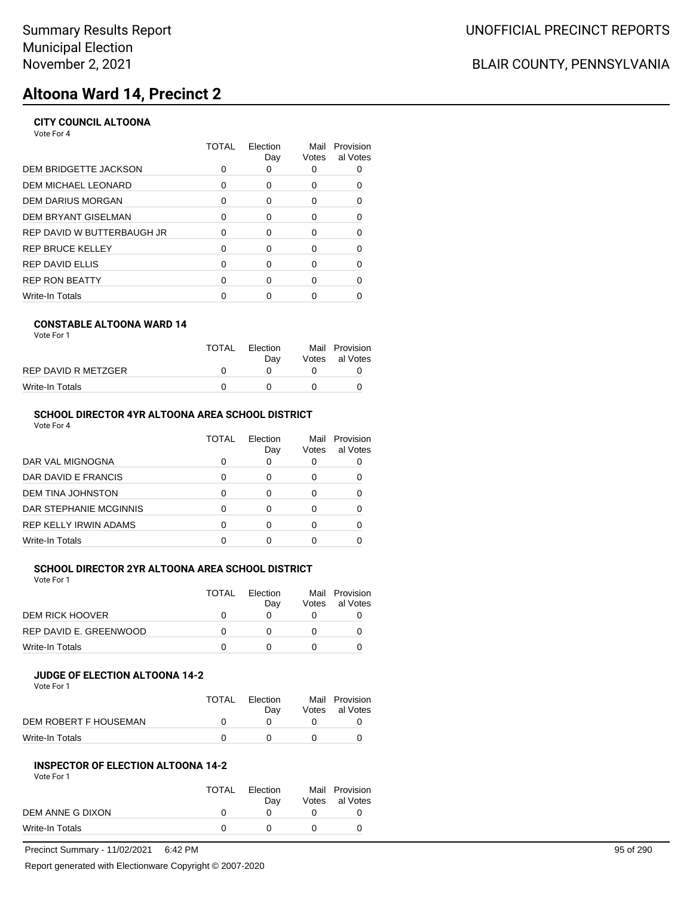# **Altoona Ward 14, Precinct 2**

# **CITY COUNCIL ALTOONA**

Vote For 4

|                            | TOTAL | Flection<br>Day | Mail<br>Votes | Provision<br>al Votes |
|----------------------------|-------|-----------------|---------------|-----------------------|
| DEM BRIDGETTE JACKSON      |       |                 |               |                       |
| DEM MICHAEL LEONARD        | 0     | 0               | Ω             |                       |
| DEM DARIUS MORGAN          | 0     | $\Omega$        | O             | U                     |
| DEM BRYANT GISELMAN        | 0     | ∩               | 0             | 0                     |
| REP DAVID W BUTTERBAUGH JR | O     | ∩               | O             |                       |
| REP BRUCE KELLEY           | ∩     | <sup>n</sup>    | O             | ŋ                     |
| REP DAVID ELLIS            | 0     | ∩               | O             | 0                     |
| <b>REP RON BEATTY</b>      | ∩     | $\Omega$        | ∩             |                       |
| Write-In Totals            |       |                 |               |                       |
|                            |       |                 |               |                       |

## **CONSTABLE ALTOONA WARD 14**

| Vote For 1 |  |
|------------|--|
|------------|--|

|                     | <b>TOTAL</b> | Election<br>Dav | Mail Provision<br>Votes al Votes |
|---------------------|--------------|-----------------|----------------------------------|
| REP DAVID R METZGER |              |                 |                                  |
| Write-In Totals     |              |                 |                                  |

# **SCHOOL DIRECTOR 4YR ALTOONA AREA SCHOOL DISTRICT**

Vote For 4

|                        | TOTAL | Election<br>Day | Mail<br>Votes | Provision<br>al Votes |
|------------------------|-------|-----------------|---------------|-----------------------|
| DAR VAL MIGNOGNA       |       | 0               |               |                       |
| DAR DAVID E FRANCIS    |       |                 |               |                       |
| DEM TINA JOHNSTON      |       |                 |               |                       |
| DAR STEPHANIE MCGINNIS |       |                 |               |                       |
| REP KELLY IRWIN ADAMS  |       |                 |               |                       |
| <b>Write-In Totals</b> |       |                 |               |                       |

# **SCHOOL DIRECTOR 2YR ALTOONA AREA SCHOOL DISTRICT**

Vote For 1

|                        | TOTAL | Flection<br>Dav | Votes | Mail Provision<br>al Votes |
|------------------------|-------|-----------------|-------|----------------------------|
| DEM RICK HOOVER        |       |                 |       |                            |
| REP DAVID E. GREENWOOD |       |                 |       |                            |
| Write-In Totals        |       |                 |       |                            |

#### **JUDGE OF ELECTION ALTOONA 14-2** Vote For 1

|                       | TOTAL | Election<br>Dav | Mail Provision<br>Votes al Votes |
|-----------------------|-------|-----------------|----------------------------------|
| DEM ROBERT F HOUSEMAN |       |                 |                                  |
| Write-In Totals       |       |                 |                                  |

### **INSPECTOR OF ELECTION ALTOONA 14-2**

Vote For 1

|                  | <b>TOTAL</b> | Election<br>Dav | Mail Provision<br>Votes al Votes |
|------------------|--------------|-----------------|----------------------------------|
| DEM ANNE G DIXON | $^{\prime}$  |                 |                                  |
| Write-In Totals  | n            |                 |                                  |

Precinct Summary - 11/02/2021 6:42 PM 95 of 290

Report generated with Electionware Copyright © 2007-2020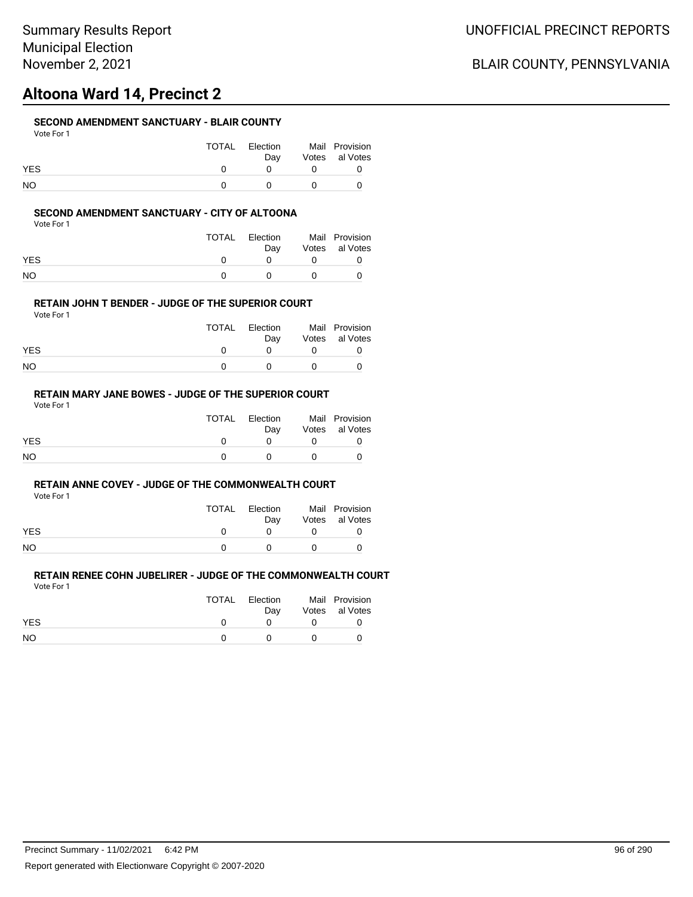# **Altoona Ward 14, Precinct 2**

## **SECOND AMENDMENT SANCTUARY - BLAIR COUNTY**

|            | TOTAL | Election<br>Dav | Mail Provision<br>Votes al Votes |
|------------|-------|-----------------|----------------------------------|
| <b>YES</b> |       |                 |                                  |
| NO.        |       |                 |                                  |

### **SECOND AMENDMENT SANCTUARY - CITY OF ALTOONA**

Vote For 1

|            | TOTAL | Election<br>Dav | Mail Provision<br>Votes al Votes |
|------------|-------|-----------------|----------------------------------|
| <b>YES</b> |       |                 |                                  |
| NΟ         |       | $\mathbf{U}$    |                                  |

### **RETAIN JOHN T BENDER - JUDGE OF THE SUPERIOR COURT**

Vote For 1

|            | TOTAL | Election<br>Dav | Mail Provision<br>Votes al Votes |
|------------|-------|-----------------|----------------------------------|
| <b>YES</b> |       |                 |                                  |
| NO         |       |                 |                                  |

# **RETAIN MARY JANE BOWES - JUDGE OF THE SUPERIOR COURT**

Vote For 1

|            | TOTAL | Election<br>Dav | Mail Provision<br>Votes al Votes |
|------------|-------|-----------------|----------------------------------|
| <b>YES</b> |       |                 |                                  |
| <b>NO</b>  |       |                 |                                  |

#### **RETAIN ANNE COVEY - JUDGE OF THE COMMONWEALTH COURT**

Vote For 1

|            | <b>TOTAL</b> | Election | Mail Provision |
|------------|--------------|----------|----------------|
|            |              | Dav      | Votes al Votes |
| <b>YES</b> |              |          |                |
| <b>NO</b>  |              |          |                |

| .          |       |                 |                                  |
|------------|-------|-----------------|----------------------------------|
|            | TOTAL | Election<br>Dav | Mail Provision<br>Votes al Votes |
| <b>YES</b> |       |                 |                                  |
| NO.        |       |                 |                                  |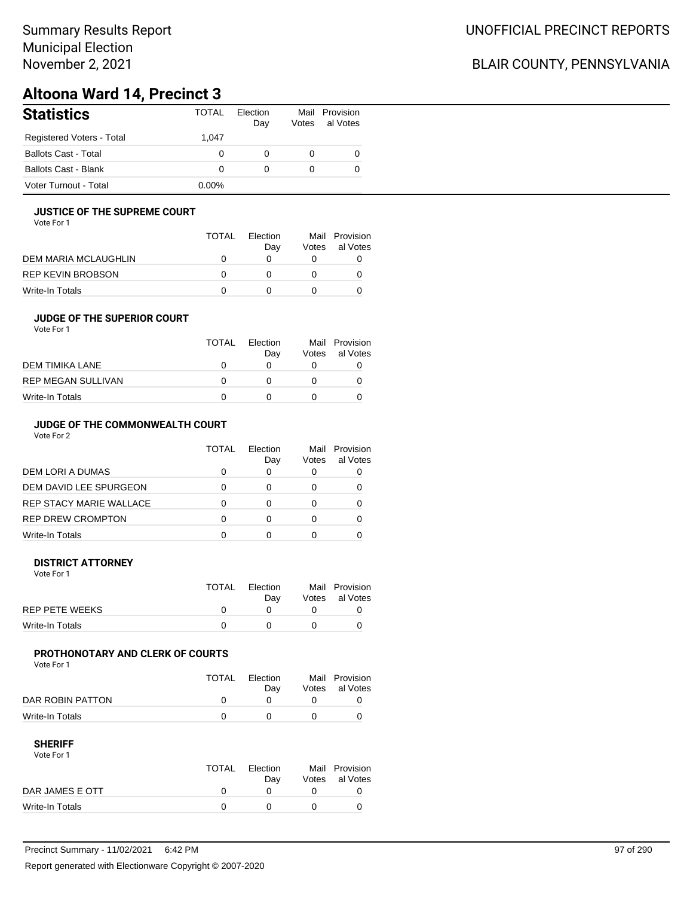# Summary Results Report Municipal Election November 2, 2021

# BLAIR COUNTY, PENNSYLVANIA

# **Altoona Ward 14, Precinct 3**

| <b>Statistics</b>           | <b>TOTAL</b> | Election<br>Day | Mail<br>Votes | Provision<br>al Votes |
|-----------------------------|--------------|-----------------|---------------|-----------------------|
| Registered Voters - Total   | 1.047        |                 |               |                       |
| <b>Ballots Cast - Total</b> | 0            | 0               | 0             | 0                     |
| <b>Ballots Cast - Blank</b> | 0            | 0               | 0             |                       |
| Voter Turnout - Total       | $0.00\%$     |                 |               |                       |

## **JUSTICE OF THE SUPREME COURT**

Vote For 1

|                      | TOTAL | Election<br>Dav | Votes | Mail Provision<br>al Votes |
|----------------------|-------|-----------------|-------|----------------------------|
| DEM MARIA MCLAUGHLIN |       |                 |       |                            |
| REP KEVIN BROBSON    |       |                 |       |                            |
| Write-In Totals      |       |                 |       |                            |

## **JUDGE OF THE SUPERIOR COURT**

| Vote For 1 |  |  |
|------------|--|--|
|            |  |  |

| Dav | Votes | Mail Provision<br>al Votes |
|-----|-------|----------------------------|
|     |       |                            |
|     |       |                            |
|     |       |                            |
|     |       | <b>TOTAL</b><br>Election   |

# **JUDGE OF THE COMMONWEALTH COURT**

Vote For 2

|                                | TOTAL | Flection<br>Day | Votes | Mail Provision<br>al Votes |
|--------------------------------|-------|-----------------|-------|----------------------------|
| DEM LORI A DUMAS               |       |                 |       |                            |
| DEM DAVID LEE SPURGEON         |       |                 |       |                            |
| <b>REP STACY MARIE WALLACE</b> |       |                 |       |                            |
| <b>REP DREW CROMPTON</b>       |       |                 |       |                            |
| Write-In Totals                |       |                 |       |                            |

### **DISTRICT ATTORNEY**

| Vote For 1            |              |                 |                                  |
|-----------------------|--------------|-----------------|----------------------------------|
|                       | <b>TOTAL</b> | Election<br>Dav | Mail Provision<br>Votes al Votes |
| <b>REP PETE WEEKS</b> |              |                 |                                  |
| Write-In Totals       |              |                 |                                  |

# **PROTHONOTARY AND CLERK OF COURTS**

Vote For 1

|                  | <b>TOTAL</b> | Election<br>Dav | Mail Provision<br>Votes al Votes |
|------------------|--------------|-----------------|----------------------------------|
| DAR ROBIN PATTON |              |                 |                                  |
| Write-In Totals  |              |                 |                                  |

| Vote For 1      |       |                 |                |
|-----------------|-------|-----------------|----------------|
|                 | TOTAL | <b>Flection</b> | Mail Provision |
|                 |       | Dav             | Votes al Votes |
| DAR JAMES E OTT |       |                 |                |
| Write-In Totals |       |                 |                |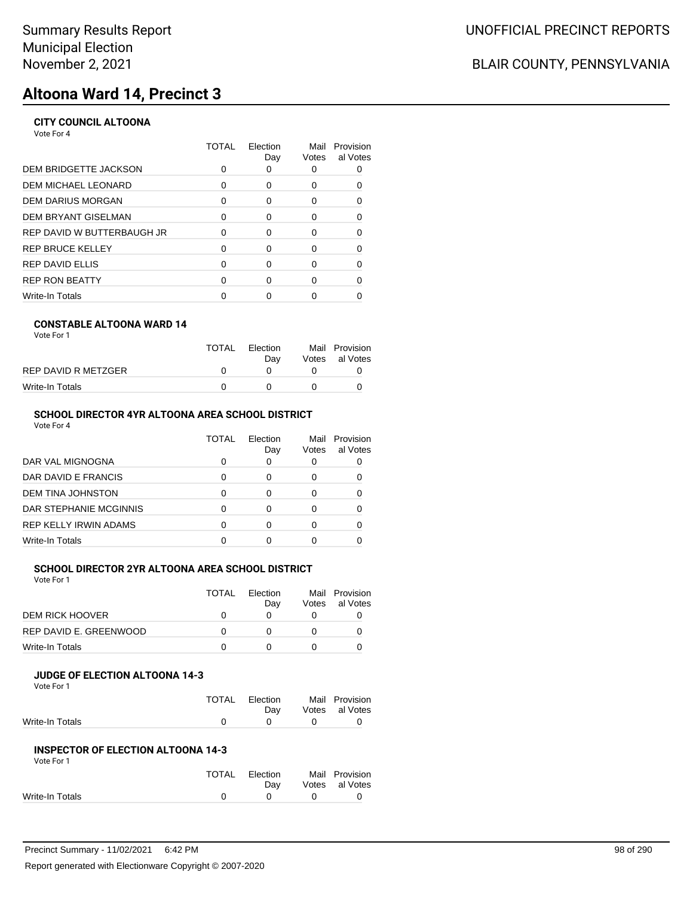# **Altoona Ward 14, Precinct 3**

# **CITY COUNCIL ALTOONA**

Vote For 4

|                            | TOTAL | Election<br>Day | Mail<br>Votes | Provision<br>al Votes |
|----------------------------|-------|-----------------|---------------|-----------------------|
| DEM BRIDGETTE JACKSON      | 0     | O               |               |                       |
| DEM MICHAEL LEONARD        | 0     | 0               | 0             |                       |
| DEM DARIUS MORGAN          | 0     | $\Omega$        | 0             | 0                     |
| DEM BRYANT GISELMAN        | 0     | 0               | 0             |                       |
| REP DAVID W BUTTERBAUGH JR | 0     | $\Omega$        | 0             |                       |
| REP BRUCE KELLEY           | O     | $\Omega$        | O             |                       |
| REP DAVID ELLIS            | 0     | $\Omega$        | O             |                       |
| <b>REP RON BEATTY</b>      | ∩     | $\Omega$        | ∩             |                       |
| Write-In Totals            |       |                 |               |                       |
|                            |       |                 |               |                       |

## **CONSTABLE ALTOONA WARD 14**

| Vote For 1 |  |  |
|------------|--|--|
|------------|--|--|

|                     | <b>TOTAL</b> | Election<br>Dav | Mail Provision<br>Votes al Votes |
|---------------------|--------------|-----------------|----------------------------------|
| REP DAVID R METZGER |              |                 |                                  |
| Write-In Totals     |              |                 |                                  |

# **SCHOOL DIRECTOR 4YR ALTOONA AREA SCHOOL DISTRICT**

Vote For 4

|                              | TOTAL | Flection<br>Day | Mail<br>Votes | Provision<br>al Votes |
|------------------------------|-------|-----------------|---------------|-----------------------|
| DAR VAL MIGNOGNA             |       | 0               |               |                       |
| DAR DAVID E FRANCIS          |       |                 | O             |                       |
| DEM TINA JOHNSTON            |       |                 |               |                       |
| DAR STEPHANIE MCGINNIS       |       |                 | Ω             |                       |
| <b>REP KELLY IRWIN ADAMS</b> |       | ∩               |               |                       |
| <b>Write-In Totals</b>       |       |                 |               |                       |

# **SCHOOL DIRECTOR 2YR ALTOONA AREA SCHOOL DISTRICT**

Vote For 1

|                        | TOTAL | Election | Mail  | Provision |
|------------------------|-------|----------|-------|-----------|
|                        |       | Dav      | Votes | al Votes  |
| DEM RICK HOOVER        |       |          |       |           |
| REP DAVID E. GREENWOOD |       |          |       |           |
| Write-In Totals        |       |          |       |           |

#### **JUDGE OF ELECTION ALTOONA 14-3** Vote For 1

|                 | TOTAL Election |            | Mail Provision |
|-----------------|----------------|------------|----------------|
|                 | Dav            |            | Votes al Votes |
| Write-In Totals | $\theta$       | $^{\circ}$ |                |
|                 |                |            |                |

#### **INSPECTOR OF ELECTION ALTOONA 14-3** Vote For 1

| 1 U U U         |       |          |                |
|-----------------|-------|----------|----------------|
|                 | TOTAL | Election | Mail Provision |
|                 |       | Dav      | Votes al Votes |
| Write-In Totals |       |          |                |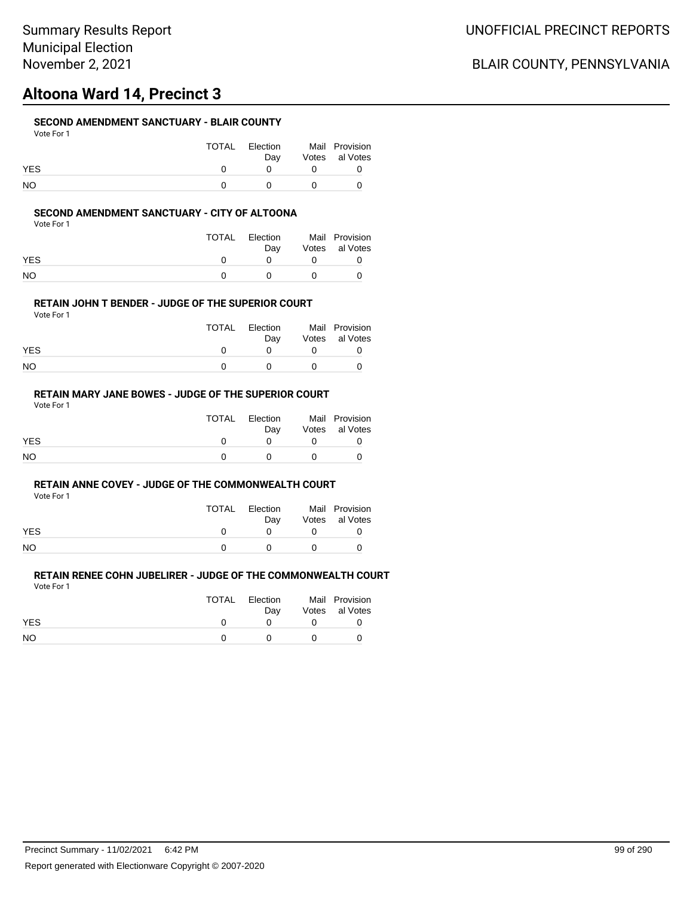# **Altoona Ward 14, Precinct 3**

## **SECOND AMENDMENT SANCTUARY - BLAIR COUNTY**

|            | TOTAL | Election<br>Dav | Mail Provision<br>Votes al Votes |
|------------|-------|-----------------|----------------------------------|
| <b>YES</b> |       |                 |                                  |
| NO.        |       |                 |                                  |

### **SECOND AMENDMENT SANCTUARY - CITY OF ALTOONA**

Vote For 1

|            | TOTAL | Election<br>Dav | Mail Provision<br>Votes al Votes |
|------------|-------|-----------------|----------------------------------|
| <b>YES</b> |       |                 |                                  |
| NΟ         |       | $\mathbf{U}$    |                                  |

### **RETAIN JOHN T BENDER - JUDGE OF THE SUPERIOR COURT**

Vote For 1

|            | TOTAL | Election<br>Dav | Mail Provision<br>Votes al Votes |
|------------|-------|-----------------|----------------------------------|
| <b>YES</b> |       |                 |                                  |
| NO         |       |                 |                                  |

# **RETAIN MARY JANE BOWES - JUDGE OF THE SUPERIOR COURT**

Vote For 1

|            | TOTAL | Election<br>Dav | Mail Provision<br>Votes al Votes |
|------------|-------|-----------------|----------------------------------|
| <b>YES</b> |       |                 |                                  |
| <b>NO</b>  |       |                 |                                  |

#### **RETAIN ANNE COVEY - JUDGE OF THE COMMONWEALTH COURT**

Vote For 1

|            | TOTAL | Election | Mail Provision |
|------------|-------|----------|----------------|
|            |       | Dav      | Votes al Votes |
| <b>YES</b> |       |          |                |
| <b>NO</b>  |       |          |                |

|            | TOTAL | Election | Mail Provision |
|------------|-------|----------|----------------|
|            |       | Dav      | Votes al Votes |
| <b>YES</b> |       |          |                |
| NO.        |       |          |                |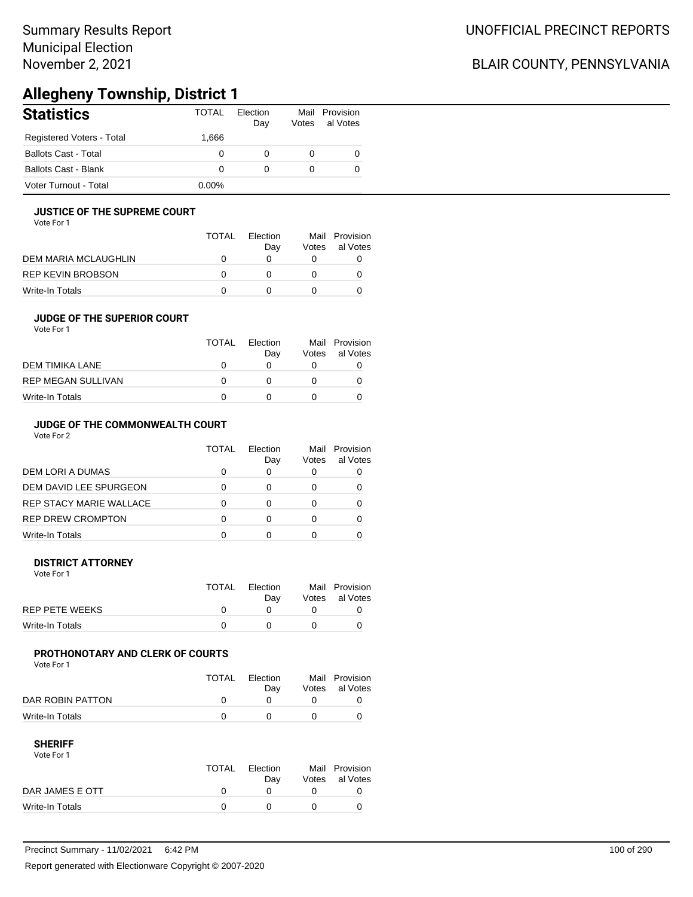# **Allegheny Township, District 1**

| <b>Statistics</b>           | <b>TOTAL</b> | Election<br>Day | Votes | Mail Provision<br>al Votes |
|-----------------------------|--------------|-----------------|-------|----------------------------|
| Registered Voters - Total   | 1.666        |                 |       |                            |
| <b>Ballots Cast - Total</b> | 0            | 0               |       |                            |
| <b>Ballots Cast - Blank</b> |              | 0               |       |                            |
| Voter Turnout - Total       | $0.00\%$     |                 |       |                            |

## **JUSTICE OF THE SUPREME COURT**

Vote For 1

|                      | TOTAL | Election<br>Dav | Votes | Mail Provision<br>al Votes |
|----------------------|-------|-----------------|-------|----------------------------|
| DEM MARIA MCLAUGHLIN |       |                 |       |                            |
| REP KEVIN BROBSON    | n     |                 |       |                            |
| Write-In Totals      |       |                 |       |                            |

#### **JUDGE OF THE SUPERIOR COURT** Vote For 1

| VULTE FUILL               | <b>TOTAL</b> | Flection<br>Day | Votes | Mail Provision<br>al Votes |
|---------------------------|--------------|-----------------|-------|----------------------------|
| DEM TIMIKA LANE           |              |                 |       |                            |
| <b>REP MEGAN SULLIVAN</b> |              |                 |       |                            |
| Write-In Totals           |              |                 |       |                            |

### **JUDGE OF THE COMMONWEALTH COURT**

Vote For 2

|                                | TOTAL | Flection<br>Day | Votes | Mail Provision<br>al Votes |
|--------------------------------|-------|-----------------|-------|----------------------------|
| DEM LORI A DUMAS               |       |                 |       |                            |
| DEM DAVID LEE SPURGEON         |       |                 |       |                            |
| <b>REP STACY MARIE WALLACE</b> |       |                 |       |                            |
| <b>REP DREW CROMPTON</b>       |       |                 |       |                            |
| Write-In Totals                |       |                 |       |                            |

### **DISTRICT ATTORNEY**

| Vote For 1            |       |                 |                                  |
|-----------------------|-------|-----------------|----------------------------------|
|                       | TOTAL | Election<br>Dav | Mail Provision<br>Votes al Votes |
| <b>REP PETE WEEKS</b> |       |                 |                                  |
| Write-In Totals       |       |                 |                                  |

## **PROTHONOTARY AND CLERK OF COURTS**

Vote For 1

|                  | TOTAL | Election<br>Dav | Mail Provision<br>Votes al Votes |
|------------------|-------|-----------------|----------------------------------|
| DAR ROBIN PATTON |       |                 |                                  |
| Write-In Totals  |       |                 |                                  |

### **SHERIFF**

Vote For 1

|                 | TOTAL | Election<br>Dav | Mail Provision<br>Votes al Votes |
|-----------------|-------|-----------------|----------------------------------|
| DAR JAMES E OTT |       |                 |                                  |
| Write-In Totals |       |                 |                                  |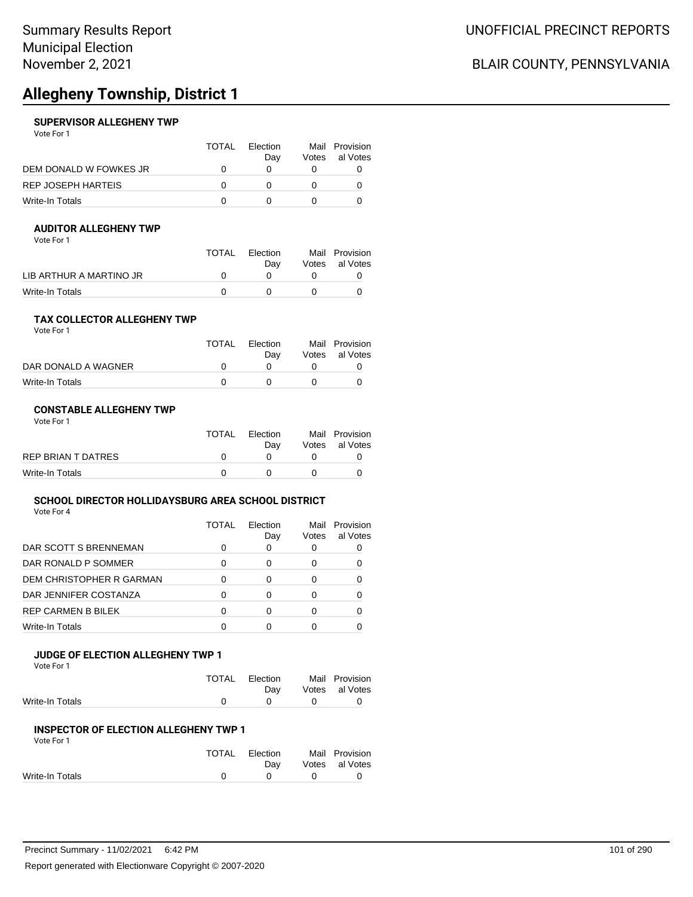# **Allegheny Township, District 1**

## **SUPERVISOR ALLEGHENY TWP**

Vote For 1

|                        | <b>TOTAL</b> | <b>Flection</b><br>Dav | Votes | Mail Provision<br>al Votes |
|------------------------|--------------|------------------------|-------|----------------------------|
| DEM DONALD W FOWKES JR |              |                        |       |                            |
| REP JOSEPH HARTEIS     |              |                        |       |                            |
| Write-In Totals        |              |                        |       |                            |

## **AUDITOR ALLEGHENY TWP**

| Vote For 1 |  |  |
|------------|--|--|
|------------|--|--|

|                         | <b>TOTAL</b> | Election | Mail Provision |
|-------------------------|--------------|----------|----------------|
|                         |              | Dav      | Votes al Votes |
| LIB ARTHUR A MARTINO JR |              |          |                |
| Write-In Totals         |              |          |                |

#### **TAX COLLECTOR ALLEGHENY TWP** Vote For 1

| TOTAL | Election<br>Dav | Mail Provision<br>Votes al Votes |
|-------|-----------------|----------------------------------|
| n     |                 |                                  |
|       |                 |                                  |
|       |                 |                                  |

### **CONSTABLE ALLEGHENY TWP**

| Vote For 1         |              |                 |                                  |
|--------------------|--------------|-----------------|----------------------------------|
|                    | <b>TOTAL</b> | Election<br>Dav | Mail Provision<br>Votes al Votes |
| REP BRIAN T DATRES |              |                 |                                  |
| Write-In Totals    |              |                 |                                  |

# **SCHOOL DIRECTOR HOLLIDAYSBURG AREA SCHOOL DISTRICT**

Vote For 4

|                          | <b>TOTAL</b> | Election<br>Day | Mail<br>Votes | Provision<br>al Votes |
|--------------------------|--------------|-----------------|---------------|-----------------------|
| DAR SCOTT S BRENNEMAN    |              |                 |               |                       |
| DAR RONALD P SOMMER      | ∩            |                 | Ω             |                       |
| DEM CHRISTOPHER R GARMAN |              | ∩               | Ω             |                       |
| DAR JENNIFER COSTANZA    | ∩            | ∩               | Ω             |                       |
| REP CARMEN B BILEK       | ∩            | ∩               | Ω             |                       |
| Write-In Totals          |              |                 |               |                       |
|                          |              |                 |               |                       |

## **JUDGE OF ELECTION ALLEGHENY TWP 1**

Vote For 1

|                 | TOTAL Election<br>Dav |              | Mail Provision<br>Votes al Votes |
|-----------------|-----------------------|--------------|----------------------------------|
| Write-In Totals | $\mathbf{0}$          | $\mathbf{0}$ |                                  |

### **INSPECTOR OF ELECTION ALLEGHENY TWP 1**

Vote For 1

|                 | TOTAL Election | Mail Provision |
|-----------------|----------------|----------------|
|                 | Dav            | Votes al Votes |
| Write-In Totals | $\cap$ $\cap$  |                |
|                 |                |                |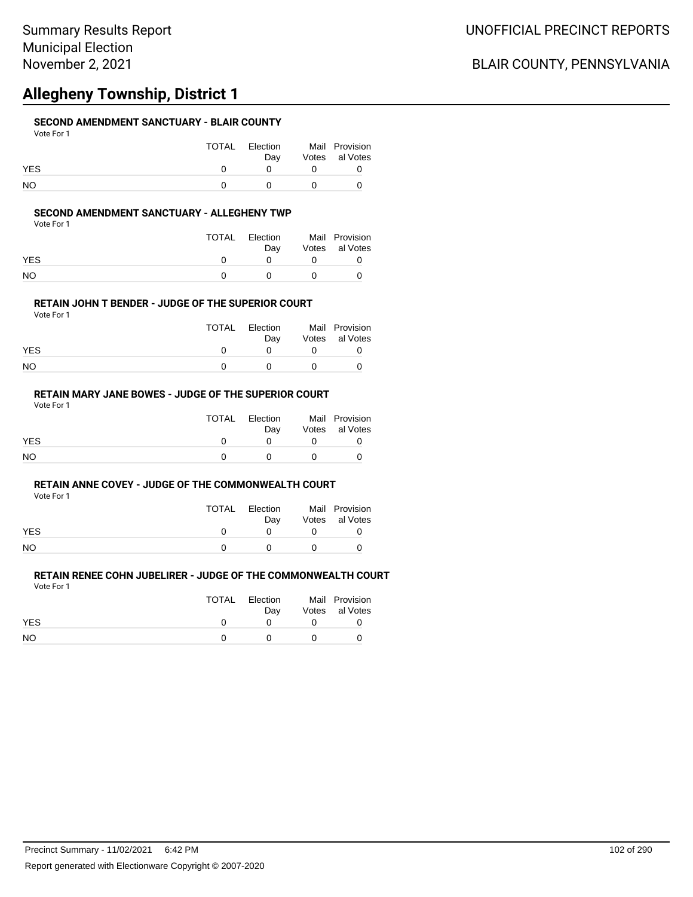# **Allegheny Township, District 1**

## **SECOND AMENDMENT SANCTUARY - BLAIR COUNTY**

| Vote For |
|----------|
|----------|

|            | TOTAL | Election<br>Dav |            | Mail Provision<br>Votes al Votes |
|------------|-------|-----------------|------------|----------------------------------|
| <b>YES</b> |       |                 |            |                                  |
| NO         |       |                 | $^{\circ}$ |                                  |

### **SECOND AMENDMENT SANCTUARY - ALLEGHENY TWP**

Vote For 1

|            | TOTAL | Election<br>Dav | Mail Provision<br>Votes al Votes |
|------------|-------|-----------------|----------------------------------|
| <b>YES</b> |       |                 |                                  |
| NΟ         |       |                 |                                  |

### **RETAIN JOHN T BENDER - JUDGE OF THE SUPERIOR COURT**

Vote For 1

|            | TOTAL | Election<br>Dav | Mail Provision<br>Votes al Votes |
|------------|-------|-----------------|----------------------------------|
| <b>YES</b> |       |                 |                                  |
| NO         |       |                 |                                  |

## **RETAIN MARY JANE BOWES - JUDGE OF THE SUPERIOR COURT**

Vote For 1

|            | TOTAL | Election<br>Dav | Mail Provision<br>Votes al Votes |
|------------|-------|-----------------|----------------------------------|
| <b>YES</b> |       |                 |                                  |
| <b>NO</b>  |       |                 |                                  |

#### **RETAIN ANNE COVEY - JUDGE OF THE COMMONWEALTH COURT**

Vote For 1

|            | TOTAL | Election | Mail Provision |
|------------|-------|----------|----------------|
|            |       | Dav      | Votes al Votes |
| <b>YES</b> |       |          |                |
| <b>NO</b>  |       |          |                |

|            | TOTAL Election<br>Dav | Mail Provision<br>Votes al Votes |
|------------|-----------------------|----------------------------------|
| <b>YES</b> |                       |                                  |
| NO.        |                       |                                  |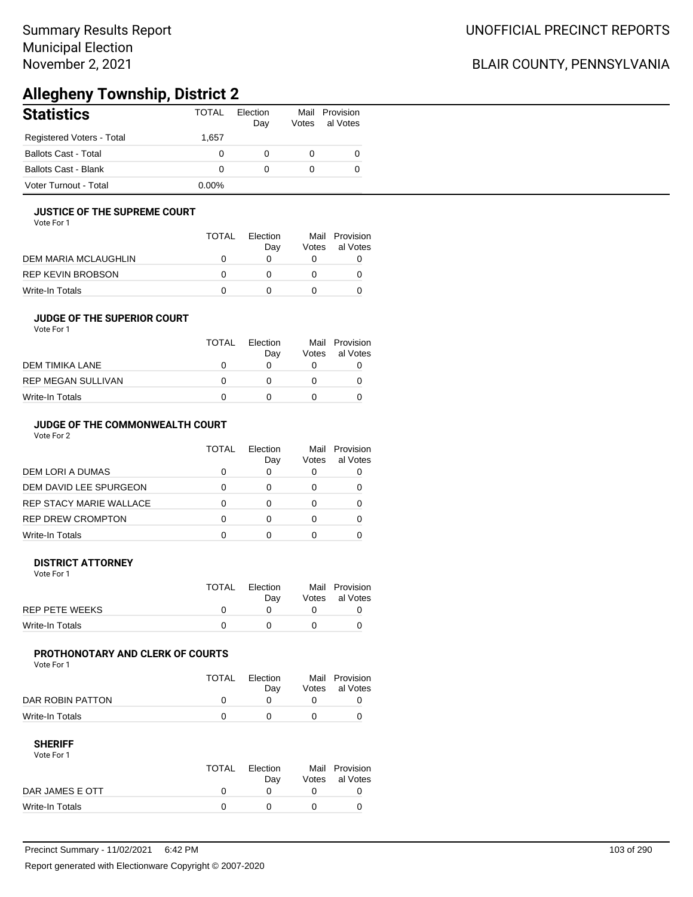# **Allegheny Township, District 2**

| <b>Statistics</b>           | <b>TOTAL</b> | Election<br>Day | Votes | Mail Provision<br>al Votes |
|-----------------------------|--------------|-----------------|-------|----------------------------|
| Registered Voters - Total   | 1.657        |                 |       |                            |
| <b>Ballots Cast - Total</b> | 0            | $\Omega$        |       |                            |
| Ballots Cast - Blank        | 0            | $\Omega$        |       |                            |
| Voter Turnout - Total       | $0.00\%$     |                 |       |                            |

## **JUSTICE OF THE SUPREME COURT**

Vote For 1

|                      | <b>TOTAL</b> | Flection<br>Dav | Votes | Mail Provision<br>al Votes |
|----------------------|--------------|-----------------|-------|----------------------------|
| DEM MARIA MCLAUGHLIN |              |                 |       |                            |
| REP KEVIN BROBSON    | $\mathbf{I}$ |                 |       |                            |
| Write-In Totals      |              |                 |       |                            |

#### **JUDGE OF THE SUPERIOR COURT** Vote For 1

| VULTE FUIL                |              |                 |       |                            |
|---------------------------|--------------|-----------------|-------|----------------------------|
|                           | <b>TOTAL</b> | Flection<br>Dav | Votes | Mail Provision<br>al Votes |
| DEM TIMIKA LANE           |              |                 |       |                            |
| <b>REP MEGAN SULLIVAN</b> |              |                 |       |                            |
| Write-In Totals           |              |                 |       |                            |

### **JUDGE OF THE COMMONWEALTH COURT**

Vote For 2

|                                | TOTAL | Flection<br>Day | Mail<br>Votes | Provision<br>al Votes |
|--------------------------------|-------|-----------------|---------------|-----------------------|
| DEM LORI A DUMAS               |       |                 |               |                       |
| DEM DAVID LEE SPURGEON         |       |                 |               |                       |
| <b>REP STACY MARIE WALLACE</b> |       |                 |               |                       |
| <b>REP DREW CROMPTON</b>       |       |                 |               |                       |
| Write-In Totals                |       |                 |               |                       |

### **DISTRICT ATTORNEY**

| Vote For 1            |       |                 |                                  |
|-----------------------|-------|-----------------|----------------------------------|
|                       | TOTAL | Election<br>Dav | Mail Provision<br>Votes al Votes |
| <b>REP PETE WEEKS</b> |       |                 |                                  |
| Write-In Totals       |       |                 |                                  |

## **PROTHONOTARY AND CLERK OF COURTS**

Vote For 1

|                  | TOTAL | Election<br>Dav | Mail Provision<br>Votes al Votes |
|------------------|-------|-----------------|----------------------------------|
| DAR ROBIN PATTON |       |                 |                                  |
| Write-In Totals  |       |                 |                                  |

### **SHERIFF**

Vote For 1

|                 | TOTAL | Election<br>Dav | Mail Provision<br>Votes al Votes |
|-----------------|-------|-----------------|----------------------------------|
| DAR JAMES E OTT |       |                 |                                  |
| Write-In Totals |       |                 |                                  |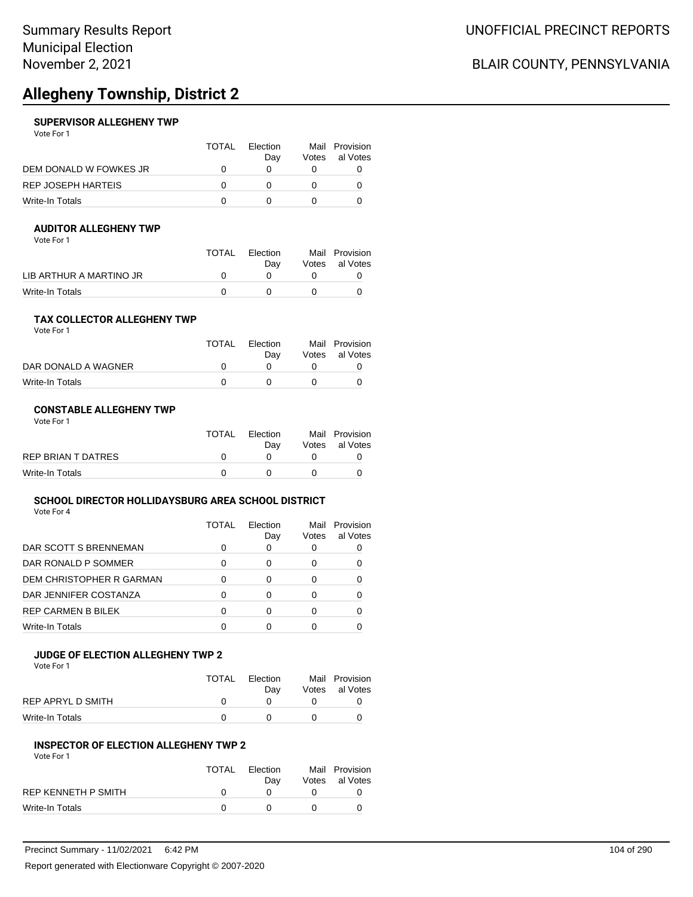# **Allegheny Township, District 2**

### **SUPERVISOR ALLEGHENY TWP**

Vote For 1

|                        | <b>TOTAL</b> | <b>Flection</b><br>Dav | Votes | Mail Provision<br>al Votes |
|------------------------|--------------|------------------------|-------|----------------------------|
| DEM DONALD W FOWKES JR |              |                        |       |                            |
| REP JOSEPH HARTEIS     |              |                        |       |                            |
| Write-In Totals        |              |                        |       |                            |

## **AUDITOR ALLEGHENY TWP**

| Vote For 1 |  |  |
|------------|--|--|
|------------|--|--|

|                         | TOTAL | Election | Mail Provision |
|-------------------------|-------|----------|----------------|
|                         |       | Dav      | Votes al Votes |
| LIB ARTHUR A MARTINO JR |       |          |                |
| Write-In Totals         |       |          |                |

#### **TAX COLLECTOR ALLEGHENY TWP** Vote For 1

| TOTAL | Election<br>Dav | Mail Provision<br>Votes al Votes |
|-------|-----------------|----------------------------------|
|       |                 |                                  |
|       |                 |                                  |
|       |                 |                                  |

### **CONSTABLE ALLEGHENY TWP**

| Vote For 1         |              |                 |                                  |
|--------------------|--------------|-----------------|----------------------------------|
|                    | <b>TOTAL</b> | Election<br>Dav | Mail Provision<br>Votes al Votes |
| REP BRIAN T DATRES |              |                 |                                  |
| Write-In Totals    |              |                 |                                  |

# **SCHOOL DIRECTOR HOLLIDAYSBURG AREA SCHOOL DISTRICT**

Vote For 4

|                          | TOTAL | Election<br>Day | Mail<br>Votes | Provision<br>al Votes |
|--------------------------|-------|-----------------|---------------|-----------------------|
| DAR SCOTT S BRENNEMAN    |       |                 |               |                       |
| DAR RONALD P SOMMER      |       |                 | Ω             |                       |
| DEM CHRISTOPHER R GARMAN |       | ∩               | O             |                       |
| DAR JENNIFER COSTANZA    | n     | ∩               | Ω             |                       |
| REP CARMEN B BILEK       |       | ∩               | O             |                       |
| Write-In Totals          |       |                 |               |                       |
|                          |       |                 |               |                       |

## **JUDGE OF ELECTION ALLEGHENY TWP 2**

Vote For 1

|                   | <b>TOTAL</b> | Election<br>Dav | Mail Provision<br>Votes al Votes |
|-------------------|--------------|-----------------|----------------------------------|
| REP APRYL D SMITH |              |                 |                                  |
| Write-In Totals   |              |                 |                                  |

### **INSPECTOR OF ELECTION ALLEGHENY TWP 2**

Vote For 1

|                     | TOTAL | Election<br>Dav | Mail Provision<br>Votes al Votes |
|---------------------|-------|-----------------|----------------------------------|
| REP KENNETH P SMITH |       |                 |                                  |
| Write-In Totals     |       |                 |                                  |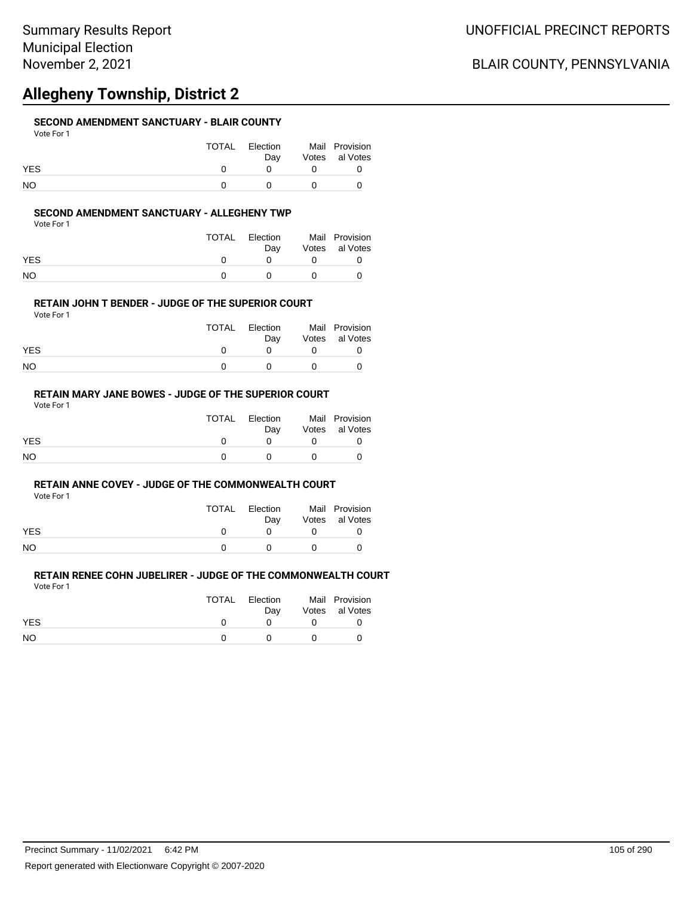# **Allegheny Township, District 2**

## **SECOND AMENDMENT SANCTUARY - BLAIR COUNTY**

| Vote For 1 |  |
|------------|--|
|------------|--|

|            | TOTAL | Election<br>Dav |              | Mail Provision<br>Votes al Votes |
|------------|-------|-----------------|--------------|----------------------------------|
| <b>YES</b> |       |                 |              |                                  |
| NO         |       |                 | $\mathbf{u}$ |                                  |

### **SECOND AMENDMENT SANCTUARY - ALLEGHENY TWP**

Vote For 1

|            | TOTAL | Election<br>Dav | Mail Provision<br>Votes al Votes |
|------------|-------|-----------------|----------------------------------|
| <b>YES</b> |       |                 |                                  |
| NΟ         |       | $^{\prime}$     |                                  |

### **RETAIN JOHN T BENDER - JUDGE OF THE SUPERIOR COURT**

Vote For 1

|            | TOTAL | Election<br>Dav | Mail Provision<br>Votes al Votes |
|------------|-------|-----------------|----------------------------------|
| <b>YES</b> |       |                 |                                  |
| NO         |       |                 |                                  |

## **RETAIN MARY JANE BOWES - JUDGE OF THE SUPERIOR COURT**

Vote For 1

|            | TOTAL | Election<br>Dav | Mail Provision<br>Votes al Votes |
|------------|-------|-----------------|----------------------------------|
| <b>YES</b> |       |                 |                                  |
| <b>NO</b>  |       |                 |                                  |

#### **RETAIN ANNE COVEY - JUDGE OF THE COMMONWEALTH COURT**

Vote For 1

|            | TOTAL | Election | Mail Provision |
|------------|-------|----------|----------------|
|            |       | Dav      | Votes al Votes |
| <b>YES</b> |       |          |                |
| <b>NO</b>  |       |          |                |

|            | TOTAL | Election | Mail Provision |
|------------|-------|----------|----------------|
|            |       | Dav      | Votes al Votes |
| <b>YES</b> |       |          |                |
| NO.        |       |          |                |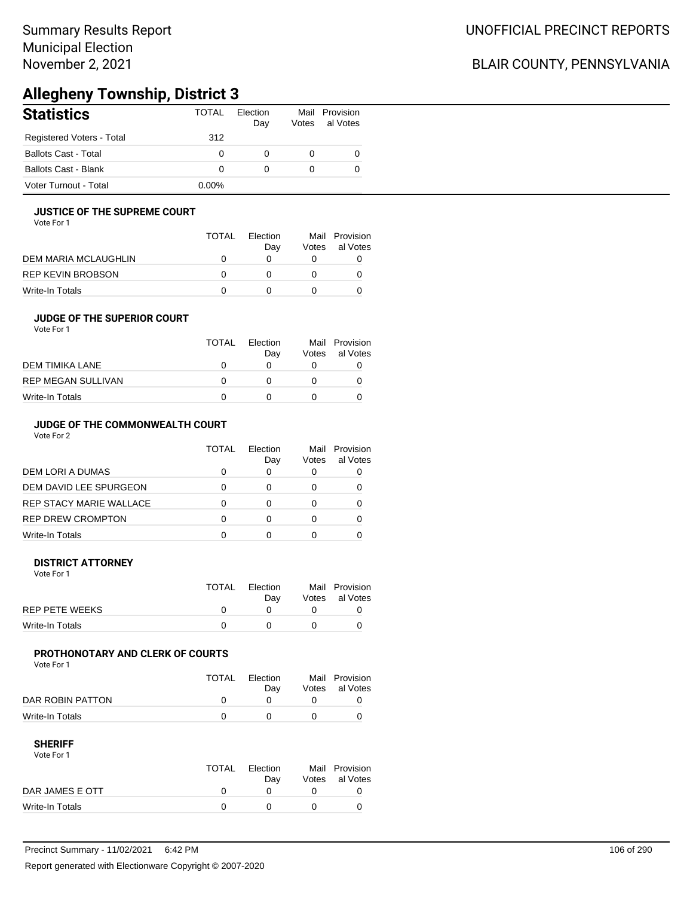# **Allegheny Township, District 3**

| <b>Statistics</b>           | <b>TOTAL</b> | Election<br>Day | Mail<br>Votes | Provision<br>al Votes |
|-----------------------------|--------------|-----------------|---------------|-----------------------|
| Registered Voters - Total   | 312          |                 |               |                       |
| <b>Ballots Cast - Total</b> | 0            | 0               |               | 0                     |
| <b>Ballots Cast - Blank</b> | 0            | 0               |               |                       |
| Voter Turnout - Total       | 0.00%        |                 |               |                       |

## **JUSTICE OF THE SUPREME COURT**

Vote For 1

|                      | TOTAL | Election<br>Dav | Mail<br>Votes | Provision<br>al Votes |
|----------------------|-------|-----------------|---------------|-----------------------|
| DEM MARIA MCLAUGHLIN |       |                 |               |                       |
| REP KEVIN BROBSON    |       |                 |               |                       |
| Write-In Totals      |       |                 |               |                       |

## **JUDGE OF THE SUPERIOR COURT**

| Vote For 1 |  |  |
|------------|--|--|
|            |  |  |

|                           | <b>TOTAL</b> | Election<br>Day | Votes | Mail Provision<br>al Votes |
|---------------------------|--------------|-----------------|-------|----------------------------|
| DEM TIMIKA LANE           | O            |                 |       |                            |
| <b>REP MEGAN SULLIVAN</b> | O            |                 |       |                            |
| Write-In Totals           | $^{\prime}$  |                 |       |                            |
|                           |              |                 |       |                            |

# **JUDGE OF THE COMMONWEALTH COURT**

Vote For 2

|                                | TOTAL | Flection<br>Day | Votes | Mail Provision<br>al Votes |
|--------------------------------|-------|-----------------|-------|----------------------------|
| DEM LORI A DUMAS               |       |                 |       |                            |
| DEM DAVID LEE SPURGEON         |       |                 |       |                            |
| <b>REP STACY MARIE WALLACE</b> |       |                 |       |                            |
| <b>REP DREW CROMPTON</b>       |       |                 |       |                            |
| Write-In Totals                |       |                 |       |                            |

### **DISTRICT ATTORNEY**

| Vote For 1      |       |                 |                                  |
|-----------------|-------|-----------------|----------------------------------|
|                 | TOTAL | Election<br>Dav | Mail Provision<br>Votes al Votes |
| REP PETE WEEKS  |       |                 |                                  |
| Write-In Totals |       |                 |                                  |

## **PROTHONOTARY AND CLERK OF COURTS**

Vote For 1

|                  | TOTAL | Election<br>Dav | Mail Provision<br>Votes al Votes |
|------------------|-------|-----------------|----------------------------------|
| DAR ROBIN PATTON |       |                 |                                  |
| Write-In Totals  |       |                 |                                  |

| Vote For 1      |       |          |                |
|-----------------|-------|----------|----------------|
|                 | TOTAL | Election | Mail Provision |
|                 |       | Dav      | Votes al Votes |
| DAR JAMES E OTT |       |          |                |
| Write-In Totals |       |          |                |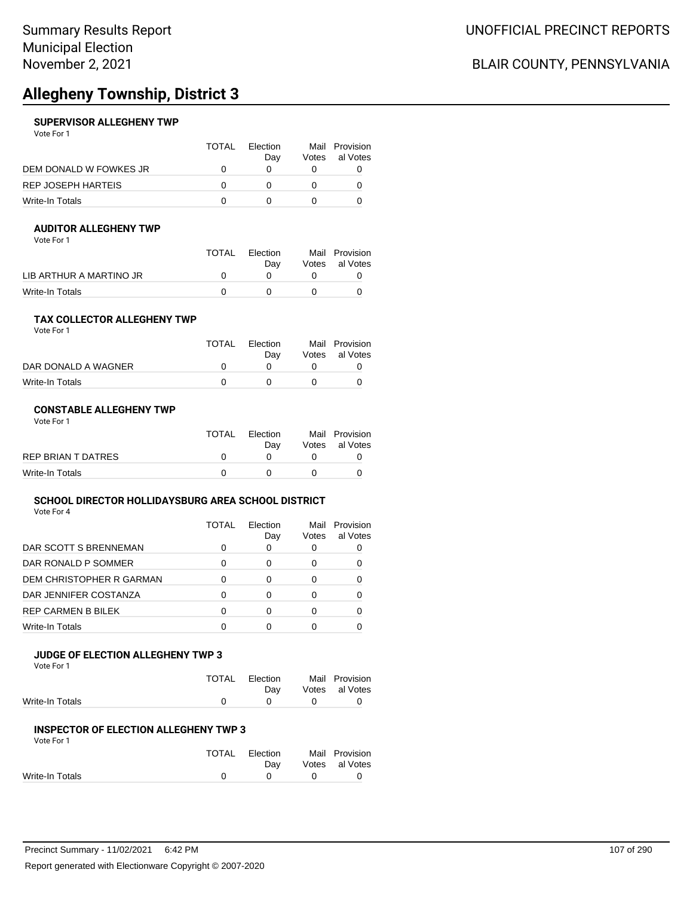# **Allegheny Township, District 3**

### **SUPERVISOR ALLEGHENY TWP**

Vote For 1

|                        | <b>TOTAL</b> | <b>Flection</b><br>Dav | Votes | Mail Provision<br>al Votes |
|------------------------|--------------|------------------------|-------|----------------------------|
| DEM DONALD W FOWKES JR |              |                        |       |                            |
| REP JOSEPH HARTEIS     |              |                        |       |                            |
| Write-In Totals        |              |                        |       |                            |

## **AUDITOR ALLEGHENY TWP**

| Vote For 1 |  |  |
|------------|--|--|
|------------|--|--|

|                         | TOTAL | Election | Mail Provision |
|-------------------------|-------|----------|----------------|
|                         |       | Dav      | Votes al Votes |
| LIB ARTHUR A MARTINO JR |       |          |                |
| Write-In Totals         |       |          |                |

#### **TAX COLLECTOR ALLEGHENY TWP** Vote For 1

| <b>TOTAL</b> | Election<br>Dav | Mail Provision<br>Votes al Votes |
|--------------|-----------------|----------------------------------|
|              |                 |                                  |
|              |                 |                                  |
|              |                 |                                  |

### **CONSTABLE ALLEGHENY TWP**

| Vote For 1         |              |                 |                                  |
|--------------------|--------------|-----------------|----------------------------------|
|                    | <b>TOTAL</b> | Election<br>Dav | Mail Provision<br>Votes al Votes |
| REP BRIAN T DATRES |              |                 |                                  |
| Write-In Totals    |              |                 |                                  |

# **SCHOOL DIRECTOR HOLLIDAYSBURG AREA SCHOOL DISTRICT**

Vote For 4

|                          | <b>TOTAL</b> | Election<br>Day | Mail<br>Votes | Provision<br>al Votes |
|--------------------------|--------------|-----------------|---------------|-----------------------|
| DAR SCOTT S BRENNEMAN    |              |                 |               |                       |
| DAR RONALD P SOMMER      | ∩            |                 | Ω             |                       |
| DEM CHRISTOPHER R GARMAN |              | ∩               | Ω             |                       |
| DAR JENNIFER COSTANZA    | ∩            | ∩               | Ω             |                       |
| REP CARMEN B BILEK       | ∩            | ∩               | Ω             |                       |
| Write-In Totals          |              |                 |               |                       |
|                          |              |                 |               |                       |

## **JUDGE OF ELECTION ALLEGHENY TWP 3**

Vote For 1

|                 | TOTAL Election<br>Dav |              | Mail Provision<br>Votes al Votes |
|-----------------|-----------------------|--------------|----------------------------------|
| Write-In Totals | $\mathsf{n}$          | $\mathbf{0}$ | $\Omega$                         |

## **INSPECTOR OF ELECTION ALLEGHENY TWP 3**

Vote For 1

|                 | TOTAL Election | Mail Provision |
|-----------------|----------------|----------------|
|                 | Dav            | Votes al Votes |
| Write-In Totals |                |                |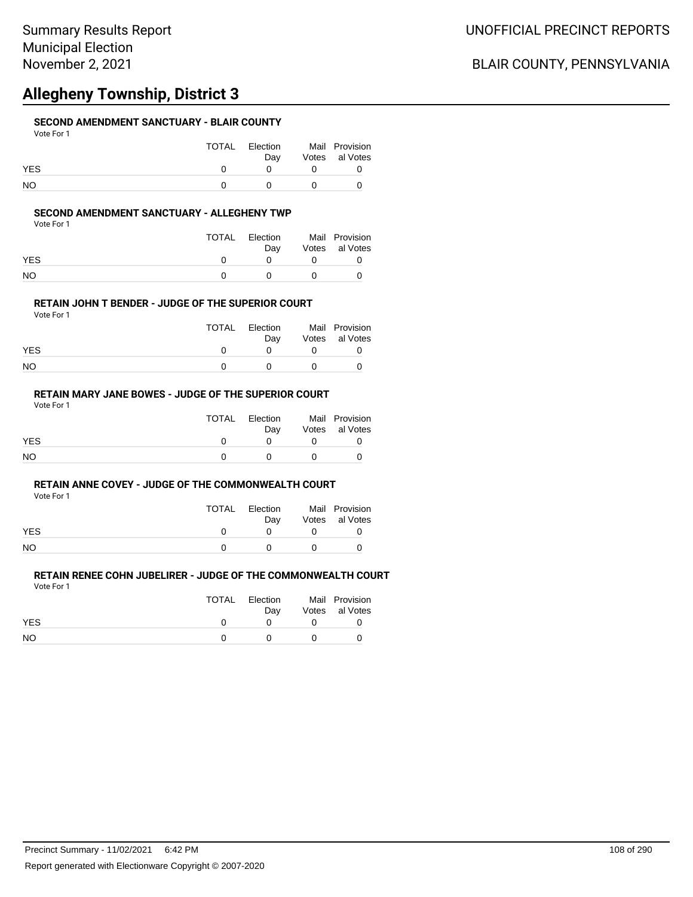# **Allegheny Township, District 3**

## **SECOND AMENDMENT SANCTUARY - BLAIR COUNTY**

| Vote For 1 |  |  |
|------------|--|--|
|------------|--|--|

|            | TOTAL | Election<br>Dav | Mail Provision<br>Votes al Votes |
|------------|-------|-----------------|----------------------------------|
| <b>YES</b> |       | n               |                                  |
| NΟ         |       |                 |                                  |

### **SECOND AMENDMENT SANCTUARY - ALLEGHENY TWP**

Vote For 1

|            | TOTAL | Election<br>Dav | Mail Provision<br>Votes al Votes |
|------------|-------|-----------------|----------------------------------|
| <b>YES</b> |       |                 |                                  |
| NΟ         |       |                 |                                  |

### **RETAIN JOHN T BENDER - JUDGE OF THE SUPERIOR COURT**

Vote For 1

|            | TOTAL | Election<br>Dav | Mail Provision<br>Votes al Votes |
|------------|-------|-----------------|----------------------------------|
| <b>YES</b> |       |                 |                                  |
| NO         |       |                 |                                  |

## **RETAIN MARY JANE BOWES - JUDGE OF THE SUPERIOR COURT**

Vote For 1

|            | TOTAL | Election<br>Dav | Mail Provision<br>Votes al Votes |
|------------|-------|-----------------|----------------------------------|
| <b>YES</b> |       |                 |                                  |
| <b>NO</b>  |       |                 |                                  |

#### **RETAIN ANNE COVEY - JUDGE OF THE COMMONWEALTH COURT**

Vote For 1

|            | <b>TOTAL</b> | Election | Mail Provision |
|------------|--------------|----------|----------------|
|            |              | Dav      | Votes al Votes |
| <b>YES</b> |              |          |                |
| <b>NO</b>  |              |          |                |

|            | TOTAL | Election | Mail Provision |
|------------|-------|----------|----------------|
|            |       | Dav      | Votes al Votes |
| <b>YES</b> |       |          |                |
| NO.        |       |          |                |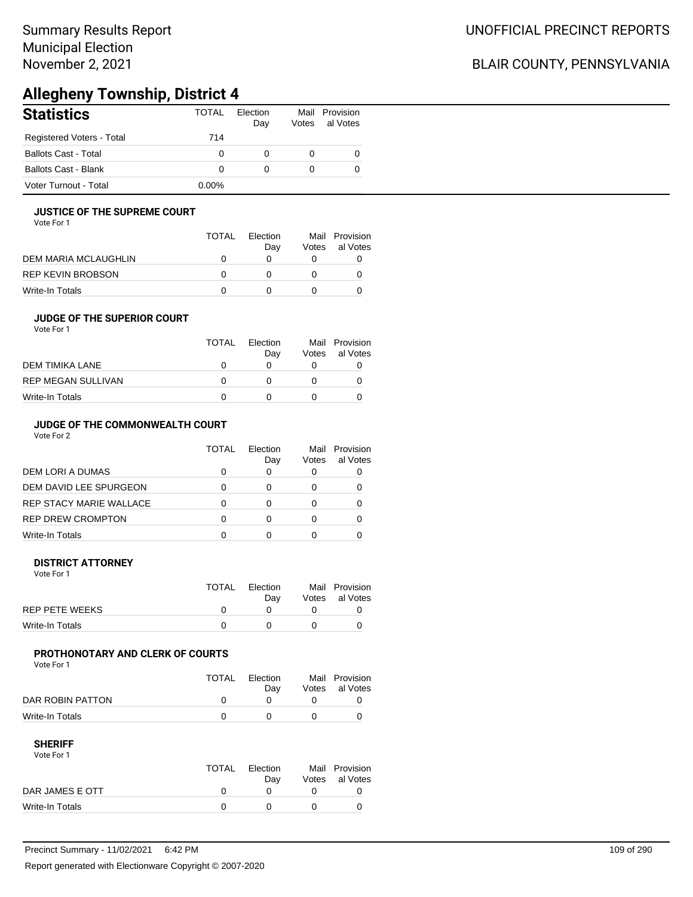# **Allegheny Township, District 4**

| <b>Statistics</b>           | <b>TOTAL</b> | Election<br>Day | Votes | Mail Provision<br>al Votes |
|-----------------------------|--------------|-----------------|-------|----------------------------|
| Registered Voters - Total   | 714          |                 |       |                            |
| <b>Ballots Cast - Total</b> | 0            | 0               | 0     | 0                          |
| <b>Ballots Cast - Blank</b> | O            | 0               | 0     | 0                          |
| Voter Turnout - Total       | $0.00\%$     |                 |       |                            |

#### **JUSTICE OF THE SUPREME COURT**

Vote For 1

|                      | <b>TOTAL</b> | Flection<br>Dav | Votes | Mail Provision<br>al Votes |
|----------------------|--------------|-----------------|-------|----------------------------|
| DEM MARIA MCLAUGHLIN |              |                 |       |                            |
| REP KEVIN BROBSON    | $\mathbf{I}$ |                 |       |                            |
| Write-In Totals      |              |                 |       |                            |

#### **JUDGE OF THE SUPERIOR COURT**

| Vote For 1 |  |  |
|------------|--|--|
|            |  |  |

|                           | <b>TOTAL</b> | Election<br>Dav | Votes | Mail Provision<br>al Votes |
|---------------------------|--------------|-----------------|-------|----------------------------|
| DEM TIMIKA LANE           |              |                 |       |                            |
| <b>REP MEGAN SULLIVAN</b> |              |                 |       |                            |
| Write-In Totals           |              |                 |       |                            |
|                           |              |                 |       |                            |

### **JUDGE OF THE COMMONWEALTH COURT**

Vote For 2

|                                | TOTAL | Flection<br>Day | Mail<br>Votes | Provision<br>al Votes |
|--------------------------------|-------|-----------------|---------------|-----------------------|
| DEM LORI A DUMAS               |       |                 |               |                       |
| DEM DAVID LEE SPURGEON         |       |                 |               |                       |
| <b>REP STACY MARIE WALLACE</b> |       |                 |               |                       |
| <b>REP DREW CROMPTON</b>       |       |                 |               |                       |
| Write-In Totals                |       |                 |               |                       |

#### **DISTRICT ATTORNEY**

| Vote For 1            |              |                 |                                  |
|-----------------------|--------------|-----------------|----------------------------------|
|                       | <b>TOTAL</b> | Election<br>Dav | Mail Provision<br>Votes al Votes |
| <b>REP PETE WEEKS</b> |              |                 |                                  |
| Write-In Totals       |              |                 |                                  |

#### **PROTHONOTARY AND CLERK OF COURTS**

Vote For 1

|                  | <b>TOTAL</b> | Election<br>Dav | Mail Provision<br>Votes al Votes |
|------------------|--------------|-----------------|----------------------------------|
| DAR ROBIN PATTON |              |                 |                                  |
| Write-In Totals  |              |                 |                                  |

#### **SHERIFF**

Vote For 1

|                 | TOTAL | Election<br>Dav | Mail Provision<br>Votes al Votes |
|-----------------|-------|-----------------|----------------------------------|
| DAR JAMES E OTT |       |                 |                                  |
| Write-In Totals |       |                 |                                  |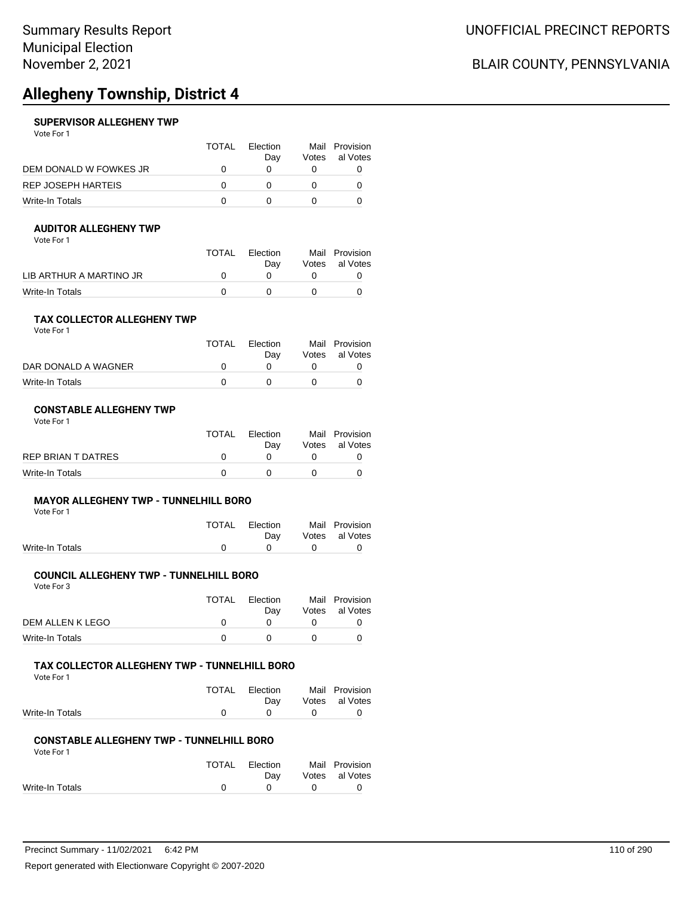# **Allegheny Township, District 4**

#### **SUPERVISOR ALLEGHENY TWP**

Vote For 1

|                        | <b>TOTAL</b> | <b>Flection</b><br>Dav | Votes | Mail Provision<br>al Votes |
|------------------------|--------------|------------------------|-------|----------------------------|
| DEM DONALD W FOWKES JR |              |                        |       |                            |
| REP JOSEPH HARTEIS     |              |                        |       |                            |
| Write-In Totals        |              |                        |       |                            |

#### **AUDITOR ALLEGHENY TWP** Vote For 1

| .                       |       |                 |                |
|-------------------------|-------|-----------------|----------------|
|                         | TOTAL | <b>Flection</b> | Mail Provision |
|                         |       | Dav             | Votes al Votes |
| LIB ARTHUR A MARTINO JR |       |                 |                |
| Write-In Totals         |       |                 |                |

#### **TAX COLLECTOR ALLEGHENY TWP**

| <b>TOTAL</b> | Election<br>Dav | Mail Provision<br>Votes al Votes |
|--------------|-----------------|----------------------------------|
| $\Omega$     |                 |                                  |
|              |                 |                                  |
|              |                 |                                  |

#### **CONSTABLE ALLEGHENY TWP** Vote For 1

|                    | TOTAL | Election<br>Dav | Mail Provision<br>Votes al Votes |
|--------------------|-------|-----------------|----------------------------------|
| REP BRIAN T DATRES |       |                 |                                  |
| Write-In Totals    |       |                 |                                  |

#### **MAYOR ALLEGHENY TWP - TUNNELHILL BORO**

Vote For 1

|  |                | Mail Provision                           |
|--|----------------|------------------------------------------|
|  |                | Votes al Votes                           |
|  |                |                                          |
|  | TOTAL Election | Dav<br>$\mathfrak{g}$ and $\mathfrak{g}$ |

#### **COUNCIL ALLEGHENY TWP - TUNNELHILL BORO**

Vote For 3

|                  | TOTAL | <b>Flection</b><br>Dav | Mail Provision<br>Votes al Votes |
|------------------|-------|------------------------|----------------------------------|
| DEM ALLEN K LEGO |       |                        |                                  |
| Write-In Totals  |       |                        |                                  |

#### **TAX COLLECTOR ALLEGHENY TWP - TUNNELHILL BORO**

Vote For 1

|                 | TOTAL Election                | Mail Provision |
|-----------------|-------------------------------|----------------|
|                 | Dav                           | Votes al Votes |
| Write-In Totals | $\mathbf{a}$ and $\mathbf{a}$ |                |

#### **CONSTABLE ALLEGHENY TWP - TUNNELHILL BORO**

Vote For 1

|                 | TOTAL Election<br>Dav     | Mail Provision<br>Votes al Votes |
|-----------------|---------------------------|----------------------------------|
| Write-In Totals | $\mathbf{0}$ $\mathbf{0}$ |                                  |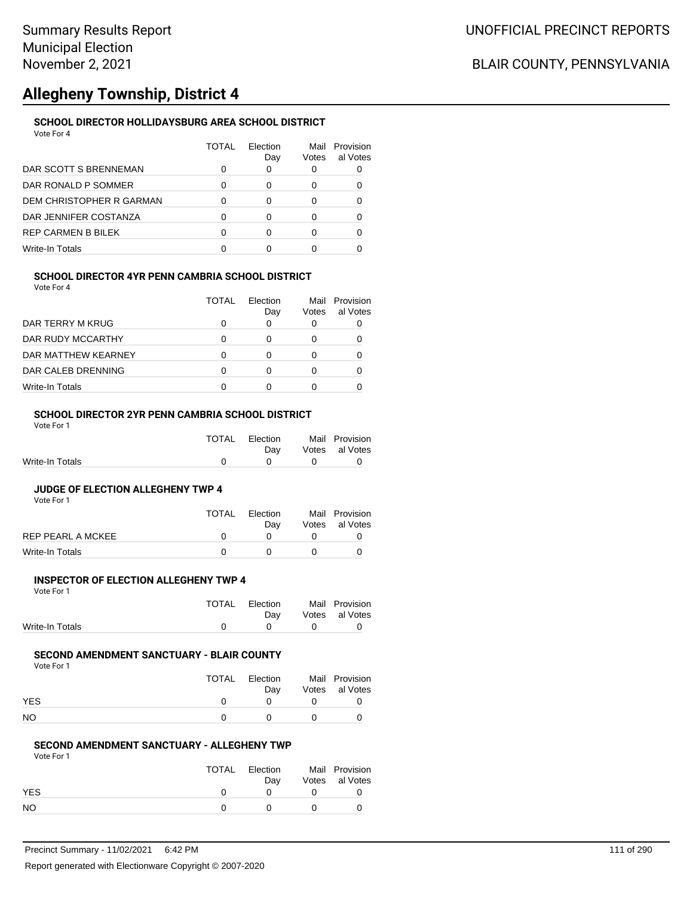# **Allegheny Township, District 4**

### **SCHOOL DIRECTOR HOLLIDAYSBURG AREA SCHOOL DISTRICT**

Vote For 4

|                           | TOTAL | Flection<br>Day | Mail<br>Votes | Provision<br>al Votes |
|---------------------------|-------|-----------------|---------------|-----------------------|
| DAR SCOTT S BRENNEMAN     |       |                 | 0             |                       |
| DAR RONALD P SOMMER       |       |                 |               |                       |
| DEM CHRISTOPHER R GARMAN  |       | ∩               |               |                       |
| DAR JENNIFER COSTANZA     |       | O               | Ω             |                       |
| <b>REP CARMEN B BILEK</b> |       | ∩               | O             |                       |
| <b>Write-In Totals</b>    |       |                 |               |                       |

#### **SCHOOL DIRECTOR 4YR PENN CAMBRIA SCHOOL DISTRICT**

Vote For 4

|                        | TOTAL | Flection<br>Day | Mail<br>Votes | Provision<br>al Votes |
|------------------------|-------|-----------------|---------------|-----------------------|
| DAR TERRY M KRUG       |       |                 | O             |                       |
| DAR RUDY MCCARTHY      |       |                 | Ω             |                       |
| DAR MATTHEW KEARNEY    |       | O               |               |                       |
| DAR CALEB DRENNING     |       | O               | Ω             |                       |
| <b>Write-In Totals</b> |       |                 |               |                       |

#### **SCHOOL DIRECTOR 2YR PENN CAMBRIA SCHOOL DISTRICT**

Vote For 1

|                 | TOTAL Election                             | Mail Provision     |
|-----------------|--------------------------------------------|--------------------|
|                 |                                            | Day Votes al Votes |
| Write-In Totals | $\begin{array}{ccc} 0 & 0 & 0 \end{array}$ |                    |
|                 |                                            |                    |

#### **JUDGE OF ELECTION ALLEGHENY TWP 4**

Vote For 1

|                   | TOTAI | Election | Mail Provision |
|-------------------|-------|----------|----------------|
|                   |       | Dav      | Votes al Votes |
| REP PEARL A MCKEE |       |          |                |
| Write-In Totals   |       |          |                |

#### **INSPECTOR OF ELECTION ALLEGHENY TWP 4**

Vote For 1

|                 | <b>TOTAL</b> | Election |              | Mail Provision |
|-----------------|--------------|----------|--------------|----------------|
|                 |              | Dav      |              | Votes al Votes |
| Write-In Totals |              |          | $\mathsf{n}$ |                |

#### **SECOND AMENDMENT SANCTUARY - BLAIR COUNTY**

Vote For 1

|            | TOTAL | Election<br>Dav | Mail Provision<br>Votes al Votes |
|------------|-------|-----------------|----------------------------------|
| <b>YES</b> |       |                 |                                  |
| NO         |       |                 |                                  |

#### **SECOND AMENDMENT SANCTUARY - ALLEGHENY TWP**

Vote For 1

|            | TOTAL | Election<br>Dav | Mail Provision<br>Votes al Votes |
|------------|-------|-----------------|----------------------------------|
| <b>YES</b> |       |                 |                                  |
| <b>NO</b>  |       |                 |                                  |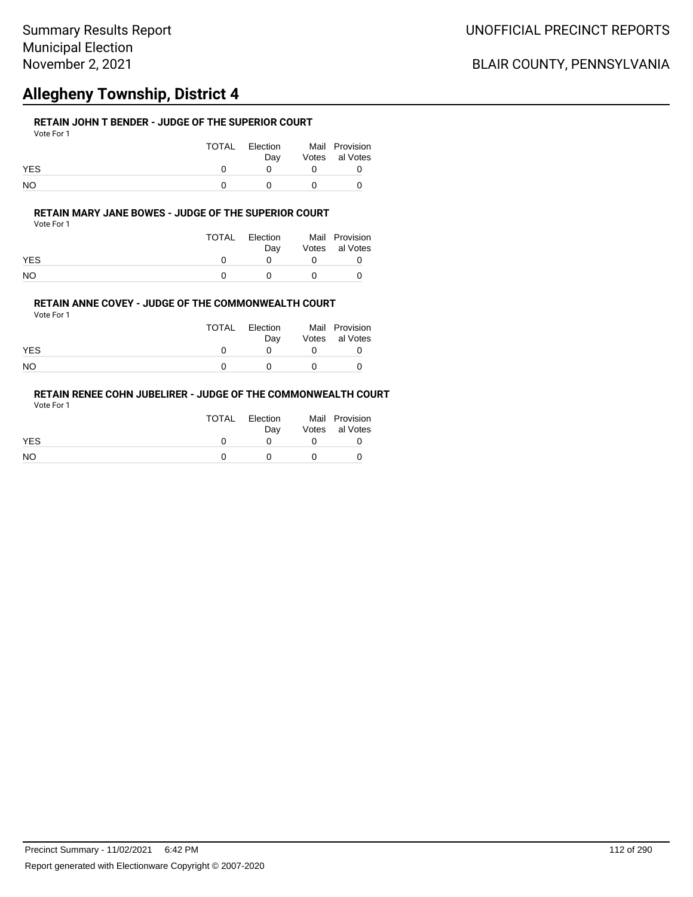# **Allegheny Township, District 4**

### **RETAIN JOHN T BENDER - JUDGE OF THE SUPERIOR COURT**

| Vote For 1 | <b>TOTAL</b> | Election | Mail Provision |
|------------|--------------|----------|----------------|
|            |              | Dav      | Votes al Votes |
| <b>YES</b> | n            |          |                |
| NO.        |              |          |                |

#### **RETAIN MARY JANE BOWES - JUDGE OF THE SUPERIOR COURT**

Vote For 1

|            | TOTAL | Election<br>Dav | Mail Provision<br>Votes al Votes |
|------------|-------|-----------------|----------------------------------|
| <b>YES</b> |       |                 |                                  |
| NO         |       |                 |                                  |

#### **RETAIN ANNE COVEY - JUDGE OF THE COMMONWEALTH COURT**

Vote For 1

|            | TOTAL | Election<br>Dav | Mail Provision<br>Votes al Votes |
|------------|-------|-----------------|----------------------------------|
| <b>YES</b> |       |                 |                                  |
| <b>NO</b>  |       |                 |                                  |

#### **RETAIN RENEE COHN JUBELIRER - JUDGE OF THE COMMONWEALTH COURT** Vote For 1

|            | TOTAL | Election<br>Dav |            | Mail Provision<br>Votes al Votes |
|------------|-------|-----------------|------------|----------------------------------|
| <b>YES</b> |       | $^{\prime}$     |            |                                  |
| NO         |       | $\mathbf{r}$    | $^{\circ}$ |                                  |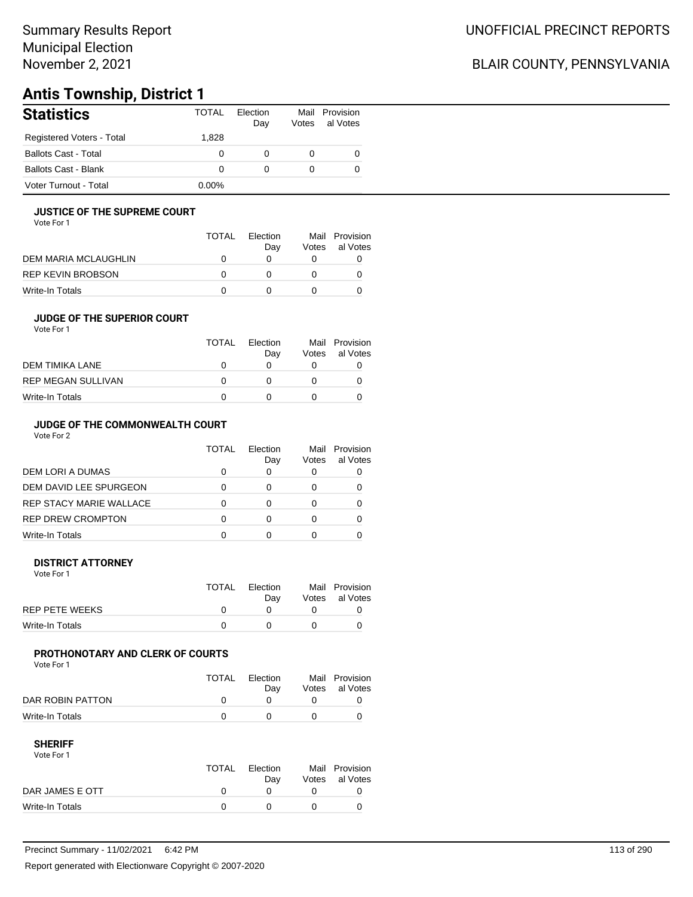## Summary Results Report Municipal Election November 2, 2021

# BLAIR COUNTY, PENNSYLVANIA

# **Antis Township, District 1**

| <b>Statistics</b>           | <b>TOTAL</b> | Election<br>Day | Votes | Mail Provision<br>al Votes |
|-----------------------------|--------------|-----------------|-------|----------------------------|
| Registered Voters - Total   | 1.828        |                 |       |                            |
| <b>Ballots Cast - Total</b> | 0            | $^{(1)}$        |       |                            |
| Ballots Cast - Blank        | 0            | 0               |       |                            |
| Voter Turnout - Total       | $0.00\%$     |                 |       |                            |

#### **JUSTICE OF THE SUPREME COURT**

Vote For 1

|                      | TOTAL | Election<br>Dav | Votes | Mail Provision<br>al Votes |
|----------------------|-------|-----------------|-------|----------------------------|
| DEM MARIA MCLAUGHLIN |       |                 |       |                            |
| REP KEVIN BROBSON    |       |                 |       |                            |
| Write-In Totals      |       |                 |       |                            |

#### **JUDGE OF THE SUPERIOR COURT**

| Vote For 1 |  |  |
|------------|--|--|
|            |  |  |

|                    | <b>TOTAL</b> | Election<br>Day | Votes | Mail Provision<br>al Votes |
|--------------------|--------------|-----------------|-------|----------------------------|
| DEM TIMIKA LANE    | $\mathbf{I}$ |                 |       |                            |
| REP MEGAN SULLIVAN | $\mathbf{U}$ |                 |       |                            |
| Write-In Totals    |              |                 |       |                            |
|                    |              |                 |       |                            |

### **JUDGE OF THE COMMONWEALTH COURT**

Vote For 2

|                                | TOTAL | Flection<br>Day | Votes | Mail Provision<br>al Votes |
|--------------------------------|-------|-----------------|-------|----------------------------|
| DEM LORI A DUMAS               |       |                 |       |                            |
| DEM DAVID LEE SPURGEON         |       |                 |       |                            |
| <b>REP STACY MARIE WALLACE</b> |       |                 |       |                            |
| <b>REP DREW CROMPTON</b>       |       |                 |       |                            |
| Write-In Totals                |       |                 |       |                            |

#### **DISTRICT ATTORNEY**

| Vote For 1            |              |                 |                                  |
|-----------------------|--------------|-----------------|----------------------------------|
|                       | <b>TOTAL</b> | Election<br>Dav | Mail Provision<br>Votes al Votes |
| <b>REP PETE WEEKS</b> |              |                 |                                  |
| Write-In Totals       |              |                 |                                  |

#### **PROTHONOTARY AND CLERK OF COURTS**

Vote For 1

|                  | <b>TOTAL</b> | Election<br>Dav | Mail Provision<br>Votes al Votes |
|------------------|--------------|-----------------|----------------------------------|
| DAR ROBIN PATTON |              |                 |                                  |
| Write-In Totals  |              |                 |                                  |

#### **SHERIFF**

Vote For 1

|                 | TOTAL | Election<br>Dav | Mail Provision<br>Votes al Votes |
|-----------------|-------|-----------------|----------------------------------|
| DAR JAMES E OTT |       |                 |                                  |
| Write-In Totals |       |                 |                                  |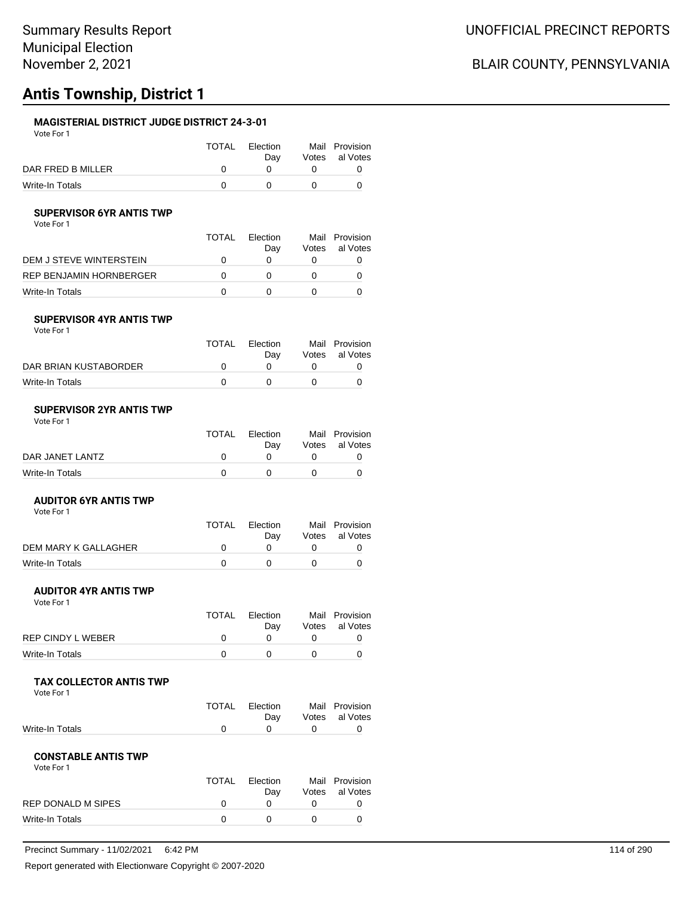# **Antis Township, District 1**

#### **MAGISTERIAL DISTRICT JUDGE DISTRICT 24-3-01**

Vote For 1

|                   | TOTAL | Election | Mail Provision |
|-------------------|-------|----------|----------------|
|                   |       | Dav      | Votes al Votes |
| DAR FRED B MILLER |       | $\Omega$ |                |
| Write-In Totals   |       |          |                |

#### **SUPERVISOR 6YR ANTIS TWP**

Vote For 1

|                         | TOTAL | Flection | Mail  | Provision |
|-------------------------|-------|----------|-------|-----------|
|                         |       | Dav      | Votes | al Votes  |
| DEM J STEVE WINTERSTEIN |       |          |       |           |
| REP BENJAMIN HORNBERGER |       |          |       |           |
| Write-In Totals         |       |          |       |           |

#### **SUPERVISOR 4YR ANTIS TWP**

Vote For 1

|                       | TOTAL | Election<br>Dav | Mail Provision<br>Votes al Votes |
|-----------------------|-------|-----------------|----------------------------------|
| DAR BRIAN KUSTABORDER |       |                 |                                  |
| Write-In Totals       |       |                 |                                  |

#### **SUPERVISOR 2YR ANTIS TWP** Vote For 1

| .               |       |                 |                                  |
|-----------------|-------|-----------------|----------------------------------|
|                 | TOTAL | Election<br>Dav | Mail Provision<br>Votes al Votes |
| DAR JANET LANTZ |       |                 |                                  |
|                 |       |                 |                                  |
| Write-In Totals |       |                 |                                  |

#### **AUDITOR 6YR ANTIS TWP**

Vote For 1

|                      | TOTAL | Election<br>Dav | Mail Provision<br>Votes al Votes |
|----------------------|-------|-----------------|----------------------------------|
| DEM MARY K GALLAGHER |       |                 |                                  |
| Write-In Totals      |       |                 |                                  |

#### **AUDITOR 4YR ANTIS TWP**

Vote For 1

|                   | TOTAL | Election | Mail Provision |
|-------------------|-------|----------|----------------|
|                   |       | Dav      | Votes al Votes |
| REP CINDY L WEBER |       |          |                |
| Write-In Totals   |       |          |                |

#### **TAX COLLECTOR ANTIS TWP**

Vote For 1

|                 | TOTAL Election | Mail Provision |
|-----------------|----------------|----------------|
|                 | Dav            | Votes al Votes |
| Write-In Totals |                |                |

#### **CONSTABLE ANTIS TWP** Vote For 1

| <b>TOTAL</b> | Election<br>Dav | Mail Provision<br>Votes al Votes |
|--------------|-----------------|----------------------------------|
|              |                 |                                  |
|              |                 |                                  |
|              |                 |                                  |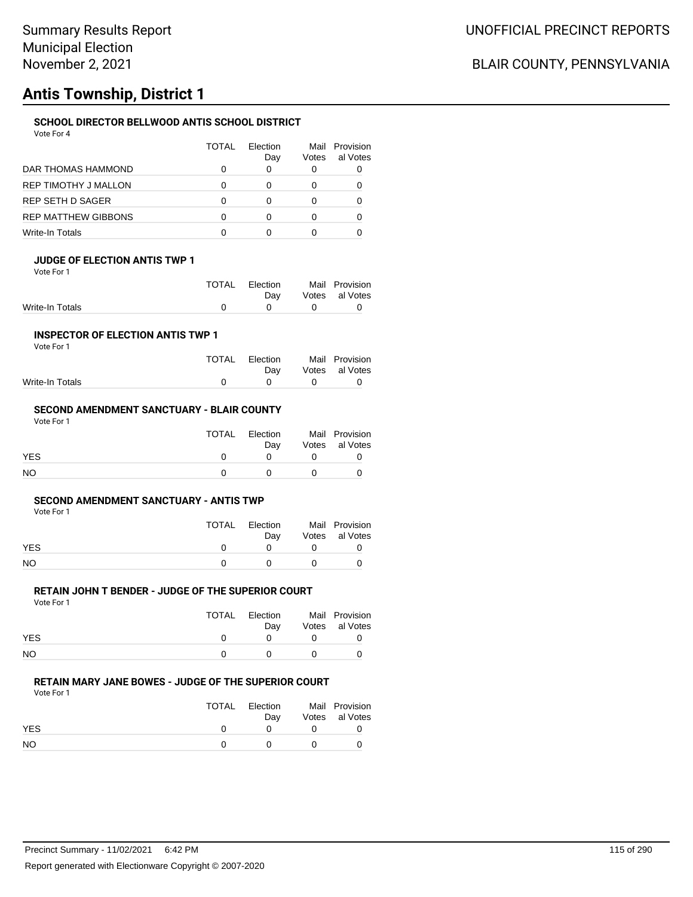# **Antis Township, District 1**

#### **SCHOOL DIRECTOR BELLWOOD ANTIS SCHOOL DISTRICT**

Vote For 4

|                      | <b>TOTAL</b> | <b>Flection</b><br>Day | Mail<br>Votes | Provision<br>al Votes |
|----------------------|--------------|------------------------|---------------|-----------------------|
| DAR THOMAS HAMMOND   |              | 0                      | 0             |                       |
| REP TIMOTHY J MALLON | O            | O                      | Ω             |                       |
| REP SETH D SAGER     | O            | O                      | Ω             |                       |
| REP MATTHEW GIBBONS  | O            | 0                      | Ω             |                       |
| Write-In Totals      |              |                        |               |                       |

#### **JUDGE OF ELECTION ANTIS TWP 1**

| Vote For 1 |  |
|------------|--|
|------------|--|

|                 | TOTAL Election<br>Dav | Mail Provision<br>Votes al Votes |
|-----------------|-----------------------|----------------------------------|
| Write-In Totals |                       |                                  |

#### **INSPECTOR OF ELECTION ANTIS TWP 1** Vote For 1

| .               |                                            |                |
|-----------------|--------------------------------------------|----------------|
|                 | TOTAL Election                             | Mail Provision |
|                 | Dav                                        | Votes al Votes |
| Write-In Totals | $\begin{array}{ccc} 0 & 0 & 0 \end{array}$ |                |

#### **SECOND AMENDMENT SANCTUARY - BLAIR COUNTY**

Vote For 1

|            | TOTAL | Election<br>Dav | Mail Provision<br>Votes al Votes |
|------------|-------|-----------------|----------------------------------|
| <b>YES</b> |       |                 |                                  |
| <b>NO</b>  |       |                 |                                  |

#### **SECOND AMENDMENT SANCTUARY - ANTIS TWP**

Vote For 1

|            | TOTAL | Election<br>Dav | Mail Provision<br>Votes al Votes |
|------------|-------|-----------------|----------------------------------|
| <b>YES</b> |       |                 |                                  |
| <b>NO</b>  |       |                 |                                  |

#### **RETAIN JOHN T BENDER - JUDGE OF THE SUPERIOR COURT**

Vote For 1

|            | TOTAL | Election<br>Dav | Mail Provision<br>Votes al Votes |
|------------|-------|-----------------|----------------------------------|
| <b>YES</b> |       |                 |                                  |
| NO         |       |                 |                                  |

#### **RETAIN MARY JANE BOWES - JUDGE OF THE SUPERIOR COURT**

Vote For 1

|           | <b>TOTAL</b> | Election<br>Dav | Mail Provision<br>Votes al Votes |
|-----------|--------------|-----------------|----------------------------------|
| YES.      |              |                 |                                  |
| <b>NO</b> |              |                 |                                  |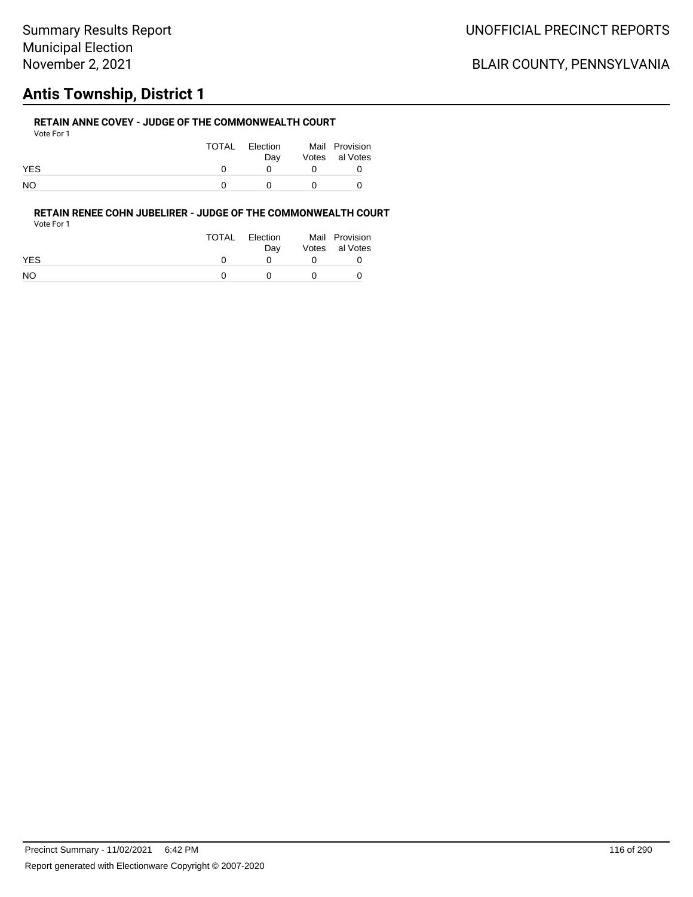# **Antis Township, District 1**

#### **RETAIN ANNE COVEY - JUDGE OF THE COMMONWEALTH COURT** Vote For 1

| VULTUII    |       |                 |                                  |
|------------|-------|-----------------|----------------------------------|
|            | TOTAL | Election<br>Dav | Mail Provision<br>Votes al Votes |
| <b>YES</b> |       | $^{\circ}$      |                                  |
| NO.        |       | $^{\prime}$     |                                  |

#### **RETAIN RENEE COHN JUBELIRER - JUDGE OF THE COMMONWEALTH COURT** Vote For 1

|            | <b>TOTAL</b> | Election<br>Dav | Mail Provision<br>Votes al Votes |
|------------|--------------|-----------------|----------------------------------|
| <b>YES</b> |              |                 |                                  |
| <b>NO</b>  |              |                 |                                  |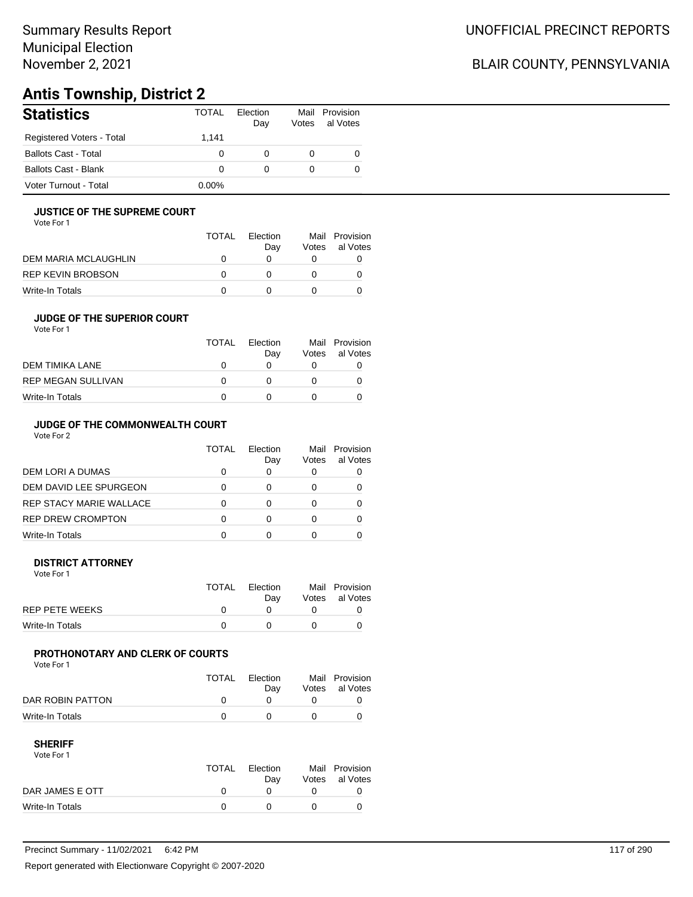## Summary Results Report Municipal Election November 2, 2021

# BLAIR COUNTY, PENNSYLVANIA

# **Antis Township, District 2**

| <b>Statistics</b>           | <b>TOTAL</b> | Election<br>Day | Votes | Mail Provision<br>al Votes |
|-----------------------------|--------------|-----------------|-------|----------------------------|
| Registered Voters - Total   | 1.141        |                 |       |                            |
| <b>Ballots Cast - Total</b> | 0            |                 |       |                            |
| Ballots Cast - Blank        | 0            |                 |       |                            |
| Voter Turnout - Total       | $0.00\%$     |                 |       |                            |

#### **JUSTICE OF THE SUPREME COURT**

Vote For 1

|                      | <b>TOTAL</b> | Flection<br>Dav | Votes | Mail Provision<br>al Votes |
|----------------------|--------------|-----------------|-------|----------------------------|
| DEM MARIA MCLAUGHLIN |              |                 |       |                            |
| REP KEVIN BROBSON    | $\mathbf{I}$ |                 |       |                            |
| Write-In Totals      |              |                 |       |                            |

#### **JUDGE OF THE SUPERIOR COURT**

| Vote For 1 |  |  |
|------------|--|--|
|            |  |  |

|                           | <b>TOTAL</b> | Election |       | Mail Provision |
|---------------------------|--------------|----------|-------|----------------|
|                           |              | Dav      | Votes | al Votes       |
| DEM TIMIKA LANE           | $\Omega$     |          |       |                |
| <b>REP MEGAN SULLIVAN</b> | $^{\prime}$  |          |       |                |
| Write-In Totals           | n            |          |       |                |
|                           |              |          |       |                |

### **JUDGE OF THE COMMONWEALTH COURT**

Vote For 2

|                                | TOTAL | Flection<br>Day | Votes | Mail Provision<br>al Votes |
|--------------------------------|-------|-----------------|-------|----------------------------|
| DEM LORI A DUMAS               |       |                 |       |                            |
| DEM DAVID LEE SPURGEON         |       |                 |       |                            |
| <b>REP STACY MARIE WALLACE</b> |       |                 |       |                            |
| <b>REP DREW CROMPTON</b>       |       |                 |       |                            |
| Write-In Totals                |       |                 |       |                            |

#### **DISTRICT ATTORNEY**

| Vote For 1      |       |                 |                                  |
|-----------------|-------|-----------------|----------------------------------|
|                 | TOTAL | Election<br>Dav | Mail Provision<br>Votes al Votes |
| REP PETE WEEKS  |       |                 |                                  |
| Write-In Totals |       |                 |                                  |

#### **PROTHONOTARY AND CLERK OF COURTS**

Vote For 1

|                  | TOTAL | Election<br>Dav | Mail Provision<br>Votes al Votes |
|------------------|-------|-----------------|----------------------------------|
| DAR ROBIN PATTON |       |                 |                                  |
| Write-In Totals  |       |                 |                                  |

| Vote For 1      |       |          |                |
|-----------------|-------|----------|----------------|
|                 | TOTAL | Election | Mail Provision |
|                 |       | Dav      | Votes al Votes |
| DAR JAMES E OTT |       |          |                |
| Write-In Totals |       |          |                |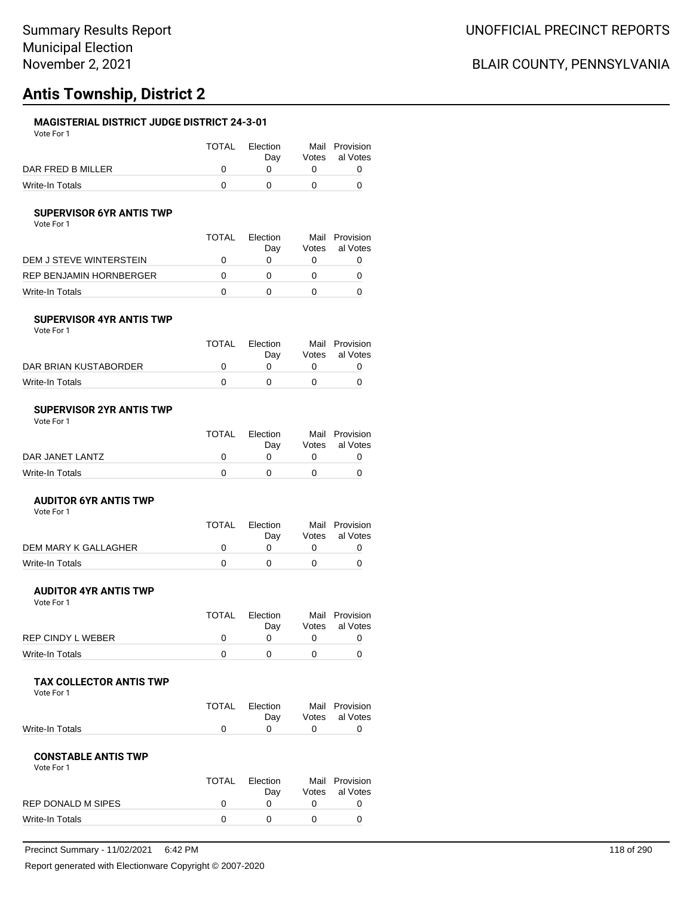# **Antis Township, District 2**

#### **MAGISTERIAL DISTRICT JUDGE DISTRICT 24-3-01**

Vote For 1

|                   | TOTAL | Election | Mail Provision |
|-------------------|-------|----------|----------------|
|                   |       | Dav      | Votes al Votes |
| DAR FRED B MILLER |       | $\Omega$ |                |
| Write-In Totals   |       |          |                |

#### **SUPERVISOR 6YR ANTIS TWP**

Vote For 1

|                         | TOTAL | <b>Flection</b><br>Dav | Mail<br>Votes | Provision<br>al Votes |
|-------------------------|-------|------------------------|---------------|-----------------------|
| DEM J STEVE WINTERSTEIN |       |                        |               |                       |
| REP BENJAMIN HORNBERGER |       |                        |               |                       |
| Write-In Totals         |       |                        |               |                       |

#### **SUPERVISOR 4YR ANTIS TWP**

Vote For 1

|                       | TOTAL | Election<br>Dav | Mail Provision<br>Votes al Votes |
|-----------------------|-------|-----------------|----------------------------------|
| DAR BRIAN KUSTABORDER |       |                 |                                  |
| Write-In Totals       |       |                 |                                  |

#### **SUPERVISOR 2YR ANTIS TWP** Vote For 1

| .               |       |                 |                                  |
|-----------------|-------|-----------------|----------------------------------|
|                 | TOTAL | Election<br>Dav | Mail Provision<br>Votes al Votes |
| DAR JANET LANTZ |       |                 |                                  |
| Write-In Totals |       |                 |                                  |

#### **AUDITOR 6YR ANTIS TWP**

Vote For 1

|                      | TOTAL | Election<br>Dav | Mail Provision<br>Votes al Votes |
|----------------------|-------|-----------------|----------------------------------|
| DEM MARY K GALLAGHER |       |                 |                                  |
| Write-In Totals      |       |                 |                                  |

#### **AUDITOR 4YR ANTIS TWP**

Vote For 1

|                   | TOTAL | Election | Mail Provision |
|-------------------|-------|----------|----------------|
|                   |       | Dav      | Votes al Votes |
| REP CINDY L WEBER |       |          |                |
| Write-In Totals   |       |          |                |

#### **TAX COLLECTOR ANTIS TWP**

Vote For 1

|                 | TOTAL Election | Mail Provision |
|-----------------|----------------|----------------|
|                 | Dav            | Votes al Votes |
| Write-In Totals |                |                |

#### **CONSTABLE ANTIS TWP** Vote For 1

| <b>TOTAL</b> | Election<br>Dav | Mail Provision<br>Votes al Votes |
|--------------|-----------------|----------------------------------|
|              |                 |                                  |
|              |                 |                                  |
|              |                 |                                  |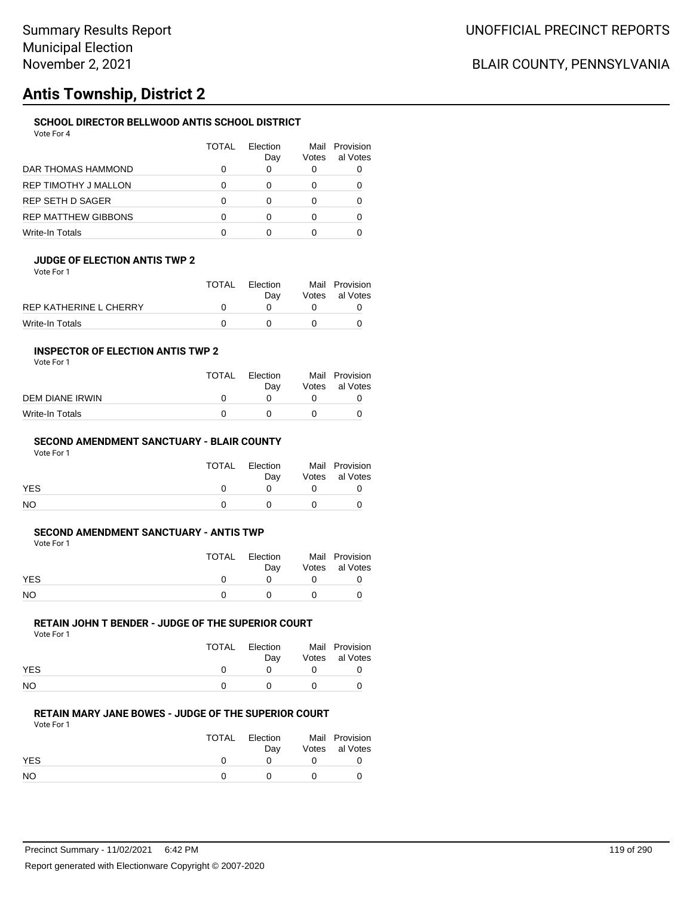### UNOFFICIAL PRECINCT REPORTS

## BLAIR COUNTY, PENNSYLVANIA

# **Antis Township, District 2**

### **SCHOOL DIRECTOR BELLWOOD ANTIS SCHOOL DISTRICT**

Vote For 4

|                      | <b>TOTAL</b> | Election<br>Day | Votes | Mail Provision<br>al Votes |
|----------------------|--------------|-----------------|-------|----------------------------|
| DAR THOMAS HAMMOND   |              |                 | O     |                            |
| REP TIMOTHY J MALLON |              |                 |       |                            |
| REP SETH D SAGER     |              |                 |       |                            |
| REP MATTHEW GIBBONS  |              |                 |       |                            |
| Write-In Totals      |              |                 |       |                            |

#### **JUDGE OF ELECTION ANTIS TWP 2**

Vote For 1

|                        | <b>TOTAL</b> | Election<br>Dav | Mail Provision<br>Votes al Votes |
|------------------------|--------------|-----------------|----------------------------------|
| REP KATHERINE L CHERRY |              |                 |                                  |
| Write-In Totals        |              |                 |                                  |

#### **INSPECTOR OF ELECTION ANTIS TWP 2**

Vote For 1

|                 | <b>TOTAL</b> | Election<br>Dav | Mail Provision<br>Votes al Votes |
|-----------------|--------------|-----------------|----------------------------------|
| DEM DIANE IRWIN |              |                 |                                  |
| Write-In Totals |              |                 |                                  |

#### **SECOND AMENDMENT SANCTUARY - BLAIR COUNTY**

Vote For 1

|            | TOTAL | Election<br>Dav |          | Mail Provision<br>Votes al Votes |
|------------|-------|-----------------|----------|----------------------------------|
| <b>YES</b> |       | $\mathbf{a}$    | $\theta$ |                                  |
| NO         |       | $\mathbf{u}$    | $\Omega$ |                                  |

#### **SECOND AMENDMENT SANCTUARY - ANTIS TWP**

Vote For 1

|            | TOTAL | Election | Mail Provision |
|------------|-------|----------|----------------|
|            |       | Dav      | Votes al Votes |
| <b>YES</b> |       |          |                |
| NO.        |       |          |                |

### **RETAIN JOHN T BENDER - JUDGE OF THE SUPERIOR COURT**

Vote For 1

|            | TOTAL | Election<br>Dav | Mail Provision<br>Votes al Votes |
|------------|-------|-----------------|----------------------------------|
| <b>YES</b> |       |                 |                                  |
| NO         |       |                 |                                  |

#### **RETAIN MARY JANE BOWES - JUDGE OF THE SUPERIOR COURT** Vote For 1

|            | TOTAL | Election<br>Dav | Mail Provision<br>Votes al Votes |
|------------|-------|-----------------|----------------------------------|
| <b>YES</b> |       |                 |                                  |
| NO.        |       |                 |                                  |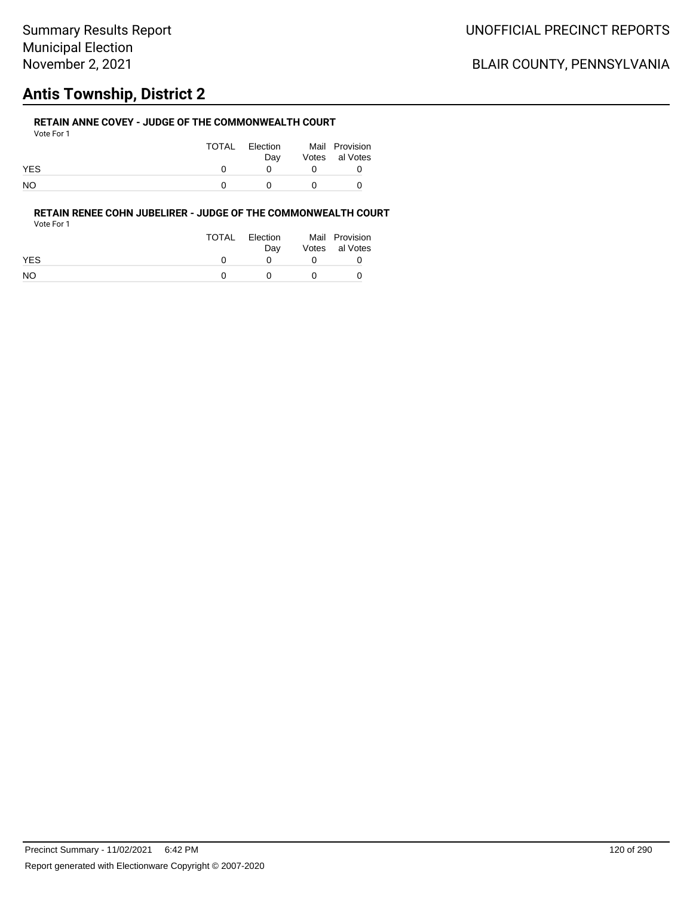# **Antis Township, District 2**

### **RETAIN ANNE COVEY - JUDGE OF THE COMMONWEALTH COURT**

| Vote For 1 |       |                 |                                  |
|------------|-------|-----------------|----------------------------------|
|            | TOTAL | Election<br>Dav | Mail Provision<br>Votes al Votes |
| <b>YES</b> |       | <sup>n</sup>    |                                  |
| NO.        |       |                 |                                  |

#### **RETAIN RENEE COHN JUBELIRER - JUDGE OF THE COMMONWEALTH COURT** Vote For 1

|           | <b>TOTAL</b> | Election<br>Dav | Mail Provision<br>Votes al Votes |
|-----------|--------------|-----------------|----------------------------------|
| YES       |              |                 |                                  |
| <b>NO</b> |              |                 |                                  |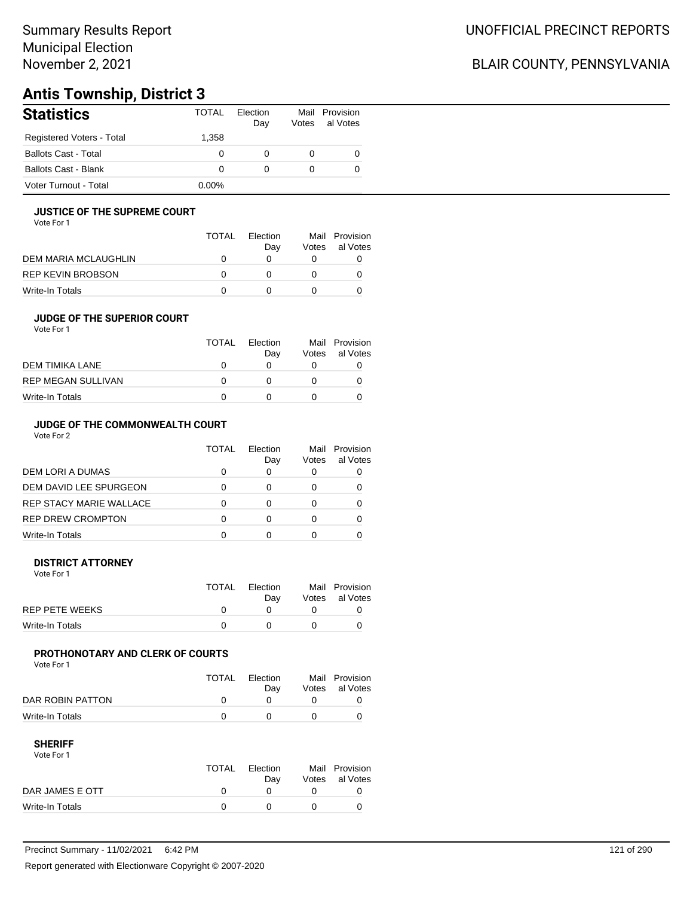## Summary Results Report Municipal Election November 2, 2021

# BLAIR COUNTY, PENNSYLVANIA

# **Antis Township, District 3**

| <b>Statistics</b>           | TOTAL    | Election<br>Day | Votes | Mail Provision<br>al Votes |
|-----------------------------|----------|-----------------|-------|----------------------------|
| Registered Voters - Total   | 1.358    |                 |       |                            |
| <b>Ballots Cast - Total</b> | 0        | 0               |       |                            |
| Ballots Cast - Blank        | 0        | 0               |       |                            |
| Voter Turnout - Total       | $0.00\%$ |                 |       |                            |

#### **JUSTICE OF THE SUPREME COURT**

Vote For 1

|                      | TOTAL | Election<br>Dav | Votes | Mail Provision<br>al Votes |
|----------------------|-------|-----------------|-------|----------------------------|
| DEM MARIA MCLAUGHLIN |       |                 |       |                            |
| REP KEVIN BROBSON    |       |                 |       |                            |
| Write-In Totals      |       |                 |       |                            |

#### **JUDGE OF THE SUPERIOR COURT**

| Vote For 1 |  |  |
|------------|--|--|
|            |  |  |

|                           | <b>TOTAL</b> | Election |       | Mail Provision |
|---------------------------|--------------|----------|-------|----------------|
|                           |              | Dav      | Votes | al Votes       |
| DEM TIMIKA LANE           | O            |          |       |                |
| <b>REP MEGAN SULLIVAN</b> | $^{\prime}$  |          |       |                |
| Write-In Totals           |              |          |       |                |
|                           |              |          |       |                |

### **JUDGE OF THE COMMONWEALTH COURT**

Vote For 2

|                                | TOTAL | Flection<br>Day | Votes | Mail Provision<br>al Votes |
|--------------------------------|-------|-----------------|-------|----------------------------|
| DEM LORI A DUMAS               |       |                 |       |                            |
| DEM DAVID LEE SPURGEON         |       |                 |       |                            |
| <b>REP STACY MARIE WALLACE</b> |       |                 |       |                            |
| <b>REP DREW CROMPTON</b>       |       |                 |       |                            |
| Write-In Totals                |       |                 |       |                            |

#### **DISTRICT ATTORNEY**

| Vote For 1      |       |                 |                                  |
|-----------------|-------|-----------------|----------------------------------|
|                 | TOTAL | Election<br>Dav | Mail Provision<br>Votes al Votes |
| REP PETE WEEKS  |       |                 |                                  |
| Write-In Totals |       |                 |                                  |

#### **PROTHONOTARY AND CLERK OF COURTS**

Vote For 1

|                  | TOTAL | Election<br>Dav | Mail Provision<br>Votes al Votes |
|------------------|-------|-----------------|----------------------------------|
| DAR ROBIN PATTON |       |                 |                                  |
| Write-In Totals  |       |                 |                                  |

| Vote For 1      |              |          |                |
|-----------------|--------------|----------|----------------|
|                 | TOTAL        | Flection | Mail Provision |
|                 |              | Dav      | Votes al Votes |
| DAR JAMES E OTT | <sup>n</sup> |          |                |
| Write-In Totals |              |          |                |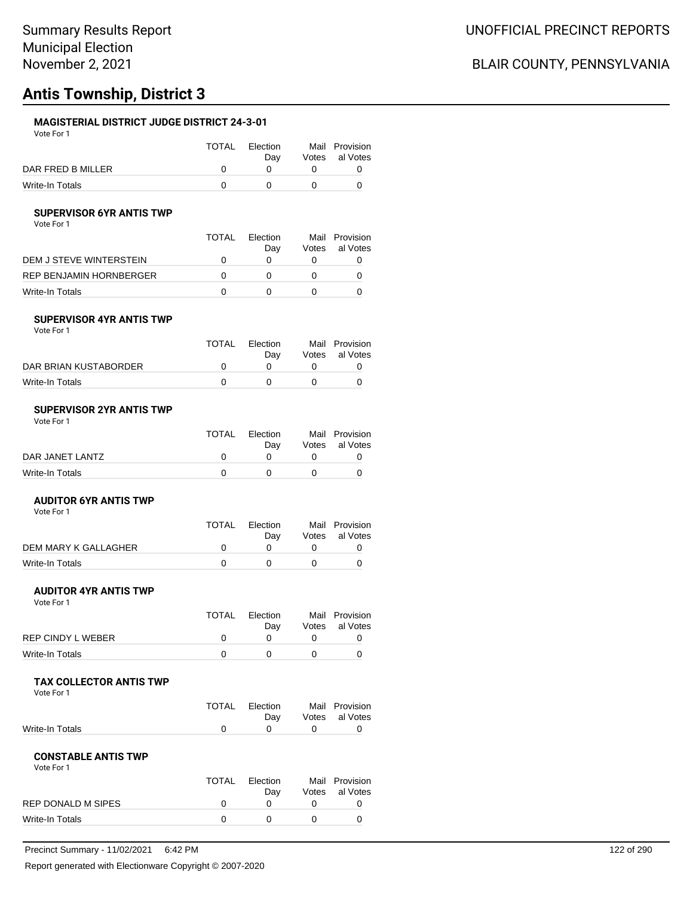# **Antis Township, District 3**

#### **MAGISTERIAL DISTRICT JUDGE DISTRICT 24-3-01**

Vote For 1

|                   | TOTAL | Election | Mail Provision |
|-------------------|-------|----------|----------------|
|                   |       | Dav      | Votes al Votes |
| DAR FRED B MILLER |       | $\Omega$ |                |
| Write-In Totals   |       |          |                |

#### **SUPERVISOR 6YR ANTIS TWP**

Vote For 1

|                         | TOTAL | <b>Flection</b><br>Dav | Mail<br>Votes | Provision<br>al Votes |
|-------------------------|-------|------------------------|---------------|-----------------------|
| DEM J STEVE WINTERSTEIN |       |                        |               |                       |
| REP BENJAMIN HORNBERGER |       |                        |               |                       |
| Write-In Totals         |       |                        |               |                       |

#### **SUPERVISOR 4YR ANTIS TWP**

Vote For 1

|                       | TOTAL | Election<br>Dav | Mail Provision<br>Votes al Votes |
|-----------------------|-------|-----------------|----------------------------------|
| DAR BRIAN KUSTABORDER |       |                 |                                  |
| Write-In Totals       |       |                 |                                  |

#### **SUPERVISOR 2YR ANTIS TWP** Vote For 1

| .               |       |                 |                                  |
|-----------------|-------|-----------------|----------------------------------|
|                 | TOTAL | Election<br>Dav | Mail Provision<br>Votes al Votes |
| DAR JANET LANTZ |       |                 |                                  |
| Write-In Totals |       |                 |                                  |

#### **AUDITOR 6YR ANTIS TWP**

Vote For 1

|                      | TOTAL | Election<br>Dav | Mail Provision<br>Votes al Votes |
|----------------------|-------|-----------------|----------------------------------|
| DEM MARY K GALLAGHER |       |                 |                                  |
| Write-In Totals      |       |                 |                                  |

#### **AUDITOR 4YR ANTIS TWP**

Vote For 1

|                   | TOTAL | Election | Mail Provision |
|-------------------|-------|----------|----------------|
|                   |       | Dav      | Votes al Votes |
| REP CINDY L WEBER |       |          |                |
| Write-In Totals   |       |          |                |

#### **TAX COLLECTOR ANTIS TWP**

Vote For 1

|                 | TOTAL Election | Mail Provision |
|-----------------|----------------|----------------|
|                 | Dav            | Votes al Votes |
| Write-In Totals |                |                |

#### **CONSTABLE ANTIS TWP** Vote For 1

| <b>TOTAL</b> | Election<br>Dav | Mail Provision<br>Votes al Votes |
|--------------|-----------------|----------------------------------|
|              |                 |                                  |
|              |                 |                                  |
|              |                 |                                  |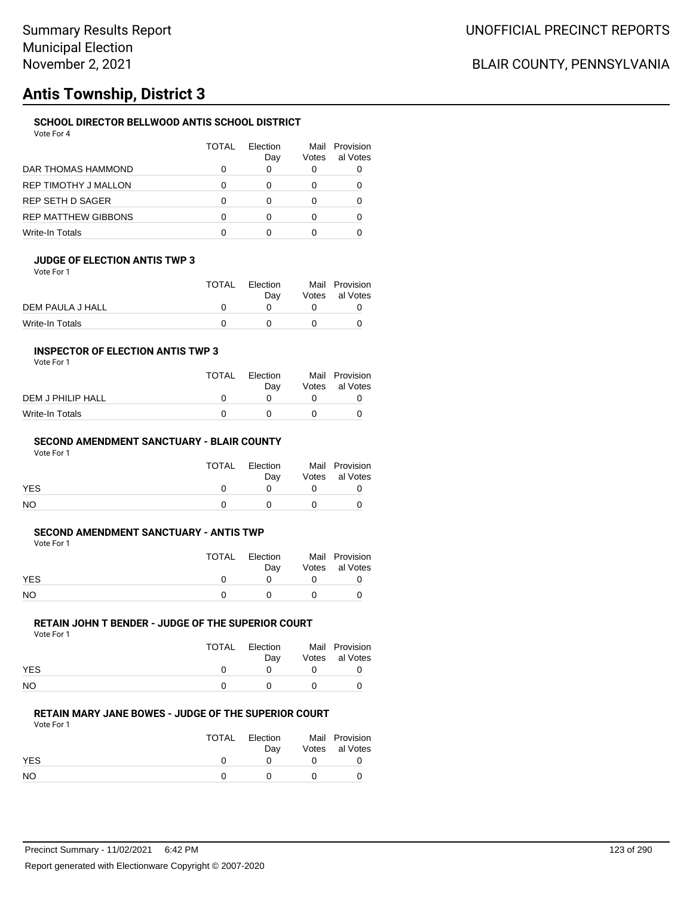### UNOFFICIAL PRECINCT REPORTS

## BLAIR COUNTY, PENNSYLVANIA

# **Antis Township, District 3**

### **SCHOOL DIRECTOR BELLWOOD ANTIS SCHOOL DISTRICT**

Vote For 4

|                      | <b>TOTAL</b> | Election<br>Day | Votes | Mail Provision<br>al Votes |
|----------------------|--------------|-----------------|-------|----------------------------|
| DAR THOMAS HAMMOND   |              |                 | O     |                            |
| REP TIMOTHY J MALLON |              |                 |       |                            |
| REP SETH D SAGER     |              |                 |       |                            |
| REP MATTHEW GIBBONS  |              |                 |       |                            |
| Write-In Totals      |              |                 |       |                            |

#### **JUDGE OF ELECTION ANTIS TWP 3**

Vote For 1

|                  | <b>TOTAL</b> | Election<br>Dav | Mail Provision<br>Votes al Votes |
|------------------|--------------|-----------------|----------------------------------|
| DEM PAULA J HALL |              |                 |                                  |
| Write-In Totals  |              |                 |                                  |

#### **INSPECTOR OF ELECTION ANTIS TWP 3**

Vote For 1

|                   | TOTAL | Election<br>Dav | Mail Provision<br>Votes al Votes |
|-------------------|-------|-----------------|----------------------------------|
| DEM J PHILIP HALL |       |                 |                                  |
| Write-In Totals   |       |                 |                                  |

#### **SECOND AMENDMENT SANCTUARY - BLAIR COUNTY**

Vote For 1

|            | TOTAL | Election<br>Dav |          | Mail Provision<br>Votes al Votes |
|------------|-------|-----------------|----------|----------------------------------|
| <b>YES</b> |       |                 |          |                                  |
| NO         |       |                 | $\theta$ |                                  |

#### **SECOND AMENDMENT SANCTUARY - ANTIS TWP**

Vote For 1

|            | TOTAL | Election | Mail Provision |
|------------|-------|----------|----------------|
|            |       | Dav      | Votes al Votes |
| <b>YES</b> |       |          |                |
| NO.        |       |          |                |

### **RETAIN JOHN T BENDER - JUDGE OF THE SUPERIOR COURT**

Vote For 1

|            | TOTAL | Election<br>Dav | Mail Provision<br>Votes al Votes |
|------------|-------|-----------------|----------------------------------|
| <b>YES</b> |       |                 |                                  |
| NO         |       |                 |                                  |

#### **RETAIN MARY JANE BOWES - JUDGE OF THE SUPERIOR COURT** Vote For 1

|            | TOTAL | Election<br>Dav | Mail Provision<br>Votes al Votes |
|------------|-------|-----------------|----------------------------------|
| <b>YES</b> |       |                 |                                  |
| NO.        |       |                 |                                  |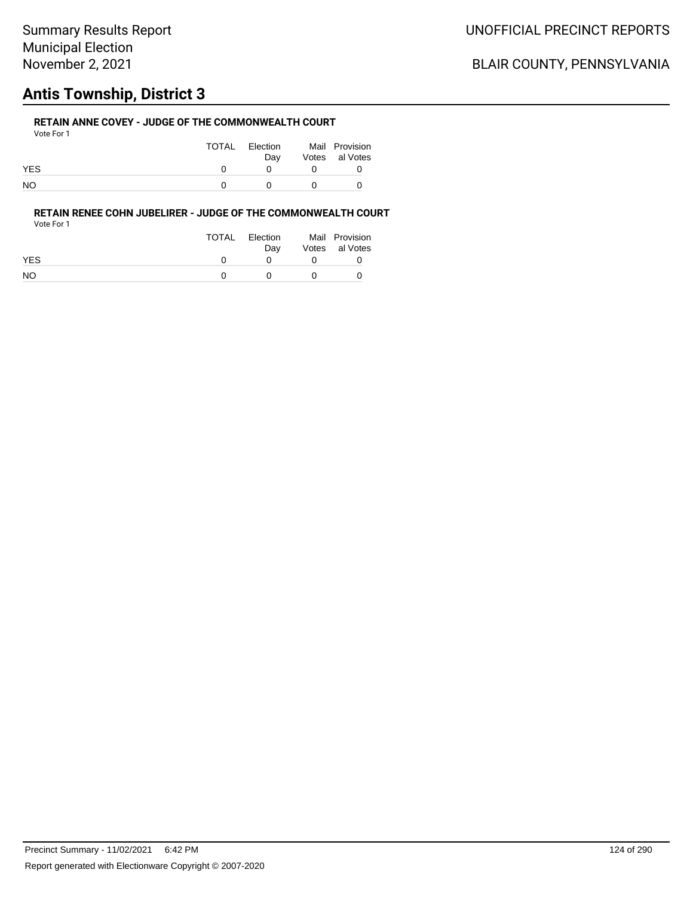# **Antis Township, District 3**

### **RETAIN ANNE COVEY - JUDGE OF THE COMMONWEALTH COURT**

| Vote For 1 |       |                 |                                  |
|------------|-------|-----------------|----------------------------------|
|            | TOTAL | Election<br>Dav | Mail Provision<br>Votes al Votes |
| <b>YES</b> |       | <sup>n</sup>    |                                  |
| NO.        |       |                 |                                  |

#### **RETAIN RENEE COHN JUBELIRER - JUDGE OF THE COMMONWEALTH COURT** Vote For 1

|            | <b>TOTAL</b> | Election<br>Dav | Mail Provision<br>Votes al Votes |
|------------|--------------|-----------------|----------------------------------|
| <b>YES</b> |              |                 |                                  |
| <b>NO</b>  |              |                 |                                  |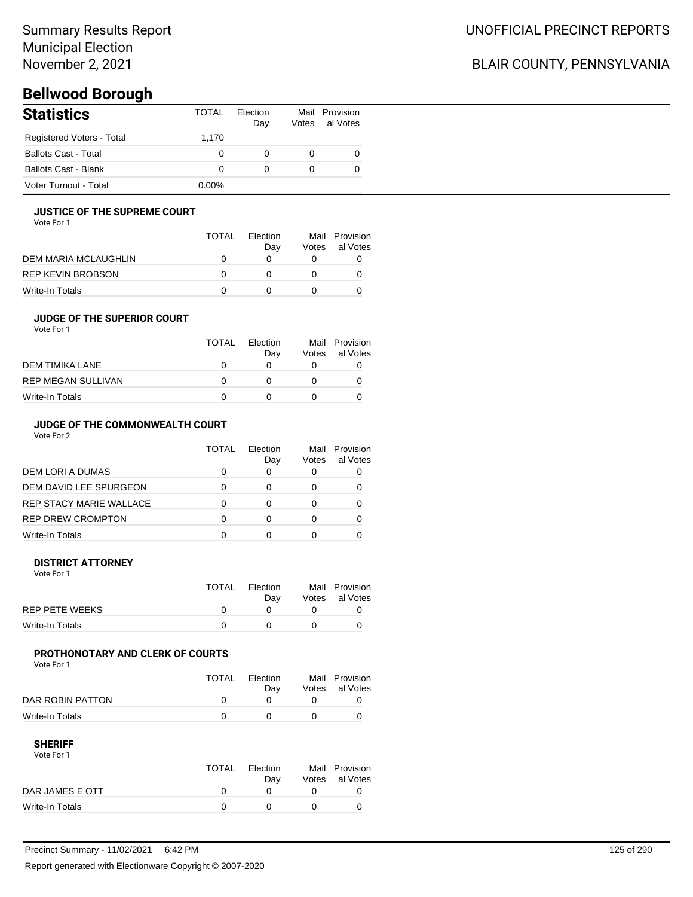# **Bellwood Borough**

| <b>Statistics</b>           | TOTAL    | Flection<br>Day | Votes | Mail Provision<br>al Votes |
|-----------------------------|----------|-----------------|-------|----------------------------|
| Registered Voters - Total   | 1.170    |                 |       |                            |
| <b>Ballots Cast - Total</b> | 0        |                 |       |                            |
| <b>Ballots Cast - Blank</b> | 0        |                 |       |                            |
| Voter Turnout - Total       | $0.00\%$ |                 |       |                            |

#### **JUSTICE OF THE SUPREME COURT**

Vote For 1

|                      | TOTAL | Election<br>Dav | Mail<br>Votes | Provision<br>al Votes |
|----------------------|-------|-----------------|---------------|-----------------------|
| DEM MARIA MCLAUGHLIN |       |                 |               |                       |
| REP KEVIN BROBSON    |       |                 |               |                       |
| Write-In Totals      |       |                 |               |                       |

#### **JUDGE OF THE SUPERIOR COURT**

| Vote For 1 |  |  |
|------------|--|--|
|            |  |  |

|                           | <b>TOTAL</b> | Election<br>Day | Votes | Mail Provision<br>al Votes |
|---------------------------|--------------|-----------------|-------|----------------------------|
| DEM TIMIKA LANE           |              |                 |       |                            |
| <b>REP MEGAN SULLIVAN</b> |              |                 |       |                            |
| Write-In Totals           |              |                 |       |                            |
|                           |              |                 |       |                            |

### **JUDGE OF THE COMMONWEALTH COURT**

Vote For 2

|                                | TOTAL | Flection<br>Day | Votes | Mail Provision<br>al Votes |
|--------------------------------|-------|-----------------|-------|----------------------------|
| DEM LORI A DUMAS               |       |                 |       |                            |
| DEM DAVID LEE SPURGEON         |       |                 |       |                            |
| <b>REP STACY MARIE WALLACE</b> |       |                 |       |                            |
| <b>REP DREW CROMPTON</b>       |       |                 |       |                            |
| Write-In Totals                |       |                 |       |                            |

#### **DISTRICT ATTORNEY**

| Vote For 1      |       |                 |                                  |
|-----------------|-------|-----------------|----------------------------------|
|                 | TOTAL | Election<br>Dav | Mail Provision<br>Votes al Votes |
| REP PETE WEEKS  |       |                 |                                  |
| Write-In Totals |       |                 |                                  |

#### **PROTHONOTARY AND CLERK OF COURTS**

Vote For 1

|                  | <b>TOTAL</b> | Election<br>Dav | Mail Provision<br>Votes al Votes |
|------------------|--------------|-----------------|----------------------------------|
| DAR ROBIN PATTON |              |                 |                                  |
| Write-In Totals  |              |                 |                                  |

| Vote For 1      |              |          |                |
|-----------------|--------------|----------|----------------|
|                 | TOTAL        | Flection | Mail Provision |
|                 |              | Dav      | Votes al Votes |
| DAR JAMES E OTT | <sup>n</sup> |          |                |
| Write-In Totals |              |          |                |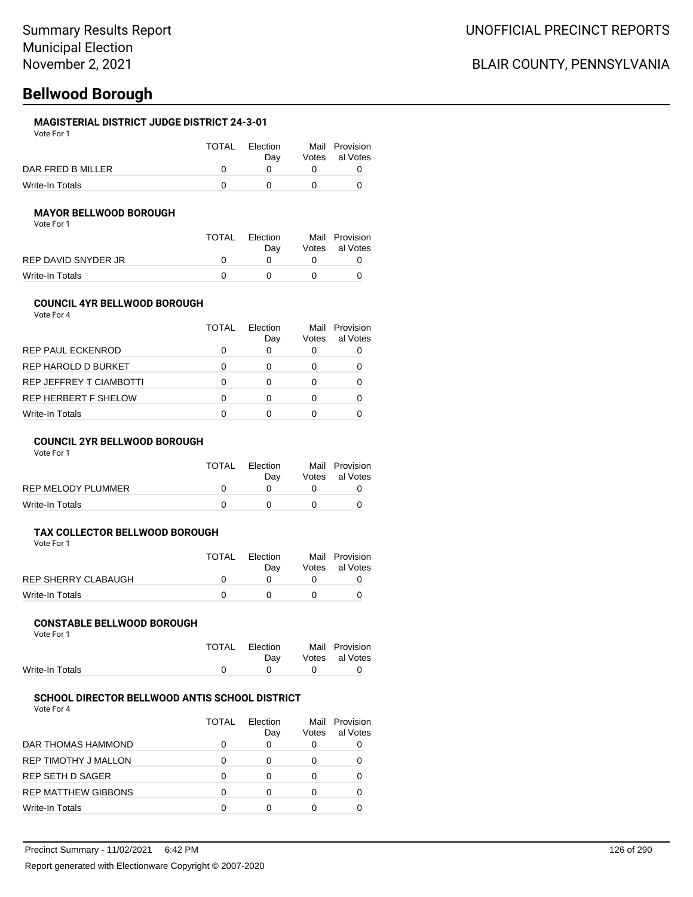# **Bellwood Borough**

#### **MAGISTERIAL DISTRICT JUDGE DISTRICT 24-3-01**

Vote For 1

|                   | TOTAL | Election | Mail Provision |
|-------------------|-------|----------|----------------|
|                   |       | Dav      | Votes al Votes |
| DAR FRED B MILLER |       |          |                |
| Write-In Totals   |       |          |                |

#### **MAYOR BELLWOOD BOROUGH**

Vote For 1

|                     | <b>TOTAL</b> | Election | Mail Provision |
|---------------------|--------------|----------|----------------|
|                     |              | Dav      | Votes al Votes |
| REP DAVID SNYDER JR |              |          |                |
| Write-In Totals     |              |          |                |

#### **COUNCIL 4YR BELLWOOD BOROUGH**

Vote For 4

|                                | <b>TOTAL</b> | <b>Flection</b><br>Day | Mail<br>Votes | Provision<br>al Votes |
|--------------------------------|--------------|------------------------|---------------|-----------------------|
| <b>REP PAUL ECKENROD</b>       |              | O                      |               |                       |
| REP HAROLD D BURKET            |              | 0                      |               |                       |
| <b>REP JEFFREY T CIAMBOTTI</b> |              | O                      |               |                       |
| <b>REP HERBERT F SHELOW</b>    |              | O                      |               |                       |
| Write-In Totals                |              | n                      |               |                       |

#### **COUNCIL 2YR BELLWOOD BOROUGH**

Vote For 1

|                    | TOTAL | Election<br>Dav | Mail Provision<br>Votes al Votes |
|--------------------|-------|-----------------|----------------------------------|
| REP MELODY PLUMMER |       |                 |                                  |
| Write-In Totals    |       |                 |                                  |

#### **TAX COLLECTOR BELLWOOD BOROUGH**

Vote For 1

|                            | TOTAL | Election | Mail Provision |
|----------------------------|-------|----------|----------------|
|                            |       | Dav      | Votes al Votes |
| <b>REP SHERRY CLABAUGH</b> |       |          |                |
| Write-In Totals            |       |          |                |

#### **CONSTABLE BELLWOOD BOROUGH**

Vote For 1

|                 | TOTAL Election |                   | Mail Provision |
|-----------------|----------------|-------------------|----------------|
|                 | Dav            |                   | Votes al Votes |
| Write-In Totals |                | $\Omega$ $\Omega$ |                |
|                 |                |                   |                |

#### **SCHOOL DIRECTOR BELLWOOD ANTIS SCHOOL DISTRICT** Vote For 4

|                             | TOTAL | <b>Flection</b><br>Day | Votes | Mail Provision<br>al Votes |
|-----------------------------|-------|------------------------|-------|----------------------------|
| DAR THOMAS HAMMOND          |       | 0                      |       |                            |
| <b>REP TIMOTHY J MALLON</b> |       |                        |       |                            |
| REP SETH D SAGER            |       |                        |       |                            |
| <b>REP MATTHEW GIBBONS</b>  |       |                        |       |                            |
| <b>Write-In Totals</b>      |       |                        |       |                            |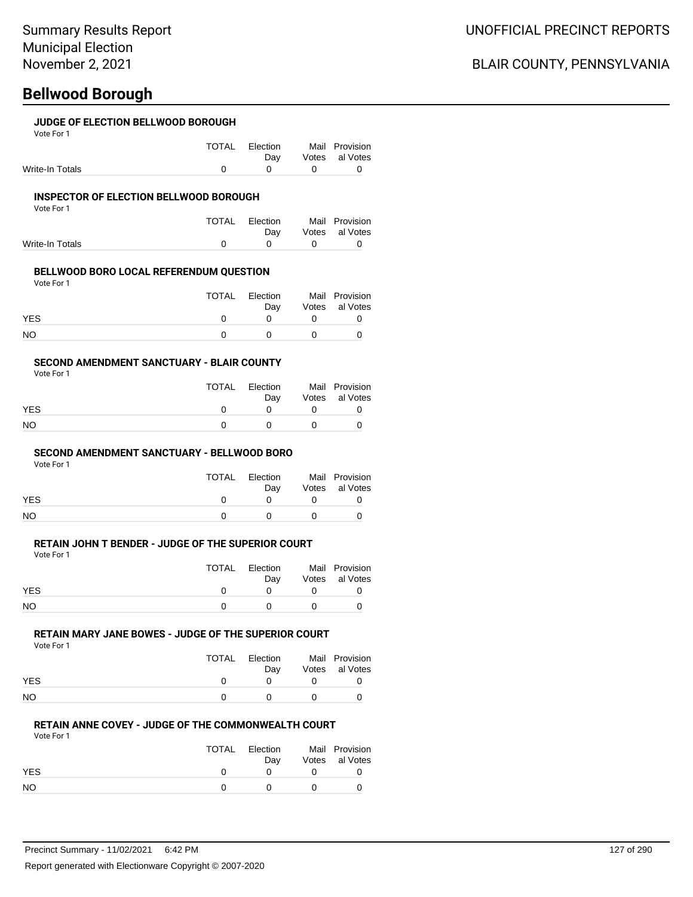# **Bellwood Borough**

# BLAIR COUNTY, PENNSYLVANIA

| JUDGE OF ELECTION BELLWOOD BOROUGH |  |
|------------------------------------|--|
|                                    |  |

Vote For 1

|                 | TOTAL Election   | Mail Provision     |
|-----------------|------------------|--------------------|
|                 |                  | Day Votes al Votes |
| Write-In Totals | $\overline{0}$ 0 |                    |

### **INSPECTOR OF ELECTION BELLWOOD BOROUGH**

Vote For 1

|                 | TOTAL Election                | Mail Provision |
|-----------------|-------------------------------|----------------|
|                 | Dav                           | Votes al Votes |
| Write-In Totals | $\overline{0}$ $\overline{0}$ |                |

### **BELLWOOD BORO LOCAL REFERENDUM QUESTION**

Vote For 1

|            | TOTAL | Election | Mail Provision |
|------------|-------|----------|----------------|
|            |       | Dav      | Votes al Votes |
| <b>YES</b> |       |          |                |
| <b>NO</b>  |       |          |                |

#### **SECOND AMENDMENT SANCTUARY - BLAIR COUNTY**

Vote For 1

|            | TOTAL | Election<br>Dav | Mail Provision<br>Votes al Votes |
|------------|-------|-----------------|----------------------------------|
| <b>YES</b> |       |                 |                                  |
| NO.        |       | $^{\circ}$      |                                  |

#### **SECOND AMENDMENT SANCTUARY - BELLWOOD BORO**

Vote For 1

|            | TOTAL | Election<br>Dav | Mail Provision<br>Votes al Votes |
|------------|-------|-----------------|----------------------------------|
| <b>YES</b> |       |                 |                                  |
| NO         |       | n               |                                  |

### **RETAIN JOHN T BENDER - JUDGE OF THE SUPERIOR COURT**

Vote For 1

|            | <b>TOTAL</b> | Election<br>Dav | Mail Provision<br>Votes al Votes |
|------------|--------------|-----------------|----------------------------------|
| <b>YES</b> |              |                 |                                  |
| NO.        |              |                 |                                  |

### **RETAIN MARY JANE BOWES - JUDGE OF THE SUPERIOR COURT**

Vote For 1

|            | TOTAL | Election<br>Dav | Mail Provision<br>Votes al Votes |
|------------|-------|-----------------|----------------------------------|
| <b>YES</b> |       |                 |                                  |
| NO         |       |                 |                                  |

### **RETAIN ANNE COVEY - JUDGE OF THE COMMONWEALTH COURT**

Vote For 1

|            | TOTAL | Election<br>Dav | Mail Provision<br>Votes al Votes |
|------------|-------|-----------------|----------------------------------|
| <b>YES</b> |       |                 |                                  |
| <b>NO</b>  |       |                 |                                  |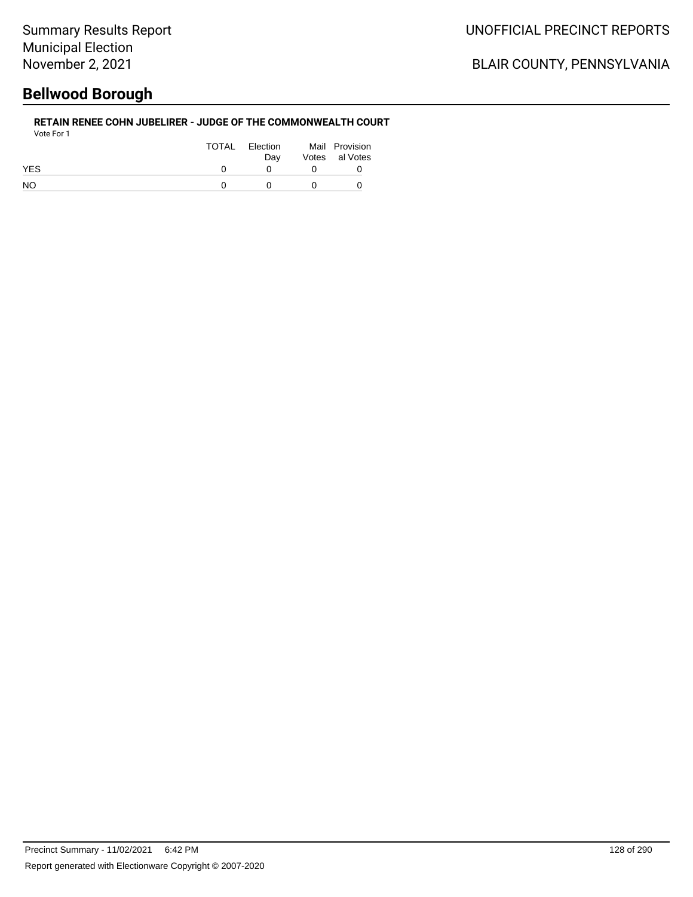# **Bellwood Borough**

#### **RETAIN RENEE COHN JUBELIRER - JUDGE OF THE COMMONWEALTH COURT** Vote For 1

| .          |       |                 |          |                                  |
|------------|-------|-----------------|----------|----------------------------------|
|            | TOTAL | Election<br>Dav |          | Mail Provision<br>Votes al Votes |
| <b>YES</b> |       |                 |          |                                  |
| <b>NO</b>  |       |                 | $\Omega$ |                                  |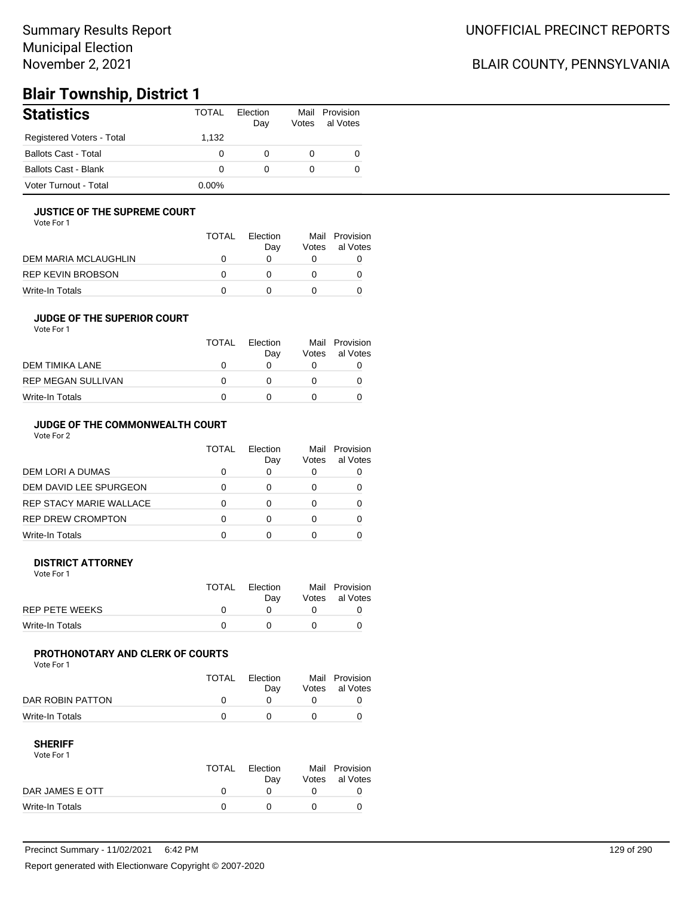## Summary Results Report Municipal Election November 2, 2021

# BLAIR COUNTY, PENNSYLVANIA

# **Blair Township, District 1**

| <b>Statistics</b>           | TOTAL        | Election<br>Day | Votes | Mail Provision<br>al Votes |
|-----------------------------|--------------|-----------------|-------|----------------------------|
| Registered Voters - Total   | 1.132        |                 |       |                            |
| <b>Ballots Cast - Total</b> | 0            | 0               |       |                            |
| Ballots Cast - Blank        | <sup>o</sup> | 0               |       |                            |
| Voter Turnout - Total       | $0.00\%$     |                 |       |                            |

#### **JUSTICE OF THE SUPREME COURT**

Vote For 1

|                      | TOTAL | Election<br>Dav | Votes | Mail Provision<br>al Votes |
|----------------------|-------|-----------------|-------|----------------------------|
| DEM MARIA MCLAUGHLIN |       |                 |       |                            |
| REP KEVIN BROBSON    |       |                 |       |                            |
| Write-In Totals      |       |                 |       |                            |

#### **JUDGE OF THE SUPERIOR COURT**

| Vote For 1 |  |  |
|------------|--|--|
|            |  |  |

| <b>TOTAL</b> | Election |     | Mail Provision<br>al Votes |
|--------------|----------|-----|----------------------------|
|              |          |     |                            |
|              |          |     |                            |
|              |          |     |                            |
|              |          | Dav | Votes                      |

### **JUDGE OF THE COMMONWEALTH COURT**

Vote For 2

|                                | TOTAL | Flection<br>Day | Votes | Mail Provision<br>al Votes |
|--------------------------------|-------|-----------------|-------|----------------------------|
| DEM LORI A DUMAS               |       |                 |       |                            |
| DEM DAVID LEE SPURGEON         |       |                 |       |                            |
| <b>REP STACY MARIE WALLACE</b> |       |                 |       |                            |
| <b>REP DREW CROMPTON</b>       |       |                 |       |                            |
| Write-In Totals                |       |                 |       |                            |

#### **DISTRICT ATTORNEY**

| Vote For 1      |       |                 |                                  |
|-----------------|-------|-----------------|----------------------------------|
|                 | TOTAL | Election<br>Dav | Mail Provision<br>Votes al Votes |
| REP PETE WEEKS  |       |                 |                                  |
| Write-In Totals |       |                 |                                  |

#### **PROTHONOTARY AND CLERK OF COURTS**

Vote For 1

|                  | TOTAL | Election<br>Dav | Mail Provision<br>Votes al Votes |
|------------------|-------|-----------------|----------------------------------|
| DAR ROBIN PATTON |       |                 |                                  |
| Write-In Totals  |       |                 |                                  |

| Vote For 1      |       |          |                |
|-----------------|-------|----------|----------------|
|                 | TOTAL | Election | Mail Provision |
|                 |       | Dav      | Votes al Votes |
| DAR JAMES E OTT |       |          |                |
| Write-In Totals |       |          |                |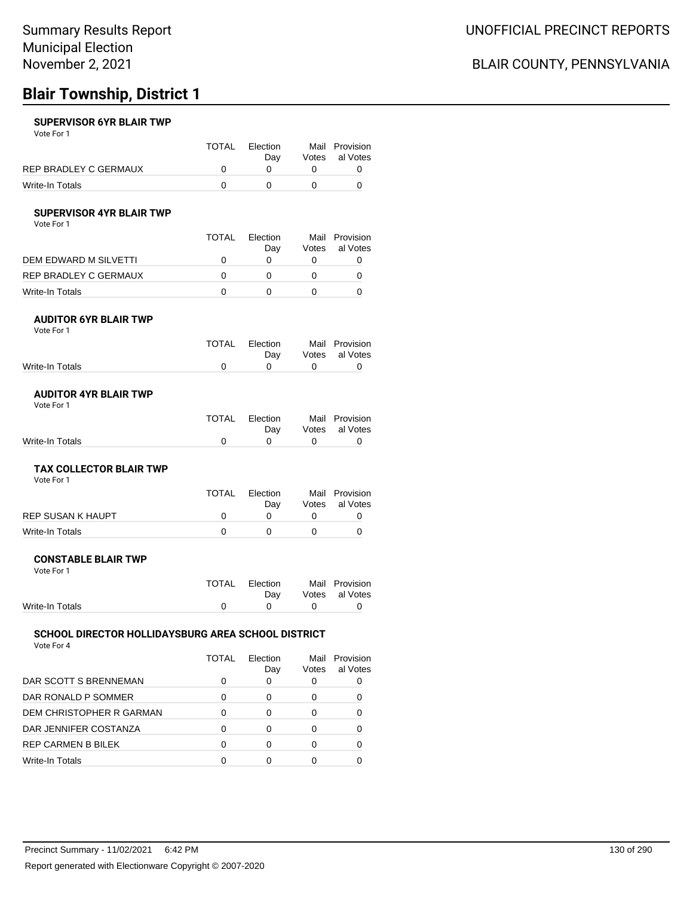# **Blair Township, District 1**

#### **SUPERVISOR 6YR BLAIR TWP**

Vote For 1

|                       | <b>TOTAL</b> | Election | Mail Provision |
|-----------------------|--------------|----------|----------------|
|                       |              | Dav      | Votes al Votes |
| REP BRADLEY C GERMAUX |              |          |                |
| Write-In Totals       |              |          |                |

#### **SUPERVISOR 4YR BLAIR TWP**

Vote For 1

|                       | TOTAL | Election | Mail  | Provision |
|-----------------------|-------|----------|-------|-----------|
|                       |       | Dav      | Votes | al Votes  |
| DEM EDWARD M SILVETTI |       |          |       |           |
| REP BRADLEY C GERMAUX |       |          |       |           |
| Write-In Totals       |       |          |       |           |

#### **AUDITOR 6YR BLAIR TWP** Vote For 1

|                 | TOTAL Election<br>Dav |                   | Mail Provision<br>Votes al Votes |
|-----------------|-----------------------|-------------------|----------------------------------|
| Write-In Totals |                       | $\Omega$ $\Omega$ | - റ                              |
|                 |                       |                   |                                  |

#### **AUDITOR 4YR BLAIR TWP** Vote For 1

|                 | TOTAL Election |                                              | Mail Provision<br>Day Votes al Votes |
|-----------------|----------------|----------------------------------------------|--------------------------------------|
| Write-In Totals |                | $\begin{array}{ccc} & & & 0 & & \end{array}$ |                                      |

#### **TAX COLLECTOR BLAIR TWP**

| Vote For 1        |              |                 |                                  |
|-------------------|--------------|-----------------|----------------------------------|
|                   | <b>TOTAL</b> | Election<br>Dav | Mail Provision<br>Votes al Votes |
| REP SUSAN K HAUPT | $\Omega$     |                 |                                  |
| Write-In Totals   | n            |                 |                                  |

#### **CONSTABLE BLAIR TWP**

| Vote For 1      |       |              |           |                |
|-----------------|-------|--------------|-----------|----------------|
|                 | TOTAL | Election     |           | Mail Provision |
|                 |       | Dav          |           | Votes al Votes |
| Write-In Totals |       | $\mathbf{0}$ | $\bigcap$ |                |

#### **SCHOOL DIRECTOR HOLLIDAYSBURG AREA SCHOOL DISTRICT**

Vote For 4

|                           | TOTAL | Flection<br>Day | Mail<br>Votes | Provision<br>al Votes |
|---------------------------|-------|-----------------|---------------|-----------------------|
| DAR SCOTT S BRENNEMAN     |       | 0               |               |                       |
| DAR RONALD P SOMMER       | 0     | 0               | 0             |                       |
| DEM CHRISTOPHER R GARMAN  |       | 0               | 0             |                       |
| DAR JENNIFER COSTANZA     |       | 0               |               |                       |
| <b>REP CARMEN B BILEK</b> |       | 0               |               |                       |
| Write-In Totals           |       |                 |               |                       |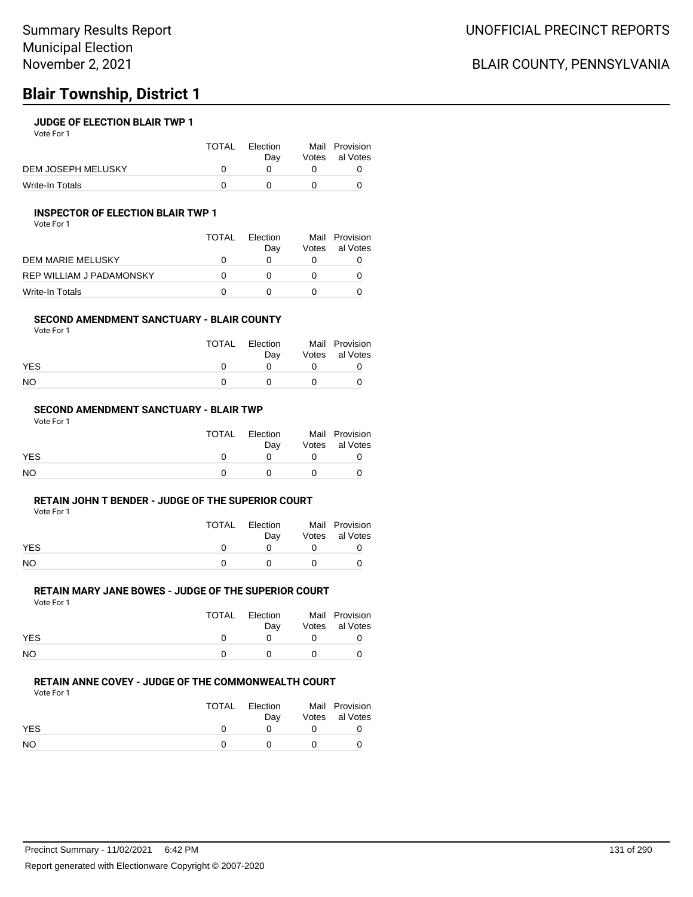# **Blair Township, District 1**

#### **JUDGE OF ELECTION BLAIR TWP 1**

Vote For 1

|                    | TOTAL | Flection<br>Dav | Mail Provision<br>Votes al Votes |
|--------------------|-------|-----------------|----------------------------------|
| DEM JOSEPH MELUSKY |       |                 |                                  |
| Write-In Totals    |       |                 |                                  |

#### **INSPECTOR OF ELECTION BLAIR TWP 1**

Vote For 1

|                          | TOTAL | Election<br>Dav | Votes | Mail Provision<br>al Votes |
|--------------------------|-------|-----------------|-------|----------------------------|
| DEM MARIE MELUSKY        |       |                 |       |                            |
| REP WILLIAM J PADAMONSKY |       |                 |       |                            |
| Write-In Totals          |       |                 |       |                            |

#### **SECOND AMENDMENT SANCTUARY - BLAIR COUNTY**

Vote For 1

|            | TOTAL | Election<br>Dav | Mail Provision<br>Votes al Votes |
|------------|-------|-----------------|----------------------------------|
| <b>YES</b> |       |                 |                                  |
| NO         |       |                 |                                  |

#### **SECOND AMENDMENT SANCTUARY - BLAIR TWP**

Vote For 1

|            | TOTAL | Election<br>Dav | Mail Provision<br>Votes al Votes |
|------------|-------|-----------------|----------------------------------|
| <b>YES</b> |       |                 |                                  |
| <b>NO</b>  |       |                 |                                  |

#### **RETAIN JOHN T BENDER - JUDGE OF THE SUPERIOR COURT**

Vote For 1

|            | TOTAL | Election<br>Dav | Mail Provision<br>Votes al Votes |
|------------|-------|-----------------|----------------------------------|
| <b>YES</b> |       |                 |                                  |
| NO         |       |                 |                                  |

#### **RETAIN MARY JANE BOWES - JUDGE OF THE SUPERIOR COURT**

Vote For 1

|            | TOTAL Election        |              | Mail Provision |
|------------|-----------------------|--------------|----------------|
|            | Dav                   |              | Votes al Votes |
| <b>YES</b> | $\Omega$ and $\Omega$ | $\mathbf{U}$ |                |
| NO.        |                       | $\Omega$     |                |

#### **RETAIN ANNE COVEY - JUDGE OF THE COMMONWEALTH COURT**

Vote For 1

|            | <b>TOTAL</b> | Election | Mail Provision |
|------------|--------------|----------|----------------|
|            |              | Dav      | Votes al Votes |
| <b>YES</b> |              |          |                |
| <b>NO</b>  |              |          |                |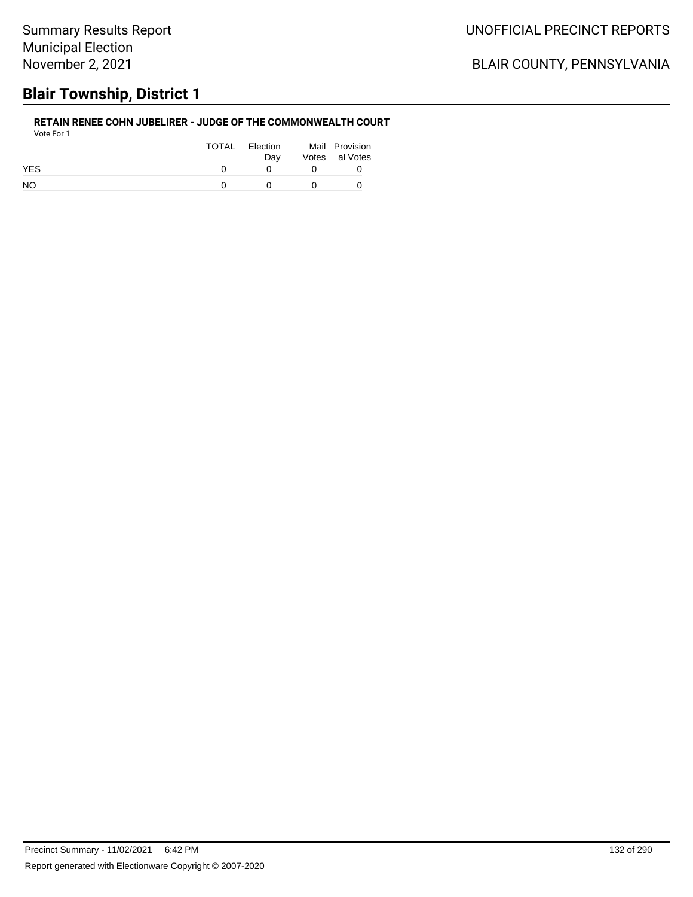# **Blair Township, District 1**

#### **RETAIN RENEE COHN JUBELIRER - JUDGE OF THE COMMONWEALTH COURT** Vote For 1

| 1 U U U    |       |                 |          |                                  |
|------------|-------|-----------------|----------|----------------------------------|
|            | TOTAL | Election<br>Dav |          | Mail Provision<br>Votes al Votes |
| <b>YES</b> |       |                 |          |                                  |
| <b>NO</b>  |       |                 | $\Omega$ |                                  |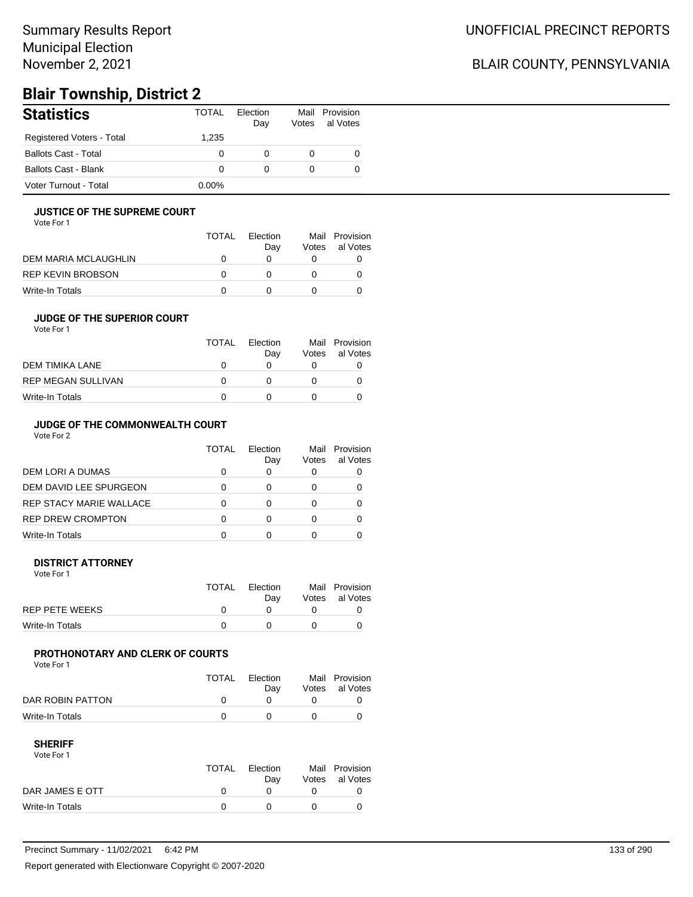## Summary Results Report Municipal Election November 2, 2021

# BLAIR COUNTY, PENNSYLVANIA

# **Blair Township, District 2**

| <b>Statistics</b>           | <b>TOTAL</b> | Election<br>Day | Votes | Mail Provision<br>al Votes |
|-----------------------------|--------------|-----------------|-------|----------------------------|
| Registered Voters - Total   | 1.235        |                 |       |                            |
| <b>Ballots Cast - Total</b> | 0            |                 |       | O                          |
| <b>Ballots Cast - Blank</b> | 0            |                 |       | O                          |
| Voter Turnout - Total       | $0.00\%$     |                 |       |                            |

#### **JUSTICE OF THE SUPREME COURT**

Vote For 1

|                      | <b>TOTAL</b> | Election<br>Dav | Votes | Mail Provision<br>al Votes |
|----------------------|--------------|-----------------|-------|----------------------------|
| DEM MARIA MCLAUGHLIN |              |                 |       |                            |
| REP KEVIN BROBSON    |              |                 |       |                            |
| Write-In Totals      |              |                 |       |                            |

#### **JUDGE OF THE SUPERIOR COURT**

| Vote For 1 |  |
|------------|--|
|            |  |

|                    | <b>TOTAL</b> | Election<br>Dav | Votes | Mail Provision<br>al Votes |
|--------------------|--------------|-----------------|-------|----------------------------|
| DEM TIMIKA LANE    | O            |                 |       |                            |
| REP MEGAN SULLIVAN | $\mathbf{U}$ |                 |       |                            |
| Write-In Totals    |              |                 |       |                            |
|                    |              |                 |       |                            |

### **JUDGE OF THE COMMONWEALTH COURT**

Vote For 2

|                                | TOTAL | Flection<br>Day | Votes | Mail Provision<br>al Votes |
|--------------------------------|-------|-----------------|-------|----------------------------|
| DEM LORI A DUMAS               |       |                 |       |                            |
| DEM DAVID LEE SPURGEON         |       |                 |       |                            |
| <b>REP STACY MARIE WALLACE</b> |       |                 |       |                            |
| <b>REP DREW CROMPTON</b>       |       |                 |       |                            |
| Write-In Totals                |       |                 |       |                            |

#### **DISTRICT ATTORNEY**

| Vote For 1      |       |                 |                                  |
|-----------------|-------|-----------------|----------------------------------|
|                 | TOTAL | Election<br>Dav | Mail Provision<br>Votes al Votes |
| REP PETE WEEKS  |       |                 |                                  |
| Write-In Totals |       |                 |                                  |

#### **PROTHONOTARY AND CLERK OF COURTS**

Vote For 1

|                  | <b>TOTAL</b> | Election<br>Dav | Mail Provision<br>Votes al Votes |
|------------------|--------------|-----------------|----------------------------------|
| DAR ROBIN PATTON |              |                 |                                  |
| Write-In Totals  |              |                 |                                  |

| Vote For 1      |       |          |                |
|-----------------|-------|----------|----------------|
|                 | TOTAL | Election | Mail Provision |
|                 |       | Dav      | Votes al Votes |
| DAR JAMES E OTT |       |          |                |
| Write-In Totals |       |          |                |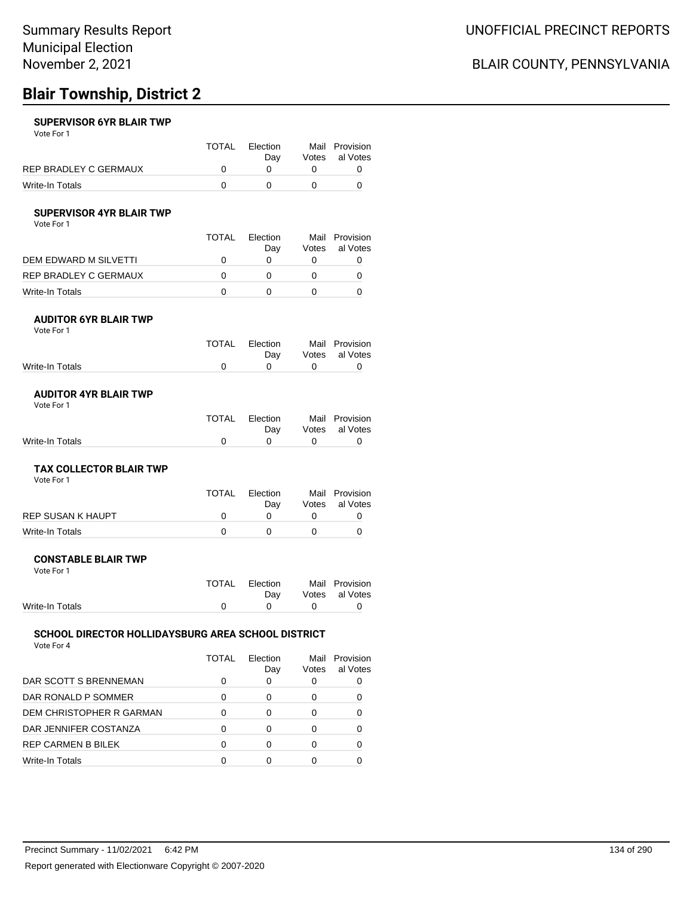# **Blair Township, District 2**

#### **SUPERVISOR 6YR BLAIR TWP**

Vote For 1

|                       | TOTAL | Election | Mail Provision |
|-----------------------|-------|----------|----------------|
|                       |       | Dav      | Votes al Votes |
| REP BRADLEY C GERMAUX |       |          |                |
| Write-In Totals       |       |          |                |

#### **SUPERVISOR 4YR BLAIR TWP**

Vote For 1

|                       | TOTAL | Election | Mail  | Provision |  |
|-----------------------|-------|----------|-------|-----------|--|
|                       |       | Dav      | Votes | al Votes  |  |
| DEM EDWARD M SILVETTI |       |          |       |           |  |
| REP BRADLEY C GERMAUX |       |          |       |           |  |
| Write-In Totals       |       |          |       |           |  |

#### **AUDITOR 6YR BLAIR TWP** Vote For 1

|                 | TOTAL Election<br>Dav |                   | Mail Provision<br>Votes al Votes |
|-----------------|-----------------------|-------------------|----------------------------------|
| Write-In Totals |                       | $\Omega$ $\Omega$ | - റ                              |
|                 |                       |                   |                                  |

#### **AUDITOR 4YR BLAIR TWP** Vote For 1

|                 | TOTAL Election |                                              | Mail Provision<br>Day Votes al Votes |
|-----------------|----------------|----------------------------------------------|--------------------------------------|
| Write-In Totals |                | $\begin{array}{ccc} & & & 0 & & \end{array}$ |                                      |

#### **TAX COLLECTOR BLAIR TWP**

| Vote For 1        |       |                 |                                  |
|-------------------|-------|-----------------|----------------------------------|
|                   | TOTAL | Election<br>Dav | Mail Provision<br>Votes al Votes |
| REP SUSAN K HAUPT |       |                 |                                  |
| Write-In Totals   |       |                 |                                  |

#### **CONSTABLE BLAIR TWP**

| Vote For 1      |       |              |           |                |
|-----------------|-------|--------------|-----------|----------------|
|                 | TOTAL | Election     |           | Mail Provision |
|                 |       | Dav          |           | Votes al Votes |
| Write-In Totals |       | $\mathbf{0}$ | $\bigcap$ |                |

### **SCHOOL DIRECTOR HOLLIDAYSBURG AREA SCHOOL DISTRICT**

Vote For 4

|                           | <b>TOTAL</b> | Flection<br>Day | Mail<br>Votes | Provision<br>al Votes |
|---------------------------|--------------|-----------------|---------------|-----------------------|
| DAR SCOTT S BRENNEMAN     |              | 0               |               |                       |
| DAR RONALD P SOMMER       |              | 0               | 0             |                       |
| DEM CHRISTOPHER R GARMAN  |              | 0               |               |                       |
| DAR JENNIFER COSTANZA     |              | 0               |               |                       |
| <b>REP CARMEN B BILEK</b> | <sup>0</sup> | ∩               | O             |                       |
| Write-In Totals           |              |                 |               |                       |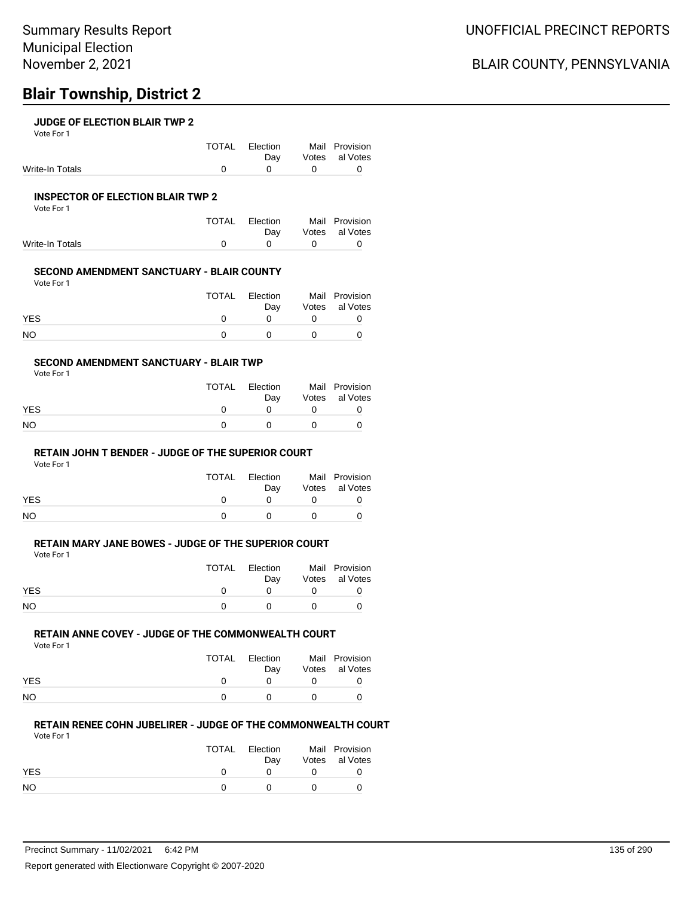# **Blair Township, District 2**

#### **JUDGE OF ELECTION BLAIR TWP 2**

Vote For 1

|                 | TOTAL Election                               | Mail Provision     |
|-----------------|----------------------------------------------|--------------------|
|                 |                                              | Day Votes al Votes |
| Write-In Totals | $\begin{array}{ccc}\n0 & 0 & 0\n\end{array}$ |                    |

#### **INSPECTOR OF ELECTION BLAIR TWP 2**

Vote For 1

|                 | TOTAL Election |                | Mail Provision |
|-----------------|----------------|----------------|----------------|
|                 | Dav            |                | Votes al Votes |
| Write-In Totals |                | $\overline{a}$ |                |

#### **SECOND AMENDMENT SANCTUARY - BLAIR COUNTY**

Vote For 1

|            | TOTAL | Election |     | Mail Provision |
|------------|-------|----------|-----|----------------|
|            |       | Dav      |     | Votes al Votes |
| <b>YES</b> |       |          |     |                |
| <b>NO</b>  |       |          | - 0 |                |

#### **SECOND AMENDMENT SANCTUARY - BLAIR TWP**

Vote For 1

|            | TOTAL | Election<br>Dav | Mail Provision<br>Votes al Votes |
|------------|-------|-----------------|----------------------------------|
| <b>YES</b> |       |                 |                                  |
| <b>NO</b>  |       | <sup>0</sup>    |                                  |

#### **RETAIN JOHN T BENDER - JUDGE OF THE SUPERIOR COURT**

Vote For 1

|            | TOTAL | Election | Mail Provision |
|------------|-------|----------|----------------|
|            |       | Dav      | Votes al Votes |
| <b>YES</b> |       |          |                |
| NO         |       |          |                |

### **RETAIN MARY JANE BOWES - JUDGE OF THE SUPERIOR COURT**

Vote For 1

|            | <b>TOTAL</b> | Election<br>Dav | Mail Provision<br>Votes al Votes |
|------------|--------------|-----------------|----------------------------------|
| <b>YES</b> |              |                 |                                  |
| NO.        |              |                 |                                  |

#### **RETAIN ANNE COVEY - JUDGE OF THE COMMONWEALTH COURT**

Vote For 1

|            | <b>TOTAL</b> | Election | Mail Provision |
|------------|--------------|----------|----------------|
|            |              | Dav      | Votes al Votes |
| <b>YES</b> |              |          |                |
| NO.        |              | n        |                |

### **RETAIN RENEE COHN JUBELIRER - JUDGE OF THE COMMONWEALTH COURT**

Vote For 1

|            | TOTAL Election<br>Dav | Mail Provision<br>Votes al Votes |
|------------|-----------------------|----------------------------------|
| <b>YES</b> |                       |                                  |
| NO.        |                       |                                  |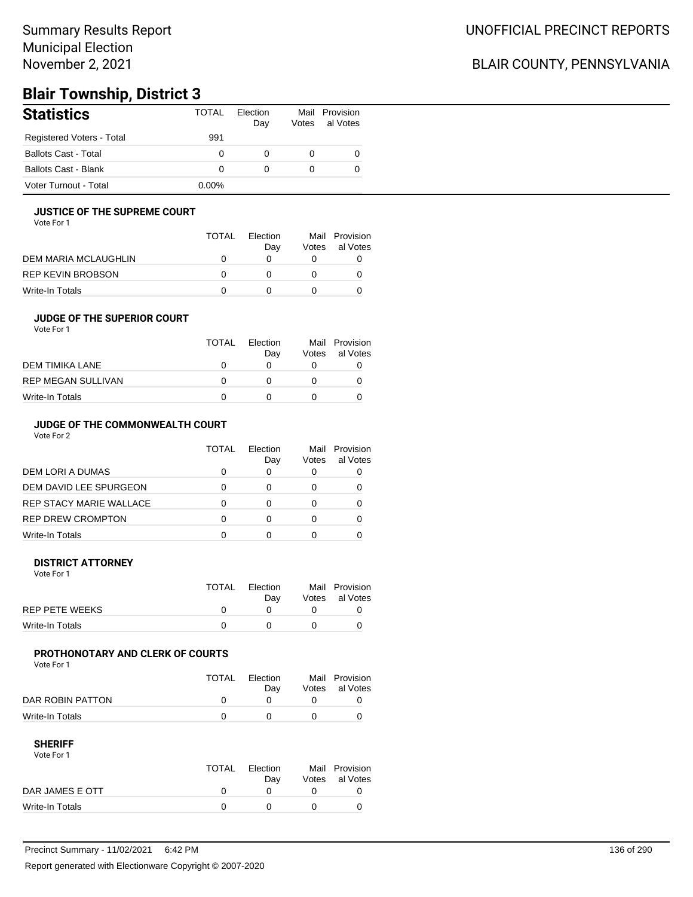## Summary Results Report Municipal Election November 2, 2021

# BLAIR COUNTY, PENNSYLVANIA

# **Blair Township, District 3**

| <b>Statistics</b>           | TOTAL    | Election<br>Day | Votes | Mail Provision<br>al Votes |
|-----------------------------|----------|-----------------|-------|----------------------------|
| Registered Voters - Total   | 991      |                 |       |                            |
| <b>Ballots Cast - Total</b> | 0        | 0               |       |                            |
| Ballots Cast - Blank        | 0        | 0               |       |                            |
| Voter Turnout - Total       | $0.00\%$ |                 |       |                            |

#### **JUSTICE OF THE SUPREME COURT**

Vote For 1

|                      | TOTAL | Election<br>Dav | Votes | Mail Provision<br>al Votes |
|----------------------|-------|-----------------|-------|----------------------------|
| DEM MARIA MCLAUGHLIN |       |                 |       |                            |
| REP KEVIN BROBSON    |       |                 |       |                            |
| Write-In Totals      |       |                 |       |                            |

#### **JUDGE OF THE SUPERIOR COURT**

| Vote For 1 |  |  |
|------------|--|--|
|            |  |  |

|                    | <b>TOTAL</b> | Election<br>Day | Votes | Mail Provision<br>al Votes |
|--------------------|--------------|-----------------|-------|----------------------------|
| DEM TIMIKA LANE    | $\mathbf{I}$ |                 |       |                            |
| REP MEGAN SULLIVAN | $\mathbf{U}$ |                 |       |                            |
| Write-In Totals    |              |                 |       |                            |
|                    |              |                 |       |                            |

### **JUDGE OF THE COMMONWEALTH COURT**

Vote For 2

|                                | TOTAL | Flection<br>Day | Votes | Mail Provision<br>al Votes |
|--------------------------------|-------|-----------------|-------|----------------------------|
| DEM LORI A DUMAS               |       |                 |       |                            |
| DEM DAVID LEE SPURGEON         |       |                 |       |                            |
| <b>REP STACY MARIE WALLACE</b> |       |                 |       |                            |
| <b>REP DREW CROMPTON</b>       |       |                 |       |                            |
| Write-In Totals                |       |                 |       |                            |

#### **DISTRICT ATTORNEY**

| Vote For 1      |       |                 |                                  |
|-----------------|-------|-----------------|----------------------------------|
|                 | TOTAL | Election<br>Dav | Mail Provision<br>Votes al Votes |
| REP PETE WEEKS  |       |                 |                                  |
| Write-In Totals |       |                 |                                  |

#### **PROTHONOTARY AND CLERK OF COURTS**

Vote For 1

|                  | TOTAL | Election<br>Dav | Mail Provision<br>Votes al Votes |
|------------------|-------|-----------------|----------------------------------|
| DAR ROBIN PATTON |       |                 |                                  |
| Write-In Totals  |       |                 |                                  |

| Vote For 1      |             |          |                |
|-----------------|-------------|----------|----------------|
|                 | TOTAL       | Flection | Mail Provision |
|                 |             | Dav      | Votes al Votes |
| DAR JAMES E OTT | $^{\prime}$ |          |                |
| Write-In Totals |             |          |                |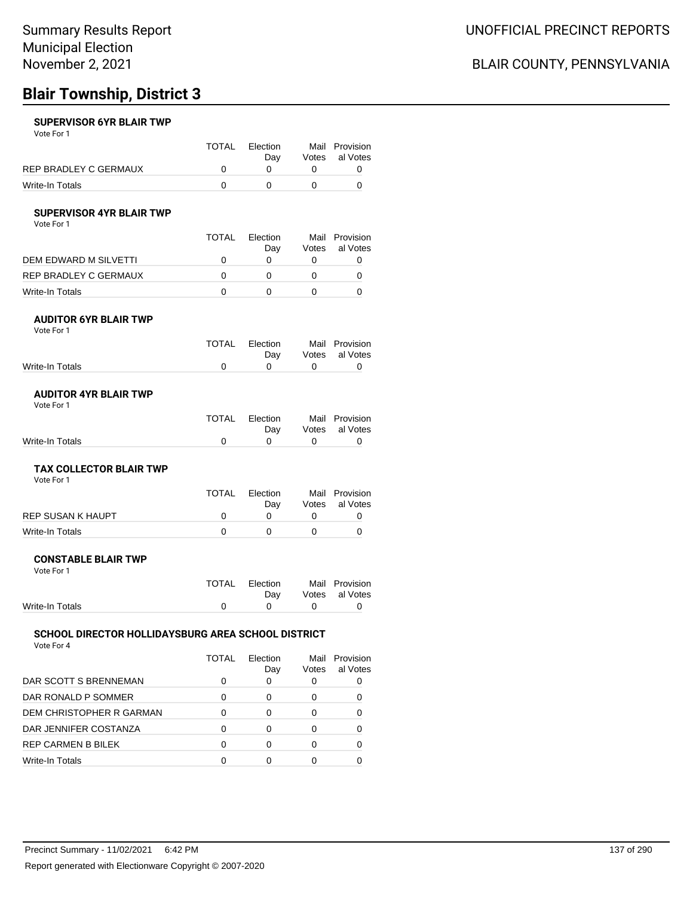# **Blair Township, District 3**

#### **SUPERVISOR 6YR BLAIR TWP**

Vote For 1

|                       | TOTAL | Election | Mail Provision |
|-----------------------|-------|----------|----------------|
|                       |       | Dav      | Votes al Votes |
| REP BRADLEY C GERMAUX |       |          |                |
| Write-In Totals       |       |          |                |

#### **SUPERVISOR 4YR BLAIR TWP**

Vote For 1

|                       | <b>TOTAL</b> | <b>Flection</b> |       | Mail Provision |  |
|-----------------------|--------------|-----------------|-------|----------------|--|
|                       |              | Dav             | Votes | al Votes       |  |
| DEM EDWARD M SILVETTI |              |                 |       |                |  |
| REP BRADLEY C GERMAUX |              |                 |       |                |  |
| Write-In Totals       |              |                 |       |                |  |

#### **AUDITOR 6YR BLAIR TWP** Vote For 1

|                 | TOTAL Election<br>Dav |                   | Mail Provision<br>Votes al Votes |
|-----------------|-----------------------|-------------------|----------------------------------|
| Write-In Totals |                       | $\Omega$ $\Omega$ | - റ                              |
|                 |                       |                   |                                  |

#### **AUDITOR 4YR BLAIR TWP** Vote For 1

|                 | TOTAL Election |                                              | Mail Provision<br>Day Votes al Votes |
|-----------------|----------------|----------------------------------------------|--------------------------------------|
| Write-In Totals |                | $\begin{array}{ccc} & & & 0 & & \end{array}$ |                                      |

#### **TAX COLLECTOR BLAIR TWP**

| Vote For 1        |       |                 |                                  |
|-------------------|-------|-----------------|----------------------------------|
|                   | TOTAL | Election<br>Dav | Mail Provision<br>Votes al Votes |
| REP SUSAN K HAUPT |       |                 |                                  |
| Write-In Totals   |       |                 |                                  |

#### **CONSTABLE BLAIR TWP**

| Vote For 1      |       |              |           |                |
|-----------------|-------|--------------|-----------|----------------|
|                 | TOTAL | Election     |           | Mail Provision |
|                 |       | Dav          |           | Votes al Votes |
| Write-In Totals |       | $\mathbf{0}$ | $\bigcap$ |                |

### **SCHOOL DIRECTOR HOLLIDAYSBURG AREA SCHOOL DISTRICT**

Vote For 4

|                          | TOTAL | Flection<br>Day | Mail<br>Votes | Provision<br>al Votes |
|--------------------------|-------|-----------------|---------------|-----------------------|
| DAR SCOTT S BRENNEMAN    |       |                 |               |                       |
| DAR RONALD P SOMMER      | O     | Ω               |               |                       |
| DEM CHRISTOPHER R GARMAN |       | O               |               |                       |
| DAR JENNIFER COSTANZA    | O     | ∩               |               |                       |
| REP CARMEN B BILEK       | ŋ     | ∩               |               |                       |
| Write-In Totals          |       |                 |               |                       |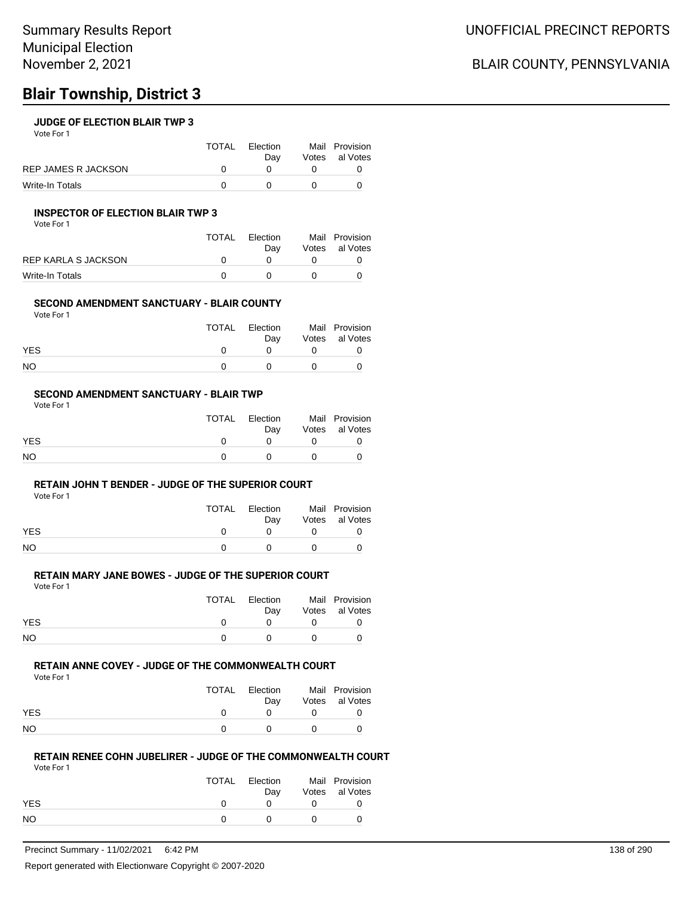# **Blair Township, District 3**

#### **JUDGE OF ELECTION BLAIR TWP 3**

Vote For 1

|                            | TOTAI | Election | Mail Provision |
|----------------------------|-------|----------|----------------|
|                            |       | Dav      | Votes al Votes |
| <b>REP JAMES R JACKSON</b> |       |          |                |
| Write-In Totals            |       |          |                |

#### **INSPECTOR OF ELECTION BLAIR TWP 3**

Vote For 1

|                     | <b>TOTAL</b> | Election<br>Dav | Mail Provision<br>Votes al Votes |
|---------------------|--------------|-----------------|----------------------------------|
| REP KARLA S JACKSON |              |                 |                                  |
| Write-In Totals     |              |                 |                                  |

#### **SECOND AMENDMENT SANCTUARY - BLAIR COUNTY**

Vote For 1

|            | TOTAL | Election<br>Dav |              | Mail Provision<br>Votes al Votes |
|------------|-------|-----------------|--------------|----------------------------------|
| <b>YES</b> |       |                 |              |                                  |
| <b>NO</b>  |       |                 | $\mathbf{U}$ |                                  |

#### **SECOND AMENDMENT SANCTUARY - BLAIR TWP**

Vote For 1

|            | TOTAL | Election<br>Dav | Mail Provision<br>Votes al Votes |
|------------|-------|-----------------|----------------------------------|
| <b>YES</b> |       |                 |                                  |
| <b>NO</b>  |       |                 |                                  |

#### **RETAIN JOHN T BENDER - JUDGE OF THE SUPERIOR COURT**

Vote For 1

|            | TOTAL | Election | Mail Provision |
|------------|-------|----------|----------------|
|            |       | Dav      | Votes al Votes |
| <b>YES</b> |       |          |                |
| <b>NO</b>  |       |          |                |

# **RETAIN MARY JANE BOWES - JUDGE OF THE SUPERIOR COURT**

Vote For 1

|            | TOTAL | Election<br>Dav | Mail Provision<br>Votes al Votes |
|------------|-------|-----------------|----------------------------------|
| <b>YES</b> |       |                 |                                  |
| NO         |       |                 |                                  |

### **RETAIN ANNE COVEY - JUDGE OF THE COMMONWEALTH COURT**

Vote For 1

|            | TOTAL | Election<br>Dav | Mail Provision<br>Votes al Votes |
|------------|-------|-----------------|----------------------------------|
| <b>YES</b> |       |                 |                                  |
| <b>NO</b>  |       |                 |                                  |

### **RETAIN RENEE COHN JUBELIRER - JUDGE OF THE COMMONWEALTH COURT**

Vote For 1

|            | <b>TOTAL</b> | Election<br>Dav | Mail Provision<br>Votes al Votes |
|------------|--------------|-----------------|----------------------------------|
| <b>YES</b> |              |                 |                                  |
| <b>NO</b>  |              | n               |                                  |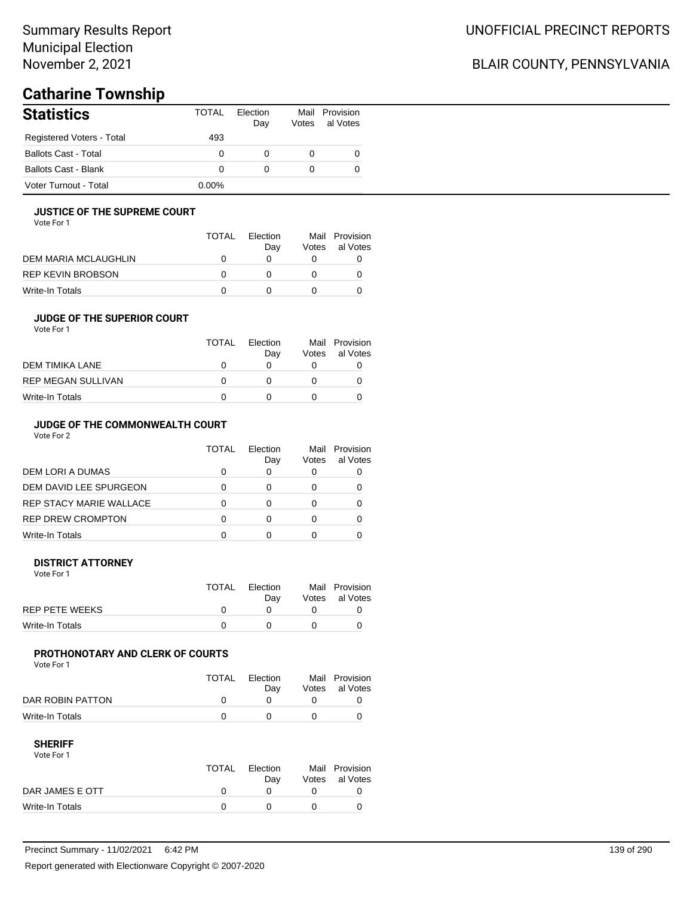# **Catharine Township**

| <b>Statistics</b>           | TOTAL    | Flection<br>Day | Votes | Mail Provision<br>al Votes |
|-----------------------------|----------|-----------------|-------|----------------------------|
| Registered Voters - Total   | 493      |                 |       |                            |
| <b>Ballots Cast - Total</b> | $\Omega$ | O               |       |                            |
| <b>Ballots Cast - Blank</b> | 0        | 0               |       |                            |
| Voter Turnout - Total       | $0.00\%$ |                 |       |                            |

#### **JUSTICE OF THE SUPREME COURT**

Vote For 1

|                      | TOTAL | Election<br>Dav | Mail<br>Votes | Provision<br>al Votes |
|----------------------|-------|-----------------|---------------|-----------------------|
| DEM MARIA MCLAUGHLIN |       |                 |               |                       |
| REP KEVIN BROBSON    |       |                 |               |                       |
| Write-In Totals      |       |                 |               |                       |

#### **JUDGE OF THE SUPERIOR COURT**

| Vote For 1 |  |  |
|------------|--|--|
|            |  |  |

|                           | <b>TOTAL</b> | Election<br>Day | Votes | Mail Provision<br>al Votes |
|---------------------------|--------------|-----------------|-------|----------------------------|
| DEM TIMIKA LANE           |              |                 |       |                            |
| <b>REP MEGAN SULLIVAN</b> |              |                 |       |                            |
| Write-In Totals           |              |                 |       |                            |
|                           |              |                 |       |                            |

### **JUDGE OF THE COMMONWEALTH COURT**

Vote For 2

|                                | TOTAL | Flection<br>Day | Votes | Mail Provision<br>al Votes |
|--------------------------------|-------|-----------------|-------|----------------------------|
| DEM LORI A DUMAS               |       |                 |       |                            |
| DEM DAVID LEE SPURGEON         |       |                 |       |                            |
| <b>REP STACY MARIE WALLACE</b> |       |                 |       |                            |
| <b>REP DREW CROMPTON</b>       |       |                 |       |                            |
| Write-In Totals                |       |                 |       |                            |

#### **DISTRICT ATTORNEY**

| Vote For 1            |              |                 |                                  |
|-----------------------|--------------|-----------------|----------------------------------|
|                       | <b>TOTAL</b> | Election<br>Dav | Mail Provision<br>Votes al Votes |
| <b>REP PETE WEEKS</b> |              |                 |                                  |
| Write-In Totals       |              |                 |                                  |

#### **PROTHONOTARY AND CLERK OF COURTS**

Vote For 1

|                  | <b>TOTAL</b> | Election<br>Dav | Mail Provision<br>Votes al Votes |
|------------------|--------------|-----------------|----------------------------------|
| DAR ROBIN PATTON |              |                 |                                  |
| Write-In Totals  |              |                 |                                  |

| Vote For 1      |       |          |                |
|-----------------|-------|----------|----------------|
|                 | TOTAL | Flection | Mail Provision |
|                 |       | Dav      | Votes al Votes |
| DAR JAMES E OTT |       |          |                |
| Write-In Totals |       |          |                |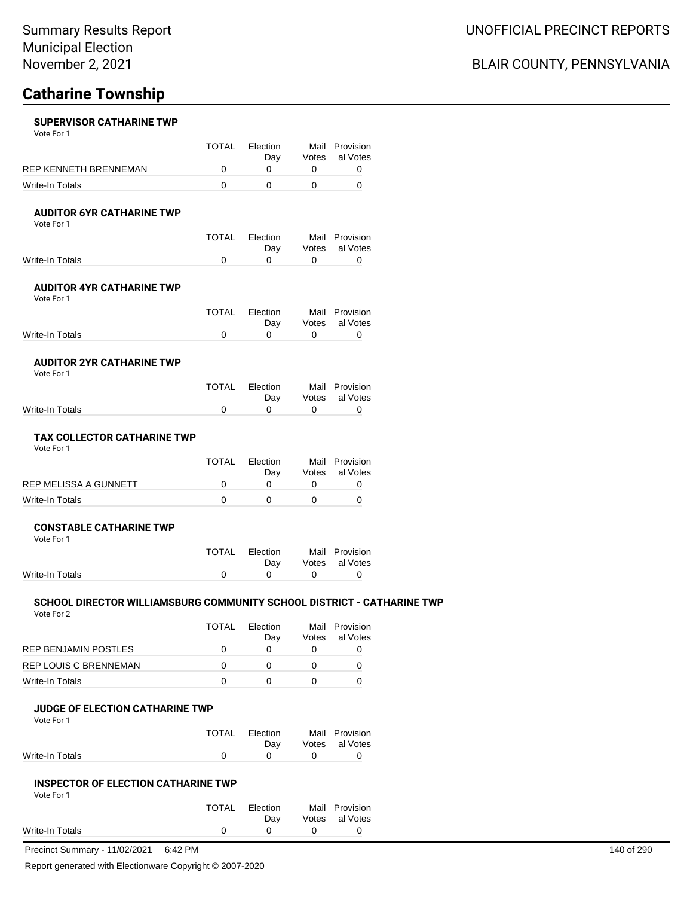# **Catharine Township**

#### **SUPERVISOR CATHARINE TWP**

Vote For 1

|                       | TOTAI | <b>Flection</b> | Mail Provision |
|-----------------------|-------|-----------------|----------------|
|                       |       | Dav             | Votes al Votes |
| REP KENNETH BRENNEMAN |       |                 |                |
| Write-In Totals       |       |                 |                |

#### **AUDITOR 6YR CATHARINE TWP**

Vote For 1

|                 | TOTAL Election |       | Mail Provision |
|-----------------|----------------|-------|----------------|
|                 | Dav            |       | Votes al Votes |
| Write-In Totals |                | - ( ) |                |

#### **AUDITOR 4YR CATHARINE TWP**

Vote For 1

|                 | TOTAL Election | Mail Provision     |
|-----------------|----------------|--------------------|
|                 |                | Day Votes al Votes |
| Write-In Totals |                |                    |

#### **AUDITOR 2YR CATHARINE TWP**

Vote For 1

|                 | TOTAL Election | Mail Provision |
|-----------------|----------------|----------------|
|                 | Dav            | Votes al Votes |
| Write-In Totals |                |                |

#### **TAX COLLECTOR CATHARINE TWP**

Vote For 1

|                       | TOTAL | Election<br>Dav | Mail Provision<br>Votes al Votes |
|-----------------------|-------|-----------------|----------------------------------|
| REP MELISSA A GUNNETT |       |                 |                                  |
| Write-In Totals       |       |                 |                                  |

#### **CONSTABLE CATHARINE TWP** Vote For 1

|                 | <b>TOTAL</b> | Election<br>Dav |        | Mail Provision<br>Votes al Votes |
|-----------------|--------------|-----------------|--------|----------------------------------|
| Write-In Totals |              | $\mathbf{u}$    | $\cap$ |                                  |

#### **SCHOOL DIRECTOR WILLIAMSBURG COMMUNITY SCHOOL DISTRICT - CATHARINE TWP**  $\overline{2}$

|                       | <b>TOTAL</b> | <b>Flection</b><br>Dav | Mail Provision<br>Votes al Votes |
|-----------------------|--------------|------------------------|----------------------------------|
| REP BENJAMIN POSTLES  |              |                        |                                  |
| REP LOUIS C BRENNEMAN |              |                        |                                  |
| Write-In Totals       |              |                        |                                  |

#### **JUDGE OF ELECTION CATHARINE TWP**

Vote For 1

|                 | TOTAL Election | Mail Provision |
|-----------------|----------------|----------------|
|                 | Dav            | Votes al Votes |
| Write-In Totals |                |                |

#### **INSPECTOR OF ELECTION CATHARINE TWP**

Vote For 1

|                 | TOTAL | Election<br>Dav |              | Mail Provision<br>Votes al Votes |
|-----------------|-------|-----------------|--------------|----------------------------------|
| Write-In Totals |       |                 | <sup>n</sup> |                                  |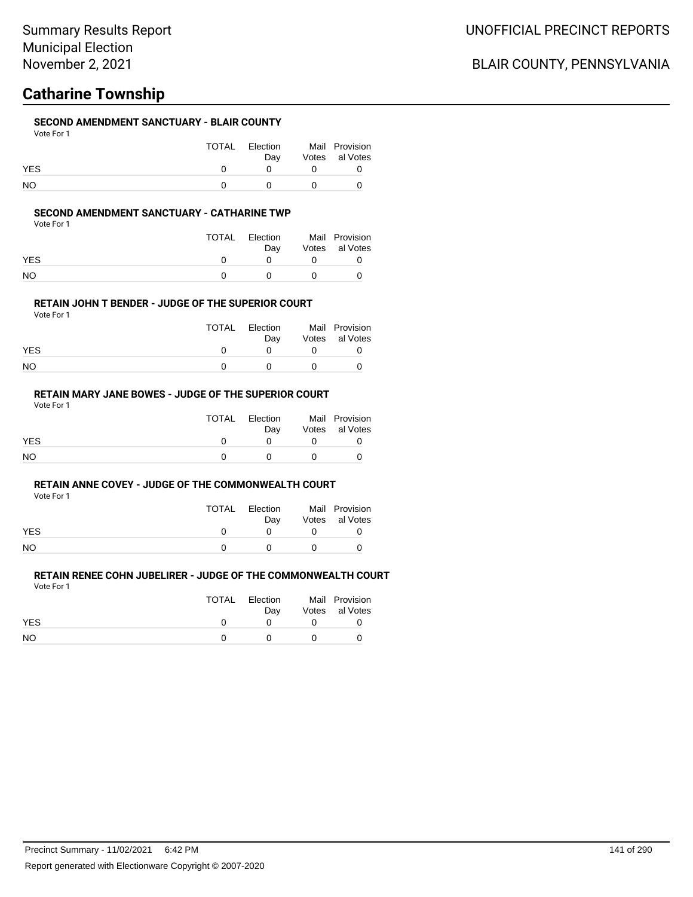# **Catharine Township**

### **SECOND AMENDMENT SANCTUARY - BLAIR COUNTY**

Vote For 1

|            | TOTAL | Election<br>Dav | Mail Provision<br>Votes al Votes |
|------------|-------|-----------------|----------------------------------|
| <b>YES</b> |       |                 |                                  |
| NO         |       |                 |                                  |

### **SECOND AMENDMENT SANCTUARY - CATHARINE TWP**

Vote For 1

|            | TOTAL | Election<br>Dav | Mail Provision<br>Votes al Votes |
|------------|-------|-----------------|----------------------------------|
| <b>YES</b> |       |                 |                                  |
| NO         |       |                 |                                  |

#### **RETAIN JOHN T BENDER - JUDGE OF THE SUPERIOR COURT**

Vote For 1

|            | TOTAL | Election<br>Dav | Mail Provision<br>Votes al Votes |
|------------|-------|-----------------|----------------------------------|
| <b>YES</b> |       |                 |                                  |
| <b>NO</b>  |       |                 |                                  |

### **RETAIN MARY JANE BOWES - JUDGE OF THE SUPERIOR COURT**

Vote For 1

|            | TOTAL | Election<br>Dav | Mail Provision<br>Votes al Votes |
|------------|-------|-----------------|----------------------------------|
| <b>YES</b> |       |                 |                                  |
| <b>NO</b>  |       |                 |                                  |

#### **RETAIN ANNE COVEY - JUDGE OF THE COMMONWEALTH COURT**

Vote For 1

|            | TOTAL | Election | Mail Provision |
|------------|-------|----------|----------------|
|            |       | Dav      | Votes al Votes |
| <b>YES</b> |       |          |                |
| <b>NO</b>  |       |          |                |

#### **RETAIN RENEE COHN JUBELIRER - JUDGE OF THE COMMONWEALTH COURT** Vote For 1

|            | TOTAL Election<br>Dav | Mail Provision<br>Votes al Votes |
|------------|-----------------------|----------------------------------|
| <b>YES</b> |                       |                                  |
| NO.        |                       |                                  |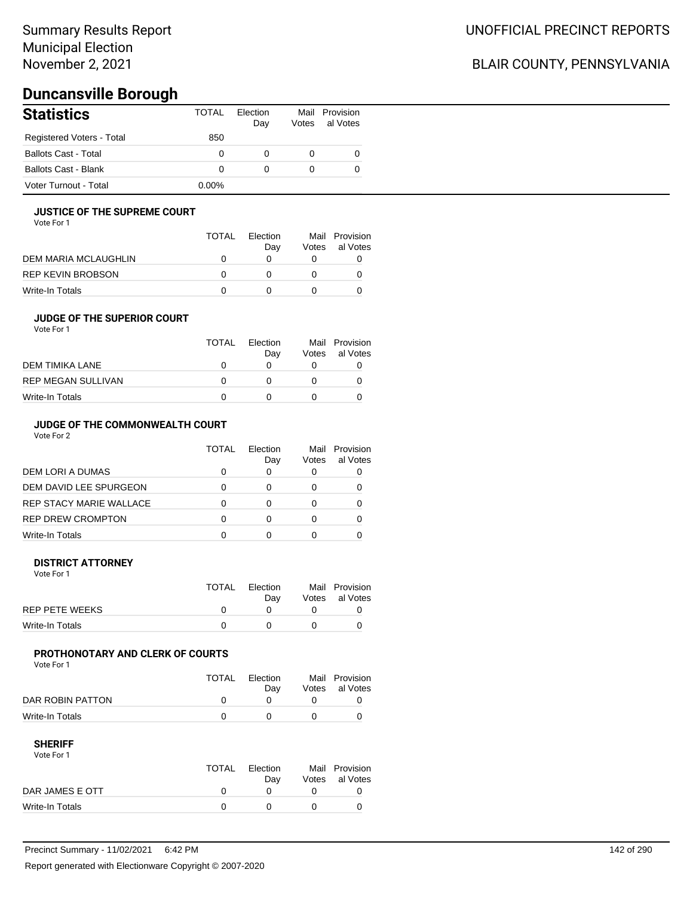## Summary Results Report Municipal Election November 2, 2021

# BLAIR COUNTY, PENNSYLVANIA

# **Duncansville Borough**

| <b>Statistics</b>           | TOTAL    | <b>Flection</b><br>Day | Votes | Mail Provision<br>al Votes |
|-----------------------------|----------|------------------------|-------|----------------------------|
| Registered Voters - Total   | 850      |                        |       |                            |
| <b>Ballots Cast - Total</b> | 0        | $\Omega$               |       |                            |
| <b>Ballots Cast - Blank</b> | 0        | O                      |       |                            |
| Voter Turnout - Total       | $0.00\%$ |                        |       |                            |

#### **JUSTICE OF THE SUPREME COURT**

Vote For 1

|                      | <b>TOTAL</b> | Flection<br>Dav | Votes | Mail Provision<br>al Votes |
|----------------------|--------------|-----------------|-------|----------------------------|
| DEM MARIA MCLAUGHLIN |              |                 |       |                            |
| REP KEVIN BROBSON    | $\mathbf{I}$ |                 |       |                            |
| Write-In Totals      |              |                 |       |                            |

#### **JUDGE OF THE SUPERIOR COURT**

| Vote For 1 |  |  |
|------------|--|--|
|            |  |  |

|                           | <b>TOTAL</b> | Election<br>Dav | Votes | Mail Provision<br>al Votes |
|---------------------------|--------------|-----------------|-------|----------------------------|
| DEM TIMIKA LANE           | 0            |                 |       |                            |
| <b>REP MEGAN SULLIVAN</b> | O            |                 |       |                            |
| Write-In Totals           | $\mathbf{I}$ |                 |       |                            |
|                           |              |                 |       |                            |

### **JUDGE OF THE COMMONWEALTH COURT**

Vote For 2

|                                | TOTAL | Flection<br>Day | Votes | Mail Provision<br>al Votes |
|--------------------------------|-------|-----------------|-------|----------------------------|
| DEM LORI A DUMAS               |       |                 |       |                            |
| DEM DAVID LEE SPURGEON         |       |                 |       |                            |
| <b>REP STACY MARIE WALLACE</b> |       |                 |       |                            |
| <b>REP DREW CROMPTON</b>       |       |                 |       |                            |
| Write-In Totals                |       |                 |       |                            |

#### **DISTRICT ATTORNEY**

| Vote For 1            |       |                 |                                  |
|-----------------------|-------|-----------------|----------------------------------|
|                       | TOTAL | Election<br>Dav | Mail Provision<br>Votes al Votes |
| <b>REP PETE WEEKS</b> |       |                 |                                  |
| Write-In Totals       |       |                 |                                  |

#### **PROTHONOTARY AND CLERK OF COURTS**

Vote For 1

|                  | <b>TOTAL</b> | Election<br>Dav | Mail Provision<br>Votes al Votes |
|------------------|--------------|-----------------|----------------------------------|
| DAR ROBIN PATTON |              |                 |                                  |
| Write-In Totals  |              |                 |                                  |

| Vote For 1      |              |          |                |
|-----------------|--------------|----------|----------------|
|                 | TOTAL        | Flection | Mail Provision |
|                 |              | Dav      | Votes al Votes |
| DAR JAMES E OTT | <sup>n</sup> |          |                |
| Write-In Totals |              |          |                |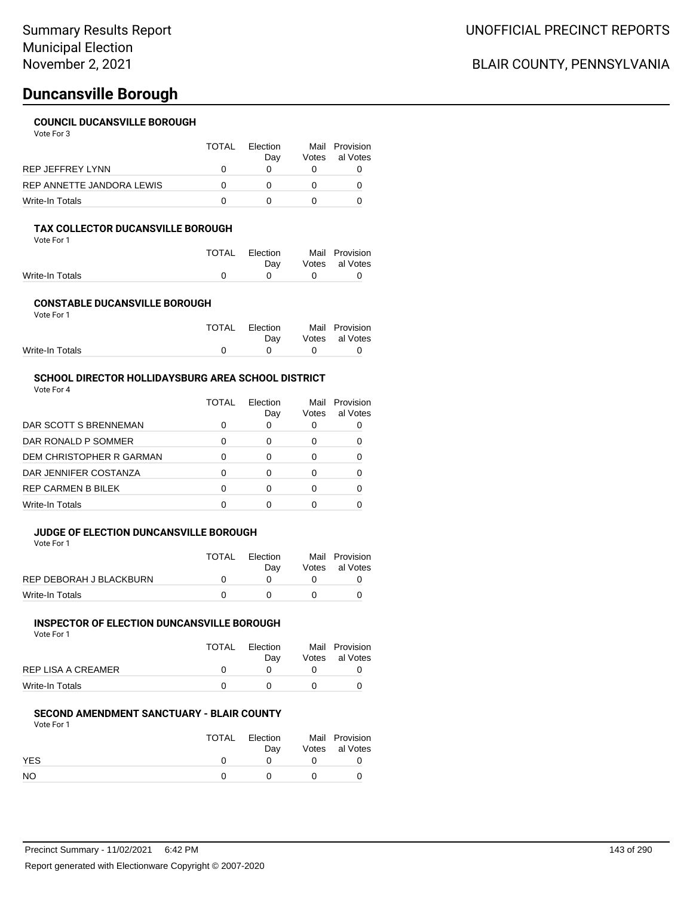# **Duncansville Borough**

#### **COUNCIL DUCANSVILLE BOROUGH**

Vote For 3

|                           | <b>TOTAL</b> | <b>Flection</b><br>Dav | Votes | Mail Provision<br>al Votes |
|---------------------------|--------------|------------------------|-------|----------------------------|
| REP JEFFREY LYNN          |              |                        |       |                            |
| REP ANNETTE JANDORA LEWIS |              |                        |       |                            |
| Write-In Totals           |              |                        |       |                            |

#### **TAX COLLECTOR DUCANSVILLE BOROUGH**

Vote For 1

|                 | TOTAL Election | Mail Provision |
|-----------------|----------------|----------------|
|                 | Dav            | Votes al Votes |
| Write-In Totals |                |                |
|                 |                |                |

#### **CONSTABLE DUCANSVILLE BOROUGH** Vote For 1

|                 | TOTAL Election<br>Dav        | Mail Provision<br>Votes al Votes |
|-----------------|------------------------------|----------------------------------|
| Write-In Totals | $\mathbf{u}$ of $\mathbf{u}$ |                                  |

### **SCHOOL DIRECTOR HOLLIDAYSBURG AREA SCHOOL DISTRICT**

Vote For 4

|                           | TOTAL | Flection<br>Day | Mail<br>Votes | Provision<br>al Votes |
|---------------------------|-------|-----------------|---------------|-----------------------|
| DAR SCOTT S BRENNEMAN     | O     |                 |               |                       |
| DAR RONALD P SOMMER       |       | 0               | 0             |                       |
| DEM CHRISTOPHER R GARMAN  |       | 0               |               |                       |
| DAR JENNIFER COSTANZA     | ∩     | ∩               |               |                       |
| <b>REP CARMEN B BILEK</b> | ∩     | ∩               | 0             |                       |
| Write-In Totals           |       |                 |               |                       |

#### **JUDGE OF ELECTION DUNCANSVILLE BOROUGH**

Vote For 1

|                         | <b>TOTAL</b> | Flection | Mail Provision |
|-------------------------|--------------|----------|----------------|
|                         |              | Dav      | Votes al Votes |
| REP DEBORAH J BLACKBURN |              |          |                |
| Write-In Totals         |              |          |                |

### **INSPECTOR OF ELECTION DUNCANSVILLE BOROUGH**

| Vote For 1                |          |                 |                                  |
|---------------------------|----------|-----------------|----------------------------------|
|                           | TOTAL    | Flection<br>Dav | Mail Provision<br>Votes al Votes |
| <b>REP LISA A CREAMER</b> | $\Omega$ |                 |                                  |
| Write-In Totals           |          |                 |                                  |

### **SECOND AMENDMENT SANCTUARY - BLAIR COUNTY**

Vote For 1

|            | TOTAL | Election<br>Dav | Mail Provision<br>Votes al Votes |
|------------|-------|-----------------|----------------------------------|
| <b>YES</b> |       |                 |                                  |
| NO.        |       |                 |                                  |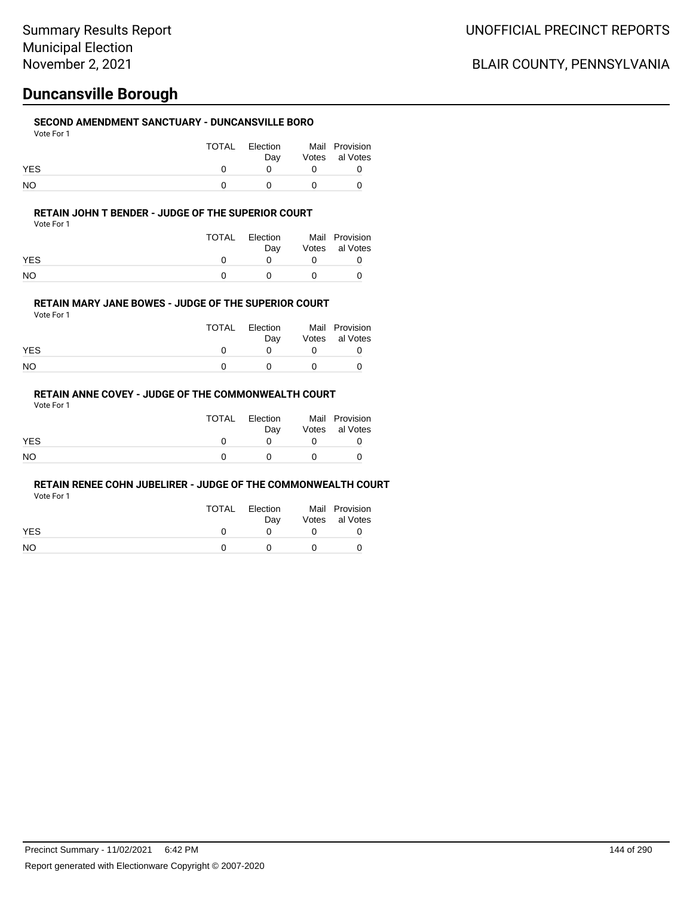### UNOFFICIAL PRECINCT REPORTS

## BLAIR COUNTY, PENNSYLVANIA

# **Duncansville Borough**

### **SECOND AMENDMENT SANCTUARY - DUNCANSVILLE BORO**

| Vote For 1 |              |                 |                                  |
|------------|--------------|-----------------|----------------------------------|
|            | TOTAL        | Election<br>Dav | Mail Provision<br>Votes al Votes |
| <b>YES</b> | <sup>0</sup> |                 |                                  |
| NO         |              |                 |                                  |

#### **RETAIN JOHN T BENDER - JUDGE OF THE SUPERIOR COURT**

Vote For 1

|            | TOTAL | Election<br>Dav | Mail Provision<br>Votes al Votes |
|------------|-------|-----------------|----------------------------------|
| <b>YES</b> |       |                 |                                  |
| NΟ         |       |                 |                                  |

#### **RETAIN MARY JANE BOWES - JUDGE OF THE SUPERIOR COURT**

Vote For 1

|            | TOTAL | Election<br>Dav |          | Mail Provision<br>Votes al Votes |
|------------|-------|-----------------|----------|----------------------------------|
| <b>YES</b> |       |                 |          |                                  |
| NO.        |       |                 | $\theta$ |                                  |

### **RETAIN ANNE COVEY - JUDGE OF THE COMMONWEALTH COURT**

Vote For 1

|            | TOTAL | Election<br>Dav |              | Mail Provision<br>Votes al Votes |
|------------|-------|-----------------|--------------|----------------------------------|
| <b>YES</b> |       | $^{\prime}$     | $\mathbf{u}$ |                                  |
| NO         |       | $^{\circ}$      |              |                                  |

#### **RETAIN RENEE COHN JUBELIRER - JUDGE OF THE COMMONWEALTH COURT**

Vote For 1

|            | <b>TOTAL</b> | Election | Mail Provision |
|------------|--------------|----------|----------------|
|            |              | Dav      | Votes al Votes |
| <b>YES</b> |              |          |                |
| <b>NO</b>  |              |          |                |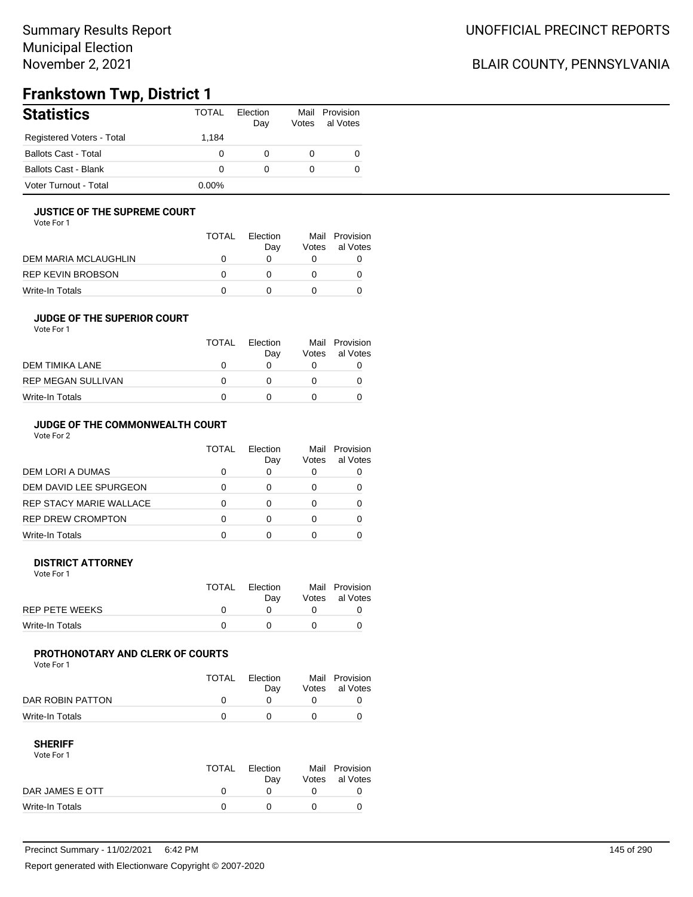### BLAIR COUNTY, PENNSYLVANIA

## **Frankstown Twp, District 1**

| <b>Statistics</b>           | <b>TOTAL</b> | Election<br>Day | Votes | Mail Provision<br>al Votes |
|-----------------------------|--------------|-----------------|-------|----------------------------|
| Registered Voters - Total   | 1.184        |                 |       |                            |
| <b>Ballots Cast - Total</b> | 0            | 0               |       | 0                          |
| Ballots Cast - Blank        | 0            | 0               |       | 0                          |
| Voter Turnout - Total       | $0.00\%$     |                 |       |                            |

#### **JUSTICE OF THE SUPREME COURT**

Vote For 1

|                      | <b>TOTAL</b> | Flection<br>Dav | Votes | Mail Provision<br>al Votes |
|----------------------|--------------|-----------------|-------|----------------------------|
| DEM MARIA MCLAUGHLIN |              |                 |       |                            |
| REP KEVIN BROBSON    | $\mathbf{I}$ |                 |       |                            |
| Write-In Totals      |              |                 |       |                            |

### **JUDGE OF THE SUPERIOR COURT**

| Vote For 1 |  |  |
|------------|--|--|
|            |  |  |

|                           | <b>TOTAL</b> | Election |       | Mail Provision |
|---------------------------|--------------|----------|-------|----------------|
|                           |              | Dav      | Votes | al Votes       |
| DEM TIMIKA LANE           | O            |          |       |                |
| <b>REP MEGAN SULLIVAN</b> | $^{\prime}$  |          |       |                |
| Write-In Totals           |              |          |       |                |
|                           |              |          |       |                |

### **JUDGE OF THE COMMONWEALTH COURT**

Vote For 2

|                                | TOTAL | Flection<br>Day | Votes | Mail Provision<br>al Votes |
|--------------------------------|-------|-----------------|-------|----------------------------|
| DEM LORI A DUMAS               |       |                 |       |                            |
| DEM DAVID LEE SPURGEON         |       |                 |       |                            |
| <b>REP STACY MARIE WALLACE</b> |       |                 |       |                            |
| <b>REP DREW CROMPTON</b>       |       |                 |       |                            |
| Write-In Totals                |       |                 |       |                            |

#### **DISTRICT ATTORNEY**

| Vote For 1      |       |                 |                                  |
|-----------------|-------|-----------------|----------------------------------|
|                 | TOTAL | Election<br>Dav | Mail Provision<br>Votes al Votes |
| REP PETE WEEKS  |       |                 |                                  |
| Write-In Totals |       |                 |                                  |

### **PROTHONOTARY AND CLERK OF COURTS**

Vote For 1

|                  | TOTAL | Election<br>Dav | Mail Provision<br>Votes al Votes |
|------------------|-------|-----------------|----------------------------------|
| DAR ROBIN PATTON |       |                 |                                  |
| Write-In Totals  |       |                 |                                  |

| Vote For 1      |              |          |                |
|-----------------|--------------|----------|----------------|
|                 | TOTAL        | Flection | Mail Provision |
|                 |              | Dav      | Votes al Votes |
| DAR JAMES E OTT | <sup>n</sup> |          |                |
| Write-In Totals |              |          |                |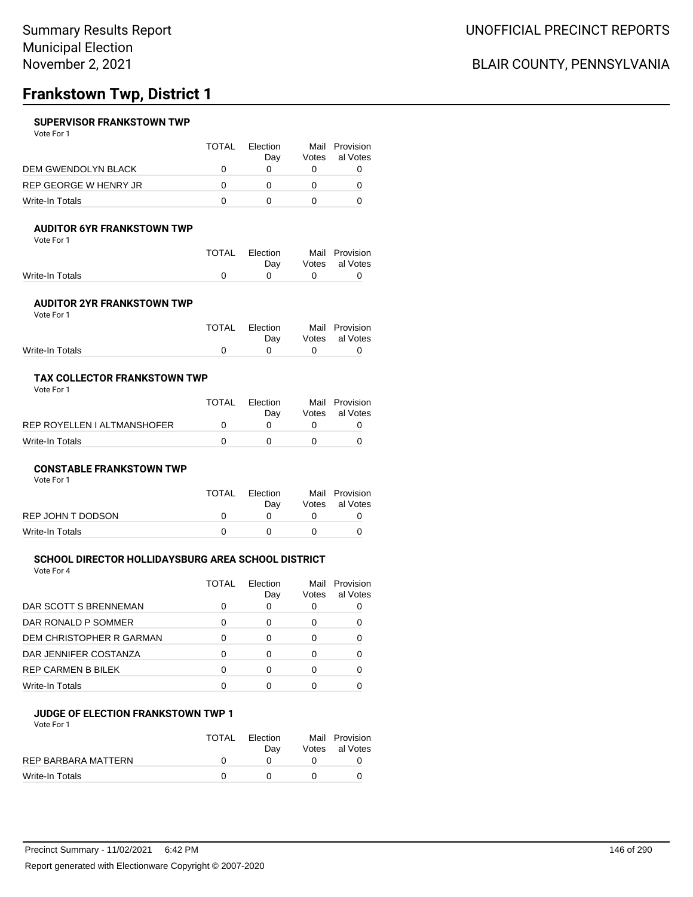## **Frankstown Twp, District 1**

#### **SUPERVISOR FRANKSTOWN TWP**

Vote For 1

|                            | TOTAL | Election<br>Dav | Mail<br>Votes | Provision<br>al Votes |
|----------------------------|-------|-----------------|---------------|-----------------------|
| <b>DEM GWENDOLYN BLACK</b> |       |                 |               |                       |
| REP GEORGE W HENRY JR      |       |                 |               |                       |
| Write-In Totals            |       |                 |               |                       |

### **AUDITOR 6YR FRANKSTOWN TWP**

Vote For 1

|                 | TOTAL Election | Mail Provision |
|-----------------|----------------|----------------|
|                 | Dav            | Votes al Votes |
| Write-In Totals |                |                |
|                 |                |                |

#### **AUDITOR 2YR FRANKSTOWN TWP** Vote For 1

|                 | TOTAL Election<br>Dav |                               | Mail Provision<br>Votes al Votes |
|-----------------|-----------------------|-------------------------------|----------------------------------|
| Write-In Totals |                       | $\mathbf{a}$ and $\mathbf{a}$ |                                  |
|                 |                       |                               |                                  |

#### **TAX COLLECTOR FRANKSTOWN TWP** Vote For 1

|                             | TOTAL | <b>Flection</b><br>Dav | Mail Provision<br>Votes al Votes |
|-----------------------------|-------|------------------------|----------------------------------|
| REP ROYELLEN I ALTMANSHOFER |       |                        |                                  |
| Write-In Totals             |       |                        |                                  |

#### **CONSTABLE FRANKSTOWN TWP**

| Vote For 1        |              |                 |                                  |
|-------------------|--------------|-----------------|----------------------------------|
|                   | <b>TOTAL</b> | Election<br>Dav | Mail Provision<br>Votes al Votes |
| REP JOHN T DODSON | O            |                 |                                  |
| Write-In Totals   |              |                 |                                  |

#### **SCHOOL DIRECTOR HOLLIDAYSBURG AREA SCHOOL DISTRICT**

Vote For 4

|                           | TOTAL | Election<br>Day | Mail<br>Votes | Provision<br>al Votes |
|---------------------------|-------|-----------------|---------------|-----------------------|
| DAR SCOTT S BRENNEMAN     |       | O               |               |                       |
| DAR RONALD P SOMMER       | O     | 0               | Ω             |                       |
| DEM CHRISTOPHER R GARMAN  |       | ∩               |               |                       |
| DAR JENNIFER COSTANZA     |       | ∩               |               |                       |
| <b>REP CARMEN B BILEK</b> |       | 0               |               |                       |
| Write-In Totals           |       |                 |               |                       |

#### **JUDGE OF ELECTION FRANKSTOWN TWP 1** Vote For 1

|                            | <b>TOTAL</b> | Election<br>Dav | Mail Provision<br>Votes al Votes |
|----------------------------|--------------|-----------------|----------------------------------|
| <b>REP BARBARA MATTERN</b> |              |                 |                                  |
| Write-In Totals            |              |                 |                                  |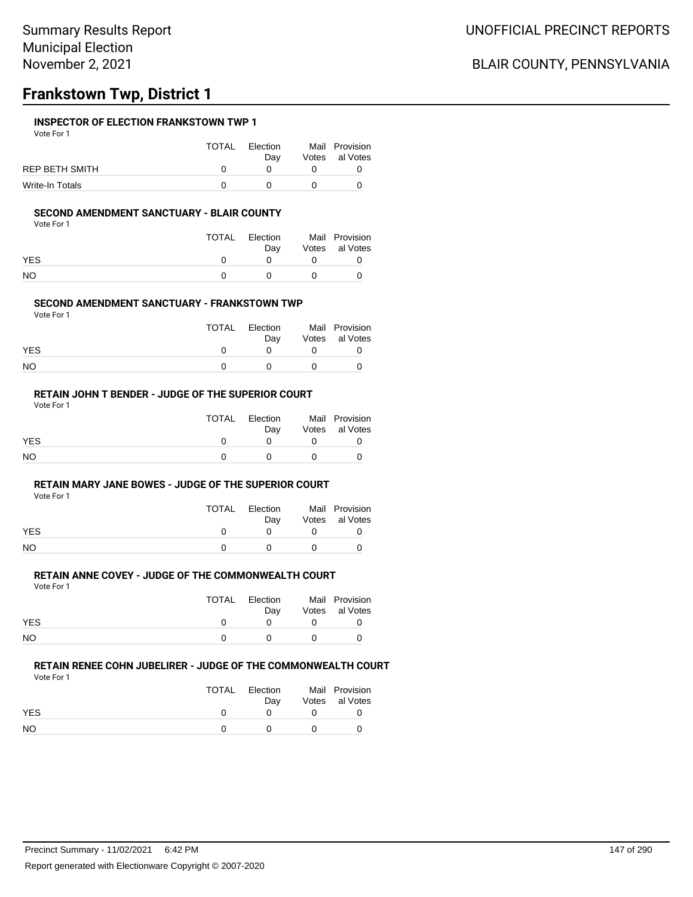### UNOFFICIAL PRECINCT REPORTS

### BLAIR COUNTY, PENNSYLVANIA

## **Frankstown Twp, District 1**

#### **INSPECTOR OF ELECTION FRANKSTOWN TWP 1**

Vote For 1

|                 | <b>TOTAL</b> | Election | Mail Provision |
|-----------------|--------------|----------|----------------|
|                 |              | Dav      | Votes al Votes |
| REP BETH SMITH  |              |          |                |
| Write-In Totals |              |          |                |

#### **SECOND AMENDMENT SANCTUARY - BLAIR COUNTY**

Vote For 1

|            | TOTAL | Election<br>Dav | Mail Provision<br>Votes al Votes |
|------------|-------|-----------------|----------------------------------|
| <b>YES</b> |       |                 |                                  |
| NΟ         |       | $\Omega$        |                                  |

#### **SECOND AMENDMENT SANCTUARY - FRANKSTOWN TWP**

Vote For 1

|            | TOTAL | Election<br>Dav | Mail Provision<br>Votes al Votes |
|------------|-------|-----------------|----------------------------------|
| <b>YES</b> |       |                 |                                  |
| NO.        |       |                 |                                  |

#### **RETAIN JOHN T BENDER - JUDGE OF THE SUPERIOR COURT**

Vote For 1

|            | TOTAL | Election<br>Dav | Mail Provision<br>Votes al Votes |
|------------|-------|-----------------|----------------------------------|
| <b>YES</b> |       |                 |                                  |
| NO.        |       |                 |                                  |

#### **RETAIN MARY JANE BOWES - JUDGE OF THE SUPERIOR COURT**

Vote For 1

|            | <b>TOTAL</b> | Election | Mail Provision |
|------------|--------------|----------|----------------|
|            |              | Dav      | Votes al Votes |
| <b>YES</b> |              |          |                |
| <b>NO</b>  |              |          |                |

#### **RETAIN ANNE COVEY - JUDGE OF THE COMMONWEALTH COURT** Vote For 1

|            | TOTAL | Election<br>Dav | Mail Provision<br>Votes al Votes |
|------------|-------|-----------------|----------------------------------|
| <b>YES</b> |       |                 |                                  |
| NO         |       |                 |                                  |

#### **RETAIN RENEE COHN JUBELIRER - JUDGE OF THE COMMONWEALTH COURT** Vote For 1

|            | TOTAL | Election<br>Dav |          | Mail Provision<br>Votes al Votes |
|------------|-------|-----------------|----------|----------------------------------|
| <b>YES</b> |       | <sup>n</sup>    |          |                                  |
| NO.        |       | $\mathbf{r}$    | $\Omega$ |                                  |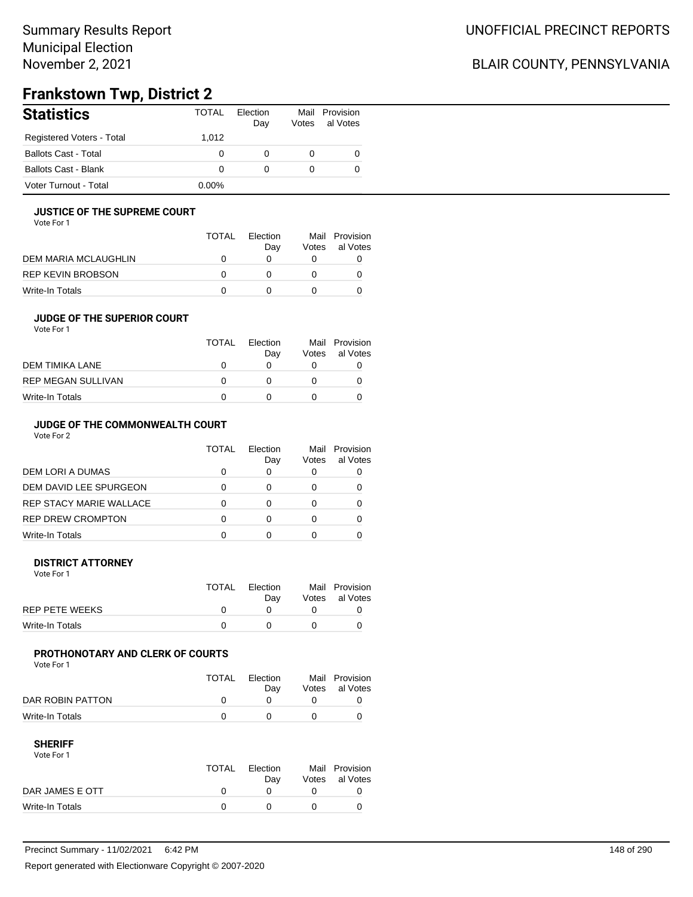### BLAIR COUNTY, PENNSYLVANIA

## **Frankstown Twp, District 2**

| <b>Statistics</b>         | <b>TOTAL</b> | Election<br>Day | Votes | Mail Provision<br>al Votes |
|---------------------------|--------------|-----------------|-------|----------------------------|
| Registered Voters - Total | 1.012        |                 |       |                            |
| Ballots Cast - Total      | 0            |                 |       |                            |
| Ballots Cast - Blank      | 0            | $\Omega$        |       |                            |
| Voter Turnout - Total     | 0.00%        |                 |       |                            |

#### **JUSTICE OF THE SUPREME COURT**

Vote For 1

|                      | TOTAL | Election<br>Dav | Votes | Mail Provision<br>al Votes |
|----------------------|-------|-----------------|-------|----------------------------|
| DEM MARIA MCLAUGHLIN |       |                 |       |                            |
| REP KEVIN BROBSON    |       |                 |       |                            |
| Write-In Totals      |       |                 |       |                            |

### **JUDGE OF THE SUPERIOR COURT**

| Vote For 1 |  |  |
|------------|--|--|
|            |  |  |

|                    | <b>TOTAL</b> | Election<br>Day | Votes | Mail Provision<br>al Votes |
|--------------------|--------------|-----------------|-------|----------------------------|
| DEM TIMIKA LANE    | $\mathbf{I}$ |                 |       |                            |
| REP MEGAN SULLIVAN | $\mathbf{U}$ |                 |       |                            |
| Write-In Totals    |              |                 |       |                            |
|                    |              |                 |       |                            |

### **JUDGE OF THE COMMONWEALTH COURT**

Vote For 2

|                                | TOTAL | Flection<br>Day | Votes | Mail Provision<br>al Votes |
|--------------------------------|-------|-----------------|-------|----------------------------|
| DEM LORI A DUMAS               |       |                 |       |                            |
| DEM DAVID LEE SPURGEON         |       |                 |       |                            |
| <b>REP STACY MARIE WALLACE</b> |       |                 |       |                            |
| <b>REP DREW CROMPTON</b>       |       |                 |       |                            |
| Write-In Totals                |       |                 |       |                            |

#### **DISTRICT ATTORNEY**

| Vote For 1      |       |                 |                                  |
|-----------------|-------|-----------------|----------------------------------|
|                 | TOTAL | Election<br>Dav | Mail Provision<br>Votes al Votes |
| REP PETE WEEKS  |       |                 |                                  |
| Write-In Totals |       |                 |                                  |

### **PROTHONOTARY AND CLERK OF COURTS**

Vote For 1

|                  | <b>TOTAL</b> | Election<br>Dav | Mail Provision<br>Votes al Votes |
|------------------|--------------|-----------------|----------------------------------|
| DAR ROBIN PATTON |              |                 |                                  |
| Write-In Totals  |              |                 |                                  |

| Vote For 1      |       |          |                |
|-----------------|-------|----------|----------------|
|                 | TOTAL | Election | Mail Provision |
|                 |       | Dav      | Votes al Votes |
| DAR JAMES E OTT |       |          |                |
| Write-In Totals |       |          |                |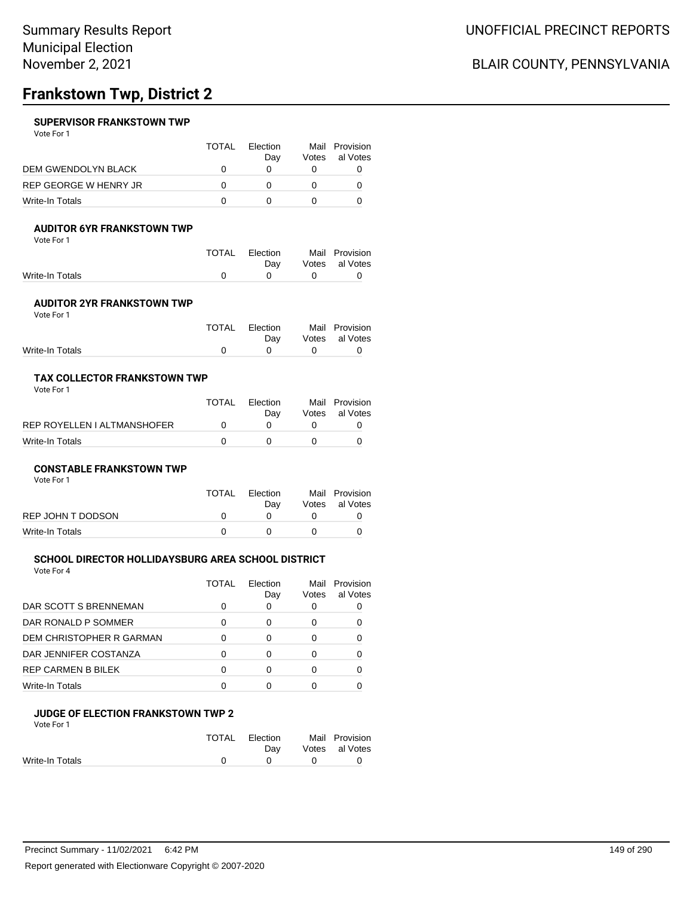## **Frankstown Twp, District 2**

#### **SUPERVISOR FRANKSTOWN TWP**

Vote For 1

|                            | TOTAL | <b>Flection</b><br>Dav | Mail<br>Votes | Provision<br>al Votes |
|----------------------------|-------|------------------------|---------------|-----------------------|
| <b>DEM GWENDOLYN BLACK</b> |       |                        |               |                       |
| REP GEORGE W HENRY JR      |       |                        |               |                       |
| Write-In Totals            |       |                        |               |                       |

### **AUDITOR 6YR FRANKSTOWN TWP**

Vote For 1

|                 | TOTAL Election | Mail Provision |
|-----------------|----------------|----------------|
|                 | Dav            | Votes al Votes |
| Write-In Totals |                |                |
|                 |                |                |

#### **AUDITOR 2YR FRANKSTOWN TWP** Vote For 1

| .               |                |                |
|-----------------|----------------|----------------|
|                 | TOTAL Election | Mail Provision |
|                 | Dav            | Votes al Votes |
| Write-In Totals |                |                |
|                 |                |                |

#### **TAX COLLECTOR FRANKSTOWN TWP** Vote For 1

|                             | TOTAL | <b>Flection</b><br>Dav | Mail Provision<br>Votes al Votes |
|-----------------------------|-------|------------------------|----------------------------------|
| REP ROYELLEN I ALTMANSHOFER |       |                        |                                  |
| Write-In Totals             |       |                        |                                  |

#### **CONSTABLE FRANKSTOWN TWP**

| Vote For 1        |              |                 |                                  |
|-------------------|--------------|-----------------|----------------------------------|
|                   | <b>TOTAL</b> | Election<br>Dav | Mail Provision<br>Votes al Votes |
| REP JOHN T DODSON | O            |                 |                                  |
| Write-In Totals   |              |                 |                                  |

#### **SCHOOL DIRECTOR HOLLIDAYSBURG AREA SCHOOL DISTRICT**

Vote For 4

|                           | TOTAL | Election<br>Day | Mail<br>Votes | Provision<br>al Votes |
|---------------------------|-------|-----------------|---------------|-----------------------|
| DAR SCOTT S BRENNEMAN     |       | O               |               |                       |
| DAR RONALD P SOMMER       |       | 0               |               |                       |
| DEM CHRISTOPHER R GARMAN  |       | ∩               |               |                       |
| DAR JENNIFER COSTANZA     |       | ∩               |               |                       |
| <b>REP CARMEN B BILEK</b> |       | ∩               |               |                       |
| Write-In Totals           |       |                 |               |                       |

#### **JUDGE OF ELECTION FRANKSTOWN TWP 2**

| Vote For 1      |              |             |                |
|-----------------|--------------|-------------|----------------|
|                 | <b>TOTAL</b> | Election    | Mail Provision |
|                 |              | Dav         | Votes al Votes |
| Write-In Totals | n            | $^{\prime}$ |                |
|                 |              |             |                |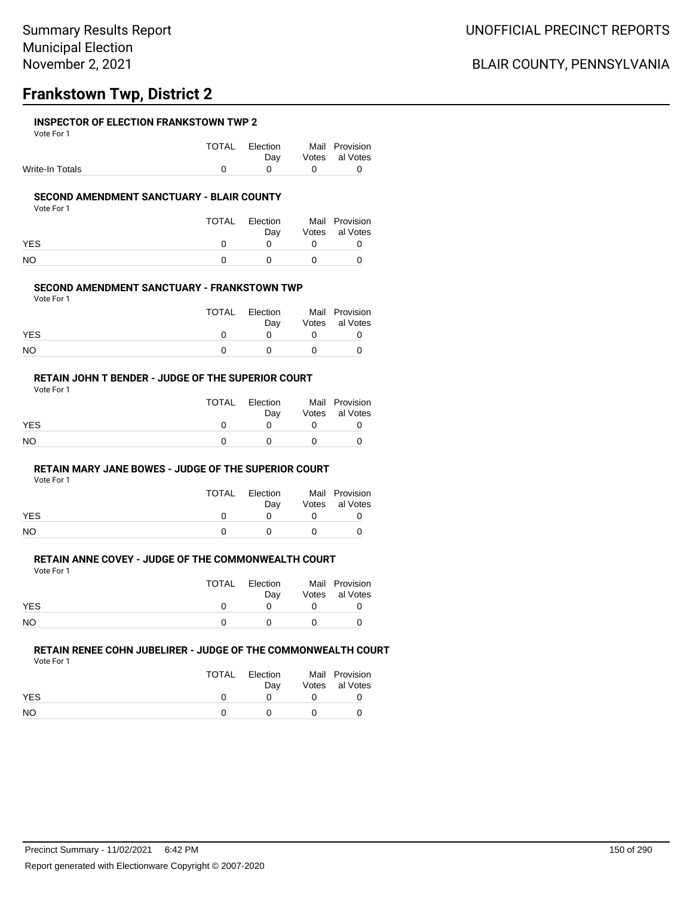## **Frankstown Twp, District 2**

#### **INSPECTOR OF ELECTION FRANKSTOWN TWP 2**

Vote For 1

|                 | TOTAL Election |                                              | Mail Provision     |
|-----------------|----------------|----------------------------------------------|--------------------|
|                 |                |                                              | Day Votes al Votes |
| Write-In Totals |                | $\begin{array}{ccc} & & & 0 & & \end{array}$ |                    |

#### **SECOND AMENDMENT SANCTUARY - BLAIR COUNTY**

Vote For 1

|            | TOTAL | Election<br>Dav | Mail Provision<br>Votes al Votes |
|------------|-------|-----------------|----------------------------------|
| <b>YES</b> |       | <sup>n</sup>    |                                  |
| NO.        |       |                 |                                  |

#### **SECOND AMENDMENT SANCTUARY - FRANKSTOWN TWP**

Vote For 1

|            | TOTAL | Election<br>Dav | Mail Provision<br>Votes al Votes |
|------------|-------|-----------------|----------------------------------|
| <b>YES</b> |       |                 |                                  |
| <b>NO</b>  |       | $^{\prime}$     |                                  |

#### **RETAIN JOHN T BENDER - JUDGE OF THE SUPERIOR COURT** Vote For 1

|            | TOTAL | Election |          | Mail Provision |
|------------|-------|----------|----------|----------------|
|            |       | Dav      |          | Votes al Votes |
| <b>YES</b> |       |          |          |                |
| <b>NO</b>  |       |          | $\theta$ |                |

### **RETAIN MARY JANE BOWES - JUDGE OF THE SUPERIOR COURT**

Vote For 1

|            | TOTAL       | Election<br>Day | Mail Provision<br>Votes al Votes |
|------------|-------------|-----------------|----------------------------------|
| <b>YES</b> | n           | <sup>n</sup>    |                                  |
| NO         | $^{\prime}$ | $\mathbf{r}$    |                                  |

## **RETAIN ANNE COVEY - JUDGE OF THE COMMONWEALTH COURT**

Vote For 1

|            | TOTAL | Election    | Mail Provision |
|------------|-------|-------------|----------------|
|            |       | Dav         | Votes al Votes |
| <b>YES</b> |       |             |                |
| <b>NO</b>  |       | $^{\prime}$ |                |

### **RETAIN RENEE COHN JUBELIRER - JUDGE OF THE COMMONWEALTH COURT**

|            | TOTAL | Election<br>Dav | Mail Provision<br>Votes al Votes |
|------------|-------|-----------------|----------------------------------|
| <b>YES</b> |       |                 |                                  |
| <b>NO</b>  |       |                 |                                  |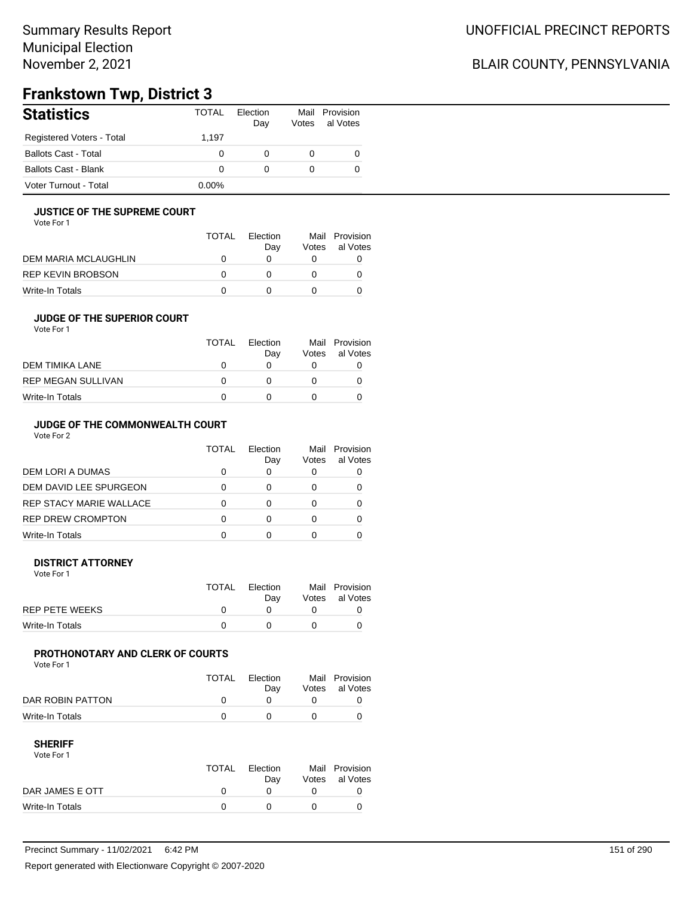### BLAIR COUNTY, PENNSYLVANIA

## **Frankstown Twp, District 3**

| <b>Statistics</b>           | <b>TOTAL</b> | Election<br>Day | Votes | Mail Provision<br>al Votes |
|-----------------------------|--------------|-----------------|-------|----------------------------|
| Registered Voters - Total   | 1.197        |                 |       |                            |
| <b>Ballots Cast - Total</b> | 0            | 0               | 0     |                            |
| Ballots Cast - Blank        | 0            | $\Omega$        | 0     |                            |
| Voter Turnout - Total       | $0.00\%$     |                 |       |                            |

#### **JUSTICE OF THE SUPREME COURT**

Vote For 1

|                      | TOTAL | Election<br>Dav | Votes | Mail Provision<br>al Votes |
|----------------------|-------|-----------------|-------|----------------------------|
| DEM MARIA MCLAUGHLIN |       |                 |       |                            |
| REP KEVIN BROBSON    |       |                 |       |                            |
| Write-In Totals      |       |                 |       |                            |

### **JUDGE OF THE SUPERIOR COURT**

| Vote For 1 |  |  |
|------------|--|--|
|            |  |  |

|                    | <b>TOTAL</b> | Election<br>Day | Votes | Mail Provision<br>al Votes |
|--------------------|--------------|-----------------|-------|----------------------------|
| DEM TIMIKA LANE    | $\mathbf{I}$ |                 |       |                            |
| REP MEGAN SULLIVAN | $\mathbf{U}$ |                 |       |                            |
| Write-In Totals    |              |                 |       |                            |
|                    |              |                 |       |                            |

### **JUDGE OF THE COMMONWEALTH COURT**

Vote For 2

|                                | TOTAL | Flection<br>Day | Votes | Mail Provision<br>al Votes |
|--------------------------------|-------|-----------------|-------|----------------------------|
| DEM LORI A DUMAS               |       |                 |       |                            |
| DEM DAVID LEE SPURGEON         |       |                 |       |                            |
| <b>REP STACY MARIE WALLACE</b> |       |                 |       |                            |
| <b>REP DREW CROMPTON</b>       |       |                 |       |                            |
| Write-In Totals                |       |                 |       |                            |

#### **DISTRICT ATTORNEY**

| Vote For 1      |       |                 |                                  |
|-----------------|-------|-----------------|----------------------------------|
|                 | TOTAL | Election<br>Dav | Mail Provision<br>Votes al Votes |
| REP PETE WEEKS  |       |                 |                                  |
| Write-In Totals |       |                 |                                  |

### **PROTHONOTARY AND CLERK OF COURTS**

Vote For 1

|                  | <b>TOTAL</b> | Election<br>Dav | Mail Provision<br>Votes al Votes |
|------------------|--------------|-----------------|----------------------------------|
| DAR ROBIN PATTON |              |                 |                                  |
| Write-In Totals  |              |                 |                                  |

| Vote For 1      |       |          |                |
|-----------------|-------|----------|----------------|
|                 | TOTAL | Election | Mail Provision |
|                 |       | Dav      | Votes al Votes |
| DAR JAMES E OTT |       |          |                |
| Write-In Totals |       |          |                |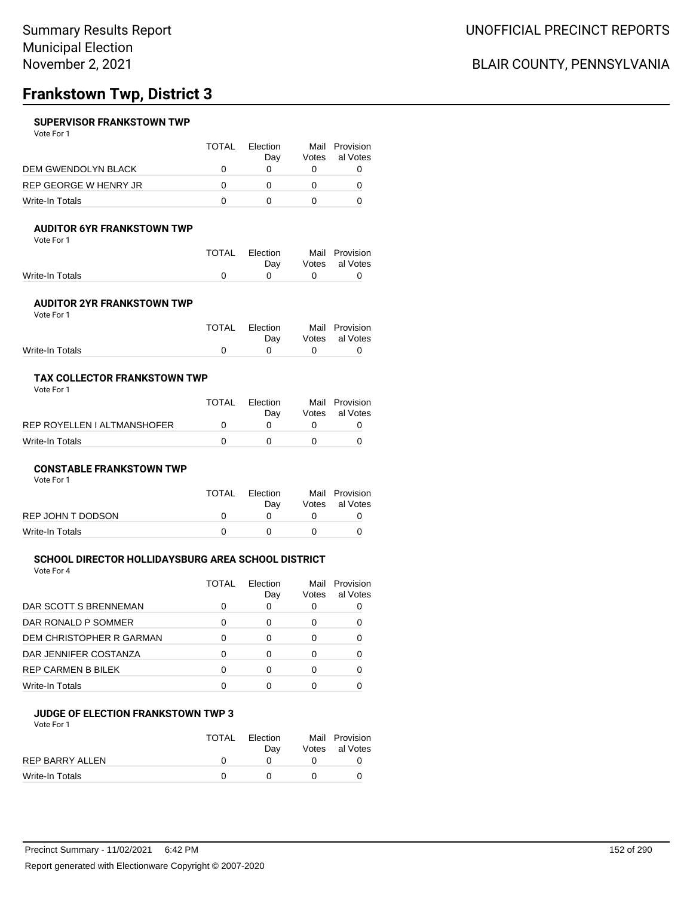## **Frankstown Twp, District 3**

#### **SUPERVISOR FRANKSTOWN TWP**

Vote For 1

|                            | TOTAL | <b>Flection</b><br>Dav | Mail<br>Votes | Provision<br>al Votes |
|----------------------------|-------|------------------------|---------------|-----------------------|
| <b>DEM GWENDOLYN BLACK</b> |       |                        |               |                       |
| REP GEORGE W HENRY JR      |       |                        |               |                       |
| Write-In Totals            |       |                        |               |                       |

### **AUDITOR 6YR FRANKSTOWN TWP**

Vote For 1

|                 | TOTAL Election | Mail Provision |
|-----------------|----------------|----------------|
|                 | Dav            | Votes al Votes |
| Write-In Totals |                |                |
|                 |                |                |

#### **AUDITOR 2YR FRANKSTOWN TWP** Vote For 1

|                 | TOTAL Election    | Mail Provision<br>Day Votes al Votes |
|-----------------|-------------------|--------------------------------------|
| Write-In Totals | $\Omega$ $\Omega$ |                                      |
|                 |                   |                                      |

#### **TAX COLLECTOR FRANKSTOWN TWP** Vote For 1

|                             | TOTAL | <b>Flection</b><br>Dav | Mail Provision<br>Votes al Votes |
|-----------------------------|-------|------------------------|----------------------------------|
| REP ROYELLEN I ALTMANSHOFER |       |                        |                                  |
| Write-In Totals             |       |                        |                                  |

#### **CONSTABLE FRANKSTOWN TWP**

| Vote For 1        |              |                 |                                  |
|-------------------|--------------|-----------------|----------------------------------|
|                   | <b>TOTAL</b> | Election<br>Dav | Mail Provision<br>Votes al Votes |
| REP JOHN T DODSON | O            |                 |                                  |
| Write-In Totals   |              |                 |                                  |

#### **SCHOOL DIRECTOR HOLLIDAYSBURG AREA SCHOOL DISTRICT**

Vote For 4

|                           | TOTAL | Election<br>Day | Mail<br>Votes | Provision<br>al Votes |
|---------------------------|-------|-----------------|---------------|-----------------------|
| DAR SCOTT S BRENNEMAN     |       | O               |               |                       |
| DAR RONALD P SOMMER       | O     | 0               | Ω             |                       |
| DEM CHRISTOPHER R GARMAN  |       | ∩               |               |                       |
| DAR JENNIFER COSTANZA     |       | ∩               |               |                       |
| <b>REP CARMEN B BILEK</b> |       | 0               |               |                       |
| Write-In Totals           |       |                 |               |                       |

#### **JUDGE OF ELECTION FRANKSTOWN TWP 3** Vote For 1

|                        | TOTAL | Election<br>Dav | Mail Provision<br>Votes al Votes |
|------------------------|-------|-----------------|----------------------------------|
| <b>REP BARRY ALLEN</b> |       |                 |                                  |
| Write-In Totals        |       |                 |                                  |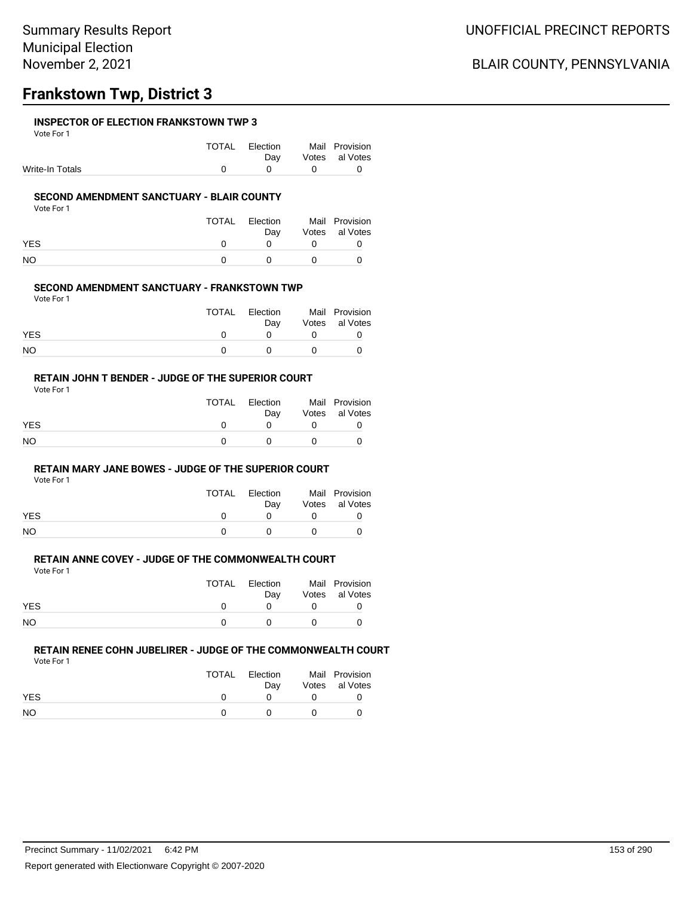## **Frankstown Twp, District 3**

#### **INSPECTOR OF ELECTION FRANKSTOWN TWP 3**

Vote For 1

|                 | TOTAL Election |                                              | Mail Provision     |
|-----------------|----------------|----------------------------------------------|--------------------|
|                 |                |                                              | Day Votes al Votes |
| Write-In Totals |                | $\begin{array}{ccc} & & & 0 & & \end{array}$ |                    |

#### **SECOND AMENDMENT SANCTUARY - BLAIR COUNTY**

Vote For 1

|            | TOTAL | Election<br>Dav | Mail Provision<br>Votes al Votes |
|------------|-------|-----------------|----------------------------------|
| <b>YES</b> |       | <sup>n</sup>    |                                  |
| NO.        |       |                 |                                  |

#### **SECOND AMENDMENT SANCTUARY - FRANKSTOWN TWP**

Vote For 1

|            | TOTAL | Election<br>Dav | Mail Provision<br>Votes al Votes |
|------------|-------|-----------------|----------------------------------|
| <b>YES</b> |       |                 |                                  |
| <b>NO</b>  |       | $^{\prime}$     |                                  |

#### **RETAIN JOHN T BENDER - JUDGE OF THE SUPERIOR COURT** Vote For 1

|            | TOTAL | Election |          | Mail Provision |
|------------|-------|----------|----------|----------------|
|            |       | Dav      |          | Votes al Votes |
| <b>YES</b> |       |          |          |                |
| <b>NO</b>  |       |          | $\theta$ |                |

### **RETAIN MARY JANE BOWES - JUDGE OF THE SUPERIOR COURT**

Vote For 1

| <b>TOTAL</b> | Election<br>Dav |              | Mail Provision<br>Votes al Votes |
|--------------|-----------------|--------------|----------------------------------|
| $\mathbf{U}$ | <sup>n</sup>    |              |                                  |
|              | $^{\prime}$     | $\mathbf{U}$ |                                  |
|              |                 |              |                                  |

## **RETAIN ANNE COVEY - JUDGE OF THE COMMONWEALTH COURT**

Vote For 1

|            | TOTAL | Election    | Mail Provision |
|------------|-------|-------------|----------------|
|            |       | Dav         | Votes al Votes |
| <b>YES</b> |       |             |                |
| <b>NO</b>  |       | $^{\prime}$ |                |

### **RETAIN RENEE COHN JUBELIRER - JUDGE OF THE COMMONWEALTH COURT**

|            | TOTAL | Election<br>Dav | Mail Provision<br>Votes al Votes |
|------------|-------|-----------------|----------------------------------|
| <b>YES</b> |       |                 |                                  |
| <b>NO</b>  |       |                 |                                  |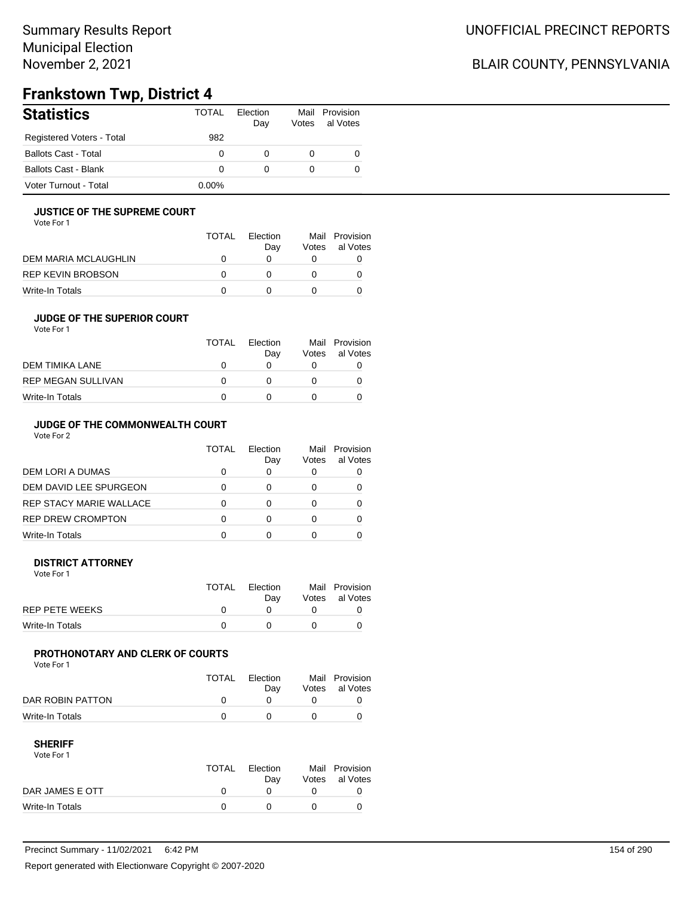### BLAIR COUNTY, PENNSYLVANIA

## **Frankstown Twp, District 4**

| <b>Statistics</b>           | TOTAL    | Election<br>Day | Votes | Mail Provision<br>al Votes |
|-----------------------------|----------|-----------------|-------|----------------------------|
| Registered Voters - Total   | 982      |                 |       |                            |
| <b>Ballots Cast - Total</b> | 0        | 0               | 0     | 0                          |
| Ballots Cast - Blank        | 0        | 0               | 0     | 0                          |
| Voter Turnout - Total       | $0.00\%$ |                 |       |                            |

#### **JUSTICE OF THE SUPREME COURT**

Vote For 1

|                      | <b>TOTAL</b> | Flection<br>Dav | Votes | Mail Provision<br>al Votes |
|----------------------|--------------|-----------------|-------|----------------------------|
| DEM MARIA MCLAUGHLIN |              |                 |       |                            |
| REP KEVIN BROBSON    | $\mathbf{I}$ |                 |       |                            |
| Write-In Totals      |              |                 |       |                            |

### **JUDGE OF THE SUPERIOR COURT**

| Vote For 1 |  |  |
|------------|--|--|
|            |  |  |

|                           | <b>TOTAL</b> | Election<br>Day | Votes | Mail Provision<br>al Votes |
|---------------------------|--------------|-----------------|-------|----------------------------|
| DEM TIMIKA LANE           | $\Omega$     |                 |       |                            |
| <b>REP MEGAN SULLIVAN</b> | $^{\prime}$  |                 |       |                            |
| Write-In Totals           | O            |                 |       |                            |
|                           |              |                 |       |                            |

### **JUDGE OF THE COMMONWEALTH COURT**

Vote For 2

|                                | TOTAL | Flection<br>Day | Votes | Mail Provision<br>al Votes |
|--------------------------------|-------|-----------------|-------|----------------------------|
| DEM LORI A DUMAS               |       |                 |       |                            |
| DEM DAVID LEE SPURGEON         |       |                 |       |                            |
| <b>REP STACY MARIE WALLACE</b> |       |                 |       |                            |
| <b>REP DREW CROMPTON</b>       |       |                 |       |                            |
| Write-In Totals                |       |                 |       |                            |

#### **DISTRICT ATTORNEY**

| Vote For 1      |       |                 |                                  |
|-----------------|-------|-----------------|----------------------------------|
|                 | TOTAL | Election<br>Dav | Mail Provision<br>Votes al Votes |
| REP PETE WEEKS  |       |                 |                                  |
| Write-In Totals |       |                 |                                  |

### **PROTHONOTARY AND CLERK OF COURTS**

Vote For 1

|                  | TOTAL | Election<br>Dav | Mail Provision<br>Votes al Votes |
|------------------|-------|-----------------|----------------------------------|
| DAR ROBIN PATTON |       |                 |                                  |
| Write-In Totals  |       |                 |                                  |

| Vote For 1      |       |                 |                |
|-----------------|-------|-----------------|----------------|
|                 | TOTAL | <b>Flection</b> | Mail Provision |
|                 |       | Dav             | Votes al Votes |
| DAR JAMES E OTT |       |                 |                |
| Write-In Totals |       |                 |                |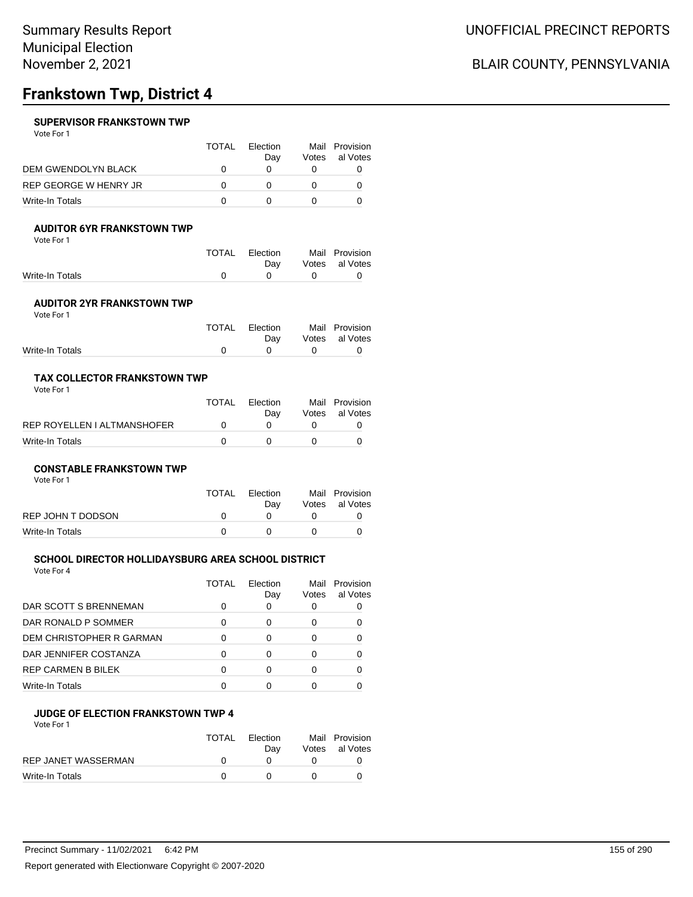## **Frankstown Twp, District 4**

#### **SUPERVISOR FRANKSTOWN TWP**

Vote For 1

|                            | TOTAL | Election<br>Dav | Votes | Mail Provision<br>al Votes |
|----------------------------|-------|-----------------|-------|----------------------------|
| <b>DEM GWENDOLYN BLACK</b> |       |                 |       |                            |
| REP GEORGE W HENRY JR      |       |                 |       |                            |
| Write-In Totals            |       |                 |       |                            |

### **AUDITOR 6YR FRANKSTOWN TWP**

Vote For 1

|                 | TOTAL Election | Mail Provision |
|-----------------|----------------|----------------|
|                 | Dav            | Votes al Votes |
| Write-In Totals |                |                |

#### **AUDITOR 2YR FRANKSTOWN TWP** Vote For 1

| .               |                |                |
|-----------------|----------------|----------------|
|                 | TOTAL Election | Mail Provision |
|                 | Dav            | Votes al Votes |
| Write-In Totals |                |                |
|                 |                |                |

#### **TAX COLLECTOR FRANKSTOWN TWP** Vote For 1

|                             | TOTAL | Election<br>Dav | Mail Provision<br>Votes al Votes |
|-----------------------------|-------|-----------------|----------------------------------|
| REP ROYELLEN I ALTMANSHOFER |       |                 |                                  |
| Write-In Totals             |       |                 |                                  |

#### **CONSTABLE FRANKSTOWN TWP**

| Vote For 1        |              |                 |                                  |
|-------------------|--------------|-----------------|----------------------------------|
|                   | <b>TOTAL</b> | Election<br>Dav | Mail Provision<br>Votes al Votes |
| REP JOHN T DODSON | O            |                 |                                  |
| Write-In Totals   |              |                 |                                  |

#### **SCHOOL DIRECTOR HOLLIDAYSBURG AREA SCHOOL DISTRICT**

Vote For 4

|                          | TOTAL | Election<br>Day | Mail<br>Votes | Provision<br>al Votes |
|--------------------------|-------|-----------------|---------------|-----------------------|
| DAR SCOTT S BRENNEMAN    | 0     | O               | O             |                       |
| DAR RONALD P SOMMER      | ∩     | 0               | Ω             |                       |
| DEM CHRISTOPHER R GARMAN | O     | O               | $\left($      |                       |
| DAR JENNIFER COSTANZA    |       | ∩               |               |                       |
| REP CARMEN B BILEK       |       | 0               | Ω             |                       |
| Write-In Totals          |       |                 |               |                       |

#### **JUDGE OF ELECTION FRANKSTOWN TWP 4** Vote For 1

|                            | <b>TOTAL</b> | Election<br>Dav | Mail Provision<br>Votes al Votes |
|----------------------------|--------------|-----------------|----------------------------------|
| <b>REP JANET WASSERMAN</b> |              |                 |                                  |
| Write-In Totals            |              |                 |                                  |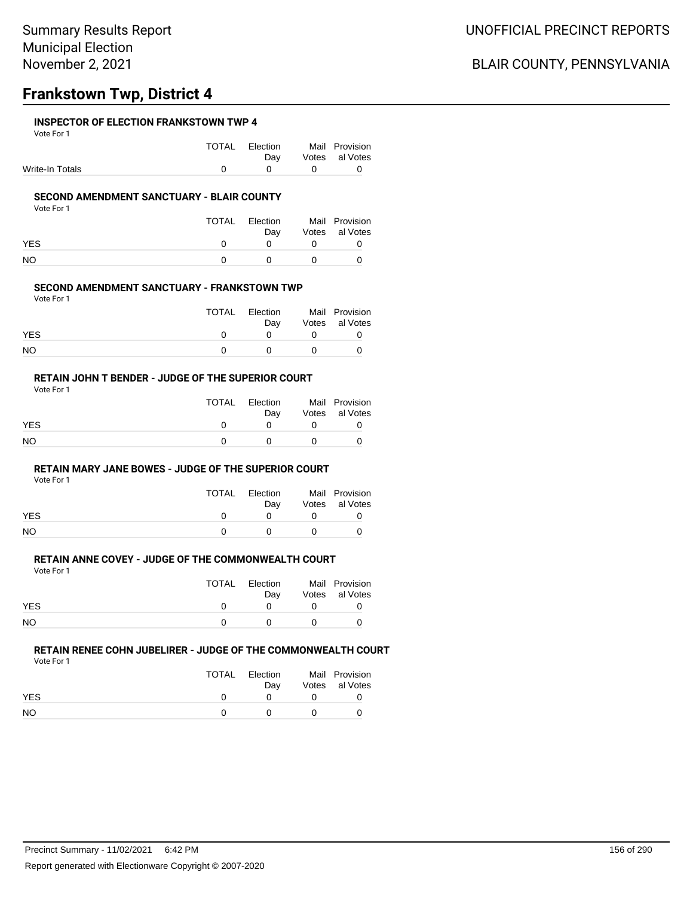### **Frankstown Twp, District 4**

#### **INSPECTOR OF ELECTION FRANKSTOWN TWP 4**

Vote For 1

|                 | TOTAL Election |                                              | Mail Provision     |
|-----------------|----------------|----------------------------------------------|--------------------|
|                 |                |                                              | Day Votes al Votes |
| Write-In Totals |                | $\begin{array}{ccc} & & & 0 & & \end{array}$ |                    |

#### **SECOND AMENDMENT SANCTUARY - BLAIR COUNTY**

Vote For 1

|            | TOTAL | Election<br>Dav | Mail Provision<br>Votes al Votes |
|------------|-------|-----------------|----------------------------------|
| <b>YES</b> |       |                 |                                  |
| NO.        |       |                 |                                  |

#### **SECOND AMENDMENT SANCTUARY - FRANKSTOWN TWP**

Vote For 1

|            | TOTAL | Election<br>Dav | Mail Provision<br>Votes al Votes |
|------------|-------|-----------------|----------------------------------|
| <b>YES</b> |       |                 |                                  |
| <b>NO</b>  |       | $\mathbf{U}$    |                                  |

#### **RETAIN JOHN T BENDER - JUDGE OF THE SUPERIOR COURT** Vote For 1

|            | TOTAL | Election |          | Mail Provision |
|------------|-------|----------|----------|----------------|
|            |       | Dav      |          | Votes al Votes |
| <b>YES</b> |       |          |          |                |
| <b>NO</b>  |       |          | $\theta$ |                |

### **RETAIN MARY JANE BOWES - JUDGE OF THE SUPERIOR COURT**

Vote For 1

| <b>TOTAL</b> | Election<br>Dav |              | Mail Provision<br>Votes al Votes |
|--------------|-----------------|--------------|----------------------------------|
| $\mathbf{U}$ | <sup>n</sup>    |              |                                  |
|              | $^{\prime}$     | $\mathbf{U}$ |                                  |
|              |                 |              |                                  |

## **RETAIN ANNE COVEY - JUDGE OF THE COMMONWEALTH COURT**

Vote For 1

|            | TOTAL | Election<br>Dav | Mail Provision<br>Votes al Votes |
|------------|-------|-----------------|----------------------------------|
| <b>YES</b> |       |                 |                                  |
| <b>NO</b>  |       | $^{\circ}$      |                                  |

### **RETAIN RENEE COHN JUBELIRER - JUDGE OF THE COMMONWEALTH COURT**

|            | <b>TOTAL</b> | Election<br>Dav  | Mail Provision<br>Votes al Votes |
|------------|--------------|------------------|----------------------------------|
| <b>YES</b> |              |                  |                                  |
| <b>NO</b>  |              | $\left( \right)$ |                                  |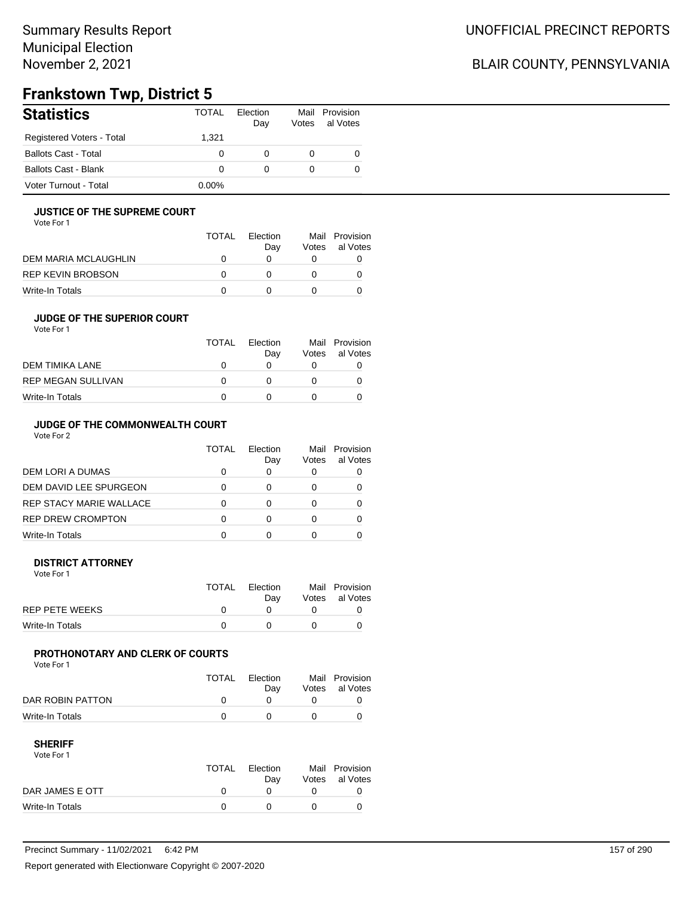### BLAIR COUNTY, PENNSYLVANIA

## **Frankstown Twp, District 5**

| <b>Statistics</b>           | <b>TOTAL</b> | Election<br>Day | Votes | Mail Provision<br>al Votes |
|-----------------------------|--------------|-----------------|-------|----------------------------|
| Registered Voters - Total   | 1.321        |                 |       |                            |
| <b>Ballots Cast - Total</b> | 0            | 0               | O     |                            |
| Ballots Cast - Blank        | 0            | 0               | O     |                            |
| Voter Turnout - Total       | 0.00%        |                 |       |                            |

#### **JUSTICE OF THE SUPREME COURT**

Vote For 1

|                      | <b>TOTAL</b> | Flection<br>Dav | Votes | Mail Provision<br>al Votes |
|----------------------|--------------|-----------------|-------|----------------------------|
| DEM MARIA MCLAUGHLIN |              |                 |       |                            |
| REP KEVIN BROBSON    | $\mathbf{I}$ |                 |       |                            |
| Write-In Totals      |              |                 |       |                            |

#### **JUDGE OF THE SUPERIOR COURT**

| Vote For 1 |  |  |
|------------|--|--|
|            |  |  |

|                           | <b>TOTAL</b> | Election |       | Mail Provision |
|---------------------------|--------------|----------|-------|----------------|
|                           |              | Dav      | Votes | al Votes       |
| DEM TIMIKA LANE           | O            |          |       |                |
| <b>REP MEGAN SULLIVAN</b> | $^{\prime}$  |          |       |                |
| Write-In Totals           |              |          |       |                |
|                           |              |          |       |                |

### **JUDGE OF THE COMMONWEALTH COURT**

Vote For 2

|                                | TOTAL | Flection<br>Day | Votes | Mail Provision<br>al Votes |
|--------------------------------|-------|-----------------|-------|----------------------------|
| DEM LORI A DUMAS               |       |                 |       |                            |
| DEM DAVID LEE SPURGEON         |       |                 |       |                            |
| <b>REP STACY MARIE WALLACE</b> |       |                 |       |                            |
| <b>REP DREW CROMPTON</b>       |       |                 |       |                            |
| Write-In Totals                |       |                 |       |                            |

#### **DISTRICT ATTORNEY**

| Vote For 1      |       |                 |                                  |
|-----------------|-------|-----------------|----------------------------------|
|                 | TOTAL | Election<br>Dav | Mail Provision<br>Votes al Votes |
| REP PETE WEEKS  |       |                 |                                  |
| Write-In Totals |       |                 |                                  |

### **PROTHONOTARY AND CLERK OF COURTS**

Vote For 1

|                  | TOTAL | Election<br>Dav | Mail Provision<br>Votes al Votes |
|------------------|-------|-----------------|----------------------------------|
| DAR ROBIN PATTON |       |                 |                                  |
| Write-In Totals  |       |                 |                                  |

#### **SHERIFF**

| .               |       |                 |                                  |
|-----------------|-------|-----------------|----------------------------------|
|                 | TOTAL | Election<br>Dav | Mail Provision<br>Votes al Votes |
| DAR JAMES E OTT |       |                 |                                  |
| Write-In Totals |       |                 |                                  |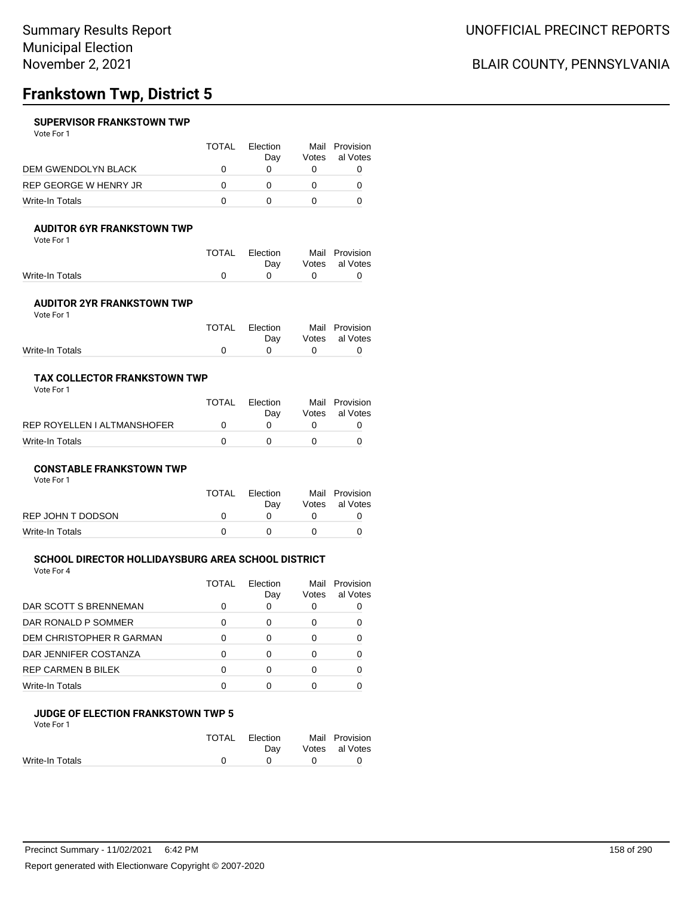## **Frankstown Twp, District 5**

### **SUPERVISOR FRANKSTOWN TWP**

Vote For 1

|                       | <b>TOTAL</b> | <b>Flection</b><br>Dav | Votes | Mail Provision<br>al Votes |
|-----------------------|--------------|------------------------|-------|----------------------------|
| DEM GWENDOLYN BLACK   |              |                        |       |                            |
| REP GEORGE W HENRY JR |              |                        |       |                            |
| Write-In Totals       |              |                        |       |                            |

### **AUDITOR 6YR FRANKSTOWN TWP**

Vote For 1

|                 | TOTAL Election | Mail Provision |
|-----------------|----------------|----------------|
|                 | Dav            | Votes al Votes |
| Write-In Totals |                |                |
|                 |                |                |

#### **AUDITOR 2YR FRANKSTOWN TWP** Vote For 1

| .               |                |                |
|-----------------|----------------|----------------|
|                 | TOTAL Election | Mail Provision |
|                 | Dav            | Votes al Votes |
| Write-In Totals |                |                |
|                 |                |                |

#### **TAX COLLECTOR FRANKSTOWN TWP** Vote For 1

|                             | TOTAL | <b>Flection</b><br>Dav | Mail Provision<br>Votes al Votes |
|-----------------------------|-------|------------------------|----------------------------------|
| REP ROYELLEN I ALTMANSHOFER |       |                        |                                  |
| Write-In Totals             |       |                        |                                  |

#### **CONSTABLE FRANKSTOWN TWP**

| Vote For 1        |              |                 |                                  |
|-------------------|--------------|-----------------|----------------------------------|
|                   | <b>TOTAL</b> | Election<br>Dav | Mail Provision<br>Votes al Votes |
| REP JOHN T DODSON | O            |                 |                                  |
| Write-In Totals   |              |                 |                                  |

#### **SCHOOL DIRECTOR HOLLIDAYSBURG AREA SCHOOL DISTRICT**

Vote For 4

|                           | <b>TOTAL</b> | Election<br>Day | Mail<br>Votes | Provision<br>al Votes |
|---------------------------|--------------|-----------------|---------------|-----------------------|
| DAR SCOTT S BRENNEMAN     | O            | O               | O             |                       |
| DAR RONALD P SOMMER       | O            | 0               | 0             |                       |
| DEM CHRISTOPHER R GARMAN  |              | ∩               |               |                       |
| DAR JENNIFER COSTANZA     |              | ∩               |               |                       |
| <b>REP CARMEN B BILEK</b> |              | 0               | Ω             |                       |
| Write-In Totals           |              |                 |               |                       |

### **JUDGE OF ELECTION FRANKSTOWN TWP 5**

| Vote For 1      |              |             |                |
|-----------------|--------------|-------------|----------------|
|                 | <b>TOTAL</b> | Election    | Mail Provision |
|                 |              | Dav         | Votes al Votes |
| Write-In Totals | n            | $^{\prime}$ |                |
|                 |              |             |                |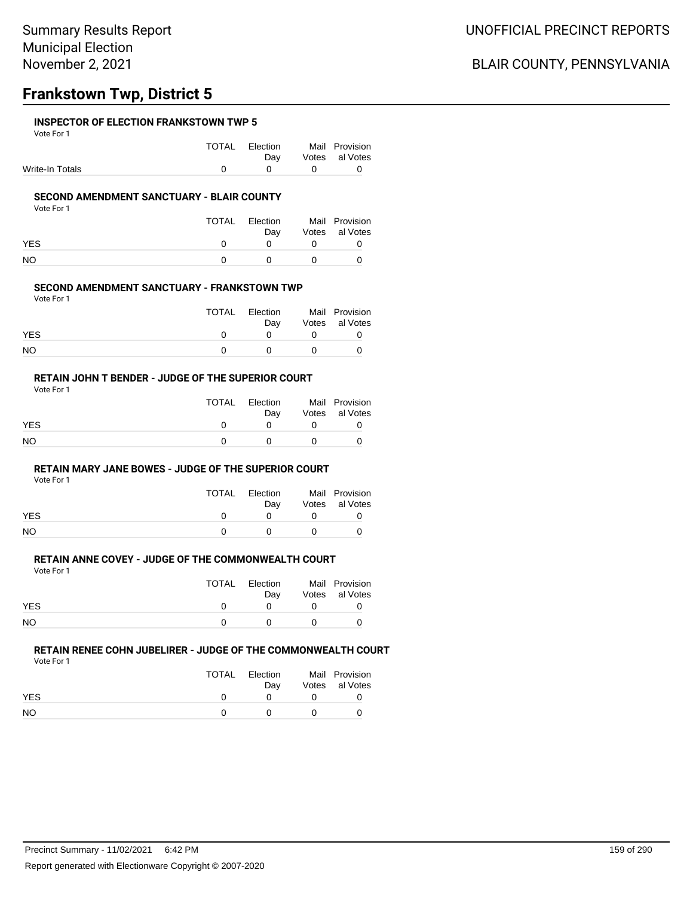## **Frankstown Twp, District 5**

#### **INSPECTOR OF ELECTION FRANKSTOWN TWP 5**

Vote For 1

|                 | TOTAL Election                               | Mail Provision     |
|-----------------|----------------------------------------------|--------------------|
|                 |                                              | Day Votes al Votes |
| Write-In Totals | $\begin{array}{ccc}\n0 & 0 & 0\n\end{array}$ |                    |

#### **SECOND AMENDMENT SANCTUARY - BLAIR COUNTY**

Vote For 1

|            | TOTAL | Election<br>Dav | Mail Provision<br>Votes al Votes |
|------------|-------|-----------------|----------------------------------|
| <b>YES</b> |       |                 |                                  |
| NO.        |       |                 |                                  |

#### **SECOND AMENDMENT SANCTUARY - FRANKSTOWN TWP**

Vote For 1

|            | TOTAL | Election<br>Dav | Mail Provision<br>Votes al Votes |
|------------|-------|-----------------|----------------------------------|
| <b>YES</b> |       |                 |                                  |
| <b>NO</b>  |       |                 |                                  |

#### **RETAIN JOHN T BENDER - JUDGE OF THE SUPERIOR COURT** Vote For 1

|            | TOTAL | Election<br>Dav |              | Mail Provision<br>Votes al Votes |
|------------|-------|-----------------|--------------|----------------------------------|
| <b>YES</b> |       |                 |              |                                  |
| <b>NO</b>  |       |                 | $\mathbf{u}$ |                                  |

### **RETAIN MARY JANE BOWES - JUDGE OF THE SUPERIOR COURT**

Vote For 1

| <b>TOTAL</b> | Election<br>Dav |              | Mail Provision<br>Votes al Votes |
|--------------|-----------------|--------------|----------------------------------|
| $\mathbf{U}$ | <sup>n</sup>    |              |                                  |
|              | $^{\prime}$     | $\mathbf{U}$ |                                  |
|              |                 |              |                                  |

## **RETAIN ANNE COVEY - JUDGE OF THE COMMONWEALTH COURT**

Vote For 1

|            | TOTAL | Election | Mail Provision |
|------------|-------|----------|----------------|
|            |       | Dav      | Votes al Votes |
| <b>YES</b> |       |          |                |
| <b>NO</b>  |       |          |                |

### **RETAIN RENEE COHN JUBELIRER - JUDGE OF THE COMMONWEALTH COURT**

|           | TOTAL | Election<br>Dav | Mail Provision<br>Votes al Votes |
|-----------|-------|-----------------|----------------------------------|
| YES       |       |                 |                                  |
| <b>NO</b> |       |                 |                                  |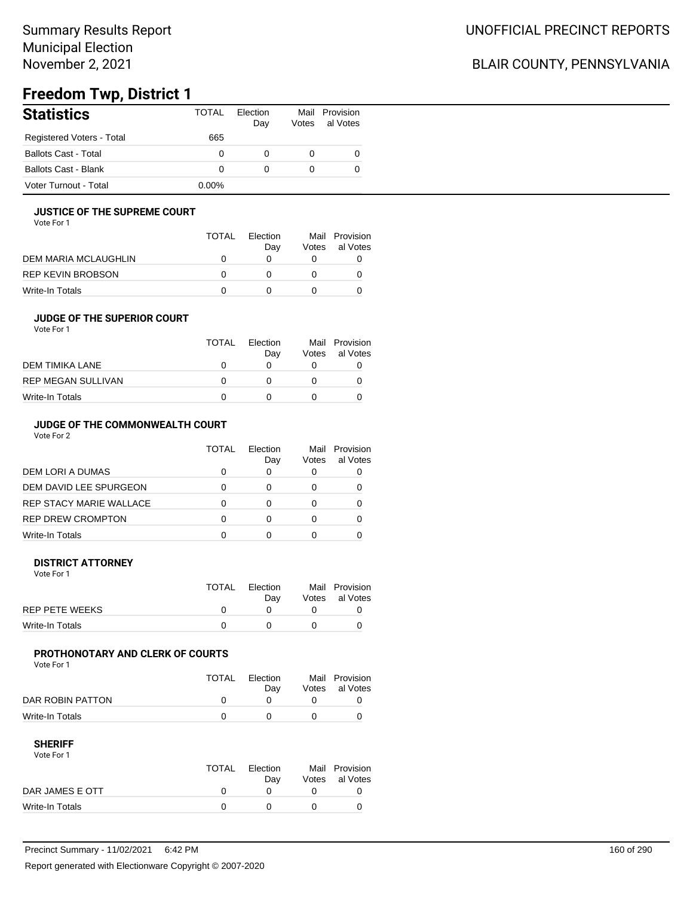### BLAIR COUNTY, PENNSYLVANIA

## **Freedom Twp, District 1**

| <b>Statistics</b>           | TOTAL    | <b>Flection</b><br>Day | Mail<br>Votes | Provision<br>al Votes |
|-----------------------------|----------|------------------------|---------------|-----------------------|
| Registered Voters - Total   | 665      |                        |               |                       |
| <b>Ballots Cast - Total</b> | 0        |                        |               |                       |
| <b>Ballots Cast - Blank</b> | 0        | 0                      |               |                       |
| Voter Turnout - Total       | $0.00\%$ |                        |               |                       |

#### **JUSTICE OF THE SUPREME COURT**

Vote For 1

|                      | TOTAL | Election<br>Dav | Votes | Mail Provision<br>al Votes |
|----------------------|-------|-----------------|-------|----------------------------|
| DEM MARIA MCLAUGHLIN |       |                 |       |                            |
| REP KEVIN BROBSON    |       |                 |       |                            |
| Write-In Totals      |       |                 |       |                            |

#### **JUDGE OF THE SUPERIOR COURT**

| Vote For 1 |  |  |
|------------|--|--|
|            |  |  |

|                           | <b>TOTAL</b> | Election<br>Day | Votes | Mail Provision<br>al Votes |
|---------------------------|--------------|-----------------|-------|----------------------------|
| DEM TIMIKA LANE           |              |                 |       |                            |
| <b>REP MEGAN SULLIVAN</b> |              |                 |       |                            |
| Write-In Totals           |              |                 |       |                            |
|                           |              |                 |       |                            |

### **JUDGE OF THE COMMONWEALTH COURT**

Vote For 2

|                                | TOTAL | Flection<br>Day | Votes | Mail Provision<br>al Votes |
|--------------------------------|-------|-----------------|-------|----------------------------|
| DEM LORI A DUMAS               |       |                 |       |                            |
| DEM DAVID LEE SPURGEON         |       |                 |       |                            |
| <b>REP STACY MARIE WALLACE</b> |       |                 |       |                            |
| <b>REP DREW CROMPTON</b>       |       |                 |       |                            |
| Write-In Totals                |       |                 |       |                            |

#### **DISTRICT ATTORNEY**

| Vote For 1            |              |                 |                                  |
|-----------------------|--------------|-----------------|----------------------------------|
|                       | <b>TOTAL</b> | Election<br>Dav | Mail Provision<br>Votes al Votes |
| <b>REP PETE WEEKS</b> |              |                 |                                  |
| Write-In Totals       |              |                 |                                  |

### **PROTHONOTARY AND CLERK OF COURTS**

Vote For 1

|                  | <b>TOTAL</b> | Election<br>Dav | Mail Provision<br>Votes al Votes |
|------------------|--------------|-----------------|----------------------------------|
| DAR ROBIN PATTON |              |                 |                                  |
| Write-In Totals  |              |                 |                                  |

| Vote For 1      |       |                 |                                  |
|-----------------|-------|-----------------|----------------------------------|
|                 | TOTAL | Election<br>Dav | Mail Provision<br>Votes al Votes |
| DAR JAMES E OTT |       |                 |                                  |
| Write-In Totals |       |                 |                                  |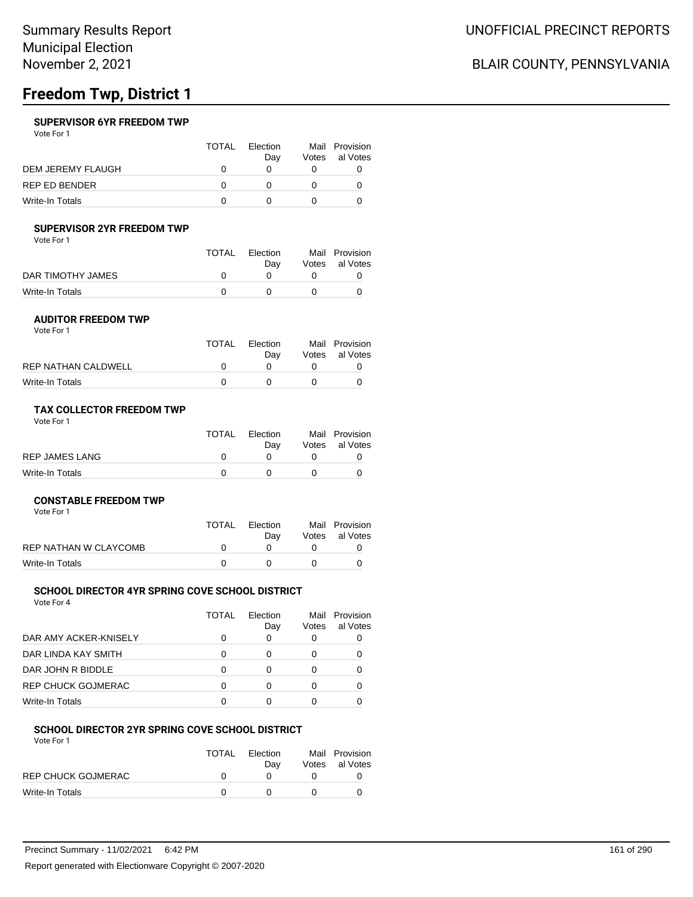# **Freedom Twp, District 1**

#### **SUPERVISOR 6YR FREEDOM TWP**

Vote For 1

|                      | <b>TOTAL</b> | Election<br>Dav | Votes | Mail Provision<br>al Votes |
|----------------------|--------------|-----------------|-------|----------------------------|
| DEM JEREMY FLAUGH    |              |                 |       |                            |
| <b>REP ED BENDER</b> |              |                 |       |                            |
| Write-In Totals      |              |                 |       |                            |

### **SUPERVISOR 2YR FREEDOM TWP**

| Vote For 1 |  |
|------------|--|
|------------|--|

|                   | TOTAL | Election | Mail Provision |
|-------------------|-------|----------|----------------|
|                   |       | Dav      | Votes al Votes |
| DAR TIMOTHY JAMES |       |          |                |
| Write-In Totals   |       |          |                |

#### **AUDITOR FREEDOM TWP**

| Vote For 1          |              |                 |                                  |
|---------------------|--------------|-----------------|----------------------------------|
|                     | <b>TOTAL</b> | Election<br>Dav | Mail Provision<br>Votes al Votes |
| REP NATHAN CALDWELL |              |                 |                                  |
| Write-In Totals     |              |                 |                                  |

#### **TAX COLLECTOR FREEDOM TWP**

| Vote For 1 |  |
|------------|--|
|------------|--|

|                 | <b>TOTAL</b> | Election<br>Dav | Mail Provision<br>Votes al Votes |
|-----------------|--------------|-----------------|----------------------------------|
| REP JAMES LANG  |              |                 |                                  |
| Write-In Totals |              |                 |                                  |

#### **CONSTABLE FREEDOM TWP**

Vote For 1

|                       | <b>TOTAL</b> | Election<br>Dav | Mail Provision<br>Votes al Votes |
|-----------------------|--------------|-----------------|----------------------------------|
| REP NATHAN W CLAYCOMB |              |                 |                                  |
| Write-In Totals       |              |                 |                                  |

#### **SCHOOL DIRECTOR 4YR SPRING COVE SCHOOL DISTRICT**

Vote For 4

|                       | TOTAL | <b>Flection</b><br>Day | Votes        | Mail Provision<br>al Votes |
|-----------------------|-------|------------------------|--------------|----------------------------|
| DAR AMY ACKER-KNISELY |       | O                      | O            |                            |
| DAR LINDA KAY SMITH   |       | O                      | $\mathbf{0}$ |                            |
| DAR JOHN R BIDDLE     |       | O                      | $\mathbf{0}$ |                            |
| REP CHUCK GOJMERAC    |       | O                      |              |                            |
| Write-In Totals       |       |                        |              |                            |

#### **SCHOOL DIRECTOR 2YR SPRING COVE SCHOOL DISTRICT**

Vote For 1

|                    | <b>TOTAL</b> | Election<br>Dav | Mail Provision<br>Votes al Votes |
|--------------------|--------------|-----------------|----------------------------------|
| REP CHUCK GOJMERAC |              |                 |                                  |
| Write-In Totals    |              |                 |                                  |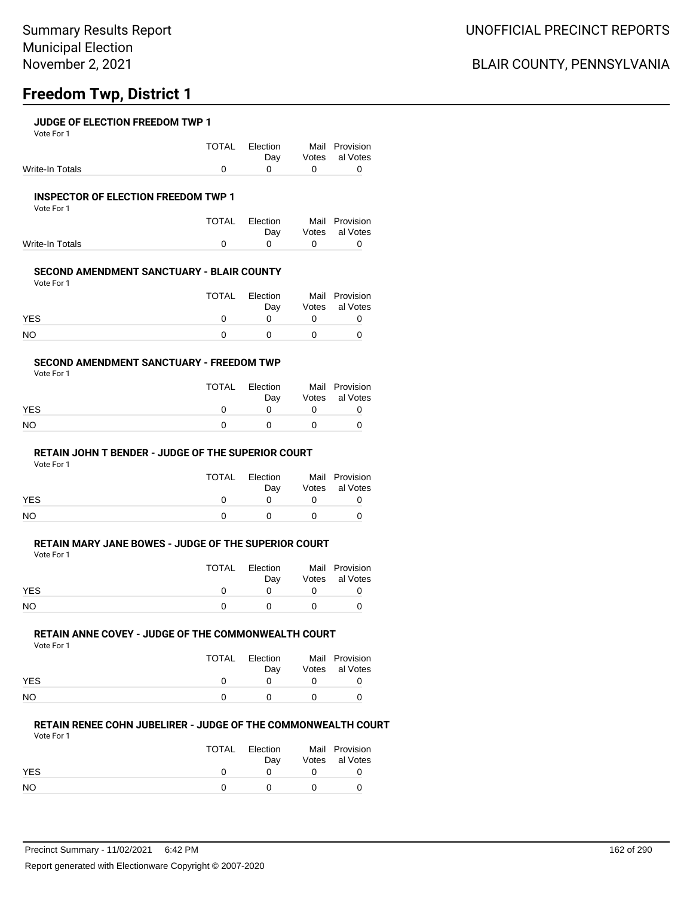## **Freedom Twp, District 1**

#### **JUDGE OF ELECTION FREEDOM TWP 1**

Vote For 1

|                 | TOTAL Election                               | Mail Provision     |
|-----------------|----------------------------------------------|--------------------|
|                 |                                              | Day Votes al Votes |
| Write-In Totals | $\begin{array}{ccc}\n0 & 0 & 0\n\end{array}$ |                    |

#### **INSPECTOR OF ELECTION FREEDOM TWP 1**

Vote For 1

|                 | TOTAL Election |              | Mail Provision |
|-----------------|----------------|--------------|----------------|
|                 | Dav            |              | Votes al Votes |
| Write-In Totals |                | $\mathbf{a}$ |                |

#### **SECOND AMENDMENT SANCTUARY - BLAIR COUNTY**

Vote For 1

|            | TOTAL | Election | Mail Provision |
|------------|-------|----------|----------------|
|            |       | Dav      | Votes al Votes |
| <b>YES</b> |       |          |                |
| NO         |       |          |                |

#### **SECOND AMENDMENT SANCTUARY - FREEDOM TWP**

Vote For 1

|            | TOTAL | Election<br>Dav | Mail Provision<br>Votes al Votes |
|------------|-------|-----------------|----------------------------------|
| <b>YES</b> |       |                 |                                  |
| NO.        |       | $\mathbf{U}$    |                                  |

#### **RETAIN JOHN T BENDER - JUDGE OF THE SUPERIOR COURT**

Vote For 1

|            | TOTAL | Election | Mail Provision |
|------------|-------|----------|----------------|
|            |       | Dav      | Votes al Votes |
| <b>YES</b> |       |          |                |
| NO         |       |          |                |

### **RETAIN MARY JANE BOWES - JUDGE OF THE SUPERIOR COURT**

Vote For 1

|            | <b>TOTAL</b> | Election<br>Dav | Mail Provision<br>Votes al Votes |
|------------|--------------|-----------------|----------------------------------|
| <b>YES</b> |              |                 |                                  |
| <b>NO</b>  |              |                 |                                  |

#### **RETAIN ANNE COVEY - JUDGE OF THE COMMONWEALTH COURT**

Vote For 1

|            | <b>TOTAL</b> | Election<br>Dav | Mail Provision<br>Votes al Votes |
|------------|--------------|-----------------|----------------------------------|
| <b>YES</b> |              |                 |                                  |
| NO         |              | $^{\prime}$     |                                  |

### **RETAIN RENEE COHN JUBELIRER - JUDGE OF THE COMMONWEALTH COURT**

Vote For 1

|            | TOTAL | Election<br>Dav | Mail Provision<br>Votes al Votes |
|------------|-------|-----------------|----------------------------------|
| <b>YES</b> |       |                 |                                  |
| NO.        |       |                 |                                  |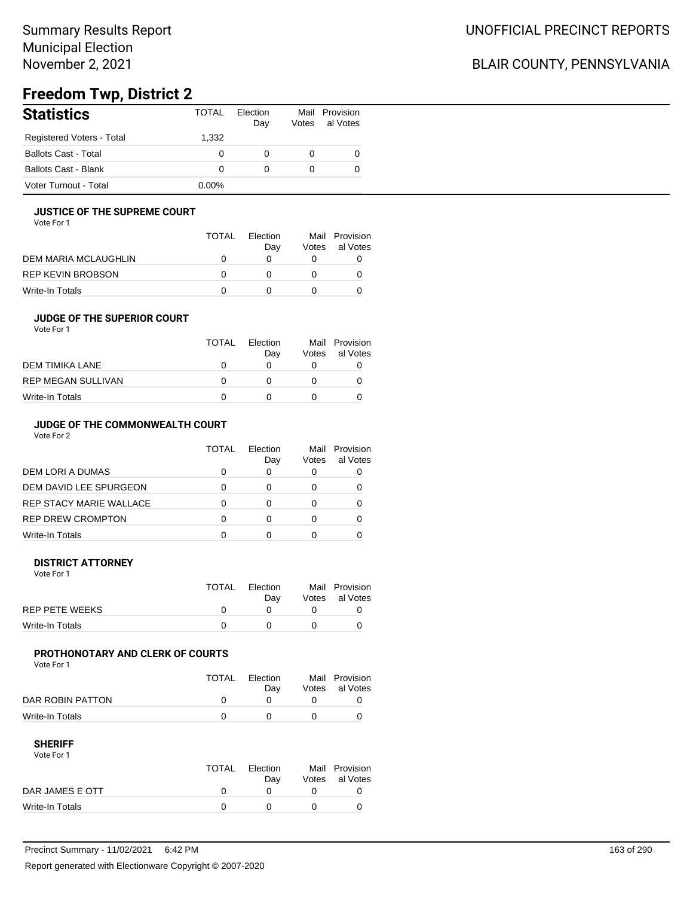### BLAIR COUNTY, PENNSYLVANIA

## **Freedom Twp, District 2**

| <b>Statistics</b>           | TOTAL    | Flection<br>Dav | Votes | Mail Provision<br>al Votes |
|-----------------------------|----------|-----------------|-------|----------------------------|
| Registered Voters - Total   | 1.332    |                 |       |                            |
| <b>Ballots Cast - Total</b> | 0        |                 |       | 0                          |
| <b>Ballots Cast - Blank</b> | 0        | 0               |       |                            |
| Voter Turnout - Total       | $0.00\%$ |                 |       |                            |

#### **JUSTICE OF THE SUPREME COURT**

Vote For 1

|                      | <b>TOTAL</b> | Election<br>Dav | Votes | Mail Provision<br>al Votes |
|----------------------|--------------|-----------------|-------|----------------------------|
| DEM MARIA MCLAUGHLIN |              |                 |       |                            |
| REP KEVIN BROBSON    |              |                 |       |                            |
| Write-In Totals      |              |                 |       |                            |

### **JUDGE OF THE SUPERIOR COURT**

| <b>TOTAL</b> | Election |     | Mail Provision<br>al Votes |
|--------------|----------|-----|----------------------------|
|              |          |     |                            |
|              |          |     |                            |
|              |          |     |                            |
|              |          | Dav | Votes                      |

### **JUDGE OF THE COMMONWEALTH COURT**

Vote For 2

|                                | TOTAL | Flection<br>Day | Votes | Mail Provision<br>al Votes |
|--------------------------------|-------|-----------------|-------|----------------------------|
| DEM LORI A DUMAS               |       |                 |       |                            |
| DEM DAVID LEE SPURGEON         |       |                 |       |                            |
| <b>REP STACY MARIE WALLACE</b> |       |                 |       |                            |
| <b>REP DREW CROMPTON</b>       |       |                 |       |                            |
| Write-In Totals                |       |                 |       |                            |

#### **DISTRICT ATTORNEY**

| Vote For 1            |       |                 |                                  |
|-----------------------|-------|-----------------|----------------------------------|
|                       | TOTAL | Election<br>Dav | Mail Provision<br>Votes al Votes |
| <b>REP PETE WEEKS</b> |       |                 |                                  |
| Write-In Totals       |       |                 |                                  |

### **PROTHONOTARY AND CLERK OF COURTS**

Vote For 1

|                  | <b>TOTAL</b> | Election<br>Dav | Mail Provision<br>Votes al Votes |
|------------------|--------------|-----------------|----------------------------------|
| DAR ROBIN PATTON |              |                 |                                  |
| Write-In Totals  |              |                 |                                  |

| Vote For 1      |       |          |                |
|-----------------|-------|----------|----------------|
|                 | TOTAL | Election | Mail Provision |
|                 |       | Dav      | Votes al Votes |
| DAR JAMES E OTT |       |          |                |
| Write-In Totals |       |          |                |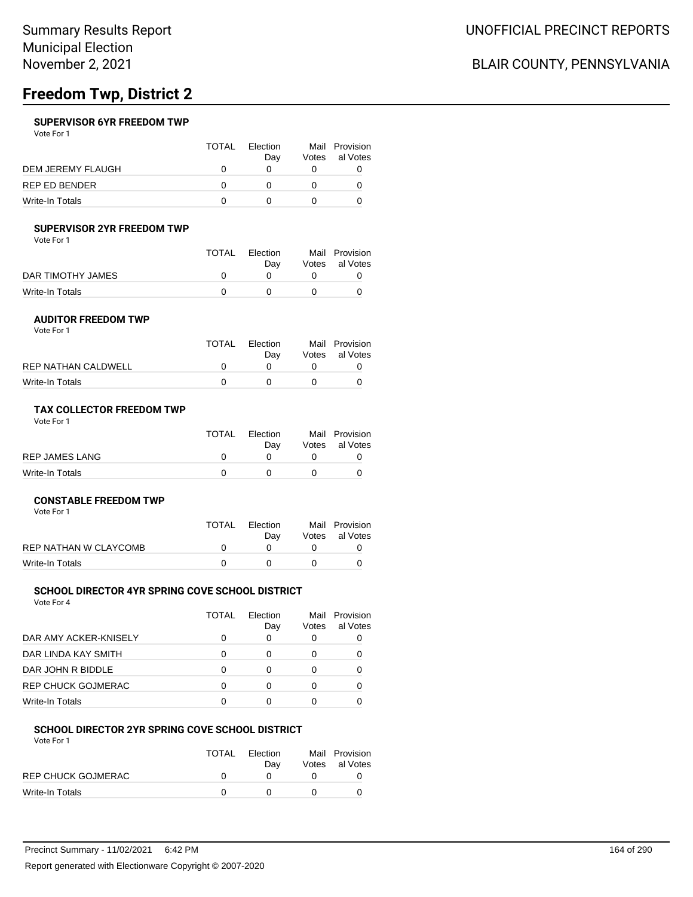# **Freedom Twp, District 2**

#### **SUPERVISOR 6YR FREEDOM TWP**

Vote For 1

|                      | <b>TOTAL</b> | Election<br>Dav | Votes | Mail Provision<br>al Votes |
|----------------------|--------------|-----------------|-------|----------------------------|
| DEM JEREMY FLAUGH    |              |                 |       |                            |
| <b>REP ED BENDER</b> |              |                 |       |                            |
| Write-In Totals      |              |                 |       |                            |

### **SUPERVISOR 2YR FREEDOM TWP**

| Vote For 1 |  |  |
|------------|--|--|
|------------|--|--|

|                   | TOTAL | Election | Mail Provision |
|-------------------|-------|----------|----------------|
|                   |       | Dav      | Votes al Votes |
| DAR TIMOTHY JAMES |       |          |                |
| Write-In Totals   |       |          |                |

#### **AUDITOR FREEDOM TWP** Vote For 1

|                     | TOTAL | Election<br>Dav | Mail Provision<br>Votes al Votes |
|---------------------|-------|-----------------|----------------------------------|
| REP NATHAN CALDWELL |       |                 |                                  |
| Write-In Totals     |       |                 |                                  |

#### **TAX COLLECTOR FREEDOM TWP**

| Vote For 1 |
|------------|
|------------|

|                 | <b>TOTAL</b> | Election<br>Dav | Mail Provision<br>Votes al Votes |
|-----------------|--------------|-----------------|----------------------------------|
| REP JAMES LANG  |              |                 |                                  |
| Write-In Totals |              |                 |                                  |

#### **CONSTABLE FREEDOM TWP**

Vote For 1

|                       | <b>TOTAL</b> | Election<br>Dav | Mail Provision<br>Votes al Votes |
|-----------------------|--------------|-----------------|----------------------------------|
| REP NATHAN W CLAYCOMB |              |                 |                                  |
| Write-In Totals       |              |                 |                                  |

#### **SCHOOL DIRECTOR 4YR SPRING COVE SCHOOL DISTRICT**

Vote For 4

|                           | TOTAL | Flection<br>Day | Mail<br>Votes | Provision<br>al Votes |
|---------------------------|-------|-----------------|---------------|-----------------------|
| DAR AMY ACKER-KNISELY     |       | 0               |               |                       |
| DAR LINDA KAY SMITH       | 0     | Ω               |               |                       |
| DAR JOHN R BIDDLE         | O     | Ω               |               |                       |
| <b>REP CHUCK GOJMERAC</b> | 0     | Ω               |               |                       |
| Write-In Totals           | O     |                 |               |                       |

#### **SCHOOL DIRECTOR 2YR SPRING COVE SCHOOL DISTRICT**

Vote For 1

|                    | <b>TOTAL</b> | Election<br>Dav | Mail Provision<br>Votes al Votes |
|--------------------|--------------|-----------------|----------------------------------|
| REP CHUCK GOJMERAC |              |                 |                                  |
| Write-In Totals    |              |                 |                                  |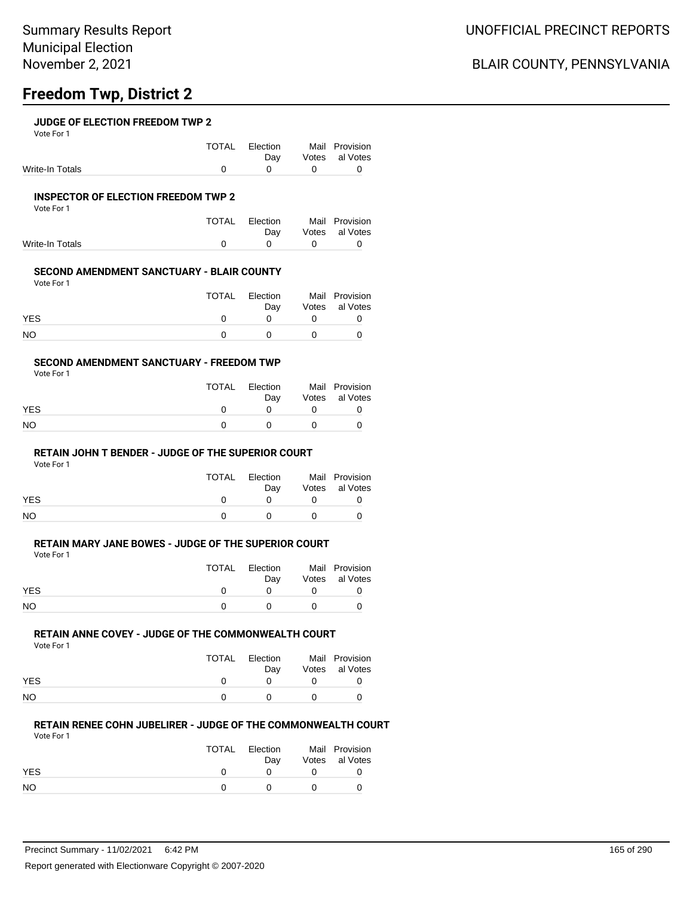## **Freedom Twp, District 2**

#### **JUDGE OF ELECTION FREEDOM TWP 2**

Vote For 1

|                 | TOTAL Election                               | Mail Provision     |
|-----------------|----------------------------------------------|--------------------|
|                 |                                              | Day Votes al Votes |
| Write-In Totals | $\begin{array}{ccc}\n0 & 0 & 0\n\end{array}$ |                    |

#### **INSPECTOR OF ELECTION FREEDOM TWP 2**

Vote For 1

|                 | TOTAL Election |     | Mail Provision |
|-----------------|----------------|-----|----------------|
|                 | Dav            |     | Votes al Votes |
| Write-In Totals |                | - റ |                |

#### **SECOND AMENDMENT SANCTUARY - BLAIR COUNTY**

Vote For 1

|            | TOTAL | Election | Mail Provision |
|------------|-------|----------|----------------|
|            |       | Dav      | Votes al Votes |
| <b>YES</b> |       |          |                |
| NO         |       |          |                |

#### **SECOND AMENDMENT SANCTUARY - FREEDOM TWP**

Vote For 1

|            | TOTAL | Election<br>Dav | Mail Provision<br>Votes al Votes |
|------------|-------|-----------------|----------------------------------|
| <b>YES</b> |       |                 |                                  |
| <b>NO</b>  |       | <sup>0</sup>    |                                  |

#### **RETAIN JOHN T BENDER - JUDGE OF THE SUPERIOR COURT**

Vote For 1

|            | TOTAL | Election     | Mail Provision |
|------------|-------|--------------|----------------|
|            |       | Dav          | Votes al Votes |
| <b>YES</b> |       |              |                |
| NO         |       | $\mathbf{U}$ |                |

### **RETAIN MARY JANE BOWES - JUDGE OF THE SUPERIOR COURT**

Vote For 1

|            | <b>TOTAL</b> | Election<br>Dav | Mail Provision<br>Votes al Votes |
|------------|--------------|-----------------|----------------------------------|
| <b>YES</b> |              |                 |                                  |
| NO.        |              |                 |                                  |

#### **RETAIN ANNE COVEY - JUDGE OF THE COMMONWEALTH COURT**

Vote For 1

|            | <b>TOTAL</b> | Election<br>Dav | Mail Provision<br>Votes al Votes |
|------------|--------------|-----------------|----------------------------------|
| <b>YES</b> |              |                 |                                  |
| NO.        |              | n               |                                  |

### **RETAIN RENEE COHN JUBELIRER - JUDGE OF THE COMMONWEALTH COURT**

Vote For 1

|            | TOTAL | Election<br>Dav | Mail Provision<br>Votes al Votes |
|------------|-------|-----------------|----------------------------------|
| <b>YES</b> |       |                 |                                  |
| NO.        |       |                 |                                  |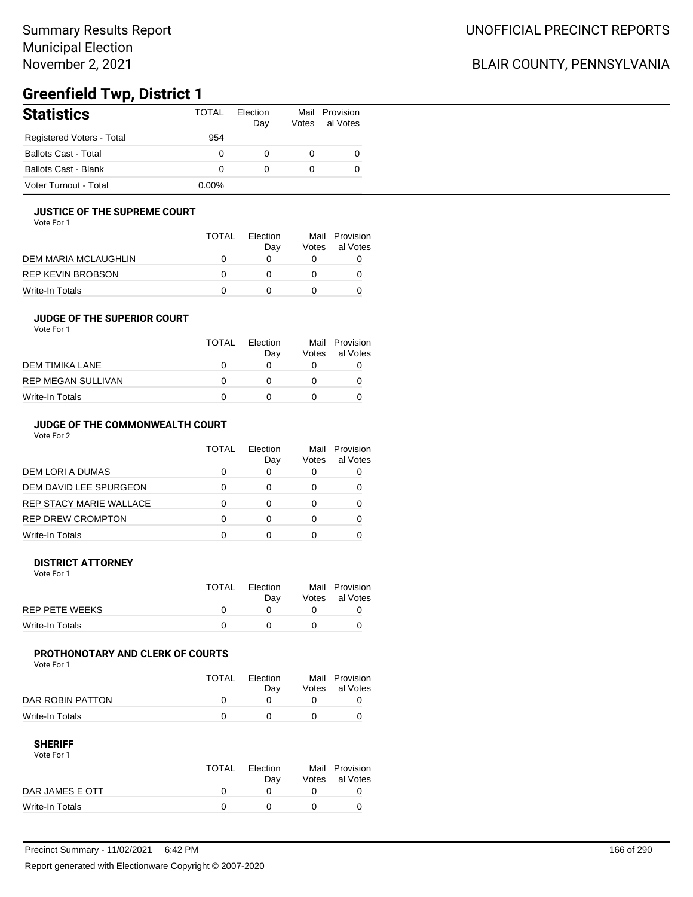### BLAIR COUNTY, PENNSYLVANIA

## **Greenfield Twp, District 1**

| <b>Statistics</b>           | <b>TOTAL</b> | Election<br>Day | Mail<br>Votes | Provision<br>al Votes |
|-----------------------------|--------------|-----------------|---------------|-----------------------|
| Registered Voters - Total   | 954          |                 |               |                       |
| <b>Ballots Cast - Total</b> | 0            | 0               | 0             |                       |
| Ballots Cast - Blank        | 0            | 0               | 0             |                       |
| Voter Turnout - Total       | $0.00\%$     |                 |               |                       |

#### **JUSTICE OF THE SUPREME COURT**

Vote For 1

|                      | TOTAL | Election<br>Dav | Votes | Mail Provision<br>al Votes |
|----------------------|-------|-----------------|-------|----------------------------|
| DEM MARIA MCLAUGHLIN |       |                 |       |                            |
| REP KEVIN BROBSON    |       |                 |       |                            |
| Write-In Totals      |       |                 |       |                            |

#### **JUDGE OF THE SUPERIOR COURT**

| Vote For 1 |  |  |
|------------|--|--|
|            |  |  |

|                    | TOTAL        | Election |       | Mail Provision |
|--------------------|--------------|----------|-------|----------------|
|                    |              | Day      | Votes | al Votes       |
| DEM TIMIKA LANE    | $\mathbf{U}$ |          |       |                |
| REP MEGAN SULLIVAN | n            |          |       |                |
| Write-In Totals    | n            |          |       |                |
|                    |              |          |       |                |

### **JUDGE OF THE COMMONWEALTH COURT**

Vote For 2

|                                | TOTAL | Flection<br>Day | Votes | Mail Provision<br>al Votes |
|--------------------------------|-------|-----------------|-------|----------------------------|
| DEM LORI A DUMAS               |       |                 |       |                            |
| DEM DAVID LEE SPURGEON         |       |                 |       |                            |
| <b>REP STACY MARIE WALLACE</b> |       |                 |       |                            |
| <b>REP DREW CROMPTON</b>       |       |                 |       |                            |
| Write-In Totals                |       |                 |       |                            |

#### **DISTRICT ATTORNEY**

| Vote For 1            |       |                 |                                  |
|-----------------------|-------|-----------------|----------------------------------|
|                       | TOTAL | Election<br>Dav | Mail Provision<br>Votes al Votes |
| <b>REP PETE WEEKS</b> |       |                 |                                  |
| Write-In Totals       |       |                 |                                  |

### **PROTHONOTARY AND CLERK OF COURTS**

Vote For 1

|                  | <b>TOTAL</b> | Election<br>Dav | Mail Provision<br>Votes al Votes |
|------------------|--------------|-----------------|----------------------------------|
| DAR ROBIN PATTON |              |                 |                                  |
| Write-In Totals  |              |                 |                                  |

| Vote For 1      |       |          |                |
|-----------------|-------|----------|----------------|
|                 | TOTAL | Election | Mail Provision |
|                 |       | Dav      | Votes al Votes |
| DAR JAMES E OTT |       |          |                |
| Write-In Totals |       |          |                |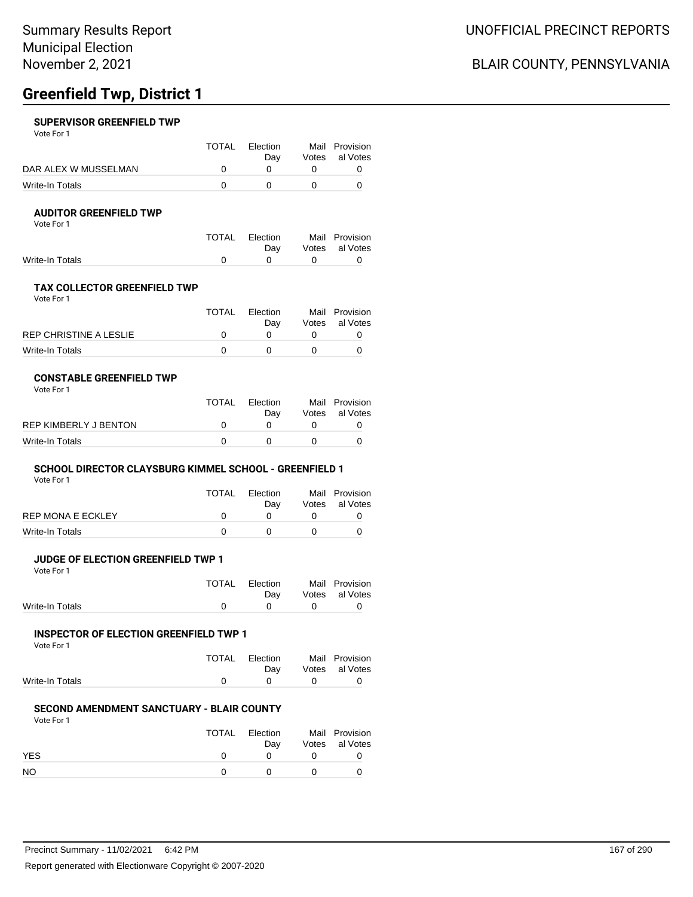## **Greenfield Twp, District 1**

#### **SUPERVISOR GREENFIELD TWP**

Vote For 1

|                      | TOTAL | Election | Mail Provision |
|----------------------|-------|----------|----------------|
|                      |       | Dav      | Votes al Votes |
| DAR ALEX W MUSSELMAN |       |          |                |
| Write-In Totals      |       |          |                |

#### **AUDITOR GREENFIELD TWP**

Vote For 1

|                 | TOTAL Election |           | Mail Provision |
|-----------------|----------------|-----------|----------------|
|                 | Dav            |           | Votes al Votes |
| Write-In Totals |                | $\bigcap$ |                |

#### **TAX COLLECTOR GREENFIELD TWP**

Vote For 1

|                        | TOTAL | Election<br>Dav | Mail Provision<br>Votes al Votes |
|------------------------|-------|-----------------|----------------------------------|
| REP CHRISTINE A LESLIE |       |                 |                                  |
| Write-In Totals        |       |                 |                                  |

#### **CONSTABLE GREENFIELD TWP**

| Vote For 1 |
|------------|
|------------|

|                       | TOTAL | Election | Mail Provision |
|-----------------------|-------|----------|----------------|
|                       |       | Dav      | Votes al Votes |
| REP KIMBERLY J BENTON |       |          |                |
| Write-In Totals       |       |          |                |

### **SCHOOL DIRECTOR CLAYSBURG KIMMEL SCHOOL - GREENFIELD 1**

Vote For 1

|                   | TOTAL | Election<br>Dav | Mail Provision<br>Votes al Votes |
|-------------------|-------|-----------------|----------------------------------|
| REP MONA E ECKLEY |       |                 |                                  |
| Write-In Totals   |       |                 |                                  |

#### **JUDGE OF ELECTION GREENFIELD TWP 1**

Vote For 1

|                 | TOTAL Election | Mail Provision |
|-----------------|----------------|----------------|
|                 | Dav            | Votes al Votes |
| Write-In Totals |                |                |

#### **INSPECTOR OF ELECTION GREENFIELD TWP 1**

Vote For 1

|                 | TOTAL Election |             | Mail Provision |
|-----------------|----------------|-------------|----------------|
|                 | Dav            |             | Votes al Votes |
| Write-In Totals |                | $^{\prime}$ |                |

#### **SECOND AMENDMENT SANCTUARY - BLAIR COUNTY**

| Vote For 1 |              |                 |                                  |
|------------|--------------|-----------------|----------------------------------|
|            | <b>TOTAL</b> | Election<br>Dav | Mail Provision<br>Votes al Votes |
| <b>YES</b> |              |                 |                                  |
| NO.        |              |                 |                                  |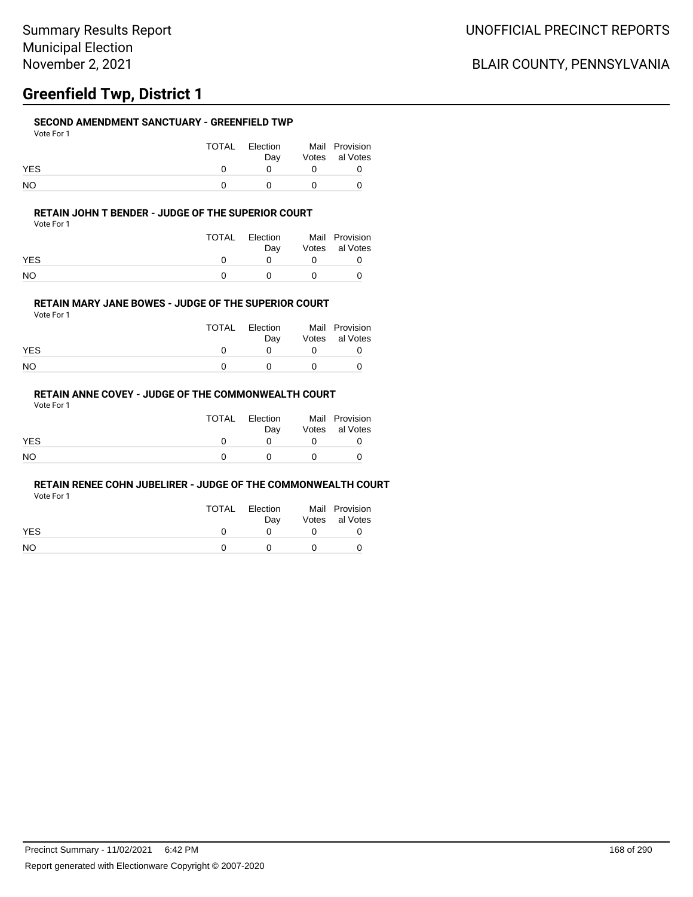## **Greenfield Twp, District 1**

#### **SECOND AMENDMENT SANCTUARY - GREENFIELD TWP**

| Vote For 1 |
|------------|
|------------|

|            | TOTAL | Election<br>Dav |              | Mail Provision<br>Votes al Votes |
|------------|-------|-----------------|--------------|----------------------------------|
| <b>YES</b> |       |                 |              |                                  |
| <b>NO</b>  |       |                 | $\mathbf{O}$ |                                  |

#### **RETAIN JOHN T BENDER - JUDGE OF THE SUPERIOR COURT**

Vote For 1

|            | TOTAL | Election<br>Dav | Mail Provision<br>Votes al Votes |
|------------|-------|-----------------|----------------------------------|
| <b>YES</b> |       |                 |                                  |
| NO         |       |                 |                                  |

#### **RETAIN MARY JANE BOWES - JUDGE OF THE SUPERIOR COURT**

Vote For 1

|            | TOTAL | Election<br>Dav |          | Mail Provision<br>Votes al Votes |
|------------|-------|-----------------|----------|----------------------------------|
| <b>YES</b> |       |                 |          |                                  |
| NO.        |       |                 | $\theta$ |                                  |

### **RETAIN ANNE COVEY - JUDGE OF THE COMMONWEALTH COURT**

Vote For 1

|            | TOTAL | Election<br>Dav | Mail Provision<br>Votes al Votes |
|------------|-------|-----------------|----------------------------------|
| <b>YES</b> |       | $^{\circ}$      |                                  |
| <b>NO</b>  |       | $^{\circ}$      |                                  |

#### **RETAIN RENEE COHN JUBELIRER - JUDGE OF THE COMMONWEALTH COURT**

|            | TOTAL | Election | Mail Provision |
|------------|-------|----------|----------------|
|            |       | Dav      | Votes al Votes |
| <b>YES</b> |       |          |                |
| NO         |       |          |                |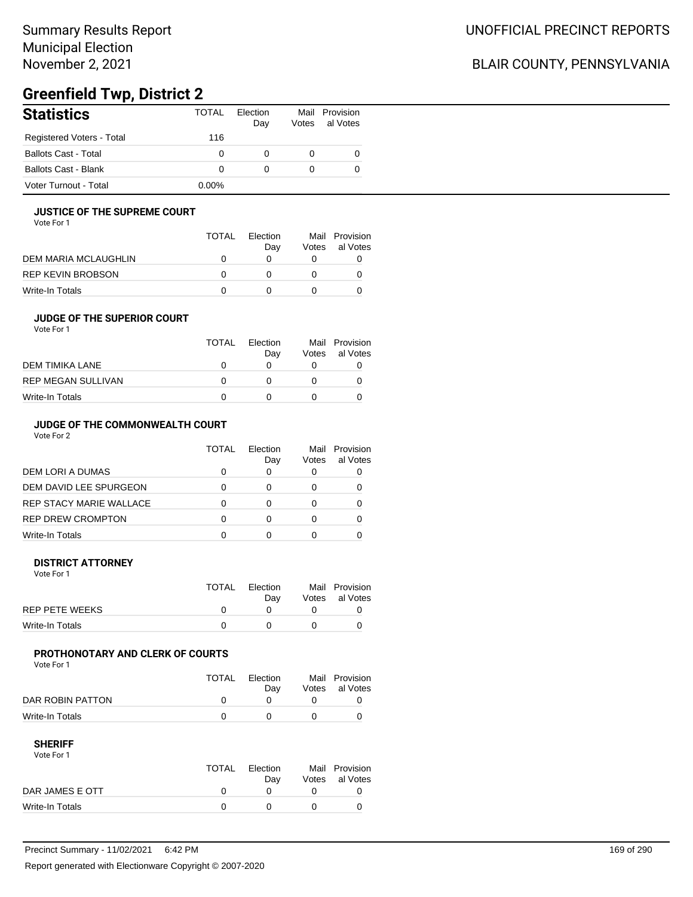### BLAIR COUNTY, PENNSYLVANIA

## **Greenfield Twp, District 2**

| <b>Statistics</b>           | <b>TOTAL</b> | Election<br>Day | Votes | Mail Provision<br>al Votes |
|-----------------------------|--------------|-----------------|-------|----------------------------|
| Registered Voters - Total   | 116          |                 |       |                            |
| <b>Ballots Cast - Total</b> | 0            |                 | 0     | 0                          |
| Ballots Cast - Blank        | 0            |                 |       | 0                          |
| Voter Turnout - Total       | $0.00\%$     |                 |       |                            |

#### **JUSTICE OF THE SUPREME COURT**

Vote For 1

|                      | TOTAL | Election<br>Dav | Votes | Mail Provision<br>al Votes |
|----------------------|-------|-----------------|-------|----------------------------|
| DEM MARIA MCLAUGHLIN |       |                 |       |                            |
| REP KEVIN BROBSON    |       |                 |       |                            |
| Write-In Totals      |       |                 |       |                            |

#### **JUDGE OF THE SUPERIOR COURT**

| Vote For 1 |  |  |
|------------|--|--|
|            |  |  |

| <b>TOTAL</b> | Election |     | Mail Provision<br>al Votes |
|--------------|----------|-----|----------------------------|
|              |          |     |                            |
|              |          |     |                            |
|              |          |     |                            |
|              |          | Dav | Votes                      |

### **JUDGE OF THE COMMONWEALTH COURT**

Vote For 2

|                                | TOTAL | Flection<br>Day | Mail<br>Votes | Provision<br>al Votes |
|--------------------------------|-------|-----------------|---------------|-----------------------|
| DEM LORI A DUMAS               |       |                 |               |                       |
| DEM DAVID LEE SPURGEON         |       |                 |               |                       |
| <b>REP STACY MARIE WALLACE</b> |       |                 |               |                       |
| <b>REP DREW CROMPTON</b>       |       |                 |               |                       |
| Write-In Totals                |       |                 |               |                       |

#### **DISTRICT ATTORNEY**

| Vote For 1            |              |                 |                                  |
|-----------------------|--------------|-----------------|----------------------------------|
|                       | <b>TOTAL</b> | Election<br>Dav | Mail Provision<br>Votes al Votes |
| <b>REP PETE WEEKS</b> |              |                 |                                  |
| Write-In Totals       |              |                 |                                  |

### **PROTHONOTARY AND CLERK OF COURTS**

Vote For 1

|                  | TOTAL | Election<br>Dav | Mail Provision<br>Votes al Votes |
|------------------|-------|-----------------|----------------------------------|
| DAR ROBIN PATTON |       |                 |                                  |
| Write-In Totals  |       |                 |                                  |

| Vote For 1      |       |          |                |
|-----------------|-------|----------|----------------|
|                 | TOTAL | Election | Mail Provision |
|                 |       | Dav      | Votes al Votes |
| DAR JAMES E OTT |       |          |                |
| Write-In Totals |       |          |                |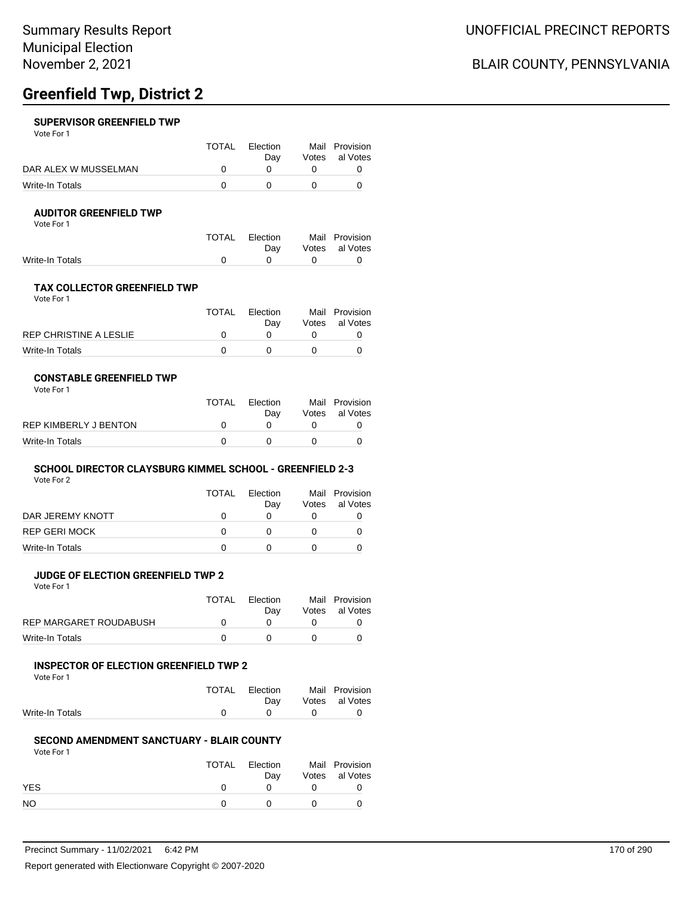## **Greenfield Twp, District 2**

#### **SUPERVISOR GREENFIELD TWP**

Vote For 1

|                      | TOTAI | <b>Flection</b><br>Dav | Mail Provision<br>Votes al Votes |
|----------------------|-------|------------------------|----------------------------------|
| DAR ALEX W MUSSELMAN |       |                        |                                  |
| Write-In Totals      |       |                        |                                  |

#### **AUDITOR GREENFIELD TWP**

Vote For 1

|                 | TOTAL Election |              | Mail Provision |
|-----------------|----------------|--------------|----------------|
|                 | Dav            |              | Votes al Votes |
| Write-In Totals |                | $\mathbf{u}$ |                |

#### **TAX COLLECTOR GREENFIELD TWP**

Vote For 1

|                        | TOTAL | Election<br>Dav | Mail Provision<br>Votes al Votes |
|------------------------|-------|-----------------|----------------------------------|
| REP CHRISTINE A LESLIE |       |                 |                                  |
| Write-In Totals        |       |                 |                                  |

#### **CONSTABLE GREENFIELD TWP**

| Vote For 1 |  |
|------------|--|
|------------|--|

|                       | TOTAL | Election | Mail Provision |
|-----------------------|-------|----------|----------------|
|                       |       | Dav      | Votes al Votes |
| REP KIMBERLY J BENTON |       |          |                |
| Write-In Totals       |       |          |                |

#### **SCHOOL DIRECTOR CLAYSBURG KIMMEL SCHOOL - GREENFIELD 2-3** Vote For 2

|                      | <b>TOTAL</b> | Election<br>Dav | Votes | Mail Provision<br>al Votes |
|----------------------|--------------|-----------------|-------|----------------------------|
| DAR JEREMY KNOTT     |              |                 |       |                            |
| <b>REP GERI MOCK</b> |              |                 |       |                            |
| Write-In Totals      |              |                 |       |                            |

#### **JUDGE OF ELECTION GREENFIELD TWP 2**

Vote For 1

|                               | TOTAL | Election | Mail Provision |
|-------------------------------|-------|----------|----------------|
|                               |       | Dav      | Votes al Votes |
| <b>REP MARGARET ROUDABUSH</b> |       |          |                |
| Write-In Totals               |       |          |                |

#### **INSPECTOR OF ELECTION GREENFIELD TWP 2**

Vote For 1

|                 | TOTAL Election                | Mail Provision |
|-----------------|-------------------------------|----------------|
|                 | Dav                           | Votes al Votes |
| Write-In Totals | $\overline{0}$ $\overline{0}$ |                |

#### **SECOND AMENDMENT SANCTUARY - BLAIR COUNTY**

Vote For 1

|            | TOTAL | Election<br>Dav | Mail Provision<br>Votes al Votes |
|------------|-------|-----------------|----------------------------------|
| <b>YES</b> |       |                 |                                  |
| NO         |       |                 |                                  |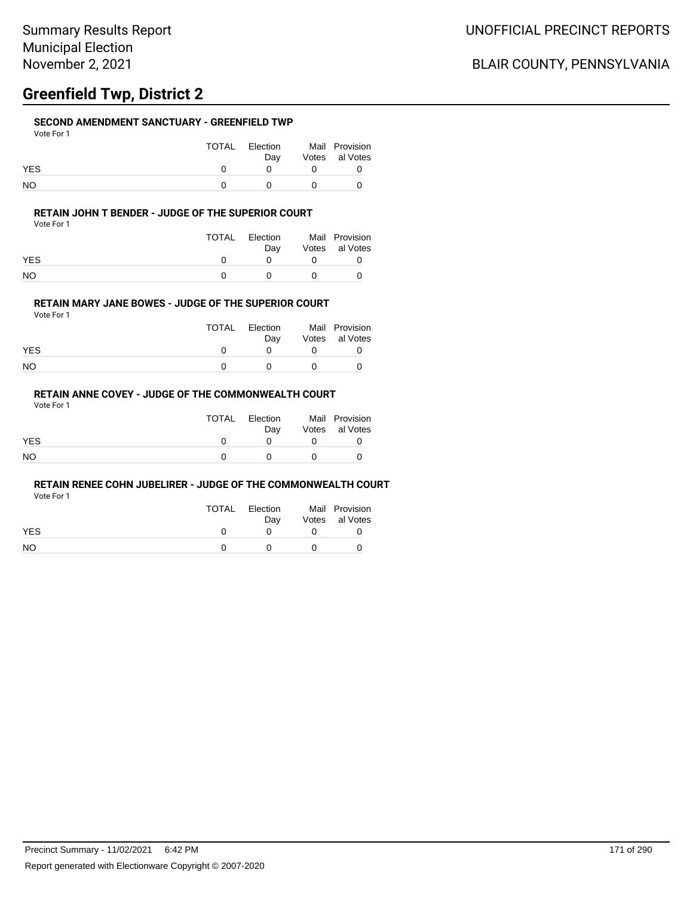## **Greenfield Twp, District 2**

#### **SECOND AMENDMENT SANCTUARY - GREENFIELD TWP**

Vote For 1

|            | TOTAL Election<br>Dav |            | Mail Provision<br>Votes al Votes |
|------------|-----------------------|------------|----------------------------------|
| <b>YES</b> | $\Omega$              |            |                                  |
| NO         |                       | $^{\circ}$ |                                  |

#### **RETAIN JOHN T BENDER - JUDGE OF THE SUPERIOR COURT**

Vote For 1

|            | TOTAL | Election<br>Dav | Mail Provision<br>Votes al Votes |
|------------|-------|-----------------|----------------------------------|
| <b>YES</b> |       |                 |                                  |
| NO         |       |                 |                                  |

#### **RETAIN MARY JANE BOWES - JUDGE OF THE SUPERIOR COURT**

Vote For 1

|            | TOTAL | Election<br>Dav |          | Mail Provision<br>Votes al Votes |
|------------|-------|-----------------|----------|----------------------------------|
| <b>YES</b> |       |                 |          |                                  |
| NO.        |       |                 | $\theta$ |                                  |

### **RETAIN ANNE COVEY - JUDGE OF THE COMMONWEALTH COURT**

Vote For 1

|            | TOTAL | Election<br>Dav |             | Mail Provision<br>Votes al Votes |
|------------|-------|-----------------|-------------|----------------------------------|
| <b>YES</b> |       | $^{\circ}$      | $^{\circ}$  |                                  |
| <b>NO</b>  |       | $^{\circ}$      | $^{\prime}$ |                                  |

#### **RETAIN RENEE COHN JUBELIRER - JUDGE OF THE COMMONWEALTH COURT**

|            | TOTAL | Election | Mail Provision |
|------------|-------|----------|----------------|
|            |       | Dav      | Votes al Votes |
| <b>YES</b> |       |          |                |
| NO         |       |          |                |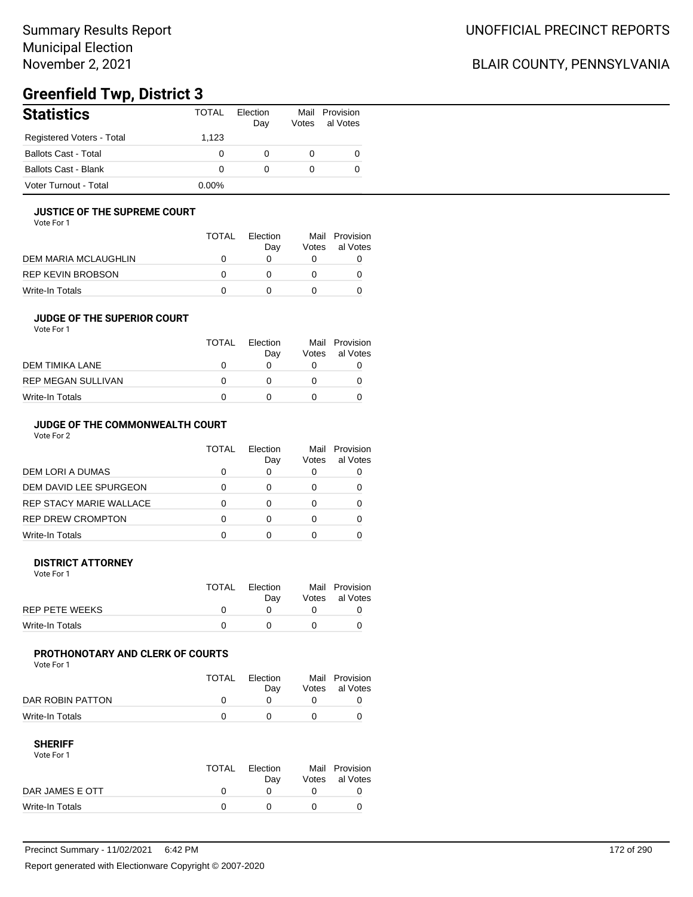### BLAIR COUNTY, PENNSYLVANIA

## **Greenfield Twp, District 3**

| <b>Statistics</b>           | <b>TOTAL</b> | Election<br>Day | Votes | Mail Provision<br>al Votes |
|-----------------------------|--------------|-----------------|-------|----------------------------|
| Registered Voters - Total   | 1.123        |                 |       |                            |
| <b>Ballots Cast - Total</b> |              | 0               | 0     |                            |
| <b>Ballots Cast - Blank</b> |              | 0               | 0     |                            |
| Voter Turnout - Total       | $0.00\%$     |                 |       |                            |

#### **JUSTICE OF THE SUPREME COURT**

Vote For 1

|                      | TOTAL | Election<br>Dav | Votes | Mail Provision<br>al Votes |
|----------------------|-------|-----------------|-------|----------------------------|
| DEM MARIA MCLAUGHLIN |       |                 |       |                            |
| REP KEVIN BROBSON    |       |                 |       |                            |
| Write-In Totals      |       |                 |       |                            |

### **JUDGE OF THE SUPERIOR COURT**

| Vote For 1 |  |  |
|------------|--|--|
|            |  |  |

|                           | <b>TOTAL</b> | Election |       | Mail Provision |
|---------------------------|--------------|----------|-------|----------------|
|                           |              | Day      | Votes | al Votes       |
| DEM TIMIKA LANE           | O            |          |       |                |
| <b>REP MEGAN SULLIVAN</b> | $^{\prime}$  |          |       |                |
| Write-In Totals           |              |          |       |                |
|                           |              |          |       |                |

### **JUDGE OF THE COMMONWEALTH COURT**

Vote For 2

|                                | TOTAL | Flection<br>Day | Votes | Mail Provision<br>al Votes |
|--------------------------------|-------|-----------------|-------|----------------------------|
| DEM LORI A DUMAS               |       |                 |       |                            |
| DEM DAVID LEE SPURGEON         |       |                 |       |                            |
| <b>REP STACY MARIE WALLACE</b> |       |                 |       |                            |
| <b>REP DREW CROMPTON</b>       |       |                 |       |                            |
| Write-In Totals                |       |                 |       |                            |

#### **DISTRICT ATTORNEY**

| Vote For 1            |              |                 |                                  |
|-----------------------|--------------|-----------------|----------------------------------|
|                       | <b>TOTAL</b> | Election<br>Dav | Mail Provision<br>Votes al Votes |
| <b>REP PETE WEEKS</b> |              |                 |                                  |
| Write-In Totals       |              |                 |                                  |

### **PROTHONOTARY AND CLERK OF COURTS**

Vote For 1

|                  | <b>TOTAL</b> | Election<br>Dav | Mail Provision<br>Votes al Votes |
|------------------|--------------|-----------------|----------------------------------|
| DAR ROBIN PATTON |              |                 |                                  |
| Write-In Totals  |              |                 |                                  |

| Vote For 1      |              |          |                |
|-----------------|--------------|----------|----------------|
|                 | <b>TOTAL</b> | Election | Mail Provision |
|                 |              | Dav      | Votes al Votes |
| DAR JAMES E OTT |              |          |                |
| Write-In Totals |              |          |                |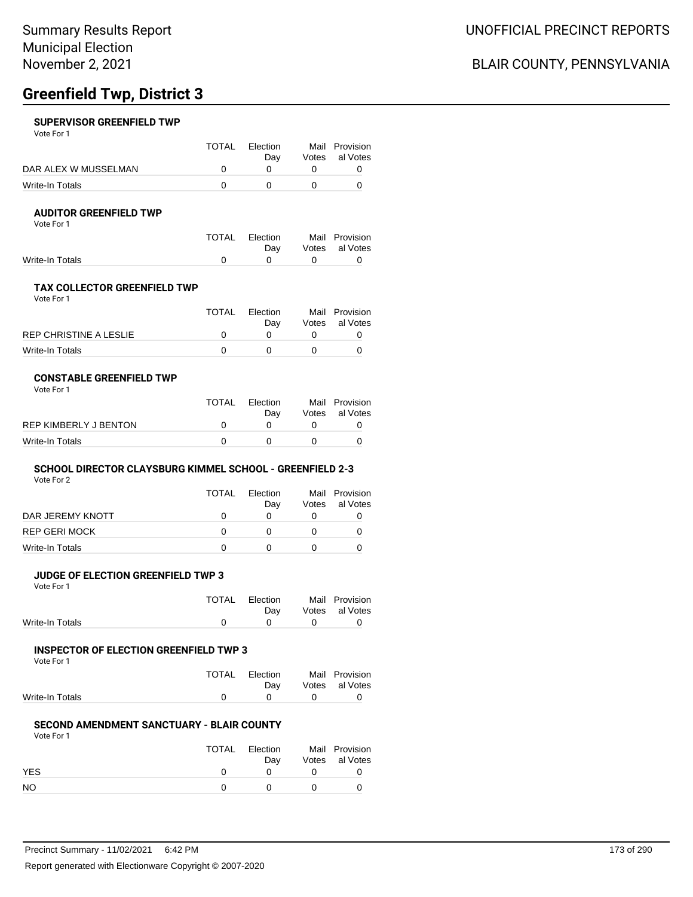## **Greenfield Twp, District 3**

#### **SUPERVISOR GREENFIELD TWP**

Vote For 1

|                      | TOTAL | Election | Mail Provision |
|----------------------|-------|----------|----------------|
|                      |       | Dav      | Votes al Votes |
| DAR ALEX W MUSSELMAN |       |          |                |
| Write-In Totals      |       |          |                |

#### **AUDITOR GREENFIELD TWP**

Vote For 1

|                 | TOTAL Election |           | Mail Provision |
|-----------------|----------------|-----------|----------------|
|                 | Dav            |           | Votes al Votes |
| Write-In Totals |                | $\bigcap$ |                |

#### **TAX COLLECTOR GREENFIELD TWP**

Vote For 1

|                        | TOTAL | Election<br>Dav | Mail Provision<br>Votes al Votes |
|------------------------|-------|-----------------|----------------------------------|
| REP CHRISTINE A LESLIE |       |                 |                                  |
| Write-In Totals        |       |                 |                                  |

#### **CONSTABLE GREENFIELD TWP**

| Vote For 1 |  |
|------------|--|
|------------|--|

|                       | TOTAL | Election | Mail Provision |
|-----------------------|-------|----------|----------------|
|                       |       | Dav      | Votes al Votes |
| REP KIMBERLY J BENTON |       |          |                |
| Write-In Totals       |       |          |                |

#### **SCHOOL DIRECTOR CLAYSBURG KIMMEL SCHOOL - GREENFIELD 2-3** Vote For 2

|                      | <b>TOTAL</b> | Election<br>Day | Votes | Mail Provision<br>al Votes |
|----------------------|--------------|-----------------|-------|----------------------------|
| DAR JEREMY KNOTT     |              |                 |       |                            |
| <b>REP GERI MOCK</b> |              |                 |       |                            |
| Write-In Totals      |              |                 |       |                            |

#### **JUDGE OF ELECTION GREENFIELD TWP 3**

Vote For 1

|                 | TOTAL Election | Mail Provision |
|-----------------|----------------|----------------|
|                 | Dav            | Votes al Votes |
| Write-In Totals |                |                |

#### **INSPECTOR OF ELECTION GREENFIELD TWP 3**

Vote For 1

|                 | TOTAL Election |                   | Mail Provision |
|-----------------|----------------|-------------------|----------------|
|                 | Dav            |                   | Votes al Votes |
| Write-In Totals |                | $\Omega$ $\Omega$ |                |

### **SECOND AMENDMENT SANCTUARY - BLAIR COUNTY**

Vote For 1

|            | TOTAL | Election<br>Dav | Mail Provision<br>Votes al Votes |
|------------|-------|-----------------|----------------------------------|
| <b>YES</b> |       |                 |                                  |
| <b>NO</b>  |       |                 |                                  |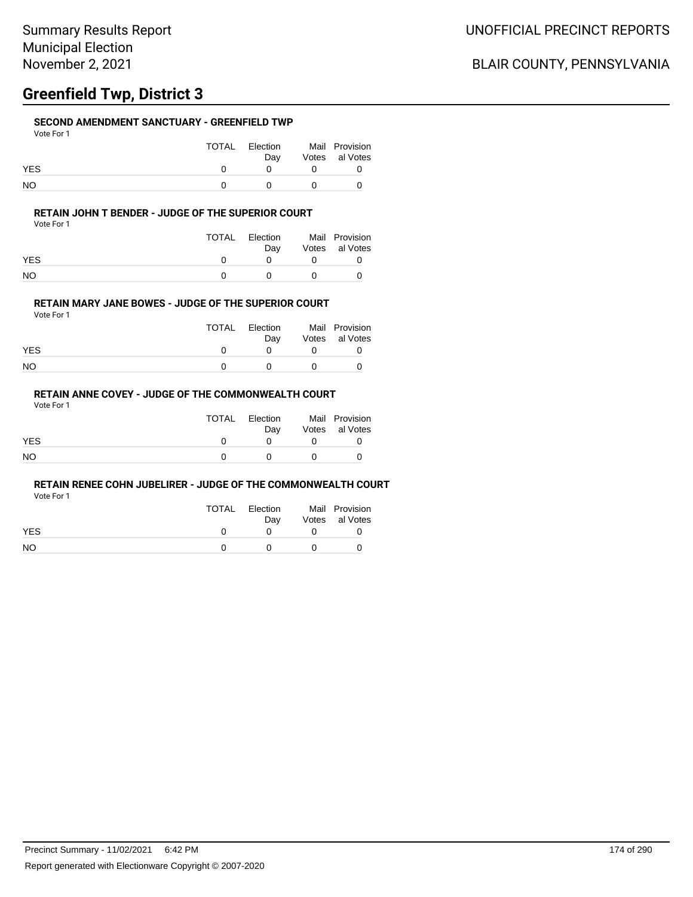## **Greenfield Twp, District 3**

#### **SECOND AMENDMENT SANCTUARY - GREENFIELD TWP**

|            | TOTAL | Election<br>Dav |            | Mail Provision<br>Votes al Votes |
|------------|-------|-----------------|------------|----------------------------------|
| <b>YES</b> |       |                 |            |                                  |
| NO         |       |                 | $^{\circ}$ |                                  |

#### **RETAIN JOHN T BENDER - JUDGE OF THE SUPERIOR COURT**

Vote For 1

|            | TOTAL | Election<br>Dav | Mail Provision<br>Votes al Votes |
|------------|-------|-----------------|----------------------------------|
| <b>YES</b> |       |                 |                                  |
| NO         |       |                 |                                  |

#### **RETAIN MARY JANE BOWES - JUDGE OF THE SUPERIOR COURT**

Vote For 1

|            | TOTAL | Election<br>Dav |          | Mail Provision<br>Votes al Votes |
|------------|-------|-----------------|----------|----------------------------------|
| <b>YES</b> |       |                 |          |                                  |
| NO.        |       |                 | $\theta$ |                                  |

### **RETAIN ANNE COVEY - JUDGE OF THE COMMONWEALTH COURT**

Vote For 1

|            | TOTAL | Election<br>Dav |            | Mail Provision<br>Votes al Votes |
|------------|-------|-----------------|------------|----------------------------------|
| <b>YES</b> |       | $^{\circ}$      | $^{\circ}$ |                                  |
| NO         |       | $^{\circ}$      | $^{\circ}$ |                                  |

#### **RETAIN RENEE COHN JUBELIRER - JUDGE OF THE COMMONWEALTH COURT**

|            | TOTAL | Election | Mail Provision |
|------------|-------|----------|----------------|
|            |       | Dav      | Votes al Votes |
| <b>YES</b> |       |          |                |
| NO         |       |          |                |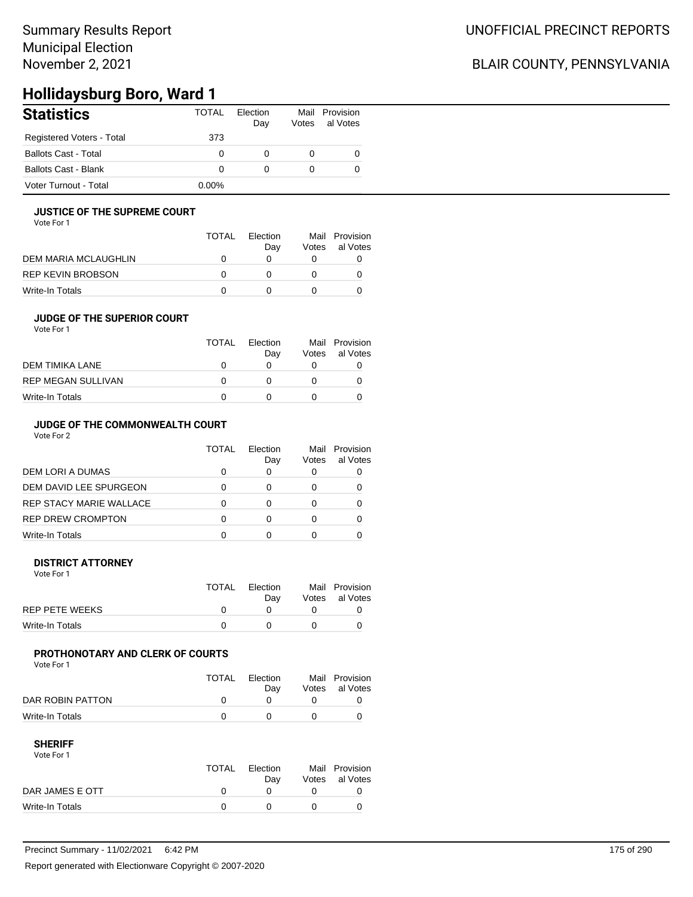## **Hollidaysburg Boro, Ward 1**

| <b>Statistics</b>           | <b>TOTAL</b> | Election<br>Day | Mail<br>Votes | Provision<br>al Votes |
|-----------------------------|--------------|-----------------|---------------|-----------------------|
| Registered Voters - Total   | 373          |                 |               |                       |
| <b>Ballots Cast - Total</b> | $\Omega$     | 0               |               |                       |
| Ballots Cast - Blank        | $\Omega$     | 0               |               |                       |
| Voter Turnout - Total       | $0.00\%$     |                 |               |                       |

#### **JUSTICE OF THE SUPREME COURT**

Vote For 1

|                      | <b>TOTAL</b> | Flection<br>Dav | Votes | Mail Provision<br>al Votes |
|----------------------|--------------|-----------------|-------|----------------------------|
| DEM MARIA MCLAUGHLIN |              |                 |       |                            |
| REP KEVIN BROBSON    | $\mathbf{I}$ |                 |       |                            |
| Write-In Totals      |              |                 |       |                            |

### **JUDGE OF THE SUPERIOR COURT**

| Vote For 1 |  |  |
|------------|--|--|
|            |  |  |

|                           | <b>TOTAL</b> | Election<br>Day | Votes | Mail Provision<br>al Votes |
|---------------------------|--------------|-----------------|-------|----------------------------|
| DEM TIMIKA LANE           |              |                 |       |                            |
| <b>REP MEGAN SULLIVAN</b> |              |                 |       |                            |
| Write-In Totals           |              |                 |       |                            |
|                           |              |                 |       |                            |

### **JUDGE OF THE COMMONWEALTH COURT**

Vote For 2

|                                | TOTAL | Flection<br>Day | Votes | Mail Provision<br>al Votes |
|--------------------------------|-------|-----------------|-------|----------------------------|
| DEM LORI A DUMAS               |       |                 |       |                            |
| DEM DAVID LEE SPURGEON         |       |                 |       |                            |
| <b>REP STACY MARIE WALLACE</b> |       |                 |       |                            |
| <b>REP DREW CROMPTON</b>       |       |                 |       |                            |
| Write-In Totals                |       |                 |       |                            |

#### **DISTRICT ATTORNEY**

| Vote For 1            |              |                 |                                  |
|-----------------------|--------------|-----------------|----------------------------------|
|                       | <b>TOTAL</b> | Election<br>Dav | Mail Provision<br>Votes al Votes |
| <b>REP PETE WEEKS</b> |              |                 |                                  |
| Write-In Totals       |              |                 |                                  |

### **PROTHONOTARY AND CLERK OF COURTS**

Vote For 1

|                  | <b>TOTAL</b> | Election<br>Dav | Mail Provision<br>Votes al Votes |
|------------------|--------------|-----------------|----------------------------------|
| DAR ROBIN PATTON |              |                 |                                  |
| Write-In Totals  |              |                 |                                  |

| Vote For 1      |       |          |                |
|-----------------|-------|----------|----------------|
|                 | TOTAL | Flection | Mail Provision |
|                 |       | Dav      | Votes al Votes |
| DAR JAMES E OTT |       |          |                |
| Write-In Totals |       |          |                |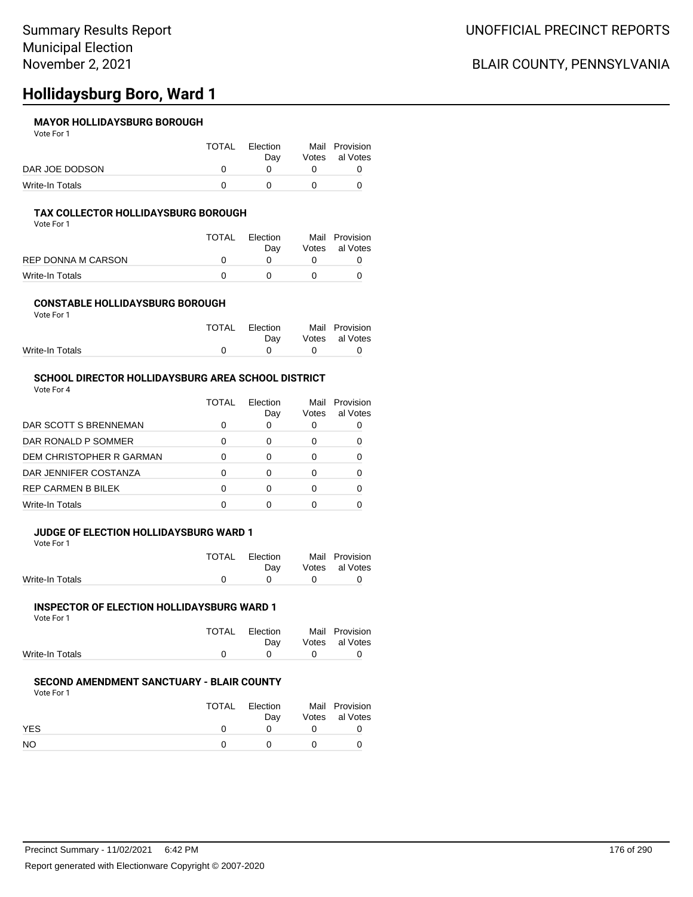## **Hollidaysburg Boro, Ward 1**

### **MAYOR HOLLIDAYSBURG BOROUGH**

Vote For 1

|                 | TOTAL | Election | Mail Provision |
|-----------------|-------|----------|----------------|
|                 |       | Dav      | Votes al Votes |
| DAR JOE DODSON  |       |          |                |
| Write-In Totals |       |          |                |

#### **TAX COLLECTOR HOLLIDAYSBURG BOROUGH**

Vote For 1

|                    | <b>TOTAL</b> | Election | Mail Provision |
|--------------------|--------------|----------|----------------|
|                    |              | Dav      | Votes al Votes |
| REP DONNA M CARSON |              |          |                |
| Write-In Totals    |              |          |                |

#### **CONSTABLE HOLLIDAYSBURG BOROUGH** Vote For 1

|                 | TOTAL Election |                               | Mail Provision |
|-----------------|----------------|-------------------------------|----------------|
|                 | Dav            |                               | Votes al Votes |
| Write-In Totals | $\bigcap$      | $\mathbf{a}$ and $\mathbf{a}$ | n              |

### **SCHOOL DIRECTOR HOLLIDAYSBURG AREA SCHOOL DISTRICT**

Vote For 4

|                           | TOTAI | Flection<br>Day | Mail<br>Votes | Provision<br>al Votes |
|---------------------------|-------|-----------------|---------------|-----------------------|
| DAR SCOTT S BRENNEMAN     |       | 0               |               |                       |
| DAR RONALD P SOMMER       | n     | ∩               |               |                       |
| DEM CHRISTOPHER R GARMAN  |       | 0               |               |                       |
| DAR JENNIFER COSTANZA     |       | ∩               |               |                       |
| <b>REP CARMEN B BILEK</b> | O     | ∩               |               |                       |
| Write-In Totals           |       | n               |               |                       |

#### **JUDGE OF ELECTION HOLLIDAYSBURG WARD 1**

Vote For 1

|                 | TOTAL Election | Mail Provision |
|-----------------|----------------|----------------|
|                 | Dav            | Votes al Votes |
| Write-In Totals |                |                |

#### **INSPECTOR OF ELECTION HOLLIDAYSBURG WARD 1**

| Vote For 1      |       |          |                |
|-----------------|-------|----------|----------------|
|                 | TOTAL | Election | Mail Provision |
|                 |       | Dav      | Votes al Votes |
| Write-In Totals |       |          |                |

### **SECOND AMENDMENT SANCTUARY - BLAIR COUNTY**

Vote For 1

|           | <b>TOTAL</b> | Election | Mail Provision |
|-----------|--------------|----------|----------------|
|           |              | Dav      | Votes al Votes |
| YES       |              |          |                |
| <b>NO</b> |              |          |                |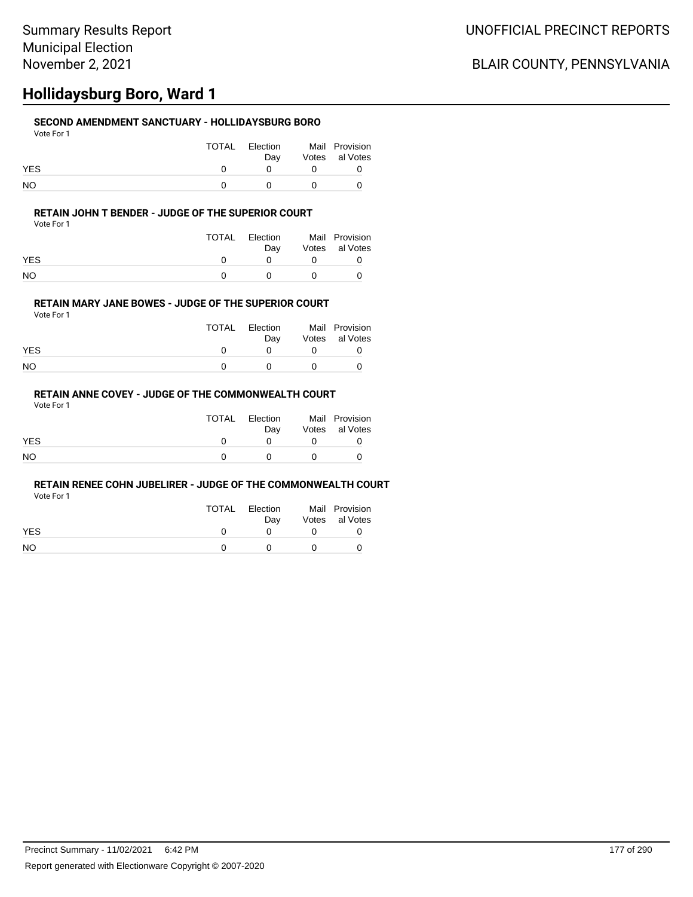## **Hollidaysburg Boro, Ward 1**

### **SECOND AMENDMENT SANCTUARY - HOLLIDAYSBURG BORO**

| Vote For 1 |       |                 |                                  |
|------------|-------|-----------------|----------------------------------|
|            | TOTAL | Election<br>Dav | Mail Provision<br>Votes al Votes |
| <b>YES</b> |       |                 |                                  |
| NO         |       |                 |                                  |

#### **RETAIN JOHN T BENDER - JUDGE OF THE SUPERIOR COURT**

Vote For 1

|            | TOTAL | Election<br>Dav | Mail Provision<br>Votes al Votes |
|------------|-------|-----------------|----------------------------------|
| <b>YES</b> |       |                 |                                  |
| NO         |       |                 |                                  |

#### **RETAIN MARY JANE BOWES - JUDGE OF THE SUPERIOR COURT**

Vote For 1

|            | TOTAL | Election<br>Dav |          | Mail Provision<br>Votes al Votes |
|------------|-------|-----------------|----------|----------------------------------|
| <b>YES</b> |       |                 |          |                                  |
| NO.        |       |                 | $\theta$ |                                  |

### **RETAIN ANNE COVEY - JUDGE OF THE COMMONWEALTH COURT**

Vote For 1

|            | TOTAL | Election<br>Dav | Mail Provision<br>Votes al Votes |
|------------|-------|-----------------|----------------------------------|
| <b>YES</b> |       |                 |                                  |
| NO.        |       | $\mathbf{U}$    |                                  |

#### **RETAIN RENEE COHN JUBELIRER - JUDGE OF THE COMMONWEALTH COURT**

|            | TOTAL | Election | Mail Provision |
|------------|-------|----------|----------------|
|            |       | Dav      | Votes al Votes |
| <b>YES</b> |       |          |                |
| NO.        |       |          |                |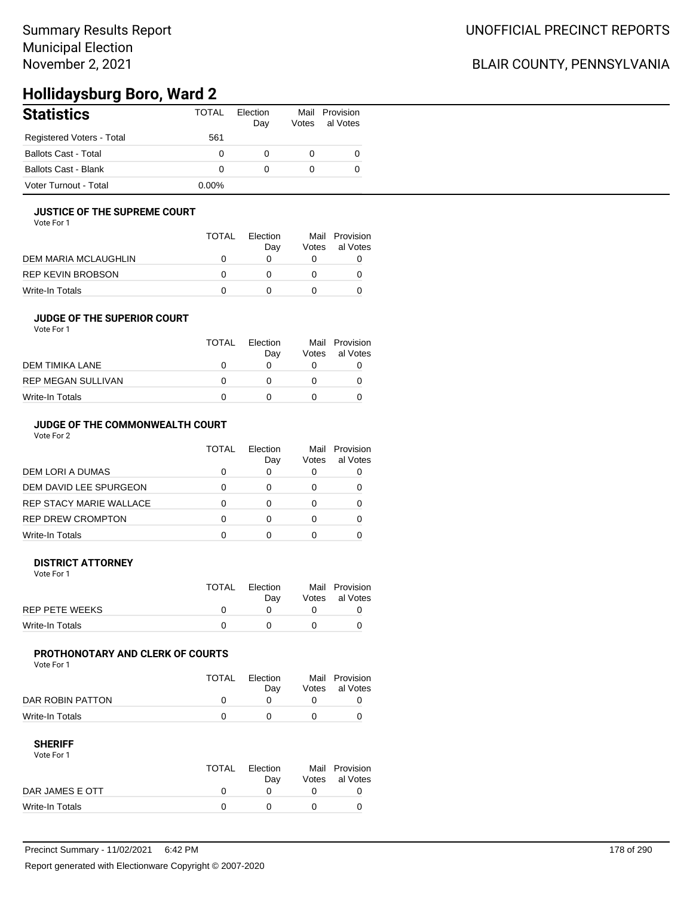## **Hollidaysburg Boro, Ward 2**

| <b>Statistics</b>           | <b>TOTAL</b> | Election<br>Day | Votes | Mail Provision<br>al Votes |
|-----------------------------|--------------|-----------------|-------|----------------------------|
| Registered Voters - Total   | 561          |                 |       |                            |
| <b>Ballots Cast - Total</b> | $\Omega$     | 0               |       |                            |
| Ballots Cast - Blank        | 0            | 0               |       |                            |
| Voter Turnout - Total       | $0.00\%$     |                 |       |                            |

#### **JUSTICE OF THE SUPREME COURT**

Vote For 1

|                      | TOTAL | Election<br>Dav | Votes | Mail Provision<br>al Votes |
|----------------------|-------|-----------------|-------|----------------------------|
| DEM MARIA MCLAUGHLIN |       |                 |       |                            |
| REP KEVIN BROBSON    |       |                 |       |                            |
| Write-In Totals      |       |                 |       |                            |

### **JUDGE OF THE SUPERIOR COURT**

| Vote For 1 |  |  |
|------------|--|--|
|            |  |  |

|                    | <b>TOTAL</b> | Election<br>Day | Votes | Mail Provision<br>al Votes |
|--------------------|--------------|-----------------|-------|----------------------------|
| DEM TIMIKA LANE    | $\mathbf{I}$ |                 |       |                            |
| REP MEGAN SULLIVAN | $\mathbf{U}$ |                 |       |                            |
| Write-In Totals    |              |                 |       |                            |
|                    |              |                 |       |                            |

### **JUDGE OF THE COMMONWEALTH COURT**

Vote For 2

|                                | TOTAL | Flection<br>Day | Votes | Mail Provision<br>al Votes |
|--------------------------------|-------|-----------------|-------|----------------------------|
| DEM LORI A DUMAS               |       |                 |       |                            |
| DEM DAVID LEE SPURGEON         |       |                 |       |                            |
| <b>REP STACY MARIE WALLACE</b> |       |                 |       |                            |
| <b>REP DREW CROMPTON</b>       |       |                 |       |                            |
| Write-In Totals                |       |                 |       |                            |

#### **DISTRICT ATTORNEY**

| Vote For 1            |              |                 |                                  |
|-----------------------|--------------|-----------------|----------------------------------|
|                       | <b>TOTAL</b> | Election<br>Dav | Mail Provision<br>Votes al Votes |
| <b>REP PETE WEEKS</b> |              |                 |                                  |
| Write-In Totals       |              |                 |                                  |

### **PROTHONOTARY AND CLERK OF COURTS**

Vote For 1

|                  | <b>TOTAL</b> | Election<br>Dav | Mail Provision<br>Votes al Votes |
|------------------|--------------|-----------------|----------------------------------|
| DAR ROBIN PATTON |              |                 |                                  |
| Write-In Totals  |              |                 |                                  |

| Vote For 1      |              |          |                |
|-----------------|--------------|----------|----------------|
|                 | TOTAL        | Flection | Mail Provision |
|                 |              | Dav      | Votes al Votes |
| DAR JAMES E OTT | $\mathbf{U}$ |          |                |
| Write-In Totals |              |          |                |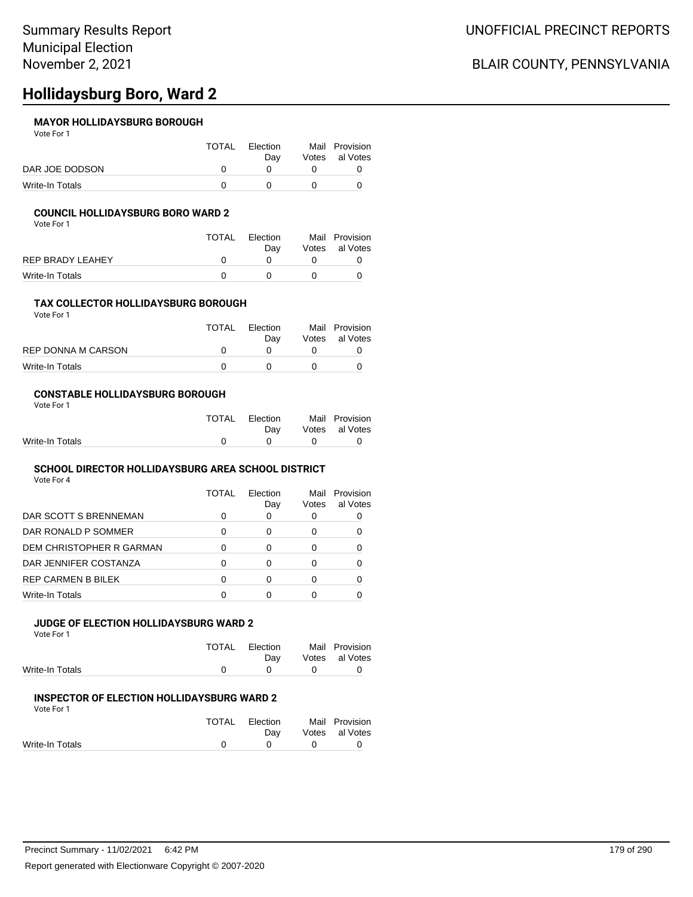## **Hollidaysburg Boro, Ward 2**

#### **MAYOR HOLLIDAYSBURG BOROUGH**

Vote For 1

|                 | <b>TOTAL</b> | Election | Mail Provision |
|-----------------|--------------|----------|----------------|
|                 |              | Dav      | Votes al Votes |
| DAR JOE DODSON  |              |          |                |
| Write-In Totals |              |          |                |

#### **COUNCIL HOLLIDAYSBURG BORO WARD 2**

Vote For 1

|                  | <b>TOTAL</b> | Election<br>Dav | Mail Provision<br>Votes al Votes |
|------------------|--------------|-----------------|----------------------------------|
| REP BRADY LEAHEY |              |                 |                                  |
| Write-In Totals  |              |                 |                                  |

#### **TAX COLLECTOR HOLLIDAYSBURG BOROUGH** Vote For 1

|                           | TOTAL | Election | Mail Provision |
|---------------------------|-------|----------|----------------|
|                           |       | Dav      | Votes al Votes |
| <b>REP DONNA M CARSON</b> |       |          |                |
| Write-In Totals           |       |          |                |

#### **CONSTABLE HOLLIDAYSBURG BOROUGH** Vote For 1

| 1 J J J J J J   |                |                                            |                |
|-----------------|----------------|--------------------------------------------|----------------|
|                 | TOTAL Election |                                            | Mail Provision |
|                 | Dav            |                                            | Votes al Votes |
| Write-In Totals |                | $\begin{array}{ccc} 0 & 0 & 0 \end{array}$ |                |

#### **SCHOOL DIRECTOR HOLLIDAYSBURG AREA SCHOOL DISTRICT** Vote For 4

|                          | TOTAL | Election<br>Day | Mail<br>Votes | Provision<br>al Votes |
|--------------------------|-------|-----------------|---------------|-----------------------|
| DAR SCOTT S BRENNEMAN    | 0     | O               |               |                       |
| DAR RONALD P SOMMER      | 0     | 0               |               |                       |
| DEM CHRISTOPHER R GARMAN | 0     | 0               |               |                       |
| DAR JENNIFER COSTANZA    | 0     | 0               |               |                       |
| REP CARMEN B BILEK       | O     | O               |               |                       |
| Write-In Totals          |       |                 |               |                       |
|                          |       |                 |               |                       |

#### **JUDGE OF ELECTION HOLLIDAYSBURG WARD 2**

Vote For 1

|                 | TOTAL Election |              | Mail Provision |
|-----------------|----------------|--------------|----------------|
|                 | Dav            |              | Votes al Votes |
| Write-In Totals | $^{\circ}$     | $\mathbf{0}$ |                |
|                 |                |              |                |

#### **INSPECTOR OF ELECTION HOLLIDAYSBURG WARD 2** Vote For 1

|                 | TOTAL Election<br>Dav |            | Mail Provision<br>Votes al Votes |
|-----------------|-----------------------|------------|----------------------------------|
| Write-In Totals |                       | $^{\circ}$ |                                  |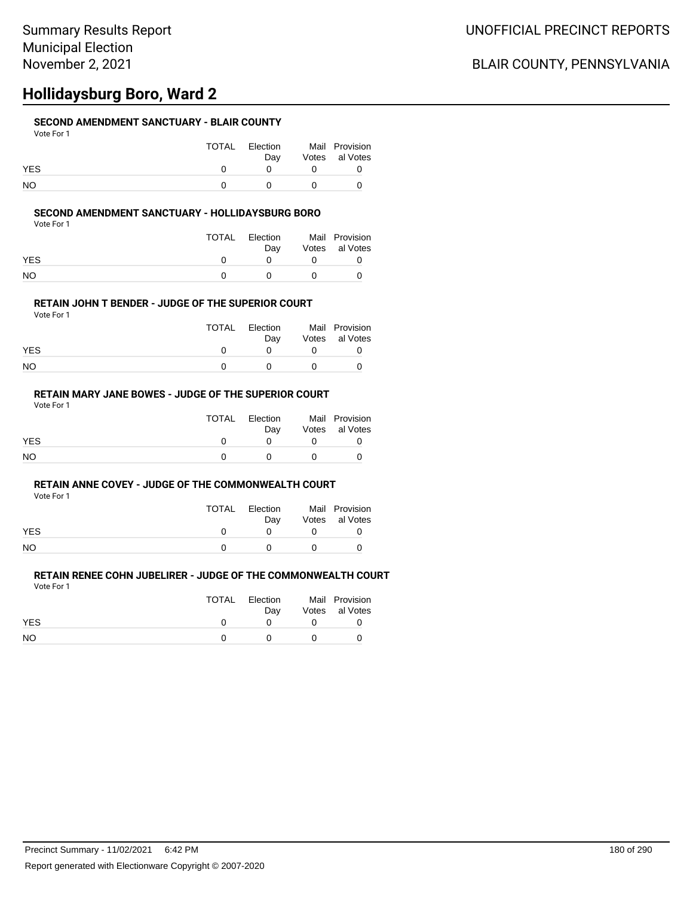## **Hollidaysburg Boro, Ward 2**

#### **SECOND AMENDMENT SANCTUARY - BLAIR COUNTY**

|            | TOTAL | Election<br>Dav |            | Mail Provision<br>Votes al Votes |
|------------|-------|-----------------|------------|----------------------------------|
| <b>YES</b> |       |                 |            |                                  |
| NO         |       |                 | $^{\circ}$ |                                  |

#### **SECOND AMENDMENT SANCTUARY - HOLLIDAYSBURG BORO**

Vote For 1

|            | TOTAL | Election<br>Dav | Mail Provision<br>Votes al Votes |
|------------|-------|-----------------|----------------------------------|
| <b>YES</b> |       |                 |                                  |
| NΟ         |       |                 |                                  |

#### **RETAIN JOHN T BENDER - JUDGE OF THE SUPERIOR COURT**

Vote For 1

|            | TOTAL | Election<br>Dav | Mail Provision<br>Votes al Votes |
|------------|-------|-----------------|----------------------------------|
| <b>YES</b> |       |                 |                                  |
| NO         |       |                 |                                  |

### **RETAIN MARY JANE BOWES - JUDGE OF THE SUPERIOR COURT**

Vote For 1

|            | TOTAL | Election<br>Dav | Mail Provision<br>Votes al Votes |
|------------|-------|-----------------|----------------------------------|
| <b>YES</b> |       |                 |                                  |
| <b>NO</b>  |       |                 |                                  |

#### **RETAIN ANNE COVEY - JUDGE OF THE COMMONWEALTH COURT**

Vote For 1

|            | TOTAL | Election | Mail Provision |
|------------|-------|----------|----------------|
|            |       | Dav      | Votes al Votes |
| <b>YES</b> |       |          |                |
| <b>NO</b>  |       |          |                |

#### **RETAIN RENEE COHN JUBELIRER - JUDGE OF THE COMMONWEALTH COURT** Vote For 1

|            | TOTAL | Election | Mail Provision |
|------------|-------|----------|----------------|
|            |       | Dav      | Votes al Votes |
| <b>YES</b> |       |          |                |
| NO.        |       |          |                |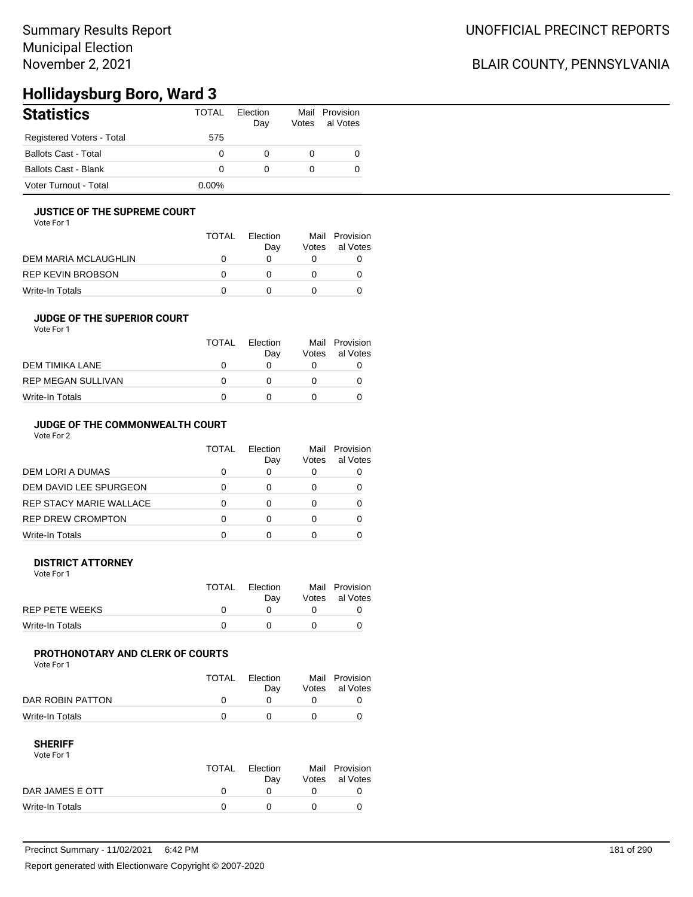## Summary Results Report Municipal Election November 2, 2021

## BLAIR COUNTY, PENNSYLVANIA

# **Hollidaysburg Boro, Ward 3**

| <b>Statistics</b>           | <b>TOTAL</b> | Election<br>Day | Votes | Mail Provision<br>al Votes |
|-----------------------------|--------------|-----------------|-------|----------------------------|
| Registered Voters - Total   | 575          |                 |       |                            |
| <b>Ballots Cast - Total</b> | 0            | $\Omega$        | 0     |                            |
| Ballots Cast - Blank        | 0            | 0               | 0     |                            |
| Voter Turnout - Total       | $0.00\%$     |                 |       |                            |

### **JUSTICE OF THE SUPREME COURT**

Vote For 1

|                      | <b>TOTAL</b> | Flection<br>Dav | Votes | Mail Provision<br>al Votes |
|----------------------|--------------|-----------------|-------|----------------------------|
| DEM MARIA MCLAUGHLIN |              |                 |       |                            |
| REP KEVIN BROBSON    | $\mathbf{I}$ |                 |       |                            |
| Write-In Totals      |              |                 |       |                            |

#### **JUDGE OF THE SUPERIOR COURT** Vote For 1

| VULTE FUILL               | <b>TOTAL</b> | <b>Flection</b><br>Day | Votes | Mail Provision<br>al Votes |
|---------------------------|--------------|------------------------|-------|----------------------------|
| DEM TIMIKA LANE           |              |                        |       |                            |
| <b>REP MEGAN SULLIVAN</b> |              |                        |       |                            |
| Write-In Totals           |              |                        |       |                            |

### **JUDGE OF THE COMMONWEALTH COURT**

Vote For 2

|                                | TOTAL | Flection<br>Day | Mail<br>Votes | Provision<br>al Votes |
|--------------------------------|-------|-----------------|---------------|-----------------------|
| DEM LORI A DUMAS               |       |                 |               |                       |
| DEM DAVID LEE SPURGEON         |       |                 |               |                       |
| <b>REP STACY MARIE WALLACE</b> |       |                 |               |                       |
| <b>REP DREW CROMPTON</b>       |       |                 |               |                       |
| Write-In Totals                |       |                 |               |                       |

### **DISTRICT ATTORNEY**

| Vote For 1            |       |                 |                                  |
|-----------------------|-------|-----------------|----------------------------------|
|                       | TOTAL | Election<br>Dav | Mail Provision<br>Votes al Votes |
| <b>REP PETE WEEKS</b> |       |                 |                                  |
| Write-In Totals       |       |                 |                                  |

## **PROTHONOTARY AND CLERK OF COURTS**

Vote For 1

|                  | TOTAL | Election<br>Dav | Mail Provision<br>Votes al Votes |
|------------------|-------|-----------------|----------------------------------|
| DAR ROBIN PATTON |       |                 |                                  |
| Write-In Totals  |       |                 |                                  |

| Vote For 1      |              |          |                |
|-----------------|--------------|----------|----------------|
|                 | TOTAL        | Election | Mail Provision |
|                 |              | Dav      | Votes al Votes |
| DAR JAMES E OTT | $\mathbf{U}$ |          |                |
| Write-In Totals |              |          |                |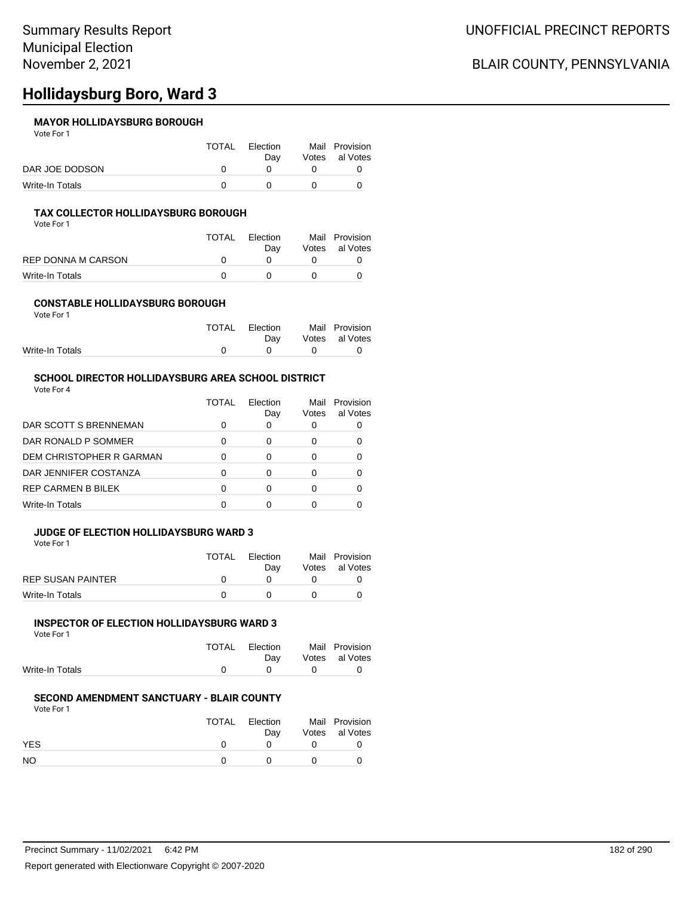# **Hollidaysburg Boro, Ward 3**

## **MAYOR HOLLIDAYSBURG BOROUGH**

Vote For 1

|                 | <b>TOTAL</b> | Election | Mail Provision |
|-----------------|--------------|----------|----------------|
|                 |              | Dav      | Votes al Votes |
| DAR JOE DODSON  |              |          |                |
| Write-In Totals |              |          |                |

### **TAX COLLECTOR HOLLIDAYSBURG BOROUGH**

Vote For 1

|                    | <b>TOTAL</b> | Election | Mail Provision |
|--------------------|--------------|----------|----------------|
|                    |              | Dav      | Votes al Votes |
| REP DONNA M CARSON |              |          |                |
| Write-In Totals    |              |          |                |

#### **CONSTABLE HOLLIDAYSBURG BOROUGH** Vote For 1

|                 | TOTAL Election |                               | Mail Provision |
|-----------------|----------------|-------------------------------|----------------|
|                 | Dav            |                               | Votes al Votes |
| Write-In Totals | $\bigcap$      | $\mathbf{a}$ and $\mathbf{a}$ | n              |

## **SCHOOL DIRECTOR HOLLIDAYSBURG AREA SCHOOL DISTRICT**

Vote For 4

|                           | TOTAI | Flection<br>Day | Mail<br>Votes | Provision<br>al Votes |
|---------------------------|-------|-----------------|---------------|-----------------------|
| DAR SCOTT S BRENNEMAN     |       |                 |               |                       |
| DAR RONALD P SOMMER       | O     | ∩               |               |                       |
| DEM CHRISTOPHER R GARMAN  |       | 0               |               |                       |
| DAR JENNIFER COSTANZA     |       | O               |               |                       |
| <b>REP CARMEN B BILEK</b> | O     | O               |               |                       |
| Write-In Totals           |       |                 |               |                       |

### **JUDGE OF ELECTION HOLLIDAYSBURG WARD 3**

Vote For 1

|                   | <b>TOTAL</b> | Election | Mail Provision |
|-------------------|--------------|----------|----------------|
|                   |              | Dav      | Votes al Votes |
| REP SUSAN PAINTER |              |          |                |
| Write-In Totals   |              |          |                |

#### **INSPECTOR OF ELECTION HOLLIDAYSBURG WARD 3**  $\overline{A}$

| VOTE FOR L      |                       |                       |
|-----------------|-----------------------|-----------------------|
|                 | TOTAL Election        | Mail Provision        |
|                 | Dav                   | Votes al Votes        |
| Write-In Totals | $\Omega$ and $\Omega$ | $\Omega$ and $\Omega$ |

### **SECOND AMENDMENT SANCTUARY - BLAIR COUNTY**

Vote For 1

|     | TOTAL Election<br>Dav | Mail Provision<br>Votes al Votes |
|-----|-----------------------|----------------------------------|
| YES |                       |                                  |
| NO. |                       |                                  |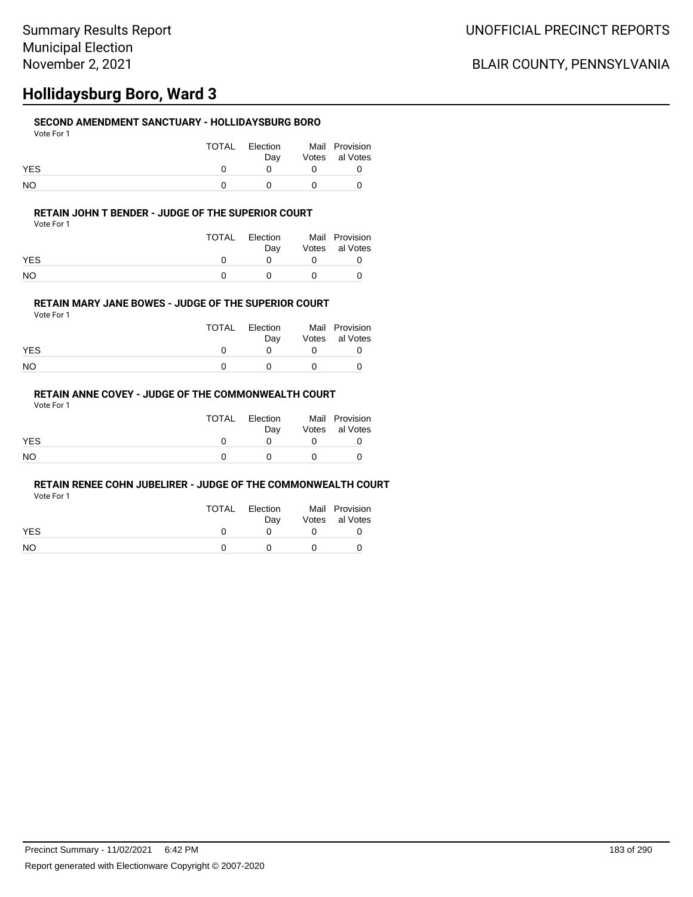# **Hollidaysburg Boro, Ward 3**

## **SECOND AMENDMENT SANCTUARY - HOLLIDAYSBURG BORO**

| Vote For 1 |                       |                                  |
|------------|-----------------------|----------------------------------|
|            | TOTAL Election<br>Dav | Mail Provision<br>Votes al Votes |
| <b>YES</b> |                       |                                  |
| NO         |                       |                                  |

### **RETAIN JOHN T BENDER - JUDGE OF THE SUPERIOR COURT**

Vote For 1

|            | TOTAL | Election<br>Dav | Mail Provision<br>Votes al Votes |
|------------|-------|-----------------|----------------------------------|
| <b>YES</b> |       |                 |                                  |
| NO         |       |                 |                                  |

### **RETAIN MARY JANE BOWES - JUDGE OF THE SUPERIOR COURT**

Vote For 1

|            | TOTAL | Election<br>Dav |          | Mail Provision<br>Votes al Votes |
|------------|-------|-----------------|----------|----------------------------------|
| <b>YES</b> |       |                 |          |                                  |
| NO.        |       |                 | $\theta$ |                                  |

## **RETAIN ANNE COVEY - JUDGE OF THE COMMONWEALTH COURT**

Vote For 1

|            | TOTAL | Election<br>Dav |            | Mail Provision<br>Votes al Votes |
|------------|-------|-----------------|------------|----------------------------------|
| <b>YES</b> |       | $\mathbf{U}$    |            |                                  |
| NO.        |       | $\mathbf{U}$    | $^{\circ}$ |                                  |

### **RETAIN RENEE COHN JUBELIRER - JUDGE OF THE COMMONWEALTH COURT**

Vote For 1

|            | TOTAL | Election | Mail Provision |
|------------|-------|----------|----------------|
|            |       | Dav      | Votes al Votes |
| <b>YES</b> |       |          |                |
| NO.        |       |          |                |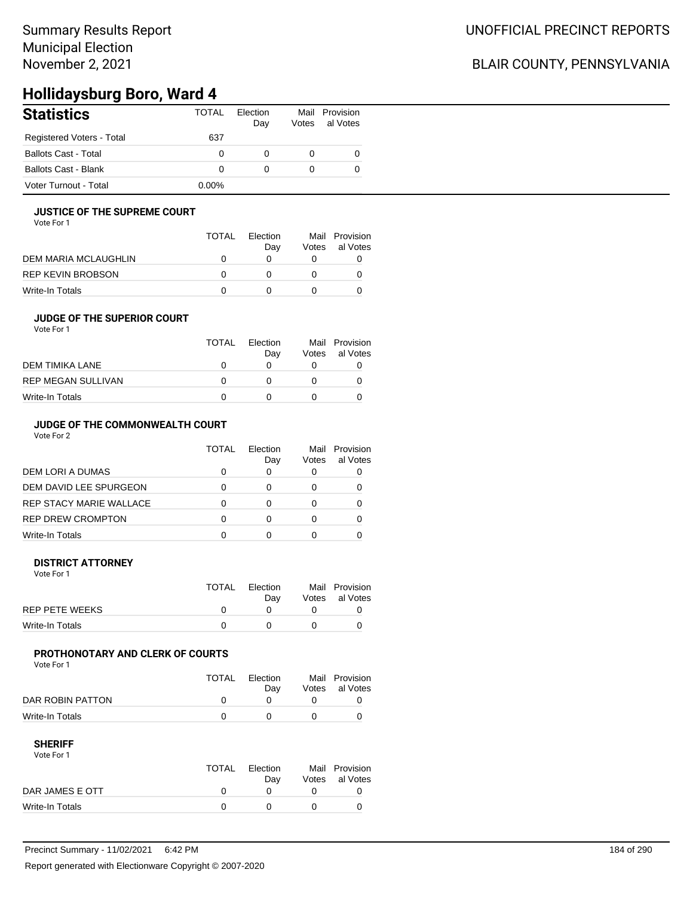## Summary Results Report Municipal Election November 2, 2021

## BLAIR COUNTY, PENNSYLVANIA

## **Hollidaysburg Boro, Ward 4**

| <b>Statistics</b>         | <b>TOTAL</b> | Election<br>Day | Votes | Mail Provision<br>al Votes |
|---------------------------|--------------|-----------------|-------|----------------------------|
| Registered Voters - Total | 637          |                 |       |                            |
| Ballots Cast - Total      | 0            | 0               |       | 0                          |
| Ballots Cast - Blank      | 0            | 0               |       | 0                          |
| Voter Turnout - Total     | $0.00\%$     |                 |       |                            |

### **JUSTICE OF THE SUPREME COURT**

Vote For 1

|                      | TOTAL | Election<br>Dav | Votes | Mail Provision<br>al Votes |
|----------------------|-------|-----------------|-------|----------------------------|
| DEM MARIA MCLAUGHLIN |       |                 |       |                            |
| REP KEVIN BROBSON    |       |                 |       |                            |
| Write-In Totals      |       |                 |       |                            |

## **JUDGE OF THE SUPERIOR COURT**

| Vote For 1 |  |  |
|------------|--|--|
|            |  |  |

|                    | TOTAL        | Election |       | Mail Provision |
|--------------------|--------------|----------|-------|----------------|
|                    |              | Day      | Votes | al Votes       |
| DEM TIMIKA LANE    | $\mathbf{U}$ |          |       |                |
| REP MEGAN SULLIVAN | n            |          |       |                |
| Write-In Totals    | n            |          |       |                |
|                    |              |          |       |                |

## **JUDGE OF THE COMMONWEALTH COURT**

Vote For 2

|                                | TOTAL | Flection<br>Day | Votes | Mail Provision<br>al Votes |
|--------------------------------|-------|-----------------|-------|----------------------------|
| DEM LORI A DUMAS               |       |                 |       |                            |
| DEM DAVID LEE SPURGEON         |       |                 |       |                            |
| <b>REP STACY MARIE WALLACE</b> |       |                 |       |                            |
| <b>REP DREW CROMPTON</b>       |       |                 |       |                            |
| Write-In Totals                |       |                 |       |                            |

### **DISTRICT ATTORNEY**

| Vote For 1      |       |                 |                                  |
|-----------------|-------|-----------------|----------------------------------|
|                 | TOTAL | Election<br>Dav | Mail Provision<br>Votes al Votes |
| REP PETE WEEKS  |       |                 |                                  |
| Write-In Totals |       |                 |                                  |

## **PROTHONOTARY AND CLERK OF COURTS**

Vote For 1

|                  | TOTAL | Election<br>Dav | Mail Provision<br>Votes al Votes |
|------------------|-------|-----------------|----------------------------------|
| DAR ROBIN PATTON |       |                 |                                  |
| Write-In Totals  |       |                 |                                  |

| Vote For 1      |              |          |                |
|-----------------|--------------|----------|----------------|
|                 | TOTAL        | Flection | Mail Provision |
|                 |              | Dav      | Votes al Votes |
| DAR JAMES E OTT | <sup>n</sup> |          |                |
| Write-In Totals |              |          |                |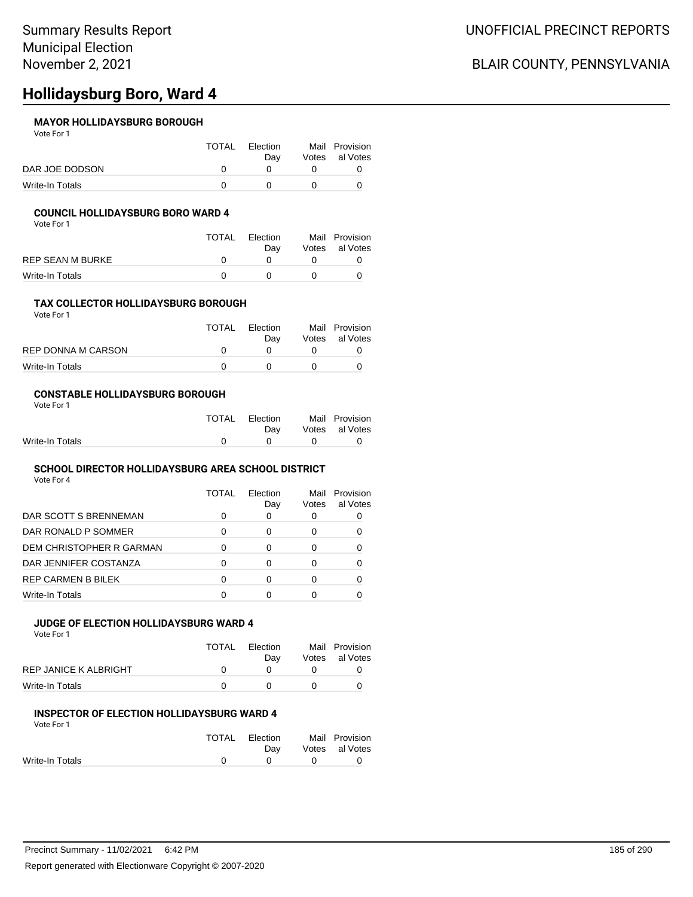# **Hollidaysburg Boro, Ward 4**

## **MAYOR HOLLIDAYSBURG BOROUGH**

Vote For 1

|                 | <b>TOTAL</b> | Election | Mail Provision |
|-----------------|--------------|----------|----------------|
|                 |              | Dav      | Votes al Votes |
| DAR JOE DODSON  |              |          |                |
| Write-In Totals |              |          |                |

### **COUNCIL HOLLIDAYSBURG BORO WARD 4**

Vote For 1

|                  | <b>TOTAL</b> | Election<br>Dav | Mail Provision<br>Votes al Votes |
|------------------|--------------|-----------------|----------------------------------|
| REP SEAN M BURKE | $^{\prime}$  |                 |                                  |
| Write-In Totals  |              |                 |                                  |

#### **TAX COLLECTOR HOLLIDAYSBURG BOROUGH** Vote For 1

|                           | TOTAL | Election<br>Dav | Mail Provision<br>Votes al Votes |
|---------------------------|-------|-----------------|----------------------------------|
| <b>REP DONNA M CARSON</b> |       |                 |                                  |
| Write-In Totals           |       |                 |                                  |

#### **CONSTABLE HOLLIDAYSBURG BOROUGH** Vote For 1

| 1 U U U         |                |                       |                    |
|-----------------|----------------|-----------------------|--------------------|
|                 | TOTAL Election |                       | Mail Provision     |
|                 |                |                       | Day Votes al Votes |
| Write-In Totals |                | $\Omega$ and $\Omega$ | <sup>0</sup>       |

#### **SCHOOL DIRECTOR HOLLIDAYSBURG AREA SCHOOL DISTRICT** Vote For 4

|                          | TOTAL | Election<br>Day | Mail<br>Votes | Provision<br>al Votes |
|--------------------------|-------|-----------------|---------------|-----------------------|
| DAR SCOTT S BRENNEMAN    | O     | 0               |               |                       |
| DAR RONALD P SOMMER      | ∩     | 0               |               |                       |
| DEM CHRISTOPHER R GARMAN | ∩     | 0               |               |                       |
| DAR JENNIFER COSTANZA    | ∩     | 0               |               |                       |
| REP CARMEN B BILEK       | ∩     | ∩               |               |                       |
| Write-In Totals          |       |                 |               |                       |
|                          |       |                 |               |                       |

## **JUDGE OF ELECTION HOLLIDAYSBURG WARD 4**

Vote For 1

|                       | TOTAL | Election<br>Dav | Mail Provision<br>Votes al Votes |
|-----------------------|-------|-----------------|----------------------------------|
| REP JANICE K ALBRIGHT |       |                 |                                  |
| Write-In Totals       |       |                 |                                  |

## **INSPECTOR OF ELECTION HOLLIDAYSBURG WARD 4**

| Vote For 1      |              |          |              |                |
|-----------------|--------------|----------|--------------|----------------|
|                 | <b>TOTAL</b> | Election |              | Mail Provision |
|                 |              | Dav      |              | Votes al Votes |
| Write-In Totals | n            | $\theta$ | <sup>n</sup> |                |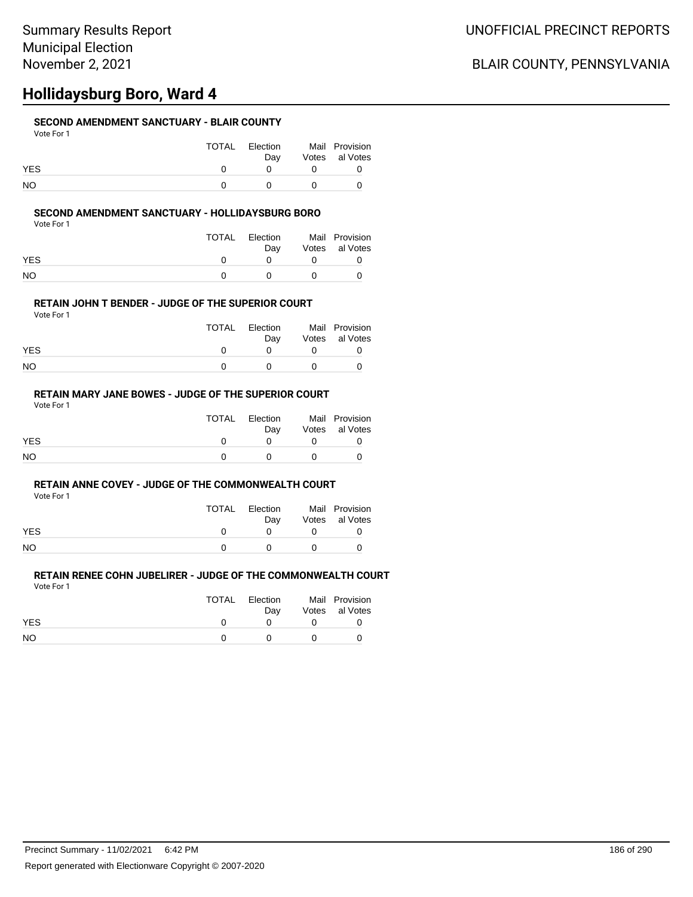# **Hollidaysburg Boro, Ward 4**

## **SECOND AMENDMENT SANCTUARY - BLAIR COUNTY**

|            | TOTAL | Election<br>Dav |            | Mail Provision<br>Votes al Votes |
|------------|-------|-----------------|------------|----------------------------------|
| <b>YES</b> |       |                 |            |                                  |
| NO         |       |                 | $^{\circ}$ |                                  |

### **SECOND AMENDMENT SANCTUARY - HOLLIDAYSBURG BORO**

Vote For 1

|            | TOTAL | Election<br>Dav | Mail Provision<br>Votes al Votes |
|------------|-------|-----------------|----------------------------------|
| <b>YES</b> |       |                 |                                  |
| NΟ         |       |                 |                                  |

### **RETAIN JOHN T BENDER - JUDGE OF THE SUPERIOR COURT**

Vote For 1

|            | TOTAL | Election<br>Dav |          | Mail Provision<br>Votes al Votes |
|------------|-------|-----------------|----------|----------------------------------|
| <b>YES</b> |       |                 |          |                                  |
| NO.        |       |                 | $\theta$ |                                  |

## **RETAIN MARY JANE BOWES - JUDGE OF THE SUPERIOR COURT**

Vote For 1

|            | TOTAL | Election<br>Dav | Mail Provision<br>Votes al Votes |
|------------|-------|-----------------|----------------------------------|
| <b>YES</b> |       |                 |                                  |
| <b>NO</b>  |       |                 |                                  |

#### **RETAIN ANNE COVEY - JUDGE OF THE COMMONWEALTH COURT**

Vote For 1

|            | TOTAL | Election | Mail Provision |
|------------|-------|----------|----------------|
|            |       | Dav      | Votes al Votes |
| <b>YES</b> |       |          |                |
| <b>NO</b>  |       |          |                |

#### **RETAIN RENEE COHN JUBELIRER - JUDGE OF THE COMMONWEALTH COURT** Vote For 1

|            | TOTAL | Election | Mail Provision |
|------------|-------|----------|----------------|
|            |       | Dav      | Votes al Votes |
| <b>YES</b> |       |          |                |
| NO.        |       |          |                |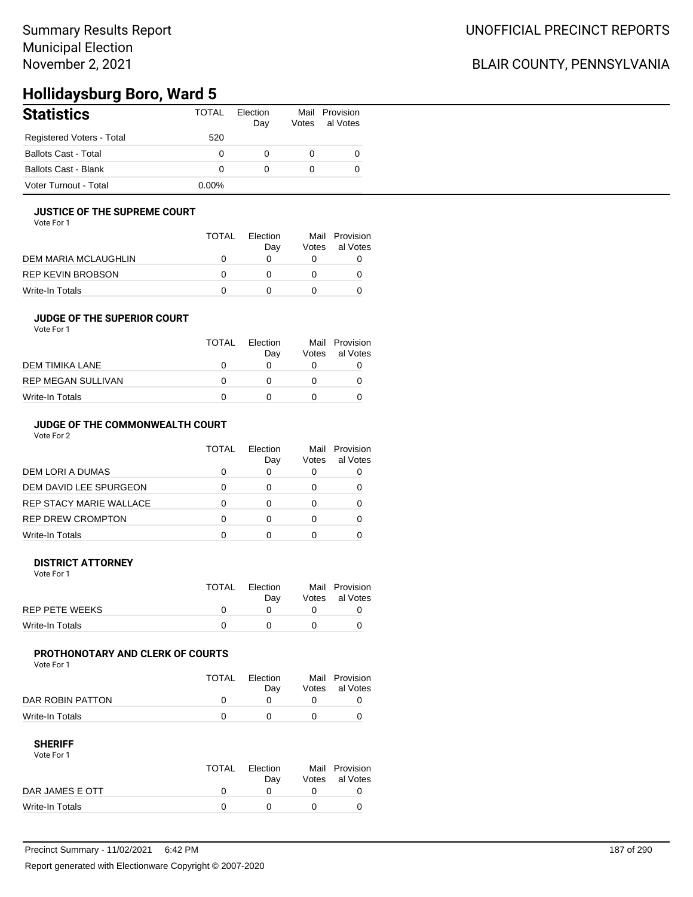# **Hollidaysburg Boro, Ward 5**

| <b>Statistics</b>           | <b>TOTAL</b> | Election<br>Day | Mail<br>Votes | Provision<br>al Votes |
|-----------------------------|--------------|-----------------|---------------|-----------------------|
| Registered Voters - Total   | 520          |                 |               |                       |
| <b>Ballots Cast - Total</b> | 0            | 0               |               |                       |
| Ballots Cast - Blank        | 0            | 0               |               |                       |
| Voter Turnout - Total       | 0.00%        |                 |               |                       |

### **JUSTICE OF THE SUPREME COURT**

Vote For 1

|                      | TOTAL | Election<br>Dav | Votes | Mail Provision<br>al Votes |
|----------------------|-------|-----------------|-------|----------------------------|
| DEM MARIA MCLAUGHLIN |       |                 |       |                            |
| REP KEVIN BROBSON    |       |                 |       |                            |
| Write-In Totals      |       |                 |       |                            |

## **JUDGE OF THE SUPERIOR COURT**

| Vote For 1 |  |  |
|------------|--|--|
|            |  |  |

|                           | <b>TOTAL</b> | Election<br>Day | Votes | Mail Provision<br>al Votes |
|---------------------------|--------------|-----------------|-------|----------------------------|
| DEM TIMIKA LANE           |              |                 |       |                            |
| <b>REP MEGAN SULLIVAN</b> |              |                 |       |                            |
| Write-In Totals           |              |                 |       |                            |
|                           |              |                 |       |                            |

## **JUDGE OF THE COMMONWEALTH COURT**

Vote For 2

|                                | TOTAL | Flection<br>Day | Votes | Mail Provision<br>al Votes |
|--------------------------------|-------|-----------------|-------|----------------------------|
| DEM LORI A DUMAS               |       |                 |       |                            |
| DEM DAVID LEE SPURGEON         |       |                 |       |                            |
| <b>REP STACY MARIE WALLACE</b> |       |                 |       |                            |
| <b>REP DREW CROMPTON</b>       |       |                 |       |                            |
| Write-In Totals                |       |                 |       |                            |

### **DISTRICT ATTORNEY**

| Vote For 1      |       |                 |                                  |
|-----------------|-------|-----------------|----------------------------------|
|                 | TOTAL | Election<br>Dav | Mail Provision<br>Votes al Votes |
| REP PETE WEEKS  |       |                 |                                  |
| Write-In Totals |       |                 |                                  |

## **PROTHONOTARY AND CLERK OF COURTS**

Vote For 1

|                  | TOTAL | Election<br>Dav | Mail Provision<br>Votes al Votes |
|------------------|-------|-----------------|----------------------------------|
| DAR ROBIN PATTON |       |                 |                                  |
| Write-In Totals  |       |                 |                                  |

| Vote For 1      |       |          |                |
|-----------------|-------|----------|----------------|
|                 | TOTAL | Flection | Mail Provision |
|                 |       | Dav      | Votes al Votes |
| DAR JAMES E OTT |       |          |                |
| Write-In Totals |       |          |                |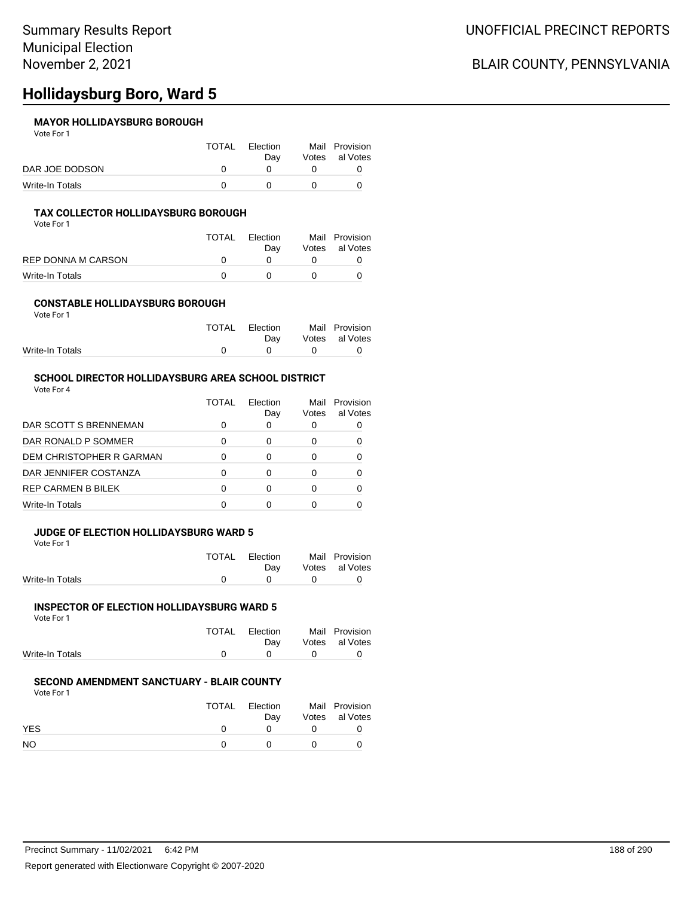# **Hollidaysburg Boro, Ward 5**

## **MAYOR HOLLIDAYSBURG BOROUGH**

Vote For 1

|                 | TOTAL | Election | Mail Provision |
|-----------------|-------|----------|----------------|
|                 |       | Dav      | Votes al Votes |
| DAR JOE DODSON  |       |          |                |
| Write-In Totals |       |          |                |

### **TAX COLLECTOR HOLLIDAYSBURG BOROUGH**

Vote For 1

|                    | <b>TOTAL</b> | Election | Mail Provision |
|--------------------|--------------|----------|----------------|
|                    |              | Dav      | Votes al Votes |
| REP DONNA M CARSON |              |          |                |
| Write-In Totals    |              |          |                |

#### **CONSTABLE HOLLIDAYSBURG BOROUGH** Vote For 1

|                 | TOTAL Election |              | Mail Provision |
|-----------------|----------------|--------------|----------------|
|                 | Dav            |              | Votes al Votes |
| Write-In Totals |                | $\mathbf{0}$ | n              |

## **SCHOOL DIRECTOR HOLLIDAYSBURG AREA SCHOOL DISTRICT**

Vote For 4

|                           | TOTAI | Flection<br>Day | Mail<br>Votes | Provision<br>al Votes |
|---------------------------|-------|-----------------|---------------|-----------------------|
| DAR SCOTT S BRENNEMAN     |       | 0               |               |                       |
| DAR RONALD P SOMMER       | n     | ∩               |               |                       |
| DEM CHRISTOPHER R GARMAN  |       | 0               |               |                       |
| DAR JENNIFER COSTANZA     |       | ∩               |               |                       |
| <b>REP CARMEN B BILEK</b> | O     | ∩               |               |                       |
| Write-In Totals           |       | n               |               |                       |

### **JUDGE OF ELECTION HOLLIDAYSBURG WARD 5**

Vote For 1

|                 | TOTAL Election | Mail Provision |
|-----------------|----------------|----------------|
|                 | Dav            | Votes al Votes |
| Write-In Totals |                |                |

## **INSPECTOR OF ELECTION HOLLIDAYSBURG WARD 5**

| Vote For 1      |                |                               |
|-----------------|----------------|-------------------------------|
|                 | TOTAL Election | Mail Provision                |
|                 | Dav            | Votes al Votes                |
| Write-In Totals |                | $\mathbf{0}$ and $\mathbf{0}$ |

### **SECOND AMENDMENT SANCTUARY - BLAIR COUNTY**

Vote For 1

|           | <b>TOTAL</b> | Election | Mail Provision |
|-----------|--------------|----------|----------------|
|           |              | Dav      | Votes al Votes |
| YES       |              |          |                |
| <b>NO</b> |              |          |                |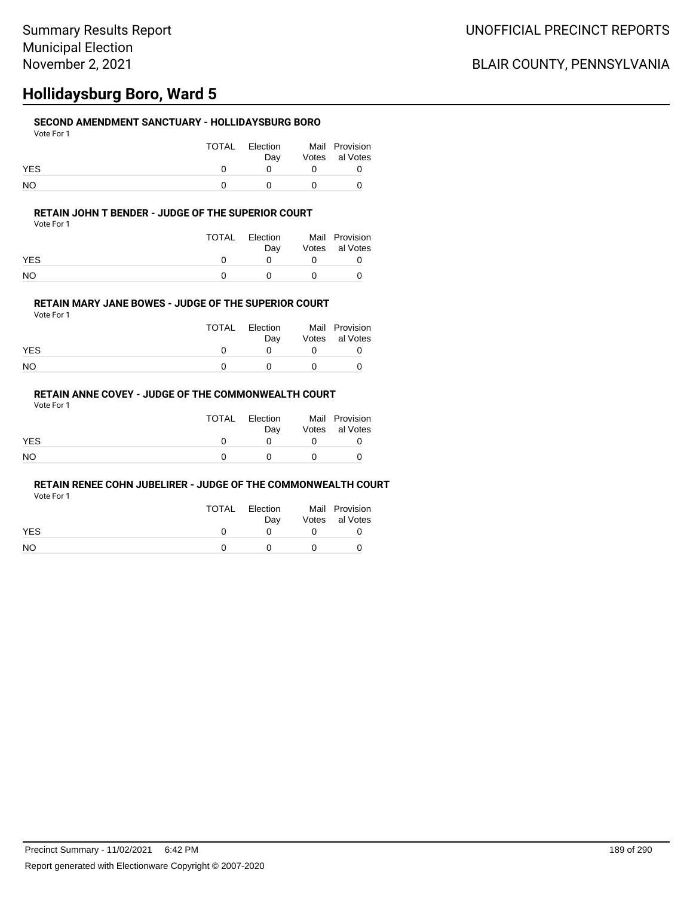# **Hollidaysburg Boro, Ward 5**

## **SECOND AMENDMENT SANCTUARY - HOLLIDAYSBURG BORO**

| Vote For 1 |              |          |                |
|------------|--------------|----------|----------------|
|            | TOTAL        | Election | Mail Provision |
|            |              | Dav      | Votes al Votes |
| <b>YES</b> | <sup>n</sup> |          |                |
| <b>NO</b>  |              |          |                |

### **RETAIN JOHN T BENDER - JUDGE OF THE SUPERIOR COURT**

Vote For 1

|            | TOTAL | Election<br>Dav | Mail Provision<br>Votes al Votes |
|------------|-------|-----------------|----------------------------------|
| <b>YES</b> |       |                 |                                  |
| NO         |       | $^{\prime}$     |                                  |

### **RETAIN MARY JANE BOWES - JUDGE OF THE SUPERIOR COURT**

Vote For 1

|            | TOTAL | Election<br>Dav |          | Mail Provision<br>Votes al Votes |
|------------|-------|-----------------|----------|----------------------------------|
| <b>YES</b> |       |                 |          |                                  |
| NO.        |       |                 | $\theta$ |                                  |

## **RETAIN ANNE COVEY - JUDGE OF THE COMMONWEALTH COURT**

Vote For 1

|            | TOTAL | Election<br>Dav |              | Mail Provision<br>Votes al Votes |
|------------|-------|-----------------|--------------|----------------------------------|
| <b>YES</b> |       | $^{\circ}$      | $\mathbf{U}$ |                                  |
| NO         |       | $^{\circ}$      | $^{\circ}$   |                                  |

### **RETAIN RENEE COHN JUBELIRER - JUDGE OF THE COMMONWEALTH COURT**

Vote For 1

|            | TOTAL | Election | Mail Provision |
|------------|-------|----------|----------------|
|            |       | Dav      | Votes al Votes |
| <b>YES</b> |       |          |                |
| NO.        |       |          |                |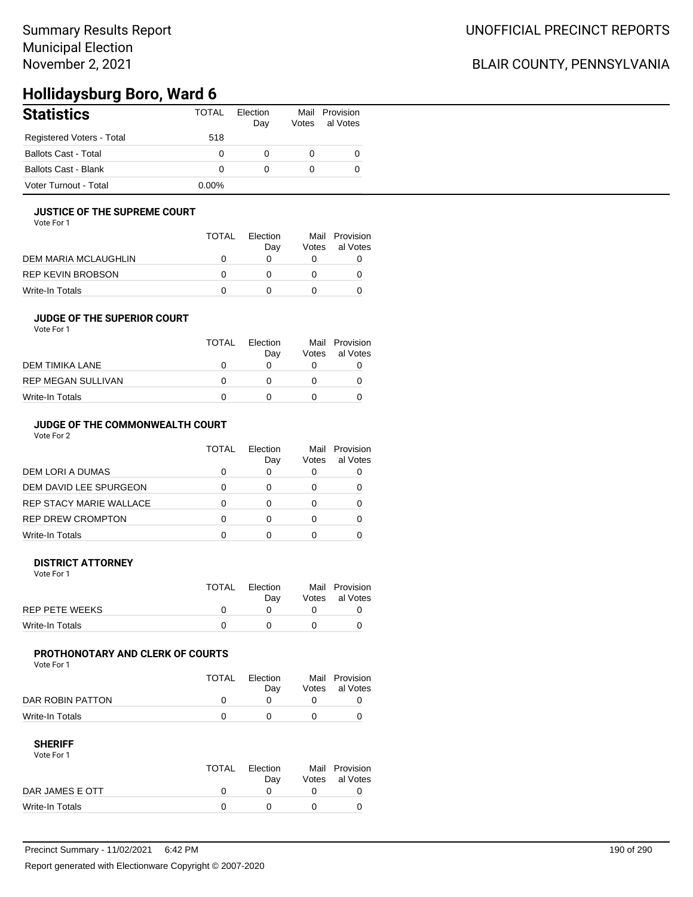# **Hollidaysburg Boro, Ward 6**

| <b>Statistics</b>           | <b>TOTAL</b> | Election<br>Day | Votes    | Mail Provision<br>al Votes |
|-----------------------------|--------------|-----------------|----------|----------------------------|
| Registered Voters - Total   | 518          |                 |          |                            |
| <b>Ballots Cast - Total</b> | 0            | 0               |          | 0                          |
| Ballots Cast - Blank        | 0            | 0               | $\Omega$ | 0                          |
| Voter Turnout - Total       | $0.00\%$     |                 |          |                            |

### **JUSTICE OF THE SUPREME COURT**

Vote For 1

|                      | TOTAL | Election<br>Dav | Votes | Mail Provision<br>al Votes |
|----------------------|-------|-----------------|-------|----------------------------|
| DEM MARIA MCLAUGHLIN |       |                 |       |                            |
| REP KEVIN BROBSON    |       |                 |       |                            |
| Write-In Totals      |       |                 |       |                            |

## **JUDGE OF THE SUPERIOR COURT**

| Vote For 1 |  |
|------------|--|
|            |  |

|                           | <b>TOTAL</b> | Election |       | Mail Provision |
|---------------------------|--------------|----------|-------|----------------|
|                           |              | Dav      | Votes | al Votes       |
| DEM TIMIKA LANE           |              |          |       |                |
| <b>REP MEGAN SULLIVAN</b> |              |          |       |                |
| Write-In Totals           |              |          |       |                |
|                           |              |          |       |                |

## **JUDGE OF THE COMMONWEALTH COURT**

Vote For 2

|                                | TOTAL | Flection<br>Day | Votes | Mail Provision<br>al Votes |
|--------------------------------|-------|-----------------|-------|----------------------------|
| DEM LORI A DUMAS               |       |                 |       |                            |
| DEM DAVID LEE SPURGEON         |       |                 |       |                            |
| <b>REP STACY MARIE WALLACE</b> |       |                 |       |                            |
| <b>REP DREW CROMPTON</b>       |       |                 |       |                            |
| Write-In Totals                |       |                 |       |                            |

### **DISTRICT ATTORNEY**

| Vote For 1      |              |                 |                                  |
|-----------------|--------------|-----------------|----------------------------------|
|                 | <b>TOTAL</b> | Election<br>Dav | Mail Provision<br>Votes al Votes |
| REP PETE WEEKS  |              |                 |                                  |
| Write-In Totals |              |                 |                                  |

## **PROTHONOTARY AND CLERK OF COURTS**

Vote For 1

|                  | <b>TOTAL</b> | Election<br>Dav | Mail Provision<br>Votes al Votes |
|------------------|--------------|-----------------|----------------------------------|
| DAR ROBIN PATTON |              |                 |                                  |
| Write-In Totals  |              |                 |                                  |

| Vote For 1      |       |          |                |
|-----------------|-------|----------|----------------|
|                 | TOTAL | Flection | Mail Provision |
|                 |       | Dav      | Votes al Votes |
| DAR JAMES E OTT |       |          |                |
| Write-In Totals |       |          |                |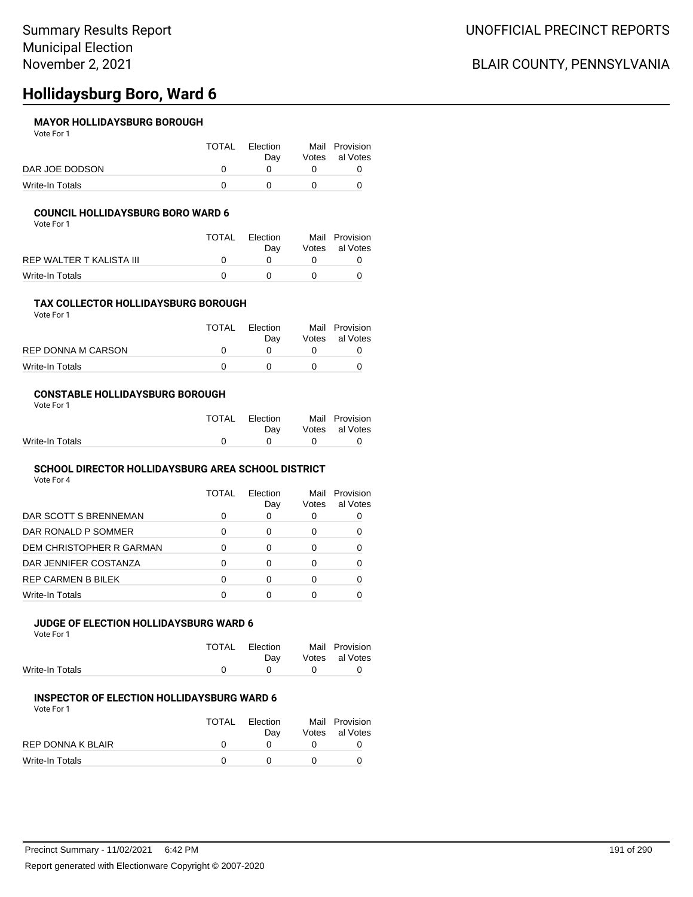# **Hollidaysburg Boro, Ward 6**

## **MAYOR HOLLIDAYSBURG BOROUGH**

Vote For 1

|                 | <b>TOTAL</b> | Election | Mail Provision |
|-----------------|--------------|----------|----------------|
|                 |              | Dav      | Votes al Votes |
| DAR JOE DODSON  |              |          |                |
| Write-In Totals |              |          |                |

### **COUNCIL HOLLIDAYSBURG BORO WARD 6**

Vote For 1

|                          | <b>TOTAL</b> | Election | Mail Provision |
|--------------------------|--------------|----------|----------------|
|                          |              | Dav      | Votes al Votes |
| REP WALTER T KALISTA III |              |          |                |
| Write-In Totals          |              |          |                |

#### **TAX COLLECTOR HOLLIDAYSBURG BOROUGH** Vote For 1

| .                  |       |                 |                                  |
|--------------------|-------|-----------------|----------------------------------|
|                    | TOTAL | Flection<br>Dav | Mail Provision<br>Votes al Votes |
| REP DONNA M CARSON |       |                 |                                  |
| Write-In Totals    |       |                 |                                  |

#### **CONSTABLE HOLLIDAYSBURG BOROUGH** Vote For 1

| 1 J J J J J J   |                |                                            |                |
|-----------------|----------------|--------------------------------------------|----------------|
|                 | TOTAL Election |                                            | Mail Provision |
|                 | Dav            |                                            | Votes al Votes |
| Write-In Totals |                | $\begin{array}{ccc} 0 & 0 & 0 \end{array}$ |                |

#### **SCHOOL DIRECTOR HOLLIDAYSBURG AREA SCHOOL DISTRICT** Vote For 4

|                          | TOTAL | Election<br>Day | Mail<br>Votes | Provision<br>al Votes |
|--------------------------|-------|-----------------|---------------|-----------------------|
| DAR SCOTT S BRENNEMAN    | 0     | 0               |               |                       |
| DAR RONALD P SOMMER      | 0     | 0               | O             |                       |
| DEM CHRISTOPHER R GARMAN | 0     | 0               |               |                       |
| DAR JENNIFER COSTANZA    | 0     | 0               |               |                       |
| REP CARMEN B BILEK       | O     | ∩               |               |                       |
| Write-In Totals          | n     |                 |               |                       |
|                          |       |                 |               |                       |

## **JUDGE OF ELECTION HOLLIDAYSBURG WARD 6**

Vote For 1

|                 | TOTAL Election |              | Mail Provision |
|-----------------|----------------|--------------|----------------|
|                 | Dav            |              | Votes al Votes |
| Write-In Totals |                | $\mathbf{u}$ | - 0            |
|                 |                |              |                |

## **INSPECTOR OF ELECTION HOLLIDAYSBURG WARD 6**

Vote For 1 TOTAL Election Day Mail Provision Votes al Votes REP DONNA K BLAIR  $\begin{array}{cccc} 0 & 0 & 0 & 0 \end{array}$ Write-In Totals 0 0 0 0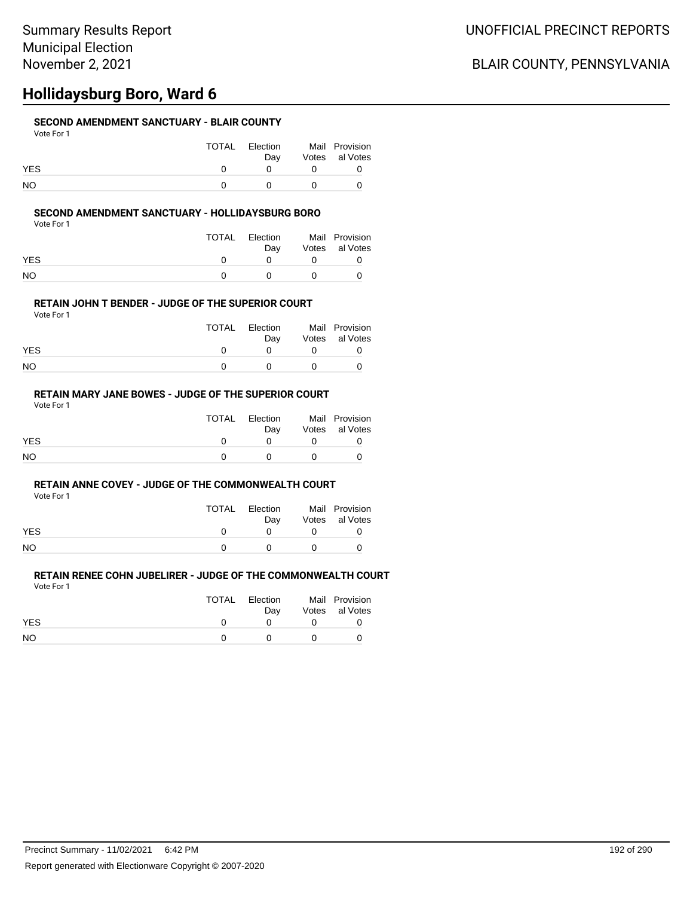# **Hollidaysburg Boro, Ward 6**

## **SECOND AMENDMENT SANCTUARY - BLAIR COUNTY**

|            | TOTAL | Election<br>Dav |            | Mail Provision<br>Votes al Votes |
|------------|-------|-----------------|------------|----------------------------------|
| <b>YES</b> |       |                 |            |                                  |
| NO         |       |                 | $^{\circ}$ |                                  |

### **SECOND AMENDMENT SANCTUARY - HOLLIDAYSBURG BORO**

Vote For 1

|            | TOTAL | Election<br>Dav | Mail Provision<br>Votes al Votes |
|------------|-------|-----------------|----------------------------------|
| <b>YES</b> |       |                 |                                  |
| NΟ         |       |                 |                                  |

### **RETAIN JOHN T BENDER - JUDGE OF THE SUPERIOR COURT**

Vote For 1

|            | TOTAL | Election<br>Dav | Mail Provision<br>Votes al Votes |
|------------|-------|-----------------|----------------------------------|
| <b>YES</b> |       |                 |                                  |
| NO         |       |                 |                                  |

## **RETAIN MARY JANE BOWES - JUDGE OF THE SUPERIOR COURT**

Vote For 1

|            | TOTAL | Election<br>Dav | Mail Provision<br>Votes al Votes |
|------------|-------|-----------------|----------------------------------|
| <b>YES</b> |       | <sup>n</sup>    |                                  |
| NO.        |       | <sup>n</sup>    |                                  |

#### **RETAIN ANNE COVEY - JUDGE OF THE COMMONWEALTH COURT**

Vote For 1

|            | TOTAL | Election | Mail Provision |
|------------|-------|----------|----------------|
|            |       | Dav      | Votes al Votes |
| <b>YES</b> |       |          |                |
| <b>NO</b>  |       | $\Omega$ |                |

#### **RETAIN RENEE COHN JUBELIRER - JUDGE OF THE COMMONWEALTH COURT** Vote For 1

|            | TOTAL | Election | Mail Provision |
|------------|-------|----------|----------------|
|            |       | Dav      | Votes al Votes |
| <b>YES</b> |       |          |                |
| NO.        |       |          |                |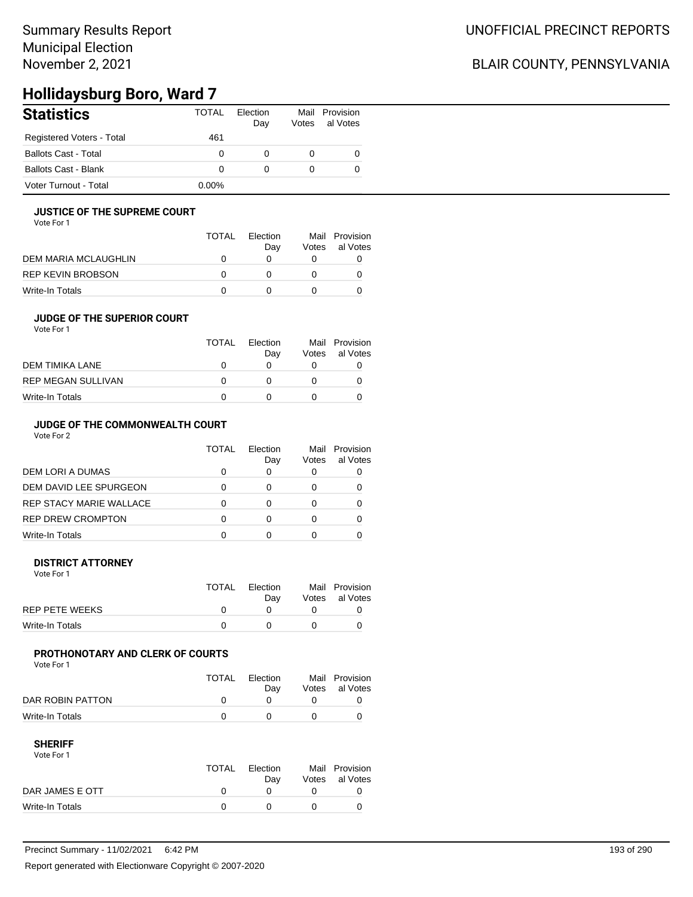# **Hollidaysburg Boro, Ward 7**

| <b>Statistics</b>           | <b>TOTAL</b> | Election<br>Day | Votes | Mail Provision<br>al Votes |
|-----------------------------|--------------|-----------------|-------|----------------------------|
| Registered Voters - Total   | 461          |                 |       |                            |
| <b>Ballots Cast - Total</b> | 0            |                 |       |                            |
| Ballots Cast - Blank        | 0            |                 |       |                            |
| Voter Turnout - Total       | $0.00\%$     |                 |       |                            |

## **JUSTICE OF THE SUPREME COURT**

Vote For 1

|                      | TOTAL | Election<br>Dav | Votes | Mail Provision<br>al Votes |
|----------------------|-------|-----------------|-------|----------------------------|
| DEM MARIA MCLAUGHLIN |       |                 |       |                            |
| REP KEVIN BROBSON    |       |                 |       |                            |
| Write-In Totals      |       |                 |       |                            |

## **JUDGE OF THE SUPERIOR COURT**

| Vote For 1 |  |  |
|------------|--|--|
|            |  |  |

|                           | <b>TOTAL</b> | Election<br>Day | Votes | Mail Provision<br>al Votes |
|---------------------------|--------------|-----------------|-------|----------------------------|
| DEM TIMIKA LANE           |              |                 |       |                            |
| <b>REP MEGAN SULLIVAN</b> |              |                 |       |                            |
| Write-In Totals           |              |                 |       |                            |
|                           |              |                 |       |                            |

## **JUDGE OF THE COMMONWEALTH COURT**

Vote For 2

|                                | TOTAL | Flection<br>Day | Votes | Mail Provision<br>al Votes |
|--------------------------------|-------|-----------------|-------|----------------------------|
| DEM LORI A DUMAS               |       |                 |       |                            |
| DEM DAVID LEE SPURGEON         |       |                 |       |                            |
| <b>REP STACY MARIE WALLACE</b> |       |                 |       |                            |
| <b>REP DREW CROMPTON</b>       |       |                 |       |                            |
| Write-In Totals                |       |                 |       |                            |

### **DISTRICT ATTORNEY**

| Vote For 1      |              |                 |                                  |
|-----------------|--------------|-----------------|----------------------------------|
|                 | <b>TOTAL</b> | Election<br>Dav | Mail Provision<br>Votes al Votes |
| REP PETE WEEKS  |              |                 |                                  |
| Write-In Totals |              |                 |                                  |

## **PROTHONOTARY AND CLERK OF COURTS**

Vote For 1

|                  | <b>TOTAL</b> | Election<br>Dav | Mail Provision<br>Votes al Votes |
|------------------|--------------|-----------------|----------------------------------|
| DAR ROBIN PATTON |              |                 |                                  |
| Write-In Totals  |              |                 |                                  |

| Vote For 1      |       |          |                |
|-----------------|-------|----------|----------------|
|                 | TOTAL | Election | Mail Provision |
|                 |       | Dav      | Votes al Votes |
| DAR JAMES E OTT |       |          |                |
| Write-In Totals |       |          |                |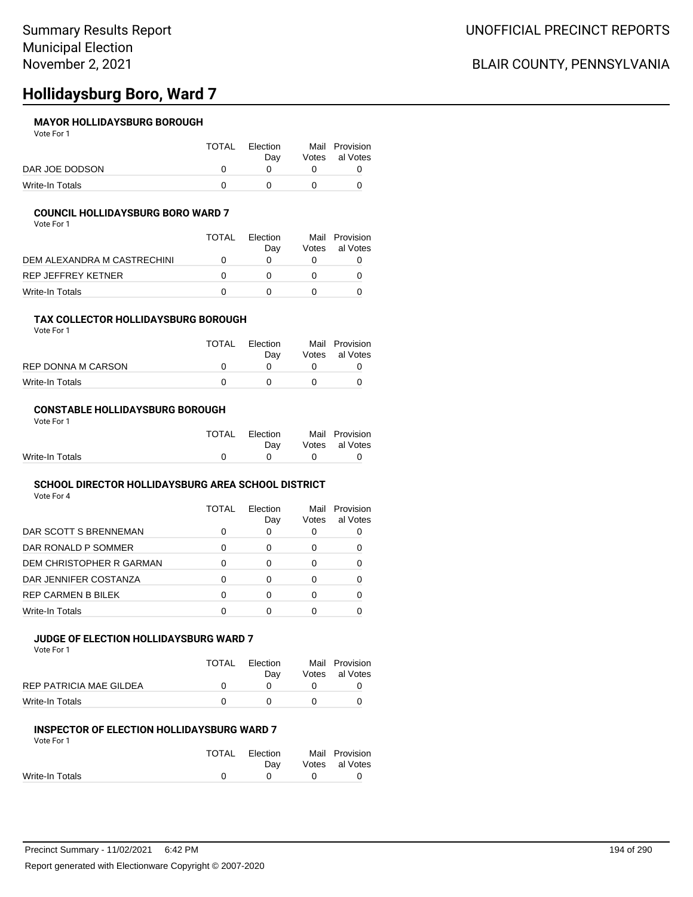# **Hollidaysburg Boro, Ward 7**

## **MAYOR HOLLIDAYSBURG BOROUGH**

Vote For 1

|                 | <b>TOTAL</b> | Election<br>Dav | Mail Provision<br>Votes al Votes |
|-----------------|--------------|-----------------|----------------------------------|
| DAR JOE DODSON  |              |                 |                                  |
| Write-In Totals |              |                 |                                  |

### **COUNCIL HOLLIDAYSBURG BORO WARD 7**

Vote For 1

|                             | TOTAL | Election<br>Dav | Mail Provision<br>Votes al Votes |
|-----------------------------|-------|-----------------|----------------------------------|
| DEM ALEXANDRA M CASTRECHINI |       |                 |                                  |
| REP JEFFREY KETNER          |       |                 |                                  |
| Write-In Totals             |       |                 |                                  |

#### **TAX COLLECTOR HOLLIDAYSBURG BOROUGH** Vote For 1

| .                  |              |                 |                                  |
|--------------------|--------------|-----------------|----------------------------------|
|                    | <b>TOTAL</b> | Election<br>Dav | Mail Provision<br>Votes al Votes |
| REP DONNA M CARSON |              |                 |                                  |
| Write-In Totals    |              |                 |                                  |

### **CONSTABLE HOLLIDAYSBURG BOROUGH**

Vote For 1

|                 | TOTAL Election | Mail Provision |
|-----------------|----------------|----------------|
|                 | Dav            | Votes al Votes |
| Write-In Totals |                |                |

### **SCHOOL DIRECTOR HOLLIDAYSBURG AREA SCHOOL DISTRICT**

Vote For 4

|                           | TOTAL | Election<br>Day | Mail<br>Votes | Provision<br>al Votes |
|---------------------------|-------|-----------------|---------------|-----------------------|
| DAR SCOTT S BRENNEMAN     | 0     | O               |               |                       |
| DAR RONALD P SOMMER       | ∩     | 0               |               |                       |
| DEM CHRISTOPHER R GARMAN  | ŋ     | O               |               |                       |
| DAR JENNIFER COSTANZA     |       | 0               |               |                       |
| <b>REP CARMEN B BILEK</b> | ∩     | 0               |               |                       |
| Write-In Totals           |       |                 |               |                       |

## **JUDGE OF ELECTION HOLLIDAYSBURG WARD 7**

Vote For 1

|                         | <b>TOTAL</b> | Election<br>Dav | Mail Provision<br>Votes al Votes |
|-------------------------|--------------|-----------------|----------------------------------|
| REP PATRICIA MAE GILDEA |              |                 |                                  |
| Write-In Totals         |              |                 |                                  |

### **INSPECTOR OF ELECTION HOLLIDAYSBURG WARD 7**

Vote For 1

|                 | TOTAL Election |              | Mail Provision |
|-----------------|----------------|--------------|----------------|
|                 | Dav            |              | Votes al Votes |
| Write-In Totals |                | <sup>n</sup> |                |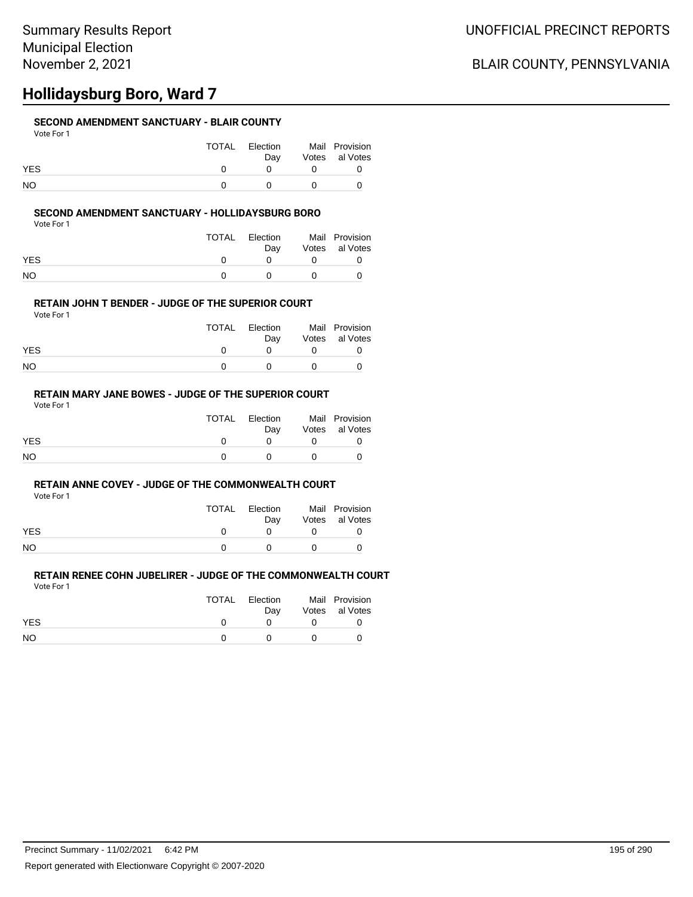# **Hollidaysburg Boro, Ward 7**

### **SECOND AMENDMENT SANCTUARY - BLAIR COUNTY**

| Vote For 1 |
|------------|
|------------|

|            | TOTAL | Election<br>Dav |            | Mail Provision<br>Votes al Votes |
|------------|-------|-----------------|------------|----------------------------------|
| <b>YES</b> |       |                 |            |                                  |
| NO         |       |                 | $^{\circ}$ |                                  |

### **SECOND AMENDMENT SANCTUARY - HOLLIDAYSBURG BORO**

Vote For 1

|            | TOTAL | Election<br>Dav | Mail Provision<br>Votes al Votes |
|------------|-------|-----------------|----------------------------------|
| <b>YES</b> |       |                 |                                  |
| NO         |       |                 |                                  |

### **RETAIN JOHN T BENDER - JUDGE OF THE SUPERIOR COURT**

Vote For 1

|            | TOTAL | Election<br>Dav | Mail Provision<br>Votes al Votes |
|------------|-------|-----------------|----------------------------------|
| <b>YES</b> |       |                 |                                  |
| NO         |       |                 |                                  |

## **RETAIN MARY JANE BOWES - JUDGE OF THE SUPERIOR COURT**

Vote For 1

|            | TOTAL | Election<br>Dav | Mail Provision<br>Votes al Votes |
|------------|-------|-----------------|----------------------------------|
| <b>YES</b> |       |                 |                                  |
| <b>NO</b>  |       |                 |                                  |

#### **RETAIN ANNE COVEY - JUDGE OF THE COMMONWEALTH COURT**

Vote For 1

|            | <b>TOTAL</b> | Election | Mail Provision |
|------------|--------------|----------|----------------|
|            |              | Dav      | Votes al Votes |
| <b>YES</b> |              |          |                |
| <b>NO</b>  |              |          |                |

#### **RETAIN RENEE COHN JUBELIRER - JUDGE OF THE COMMONWEALTH COURT** Vote For 1

|            | TOTAL | Election | Mail Provision |
|------------|-------|----------|----------------|
|            |       | Dav      | Votes al Votes |
| <b>YES</b> |       |          |                |
| NO.        |       |          |                |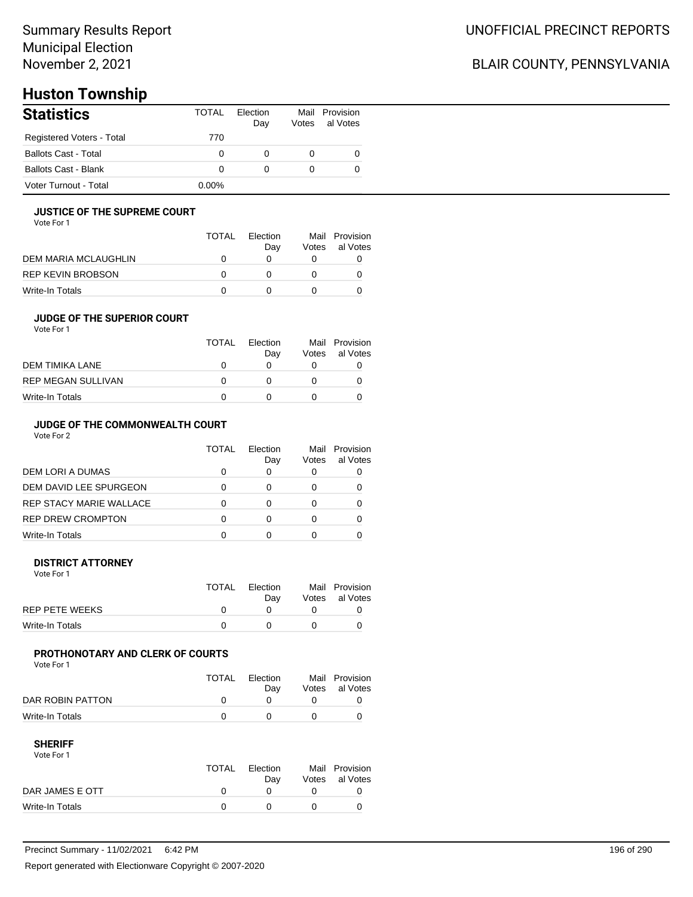# **Huston Township**

| <b>Statistics</b>           | TOTAL    | Flection<br>Day | Votes | Mail Provision<br>al Votes |
|-----------------------------|----------|-----------------|-------|----------------------------|
| Registered Voters - Total   | 770      |                 |       |                            |
| <b>Ballots Cast - Total</b> | 0        |                 |       | O                          |
| <b>Ballots Cast - Blank</b> | 0        |                 |       |                            |
| Voter Turnout - Total       | $0.00\%$ |                 |       |                            |

## **JUSTICE OF THE SUPREME COURT**

Vote For 1

|                      | <b>TOTAL</b> | Election<br>Dav | Mail<br>Votes | Provision<br>al Votes |
|----------------------|--------------|-----------------|---------------|-----------------------|
| DEM MARIA MCLAUGHLIN |              |                 |               |                       |
| REP KEVIN BROBSON    |              |                 |               |                       |
| Write-In Totals      |              |                 |               |                       |

## **JUDGE OF THE SUPERIOR COURT**

| Vote For 1 |  |  |
|------------|--|--|
|            |  |  |

|                           | <b>TOTAL</b> | Election |       | Mail Provision |
|---------------------------|--------------|----------|-------|----------------|
|                           |              | Dav      | Votes | al Votes       |
| DEM TIMIKA LANE           |              |          |       |                |
| <b>REP MEGAN SULLIVAN</b> |              |          |       |                |
| Write-In Totals           |              |          |       |                |
|                           |              |          |       |                |

## **JUDGE OF THE COMMONWEALTH COURT**

Vote For 2

|                                | TOTAL | Flection<br>Day | Votes | Mail Provision<br>al Votes |
|--------------------------------|-------|-----------------|-------|----------------------------|
| DEM LORI A DUMAS               |       |                 |       |                            |
| DEM DAVID LEE SPURGEON         |       |                 |       |                            |
| <b>REP STACY MARIE WALLACE</b> |       |                 |       |                            |
| <b>REP DREW CROMPTON</b>       |       |                 |       |                            |
| Write-In Totals                |       |                 |       |                            |

### **DISTRICT ATTORNEY**

| Vote For 1      |       |                 |                                  |
|-----------------|-------|-----------------|----------------------------------|
|                 | TOTAL | Election<br>Dav | Mail Provision<br>Votes al Votes |
| REP PETE WEEKS  |       |                 |                                  |
| Write-In Totals |       |                 |                                  |

## **PROTHONOTARY AND CLERK OF COURTS**

Vote For 1

|                  | <b>TOTAL</b> | Election<br>Dav | Mail Provision<br>Votes al Votes |
|------------------|--------------|-----------------|----------------------------------|
| DAR ROBIN PATTON |              |                 |                                  |
| Write-In Totals  |              |                 |                                  |

| Vote For 1      |       |          |                |
|-----------------|-------|----------|----------------|
|                 | TOTAL | Election | Mail Provision |
|                 |       | Dav      | Votes al Votes |
| DAR JAMES E OTT |       |          |                |
| Write-In Totals |       |          |                |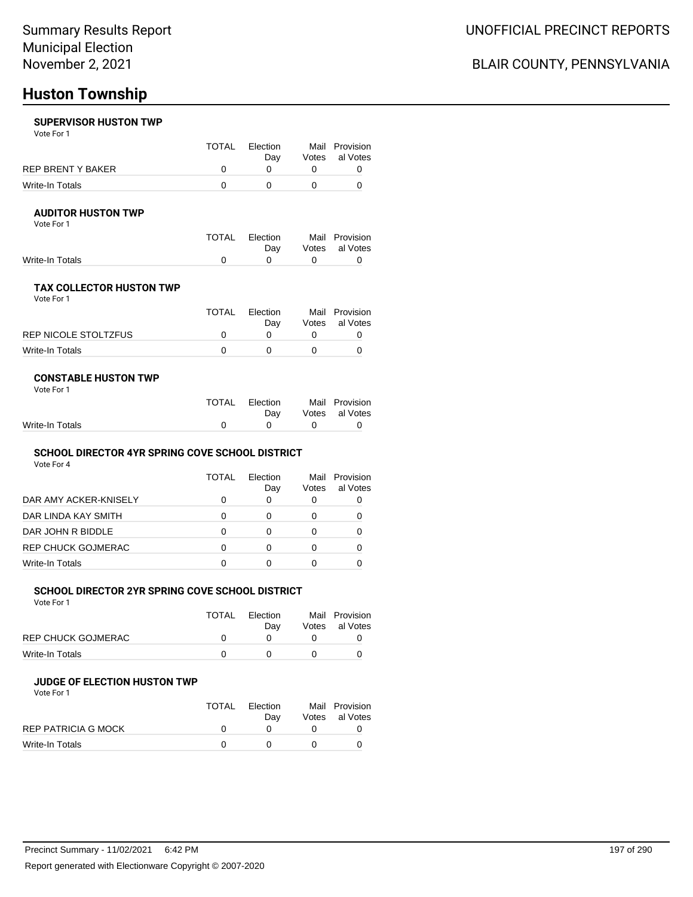# **Huston Township**

### **SUPERVISOR HUSTON TWP**

Vote For 1

|                   | TOTAL | Election | Mail Provision |
|-------------------|-------|----------|----------------|
|                   |       | Dav      | Votes al Votes |
| REP BRENT Y BAKER |       |          |                |
| Write-In Totals   |       |          |                |

### **AUDITOR HUSTON TWP**

Vote For 1

|                 | TOTAL Election |           | Mail Provision |
|-----------------|----------------|-----------|----------------|
|                 | Dav            |           | Votes al Votes |
| Write-In Totals |                | $\bigcap$ |                |

## **TAX COLLECTOR HUSTON TWP**

Vote For 1

|                      | TOTAL | Election<br>Dav | Mail Provision<br>Votes al Votes |
|----------------------|-------|-----------------|----------------------------------|
| REP NICOLE STOLTZFUS |       |                 |                                  |
| Write-In Totals      |       |                 |                                  |

### **CONSTABLE HUSTON TWP**

|  | Vote For 1 |  |
|--|------------|--|
|  |            |  |

|  |                | Mail Provision                                      |
|--|----------------|-----------------------------------------------------|
|  |                | Votes al Votes                                      |
|  |                |                                                     |
|  | TOTAL Election | Dav<br>$\begin{array}{ccc}\n0 & & & 0\n\end{array}$ |

### **SCHOOL DIRECTOR 4YR SPRING COVE SCHOOL DISTRICT**

Vote For 4

|                           | TOTAL | Election<br>Day | Votes | Mail Provision<br>al Votes |
|---------------------------|-------|-----------------|-------|----------------------------|
| DAR AMY ACKER-KNISELY     |       | O               |       |                            |
| DAR LINDA KAY SMITH       |       | 0               |       |                            |
| DAR JOHN R BIDDLE         |       | ∩               |       |                            |
| <b>REP CHUCK GOJMERAC</b> | O     | O               |       |                            |
| <b>Write-In Totals</b>    |       | ∩               |       |                            |

## **SCHOOL DIRECTOR 2YR SPRING COVE SCHOOL DISTRICT**

Vote For 1

|                    | <b>TOTAL</b> | Election<br>Dav | Mail Provision<br>Votes al Votes |
|--------------------|--------------|-----------------|----------------------------------|
| REP CHUCK GOJMERAC |              |                 |                                  |
| Write-In Totals    |              |                 |                                  |

### **JUDGE OF ELECTION HUSTON TWP**

Vote For 1

|                     | TOTAL | Election | Mail Provision |
|---------------------|-------|----------|----------------|
|                     |       | Dav      | Votes al Votes |
| REP PATRICIA G MOCK |       |          |                |
| Write-In Totals     |       |          |                |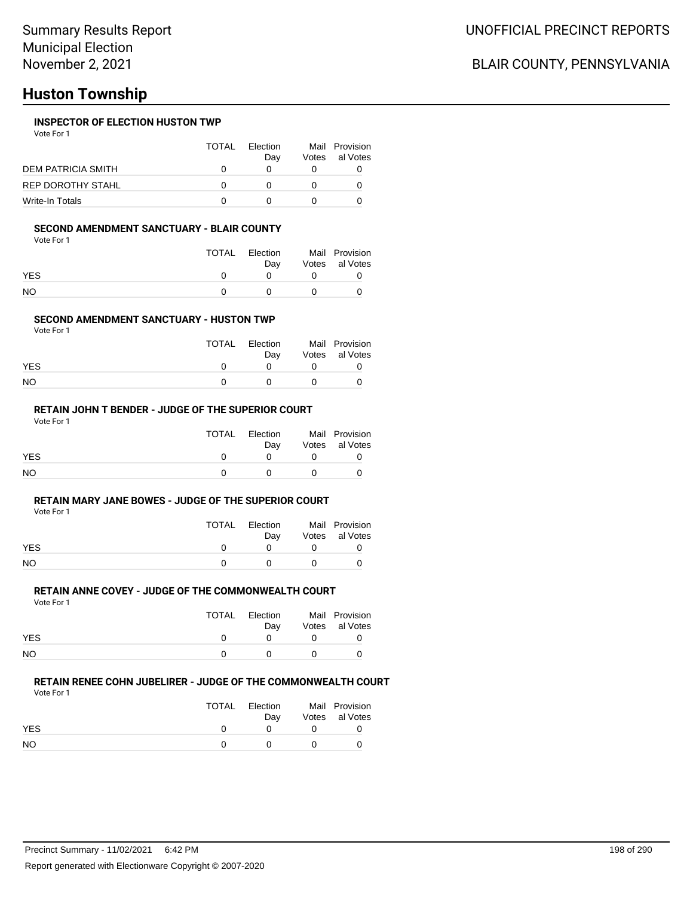# **Huston Township**

## **INSPECTOR OF ELECTION HUSTON TWP**

Vote For 1

|                          | <b>TOTAL</b> | Election<br>Dav | Mail Provision<br>Votes al Votes |
|--------------------------|--------------|-----------------|----------------------------------|
| DEM PATRICIA SMITH       |              |                 |                                  |
| <b>REP DOROTHY STAHL</b> |              |                 |                                  |
| Write-In Totals          |              |                 |                                  |

## **SECOND AMENDMENT SANCTUARY - BLAIR COUNTY**

Vote For 1

|            | TOTAL | Election<br>Dav | Mail Provision<br>Votes al Votes |
|------------|-------|-----------------|----------------------------------|
| <b>YES</b> |       |                 |                                  |
| NO         |       |                 |                                  |

### **SECOND AMENDMENT SANCTUARY - HUSTON TWP**

Vote For 1

|            | TOTAL | Election<br>Dav | Mail Provision<br>Votes al Votes |
|------------|-------|-----------------|----------------------------------|
| <b>YES</b> |       |                 |                                  |
| <b>NO</b>  |       |                 |                                  |

### **RETAIN JOHN T BENDER - JUDGE OF THE SUPERIOR COURT**

Vote For 1

|            | TOTAL | Election<br>Dav | Mail Provision<br>Votes al Votes |
|------------|-------|-----------------|----------------------------------|
| <b>YES</b> |       |                 |                                  |
| <b>NO</b>  |       |                 |                                  |

### **RETAIN MARY JANE BOWES - JUDGE OF THE SUPERIOR COURT**

Vote For 1

|            | TOTAL | Election<br>Dav | Mail Provision<br>Votes al Votes |
|------------|-------|-----------------|----------------------------------|
| <b>YES</b> |       |                 |                                  |
| <b>NO</b>  |       |                 |                                  |

### **RETAIN ANNE COVEY - JUDGE OF THE COMMONWEALTH COURT**

Vote For 1

|            | TOTAL | Election<br>Dav |            | Mail Provision<br>Votes al Votes |
|------------|-------|-----------------|------------|----------------------------------|
| <b>YES</b> |       | n               | $^{\circ}$ |                                  |
| <b>NO</b>  |       | $\Omega$        | $^{\circ}$ |                                  |

### **RETAIN RENEE COHN JUBELIRER - JUDGE OF THE COMMONWEALTH COURT**

Vote For 1

|                | TOTAL | Election<br>Dav | Mail Provision<br>Votes al Votes |
|----------------|-------|-----------------|----------------------------------|
| <b>YES</b>     |       |                 |                                  |
| N <sub>O</sub> |       |                 |                                  |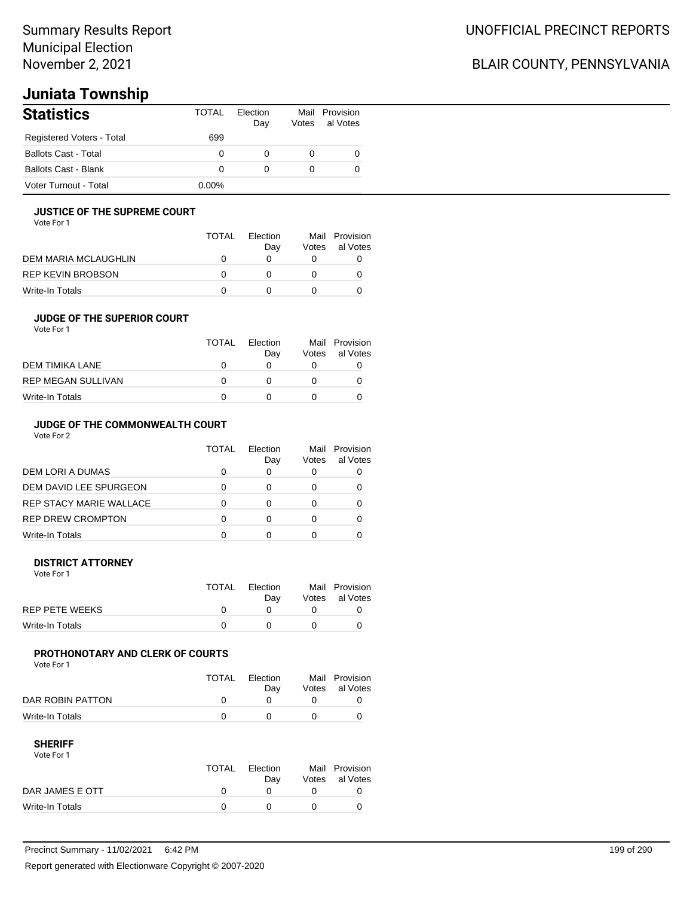# **Juniata Township**

| <b>Statistics</b>           | TOTAL    | Flection<br>Day | Mail<br>Votes | Provision<br>al Votes |
|-----------------------------|----------|-----------------|---------------|-----------------------|
| Registered Voters - Total   | 699      |                 |               |                       |
| <b>Ballots Cast - Total</b> | 0        |                 |               |                       |
| <b>Ballots Cast - Blank</b> | 0        |                 |               |                       |
| Voter Turnout - Total       | $0.00\%$ |                 |               |                       |

## **JUSTICE OF THE SUPREME COURT**

Vote For 1

|                      | <b>TOTAL</b> | Election<br>Dav | Mail<br>Votes | Provision<br>al Votes |
|----------------------|--------------|-----------------|---------------|-----------------------|
| DEM MARIA MCLAUGHLIN |              |                 |               |                       |
| REP KEVIN BROBSON    |              |                 |               |                       |
| Write-In Totals      |              |                 |               |                       |

#### **JUDGE OF THE SUPERIOR COURT** Vote For 1

| VULTE FUIL                |            |                 |       |                            |  |
|---------------------------|------------|-----------------|-------|----------------------------|--|
|                           | TOTAL      | Election<br>Day | Votes | Mail Provision<br>al Votes |  |
| DEM TIMIKA LANE           | $^{\circ}$ |                 |       |                            |  |
| <b>REP MEGAN SULLIVAN</b> | $^{\circ}$ |                 |       |                            |  |
| Write-In Totals           |            |                 |       |                            |  |

### **JUDGE OF THE COMMONWEALTH COURT**

Vote For 2

|                                | TOTAL | Flection<br>Day | Votes | Mail Provision<br>al Votes |
|--------------------------------|-------|-----------------|-------|----------------------------|
| DEM LORI A DUMAS               |       |                 |       |                            |
| DEM DAVID LEE SPURGEON         |       |                 |       |                            |
| <b>REP STACY MARIE WALLACE</b> |       |                 |       |                            |
| <b>REP DREW CROMPTON</b>       |       |                 |       |                            |
| Write-In Totals                |       |                 |       |                            |

### **DISTRICT ATTORNEY**

| Vote For 1            |       |                 |                                  |
|-----------------------|-------|-----------------|----------------------------------|
|                       | TOTAL | Election<br>Dav | Mail Provision<br>Votes al Votes |
| <b>REP PETE WEEKS</b> |       |                 |                                  |
| Write-In Totals       |       |                 |                                  |

## **PROTHONOTARY AND CLERK OF COURTS**

Vote For 1

|                  | <b>TOTAL</b> | Election<br>Dav | Mail Provision<br>Votes al Votes |
|------------------|--------------|-----------------|----------------------------------|
| DAR ROBIN PATTON |              |                 |                                  |
| Write-In Totals  |              |                 |                                  |

### **SHERIFF**

Vote For 1

|                 | TOTAL | Election<br>Dav | Mail Provision<br>Votes al Votes |
|-----------------|-------|-----------------|----------------------------------|
| DAR JAMES E OTT |       |                 |                                  |
| Write-In Totals |       |                 |                                  |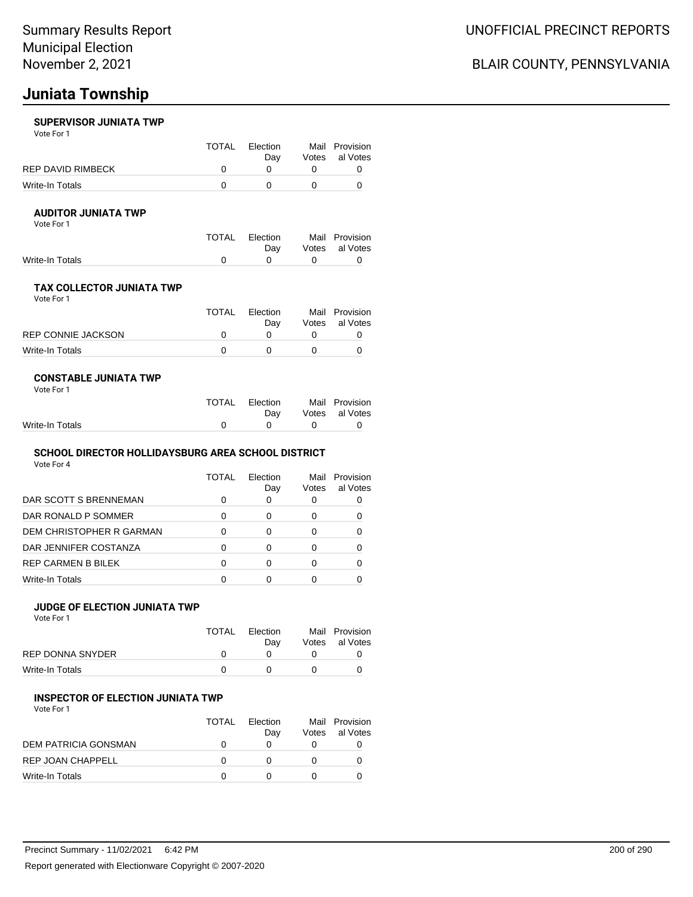# **Juniata Township**

## **SUPERVISOR JUNIATA TWP**

Vote For 1

|                   | <b>TOTAL</b> | Election | Mail Provision |
|-------------------|--------------|----------|----------------|
|                   |              | Dav      | Votes al Votes |
| REP DAVID RIMBECK |              |          |                |
| Write-In Totals   |              |          |                |

### **AUDITOR JUNIATA TWP**

Vote For 1

|                 | TOTAL Election | Mail Provision |
|-----------------|----------------|----------------|
|                 | Dav            | Votes al Votes |
| Write-In Totals |                |                |

## **TAX COLLECTOR JUNIATA TWP**

Vote For 1

|                    | <b>TOTAL</b> | Election<br>Dav | Mail Provision<br>Votes al Votes |
|--------------------|--------------|-----------------|----------------------------------|
| REP CONNIE JACKSON |              |                 |                                  |
| Write-In Totals    |              |                 |                                  |

### **CONSTABLE JUNIATA TWP**

| Vote For 1 |  |  |
|------------|--|--|
|            |  |  |

|                 | TOTAL Election            | Mail Provision |
|-----------------|---------------------------|----------------|
|                 | Dav                       | Votes al Votes |
| Write-In Totals | $\mathbf{0}$ $\mathbf{0}$ |                |
|                 |                           |                |

## **SCHOOL DIRECTOR HOLLIDAYSBURG AREA SCHOOL DISTRICT**

Vote For 4

|                           | TOTAL | Flection<br>Day | Mail<br>Votes | Provision<br>al Votes |
|---------------------------|-------|-----------------|---------------|-----------------------|
| DAR SCOTT S BRENNEMAN     | 0     | O               |               |                       |
| DAR RONALD P SOMMER       | ∩     |                 |               |                       |
| DEM CHRISTOPHER R GARMAN  | ∩     |                 |               |                       |
| DAR JENNIFER COSTANZA     | ∩     |                 |               |                       |
| <b>REP CARMEN B BILEK</b> | O     |                 |               |                       |
| <b>Write-In Totals</b>    |       |                 |               |                       |

### **JUDGE OF ELECTION JUNIATA TWP**

Vote For 1

|                  | <b>TOTAL</b> | Election | Mail Provision |
|------------------|--------------|----------|----------------|
|                  |              | Dav      | Votes al Votes |
| REP DONNA SNYDER |              |          |                |
| Write-In Totals  |              |          |                |

#### **INSPECTOR OF ELECTION JUNIATA TWP** Vote For 1

|                      | <b>TOTAL</b> | Flection<br>Dav | Votes | Mail Provision<br>al Votes |
|----------------------|--------------|-----------------|-------|----------------------------|
| DEM PATRICIA GONSMAN | $\mathbf{U}$ |                 |       |                            |
| REP JOAN CHAPPELL    | $\mathbf{U}$ |                 |       |                            |
| Write-In Totals      |              |                 |       |                            |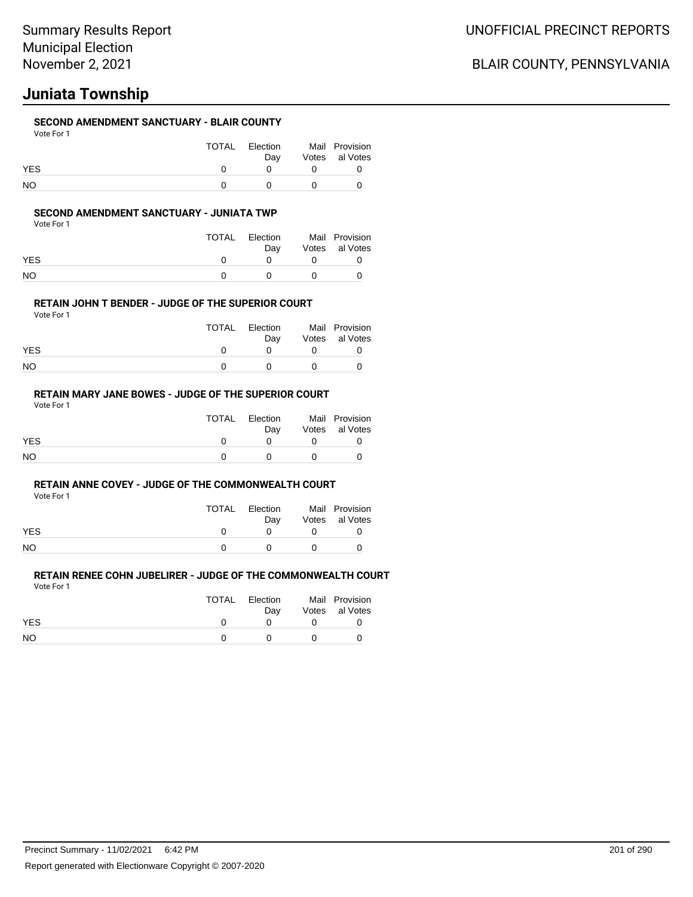# **Juniata Township**

## **SECOND AMENDMENT SANCTUARY - BLAIR COUNTY**

Vote For 1

|            | TOTAL | Election<br>Dav       |                   | Mail Provision<br>Votes al Votes |
|------------|-------|-----------------------|-------------------|----------------------------------|
| <b>YES</b> |       | $\Omega$ and $\Omega$ | $\Omega$          | 0                                |
| <b>NO</b>  |       |                       | $\Omega$ $\Omega$ |                                  |

### **SECOND AMENDMENT SANCTUARY - JUNIATA TWP**

Vote For 1

|            | TOTAL | Election<br>Dav | Mail Provision<br>Votes al Votes |
|------------|-------|-----------------|----------------------------------|
| <b>YES</b> |       |                 |                                  |
| NΟ         |       |                 |                                  |

### **RETAIN JOHN T BENDER - JUDGE OF THE SUPERIOR COURT**

Vote For 1

|            | TOTAL | Election | Mail Provision |
|------------|-------|----------|----------------|
|            |       | Dav      | Votes al Votes |
| <b>YES</b> |       |          |                |
| <b>NO</b>  |       |          |                |

## **RETAIN MARY JANE BOWES - JUDGE OF THE SUPERIOR COURT**

Vote For 1

|            | TOTAL | Election<br>Dav | Mail Provision<br>Votes al Votes |
|------------|-------|-----------------|----------------------------------|
| <b>YES</b> |       |                 |                                  |
| NO.        |       |                 |                                  |

#### **RETAIN ANNE COVEY - JUDGE OF THE COMMONWEALTH COURT**

Vote For 1

|            | TOTAL | Election | Mail Provision |
|------------|-------|----------|----------------|
|            |       | Dav      | Votes al Votes |
| <b>YES</b> |       |          |                |
| <b>NO</b>  |       |          |                |

#### **RETAIN RENEE COHN JUBELIRER - JUDGE OF THE COMMONWEALTH COURT** Vote For 1

|            | TOTAL Election<br>Dav | Mail Provision<br>Votes al Votes |
|------------|-----------------------|----------------------------------|
| <b>YES</b> |                       |                                  |
| NO.        |                       |                                  |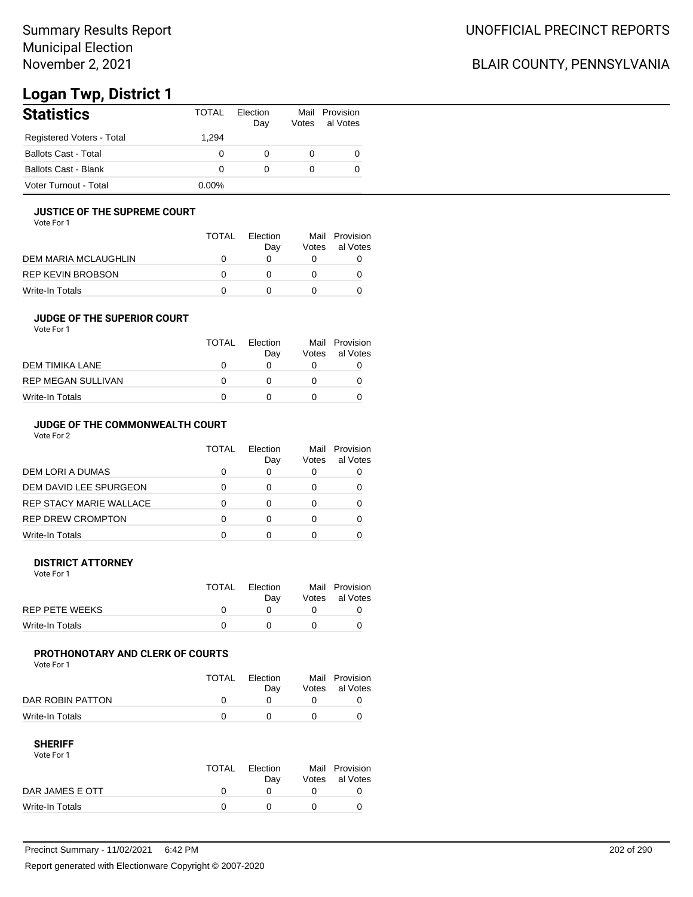# **Logan Twp, District 1**

| <b>Statistics</b>           | TOTAI    | Flection<br>Day | Votes | Mail Provision<br>al Votes |
|-----------------------------|----------|-----------------|-------|----------------------------|
| Registered Voters - Total   | 1.294    |                 |       |                            |
| <b>Ballots Cast - Total</b> | 0        | 0               |       | O                          |
| <b>Ballots Cast - Blank</b> | 0        | 0               |       |                            |
| Voter Turnout - Total       | $0.00\%$ |                 |       |                            |

### **JUSTICE OF THE SUPREME COURT**

Vote For 1

|                      | TOTAL | Election<br>Dav | Votes | Mail Provision<br>al Votes |
|----------------------|-------|-----------------|-------|----------------------------|
| DEM MARIA MCLAUGHLIN |       |                 |       |                            |
| REP KEVIN BROBSON    |       |                 |       |                            |
| Write-In Totals      |       |                 |       |                            |

### **JUDGE OF THE SUPERIOR COURT**

| Vote For 1 |  |  |
|------------|--|--|
|            |  |  |

|                           | <b>TOTAL</b> | Election<br>Day | Votes | Mail Provision<br>al Votes |
|---------------------------|--------------|-----------------|-------|----------------------------|
| DEM TIMIKA LANE           |              |                 |       |                            |
| <b>REP MEGAN SULLIVAN</b> |              |                 |       |                            |
| Write-In Totals           |              |                 |       |                            |
|                           |              |                 |       |                            |

## **JUDGE OF THE COMMONWEALTH COURT**

Vote For 2

|                                | TOTAL | Flection<br>Day | Votes | Mail Provision<br>al Votes |
|--------------------------------|-------|-----------------|-------|----------------------------|
| DEM LORI A DUMAS               |       |                 |       |                            |
| DEM DAVID LEE SPURGEON         |       |                 |       |                            |
| <b>REP STACY MARIE WALLACE</b> |       |                 |       |                            |
| <b>REP DREW CROMPTON</b>       |       |                 |       |                            |
| Write-In Totals                |       |                 |       |                            |

### **DISTRICT ATTORNEY**

| Vote For 1      |              |                 |                                  |
|-----------------|--------------|-----------------|----------------------------------|
|                 | <b>TOTAL</b> | Election<br>Dav | Mail Provision<br>Votes al Votes |
| REP PETE WEEKS  |              |                 |                                  |
| Write-In Totals |              |                 |                                  |

## **PROTHONOTARY AND CLERK OF COURTS**

Vote For 1

|                  | <b>TOTAL</b> | Election<br>Dav | Mail Provision<br>Votes al Votes |
|------------------|--------------|-----------------|----------------------------------|
| DAR ROBIN PATTON |              |                 |                                  |
| Write-In Totals  |              |                 |                                  |

| Vote For 1      |              |          |                |
|-----------------|--------------|----------|----------------|
|                 | TOTAL        | Flection | Mail Provision |
|                 |              | Dav      | Votes al Votes |
| DAR JAMES E OTT | <sup>n</sup> |          |                |
| Write-In Totals |              |          |                |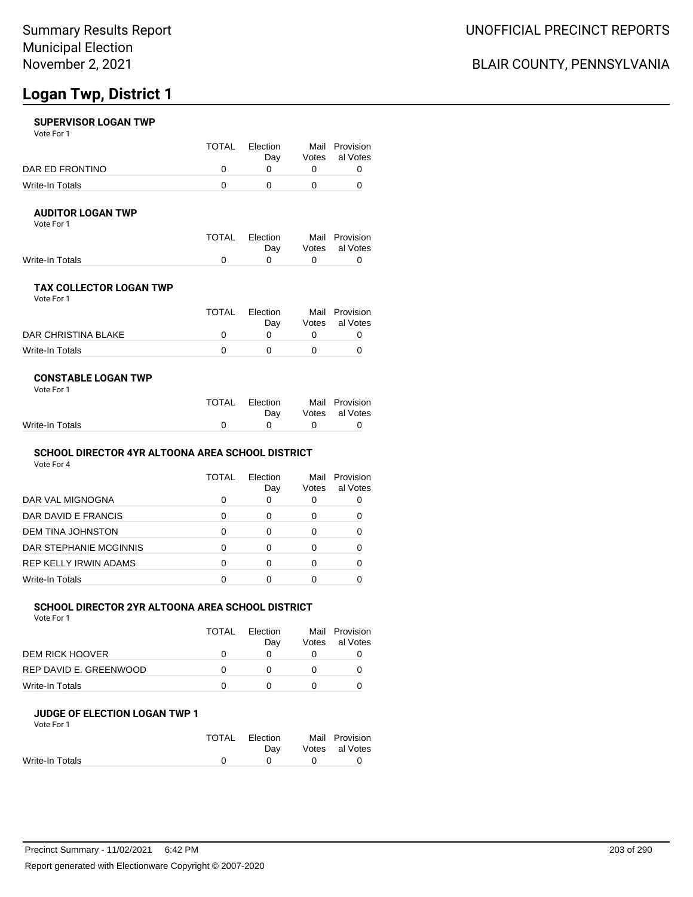### **SUPERVISOR LOGAN TWP**

Vote For 1

|                 | TOTAL | Election | Mail Provision |
|-----------------|-------|----------|----------------|
|                 |       | Dav      | Votes al Votes |
| DAR ED FRONTINO |       |          |                |
| Write-In Totals |       |          |                |

### **AUDITOR LOGAN TWP**

Vote For 1

|                 | TOTAL Election | Mail Provision |
|-----------------|----------------|----------------|
|                 | Dav            | Votes al Votes |
| Write-In Totals |                |                |

## **TAX COLLECTOR LOGAN TWP**

Vote For 1

|                     | <b>TOTAL</b> | Election<br>Dav | Mail Provision<br>Votes al Votes |
|---------------------|--------------|-----------------|----------------------------------|
| DAR CHRISTINA BLAKE |              |                 |                                  |
| Write-In Totals     |              |                 |                                  |

### **CONSTABLE LOGAN TWP**

| Vote For 1 |  |
|------------|--|
|------------|--|

|                 | TOTAL Election |                                   | Mail Provision |
|-----------------|----------------|-----------------------------------|----------------|
|                 | Dav            |                                   | Votes al Votes |
| Write-In Totals |                | $\mathfrak{a}$ and $\mathfrak{a}$ |                |

## **SCHOOL DIRECTOR 4YR ALTOONA AREA SCHOOL DISTRICT**

Vote For 4

|                              | TOTAL | Election<br>Day | Mail<br>Votes | Provision<br>al Votes |
|------------------------------|-------|-----------------|---------------|-----------------------|
| DAR VAL MIGNOGNA             | 0     | O               |               |                       |
| DAR DAVID E FRANCIS          | 0     | 0               | 0             |                       |
| DEM TINA JOHNSTON            | 0     | Ω               |               |                       |
| DAR STEPHANIE MCGINNIS       | ∩     | O               |               |                       |
| <b>REP KELLY IRWIN ADAMS</b> | 0     | Ω               |               |                       |
| Write-In Totals              | O     | O               |               |                       |
|                              |       |                 |               |                       |

## **SCHOOL DIRECTOR 2YR ALTOONA AREA SCHOOL DISTRICT**

Vote For 1

|                        | <b>TOTAL</b> | Election |       | Mail Provision |
|------------------------|--------------|----------|-------|----------------|
|                        |              | Dav      | Votes | al Votes       |
| DEM RICK HOOVER        |              |          |       |                |
| REP DAVID E. GREENWOOD |              |          |       |                |
| Write-In Totals        |              |          |       |                |

## **JUDGE OF ELECTION LOGAN TWP 1**

| Vote For 1      |       |            |                |
|-----------------|-------|------------|----------------|
|                 | TOTAL | Election   | Mail Provision |
|                 |       | Dav        | Votes al Votes |
| Write-In Totals | O     | $^{\circ}$ |                |
|                 |       |            |                |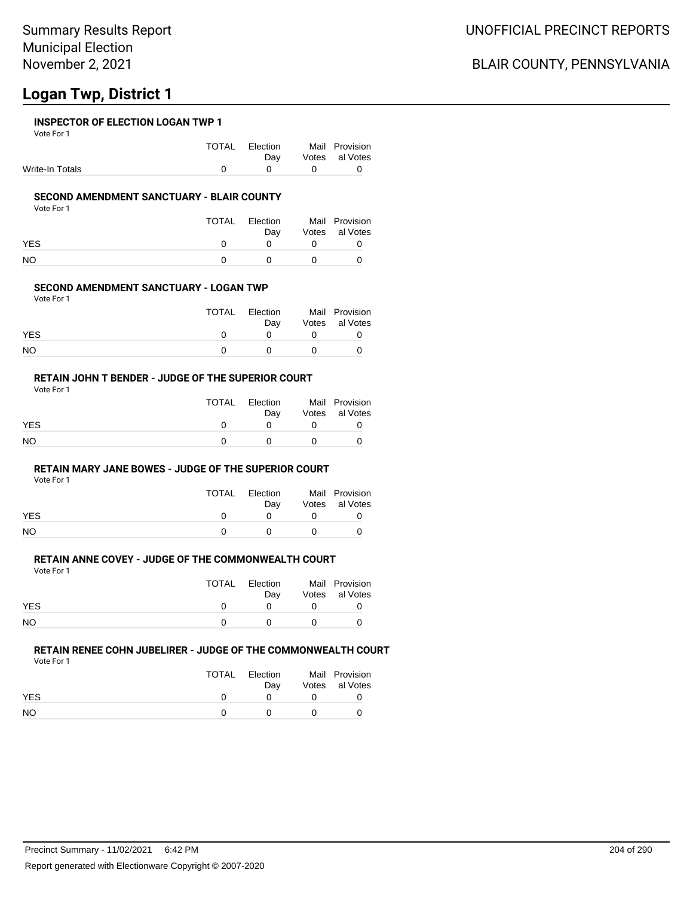### **INSPECTOR OF ELECTION LOGAN TWP 1**

Vote For 1

|                 | TOTAL Election                               | Mail Provision |
|-----------------|----------------------------------------------|----------------|
|                 | Dav                                          | Votes al Votes |
| Write-In Totals | $\begin{array}{ccc}\n0 & 0 & 0\n\end{array}$ |                |

### **SECOND AMENDMENT SANCTUARY - BLAIR COUNTY**

Vote For 1

|            | TOTAL | Election<br>Dav | Mail Provision<br>Votes al Votes |
|------------|-------|-----------------|----------------------------------|
| <b>YES</b> |       |                 |                                  |
| <b>NO</b>  |       |                 |                                  |

## **SECOND AMENDMENT SANCTUARY - LOGAN TWP**

Vote For 1

|            | <b>TOTAL</b> | Election | Mail Provision |
|------------|--------------|----------|----------------|
|            |              | Dav      | Votes al Votes |
| <b>YES</b> |              |          |                |
| NO         |              |          |                |

#### **RETAIN JOHN T BENDER - JUDGE OF THE SUPERIOR COURT** Vote For 1

|            | TOTAL | Election<br>Dav | Mail Provision<br>Votes al Votes |
|------------|-------|-----------------|----------------------------------|
| <b>YES</b> |       |                 |                                  |
| NO         |       |                 |                                  |

## **RETAIN MARY JANE BOWES - JUDGE OF THE SUPERIOR COURT**

Vote For 1

|            | TOTAL        | Election<br>Day | Mail Provision<br>Votes al Votes |
|------------|--------------|-----------------|----------------------------------|
| <b>YES</b> | $\mathbf{U}$ | <sup>n</sup>    |                                  |
| NO         | n            | $\Omega$        |                                  |

## **RETAIN ANNE COVEY - JUDGE OF THE COMMONWEALTH COURT**

Vote For 1

|            | TOTAL | Election | Mail Provision |
|------------|-------|----------|----------------|
|            |       | Dav      | Votes al Votes |
| <b>YES</b> |       |          |                |
| NO         |       |          |                |

## **RETAIN RENEE COHN JUBELIRER - JUDGE OF THE COMMONWEALTH COURT**

Vote For 1

|           | TOTAL | Election<br>Dav | Mail Provision<br>Votes al Votes |
|-----------|-------|-----------------|----------------------------------|
| YES       |       |                 |                                  |
| <b>NO</b> |       |                 |                                  |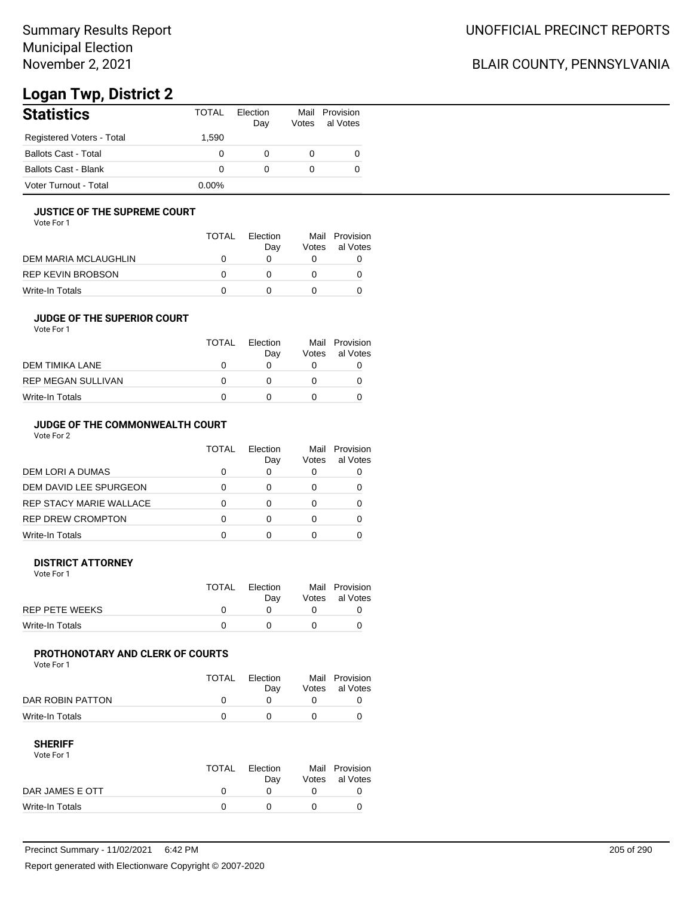# **Logan Twp, District 2**

| <b>Statistics</b>           | TOTAL    | Flection<br>Day | Votes | Mail Provision<br>al Votes |
|-----------------------------|----------|-----------------|-------|----------------------------|
| Registered Voters - Total   | 1.590    |                 |       |                            |
| <b>Ballots Cast - Total</b> | 0        |                 |       |                            |
| <b>Ballots Cast - Blank</b> | 0        |                 |       |                            |
| Voter Turnout - Total       | $0.00\%$ |                 |       |                            |

## **JUSTICE OF THE SUPREME COURT**

Vote For 1

|                      | TOTAL | Election<br>Dav | Votes | Mail Provision<br>al Votes |
|----------------------|-------|-----------------|-------|----------------------------|
| DEM MARIA MCLAUGHLIN |       |                 |       |                            |
| REP KEVIN BROBSON    |       |                 |       |                            |
| Write-In Totals      |       |                 |       |                            |

### **JUDGE OF THE SUPERIOR COURT**

| Vote For 1                |          |                 |                                  |
|---------------------------|----------|-----------------|----------------------------------|
|                           | TOTAL    | Flection<br>Dav | Mail Provision<br>Votes al Votes |
| DEM TIMIKA LANE           | $\Omega$ |                 |                                  |
| <b>REP MEGAN SULLIVAN</b> |          |                 |                                  |

### **JUDGE OF THE COMMONWEALTH COURT**

Vote For 2

|                          | TOTAL | Flection<br>Day | Votes | Mail Provision<br>al Votes |
|--------------------------|-------|-----------------|-------|----------------------------|
| DEM LORI A DUMAS         |       |                 |       |                            |
| DEM DAVID LEE SPURGEON   |       |                 |       |                            |
| REP STACY MARIE WALLACE  |       |                 |       |                            |
| <b>REP DREW CROMPTON</b> |       |                 |       |                            |
| Write-In Totals          |       |                 |       |                            |

Write-In Totals **0** 0 0 0 0 0

### **DISTRICT ATTORNEY**

| Vote For 1            |       |                 |                                  |
|-----------------------|-------|-----------------|----------------------------------|
|                       | TOTAL | Election<br>Dav | Mail Provision<br>Votes al Votes |
| <b>REP PETE WEEKS</b> |       |                 |                                  |
| Write-In Totals       |       |                 |                                  |

## **PROTHONOTARY AND CLERK OF COURTS**

Vote For 1

|                  | <b>TOTAL</b> | Election<br>Dav | Mail Provision<br>Votes al Votes |
|------------------|--------------|-----------------|----------------------------------|
| DAR ROBIN PATTON |              |                 |                                  |
| Write-In Totals  |              |                 |                                  |

| Vote For 1      |       |          |                |
|-----------------|-------|----------|----------------|
|                 | TOTAL | Flection | Mail Provision |
|                 |       | Dav      | Votes al Votes |
| DAR JAMES E OTT |       |          |                |
| Write-In Totals |       |          |                |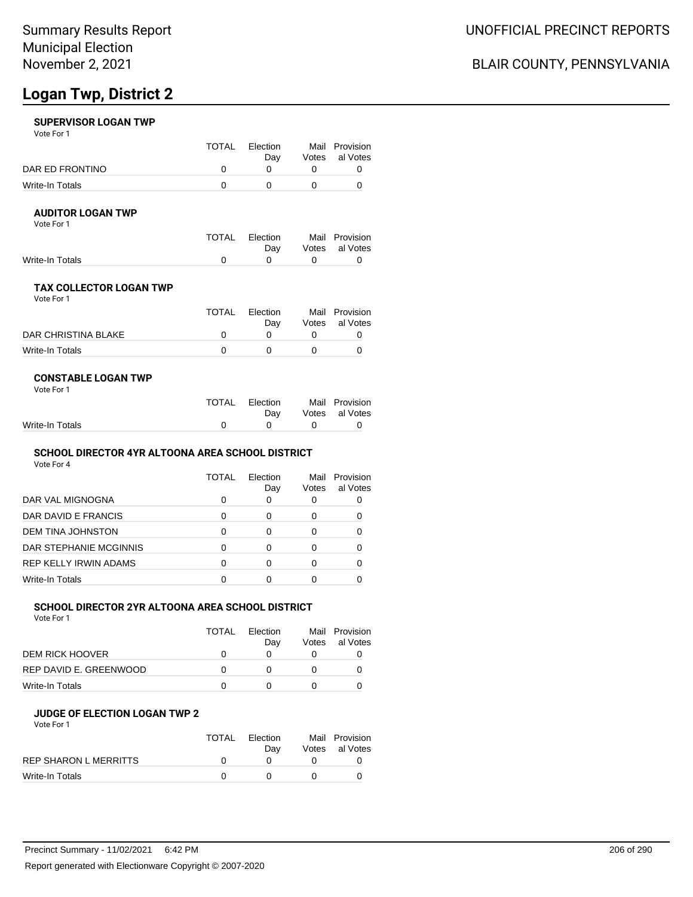### **SUPERVISOR LOGAN TWP**

Vote For 1

|                 | TOTAL | Election | Mail Provision |
|-----------------|-------|----------|----------------|
|                 |       | Dav      | Votes al Votes |
| DAR ED FRONTINO |       |          |                |
| Write-In Totals |       |          |                |

### **AUDITOR LOGAN TWP**

Vote For 1

|                 | TOTAL Election | Mail Provision |
|-----------------|----------------|----------------|
|                 | Dav            | Votes al Votes |
| Write-In Totals |                |                |

## **TAX COLLECTOR LOGAN TWP**

Vote For 1

|                     | <b>TOTAL</b> | Election<br>Dav | Mail Provision<br>Votes al Votes |
|---------------------|--------------|-----------------|----------------------------------|
| DAR CHRISTINA BLAKE |              |                 |                                  |
| Write-In Totals     |              |                 |                                  |

### **CONSTABLE LOGAN TWP**

| Vote For 1 |  |  |
|------------|--|--|
|------------|--|--|

|                 | TOTAL Election |                                   | Mail Provision |
|-----------------|----------------|-----------------------------------|----------------|
|                 | Dav            |                                   | Votes al Votes |
| Write-In Totals |                | $\mathfrak{a}$ and $\mathfrak{a}$ |                |

## **SCHOOL DIRECTOR 4YR ALTOONA AREA SCHOOL DISTRICT**

Vote For 4

|                              | TOTAL | Election<br>Day | Mail<br>Votes | Provision<br>al Votes |
|------------------------------|-------|-----------------|---------------|-----------------------|
| DAR VAL MIGNOGNA             | 0     | 0               |               |                       |
| DAR DAVID E FRANCIS          | 0     | O               | 0             |                       |
| DEM TINA JOHNSTON            | ∩     | O               |               |                       |
| DAR STEPHANIE MCGINNIS       | 0     | 0               |               |                       |
| <b>REP KELLY IRWIN ADAMS</b> | 0     | 0               |               |                       |
| Write-In Totals              | ∩     |                 |               |                       |

## **SCHOOL DIRECTOR 2YR ALTOONA AREA SCHOOL DISTRICT**

Vote For 1

|                        | <b>TOTAL</b> | Election | Mail Provision |
|------------------------|--------------|----------|----------------|
|                        |              | Dav      | Votes al Votes |
| DEM RICK HOOVER        |              |          |                |
| REP DAVID E. GREENWOOD |              |          |                |
| Write-In Totals        |              |          |                |

#### **JUDGE OF ELECTION LOGAN TWP 2** Vote For 1

|                       | TOTAL | Election | Mail Provision |
|-----------------------|-------|----------|----------------|
|                       |       | Dav      | Votes al Votes |
| REP SHARON L MERRITTS |       |          |                |
| Write-In Totals       |       |          |                |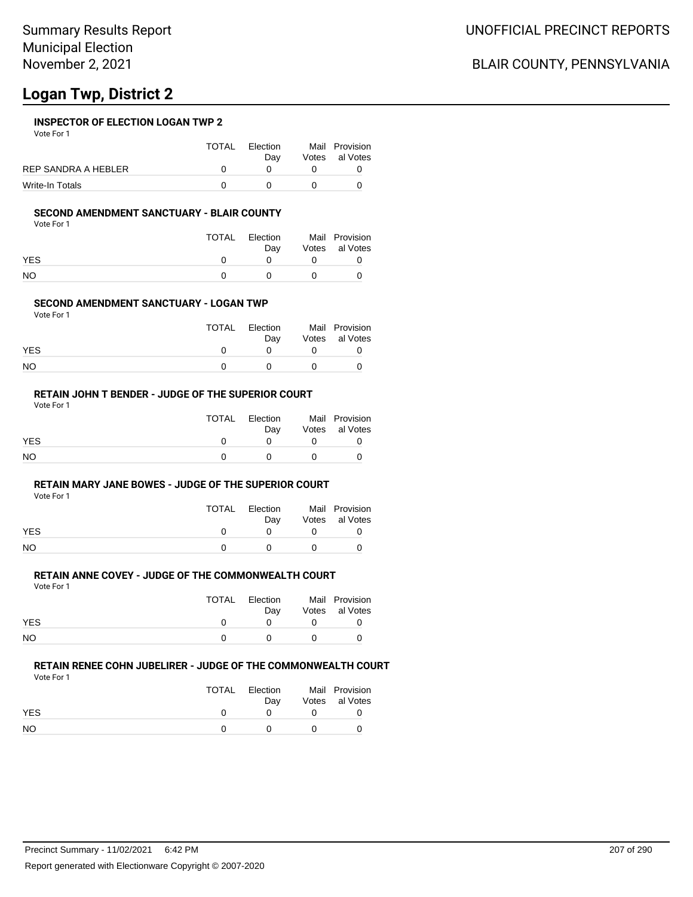## **INSPECTOR OF ELECTION LOGAN TWP 2**

Vote For 1

|                     | <b>TOTAL</b> | Election | Mail Provision |
|---------------------|--------------|----------|----------------|
|                     |              | Dav      | Votes al Votes |
| REP SANDRA A HEBLER |              |          |                |
| Write-In Totals     |              |          |                |

### **SECOND AMENDMENT SANCTUARY - BLAIR COUNTY**

Vote For 1

|            | TOTAL | Election<br>Dav | Mail Provision<br>Votes al Votes |
|------------|-------|-----------------|----------------------------------|
| <b>YES</b> |       |                 |                                  |
| NO         |       |                 |                                  |

### **SECOND AMENDMENT SANCTUARY - LOGAN TWP**

Vote For 1

|            | TOTAL | Election | Mail Provision |
|------------|-------|----------|----------------|
|            |       | Dav      | Votes al Votes |
| <b>YES</b> |       |          |                |
| <b>NO</b>  |       |          |                |

## **RETAIN JOHN T BENDER - JUDGE OF THE SUPERIOR COURT**

Vote For 1

|            | TOTAL | Election<br>Dav | Mail Provision<br>Votes al Votes |
|------------|-------|-----------------|----------------------------------|
| <b>YES</b> |       |                 |                                  |
| <b>NO</b>  |       |                 |                                  |

### **RETAIN MARY JANE BOWES - JUDGE OF THE SUPERIOR COURT**

Vote For 1

|            | TOTAL | Election | Mail Provision |
|------------|-------|----------|----------------|
|            |       | Dav      | Votes al Votes |
| <b>YES</b> |       |          |                |
| <b>NO</b>  |       |          |                |

## **RETAIN ANNE COVEY - JUDGE OF THE COMMONWEALTH COURT**

Vote For 1

|            | <b>TOTAL</b> | Election | Mail Provision |
|------------|--------------|----------|----------------|
|            |              | Dav      | Votes al Votes |
| <b>YES</b> |              |          |                |
| <b>NO</b>  |              |          |                |

#### **RETAIN RENEE COHN JUBELIRER - JUDGE OF THE COMMONWEALTH COURT** Vote For 1

|            | TOTAL | Election<br>Dav |              | Mail Provision<br>Votes al Votes |
|------------|-------|-----------------|--------------|----------------------------------|
| <b>YES</b> |       | <sup>n</sup>    | $^{\circ}$   |                                  |
| NO.        |       | $\mathbf{r}$    | $\mathbf{U}$ |                                  |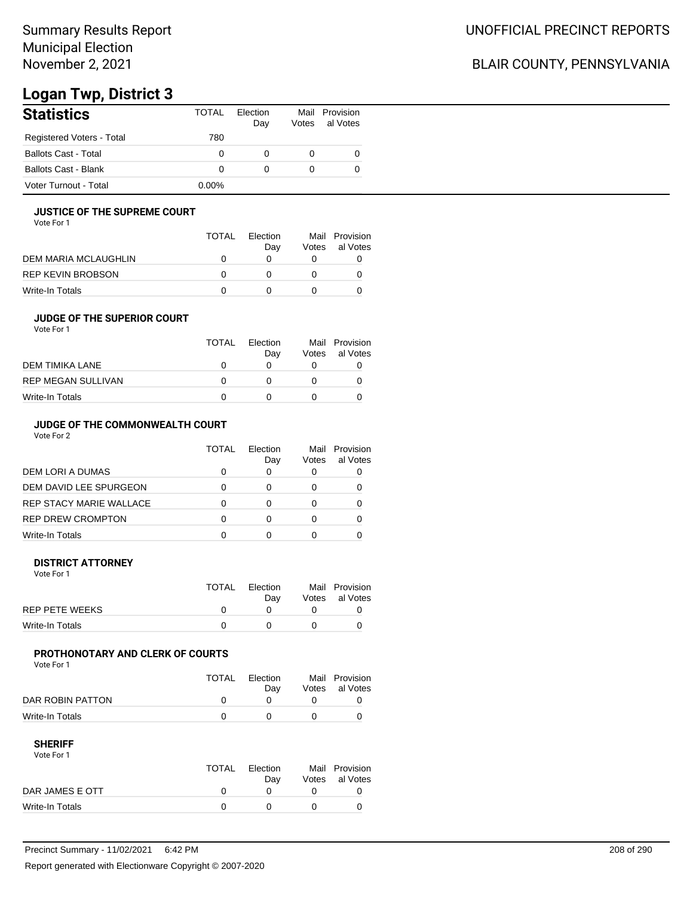# **Logan Twp, District 3**

| <b>Statistics</b>           | TOTAL    | Flection<br>Day | Votes | Mail Provision<br>al Votes |
|-----------------------------|----------|-----------------|-------|----------------------------|
| Registered Voters - Total   | 780      |                 |       |                            |
| <b>Ballots Cast - Total</b> | 0        |                 |       |                            |
| Ballots Cast - Blank        | $\Omega$ |                 |       |                            |
| Voter Turnout - Total       | $0.00\%$ |                 |       |                            |

### **JUSTICE OF THE SUPREME COURT**

Vote For 1

|                      | <b>TOTAL</b> | Flection<br>Dav | Votes | Mail Provision<br>al Votes |
|----------------------|--------------|-----------------|-------|----------------------------|
| DEM MARIA MCLAUGHLIN |              |                 |       |                            |
| REP KEVIN BROBSON    | $\mathbf{I}$ |                 |       |                            |
| Write-In Totals      |              |                 |       |                            |

### **JUDGE OF THE SUPERIOR COURT**

| Vote For 1 |  |  |
|------------|--|--|
|            |  |  |

| Dav | Votes | Mail Provision<br>al Votes |
|-----|-------|----------------------------|
|     |       |                            |
|     |       |                            |
|     |       |                            |
|     |       | <b>TOTAL</b><br>Election   |

## **JUDGE OF THE COMMONWEALTH COURT**

Vote For 2

|                                | TOTAL | Flection<br>Day | Votes | Mail Provision<br>al Votes |
|--------------------------------|-------|-----------------|-------|----------------------------|
| DEM LORI A DUMAS               |       |                 |       |                            |
| DEM DAVID LEE SPURGEON         |       |                 |       |                            |
| <b>REP STACY MARIE WALLACE</b> |       |                 |       |                            |
| <b>REP DREW CROMPTON</b>       |       |                 |       |                            |
| Write-In Totals                |       |                 |       |                            |

### **DISTRICT ATTORNEY**

| Vote For 1      |       |                 |                                  |
|-----------------|-------|-----------------|----------------------------------|
|                 | TOTAL | Election<br>Dav | Mail Provision<br>Votes al Votes |
| REP PETE WEEKS  |       |                 |                                  |
| Write-In Totals |       |                 |                                  |

## **PROTHONOTARY AND CLERK OF COURTS**

Vote For 1

|                  | TOTAL | Election<br>Dav | Mail Provision<br>Votes al Votes |
|------------------|-------|-----------------|----------------------------------|
| DAR ROBIN PATTON |       |                 |                                  |
| Write-In Totals  |       |                 |                                  |

| Vote For 1      |              |          |                |
|-----------------|--------------|----------|----------------|
|                 | TOTAL        | Flection | Mail Provision |
|                 |              | Dav      | Votes al Votes |
| DAR JAMES E OTT | <sup>n</sup> |          |                |
| Write-In Totals |              |          |                |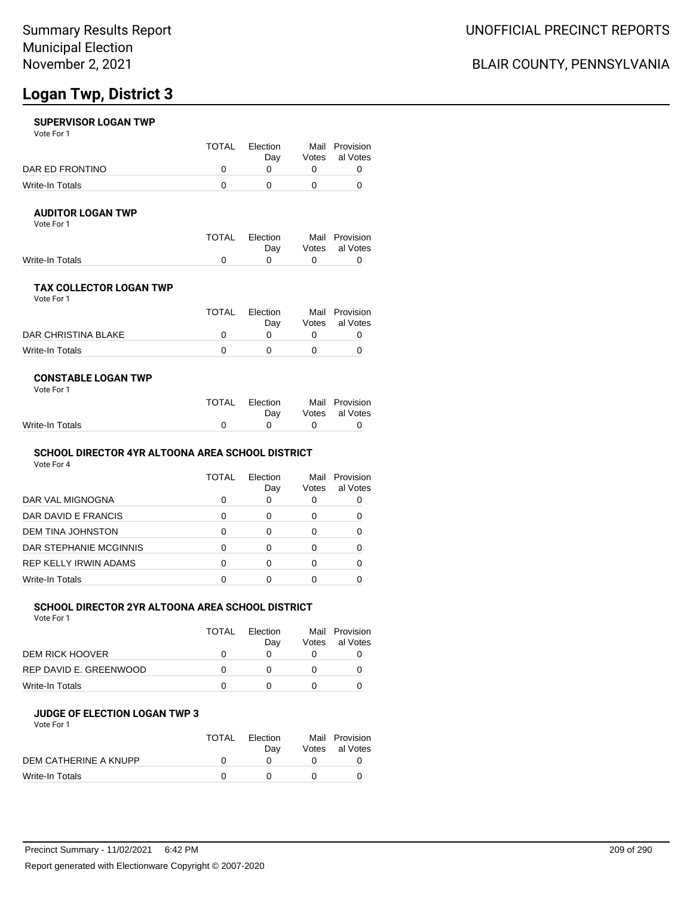### **SUPERVISOR LOGAN TWP**

Vote For 1

|                 | TOTAL | Election | Mail Provision |
|-----------------|-------|----------|----------------|
|                 |       | Dav      | Votes al Votes |
| DAR ED FRONTINO |       |          |                |
| Write-In Totals |       |          |                |

### **AUDITOR LOGAN TWP**

Vote For 1

|                 | TOTAL Election | Mail Provision |
|-----------------|----------------|----------------|
|                 | Dav            | Votes al Votes |
| Write-In Totals |                |                |

## **TAX COLLECTOR LOGAN TWP**

Vote For 1

|                     | <b>TOTAL</b> | Election<br>Dav | Mail Provision<br>Votes al Votes |
|---------------------|--------------|-----------------|----------------------------------|
| DAR CHRISTINA BLAKE |              |                 |                                  |
| Write-In Totals     |              |                 |                                  |

### **CONSTABLE LOGAN TWP**

| Vote For 1 |  |
|------------|--|
|------------|--|

|                 | TOTAL Election |                                   | Mail Provision |
|-----------------|----------------|-----------------------------------|----------------|
|                 | Dav            |                                   | Votes al Votes |
| Write-In Totals |                | $\mathfrak{a}$ and $\mathfrak{a}$ |                |

## **SCHOOL DIRECTOR 4YR ALTOONA AREA SCHOOL DISTRICT**

Vote For 4

|                              | TOTAL | Election<br>Day | Mail<br>Votes | Provision<br>al Votes |
|------------------------------|-------|-----------------|---------------|-----------------------|
| DAR VAL MIGNOGNA             | 0     | 0               |               |                       |
| DAR DAVID E FRANCIS          | 0     | O               | 0             |                       |
| DEM TINA JOHNSTON            | ∩     | O               |               |                       |
| DAR STEPHANIE MCGINNIS       | 0     | 0               |               |                       |
| <b>REP KELLY IRWIN ADAMS</b> | 0     | 0               |               |                       |
| Write-In Totals              | ∩     |                 |               |                       |

## **SCHOOL DIRECTOR 2YR ALTOONA AREA SCHOOL DISTRICT**

Vote For 1

|                        | <b>TOTAL</b> | <b>Flection</b> |       | Mail Provision |
|------------------------|--------------|-----------------|-------|----------------|
|                        |              | Dav             | Votes | al Votes       |
| DEM RICK HOOVER        |              |                 |       |                |
| REP DAVID E. GREENWOOD |              |                 |       |                |
| Write-In Totals        |              |                 |       |                |

#### **JUDGE OF ELECTION LOGAN TWP 3** Vote For 1

| <b>TOTAL</b> | Election |     | Mail Provision |
|--------------|----------|-----|----------------|
|              |          |     | Votes al Votes |
|              |          |     |                |
|              |          |     |                |
|              |          | Dav |                |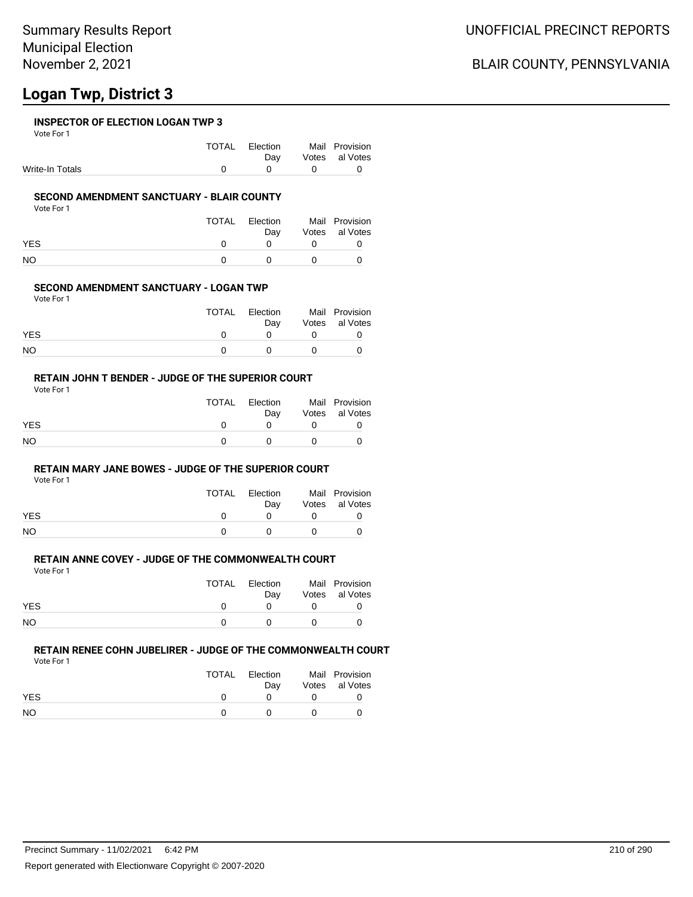### **INSPECTOR OF ELECTION LOGAN TWP 3**

Vote For 1

|                 | TOTAL Election                               | Mail Provision     |
|-----------------|----------------------------------------------|--------------------|
|                 |                                              | Day Votes al Votes |
| Write-In Totals | $\begin{array}{ccc} & & & 0 & & \end{array}$ |                    |

## **SECOND AMENDMENT SANCTUARY - BLAIR COUNTY**

Vote For 1

|            | <b>TOTAL</b> | Election<br>Dav | Mail Provision<br>Votes al Votes |
|------------|--------------|-----------------|----------------------------------|
| <b>YES</b> |              |                 |                                  |
| <b>NO</b>  |              |                 |                                  |

## **SECOND AMENDMENT SANCTUARY - LOGAN TWP**

Vote For 1

|            | <b>TOTAL</b> | Election | Mail Provision |
|------------|--------------|----------|----------------|
|            |              | Dav      | Votes al Votes |
| <b>YES</b> |              |          |                |
| NO         |              |          |                |

#### **RETAIN JOHN T BENDER - JUDGE OF THE SUPERIOR COURT** Vote For 1

|            | TOTAL | Election<br>Dav | Mail Provision<br>Votes al Votes |
|------------|-------|-----------------|----------------------------------|
| <b>YES</b> |       |                 |                                  |
| NO         |       |                 |                                  |

## **RETAIN MARY JANE BOWES - JUDGE OF THE SUPERIOR COURT**

Vote For 1

|            | TOTAL       | Election<br>Dav | Mail Provision<br>Votes al Votes |
|------------|-------------|-----------------|----------------------------------|
| <b>YES</b> | $^{\prime}$ | <sup>n</sup>    |                                  |
| NO         | $^{\prime}$ | n               |                                  |

## **RETAIN ANNE COVEY - JUDGE OF THE COMMONWEALTH COURT**

Vote For 1

|            | TOTAL | Election | Mail Provision |
|------------|-------|----------|----------------|
|            |       | Dav      | Votes al Votes |
| <b>YES</b> |       |          |                |
| NO         |       |          |                |

## **RETAIN RENEE COHN JUBELIRER - JUDGE OF THE COMMONWEALTH COURT**

Vote For 1

|           | TOTAL | Election<br>Dav | Mail Provision<br>Votes al Votes |
|-----------|-------|-----------------|----------------------------------|
| YES       |       |                 |                                  |
| <b>NO</b> |       |                 |                                  |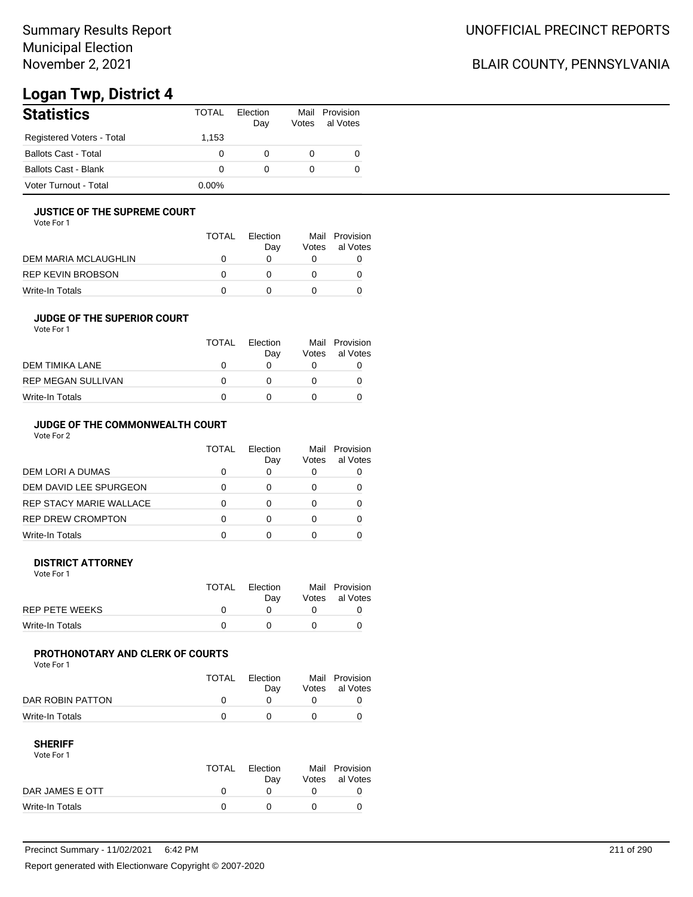# **Logan Twp, District 4**

| <b>Statistics</b>           | TOTAL    | Flection<br>Day | Votes | Mail Provision<br>al Votes |
|-----------------------------|----------|-----------------|-------|----------------------------|
| Registered Voters - Total   | 1.153    |                 |       |                            |
| <b>Ballots Cast - Total</b> | 0        |                 |       |                            |
| Ballots Cast - Blank        | 0        |                 |       |                            |
| Voter Turnout - Total       | $0.00\%$ |                 |       |                            |

### **JUSTICE OF THE SUPREME COURT**

Vote For 1

|                      | TOTAL | Election<br>Dav | Votes | Mail Provision<br>al Votes |
|----------------------|-------|-----------------|-------|----------------------------|
| DEM MARIA MCLAUGHLIN |       |                 |       |                            |
| REP KEVIN BROBSON    |       |                 |       |                            |
| Write-In Totals      |       |                 |       |                            |

### **JUDGE OF THE SUPERIOR COURT**

| Vote For 1       |              |
|------------------|--------------|
|                  | <b>TOTAL</b> |
| DEM TIMIKA I ANE | n            |

| DEM TIMIKA LANE    |  |  |
|--------------------|--|--|
| REP MEGAN SULLIVAN |  |  |
| Write-In Totals    |  |  |
|                    |  |  |

Election Day

Mail Provision

al Votes

Votes

## **JUDGE OF THE COMMONWEALTH COURT**

Vote For 2

|                                | TOTAL | Flection<br>Day | Votes | Mail Provision<br>al Votes |
|--------------------------------|-------|-----------------|-------|----------------------------|
| DEM LORI A DUMAS               |       |                 |       |                            |
| DEM DAVID LEE SPURGEON         |       |                 |       |                            |
| <b>REP STACY MARIE WALLACE</b> |       |                 |       |                            |
| <b>REP DREW CROMPTON</b>       |       |                 |       |                            |
| Write-In Totals                |       |                 |       |                            |

### **DISTRICT ATTORNEY**

| Vote For 1            |       |                 |                                  |
|-----------------------|-------|-----------------|----------------------------------|
|                       | TOTAL | Election<br>Dav | Mail Provision<br>Votes al Votes |
| <b>REP PETE WEEKS</b> |       |                 |                                  |
| Write-In Totals       |       |                 |                                  |

## **PROTHONOTARY AND CLERK OF COURTS**

Vote For 1

|                  | <b>TOTAL</b> | Election<br>Dav | Mail Provision<br>Votes al Votes |
|------------------|--------------|-----------------|----------------------------------|
| DAR ROBIN PATTON |              |                 |                                  |
| Write-In Totals  |              |                 |                                  |

| Vote For 1      |       |          |                |
|-----------------|-------|----------|----------------|
|                 | TOTAL | Election | Mail Provision |
|                 |       | Dav      | Votes al Votes |
| DAR JAMES E OTT |       |          |                |
| Write-In Totals |       |          |                |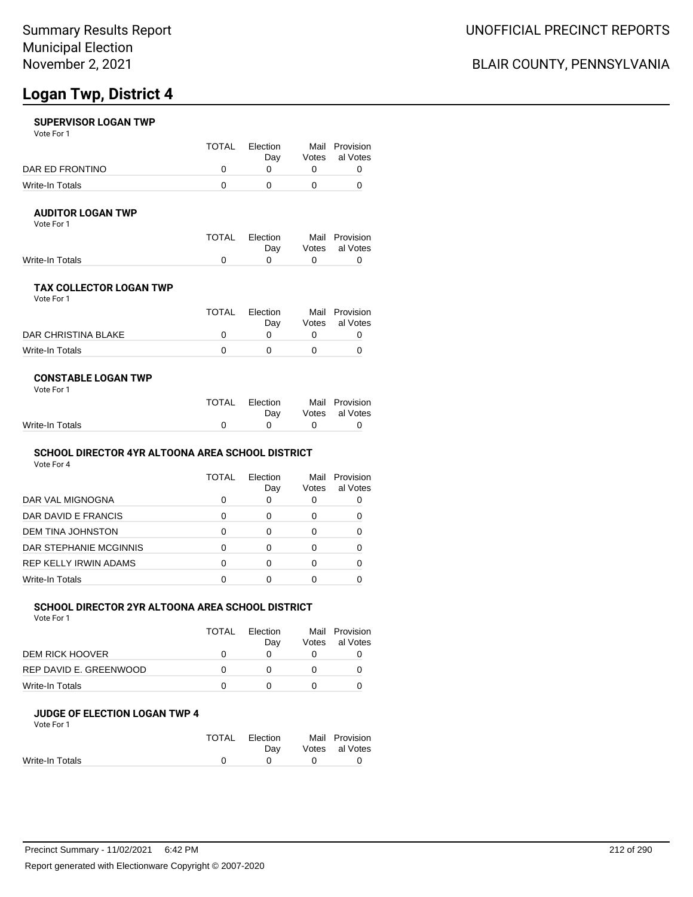## **SUPERVISOR LOGAN TWP**

Vote For 1

|                 | TOTAL | Election | Mail Provision |
|-----------------|-------|----------|----------------|
|                 |       | Dav      | Votes al Votes |
| DAR ED FRONTINO |       |          |                |
| Write-In Totals |       |          |                |

### **AUDITOR LOGAN TWP**

Vote For 1

|                 | TOTAL Election | Mail Provision |
|-----------------|----------------|----------------|
|                 | Dav            | Votes al Votes |
| Write-In Totals |                |                |

## **TAX COLLECTOR LOGAN TWP**

Vote For 1

|                     | <b>TOTAL</b> | Election<br>Dav | Mail Provision<br>Votes al Votes |
|---------------------|--------------|-----------------|----------------------------------|
| DAR CHRISTINA BLAKE |              |                 |                                  |
| Write-In Totals     |              |                 |                                  |

### **CONSTABLE LOGAN TWP**

| Vote For 1 |  |
|------------|--|
|------------|--|

|                 | TOTAL Election |                                   | Mail Provision |
|-----------------|----------------|-----------------------------------|----------------|
|                 | Dav            |                                   | Votes al Votes |
| Write-In Totals |                | $\mathfrak{a}$ and $\mathfrak{a}$ |                |

## **SCHOOL DIRECTOR 4YR ALTOONA AREA SCHOOL DISTRICT**

Vote For 4

| TOTAL    | Election<br>Day | Mail<br>Votes | Provision<br>al Votes |
|----------|-----------------|---------------|-----------------------|
| 0        |                 |               |                       |
| 0        | O               | 0             |                       |
| 0        |                 |               |                       |
| 0        | Ω               |               |                       |
| $\Omega$ | 0               |               |                       |
| ∩        |                 |               |                       |
|          |                 |               |                       |

## **SCHOOL DIRECTOR 2YR ALTOONA AREA SCHOOL DISTRICT**

Vote For 1

|                        | TOTAL | Election | Mail  | Provision |
|------------------------|-------|----------|-------|-----------|
|                        |       | Dav      | Votes | al Votes  |
| DEM RICK HOOVER        |       |          |       |           |
| REP DAVID E. GREENWOOD |       |          |       |           |
| Write-In Totals        |       |          |       |           |

## **JUDGE OF ELECTION LOGAN TWP 4**

|            | Mail Provision |
|------------|----------------|
|            | Votes al Votes |
| $^{\circ}$ |                |
|            |                |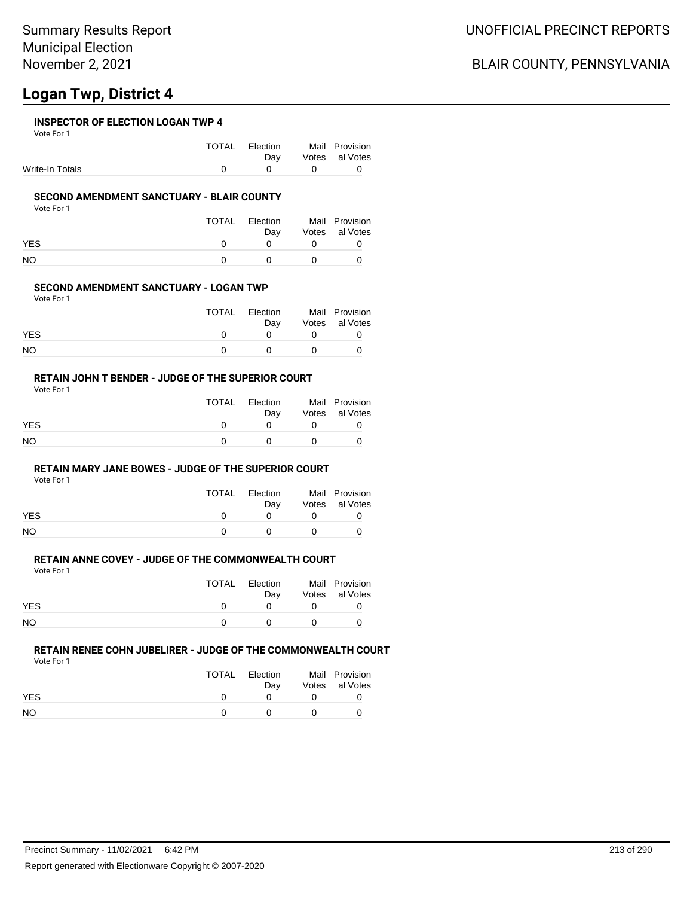### **INSPECTOR OF ELECTION LOGAN TWP 4**

Vote For 1

|                 | TOTAL Election                               | Mail Provision     |
|-----------------|----------------------------------------------|--------------------|
|                 |                                              | Day Votes al Votes |
| Write-In Totals | $\begin{array}{ccc} & & & 0 & & \end{array}$ |                    |

### **SECOND AMENDMENT SANCTUARY - BLAIR COUNTY**

Vote For 1

|            | TOTAL | Election<br>Dav | Mail Provision<br>Votes al Votes |
|------------|-------|-----------------|----------------------------------|
| <b>YES</b> |       |                 |                                  |
| <b>NO</b>  |       | $^{\prime}$     |                                  |

## **SECOND AMENDMENT SANCTUARY - LOGAN TWP**

Vote For 1

|            | <b>TOTAL</b> | Election | Mail Provision |
|------------|--------------|----------|----------------|
|            |              | Dav      | Votes al Votes |
| <b>YES</b> |              |          |                |
| NO         |              |          |                |

#### **RETAIN JOHN T BENDER - JUDGE OF THE SUPERIOR COURT** Vote For 1

|            | TOTAL | Election<br>Dav | Mail Provision<br>Votes al Votes |
|------------|-------|-----------------|----------------------------------|
| <b>YES</b> |       |                 |                                  |
| NO         |       |                 |                                  |

## **RETAIN MARY JANE BOWES - JUDGE OF THE SUPERIOR COURT**

Vote For 1

|            | TOTAL       | Election<br>Dav | Mail Provision<br>Votes al Votes |
|------------|-------------|-----------------|----------------------------------|
| <b>YES</b> | $^{\prime}$ | <sup>n</sup>    |                                  |
| NO         | $^{\prime}$ | n               |                                  |

## **RETAIN ANNE COVEY - JUDGE OF THE COMMONWEALTH COURT**

Vote For 1

|            | TOTAL | Election | Mail Provision |
|------------|-------|----------|----------------|
|            |       | Dav      | Votes al Votes |
| <b>YES</b> |       |          |                |
| NO         |       |          |                |

## **RETAIN RENEE COHN JUBELIRER - JUDGE OF THE COMMONWEALTH COURT**

Vote For 1

|           | TOTAL | Election<br>Dav | Mail Provision<br>Votes al Votes |
|-----------|-------|-----------------|----------------------------------|
| YES       |       |                 |                                  |
| <b>NO</b> |       |                 |                                  |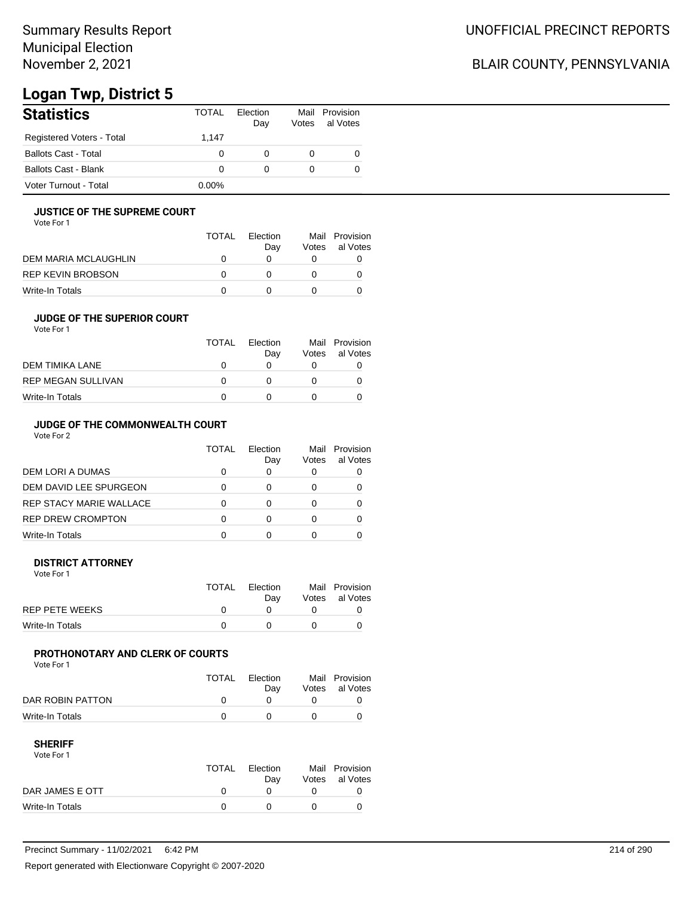# **Logan Twp, District 5**

| <b>Statistics</b>           | TOTAL    | Flection<br>Day | Votes | Mail Provision<br>al Votes |
|-----------------------------|----------|-----------------|-------|----------------------------|
| Registered Voters - Total   | 1.147    |                 |       |                            |
| <b>Ballots Cast - Total</b> | 0        |                 |       |                            |
| <b>Ballots Cast - Blank</b> | 0        |                 |       |                            |
| Voter Turnout - Total       | $0.00\%$ |                 |       |                            |

### **JUSTICE OF THE SUPREME COURT**

Vote For 1

|                      | TOTAL | Election<br>Dav | Votes | Mail Provision<br>al Votes |
|----------------------|-------|-----------------|-------|----------------------------|
| DEM MARIA MCLAUGHLIN |       |                 |       |                            |
| REP KEVIN BROBSON    |       |                 |       |                            |
| Write-In Totals      |       |                 |       |                            |

### **JUDGE OF THE SUPERIOR COURT**

| Vote For 1 |  |  |
|------------|--|--|
|            |  |  |

|                           | <b>TOTAL</b> | Election<br>Day | Votes | Mail Provision<br>al Votes |
|---------------------------|--------------|-----------------|-------|----------------------------|
| DEM TIMIKA LANE           |              |                 |       |                            |
| <b>REP MEGAN SULLIVAN</b> |              |                 |       |                            |
| Write-In Totals           |              |                 |       |                            |
|                           |              |                 |       |                            |

## **JUDGE OF THE COMMONWEALTH COURT**

Vote For 2

|                                | TOTAL | Flection<br>Day | Votes | Mail Provision<br>al Votes |
|--------------------------------|-------|-----------------|-------|----------------------------|
| DEM LORI A DUMAS               |       |                 |       |                            |
| DEM DAVID LEE SPURGEON         |       |                 |       |                            |
| <b>REP STACY MARIE WALLACE</b> |       |                 |       |                            |
| <b>REP DREW CROMPTON</b>       |       |                 |       |                            |
| Write-In Totals                |       |                 |       |                            |

### **DISTRICT ATTORNEY**

| Vote For 1      |              |                 |                                  |
|-----------------|--------------|-----------------|----------------------------------|
|                 | <b>TOTAL</b> | Election<br>Dav | Mail Provision<br>Votes al Votes |
| REP PETE WEEKS  |              |                 |                                  |
| Write-In Totals |              |                 |                                  |

## **PROTHONOTARY AND CLERK OF COURTS**

Vote For 1

|                  | <b>TOTAL</b> | Election<br>Dav | Mail Provision<br>Votes al Votes |
|------------------|--------------|-----------------|----------------------------------|
| DAR ROBIN PATTON |              |                 |                                  |
| Write-In Totals  |              |                 |                                  |

| Vote For 1      |              |          |                |
|-----------------|--------------|----------|----------------|
|                 | TOTAL        | Flection | Mail Provision |
|                 |              | Dav      | Votes al Votes |
| DAR JAMES E OTT | <sup>n</sup> |          |                |
| Write-In Totals |              |          |                |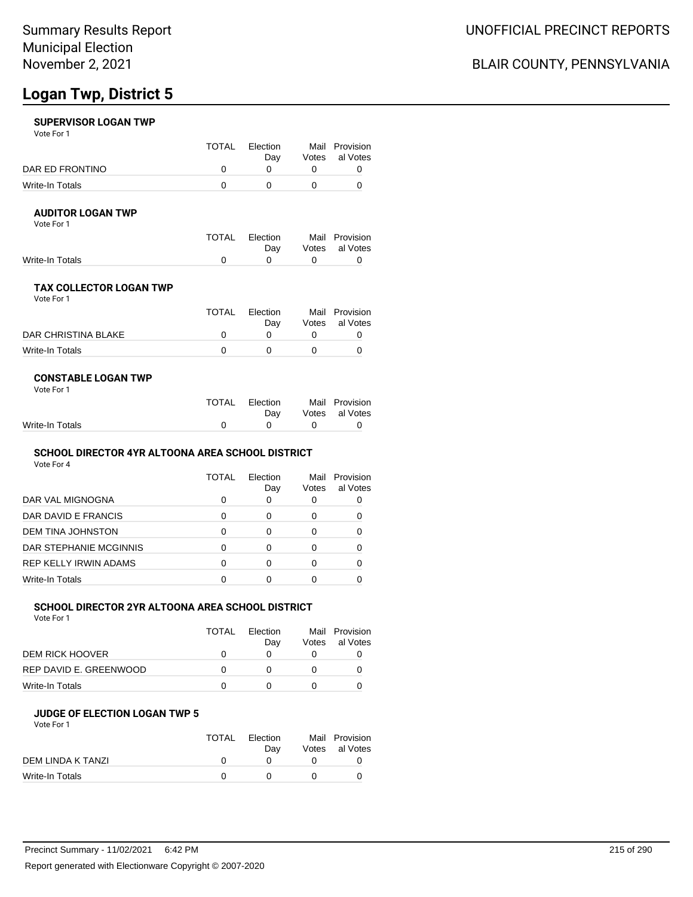### **SUPERVISOR LOGAN TWP**

Vote For 1

|                 | TOTAL | Election | Mail Provision |  |
|-----------------|-------|----------|----------------|--|
|                 |       | Dav      | Votes al Votes |  |
| DAR ED FRONTINO |       |          |                |  |
| Write-In Totals |       |          |                |  |

### **AUDITOR LOGAN TWP**

Vote For 1

|                 | TOTAL Election | Mail Provision |
|-----------------|----------------|----------------|
|                 | Dav            | Votes al Votes |
| Write-In Totals |                |                |

## **TAX COLLECTOR LOGAN TWP**

Vote For 1

|                     | <b>TOTAL</b> | Election<br>Dav | Mail Provision<br>Votes al Votes |
|---------------------|--------------|-----------------|----------------------------------|
| DAR CHRISTINA BLAKE |              |                 |                                  |
| Write-In Totals     |              |                 |                                  |

### **CONSTABLE LOGAN TWP**

| Vote For 1 |  |
|------------|--|
|------------|--|

|                 | TOTAL Election |                                   | Mail Provision |
|-----------------|----------------|-----------------------------------|----------------|
|                 | Dav            |                                   | Votes al Votes |
| Write-In Totals |                | $\mathfrak{a}$ and $\mathfrak{a}$ |                |

## **SCHOOL DIRECTOR 4YR ALTOONA AREA SCHOOL DISTRICT**

Vote For 4

|                              | TOTAL | Election<br>Day | Mail<br>Votes | Provision<br>al Votes |
|------------------------------|-------|-----------------|---------------|-----------------------|
| DAR VAL MIGNOGNA             | 0     | O               |               |                       |
| DAR DAVID E FRANCIS          | 0     | 0               |               |                       |
| DEM TINA JOHNSTON            | 0     | O               |               |                       |
| DAR STEPHANIE MCGINNIS       | ∩     | 0               |               |                       |
| <b>REP KELLY IRWIN ADAMS</b> | ∩     |                 |               |                       |
| <b>Write-In Totals</b>       | ∩     |                 |               |                       |

## **SCHOOL DIRECTOR 2YR ALTOONA AREA SCHOOL DISTRICT**

Vote For 1

|                        | TOTAL | Flection | Mail  | Provision |
|------------------------|-------|----------|-------|-----------|
|                        |       | Dav      | Votes | al Votes  |
| DEM RICK HOOVER        |       |          |       |           |
| REP DAVID E. GREENWOOD |       |          |       |           |
| Write-In Totals        |       |          |       |           |

#### **JUDGE OF ELECTION LOGAN TWP 5** Vote For 1

|                   | TOTAL | Election<br>Dav | Mail Provision<br>Votes al Votes |
|-------------------|-------|-----------------|----------------------------------|
| DEM LINDA K TANZI |       |                 |                                  |
| Write-In Totals   |       |                 |                                  |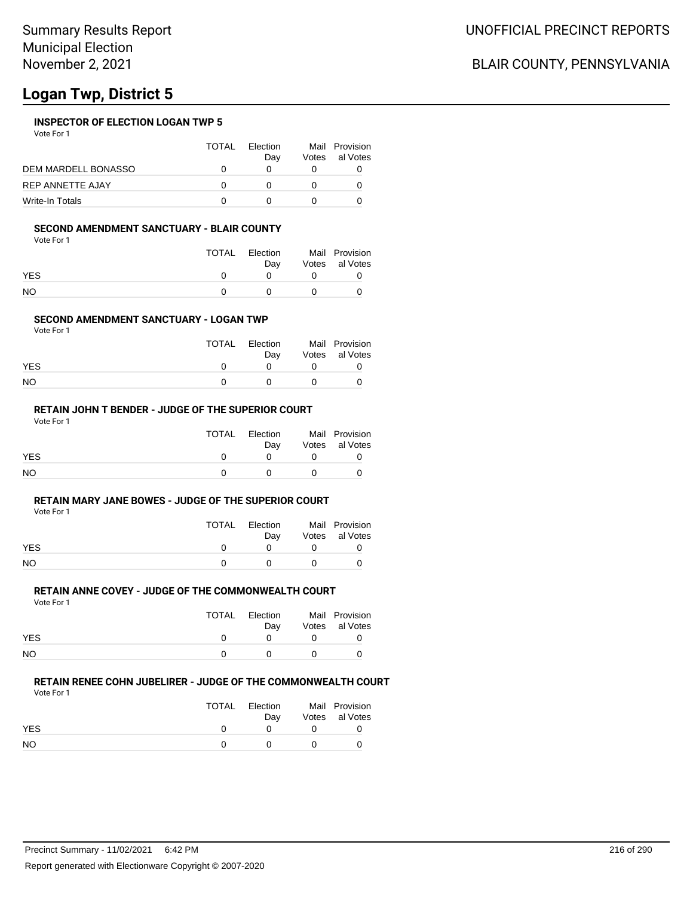## **INSPECTOR OF ELECTION LOGAN TWP 5**

Vote For 1

|                         | <b>TOTAL</b> | Election<br>Dav | Mail Provision<br>Votes al Votes |
|-------------------------|--------------|-----------------|----------------------------------|
| DEM MARDELL BONASSO     |              |                 |                                  |
| <b>REP ANNETTE AJAY</b> |              |                 |                                  |
| Write-In Totals         |              |                 |                                  |

## **SECOND AMENDMENT SANCTUARY - BLAIR COUNTY**

Vote For 1

|            | TOTAL Election<br>Dav | Mail Provision<br>Votes al Votes |
|------------|-----------------------|----------------------------------|
| <b>YES</b> |                       |                                  |
| NO         |                       |                                  |

### **SECOND AMENDMENT SANCTUARY - LOGAN TWP**

Vote For 1

|            | <b>TOTAL</b> | Election<br>Dav | Mail Provision<br>Votes al Votes |
|------------|--------------|-----------------|----------------------------------|
| <b>YES</b> |              |                 |                                  |
| NO         |              |                 |                                  |

### **RETAIN JOHN T BENDER - JUDGE OF THE SUPERIOR COURT**

Vote For 1

|            | TOTAL | Election<br>Dav | Mail Provision<br>Votes al Votes |
|------------|-------|-----------------|----------------------------------|
| <b>YES</b> |       |                 |                                  |
| NO         |       |                 |                                  |

### **RETAIN MARY JANE BOWES - JUDGE OF THE SUPERIOR COURT**

Vote For 1

|            | TOTAL | Election<br>Dav | Mail Provision<br>Votes al Votes |
|------------|-------|-----------------|----------------------------------|
| <b>YES</b> |       |                 |                                  |
| <b>NO</b>  |       |                 |                                  |

### **RETAIN ANNE COVEY - JUDGE OF THE COMMONWEALTH COURT**

Vote For 1

|            | TOTAL | Election<br>Dav |            | Mail Provision<br>Votes al Votes |
|------------|-------|-----------------|------------|----------------------------------|
| <b>YES</b> |       | n               | $^{\circ}$ |                                  |
| <b>NO</b>  |       | $\Omega$        | $^{\circ}$ |                                  |

## **RETAIN RENEE COHN JUBELIRER - JUDGE OF THE COMMONWEALTH COURT**

Vote For 1

|                | TOTAL | Election<br>Dav | Mail Provision<br>Votes al Votes |
|----------------|-------|-----------------|----------------------------------|
| YES.           |       |                 |                                  |
| N <sub>O</sub> |       |                 |                                  |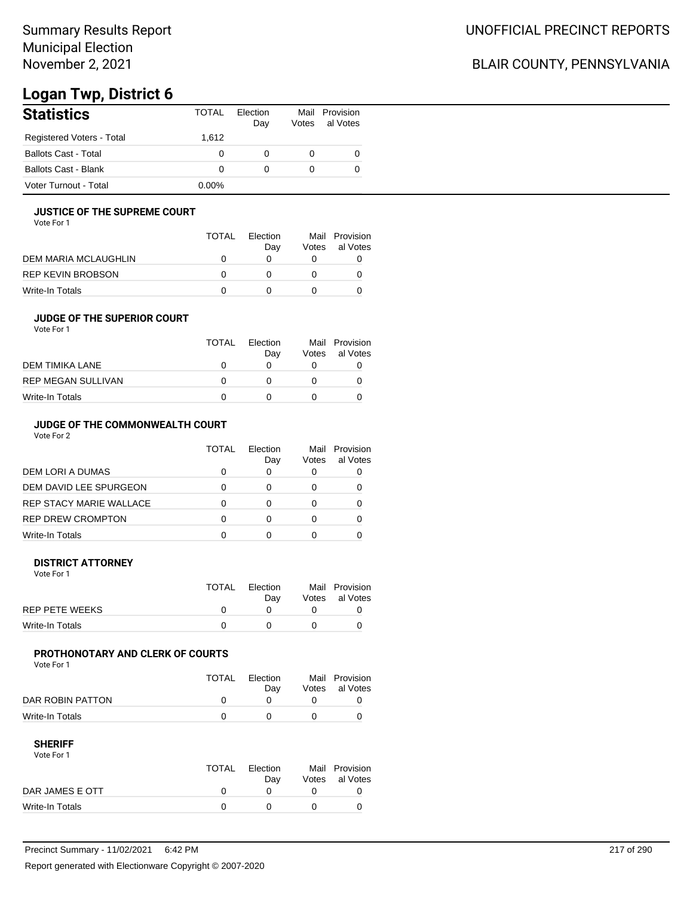# **Logan Twp, District 6**

| <b>Statistics</b>           | TOTAL    | Flection<br>Day | Votes | Mail Provision<br>al Votes |
|-----------------------------|----------|-----------------|-------|----------------------------|
| Registered Voters - Total   | 1.612    |                 |       |                            |
| <b>Ballots Cast - Total</b> | 0        |                 |       |                            |
| <b>Ballots Cast - Blank</b> | 0        |                 |       |                            |
| Voter Turnout - Total       | $0.00\%$ |                 |       |                            |

## **JUSTICE OF THE SUPREME COURT**

Vote For 1

|                      | TOTAL | Election<br>Dav | Votes | Mail Provision<br>al Votes |
|----------------------|-------|-----------------|-------|----------------------------|
| DEM MARIA MCLAUGHLIN |       |                 |       |                            |
| REP KEVIN BROBSON    |       |                 |       |                            |
| Write-In Totals      |       |                 |       |                            |

## **JUDGE OF THE SUPERIOR COURT**

| Vote For 1 |  |  |
|------------|--|--|
|            |  |  |

|                           | <b>TOTAL</b> | Election<br>Day | Votes | Mail Provision<br>al Votes |
|---------------------------|--------------|-----------------|-------|----------------------------|
| DEM TIMIKA LANE           |              |                 |       |                            |
| <b>REP MEGAN SULLIVAN</b> |              |                 |       |                            |
| Write-In Totals           |              |                 |       |                            |
|                           |              |                 |       |                            |

## **JUDGE OF THE COMMONWEALTH COURT**

Vote For 2

|                                | TOTAL | Flection<br>Day | Votes | Mail Provision<br>al Votes |
|--------------------------------|-------|-----------------|-------|----------------------------|
| DEM LORI A DUMAS               |       |                 |       |                            |
| DEM DAVID LEE SPURGEON         |       |                 |       |                            |
| <b>REP STACY MARIE WALLACE</b> |       |                 |       |                            |
| <b>REP DREW CROMPTON</b>       |       |                 |       |                            |
| Write-In Totals                |       |                 |       |                            |

#### **DISTRICT ATTORNEY**

| Vote For 1            |              |                 |                                  |
|-----------------------|--------------|-----------------|----------------------------------|
|                       | <b>TOTAL</b> | Election<br>Dav | Mail Provision<br>Votes al Votes |
| <b>REP PETE WEEKS</b> |              |                 |                                  |
| Write-In Totals       |              |                 |                                  |

## **PROTHONOTARY AND CLERK OF COURTS**

Vote For 1

|                  | <b>TOTAL</b> | Election<br>Dav | Mail Provision<br>Votes al Votes |
|------------------|--------------|-----------------|----------------------------------|
| DAR ROBIN PATTON |              |                 |                                  |
| Write-In Totals  |              |                 |                                  |

| Vote For 1      | <b>TOTAL</b> | Election | Mail Provision |
|-----------------|--------------|----------|----------------|
|                 |              | Dav      | Votes al Votes |
| DAR JAMES E OTT |              |          |                |
| Write-In Totals |              |          |                |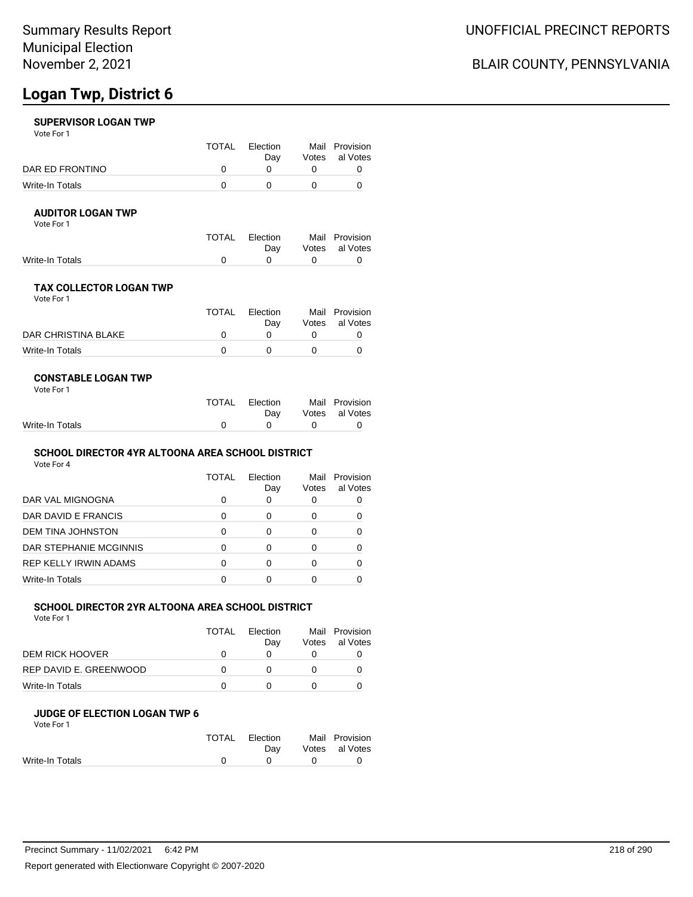# **Logan Twp, District 6**

## **SUPERVISOR LOGAN TWP**

Vote For 1

|                 | TOTAL | <b>Flection</b> | Mail Provision |  |
|-----------------|-------|-----------------|----------------|--|
|                 |       | Dav             | Votes al Votes |  |
| DAR ED FRONTINO |       |                 |                |  |
| Write-In Totals |       |                 |                |  |

### **AUDITOR LOGAN TWP**

Vote For 1

|                 | TOTAL Election | Mail Provision |
|-----------------|----------------|----------------|
|                 | Dav            | Votes al Votes |
| Write-In Totals |                |                |

## **TAX COLLECTOR LOGAN TWP**

Vote For 1

|                     | TOTAL | Election<br>Dav | Mail Provision<br>Votes al Votes |
|---------------------|-------|-----------------|----------------------------------|
| DAR CHRISTINA BLAKE |       |                 |                                  |
| Write-In Totals     |       |                 |                                  |

### **CONSTABLE LOGAN TWP**

| Vote For 1 |  |
|------------|--|
|------------|--|

|                 | TOTAL Election |                                   | Mail Provision |
|-----------------|----------------|-----------------------------------|----------------|
|                 | Dav            |                                   | Votes al Votes |
| Write-In Totals |                | $\mathfrak{a}$ and $\mathfrak{a}$ |                |

## **SCHOOL DIRECTOR 4YR ALTOONA AREA SCHOOL DISTRICT**

Vote For 4

| TOTAL    | Election<br>Day | Mail<br>Votes | Provision<br>al Votes |
|----------|-----------------|---------------|-----------------------|
| 0        |                 |               |                       |
| 0        | O               | 0             |                       |
| 0        |                 |               |                       |
| 0        | Ω               |               |                       |
| $\Omega$ | 0               |               |                       |
| ∩        |                 |               |                       |
|          |                 |               |                       |

### **SCHOOL DIRECTOR 2YR ALTOONA AREA SCHOOL DISTRICT**

Vote For 1

|                        | TOTAL | Election | Mail  | Provision |
|------------------------|-------|----------|-------|-----------|
|                        |       | Dav      | Votes | al Votes  |
| DEM RICK HOOVER        |       |          |       |           |
| REP DAVID E. GREENWOOD |       |          |       |           |
| Write-In Totals        |       |          |       |           |

## **JUDGE OF ELECTION LOGAN TWP 6**

|            | Mail Provision |
|------------|----------------|
|            | Votes al Votes |
| $^{\circ}$ |                |
|            |                |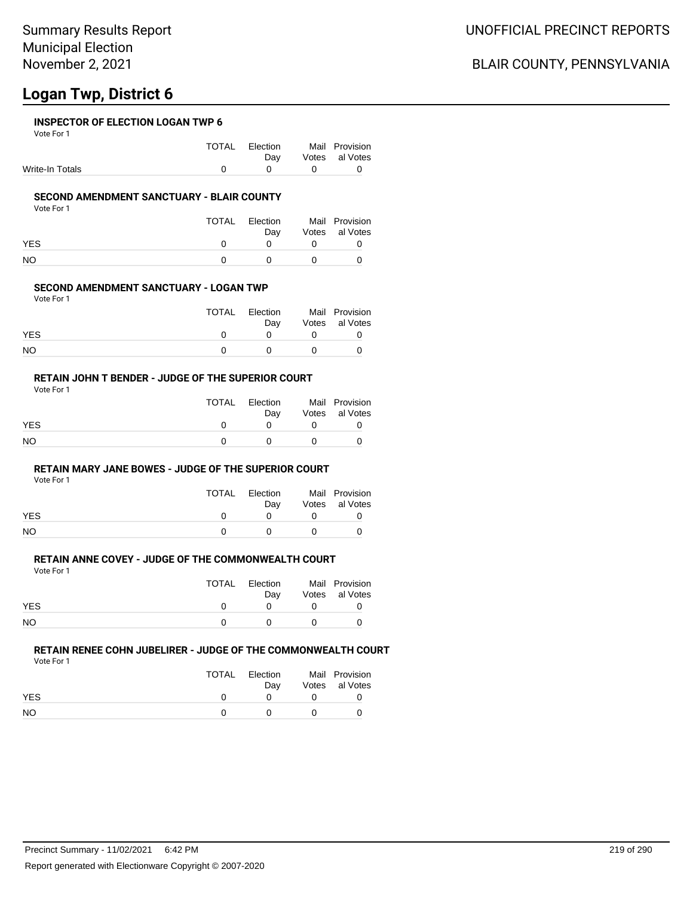# **Logan Twp, District 6**

### **INSPECTOR OF ELECTION LOGAN TWP 6**

Vote For 1

|                 | TOTAL Election                               | Mail Provision     |
|-----------------|----------------------------------------------|--------------------|
|                 |                                              | Day Votes al Votes |
| Write-In Totals | $\begin{array}{ccc} & & & 0 & & \end{array}$ |                    |

### **SECOND AMENDMENT SANCTUARY - BLAIR COUNTY**

Vote For 1

|            | TOTAL | Election<br>Dav | Mail Provision<br>Votes al Votes |
|------------|-------|-----------------|----------------------------------|
| <b>YES</b> |       |                 |                                  |
| <b>NO</b>  |       |                 |                                  |

## **SECOND AMENDMENT SANCTUARY - LOGAN TWP**

Vote For 1

|            | TOTAL | Election | Mail Provision |
|------------|-------|----------|----------------|
|            |       | Dav      | Votes al Votes |
| <b>YES</b> |       |          |                |
| NO.        |       |          |                |

#### **RETAIN JOHN T BENDER - JUDGE OF THE SUPERIOR COURT** Vote For 1

|            | TOTAL | Election<br>Dav | Mail Provision<br>Votes al Votes |
|------------|-------|-----------------|----------------------------------|
| <b>YES</b> |       |                 |                                  |
| NO         |       |                 |                                  |

## **RETAIN MARY JANE BOWES - JUDGE OF THE SUPERIOR COURT**

Vote For 1

|            | TOTAL       | Election<br>Dav | Mail Provision<br>Votes al Votes |
|------------|-------------|-----------------|----------------------------------|
| <b>YES</b> | $^{\prime}$ | <sup>n</sup>    |                                  |
| NO         | $^{\prime}$ | n               |                                  |

## **RETAIN ANNE COVEY - JUDGE OF THE COMMONWEALTH COURT**

Vote For 1

|            | TOTAL | Election | Mail Provision |
|------------|-------|----------|----------------|
|            |       | Dav      | Votes al Votes |
| <b>YES</b> |       |          |                |
| NO         |       |          |                |

## **RETAIN RENEE COHN JUBELIRER - JUDGE OF THE COMMONWEALTH COURT**

Vote For 1

|            | TOTAL | Election<br>Dav | Mail Provision<br>Votes al Votes |
|------------|-------|-----------------|----------------------------------|
| <b>YES</b> |       |                 |                                  |
| <b>NO</b>  |       |                 |                                  |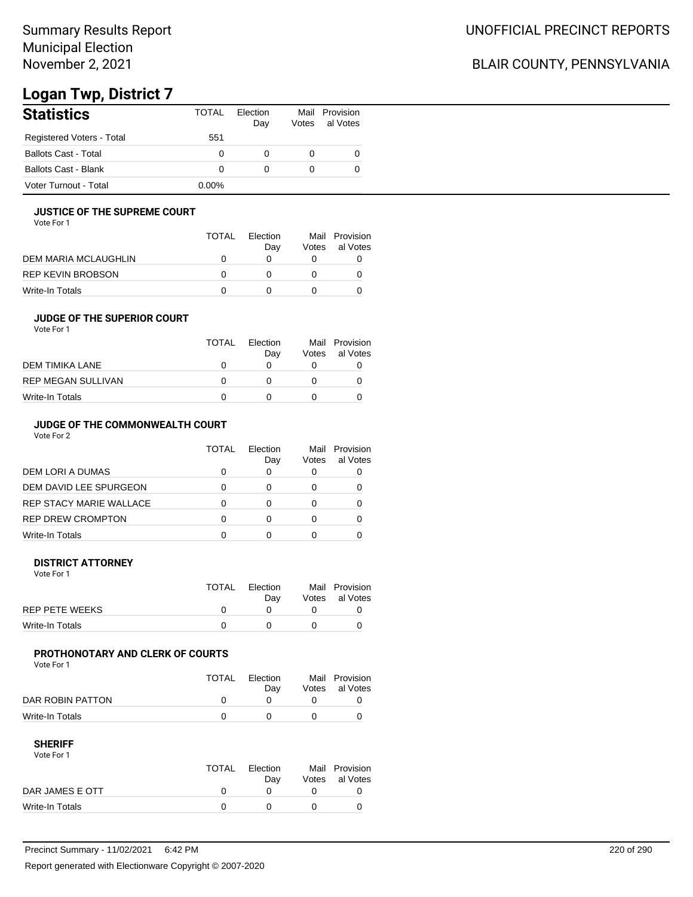# **Logan Twp, District 7**

| <b>Statistics</b>           | <b>TOTAL</b> | Flection<br>Day | Votes | Mail Provision<br>al Votes |
|-----------------------------|--------------|-----------------|-------|----------------------------|
| Registered Voters - Total   | 551          |                 |       |                            |
| <b>Ballots Cast - Total</b> | 0            | 0               |       |                            |
| Ballots Cast - Blank        | 0            | 0               |       |                            |
| Voter Turnout - Total       | $0.00\%$     |                 |       |                            |

## **JUSTICE OF THE SUPREME COURT**

Vote For 1

|                      | <b>TOTAL</b> | Flection<br>Dav | Votes | Mail Provision<br>al Votes |
|----------------------|--------------|-----------------|-------|----------------------------|
| DEM MARIA MCLAUGHLIN |              |                 |       |                            |
| REP KEVIN BROBSON    | $\mathbf{I}$ |                 |       |                            |
| Write-In Totals      |              |                 |       |                            |

## **JUDGE OF THE SUPERIOR COURT**

| Vote For 1 |  |  |
|------------|--|--|
|            |  |  |

| Dav | Votes | Mail Provision<br>al Votes |
|-----|-------|----------------------------|
|     |       |                            |
|     |       |                            |
|     |       |                            |
|     |       | <b>TOTAL</b><br>Election   |

## **JUDGE OF THE COMMONWEALTH COURT**

Vote For 2

|                                | TOTAL | Flection<br>Day | Votes | Mail Provision<br>al Votes |
|--------------------------------|-------|-----------------|-------|----------------------------|
| DEM LORI A DUMAS               |       |                 |       |                            |
| DEM DAVID LEE SPURGEON         |       |                 |       |                            |
| <b>REP STACY MARIE WALLACE</b> |       |                 |       |                            |
| <b>REP DREW CROMPTON</b>       |       |                 |       |                            |
| Write-In Totals                |       |                 |       |                            |

#### **DISTRICT ATTORNEY**

| Vote For 1            |              |                 |                                  |
|-----------------------|--------------|-----------------|----------------------------------|
|                       | <b>TOTAL</b> | Election<br>Dav | Mail Provision<br>Votes al Votes |
| <b>REP PETE WEEKS</b> |              |                 |                                  |
| Write-In Totals       |              |                 |                                  |

## **PROTHONOTARY AND CLERK OF COURTS**

Vote For 1

|                  | TOTAL | Election<br>Dav | Mail Provision<br>Votes al Votes |
|------------------|-------|-----------------|----------------------------------|
| DAR ROBIN PATTON |       |                 |                                  |
| Write-In Totals  |       |                 |                                  |

| Vote For 1      |       |          |                |
|-----------------|-------|----------|----------------|
|                 | TOTAL | Flection | Mail Provision |
|                 |       | Dav      | Votes al Votes |
| DAR JAMES E OTT |       |          |                |
| Write-In Totals |       |          |                |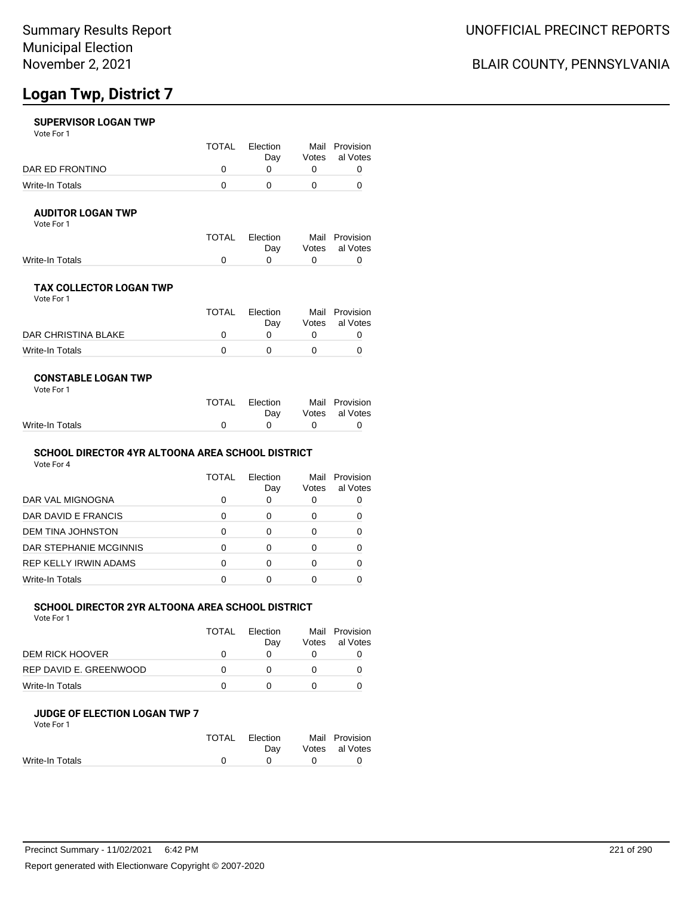# **Logan Twp, District 7**

## **SUPERVISOR LOGAN TWP**

Vote For 1

|                 | TOTAL | Election | Mail Provision |
|-----------------|-------|----------|----------------|
|                 |       | Dav      | Votes al Votes |
| DAR ED FRONTINO |       |          |                |
| Write-In Totals |       |          |                |

#### **AUDITOR LOGAN TWP**

Vote For 1

|                 | TOTAL Election | Mail Provision |
|-----------------|----------------|----------------|
|                 | Dav            | Votes al Votes |
| Write-In Totals |                |                |

## **TAX COLLECTOR LOGAN TWP**

Vote For 1

|                     | TOTAL | Election<br>Dav | Mail Provision<br>Votes al Votes |
|---------------------|-------|-----------------|----------------------------------|
| DAR CHRISTINA BLAKE |       |                 |                                  |
| Write-In Totals     |       |                 |                                  |

### **CONSTABLE LOGAN TWP**

| Vote For 1 |  |  |
|------------|--|--|
|------------|--|--|

|                 | TOTAL Election |                                   | Mail Provision |
|-----------------|----------------|-----------------------------------|----------------|
|                 | Dav            |                                   | Votes al Votes |
| Write-In Totals |                | $\mathfrak{a}$ and $\mathfrak{a}$ |                |

## **SCHOOL DIRECTOR 4YR ALTOONA AREA SCHOOL DISTRICT**

Vote For 4

| TOTAL    | Election<br>Day | Mail<br>Votes | Provision<br>al Votes |
|----------|-----------------|---------------|-----------------------|
| 0        |                 |               |                       |
| 0        | O               | 0             |                       |
| 0        |                 |               |                       |
| 0        | Ω               |               |                       |
| $\Omega$ | 0               |               |                       |
| ∩        |                 |               |                       |
|          |                 |               |                       |

## **SCHOOL DIRECTOR 2YR ALTOONA AREA SCHOOL DISTRICT**

| Vote For 1 |  |  |
|------------|--|--|
|------------|--|--|

|                        | TOTAL | Election | Mail  | Provision |
|------------------------|-------|----------|-------|-----------|
|                        |       | Dav      | Votes | al Votes  |
| DEM RICK HOOVER        |       |          |       |           |
| REP DAVID E. GREENWOOD |       |          |       |           |
| Write-In Totals        |       |          |       |           |

## **JUDGE OF ELECTION LOGAN TWP 7**

| Vote For 1      |       |             |                |
|-----------------|-------|-------------|----------------|
|                 | TOTAL | Election    | Mail Provision |
|                 |       | Dav         | Votes al Votes |
| Write-In Totals | n     | $^{\prime}$ |                |
|                 |       |             |                |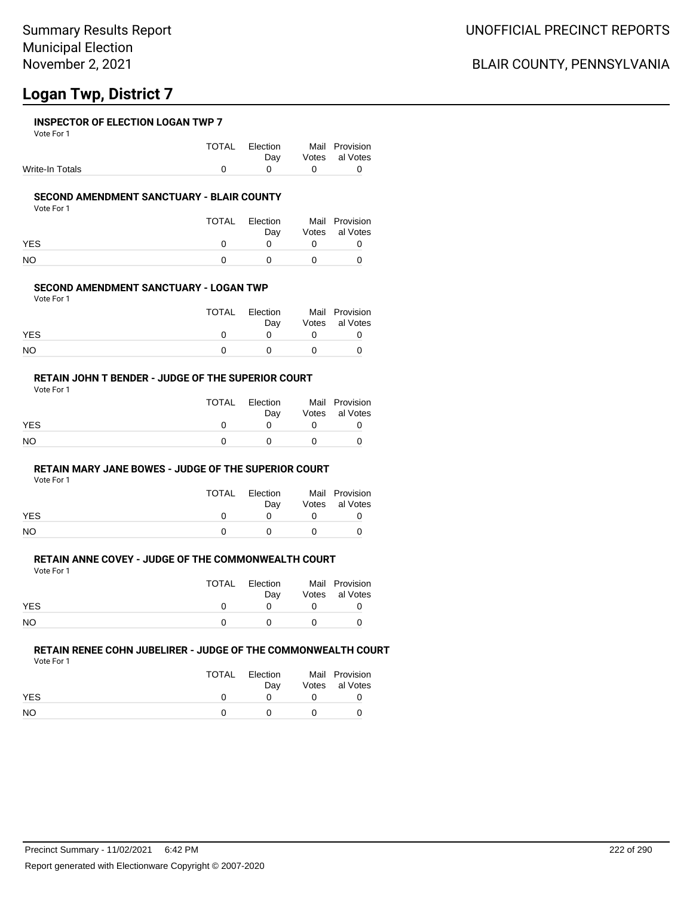# **Logan Twp, District 7**

### **INSPECTOR OF ELECTION LOGAN TWP 7**

Vote For 1

|                 | TOTAL Election                | Mail Provision     |
|-----------------|-------------------------------|--------------------|
|                 |                               | Day Votes al Votes |
| Write-In Totals | $\mathbf{u}$ and $\mathbf{v}$ |                    |

### **SECOND AMENDMENT SANCTUARY - BLAIR COUNTY**

Vote For 1

|            | TOTAL | Election<br>Dav | Mail Provision<br>Votes al Votes |
|------------|-------|-----------------|----------------------------------|
| <b>YES</b> |       |                 |                                  |
| <b>NO</b>  |       | $^{\prime}$     |                                  |

## **SECOND AMENDMENT SANCTUARY - LOGAN TWP**

Vote For 1

|            | <b>TOTAL</b> | Election | Mail Provision |
|------------|--------------|----------|----------------|
|            |              | Dav      | Votes al Votes |
| <b>YES</b> |              |          |                |
| NO         |              |          |                |

#### **RETAIN JOHN T BENDER - JUDGE OF THE SUPERIOR COURT** Vote For 1

|            | TOTAL Election | Mail Provision |
|------------|----------------|----------------|
|            | Dav            | Votes al Votes |
| <b>YES</b> |                |                |
| NO         | n              |                |

## **RETAIN MARY JANE BOWES - JUDGE OF THE SUPERIOR COURT**

Vote For 1

|            | TOTAL | Election<br>Dav |          | Mail Provision<br>Votes al Votes |
|------------|-------|-----------------|----------|----------------------------------|
| <b>YES</b> | n     | $^{\circ}$      |          |                                  |
| NO         | n     | $\Omega$        | $\Omega$ |                                  |

## **RETAIN ANNE COVEY - JUDGE OF THE COMMONWEALTH COURT**

Vote For 1

|            | <b>TOTAL</b> | Election<br>Dav | Mail Provision<br>Votes al Votes |
|------------|--------------|-----------------|----------------------------------|
| <b>YES</b> |              |                 |                                  |
| NO         |              |                 |                                  |

## **RETAIN RENEE COHN JUBELIRER - JUDGE OF THE COMMONWEALTH COURT**

Vote For 1

|           | TOTAL | Election<br>Dav | Mail Provision<br>Votes al Votes |
|-----------|-------|-----------------|----------------------------------|
| YES       |       |                 |                                  |
| <b>NO</b> |       |                 |                                  |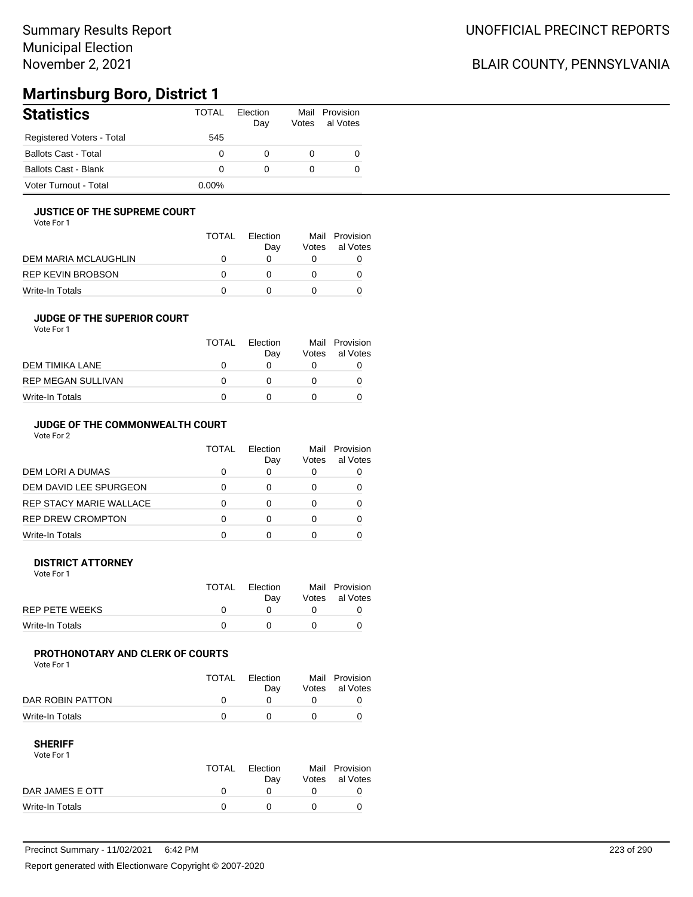# **Martinsburg Boro, District 1**

| <b>Statistics</b>           | <b>TOTAL</b> | Election<br>Day | Votes | Mail Provision<br>al Votes |
|-----------------------------|--------------|-----------------|-------|----------------------------|
| Registered Voters - Total   | 545          |                 |       |                            |
| <b>Ballots Cast - Total</b> | 0            | 0               | 0     | $\Omega$                   |
| <b>Ballots Cast - Blank</b> | $\Omega$     | 0               | 0     | $\Omega$                   |
| Voter Turnout - Total       | $0.00\%$     |                 |       |                            |

## **JUSTICE OF THE SUPREME COURT**

Vote For 1

|                      | TOTAL | Election<br>Dav | Votes | Mail Provision<br>al Votes |
|----------------------|-------|-----------------|-------|----------------------------|
| DEM MARIA MCLAUGHLIN |       |                 |       |                            |
| REP KEVIN BROBSON    |       |                 |       |                            |
| Write-In Totals      |       |                 |       |                            |

## **JUDGE OF THE SUPERIOR COURT**

| Vote For 1 |  |  |
|------------|--|--|
|            |  |  |

|                           | <b>TOTAL</b> | Election<br>Day | Votes | Mail Provision<br>al Votes |
|---------------------------|--------------|-----------------|-------|----------------------------|
| DEM TIMIKA LANE           |              |                 |       |                            |
| <b>REP MEGAN SULLIVAN</b> |              |                 |       |                            |
| Write-In Totals           |              |                 |       |                            |
|                           |              |                 |       |                            |

## **JUDGE OF THE COMMONWEALTH COURT**

Vote For 2

|                                | TOTAL | Flection<br>Day | Votes | Mail Provision<br>al Votes |
|--------------------------------|-------|-----------------|-------|----------------------------|
| DEM LORI A DUMAS               |       |                 |       |                            |
| DEM DAVID LEE SPURGEON         |       |                 |       |                            |
| <b>REP STACY MARIE WALLACE</b> |       |                 |       |                            |
| <b>REP DREW CROMPTON</b>       |       |                 |       |                            |
| Write-In Totals                |       |                 |       |                            |

#### **DISTRICT ATTORNEY**

| Vote For 1      |       |                 |                                  |
|-----------------|-------|-----------------|----------------------------------|
|                 | TOTAL | Election<br>Dav | Mail Provision<br>Votes al Votes |
| REP PETE WEEKS  |       |                 |                                  |
| Write-In Totals |       |                 |                                  |

## **PROTHONOTARY AND CLERK OF COURTS**

Vote For 1

|                  | TOTAL | Election<br>Dav | Mail Provision<br>Votes al Votes |
|------------------|-------|-----------------|----------------------------------|
| DAR ROBIN PATTON |       |                 |                                  |
| Write-In Totals  |       |                 |                                  |

| Vote For 1      |       |          |                |
|-----------------|-------|----------|----------------|
|                 | TOTAL | Election | Mail Provision |
|                 |       | Dav      | Votes al Votes |
| DAR JAMES E OTT |       |          |                |
| Write-In Totals |       |          |                |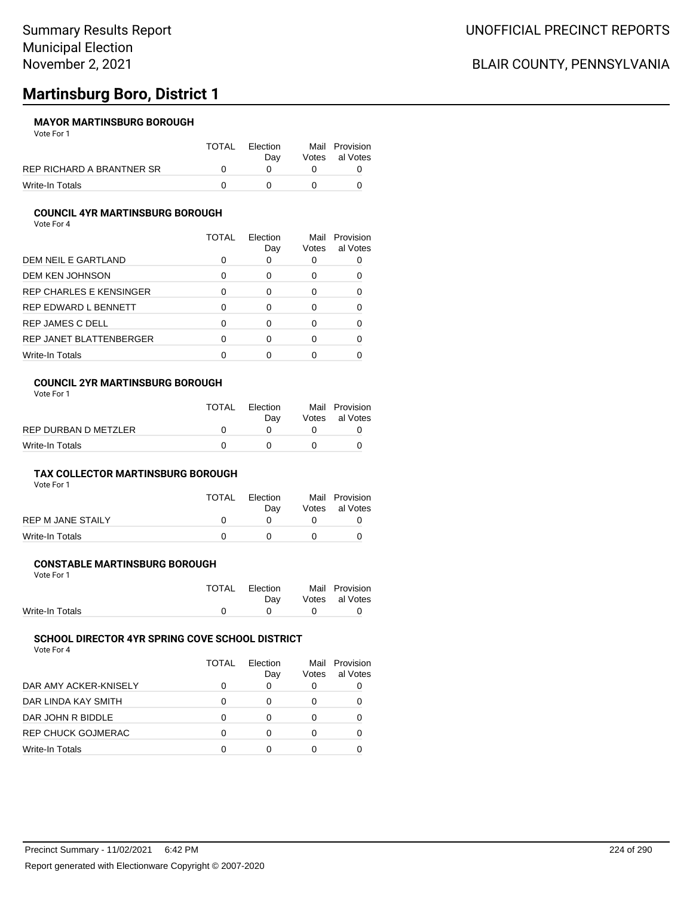# **Martinsburg Boro, District 1**

## **MAYOR MARTINSBURG BOROUGH**

Vote For 1

|                           | TOTAI | Flection | Mail Provision |
|---------------------------|-------|----------|----------------|
|                           |       | Dav      | Votes al Votes |
| REP RICHARD A BRANTNER SR |       |          |                |
| Write-In Totals           |       |          |                |

### **COUNCIL 4YR MARTINSBURG BOROUGH**

Vote For 4

|                                | TOTAL    | Election<br>Day | Mail<br>Votes | Provision<br>al Votes |
|--------------------------------|----------|-----------------|---------------|-----------------------|
| DEM NEIL E GARTLAND            | O        | O               |               |                       |
| <b>DEM KEN JOHNSON</b>         | ∩        | 0               |               |                       |
| <b>REP CHARLES E KENSINGER</b> | $\Omega$ | 0               |               |                       |
| REP EDWARD L BENNETT           |          | 0               |               |                       |
| REP JAMES C DELL               | ∩        | 0               |               |                       |
| REP JANET BLATTENBERGER        |          | 0               |               |                       |
| Write-In Totals                |          |                 |               |                       |

#### **COUNCIL 2YR MARTINSBURG BOROUGH** Vote For 1

|                      | <b>TOTAL</b> | Election<br>Dav | Mail Provision<br>Votes al Votes |
|----------------------|--------------|-----------------|----------------------------------|
| REP DURBAN D METZLER |              |                 |                                  |
| Write-In Totals      |              |                 |                                  |

### **TAX COLLECTOR MARTINSBURG BOROUGH**

Vote For 1

|                   | <b>TOTAL</b> | Election<br>Dav | Mail Provision<br>Votes al Votes |
|-------------------|--------------|-----------------|----------------------------------|
| REP M JANE STAILY |              |                 |                                  |
| Write-In Totals   |              |                 |                                  |

### **CONSTABLE MARTINSBURG BOROUGH**

Vote For 1

|                 | TOTAL Election |                                            | Mail Provision     |
|-----------------|----------------|--------------------------------------------|--------------------|
|                 |                |                                            | Day Votes al Votes |
| Write-In Totals |                | $\begin{array}{ccc} 0 & 0 & 0 \end{array}$ |                    |
|                 |                |                                            |                    |

## **SCHOOL DIRECTOR 4YR SPRING COVE SCHOOL DISTRICT**

Vote For 4

|                           | TOTAL | Flection<br>Day | Mail<br>Votes | Provision<br>al Votes |
|---------------------------|-------|-----------------|---------------|-----------------------|
| DAR AMY ACKER-KNISELY     |       | 0               |               |                       |
| DAR LINDA KAY SMITH       | O     | 0               |               |                       |
| DAR JOHN R BIDDLE         | O     | 0               |               |                       |
| <b>REP CHUCK GOJMERAC</b> | O     | 0               |               |                       |
| <b>Write-In Totals</b>    |       |                 |               |                       |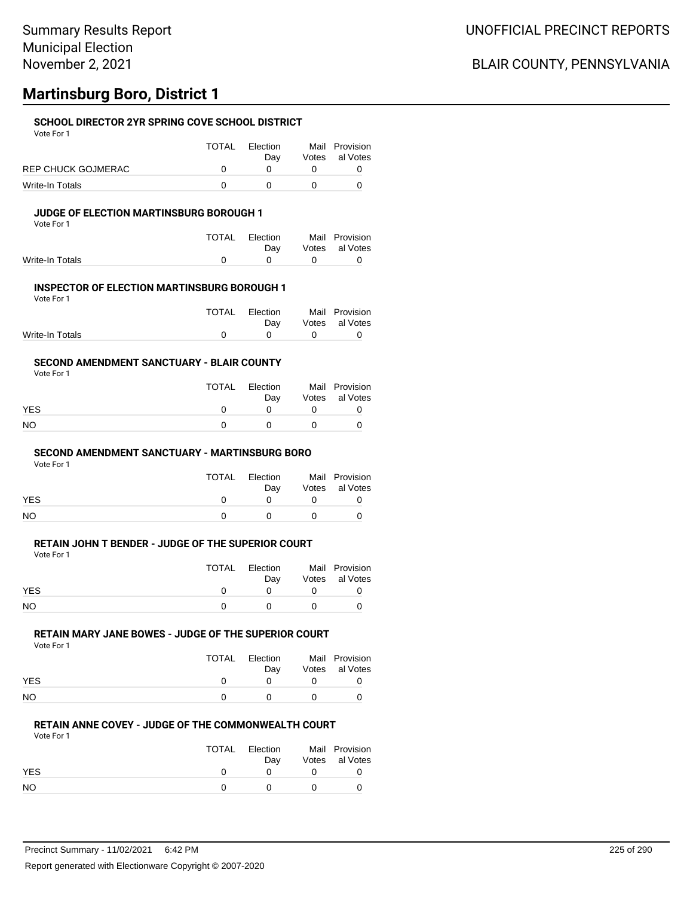## **Martinsburg Boro, District 1**

## **SCHOOL DIRECTOR 2YR SPRING COVE SCHOOL DISTRICT**

Vote For 1

|                    | <b>TOTAL</b> | Election<br>Dav | Mail Provision<br>Votes al Votes |
|--------------------|--------------|-----------------|----------------------------------|
| REP CHUCK GOJMERAC |              |                 |                                  |
| Write-In Totals    |              |                 |                                  |

### **JUDGE OF ELECTION MARTINSBURG BOROUGH 1**

Vote For 1

|     |                | Mail Provision |
|-----|----------------|----------------|
| Dav |                | Votes al Votes |
|     |                |                |
|     | TOTAL Election |                |

### **INSPECTOR OF ELECTION MARTINSBURG BOROUGH 1**

Vote For 1

|                 | TOTAL Election |     | Mail Provision |
|-----------------|----------------|-----|----------------|
|                 | Dav            |     | Votes al Votes |
| Write-In Totals |                | - 0 |                |

### **SECOND AMENDMENT SANCTUARY - BLAIR COUNTY**

Vote For 1

|            | TOTAL | Election<br>Dav | Mail Provision<br>Votes al Votes |
|------------|-------|-----------------|----------------------------------|
| <b>YES</b> |       |                 |                                  |
| NO.        |       | $\mathbf{U}$    |                                  |

### **SECOND AMENDMENT SANCTUARY - MARTINSBURG BORO**

Vote For 1

|            | TOTAL | Election<br>Dav | Mail Provision<br>Votes al Votes |
|------------|-------|-----------------|----------------------------------|
| <b>YES</b> |       |                 |                                  |
| NO         |       |                 |                                  |

## **RETAIN JOHN T BENDER - JUDGE OF THE SUPERIOR COURT**

Vote For 1

|            | <b>TOTAL</b> | Election<br>Dav | Mail Provision<br>Votes al Votes |
|------------|--------------|-----------------|----------------------------------|
| <b>YES</b> |              |                 |                                  |
| <b>NO</b>  |              |                 |                                  |

#### **RETAIN MARY JANE BOWES - JUDGE OF THE SUPERIOR COURT**

Vote For 1

|            | TOTAL | Election<br>Dav | Mail Provision<br>Votes al Votes |
|------------|-------|-----------------|----------------------------------|
| <b>YES</b> |       |                 |                                  |
| NO         |       |                 |                                  |

## **RETAIN ANNE COVEY - JUDGE OF THE COMMONWEALTH COURT**

Vote For 1

|            | TOTAL | Election<br>Dav | Mail Provision<br>Votes al Votes |
|------------|-------|-----------------|----------------------------------|
| <b>YES</b> |       |                 |                                  |
| <b>NO</b>  |       |                 |                                  |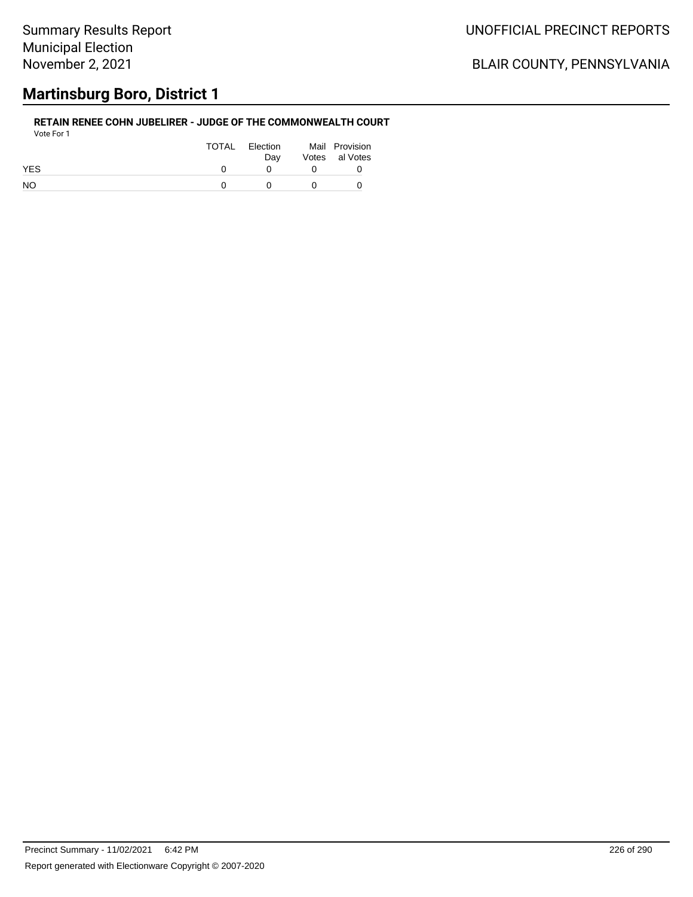## **Martinsburg Boro, District 1**

#### **RETAIN RENEE COHN JUBELIRER - JUDGE OF THE COMMONWEALTH COURT** Vote For 1

| 1 U U U    |       |                 |          |                                  |
|------------|-------|-----------------|----------|----------------------------------|
|            | TOTAL | Election<br>Dav |          | Mail Provision<br>Votes al Votes |
| <b>YES</b> |       |                 |          |                                  |
| <b>NO</b>  |       |                 | $\Omega$ |                                  |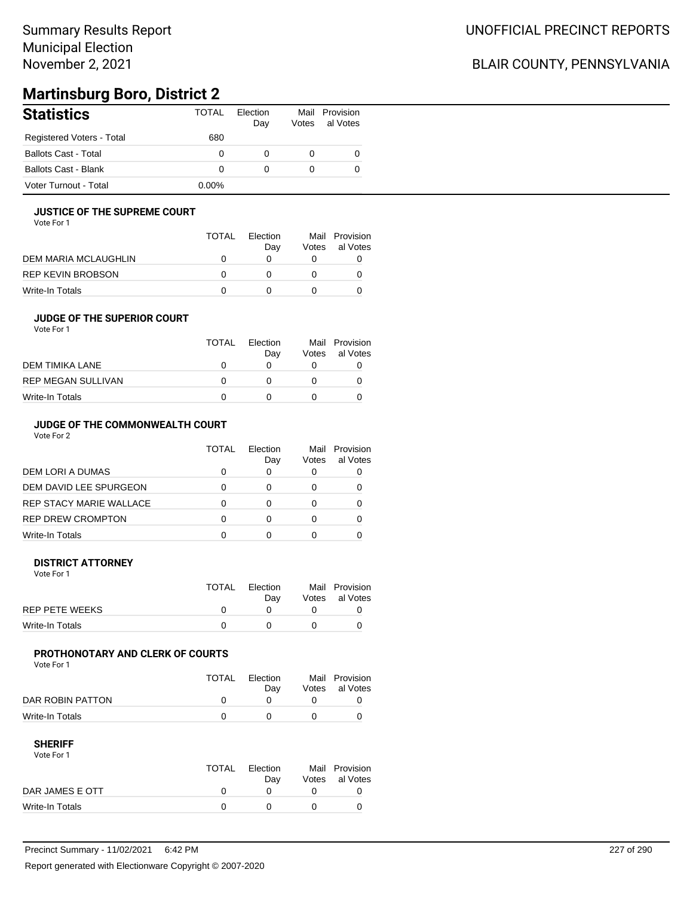# **Martinsburg Boro, District 2**

| <b>Statistics</b>           | <b>TOTAL</b> | Election<br>Day | Mail<br>Votes | Provision<br>al Votes |
|-----------------------------|--------------|-----------------|---------------|-----------------------|
| Registered Voters - Total   | 680          |                 |               |                       |
| <b>Ballots Cast - Total</b> | 0            |                 |               | 0                     |
| Ballots Cast - Blank        | $\Omega$     | 0               |               | O                     |
| Voter Turnout - Total       | $0.00\%$     |                 |               |                       |

## **JUSTICE OF THE SUPREME COURT**

Vote For 1

|                      | <b>TOTAL</b> | Election<br>Dav | Votes | Mail Provision<br>al Votes |
|----------------------|--------------|-----------------|-------|----------------------------|
| DEM MARIA MCLAUGHLIN |              |                 |       |                            |
| REP KEVIN BROBSON    |              |                 |       |                            |
| Write-In Totals      |              |                 |       |                            |

## **JUDGE OF THE SUPERIOR COURT**

| Vote For 1 |  |
|------------|--|
|            |  |

|                           | <b>TOTAL</b> | Election |       | Mail Provision |
|---------------------------|--------------|----------|-------|----------------|
|                           |              | Dav      | Votes | al Votes       |
| DEM TIMIKA LANE           |              |          |       |                |
| <b>REP MEGAN SULLIVAN</b> |              |          |       |                |
| Write-In Totals           |              |          |       |                |
|                           |              |          |       |                |

## **JUDGE OF THE COMMONWEALTH COURT**

Vote For 2

|                                | TOTAL | Flection<br>Day | Mail<br>Votes | Provision<br>al Votes |
|--------------------------------|-------|-----------------|---------------|-----------------------|
| DEM LORI A DUMAS               |       |                 |               |                       |
| DEM DAVID LEE SPURGEON         |       |                 |               |                       |
| <b>REP STACY MARIE WALLACE</b> |       |                 |               |                       |
| <b>REP DREW CROMPTON</b>       |       |                 |               |                       |
| Write-In Totals                |       |                 |               |                       |

#### **DISTRICT ATTORNEY**

| Vote For 1            |       |                 |                                  |
|-----------------------|-------|-----------------|----------------------------------|
|                       | TOTAL | Election<br>Dav | Mail Provision<br>Votes al Votes |
| <b>REP PETE WEEKS</b> |       |                 |                                  |
| Write-In Totals       |       |                 |                                  |

## **PROTHONOTARY AND CLERK OF COURTS**

Vote For 1

|                  | <b>TOTAL</b> | Election<br>Dav | Mail Provision<br>Votes al Votes |
|------------------|--------------|-----------------|----------------------------------|
| DAR ROBIN PATTON |              |                 |                                  |
| Write-In Totals  |              |                 |                                  |

| Vote For 1      |              |          |                |
|-----------------|--------------|----------|----------------|
|                 | TOTAL        | Flection | Mail Provision |
|                 |              | Dav      | Votes al Votes |
| DAR JAMES E OTT | $\mathbf{U}$ |          |                |
| Write-In Totals |              |          |                |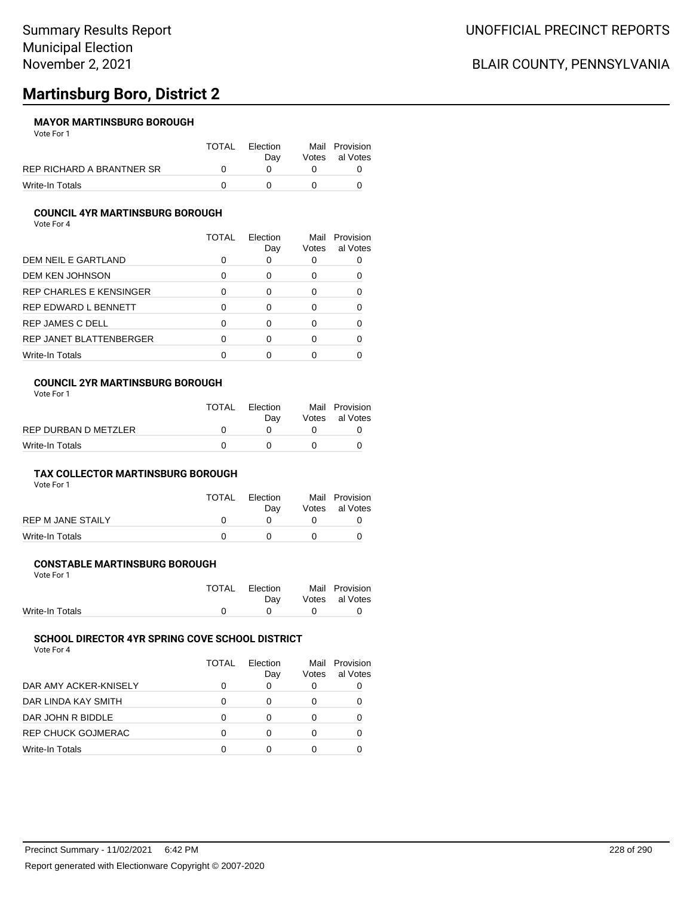# **Martinsburg Boro, District 2**

## **MAYOR MARTINSBURG BOROUGH**

Vote For 1

|                           | TOTAL | <b>Flection</b> | Mail Provision |                |
|---------------------------|-------|-----------------|----------------|----------------|
|                           |       | Dav             |                | Votes al Votes |
| REP RICHARD A BRANTNER SR |       |                 |                |                |
| Write-In Totals           |       |                 |                |                |

#### **COUNCIL 4YR MARTINSBURG BOROUGH**

Vote For 4

|                                | TOTAL | Election<br>Day | Mail<br>Votes | Provision<br>al Votes |
|--------------------------------|-------|-----------------|---------------|-----------------------|
| DEM NEIL E GARTLAND            |       | 0               |               |                       |
| <b>DEM KEN JOHNSON</b>         | ∩     | 0               |               |                       |
| <b>REP CHARLES E KENSINGER</b> | ∩     | 0               |               |                       |
| REP EDWARD L BENNETT           |       | 0               |               |                       |
| <b>REP JAMES C DELL</b>        | ∩     | 0               |               |                       |
| REP JANET BLATTENBERGER        |       | 0               |               |                       |
| Write-In Totals                |       |                 |               |                       |

#### **COUNCIL 2YR MARTINSBURG BOROUGH** Vote For 1

|                      | <b>TOTAL</b> | Election<br>Dav | Mail Provision<br>Votes al Votes |
|----------------------|--------------|-----------------|----------------------------------|
| REP DURBAN D METZLER |              |                 |                                  |
| Write-In Totals      |              |                 |                                  |

### **TAX COLLECTOR MARTINSBURG BOROUGH**

Vote For 1

|                   | <b>TOTAL</b> | Election<br>Dav | Mail Provision<br>Votes al Votes |
|-------------------|--------------|-----------------|----------------------------------|
| REP M JANE STAILY |              |                 |                                  |
| Write-In Totals   |              |                 |                                  |

### **CONSTABLE MARTINSBURG BOROUGH**

Vote For 1

|                 | TOTAL Election                               | Mail Provision     |
|-----------------|----------------------------------------------|--------------------|
|                 |                                              | Day Votes al Votes |
| Write-In Totals | $\begin{array}{ccc}\n0 & 0 & 0\n\end{array}$ |                    |
|                 |                                              |                    |

## **SCHOOL DIRECTOR 4YR SPRING COVE SCHOOL DISTRICT**

Vote For 4

|                           | TOTAL | Flection<br>Day | Mail<br>Votes | Provision<br>al Votes |
|---------------------------|-------|-----------------|---------------|-----------------------|
| DAR AMY ACKER-KNISELY     |       | O               |               |                       |
| DAR LINDA KAY SMITH       | O     | 0               |               |                       |
| DAR JOHN R BIDDLE         | O     | 0               |               |                       |
| <b>REP CHUCK GOJMERAC</b> | O     | 0               |               |                       |
| <b>Write-In Totals</b>    |       |                 |               |                       |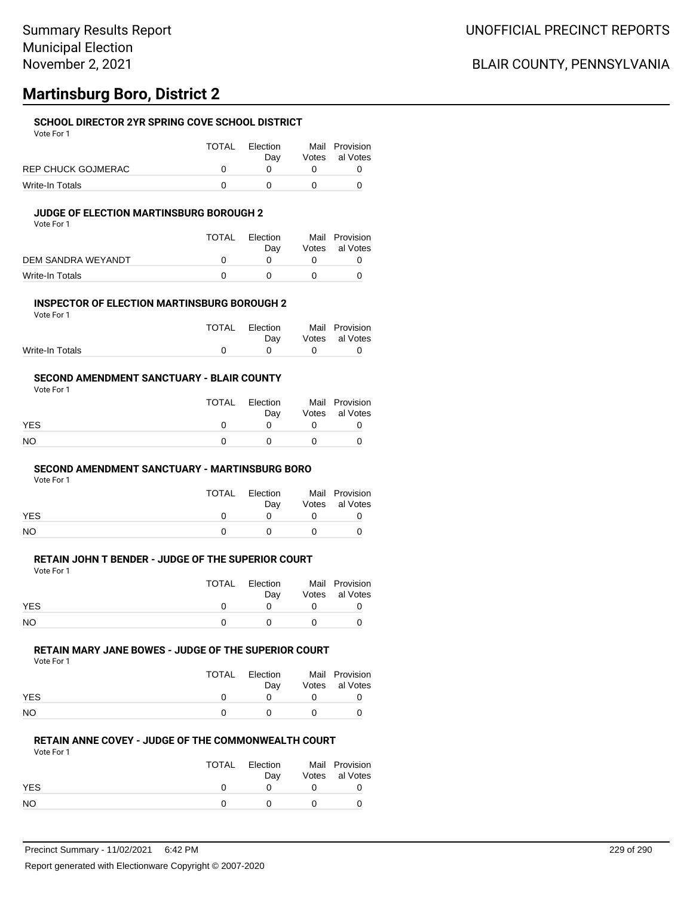## **Martinsburg Boro, District 2**

## **SCHOOL DIRECTOR 2YR SPRING COVE SCHOOL DISTRICT**

Vote For 1

|                    | <b>TOTAL</b> | Election<br>Dav | Mail Provision<br>Votes al Votes |
|--------------------|--------------|-----------------|----------------------------------|
| REP CHUCK GOJMERAC |              |                 |                                  |
| Write-In Totals    |              |                 |                                  |

### **JUDGE OF ELECTION MARTINSBURG BOROUGH 2**

Vote For 1

|                    | <b>TOTAL</b> | Election<br>Dav | Mail Provision<br>Votes al Votes |
|--------------------|--------------|-----------------|----------------------------------|
| DEM SANDRA WEYANDT |              |                 |                                  |
| Write-In Totals    |              |                 |                                  |

#### **INSPECTOR OF ELECTION MARTINSBURG BOROUGH 2** Vote For 1

| TOTAL Election |           | Mail Provision |
|----------------|-----------|----------------|
| Dav            |           | Votes al Votes |
|                | $\bigcap$ |                |
|                |           |                |

### **SECOND AMENDMENT SANCTUARY - BLAIR COUNTY**

Vote For 1

|            | TOTAL | Election<br>Dav |              | Mail Provision<br>Votes al Votes |
|------------|-------|-----------------|--------------|----------------------------------|
| <b>YES</b> |       |                 |              |                                  |
| NO         |       |                 | $\mathbf{u}$ |                                  |

### **SECOND AMENDMENT SANCTUARY - MARTINSBURG BORO**

Vote For 1

|            | TOTAL        | Election<br>Dav | Mail Provision<br>Votes al Votes |
|------------|--------------|-----------------|----------------------------------|
| <b>YES</b> | <sup>0</sup> | <sup>n</sup>    |                                  |
| NO         |              |                 |                                  |

## **RETAIN JOHN T BENDER - JUDGE OF THE SUPERIOR COURT**

Vote For 1

|            | TOTAL | Election<br>Dav | Mail Provision<br>Votes al Votes |
|------------|-------|-----------------|----------------------------------|
| <b>YES</b> |       |                 |                                  |
| <b>NO</b>  |       |                 |                                  |

## **RETAIN MARY JANE BOWES - JUDGE OF THE SUPERIOR COURT**

Vote For 1

|            | TOTAL | Election<br>Dav | Mail Provision<br>Votes al Votes |
|------------|-------|-----------------|----------------------------------|
| <b>YES</b> |       |                 |                                  |
| <b>NO</b>  |       | $^{\circ}$      |                                  |

### **RETAIN ANNE COVEY - JUDGE OF THE COMMONWEALTH COURT**

Vote For 1

|            | TOTAL | Election<br>Dav | Mail Provision<br>Votes al Votes |
|------------|-------|-----------------|----------------------------------|
| <b>YES</b> |       |                 |                                  |
| NO         |       |                 |                                  |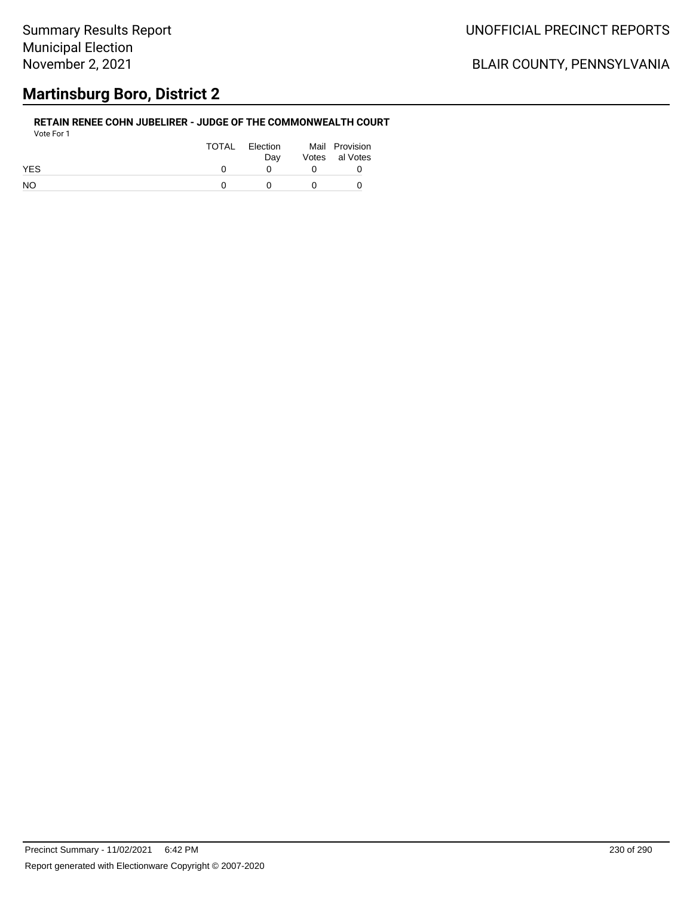## **Martinsburg Boro, District 2**

#### **RETAIN RENEE COHN JUBELIRER - JUDGE OF THE COMMONWEALTH COURT** Vote For 1

| 1 J J J J J J |                       |          |                                  |
|---------------|-----------------------|----------|----------------------------------|
|               | TOTAL Election<br>Dav |          | Mail Provision<br>Votes al Votes |
| <b>YES</b>    |                       |          |                                  |
| <b>NO</b>     |                       | $\Omega$ |                                  |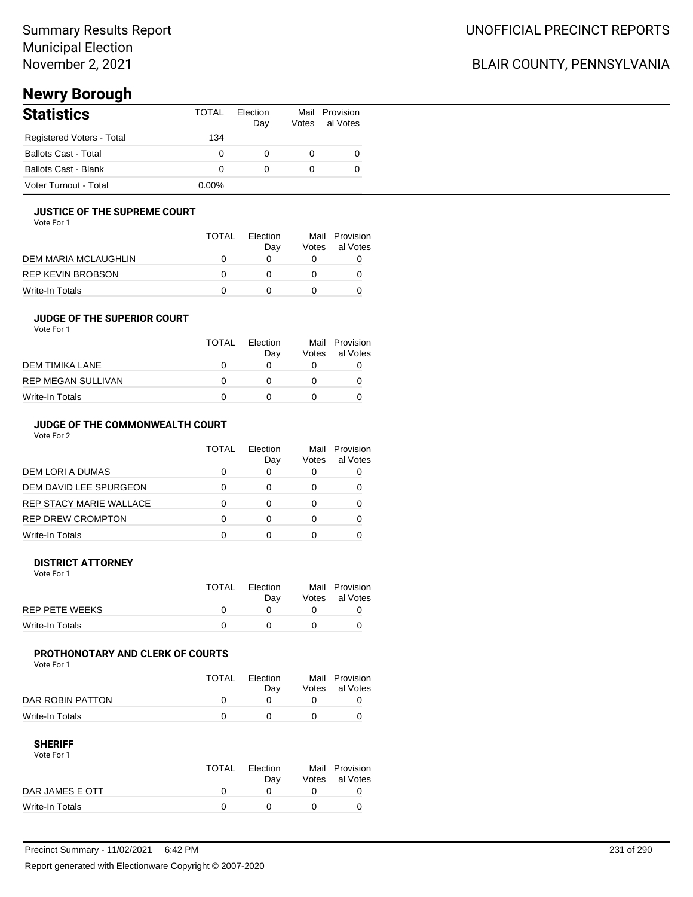# **Newry Borough**

| <b>Statistics</b>           | TOTAI    | Flection<br>Day | Votes | Mail Provision<br>al Votes |
|-----------------------------|----------|-----------------|-------|----------------------------|
| Registered Voters - Total   | 134      |                 |       |                            |
| <b>Ballots Cast - Total</b> | O        | $\Omega$        |       |                            |
| <b>Ballots Cast - Blank</b> |          | $\Omega$        |       |                            |
| Voter Turnout - Total       | $0.00\%$ |                 |       |                            |

## **JUSTICE OF THE SUPREME COURT**

Vote For 1

|                      | <b>TOTAL</b> | Election<br>Dav | Mail<br>Votes | Provision<br>al Votes |
|----------------------|--------------|-----------------|---------------|-----------------------|
| DEM MARIA MCLAUGHLIN |              |                 |               |                       |
| REP KEVIN BROBSON    |              |                 |               |                       |
| Write-In Totals      |              |                 |               |                       |

#### **JUDGE OF THE SUPERIOR COURT** Vote For 1

| VOLE FOI I                | <b>TOTAL</b> | <b>Flection</b><br>Dav | Votes | Mail Provision<br>al Votes |
|---------------------------|--------------|------------------------|-------|----------------------------|
| DEM TIMIKA LANE           |              |                        |       |                            |
| <b>REP MEGAN SULLIVAN</b> | $^{\prime}$  |                        |       | O                          |
| Write-In Totals           |              |                        |       |                            |

### **JUDGE OF THE COMMONWEALTH COURT**

Vote For 2

|                                | TOTAL | Flection<br>Day | Mail<br>Votes | Provision<br>al Votes |
|--------------------------------|-------|-----------------|---------------|-----------------------|
| DEM LORI A DUMAS               |       |                 |               |                       |
| DEM DAVID LEE SPURGEON         |       |                 |               |                       |
| <b>REP STACY MARIE WALLACE</b> |       |                 |               |                       |
| <b>REP DREW CROMPTON</b>       |       |                 |               |                       |
| Write-In Totals                |       |                 |               |                       |

#### **DISTRICT ATTORNEY**

| Vote For 1            |       |                 |                                  |
|-----------------------|-------|-----------------|----------------------------------|
|                       | TOTAL | Election<br>Dav | Mail Provision<br>Votes al Votes |
| <b>REP PETE WEEKS</b> |       |                 |                                  |
| Write-In Totals       |       |                 |                                  |

## **PROTHONOTARY AND CLERK OF COURTS**

Vote For 1

|                  | <b>TOTAL</b> | Election<br>Dav | Mail Provision<br>Votes al Votes |
|------------------|--------------|-----------------|----------------------------------|
| DAR ROBIN PATTON |              |                 |                                  |
| Write-In Totals  |              |                 |                                  |

## **SHERIFF**

Vote For 1

|                 | TOTAL | Election<br>Dav | Mail Provision<br>Votes al Votes |
|-----------------|-------|-----------------|----------------------------------|
| DAR JAMES E OTT |       |                 |                                  |
| Write-In Totals |       |                 |                                  |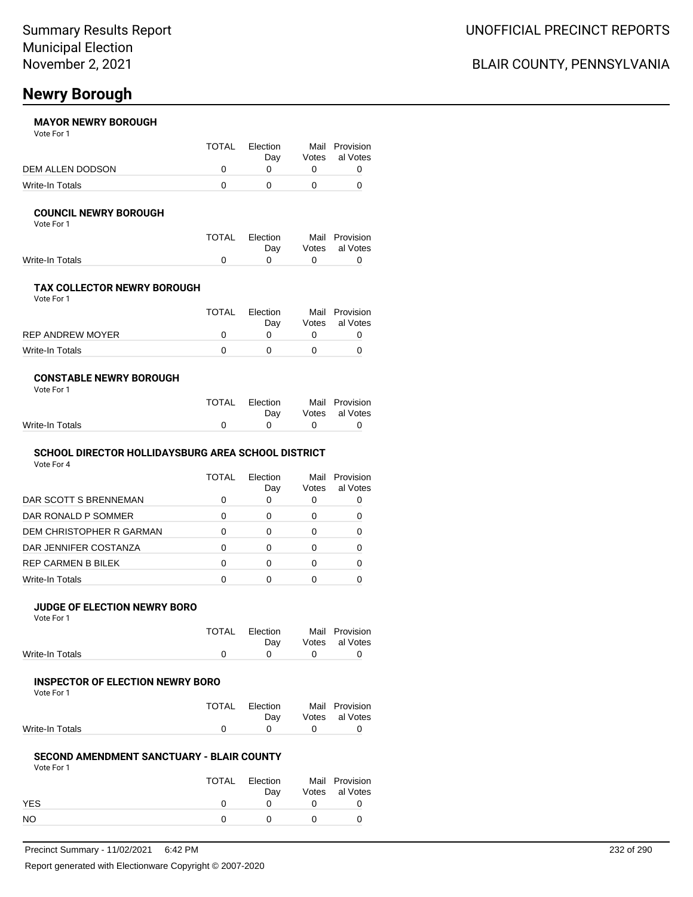## **Newry Borough**

## **MAYOR NEWRY BOROUGH**

Vote For 1

|                  | TOTAI | <b>Flection</b> | Mail Provision |
|------------------|-------|-----------------|----------------|
|                  |       | Dav             | Votes al Votes |
| DEM ALLEN DODSON |       |                 |                |
| Write-In Totals  |       |                 |                |

#### **COUNCIL NEWRY BOROUGH**

Vote For 1

|                 | TOTAL Election |              | Mail Provision |
|-----------------|----------------|--------------|----------------|
|                 | Dav            |              | Votes al Votes |
| Write-In Totals |                | $\mathbf{u}$ |                |

## **TAX COLLECTOR NEWRY BOROUGH**

Vote For 1

|                  | TOTAL | Election<br>Dav | Mail Provision<br>Votes al Votes |
|------------------|-------|-----------------|----------------------------------|
| REP ANDREW MOYER |       |                 |                                  |
| Write-In Totals  |       |                 |                                  |

### **CONSTABLE NEWRY BOROUGH**

|                 | TOTAL Election                | Mail Provision |
|-----------------|-------------------------------|----------------|
|                 | Dav                           | Votes al Votes |
| Write-In Totals | $\overline{0}$ $\overline{0}$ |                |

## **SCHOOL DIRECTOR HOLLIDAYSBURG AREA SCHOOL DISTRICT**

Vote For 4

|                           | TOTAI | Election<br>Day | Mail<br>Votes | Provision<br>al Votes |
|---------------------------|-------|-----------------|---------------|-----------------------|
| DAR SCOTT S BRENNEMAN     | 0     | 0               |               |                       |
| DAR RONALD P SOMMER       | 0     | 0               |               |                       |
| DEM CHRISTOPHER R GARMAN  | 0     | Ω               |               |                       |
| DAR JENNIFER COSTANZA     | ∩     | 0               |               |                       |
| <b>REP CARMEN B BILEK</b> | ∩     | 0               |               |                       |
| Write-In Totals           |       |                 |               |                       |

### **JUDGE OF ELECTION NEWRY BORO**

Vote For 1

|                 | TOTAL Election | Mail Provision |
|-----------------|----------------|----------------|
|                 | Dav            | Votes al Votes |
| Write-In Totals |                |                |

#### **INSPECTOR OF ELECTION NEWRY BORO** Vote For 1

|                 | TOTAL Election                | Mail Provision<br>Day Votes al Votes |
|-----------------|-------------------------------|--------------------------------------|
| Write-In Totals | $\overline{0}$ $\overline{0}$ |                                      |

#### **SECOND AMENDMENT SANCTUARY - BLAIR COUNTY** Vote For 1

| TOTAL | Election |     | Mail Provision<br>Votes al Votes |
|-------|----------|-----|----------------------------------|
|       |          |     |                                  |
|       |          |     |                                  |
|       |          | Dav |                                  |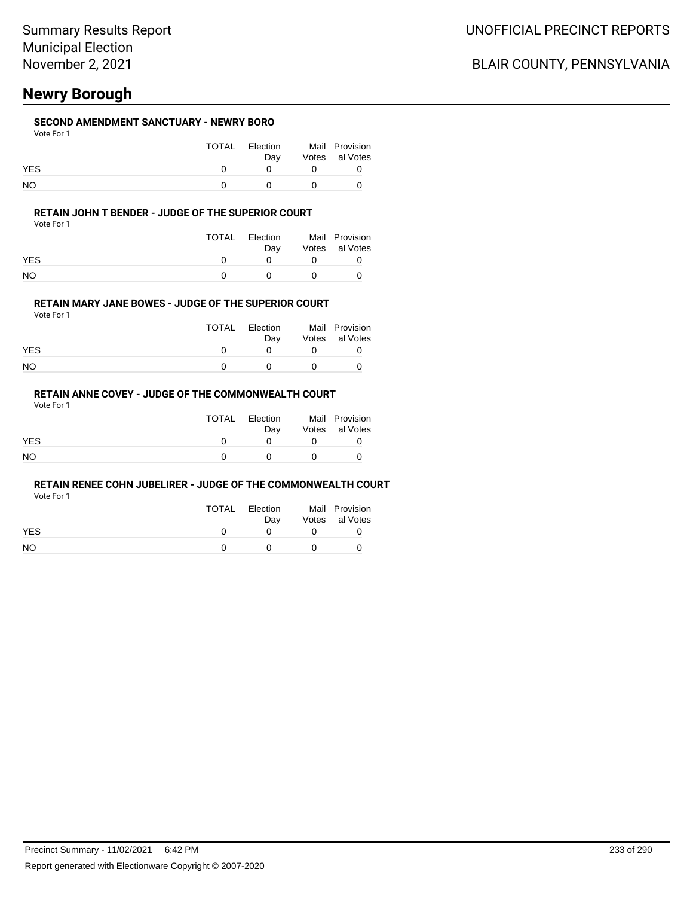## **Newry Borough**

## **SECOND AMENDMENT SANCTUARY - NEWRY BORO**

Vote For 1

|            | TOTAL | Election<br>Dav |              | Mail Provision<br>Votes al Votes |
|------------|-------|-----------------|--------------|----------------------------------|
| <b>YES</b> |       | $\mathsf{n}$    |              |                                  |
| NO         |       | $\mathsf{n}$    | <sup>n</sup> |                                  |

#### **RETAIN JOHN T BENDER - JUDGE OF THE SUPERIOR COURT**

Vote For 1

|            | TOTAL | Election<br>Dav | Mail Provision<br>Votes al Votes |
|------------|-------|-----------------|----------------------------------|
| <b>YES</b> |       |                 |                                  |
| NΟ         |       |                 |                                  |

#### **RETAIN MARY JANE BOWES - JUDGE OF THE SUPERIOR COURT**

Vote For 1

|            | TOTAL | Election<br>Dav |          | Mail Provision<br>Votes al Votes |
|------------|-------|-----------------|----------|----------------------------------|
| <b>YES</b> |       |                 |          |                                  |
| NO.        |       |                 | $\theta$ |                                  |

## **RETAIN ANNE COVEY - JUDGE OF THE COMMONWEALTH COURT**

Vote For 1

|            | TOTAL | Election<br>Dav |              | Mail Provision<br>Votes al Votes |
|------------|-------|-----------------|--------------|----------------------------------|
| <b>YES</b> |       | $^{\circ}$      | $\mathbf{U}$ |                                  |
| NO         |       | $^{\circ}$      | $^{\circ}$   |                                  |

### **RETAIN RENEE COHN JUBELIRER - JUDGE OF THE COMMONWEALTH COURT**

Vote For 1

|            | TOTAL | Election | Mail Provision |
|------------|-------|----------|----------------|
|            |       | Dav      | Votes al Votes |
| <b>YES</b> |       |          |                |
| NO.        |       |          |                |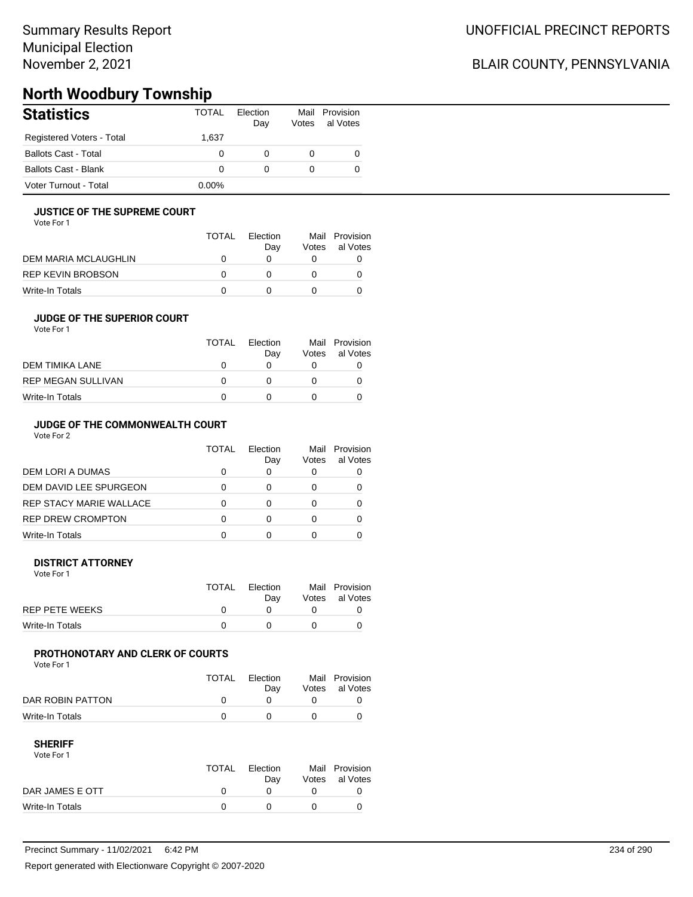## Summary Results Report Municipal Election November 2, 2021

## BLAIR COUNTY, PENNSYLVANIA

# **North Woodbury Township**

| <b>Statistics</b>           | <b>TOTAL</b> | Election<br>Day | Mail<br>Votes | Provision<br>al Votes |
|-----------------------------|--------------|-----------------|---------------|-----------------------|
| Registered Voters - Total   | 1.637        |                 |               |                       |
| <b>Ballots Cast - Total</b> | 0            | 0               |               | O                     |
| Ballots Cast - Blank        | 0            | 0               |               | 0                     |
| Voter Turnout - Total       | 0.00%        |                 |               |                       |

## **JUSTICE OF THE SUPREME COURT**

Vote For 1

|                      | TOTAL | Election<br>Dav | Votes | Mail Provision<br>al Votes |
|----------------------|-------|-----------------|-------|----------------------------|
| DEM MARIA MCLAUGHLIN |       |                 |       |                            |
| REP KEVIN BROBSON    |       |                 |       |                            |
| Write-In Totals      |       |                 |       |                            |

### **JUDGE OF THE SUPERIOR COURT**

| Vote For 1 |  |  |
|------------|--|--|
|            |  |  |

|                           | <b>TOTAL</b> | Election<br>Day | Votes | Mail Provision<br>al Votes |
|---------------------------|--------------|-----------------|-------|----------------------------|
| DEM TIMIKA LANE           |              |                 |       |                            |
| <b>REP MEGAN SULLIVAN</b> |              |                 |       |                            |
| Write-In Totals           |              |                 |       |                            |
|                           |              |                 |       |                            |

## **JUDGE OF THE COMMONWEALTH COURT**

Vote For 2

|                                | TOTAL | Flection<br>Day | Votes | Mail Provision<br>al Votes |
|--------------------------------|-------|-----------------|-------|----------------------------|
| DEM LORI A DUMAS               |       |                 |       |                            |
| DEM DAVID LEE SPURGEON         |       |                 |       |                            |
| <b>REP STACY MARIE WALLACE</b> |       |                 |       |                            |
| <b>REP DREW CROMPTON</b>       |       |                 |       |                            |
| Write-In Totals                |       |                 |       |                            |

#### **DISTRICT ATTORNEY**

| Vote For 1            |              |                 |                                  |
|-----------------------|--------------|-----------------|----------------------------------|
|                       | <b>TOTAL</b> | Election<br>Dav | Mail Provision<br>Votes al Votes |
| <b>REP PETE WEEKS</b> |              |                 |                                  |
| Write-In Totals       |              |                 |                                  |

## **PROTHONOTARY AND CLERK OF COURTS**

Vote For 1

|                  | <b>TOTAL</b> | Election<br>Dav | Mail Provision<br>Votes al Votes |
|------------------|--------------|-----------------|----------------------------------|
| DAR ROBIN PATTON |              |                 |                                  |
| Write-In Totals  |              |                 |                                  |

| Vote For 1      |             |          |                |
|-----------------|-------------|----------|----------------|
|                 | TOTAL       | Election | Mail Provision |
|                 |             | Dav      | Votes al Votes |
| DAR JAMES E OTT | $^{\prime}$ |          |                |
| Write-In Totals |             |          |                |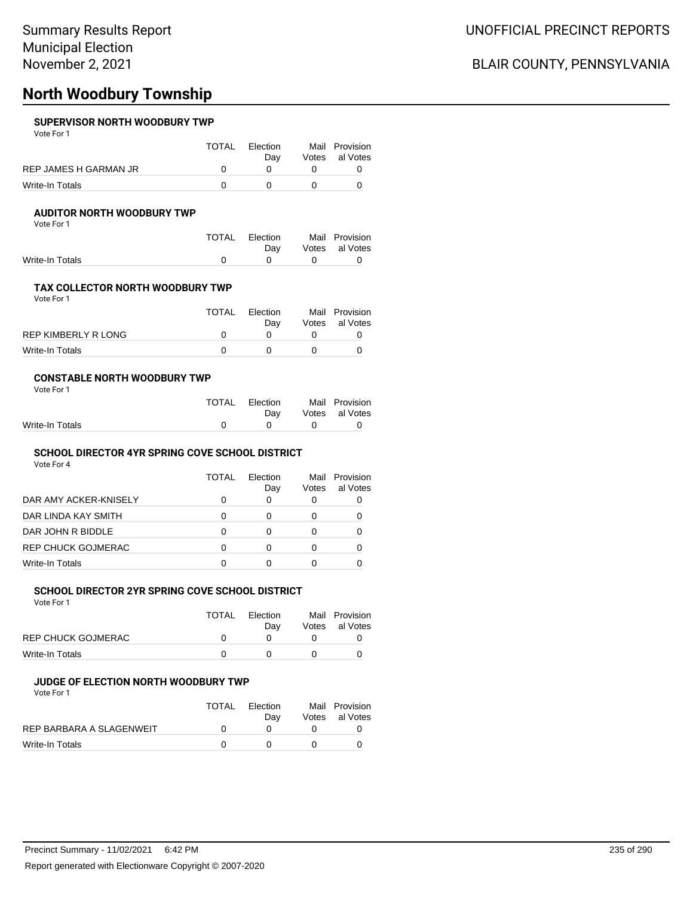# **North Woodbury Township**

## **SUPERVISOR NORTH WOODBURY TWP**

Vote For 1

|                       | <b>TOTAL</b> | Election<br>Dav | Mail Provision<br>Votes al Votes |
|-----------------------|--------------|-----------------|----------------------------------|
| REP JAMES H GARMAN JR |              |                 |                                  |
| Write-In Totals       |              |                 |                                  |

### **AUDITOR NORTH WOODBURY TWP**

Vote For 1

|                 | TOTAL Election | Mail Provision |
|-----------------|----------------|----------------|
|                 | Dav            | Votes al Votes |
| Write-In Totals |                |                |

## **TAX COLLECTOR NORTH WOODBURY TWP**

Vote For 1

|                     | TOTAL | Election<br>Dav | Mail Provision<br>Votes al Votes |
|---------------------|-------|-----------------|----------------------------------|
| REP KIMBERLY R LONG |       |                 |                                  |
| Write-In Totals     |       |                 |                                  |

#### **CONSTABLE NORTH WOODBURY TWP** Vote For 1

|                 | TOTAL Election<br>Dav                    | Mail Provision<br>Votes al Votes |
|-----------------|------------------------------------------|----------------------------------|
| Write-In Totals | $\begin{array}{ccc} 0 & & 0 \end{array}$ |                                  |

### **SCHOOL DIRECTOR 4YR SPRING COVE SCHOOL DISTRICT**

Vote For 4

|                       | TOTAL | Flection<br>Day | Mail<br>Votes | Provision<br>al Votes |
|-----------------------|-------|-----------------|---------------|-----------------------|
| DAR AMY ACKER-KNISELY | 0     | O               |               |                       |
| DAR LINDA KAY SMITH   | 0     | O               |               |                       |
| DAR JOHN R BIDDLE     | 0     | 0               | 0             |                       |
| REP CHUCK GOJMERAC    | O     |                 |               |                       |
| Write-In Totals       | O     |                 |               |                       |

### **SCHOOL DIRECTOR 2YR SPRING COVE SCHOOL DISTRICT**

Vote For 1

|                    | <b>TOTAL</b> | Election<br>Dav | Mail Provision<br>Votes al Votes |
|--------------------|--------------|-----------------|----------------------------------|
| REP CHUCK GOJMERAC |              |                 |                                  |
| Write-In Totals    |              |                 |                                  |

## **JUDGE OF ELECTION NORTH WOODBURY TWP**

Vote For 1

|                          | TOTAI | Flection<br>Dav | Mail Provision<br>Votes al Votes |
|--------------------------|-------|-----------------|----------------------------------|
| REP BARBARA A SLAGENWEIT |       |                 |                                  |
| Write-In Totals          |       |                 |                                  |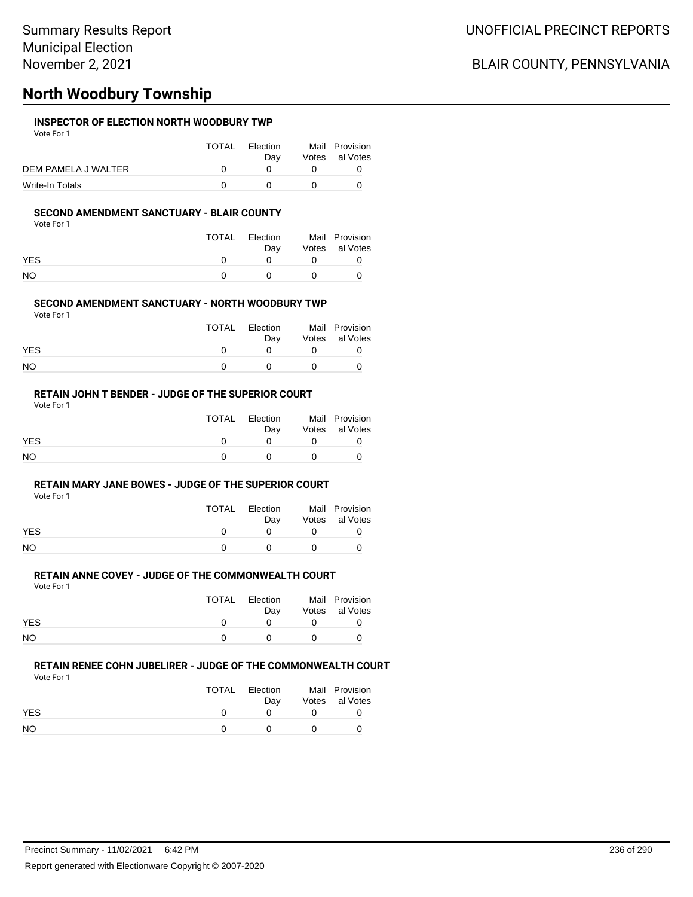## **North Woodbury Township**

### **INSPECTOR OF ELECTION NORTH WOODBURY TWP**

Vote For 1

|                     | TOTAL | Election | Mail Provision |
|---------------------|-------|----------|----------------|
|                     |       | Dav      | Votes al Votes |
| DEM PAMELA J WALTER |       |          |                |
| Write-In Totals     |       |          |                |

### **SECOND AMENDMENT SANCTUARY - BLAIR COUNTY**

Vote For 1

|            | TOTAL | Election<br>Dav | Mail Provision<br>Votes al Votes |
|------------|-------|-----------------|----------------------------------|
| <b>YES</b> |       |                 |                                  |
| NO         |       |                 |                                  |

### **SECOND AMENDMENT SANCTUARY - NORTH WOODBURY TWP**

Vote For 1

|            | TOTAL | Election | Mail Provision |
|------------|-------|----------|----------------|
|            |       | Dav      | Votes al Votes |
| <b>YES</b> |       |          |                |
| <b>NO</b>  |       |          |                |

## **RETAIN JOHN T BENDER - JUDGE OF THE SUPERIOR COURT**

Vote For 1

|            | TOTAL | Election<br>Dav | Mail Provision<br>Votes al Votes |
|------------|-------|-----------------|----------------------------------|
| <b>YES</b> |       |                 |                                  |
| NO.        |       |                 |                                  |

#### **RETAIN MARY JANE BOWES - JUDGE OF THE SUPERIOR COURT**

Vote For 1

|            | TOTAL | Election<br>Dav | Mail Provision<br>Votes al Votes |
|------------|-------|-----------------|----------------------------------|
| <b>YES</b> |       |                 |                                  |
| NO         |       |                 |                                  |

#### **RETAIN ANNE COVEY - JUDGE OF THE COMMONWEALTH COURT** Vote For 1

|            | TOTAL | Election<br>Dav | Mail Provision<br>Votes al Votes |
|------------|-------|-----------------|----------------------------------|
| <b>YES</b> |       |                 |                                  |
| NO.        |       |                 |                                  |

#### **RETAIN RENEE COHN JUBELIRER - JUDGE OF THE COMMONWEALTH COURT** Vote For 1

|            | TOTAL | Election<br>Dav |            | Mail Provision<br>Votes al Votes |
|------------|-------|-----------------|------------|----------------------------------|
| <b>YES</b> |       |                 |            |                                  |
| <b>NO</b>  |       | $\mathbf{U}$    | $^{\circ}$ |                                  |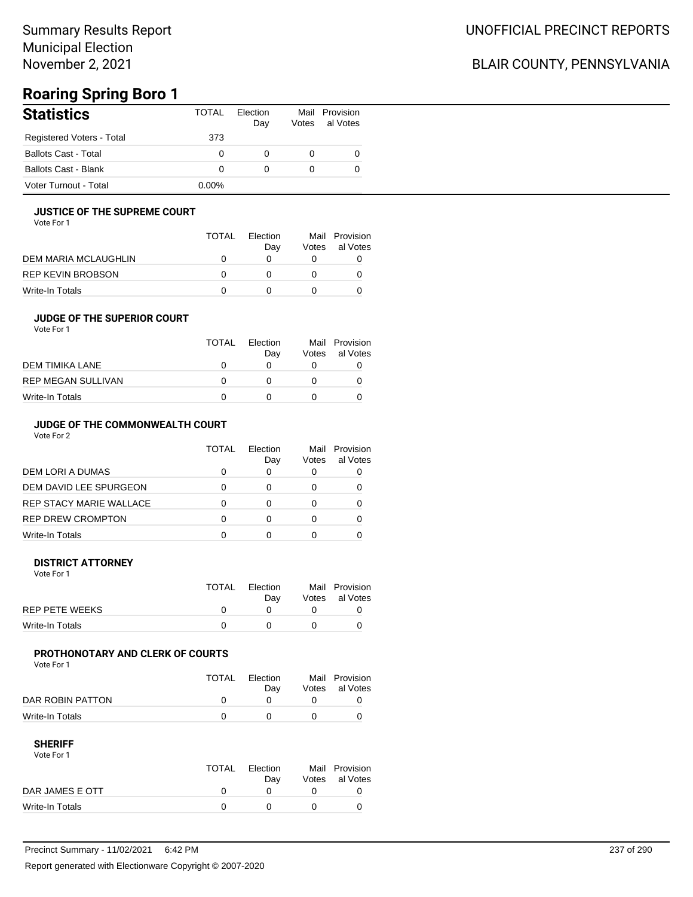## Summary Results Report Municipal Election November 2, 2021

## BLAIR COUNTY, PENNSYLVANIA

## **Roaring Spring Boro 1**

| <b>Statistics</b>           | TOTAL    | Flection<br>Dav | Votes | Mail Provision<br>al Votes |
|-----------------------------|----------|-----------------|-------|----------------------------|
| Registered Voters - Total   | 373      |                 |       |                            |
| <b>Ballots Cast - Total</b> | 0        | 0               |       |                            |
| <b>Ballots Cast - Blank</b> | O        | 0               |       |                            |
| Voter Turnout - Total       | $0.00\%$ |                 |       |                            |

## **JUSTICE OF THE SUPREME COURT**

Vote For 1

|                      | <b>TOTAL</b> | Election<br>Dav | Mail<br>Votes | Provision<br>al Votes |
|----------------------|--------------|-----------------|---------------|-----------------------|
| DEM MARIA MCLAUGHLIN |              |                 |               |                       |
| REP KEVIN BROBSON    |              |                 |               |                       |
| Write-In Totals      |              |                 |               |                       |

## **JUDGE OF THE SUPERIOR COURT**

| Vote For 1 |  |  |
|------------|--|--|
|            |  |  |

| Dav | Votes | Mail Provision<br>al Votes |
|-----|-------|----------------------------|
|     |       |                            |
|     |       |                            |
|     |       |                            |
|     |       | <b>TOTAL</b><br>Election   |

## **JUDGE OF THE COMMONWEALTH COURT**

Vote For 2

|                                | TOTAL | Flection<br>Day | Votes | Mail Provision<br>al Votes |
|--------------------------------|-------|-----------------|-------|----------------------------|
| DEM LORI A DUMAS               |       |                 |       |                            |
| DEM DAVID LEE SPURGEON         |       |                 |       |                            |
| <b>REP STACY MARIE WALLACE</b> |       |                 |       |                            |
| <b>REP DREW CROMPTON</b>       |       |                 |       |                            |
| Write-In Totals                |       |                 |       |                            |

#### **DISTRICT ATTORNEY**

| Vote For 1      |       |                 |                                  |
|-----------------|-------|-----------------|----------------------------------|
|                 | TOTAL | Election<br>Dav | Mail Provision<br>Votes al Votes |
| REP PETE WEEKS  |       |                 |                                  |
| Write-In Totals |       |                 |                                  |

## **PROTHONOTARY AND CLERK OF COURTS**

Vote For 1

|                  | <b>TOTAL</b> | Election<br>Dav | Mail Provision<br>Votes al Votes |
|------------------|--------------|-----------------|----------------------------------|
| DAR ROBIN PATTON |              |                 |                                  |
| Write-In Totals  |              |                 |                                  |

| Vote For 1      |       |          |                |
|-----------------|-------|----------|----------------|
|                 | TOTAL | Election | Mail Provision |
|                 |       | Dav      | Votes al Votes |
| DAR JAMES E OTT |       |          |                |
| Write-In Totals |       |          |                |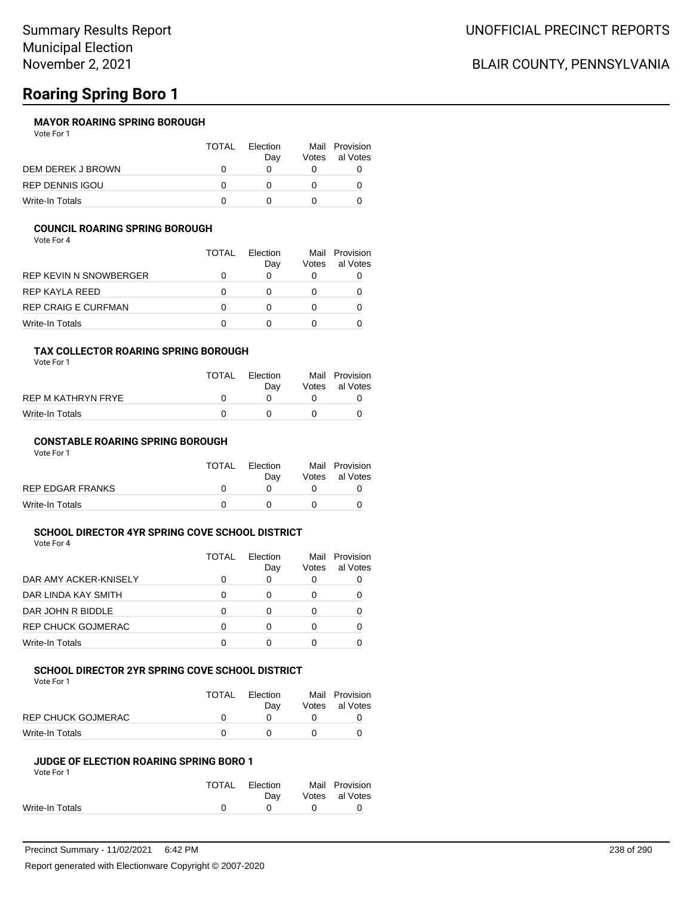# **Roaring Spring Boro 1**

## **MAYOR ROARING SPRING BOROUGH**

Vote For 1

|                        | <b>TOTAL</b> | <b>Flection</b><br>Dav | Votes | Mail Provision<br>al Votes |
|------------------------|--------------|------------------------|-------|----------------------------|
| DEM DEREK J BROWN      |              |                        |       |                            |
| <b>REP DENNIS IGOU</b> |              |                        |       |                            |
| Write-In Totals        |              |                        |       |                            |

## **COUNCIL ROARING SPRING BOROUGH**

Vote For 4

| TOTAL | Flection<br>Day | Mail<br>Votes | Provision<br>al Votes |
|-------|-----------------|---------------|-----------------------|
|       |                 |               |                       |
|       |                 |               |                       |
|       |                 |               |                       |
|       |                 |               |                       |
|       |                 |               |                       |

### **TAX COLLECTOR ROARING SPRING BOROUGH**

Vote For 1

|                    | TOTAL | Election<br>Dav | Mail Provision<br>Votes al Votes |
|--------------------|-------|-----------------|----------------------------------|
| REP M KATHRYN FRYE |       |                 |                                  |
| Write-In Totals    |       | $\mathbf{U}$    |                                  |

#### **CONSTABLE ROARING SPRING BOROUGH**

Vote For 1

|                  | TOTAL | Election<br>Dav | Mail Provision<br>Votes al Votes |
|------------------|-------|-----------------|----------------------------------|
| REP EDGAR FRANKS |       |                 |                                  |
| Write-In Totals  |       |                 |                                  |

#### **SCHOOL DIRECTOR 4YR SPRING COVE SCHOOL DISTRICT**

Vote For 4

|                           | TOTAL | Flection<br>Day | Votes        | Mail Provision<br>al Votes |
|---------------------------|-------|-----------------|--------------|----------------------------|
| DAR AMY ACKER-KNISELY     | 0     | O               | O            |                            |
| DAR LINDA KAY SMITH       | O     | O               | $\mathbf{0}$ |                            |
| DAR JOHN R BIDDLE         | O     | O               | $\left($     |                            |
| <b>REP CHUCK GOJMERAC</b> | O     | O               |              |                            |
| Write-In Totals           | O     |                 |              |                            |

## **SCHOOL DIRECTOR 2YR SPRING COVE SCHOOL DISTRICT**

Vote For 1

|                    | TOTAL | Election<br>Dav | Mail Provision<br>Votes al Votes |
|--------------------|-------|-----------------|----------------------------------|
| REP CHUCK GOJMERAC |       |                 |                                  |
| Write-In Totals    |       |                 |                                  |

### **JUDGE OF ELECTION ROARING SPRING BORO 1**

Vote For 1

|                 | TOTAL Election | Dav      | Mail Provision<br>Votes al Votes |
|-----------------|----------------|----------|----------------------------------|
| Write-In Totals |                | $\Omega$ |                                  |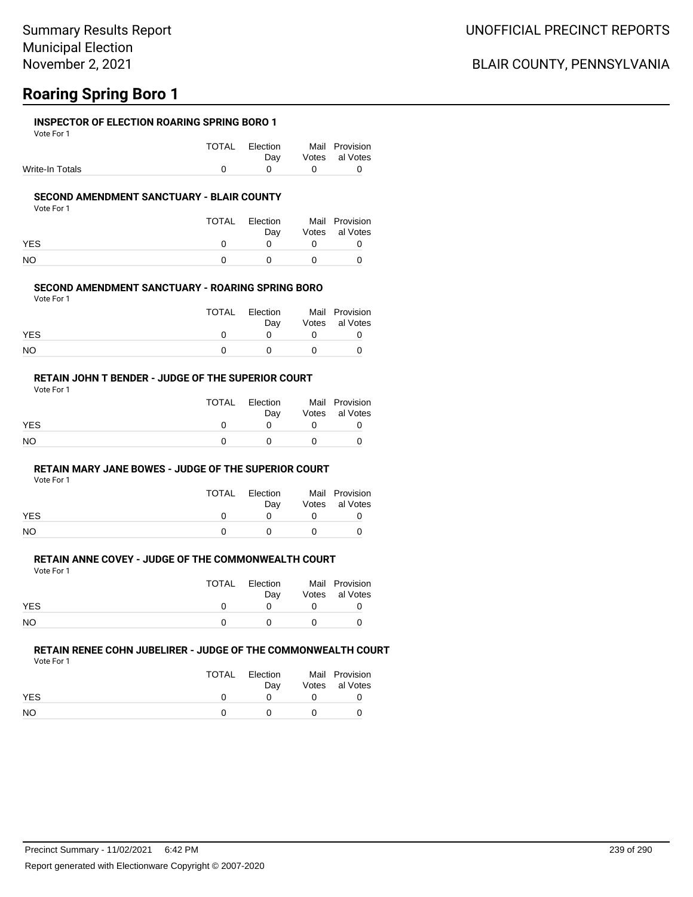## **Roaring Spring Boro 1**

### **INSPECTOR OF ELECTION ROARING SPRING BORO 1**

Vote For 1

|                 | TOTAL Election                               | Mail Provision     |
|-----------------|----------------------------------------------|--------------------|
|                 |                                              | Day Votes al Votes |
| Write-In Totals | $\begin{array}{ccc}\n0 & 0 & 0\n\end{array}$ |                    |

### **SECOND AMENDMENT SANCTUARY - BLAIR COUNTY**

Vote For 1

|            | TOTAL | Election<br>Dav | Mail Provision<br>Votes al Votes |
|------------|-------|-----------------|----------------------------------|
| <b>YES</b> |       | $^{\prime}$     |                                  |
| NO.        |       | $^{\circ}$      |                                  |

#### **SECOND AMENDMENT SANCTUARY - ROARING SPRING BORO**

Vote For 1

|            | TOTAL | Election<br>Dav | Mail Provision<br>Votes al Votes |
|------------|-------|-----------------|----------------------------------|
| <b>YES</b> |       |                 |                                  |
| <b>NO</b>  |       | $\Omega$        |                                  |

## **RETAIN JOHN T BENDER - JUDGE OF THE SUPERIOR COURT**

Vote For 1

|            | TOTAL | Election | Mail Provision |
|------------|-------|----------|----------------|
|            |       | Dav      | Votes al Votes |
| <b>YES</b> |       |          |                |
| <b>NO</b>  |       | n        |                |

### **RETAIN MARY JANE BOWES - JUDGE OF THE SUPERIOR COURT**

Vote For 1

|            | TOTAL       | Election<br>Day | Mail Provision<br>Votes al Votes |
|------------|-------------|-----------------|----------------------------------|
| <b>YES</b> | $^{\prime}$ | <sup>n</sup>    |                                  |
| NO         | $^{\prime}$ | n               |                                  |

## **RETAIN ANNE COVEY - JUDGE OF THE COMMONWEALTH COURT**

Vote For 1

|            | TOTAL | Election | Mail Provision |
|------------|-------|----------|----------------|
|            |       | Dav      | Votes al Votes |
| <b>YES</b> |       |          |                |
| NO         |       |          |                |

## **RETAIN RENEE COHN JUBELIRER - JUDGE OF THE COMMONWEALTH COURT**

Vote For 1

|            | TOTAL | Election<br>Dav | Mail Provision<br>Votes al Votes |
|------------|-------|-----------------|----------------------------------|
| <b>YES</b> |       |                 |                                  |
| NO.        |       |                 |                                  |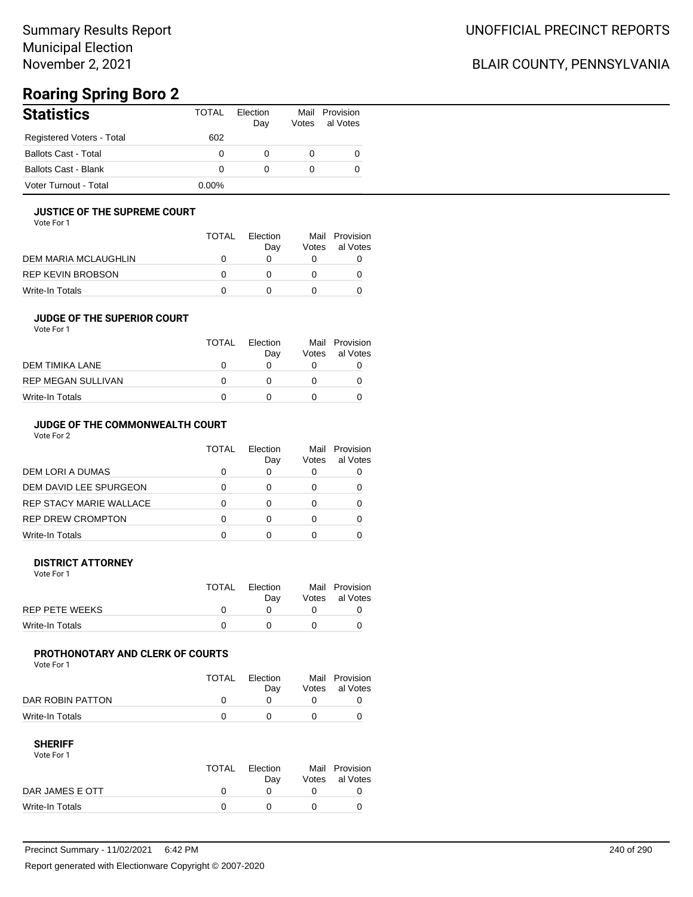## Summary Results Report Municipal Election November 2, 2021

## BLAIR COUNTY, PENNSYLVANIA

## **Roaring Spring Boro 2**

| <b>Statistics</b>           | TOTAL    | Flection<br>Day | Mail<br>Votes | Provision<br>al Votes |
|-----------------------------|----------|-----------------|---------------|-----------------------|
| Registered Voters - Total   | 602      |                 |               |                       |
| <b>Ballots Cast - Total</b> |          | O               |               |                       |
| Ballots Cast - Blank        | $\Omega$ | 0               |               |                       |
| Voter Turnout - Total       | $0.00\%$ |                 |               |                       |

## **JUSTICE OF THE SUPREME COURT**

Vote For 1

|                      | TOTAL | Election<br>Dav | Votes | Mail Provision<br>al Votes |
|----------------------|-------|-----------------|-------|----------------------------|
| DEM MARIA MCLAUGHLIN |       |                 |       |                            |
| REP KEVIN BROBSON    |       |                 |       |                            |
| Write-In Totals      |       |                 |       |                            |

## **JUDGE OF THE SUPERIOR COURT**

| Vote For 1 |  |  |
|------------|--|--|
|            |  |  |

|                           | <b>TOTAL</b> | Election<br>Day | Votes | Mail Provision<br>al Votes |
|---------------------------|--------------|-----------------|-------|----------------------------|
| DEM TIMIKA LANE           |              |                 |       |                            |
| <b>REP MEGAN SULLIVAN</b> |              |                 |       |                            |
| Write-In Totals           |              |                 |       |                            |
|                           |              |                 |       |                            |

## **JUDGE OF THE COMMONWEALTH COURT**

Vote For 2

|                                | TOTAL | Flection<br>Day | Votes | Mail Provision<br>al Votes |
|--------------------------------|-------|-----------------|-------|----------------------------|
| DEM LORI A DUMAS               |       |                 |       |                            |
| DEM DAVID LEE SPURGEON         |       |                 |       |                            |
| <b>REP STACY MARIE WALLACE</b> |       |                 |       |                            |
| <b>REP DREW CROMPTON</b>       |       |                 |       |                            |
| Write-In Totals                |       |                 |       |                            |

#### **DISTRICT ATTORNEY**

| Vote For 1      |       |                 |                                  |
|-----------------|-------|-----------------|----------------------------------|
|                 | TOTAL | Election<br>Dav | Mail Provision<br>Votes al Votes |
| REP PETE WEEKS  |       |                 |                                  |
| Write-In Totals |       |                 |                                  |

## **PROTHONOTARY AND CLERK OF COURTS**

Vote For 1

|                  | TOTAL | Election<br>Dav | Mail Provision<br>Votes al Votes |
|------------------|-------|-----------------|----------------------------------|
| DAR ROBIN PATTON |       |                 |                                  |
| Write-In Totals  |       |                 |                                  |

| Vote For 1      |              |          |                |
|-----------------|--------------|----------|----------------|
|                 | <b>TOTAL</b> | Election | Mail Provision |
|                 |              | Dav      | Votes al Votes |
| DAR JAMES E OTT |              |          |                |
| Write-In Totals |              |          |                |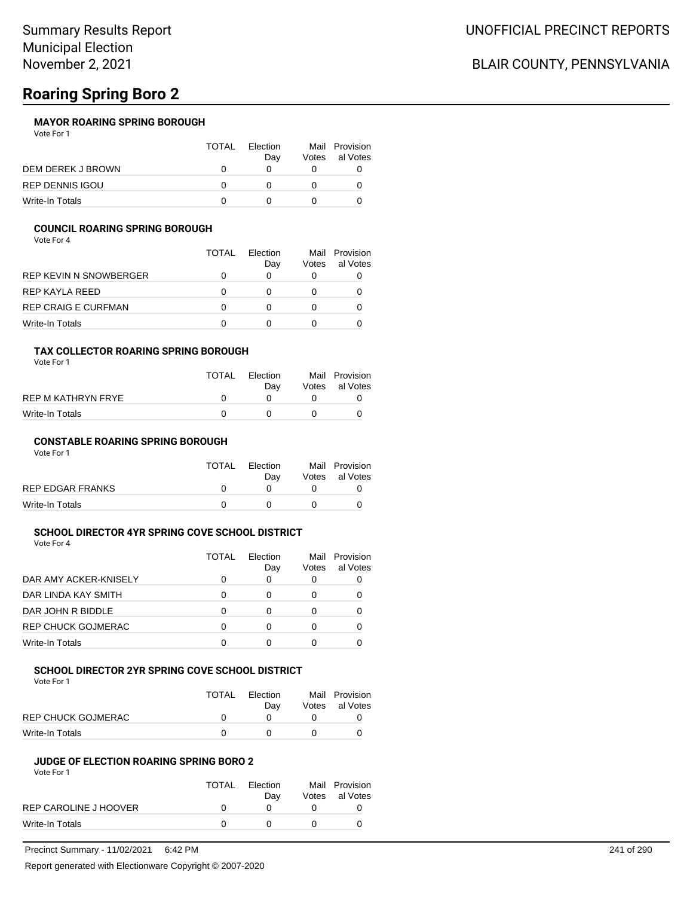# **Roaring Spring Boro 2**

## **MAYOR ROARING SPRING BOROUGH**

Vote For 1

|                        | <b>TOTAL</b> | Election<br>Dav | Votes | Mail Provision<br>al Votes |
|------------------------|--------------|-----------------|-------|----------------------------|
| DEM DEREK J BROWN      |              |                 |       |                            |
| <b>REP DENNIS IGOU</b> |              |                 |       |                            |
| Write-In Totals        |              |                 |       |                            |

## **COUNCIL ROARING SPRING BOROUGH**

Vote For 4

| TOTAL | Election<br>Day   | Mail<br>Votes | Provision<br>al Votes |
|-------|-------------------|---------------|-----------------------|
|       |                   |               |                       |
|       | $\mathbf{\Omega}$ |               |                       |
|       | 0                 |               |                       |
|       |                   |               |                       |
|       |                   |               |                       |

## **TAX COLLECTOR ROARING SPRING BOROUGH**

Vote For 1

|                    | TOTAL | Election<br>Dav | Mail Provision<br>Votes al Votes |
|--------------------|-------|-----------------|----------------------------------|
| REP M KATHRYN FRYE |       |                 |                                  |
| Write-In Totals    |       | $\mathbf{U}$    |                                  |

#### **CONSTABLE ROARING SPRING BOROUGH**

Vote For 1

|                  | <b>TOTAL</b> | Election<br>Dav | Mail Provision<br>Votes al Votes |
|------------------|--------------|-----------------|----------------------------------|
| REP EDGAR FRANKS |              |                 |                                  |
| Write-In Totals  |              |                 |                                  |

#### **SCHOOL DIRECTOR 4YR SPRING COVE SCHOOL DISTRICT**

Vote For 4

|                           | TOTAL | Flection<br>Day | Votes        | Mail Provision<br>al Votes |
|---------------------------|-------|-----------------|--------------|----------------------------|
| DAR AMY ACKER-KNISELY     | 0     | O               | O            |                            |
| DAR LINDA KAY SMITH       | O     | O               | $\mathbf{0}$ |                            |
| DAR JOHN R BIDDLE         | O     | O               | $\left($     |                            |
| <b>REP CHUCK GOJMERAC</b> | O     | O               |              |                            |
| Write-In Totals           | O     |                 |              |                            |

## **SCHOOL DIRECTOR 2YR SPRING COVE SCHOOL DISTRICT**

Vote For 1

|                    | TOTAL | Election<br>Dav | Mail Provision<br>Votes al Votes |
|--------------------|-------|-----------------|----------------------------------|
| REP CHUCK GOJMERAC |       |                 |                                  |
| Write-In Totals    |       |                 |                                  |

### **JUDGE OF ELECTION ROARING SPRING BORO 2**

Vote For 1

|                       | TOTAI       | Election<br>Dav | Mail Provision<br>Votes al Votes |
|-----------------------|-------------|-----------------|----------------------------------|
| REP CAROLINE J HOOVER | $^{\prime}$ |                 |                                  |
| Write-In Totals       |             |                 |                                  |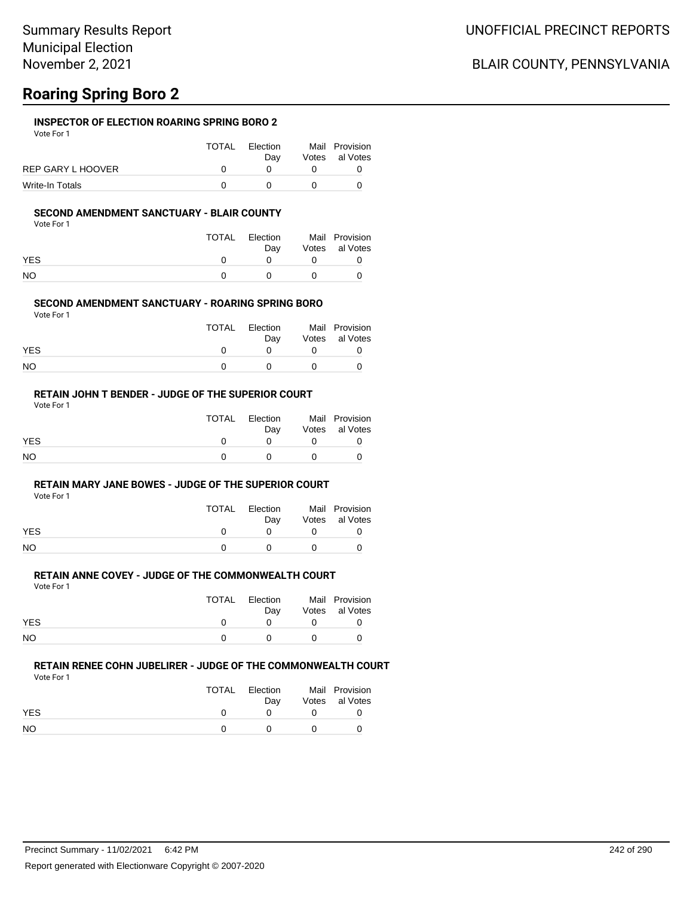## UNOFFICIAL PRECINCT REPORTS

## BLAIR COUNTY, PENNSYLVANIA

## **Roaring Spring Boro 2**

## **INSPECTOR OF ELECTION ROARING SPRING BORO 2**

Vote For 1

|                   | TOTAL | Election | Mail Provision |
|-------------------|-------|----------|----------------|
|                   |       | Dav      | Votes al Votes |
| REP GARY L HOOVER |       |          |                |
| Write-In Totals   |       |          |                |

### **SECOND AMENDMENT SANCTUARY - BLAIR COUNTY**

Vote For 1

|            | TOTAL | Election<br>Dav | Mail Provision<br>Votes al Votes |
|------------|-------|-----------------|----------------------------------|
| <b>YES</b> |       |                 |                                  |
| NΟ         |       |                 |                                  |

### **SECOND AMENDMENT SANCTUARY - ROARING SPRING BORO**

Vote For 1

|            | TOTAL | Election<br>Dav | Mail Provision<br>Votes al Votes |
|------------|-------|-----------------|----------------------------------|
| <b>YES</b> |       |                 |                                  |
| <b>NO</b>  |       |                 |                                  |

## **RETAIN JOHN T BENDER - JUDGE OF THE SUPERIOR COURT**

Vote For 1

|            | TOTAL | Election<br>Dav | Mail Provision<br>Votes al Votes |
|------------|-------|-----------------|----------------------------------|
| <b>YES</b> |       |                 |                                  |
| NO.        |       |                 |                                  |

#### **RETAIN MARY JANE BOWES - JUDGE OF THE SUPERIOR COURT**

Vote For 1

|            | <b>TOTAL</b> | Election | Mail Provision |
|------------|--------------|----------|----------------|
|            |              | Dav      | Votes al Votes |
| <b>YES</b> |              |          |                |
| NO         |              |          |                |

#### **RETAIN ANNE COVEY - JUDGE OF THE COMMONWEALTH COURT** Vote For 1

|            | TOTAL | Election<br>Dav | Mail Provision<br>Votes al Votes |
|------------|-------|-----------------|----------------------------------|
| <b>YES</b> |       |                 |                                  |
| NO         |       |                 |                                  |

#### **RETAIN RENEE COHN JUBELIRER - JUDGE OF THE COMMONWEALTH COURT** Vote For 1

|            | TOTAL | Election<br>Dav |            | Mail Provision<br>Votes al Votes |
|------------|-------|-----------------|------------|----------------------------------|
| <b>YES</b> |       |                 |            |                                  |
| <b>NO</b>  |       | $\mathbf{U}$    | $^{\circ}$ |                                  |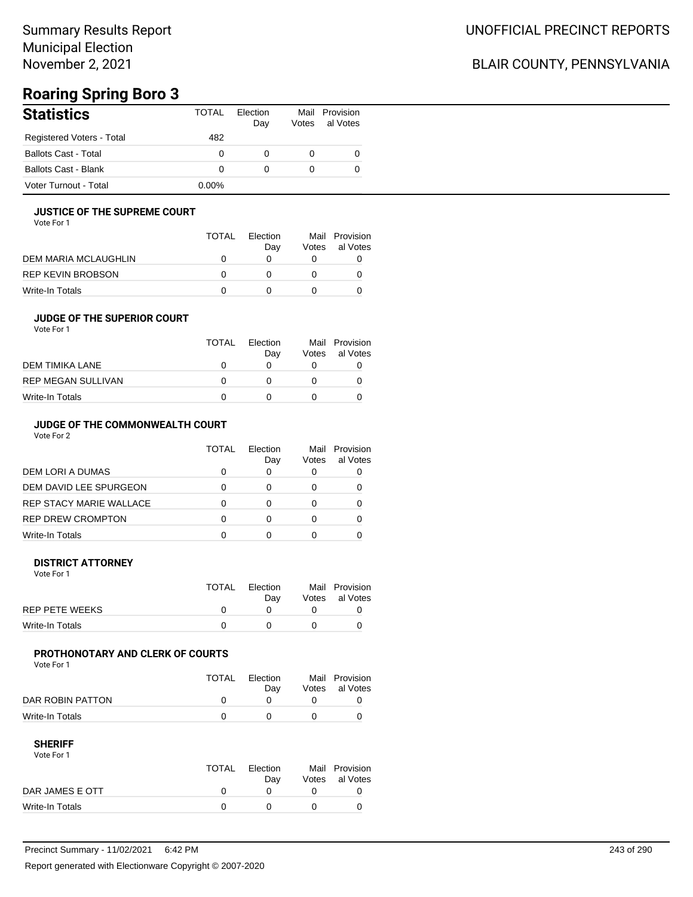## Summary Results Report Municipal Election November 2, 2021

## BLAIR COUNTY, PENNSYLVANIA

## **Roaring Spring Boro 3**

| <b>Statistics</b>           | TOTAL    | Flection<br>Day | Votes | Mail Provision<br>al Votes |
|-----------------------------|----------|-----------------|-------|----------------------------|
| Registered Voters - Total   | 482      |                 |       |                            |
| <b>Ballots Cast - Total</b> | 0        |                 |       |                            |
| <b>Ballots Cast - Blank</b> | 0        |                 |       |                            |
| Voter Turnout - Total       | $0.00\%$ |                 |       |                            |

## **JUSTICE OF THE SUPREME COURT**

Vote For 1

|                      | <b>TOTAL</b> | Election<br>Dav | Mail<br>Votes | Provision<br>al Votes |
|----------------------|--------------|-----------------|---------------|-----------------------|
| DEM MARIA MCLAUGHLIN |              |                 |               |                       |
| REP KEVIN BROBSON    |              |                 |               |                       |
| Write-In Totals      |              |                 |               |                       |

## **JUDGE OF THE SUPERIOR COURT**

| Vote For 1 |  |  |
|------------|--|--|
|            |  |  |

|                           | <b>TOTAL</b> | Election<br>Day | Votes | Mail Provision<br>al Votes |
|---------------------------|--------------|-----------------|-------|----------------------------|
| DEM TIMIKA LANE           |              |                 |       |                            |
| <b>REP MEGAN SULLIVAN</b> |              |                 |       |                            |
| Write-In Totals           |              |                 |       |                            |
|                           |              |                 |       |                            |

## **JUDGE OF THE COMMONWEALTH COURT**

Vote For 2

|                                | TOTAL | Flection<br>Day | Votes | Mail Provision<br>al Votes |
|--------------------------------|-------|-----------------|-------|----------------------------|
| DEM LORI A DUMAS               |       |                 |       |                            |
| DEM DAVID LEE SPURGEON         |       |                 |       |                            |
| <b>REP STACY MARIE WALLACE</b> |       |                 |       |                            |
| <b>REP DREW CROMPTON</b>       |       |                 |       |                            |
| Write-In Totals                |       |                 |       |                            |

#### **DISTRICT ATTORNEY**

| Vote For 1            |       |                 |                                  |
|-----------------------|-------|-----------------|----------------------------------|
|                       | TOTAL | Election<br>Dav | Mail Provision<br>Votes al Votes |
| <b>REP PETE WEEKS</b> |       |                 |                                  |
| Write-In Totals       |       |                 |                                  |

## **PROTHONOTARY AND CLERK OF COURTS**

Vote For 1

|                  | <b>TOTAL</b> | Election<br>Dav | Mail Provision<br>Votes al Votes |
|------------------|--------------|-----------------|----------------------------------|
| DAR ROBIN PATTON |              |                 |                                  |
| Write-In Totals  |              |                 |                                  |

| Vote For 1      |       |                 |                |
|-----------------|-------|-----------------|----------------|
|                 | TOTAL | <b>Flection</b> | Mail Provision |
|                 |       | Dav             | Votes al Votes |
| DAR JAMES E OTT |       |                 |                |
| Write-In Totals |       |                 |                |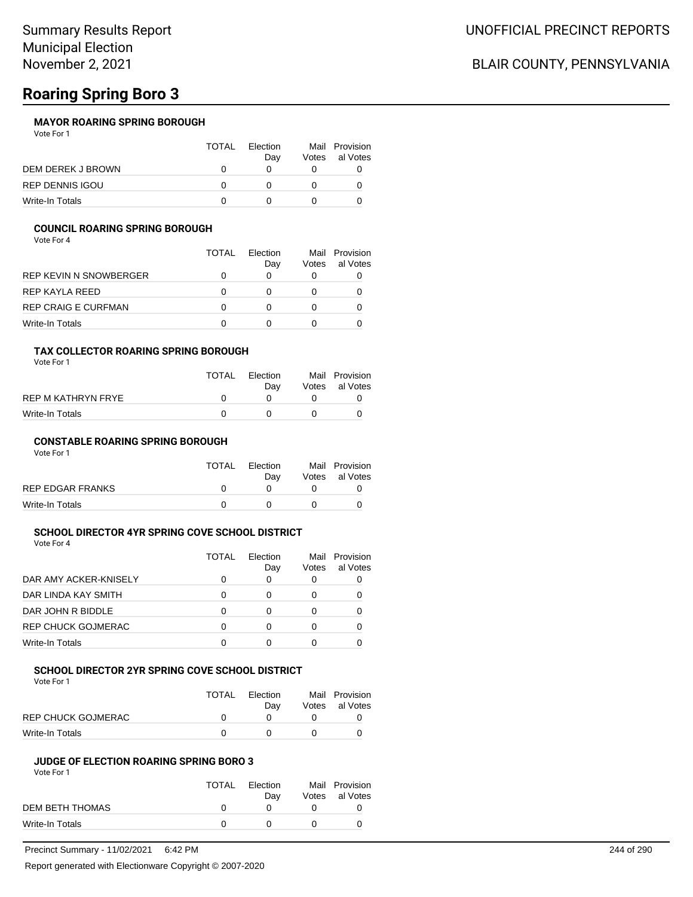# **Roaring Spring Boro 3**

## **MAYOR ROARING SPRING BOROUGH**

Vote For 1

|                        | <b>TOTAL</b> | Election<br>Dav | Votes | Mail Provision<br>al Votes |
|------------------------|--------------|-----------------|-------|----------------------------|
| DEM DEREK J BROWN      |              |                 |       |                            |
| <b>REP DENNIS IGOU</b> |              |                 |       |                            |
| Write-In Totals        |              |                 |       |                            |

## **COUNCIL ROARING SPRING BOROUGH**

Vote For 4

|                            | TOTAL | Election<br>Day | Mail<br>Votes | Provision<br>al Votes |
|----------------------------|-------|-----------------|---------------|-----------------------|
| REP KEVIN N SNOWBERGER     |       | $\mathbf{0}$    |               |                       |
| REP KAYLA REED             |       | $\mathbf{0}$    |               |                       |
| <b>REP CRAIG E CURFMAN</b> |       | 0               |               |                       |
| Write-In Totals            |       |                 |               |                       |

## **TAX COLLECTOR ROARING SPRING BOROUGH**

Vote For 1

|                    | TOTAL | Election<br>Dav | Mail Provision<br>Votes al Votes |
|--------------------|-------|-----------------|----------------------------------|
| REP M KATHRYN FRYE |       |                 |                                  |
| Write-In Totals    |       | $\mathbf{U}$    |                                  |

#### **CONSTABLE ROARING SPRING BOROUGH**

Vote For 1

|                  | <b>TOTAL</b> | Election<br>Dav | Mail Provision<br>Votes al Votes |
|------------------|--------------|-----------------|----------------------------------|
| REP EDGAR FRANKS |              |                 |                                  |
| Write-In Totals  |              |                 |                                  |

#### **SCHOOL DIRECTOR 4YR SPRING COVE SCHOOL DISTRICT**

Vote For 4

|                           | TOTAL | Flection<br>Day | Votes        | Mail Provision<br>al Votes |
|---------------------------|-------|-----------------|--------------|----------------------------|
| DAR AMY ACKER-KNISELY     | 0     | O               | O            |                            |
| DAR LINDA KAY SMITH       | O     | O               | $\mathbf{0}$ |                            |
| DAR JOHN R BIDDLE         | O     | O               | $\left($     |                            |
| <b>REP CHUCK GOJMERAC</b> | O     | O               |              |                            |
| Write-In Totals           | O     |                 |              |                            |

## **SCHOOL DIRECTOR 2YR SPRING COVE SCHOOL DISTRICT**

Vote For 1

|                    | TOTAL | Election<br>Dav | Mail Provision<br>Votes al Votes |
|--------------------|-------|-----------------|----------------------------------|
| REP CHUCK GOJMERAC |       |                 |                                  |
| Write-In Totals    |       |                 |                                  |

### **JUDGE OF ELECTION ROARING SPRING BORO 3**

Vote For 1

|                 | TOTAL        | Election<br>Dav | Mail Provision<br>Votes al Votes |
|-----------------|--------------|-----------------|----------------------------------|
| DEM BETH THOMAS | <sup>n</sup> |                 |                                  |
| Write-In Totals |              | $^{\prime}$     |                                  |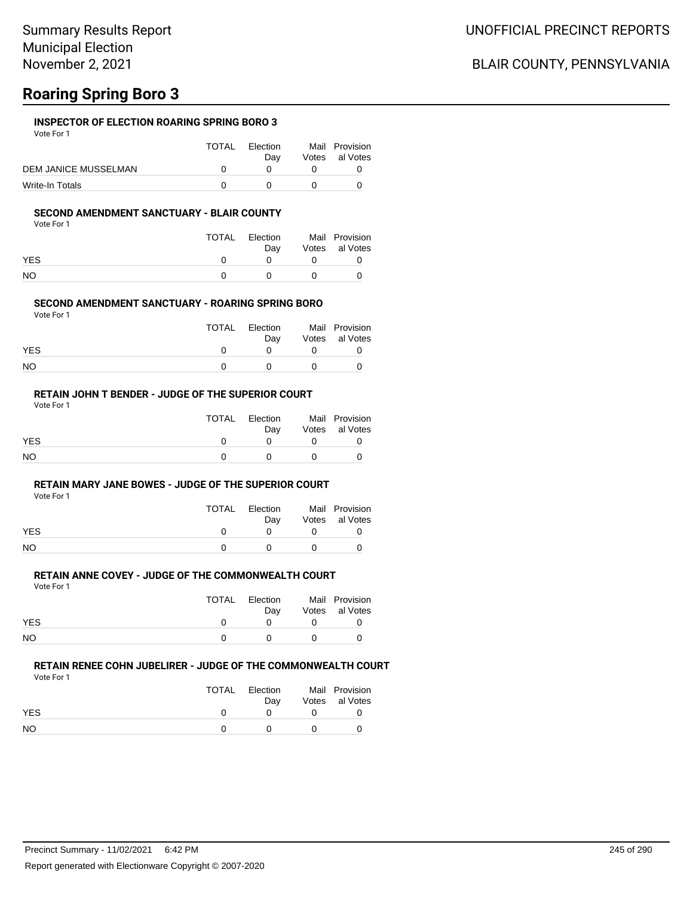# **Roaring Spring Boro 3**

### **INSPECTOR OF ELECTION ROARING SPRING BORO 3**

Vote For 1

|                      | TOTAL | Election | Mail Provision |
|----------------------|-------|----------|----------------|
|                      |       | Dav      | Votes al Votes |
| DEM JANICE MUSSELMAN |       |          |                |
| Write-In Totals      |       |          |                |

### **SECOND AMENDMENT SANCTUARY - BLAIR COUNTY**

Vote For 1

|            | TOTAL | Election<br>Dav | Mail Provision<br>Votes al Votes |
|------------|-------|-----------------|----------------------------------|
| <b>YES</b> |       |                 |                                  |
| NΟ         |       |                 |                                  |

### **SECOND AMENDMENT SANCTUARY - ROARING SPRING BORO**

Vote For 1

|            | TOTAL | Election<br>Dav |          | Mail Provision<br>Votes al Votes |
|------------|-------|-----------------|----------|----------------------------------|
| <b>YES</b> |       |                 |          |                                  |
| <b>NO</b>  |       |                 | $\theta$ |                                  |

## **RETAIN JOHN T BENDER - JUDGE OF THE SUPERIOR COURT**

Vote For 1

|            | <b>TOTAL</b> | Election<br>Dav | Mail Provision<br>Votes al Votes |
|------------|--------------|-----------------|----------------------------------|
| <b>YES</b> |              |                 |                                  |
| <b>NO</b>  |              |                 |                                  |

#### **RETAIN MARY JANE BOWES - JUDGE OF THE SUPERIOR COURT**

Vote For 1

|            | TOTAL | Election | Mail Provision |
|------------|-------|----------|----------------|
|            |       | Dav      | Votes al Votes |
| <b>YES</b> |       |          |                |
| <b>NO</b>  |       |          |                |

#### **RETAIN ANNE COVEY - JUDGE OF THE COMMONWEALTH COURT** Vote For 1

|            | TOTAL | Election<br>Dav | Mail Provision<br>Votes al Votes |
|------------|-------|-----------------|----------------------------------|
| <b>YES</b> |       |                 |                                  |
| NO.        |       |                 |                                  |

#### **RETAIN RENEE COHN JUBELIRER - JUDGE OF THE COMMONWEALTH COURT** Vote For 1

|            | TOTAL | Election<br>Dav | Mail Provision<br>Votes al Votes |
|------------|-------|-----------------|----------------------------------|
| <b>YES</b> |       |                 |                                  |
| <b>NO</b>  |       |                 |                                  |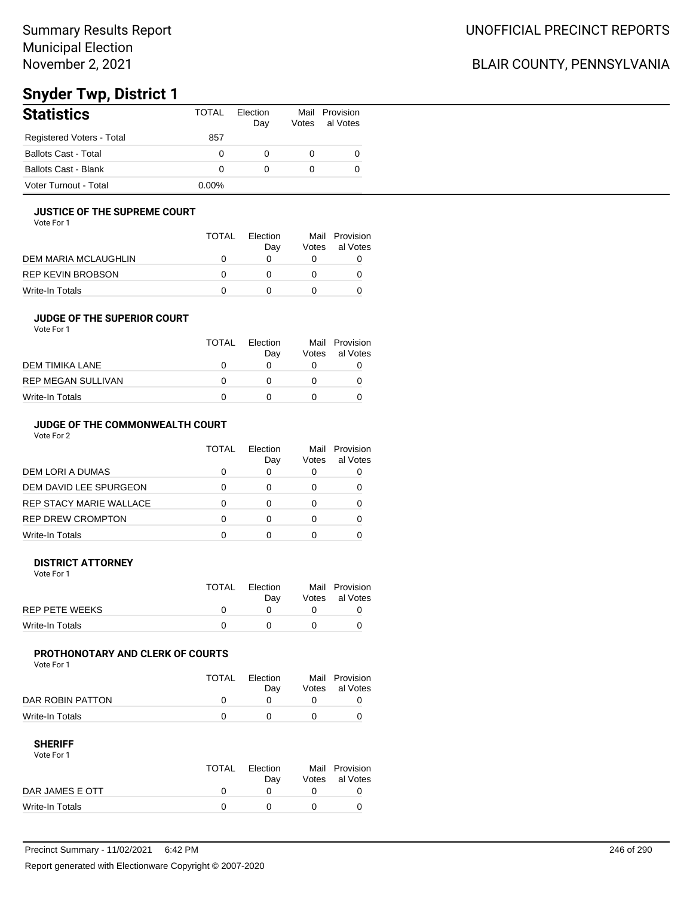# **Snyder Twp, District 1**

| <b>Statistics</b>           | TOTAL    | Flection<br>Day | Mail Provision<br>Votes al Votes |
|-----------------------------|----------|-----------------|----------------------------------|
| Registered Voters - Total   | 857      |                 |                                  |
| <b>Ballots Cast - Total</b> | 0        | O               |                                  |
| <b>Ballots Cast - Blank</b> | 0        | 0               |                                  |
| Voter Turnout - Total       | $0.00\%$ |                 |                                  |

## **JUSTICE OF THE SUPREME COURT**

Vote For 1

|                      | <b>TOTAL</b> | Election<br>Dav | Mail<br>Votes | Provision<br>al Votes |
|----------------------|--------------|-----------------|---------------|-----------------------|
| DEM MARIA MCLAUGHLIN |              |                 |               |                       |
| REP KEVIN BROBSON    |              |                 |               |                       |
| Write-In Totals      |              |                 |               |                       |

### **JUDGE OF THE SUPERIOR COURT**

| Vote For 1 |  |  |
|------------|--|--|
|            |  |  |

|                    | <b>TOTAL</b> | Election<br>Day | Votes | Mail Provision<br>al Votes |
|--------------------|--------------|-----------------|-------|----------------------------|
| DEM TIMIKA LANE    | $\mathbf{I}$ |                 |       |                            |
| REP MEGAN SULLIVAN | $\mathbf{U}$ |                 |       |                            |
| Write-In Totals    |              |                 |       |                            |
|                    |              |                 |       |                            |

## **JUDGE OF THE COMMONWEALTH COURT**

Vote For 2

|                                | TOTAL | Flection<br>Day | Votes | Mail Provision<br>al Votes |
|--------------------------------|-------|-----------------|-------|----------------------------|
| DEM LORI A DUMAS               |       |                 |       |                            |
| DEM DAVID LEE SPURGEON         |       |                 |       |                            |
| <b>REP STACY MARIE WALLACE</b> |       |                 |       |                            |
| <b>REP DREW CROMPTON</b>       |       |                 |       |                            |
| Write-In Totals                |       |                 |       |                            |

#### **DISTRICT ATTORNEY**

| Vote For 1            |              |                 |                                  |
|-----------------------|--------------|-----------------|----------------------------------|
|                       | <b>TOTAL</b> | Election<br>Dav | Mail Provision<br>Votes al Votes |
| <b>REP PETE WEEKS</b> |              |                 |                                  |
| Write-In Totals       |              |                 |                                  |

## **PROTHONOTARY AND CLERK OF COURTS**

Vote For 1

|                  | <b>TOTAL</b> | Election<br>Dav | Mail Provision<br>Votes al Votes |
|------------------|--------------|-----------------|----------------------------------|
| DAR ROBIN PATTON |              |                 |                                  |
| Write-In Totals  |              |                 |                                  |

| Vote For 1      |       |          |                |
|-----------------|-------|----------|----------------|
|                 | TOTAL | Election | Mail Provision |
|                 |       | Dav      | Votes al Votes |
| DAR JAMES E OTT |       |          |                |
| Write-In Totals |       |          |                |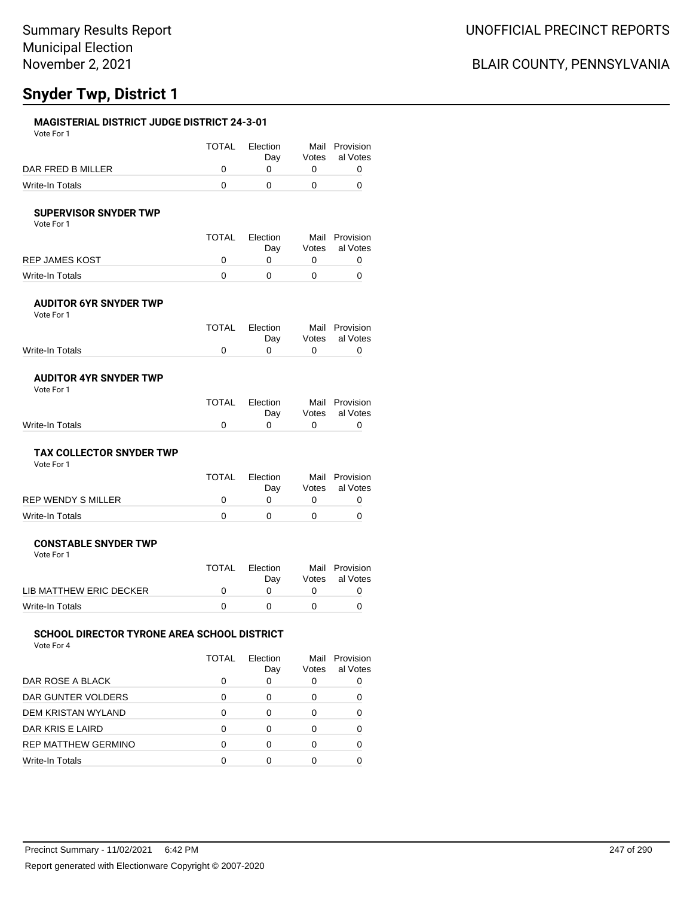# **Snyder Twp, District 1**

## **MAGISTERIAL DISTRICT JUDGE DISTRICT 24-3-01**

Vote For 1

|                   | <b>TOTAL</b> | Election<br>Dav | Mail Provision<br>Votes al Votes |
|-------------------|--------------|-----------------|----------------------------------|
| DAR FRED B MILLER |              |                 |                                  |
| Write-In Totals   |              |                 |                                  |

### **SUPERVISOR SNYDER TWP**

Vote For 1

|                 | TOTAL | Election<br>Dav | Mail Provision<br>Votes al Votes |
|-----------------|-------|-----------------|----------------------------------|
| REP JAMES KOST  |       |                 |                                  |
| Write-In Totals |       |                 |                                  |

#### **AUDITOR 6YR SNYDER TWP** Vote For 1

|                 | TOTAL Election<br>Dav | Mail Provision<br>Votes al Votes |
|-----------------|-----------------------|----------------------------------|
| Write-In Totals |                       |                                  |
|                 |                       |                                  |

#### **AUDITOR 4YR SNYDER TWP** Vote For 1

|                 | TOTAL Election<br>Dav | Mail Provision<br>Votes al Votes |
|-----------------|-----------------------|----------------------------------|
| Write-In Totals |                       |                                  |

#### **TAX COLLECTOR SNYDER TWP** Vote For 1

|                    | TOTAL | Election<br>Dav | Mail Provision<br>Votes al Votes |
|--------------------|-------|-----------------|----------------------------------|
|                    |       |                 |                                  |
| REP WENDY S MILLER |       |                 |                                  |
| Write-In Totals    |       |                 |                                  |

### **CONSTABLE SNYDER TWP**

|                         | TOTAI | Election<br>Dav | Mail Provision<br>Votes al Votes |
|-------------------------|-------|-----------------|----------------------------------|
| LIB MATTHEW ERIC DECKER |       |                 |                                  |
| Write-In Totals         |       |                 |                                  |

### **SCHOOL DIRECTOR TYRONE AREA SCHOOL DISTRICT**

Vote For 4

Vote For 1

|                            | TOTAL | Flection<br>Day | Mail<br>Votes | Provision<br>al Votes |
|----------------------------|-------|-----------------|---------------|-----------------------|
| DAR ROSE A BLACK           | 0     |                 |               |                       |
| DAR GUNTER VOLDERS         | 0     |                 |               |                       |
| DEM KRISTAN WYLAND         | ∩     |                 |               |                       |
| DAR KRIS E LAIRD           | O     | ∩               |               |                       |
| <b>REP MATTHEW GERMINO</b> | O     | O               |               |                       |
| Write-In Totals            | ∩     |                 |               |                       |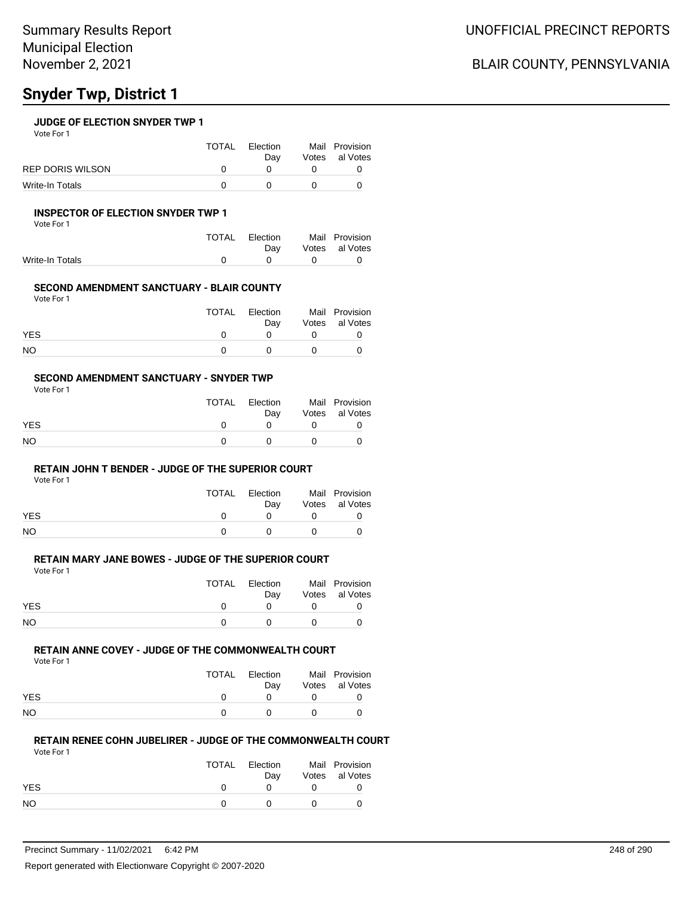# **Snyder Twp, District 1**

## **JUDGE OF ELECTION SNYDER TWP 1**

Vote For 1

|                         | TOTAL | Election | Mail Provision |
|-------------------------|-------|----------|----------------|
|                         |       | Dav      | Votes al Votes |
| <b>REP DORIS WILSON</b> |       |          |                |
| Write-In Totals         |       |          |                |

#### **INSPECTOR OF ELECTION SNYDER TWP 1**

Vote For 1

|                 | <b>TOTAL</b> | Election       |                | Mail Provision |
|-----------------|--------------|----------------|----------------|----------------|
|                 |              | Dav            |                | Votes al Votes |
| Write-In Totals |              | $\overline{0}$ | $\overline{a}$ |                |
|                 |              |                |                |                |

## **SECOND AMENDMENT SANCTUARY - BLAIR COUNTY**

Vote For 1

|            | TOTAL | Election<br>Dav | Mail Provision<br>Votes al Votes |
|------------|-------|-----------------|----------------------------------|
| <b>YES</b> |       |                 |                                  |
| NO         |       |                 |                                  |

### **SECOND AMENDMENT SANCTUARY - SNYDER TWP**

Vote For 1

|            | TOTAL | Election<br>Dav | Mail Provision<br>Votes al Votes |
|------------|-------|-----------------|----------------------------------|
| <b>YES</b> |       |                 |                                  |
| NO         |       |                 |                                  |

## **RETAIN JOHN T BENDER - JUDGE OF THE SUPERIOR COURT**

Vote For 1

|            | <b>TOTAL</b> | Election<br>Dav | Mail Provision<br>Votes al Votes |
|------------|--------------|-----------------|----------------------------------|
| <b>YES</b> | n            | <sup>n</sup>    |                                  |
| NO         | $\mathbf{U}$ | <sup>o</sup>    |                                  |

## **RETAIN MARY JANE BOWES - JUDGE OF THE SUPERIOR COURT**

Vote For 1

|            | TOTAL | Election<br>Dav | Mail Provision<br>Votes al Votes |
|------------|-------|-----------------|----------------------------------|
| <b>YES</b> |       |                 |                                  |
| <b>NO</b>  |       |                 |                                  |

## **RETAIN ANNE COVEY - JUDGE OF THE COMMONWEALTH COURT**

Vote For 1

|            | TOTAL | Election<br>Dav | Mail Provision<br>Votes al Votes |
|------------|-------|-----------------|----------------------------------|
| <b>YES</b> | O     |                 |                                  |
| NO         | n     | <sup>n</sup>    |                                  |

#### **RETAIN RENEE COHN JUBELIRER - JUDGE OF THE COMMONWEALTH COURT** Vote For 1

|            | TOTAL Election<br>Dav | Mail Provision<br>Votes al Votes |
|------------|-----------------------|----------------------------------|
| <b>YES</b> |                       |                                  |
| NO.        |                       |                                  |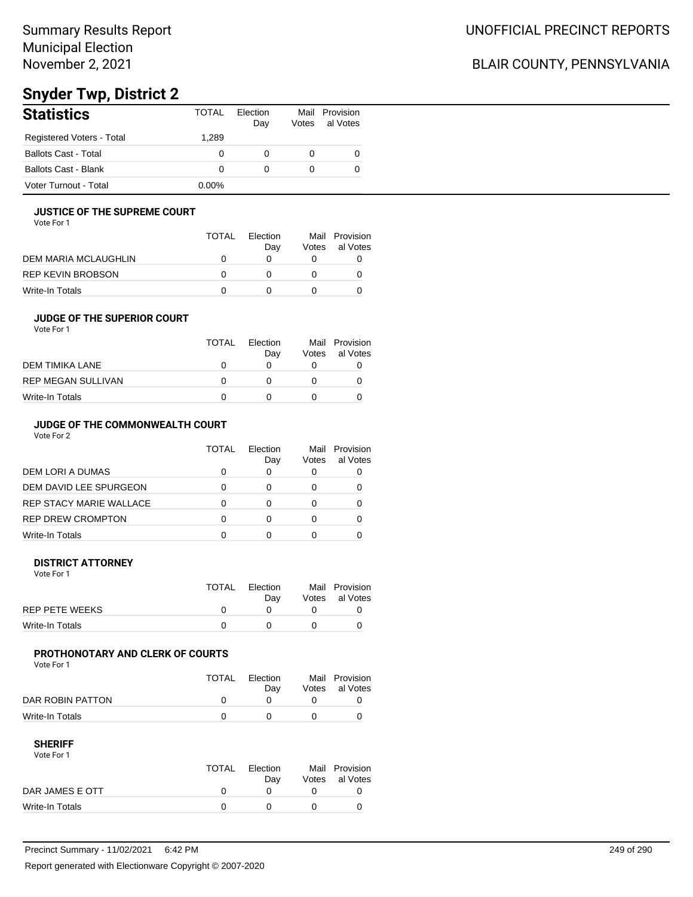## Summary Results Report Municipal Election November 2, 2021

## BLAIR COUNTY, PENNSYLVANIA

## **Snyder Twp, District 2**

| <b>Statistics</b>           | TOTAL    | <b>Flection</b><br>Day | Votes | Mail Provision<br>al Votes |
|-----------------------------|----------|------------------------|-------|----------------------------|
| Registered Voters - Total   | 1.289    |                        |       |                            |
| Ballots Cast - Total        | 0        |                        |       | O                          |
| <b>Ballots Cast - Blank</b> | 0        | 0                      |       | O                          |
| Voter Turnout - Total       | $0.00\%$ |                        |       |                            |

## **JUSTICE OF THE SUPREME COURT**

Vote For 1

|                      | <b>TOTAL</b> | Election<br>Dav | Votes | Mail Provision<br>al Votes |
|----------------------|--------------|-----------------|-------|----------------------------|
| DEM MARIA MCLAUGHLIN |              |                 |       |                            |
| REP KEVIN BROBSON    |              |                 |       |                            |
| Write-In Totals      |              |                 |       |                            |

### **JUDGE OF THE SUPERIOR COURT**

| Vote For 1 |  |  |
|------------|--|--|
|            |  |  |

|                    | <b>TOTAL</b> | Election<br>Day | Votes | Mail Provision<br>al Votes |
|--------------------|--------------|-----------------|-------|----------------------------|
| DEM TIMIKA LANE    | $\mathbf{I}$ |                 |       |                            |
| REP MEGAN SULLIVAN | $\mathbf{U}$ |                 |       |                            |
| Write-In Totals    |              |                 |       |                            |
|                    |              |                 |       |                            |

## **JUDGE OF THE COMMONWEALTH COURT**

Vote For 2

|                                | TOTAL | Flection<br>Day | Votes | Mail Provision<br>al Votes |
|--------------------------------|-------|-----------------|-------|----------------------------|
| DEM LORI A DUMAS               |       |                 |       |                            |
| DEM DAVID LEE SPURGEON         |       |                 |       |                            |
| <b>REP STACY MARIE WALLACE</b> |       |                 |       |                            |
| <b>REP DREW CROMPTON</b>       |       |                 |       |                            |
| Write-In Totals                |       |                 |       |                            |

#### **DISTRICT ATTORNEY**

| Vote For 1      |       |                 |                                  |
|-----------------|-------|-----------------|----------------------------------|
|                 | TOTAL | Election<br>Dav | Mail Provision<br>Votes al Votes |
| REP PETE WEEKS  |       |                 |                                  |
| Write-In Totals |       |                 |                                  |

## **PROTHONOTARY AND CLERK OF COURTS**

Vote For 1

|                  | <b>TOTAL</b> | Election<br>Dav | Mail Provision<br>Votes al Votes |
|------------------|--------------|-----------------|----------------------------------|
| DAR ROBIN PATTON |              |                 |                                  |
| Write-In Totals  |              |                 |                                  |

#### **SHERIFF**

Vote For 1

|                 | TOTAL | Election | Mail Provision |
|-----------------|-------|----------|----------------|
|                 |       | Dav      | Votes al Votes |
| DAR JAMES E OTT |       |          |                |
| Write-In Totals |       |          |                |
|                 |       |          |                |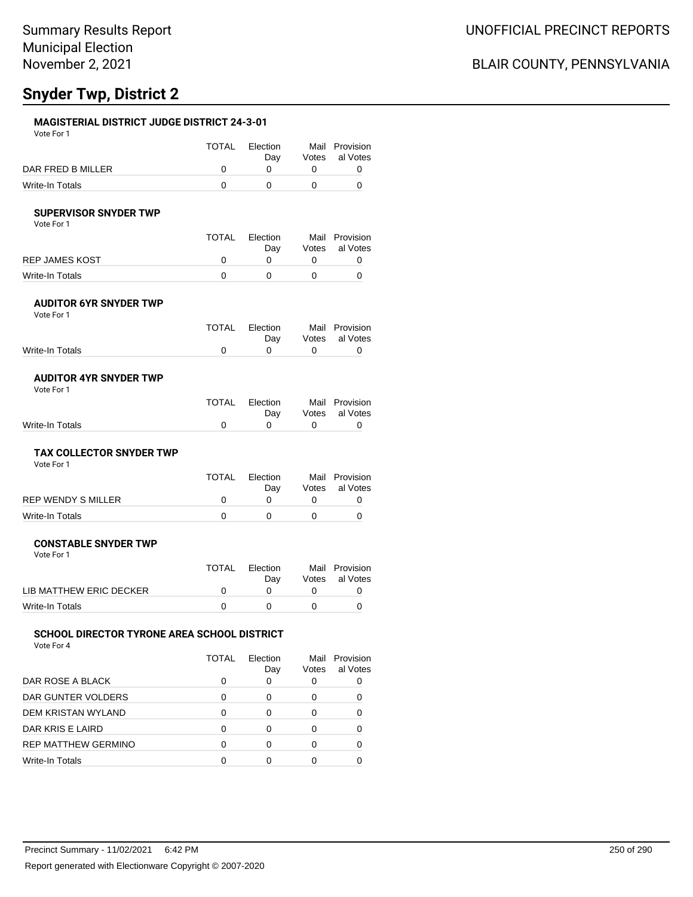# **Snyder Twp, District 2**

## **MAGISTERIAL DISTRICT JUDGE DISTRICT 24-3-01**

Vote For 1

|                   | TOTAL | Election<br>Dav | Mail Provision<br>Votes al Votes |
|-------------------|-------|-----------------|----------------------------------|
| DAR FRED B MILLER |       |                 |                                  |
| Write-In Totals   |       |                 |                                  |

## **SUPERVISOR SNYDER TWP**

Vote For 1

|                 | <b>TOTAL</b> | Election<br>Dav | Mail Provision<br>Votes al Votes |
|-----------------|--------------|-----------------|----------------------------------|
| REP JAMES KOST  |              |                 |                                  |
| Write-In Totals |              |                 |                                  |

#### **AUDITOR 6YR SNYDER TWP** Vote For 1

|                 | TOTAL Election | Mail Provision |
|-----------------|----------------|----------------|
|                 | Dav            | Votes al Votes |
| Write-In Totals |                |                |
|                 |                |                |

#### **AUDITOR 4YR SNYDER TWP** Vote For 1

|                 | TOTAL Election<br>Dav | Mail Provision<br>Votes al Votes |
|-----------------|-----------------------|----------------------------------|
| Write-In Totals |                       |                                  |

#### **TAX COLLECTOR SNYDER TWP** Vote For 1

| 1 J J J J J J      |       |          |                |
|--------------------|-------|----------|----------------|
|                    | TOTAL | Election | Mail Provision |
|                    |       | Dav      | Votes al Votes |
| REP WENDY S MILLER |       |          |                |
| Write-In Totals    |       |          |                |
|                    |       |          |                |

#### **CONSTABLE SNYDER TWP** Vote For 1

|                         | TOTAI | Election<br>Dav | Mail Provision<br>Votes al Votes |
|-------------------------|-------|-----------------|----------------------------------|
| LIB MATTHEW ERIC DECKER |       |                 |                                  |
| Write-In Totals         |       |                 |                                  |

## **SCHOOL DIRECTOR TYRONE AREA SCHOOL DISTRICT**

Vote For 4

|                     | TOTAL | Election<br>Day | Mail<br>Votes | Provision<br>al Votes |
|---------------------|-------|-----------------|---------------|-----------------------|
| DAR ROSE A BLACK    | 0     | O               |               |                       |
| DAR GUNTER VOLDERS  | 0     | 0               |               |                       |
| DEM KRISTAN WYLAND  | 0     | 0               |               |                       |
| DAR KRIS E LAIRD    | ∩     | 0               |               |                       |
| REP MATTHEW GERMINO | 0     | 0               |               |                       |
| Write-In Totals     | ŋ     |                 |               |                       |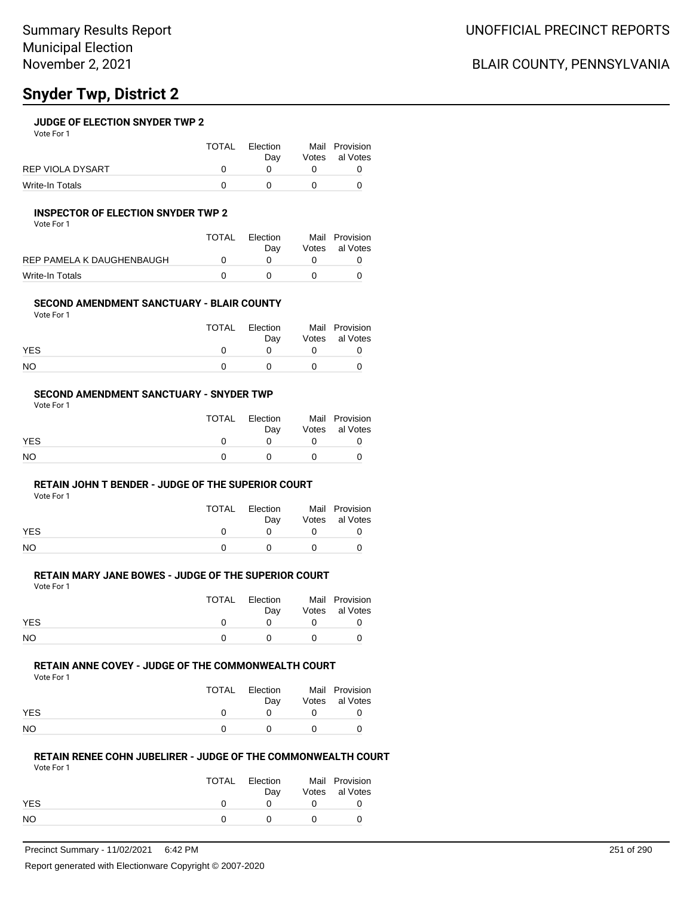# **Snyder Twp, District 2**

## **JUDGE OF ELECTION SNYDER TWP 2**

Vote For 1

|                  | TOTAL | Election | Mail Provision |
|------------------|-------|----------|----------------|
|                  |       | Dav      | Votes al Votes |
| REP VIOLA DYSART |       |          |                |
| Write-In Totals  |       |          |                |

#### **INSPECTOR OF ELECTION SNYDER TWP 2**

Vote For 1

|                           | TOTAI | Flection<br>Dav | Mail Provision<br>Votes al Votes |
|---------------------------|-------|-----------------|----------------------------------|
| REP PAMELA K DAUGHENBAUGH | n     |                 |                                  |
| Write-In Totals           |       |                 |                                  |

### **SECOND AMENDMENT SANCTUARY - BLAIR COUNTY**

Vote For 1

|            | TOTAL | Election | Mail Provision |
|------------|-------|----------|----------------|
|            |       | Dav      | Votes al Votes |
| <b>YES</b> |       |          |                |
| <b>NO</b>  |       |          |                |

### **SECOND AMENDMENT SANCTUARY - SNYDER TWP**

Vote For 1

|            | TOTAL | Election<br>Dav | Mail Provision<br>Votes al Votes |
|------------|-------|-----------------|----------------------------------|
| <b>YES</b> |       |                 |                                  |
| <b>NO</b>  |       |                 |                                  |

#### **RETAIN JOHN T BENDER - JUDGE OF THE SUPERIOR COURT**

Vote For 1

|            | TOTAL | Election | Mail Provision |
|------------|-------|----------|----------------|
|            |       | Dav      | Votes al Votes |
| <b>YES</b> |       |          |                |
| <b>NO</b>  |       |          |                |

## **RETAIN MARY JANE BOWES - JUDGE OF THE SUPERIOR COURT**

Vote For 1

|            | TOTAL | Election | Mail Provision |
|------------|-------|----------|----------------|
|            |       | Dav      | Votes al Votes |
| <b>YES</b> |       |          |                |
| NO         |       |          |                |

## **RETAIN ANNE COVEY - JUDGE OF THE COMMONWEALTH COURT**

Vote For 1

|            | TOTAL | Election<br>Dav | Mail Provision<br>Votes al Votes |
|------------|-------|-----------------|----------------------------------|
| <b>YES</b> |       |                 |                                  |
| <b>NO</b>  |       |                 |                                  |

## **RETAIN RENEE COHN JUBELIRER - JUDGE OF THE COMMONWEALTH COURT**

Vote For 1

|            | <b>TOTAL</b> | Election<br>Dav | Mail Provision<br>Votes al Votes |
|------------|--------------|-----------------|----------------------------------|
| <b>YES</b> |              |                 |                                  |
| <b>NO</b>  |              | n               |                                  |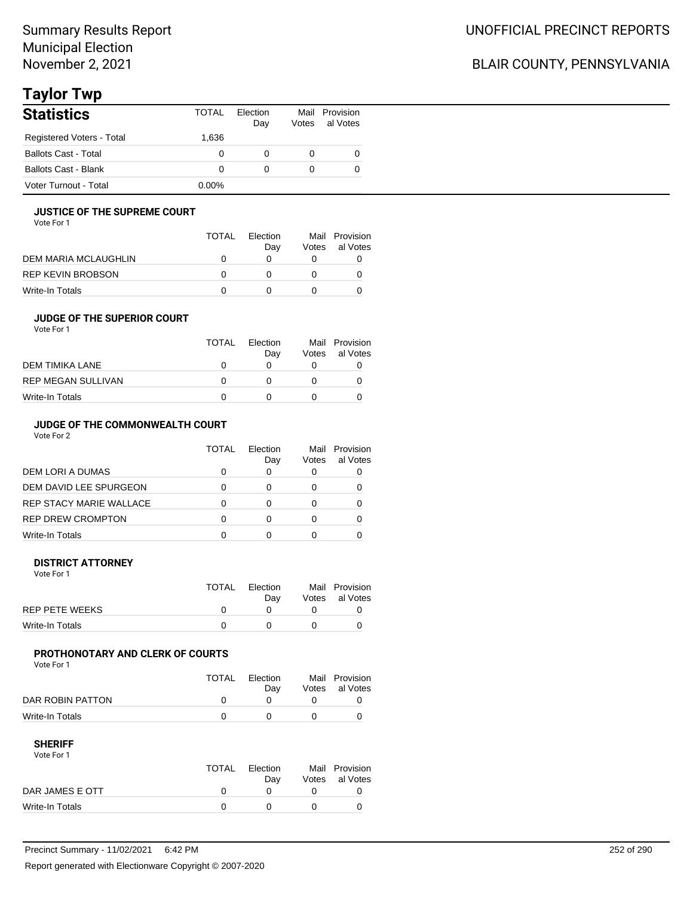# **Taylor Twp**

| <b>Statistics</b>           | TOTAI    | Flection<br>Day | Mail Provision<br>Votes al Votes |
|-----------------------------|----------|-----------------|----------------------------------|
| Registered Voters - Total   | 1.636    |                 |                                  |
| <b>Ballots Cast - Total</b> | 0        |                 |                                  |
| <b>Ballots Cast - Blank</b> | 0        |                 |                                  |
| Voter Turnout - Total       | $0.00\%$ |                 |                                  |

## **JUSTICE OF THE SUPREME COURT**

Vote For 1

|                      | <b>TOTAL</b> | Election<br>Dav | Mail<br>Votes | Provision<br>al Votes |
|----------------------|--------------|-----------------|---------------|-----------------------|
| DEM MARIA MCLAUGHLIN |              |                 |               |                       |
| REP KEVIN BROBSON    |              |                 |               |                       |
| Write-In Totals      |              |                 |               |                       |

### **JUDGE OF THE SUPERIOR COURT**

| Vote For 1 |  |  |
|------------|--|--|
|            |  |  |

|                    | <b>TOTAL</b> | Election<br>Day | Votes | Mail Provision<br>al Votes |
|--------------------|--------------|-----------------|-------|----------------------------|
| DEM TIMIKA LANE    | $\mathbf{I}$ |                 |       |                            |
| REP MEGAN SULLIVAN | $\mathbf{U}$ |                 |       |                            |
| Write-In Totals    |              |                 |       |                            |
|                    |              |                 |       |                            |

## **JUDGE OF THE COMMONWEALTH COURT**

Vote For 2

|                                | TOTAL | Flection<br>Day | Votes | Mail Provision<br>al Votes |
|--------------------------------|-------|-----------------|-------|----------------------------|
| DEM LORI A DUMAS               |       |                 |       |                            |
| DEM DAVID LEE SPURGEON         |       |                 |       |                            |
| <b>REP STACY MARIE WALLACE</b> |       |                 |       |                            |
| <b>REP DREW CROMPTON</b>       |       |                 |       |                            |
| Write-In Totals                |       |                 |       |                            |

#### **DISTRICT ATTORNEY**

| Vote For 1            |             |                 |                                  |
|-----------------------|-------------|-----------------|----------------------------------|
|                       | TOTAL       | Election<br>Dav | Mail Provision<br>Votes al Votes |
| <b>REP PETE WEEKS</b> | $^{\prime}$ |                 |                                  |
| Write-In Totals       |             |                 |                                  |

## **PROTHONOTARY AND CLERK OF COURTS**

Vote For 1

|                  | <b>TOTAL</b> | Election<br>Dav | Mail Provision<br>Votes al Votes |
|------------------|--------------|-----------------|----------------------------------|
| DAR ROBIN PATTON |              |                 |                                  |
| Write-In Totals  |              |                 |                                  |

| Vote For 1      |       |          |                |
|-----------------|-------|----------|----------------|
|                 | TOTAL | Election | Mail Provision |
|                 |       | Dav      | Votes al Votes |
| DAR JAMES E OTT |       |          |                |
| Write-In Totals |       |          |                |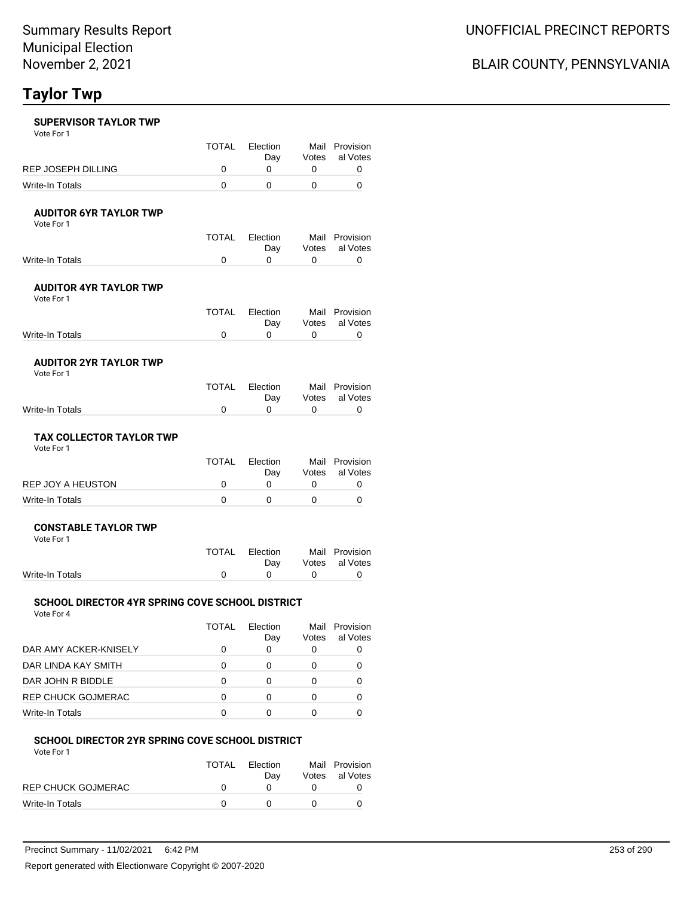## **Taylor Twp**

### **SUPERVISOR TAYLOR TWP**

Vote For 1

|                    | TOTAI | <b>Flection</b> | Mail Provision |
|--------------------|-------|-----------------|----------------|
|                    |       | Dav             | Votes al Votes |
| REP JOSEPH DILLING |       |                 |                |
| Write-In Totals    |       |                 |                |

#### **AUDITOR 6YR TAYLOR TWP**

Vote For 1

|                 | TOTAL Election |           | Mail Provision |
|-----------------|----------------|-----------|----------------|
|                 | Dav            |           | Votes al Votes |
| Write-In Totals |                | $\bigcap$ |                |

#### **AUDITOR 4YR TAYLOR TWP** Vote For 1

|                 | TOTAL Election                               | Mail Provision<br>Day Votes al Votes |
|-----------------|----------------------------------------------|--------------------------------------|
| Write-In Totals | $\begin{array}{ccc}\n0 & 0 & 0\n\end{array}$ |                                      |

#### **AUDITOR 2YR TAYLOR TWP**

|                 | TOTAL Election | Mail Provision |
|-----------------|----------------|----------------|
|                 | Dav            | Votes al Votes |
| Write-In Totals |                |                |

### **TAX COLLECTOR TAYLOR TWP**

Vote For 1

|                   | TOTAL | Election<br>Dav | Mail Provision<br>Votes al Votes |
|-------------------|-------|-----------------|----------------------------------|
| REP JOY A HEUSTON |       |                 |                                  |
| Write-In Totals   |       |                 |                                  |

#### **CONSTABLE TAYLOR TWP** Vote For 1

|                 | TOTAL Election<br>Dav |                 | Mail Provision<br>Votes al Votes |
|-----------------|-----------------------|-----------------|----------------------------------|
| Write-In Totals | $^{\circ}$            | $\sim$ 0 $\sim$ |                                  |

#### **SCHOOL DIRECTOR 4YR SPRING COVE SCHOOL DISTRICT** Vote For 4

|                           | TOTAL | <b>Flection</b><br>Day | Votes | Mail Provision<br>al Votes |
|---------------------------|-------|------------------------|-------|----------------------------|
| DAR AMY ACKER-KNISELY     |       | 0                      | O     |                            |
| DAR LINDA KAY SMITH       |       |                        | 0     |                            |
| DAR JOHN R BIDDLE         |       | 0                      |       |                            |
| <b>REP CHUCK GOJMERAC</b> | O     | 0                      | 0     |                            |
| <b>Write-In Totals</b>    | O     | ∩                      |       |                            |

#### **SCHOOL DIRECTOR 2YR SPRING COVE SCHOOL DISTRICT**

Vote For 1

|                    | <b>TOTAL</b> | Election<br>Dav | Mail Provision<br>Votes al Votes |
|--------------------|--------------|-----------------|----------------------------------|
| REP CHUCK GOJMERAC |              |                 |                                  |
| Write-In Totals    |              |                 |                                  |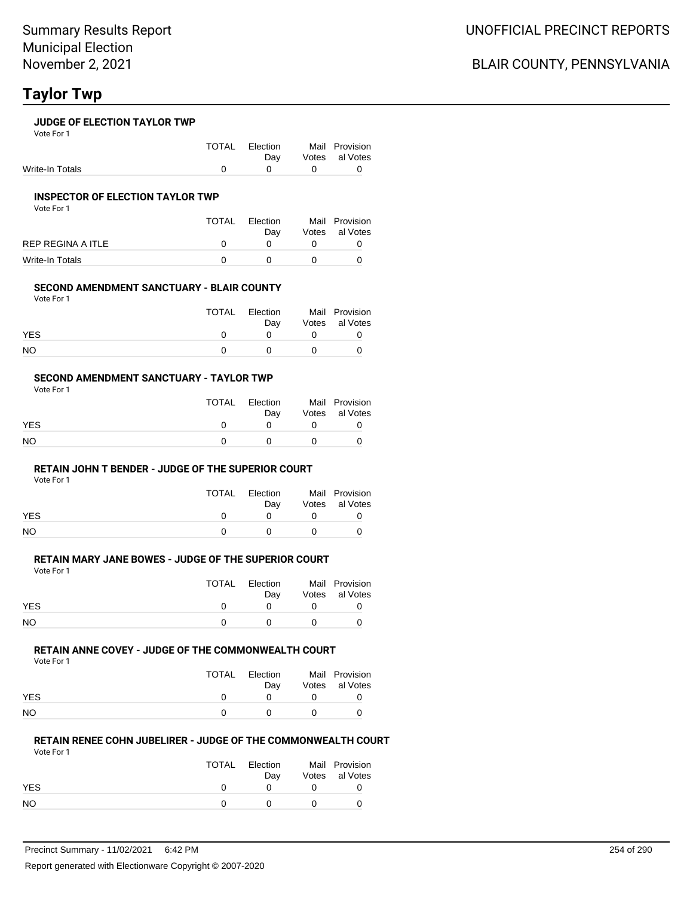## **Taylor Twp**

Vote For 1

|                 | TOTAL Election | Mail Provision     |
|-----------------|----------------|--------------------|
|                 |                | Day Votes al Votes |
| Write-In Totals |                |                    |

#### **INSPECTOR OF ELECTION TAYLOR TWP**

Vote For 1

|                   | <b>TOTAL</b> | Election<br>Dav | Mail Provision<br>Votes al Votes |
|-------------------|--------------|-----------------|----------------------------------|
| REP REGINA A ITLE |              |                 |                                  |
| Write-In Totals   |              |                 |                                  |

### **SECOND AMENDMENT SANCTUARY - BLAIR COUNTY**

Vote For 1

|            | <b>TOTAL</b> | Election<br>Dav | Mail Provision<br>Votes al Votes |
|------------|--------------|-----------------|----------------------------------|
| <b>YES</b> |              |                 |                                  |
| NO         |              |                 |                                  |

#### **SECOND AMENDMENT SANCTUARY - TAYLOR TWP**

Vote For 1

|            | TOTAL | Election<br>Dav | Mail Provision<br>Votes al Votes |
|------------|-------|-----------------|----------------------------------|
| <b>YES</b> |       |                 |                                  |
| NO         |       |                 |                                  |

#### **RETAIN JOHN T BENDER - JUDGE OF THE SUPERIOR COURT**

Vote For 1

|            | <b>TOTAL</b> | Election<br>Dav | Mail Provision<br>Votes al Votes |
|------------|--------------|-----------------|----------------------------------|
| <b>YES</b> | n            |                 |                                  |
| NO         |              | <sup>n</sup>    |                                  |

### **RETAIN MARY JANE BOWES - JUDGE OF THE SUPERIOR COURT**

Vote For 1

|            | TOTAL | Election<br>Dav | Mail Provision<br>Votes al Votes |
|------------|-------|-----------------|----------------------------------|
| <b>YES</b> |       |                 |                                  |
| <b>NO</b>  |       |                 |                                  |

### **RETAIN ANNE COVEY - JUDGE OF THE COMMONWEALTH COURT**

Vote For 1

|            | TOTAL | Election<br>Dav | Mail Provision<br>Votes al Votes |
|------------|-------|-----------------|----------------------------------|
| <b>YES</b> | n     |                 |                                  |
| NO.        | n     |                 |                                  |

#### **RETAIN RENEE COHN JUBELIRER - JUDGE OF THE COMMONWEALTH COURT** Vote For 1

|            | TOTAL | Election<br>Dav | Mail Provision<br>Votes al Votes |
|------------|-------|-----------------|----------------------------------|
| <b>YES</b> |       |                 |                                  |
| NO         |       |                 |                                  |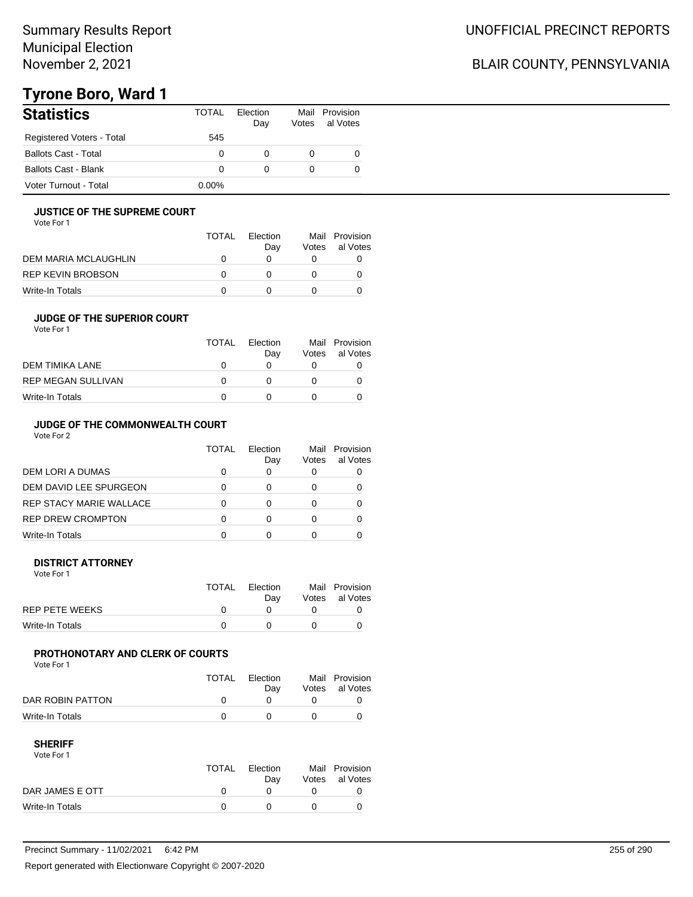## BLAIR COUNTY, PENNSYLVANIA

# **Tyrone Boro, Ward 1**

| <b>Statistics</b>           | TOTAL    | <b>Flection</b><br>Day | Votes | Mail Provision<br>al Votes |
|-----------------------------|----------|------------------------|-------|----------------------------|
| Registered Voters - Total   | 545      |                        |       |                            |
| <b>Ballots Cast - Total</b> | 0        |                        |       |                            |
| <b>Ballots Cast - Blank</b> | 0        |                        |       |                            |
| Voter Turnout - Total       | $0.00\%$ |                        |       |                            |

#### **JUSTICE OF THE SUPREME COURT**

Vote For 1

|                      | TOTAL | Election<br>Dav | Mail<br>Votes | Provision<br>al Votes |
|----------------------|-------|-----------------|---------------|-----------------------|
| DEM MARIA MCLAUGHLIN |       |                 |               |                       |
| REP KEVIN BROBSON    |       |                 |               |                       |
| Write-In Totals      |       |                 |               |                       |

#### **JUDGE OF THE SUPERIOR COURT**

| Vote For 1 |  |  |
|------------|--|--|
|            |  |  |

| Dav | Votes | Mail Provision<br>al Votes |
|-----|-------|----------------------------|
|     |       |                            |
|     |       |                            |
|     |       |                            |
|     |       | <b>TOTAL</b><br>Election   |

### **JUDGE OF THE COMMONWEALTH COURT**

Vote For 2

|                                | TOTAL | Flection<br>Day | Votes | Mail Provision<br>al Votes |
|--------------------------------|-------|-----------------|-------|----------------------------|
| DEM LORI A DUMAS               |       |                 |       |                            |
| DEM DAVID LEE SPURGEON         |       |                 |       |                            |
| <b>REP STACY MARIE WALLACE</b> |       |                 |       |                            |
| <b>REP DREW CROMPTON</b>       |       |                 |       |                            |
| Write-In Totals                |       |                 |       |                            |

#### **DISTRICT ATTORNEY**

| Vote For 1      |       |                 |                                  |
|-----------------|-------|-----------------|----------------------------------|
|                 | TOTAL | Election<br>Dav | Mail Provision<br>Votes al Votes |
| REP PETE WEEKS  |       |                 |                                  |
| Write-In Totals |       |                 |                                  |

### **PROTHONOTARY AND CLERK OF COURTS**

Vote For 1

|                  | <b>TOTAL</b> | Election<br>Dav | Mail Provision<br>Votes al Votes |
|------------------|--------------|-----------------|----------------------------------|
| DAR ROBIN PATTON |              |                 |                                  |
| Write-In Totals  |              |                 |                                  |

| Vote For 1      |       |          |                |
|-----------------|-------|----------|----------------|
|                 | TOTAL | Election | Mail Provision |
|                 |       | Dav      | Votes al Votes |
| DAR JAMES E OTT |       |          |                |
| Write-In Totals |       |          |                |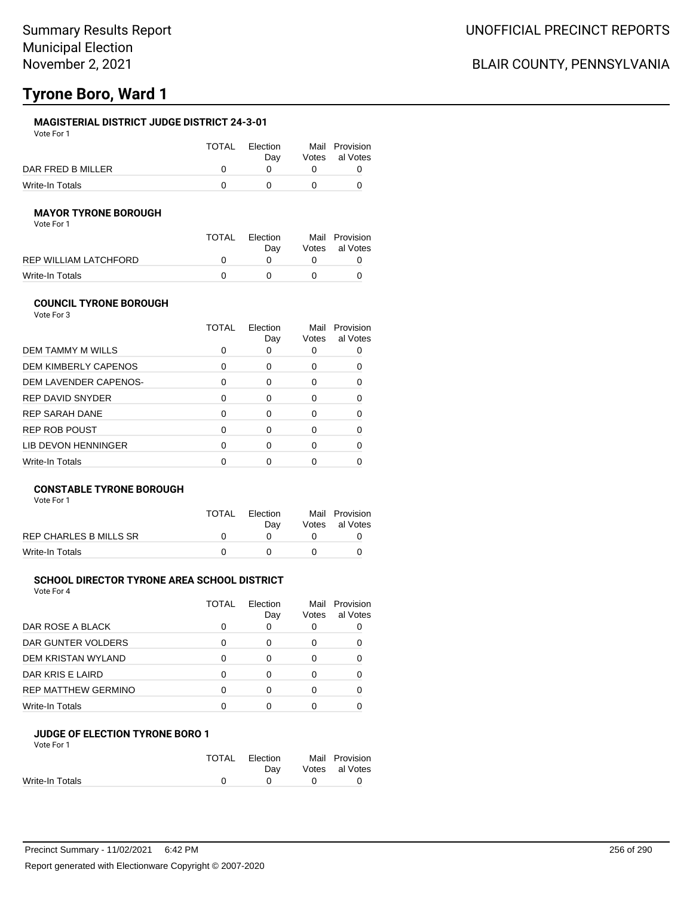### **MAGISTERIAL DISTRICT JUDGE DISTRICT 24-3-01**

Vote For 1

|                   | TOTAL | Election<br>Dav | Mail Provision<br>Votes al Votes |
|-------------------|-------|-----------------|----------------------------------|
| DAR FRED B MILLER |       |                 |                                  |
| Write-In Totals   |       |                 |                                  |

#### **MAYOR TYRONE BOROUGH**

Vote For 1

|                       | TOTAL | Election | Mail Provision |
|-----------------------|-------|----------|----------------|
|                       |       | Dav      | Votes al Votes |
| REP WILLIAM LATCHFORD |       |          |                |
| Write-In Totals       |       |          |                |

#### **COUNCIL TYRONE BOROUGH**

| Vote For 3                  |       |                 |               |                       |
|-----------------------------|-------|-----------------|---------------|-----------------------|
|                             | TOTAL | Election<br>Day | Mail<br>Votes | Provision<br>al Votes |
| DEM TAMMY M WILLS           | 0     | 0               | Ω             |                       |
| <b>DEM KIMBERLY CAPENOS</b> | O     | 0               | 0             | O                     |
| DEM LAVENDER CAPENOS-       | 0     | 0               | 0             | O                     |
| <b>REP DAVID SNYDER</b>     | ŋ     | 0               | 0             |                       |
| <b>REP SARAH DANE</b>       | ŋ     | 0               | 0             |                       |
| <b>REP ROB POUST</b>        | n     | ∩               | ∩             |                       |
| LIB DEVON HENNINGER         | 0     | 0               | 0             |                       |
| Write-In Totals             |       |                 |               |                       |

### **CONSTABLE TYRONE BOROUGH**

Vote For 1

|                        | <b>TOTAL</b> | Election<br>Dav | Mail Provision<br>Votes al Votes |
|------------------------|--------------|-----------------|----------------------------------|
| REP CHARLES B MILLS SR |              |                 |                                  |
| Write-In Totals        |              |                 |                                  |

#### **SCHOOL DIRECTOR TYRONE AREA SCHOOL DISTRICT**

Vote For 4

|                            | TOTAL | Election<br>Day | Mail<br>Votes | Provision<br>al Votes |
|----------------------------|-------|-----------------|---------------|-----------------------|
| DAR ROSE A BLACK           | 0     | O               |               |                       |
| DAR GUNTER VOLDERS         | 0     | 0               |               |                       |
| DEM KRISTAN WYLAND         | 0     | 0               |               |                       |
| DAR KRIS E LAIRD           | O     | O               |               |                       |
| <b>REP MATTHEW GERMINO</b> | ∩     | O               |               |                       |
| Write-In Totals            | ∩     |                 |               |                       |

#### **JUDGE OF ELECTION TYRONE BORO 1** Vote For 1

|                 | TOTAL Election<br>Dav |          | Mail Provision<br>Votes al Votes |
|-----------------|-----------------------|----------|----------------------------------|
| Write-In Totals | $\overline{0}$        | $\Omega$ |                                  |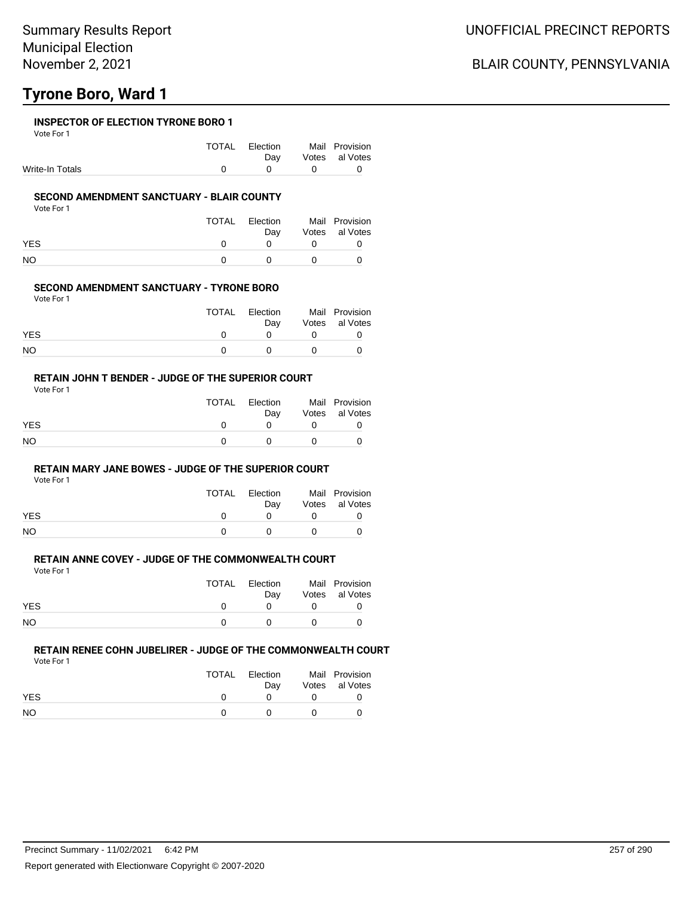#### **INSPECTOR OF ELECTION TYRONE BORO 1**

Vote For 1

|                 | TOTAL Election                | Mail Provision     |
|-----------------|-------------------------------|--------------------|
|                 |                               | Day Votes al Votes |
| Write-In Totals | $\overline{0}$ $\overline{0}$ |                    |

#### **SECOND AMENDMENT SANCTUARY - BLAIR COUNTY**

Vote For 1

|            | <b>TOTAL</b> | Election<br>Dav | Mail Provision<br>Votes al Votes |
|------------|--------------|-----------------|----------------------------------|
| <b>YES</b> |              |                 |                                  |
| <b>NO</b>  |              |                 |                                  |

#### **SECOND AMENDMENT SANCTUARY - TYRONE BORO**

Vote For 1

|            | <b>TOTAL</b> | Election | Mail Provision |
|------------|--------------|----------|----------------|
|            |              | Dav      | Votes al Votes |
| <b>YES</b> |              |          |                |
| NO         |              |          |                |

#### **RETAIN JOHN T BENDER - JUDGE OF THE SUPERIOR COURT** Vote For 1

|            | TOTAL | Election<br>Dav | Mail Provision<br>Votes al Votes |
|------------|-------|-----------------|----------------------------------|
| <b>YES</b> |       |                 |                                  |
| NO         |       |                 |                                  |

### **RETAIN MARY JANE BOWES - JUDGE OF THE SUPERIOR COURT**

Vote For 1

|            | TOTAL       | Election<br>Dav | Mail Provision<br>Votes al Votes |
|------------|-------------|-----------------|----------------------------------|
| <b>YES</b> | $^{\prime}$ | <sup>n</sup>    |                                  |
| NO         | $^{\prime}$ | n               |                                  |

## **RETAIN ANNE COVEY - JUDGE OF THE COMMONWEALTH COURT**

Vote For 1

|            | TOTAL | Election | Mail Provision |
|------------|-------|----------|----------------|
|            |       | Dav      | Votes al Votes |
| <b>YES</b> |       |          |                |
| NO         |       |          |                |

## **RETAIN RENEE COHN JUBELIRER - JUDGE OF THE COMMONWEALTH COURT**

Vote For 1

|           | TOTAL | Election<br>Dav | Mail Provision<br>Votes al Votes |
|-----------|-------|-----------------|----------------------------------|
| YES       |       |                 |                                  |
| <b>NO</b> |       |                 |                                  |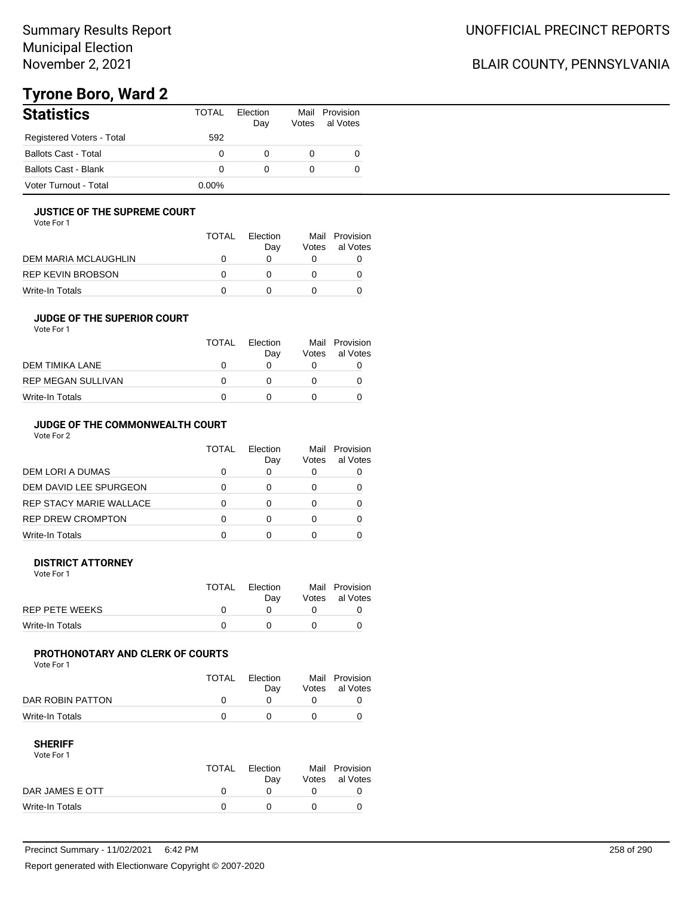## BLAIR COUNTY, PENNSYLVANIA

# **Tyrone Boro, Ward 2**

| <b>Statistics</b>           | TOTAL    | Flection<br>Day | Votes | Mail Provision<br>al Votes |
|-----------------------------|----------|-----------------|-------|----------------------------|
| Registered Voters - Total   | 592      |                 |       |                            |
| <b>Ballots Cast - Total</b> | 0        |                 |       | 0                          |
| <b>Ballots Cast - Blank</b> | 0        |                 |       | 0                          |
| Voter Turnout - Total       | $0.00\%$ |                 |       |                            |

#### **JUSTICE OF THE SUPREME COURT**

Vote For 1

|                      | TOTAL | Election<br>Dav | Mail<br>Votes | Provision<br>al Votes |
|----------------------|-------|-----------------|---------------|-----------------------|
| DEM MARIA MCLAUGHLIN |       |                 |               |                       |
| REP KEVIN BROBSON    |       |                 |               |                       |
| Write-In Totals      |       |                 |               |                       |

### **JUDGE OF THE SUPERIOR COURT**

| Vote For 1 |  |
|------------|--|
|            |  |

|                           | <b>TOTAL</b> | Election |       | Mail Provision |
|---------------------------|--------------|----------|-------|----------------|
|                           |              | Dav      | Votes | al Votes       |
| DEM TIMIKA LANE           |              |          |       |                |
| <b>REP MEGAN SULLIVAN</b> |              |          |       |                |
| Write-In Totals           |              |          |       |                |
|                           |              |          |       |                |

### **JUDGE OF THE COMMONWEALTH COURT**

Vote For 2

|                                | TOTAL | Flection<br>Day | Votes | Mail Provision<br>al Votes |
|--------------------------------|-------|-----------------|-------|----------------------------|
| DEM LORI A DUMAS               |       |                 |       |                            |
| DEM DAVID LEE SPURGEON         |       |                 |       |                            |
| <b>REP STACY MARIE WALLACE</b> |       |                 |       |                            |
| <b>REP DREW CROMPTON</b>       |       |                 |       |                            |
| Write-In Totals                |       |                 |       |                            |

#### **DISTRICT ATTORNEY**

| Vote For 1      |       |                 |                                  |
|-----------------|-------|-----------------|----------------------------------|
|                 | TOTAL | Election<br>Dav | Mail Provision<br>Votes al Votes |
| REP PETE WEEKS  |       |                 |                                  |
| Write-In Totals |       |                 |                                  |

### **PROTHONOTARY AND CLERK OF COURTS**

Vote For 1

|                  | <b>TOTAL</b> | Election<br>Dav | Mail Provision<br>Votes al Votes |
|------------------|--------------|-----------------|----------------------------------|
| DAR ROBIN PATTON |              |                 |                                  |
| Write-In Totals  |              |                 |                                  |

| Vote For 1      |       |          |                |
|-----------------|-------|----------|----------------|
|                 | TOTAL | Election | Mail Provision |
|                 |       | Dav      | Votes al Votes |
| DAR JAMES E OTT |       |          |                |
| Write-In Totals |       |          |                |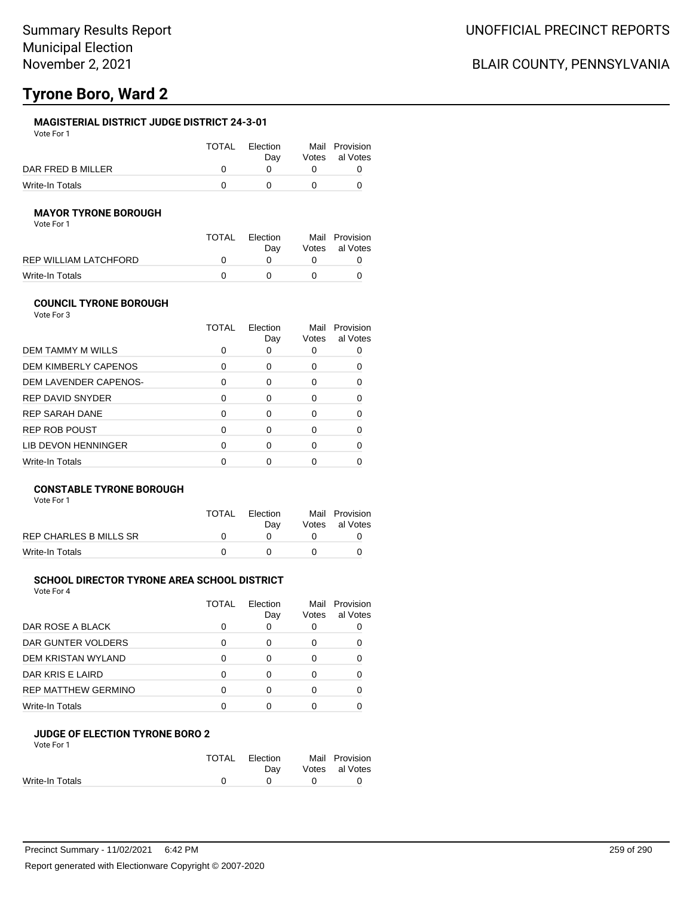### **MAGISTERIAL DISTRICT JUDGE DISTRICT 24-3-01**

Vote For 1

|                   | TOTAL | Election<br>Dav | Mail Provision<br>Votes al Votes |
|-------------------|-------|-----------------|----------------------------------|
| DAR FRED B MILLER |       |                 |                                  |
| Write-In Totals   |       |                 |                                  |

### **MAYOR TYRONE BOROUGH**

Vote For 1

| TOTAI | Election<br>Dav | Mail Provision<br>Votes al Votes |
|-------|-----------------|----------------------------------|
|       |                 |                                  |
|       |                 |                                  |
|       |                 |                                  |

#### **COUNCIL TYRONE BOROUGH** Vote For 3

|                             | TOTAL    | Flection<br>Day | Mail<br>Votes | Provision<br>al Votes |
|-----------------------------|----------|-----------------|---------------|-----------------------|
| DEM TAMMY M WILLS           | 0        |                 |               |                       |
| <b>DEM KIMBERLY CAPENOS</b> | 0        | 0               | 0             |                       |
| DEM LAVENDER CAPENOS-       | $\Omega$ | 0               | O             |                       |
| REP DAVID SNYDER            | 0        | 0               | 0             |                       |
| REP SARAH DANE              | $\Omega$ | 0               | 0             |                       |
| REP ROB POUST               | $\Omega$ | 0               | O             |                       |
| LIB DEVON HENNINGER         | 0        | 0               | 0             |                       |
| Write-In Totals             | ∩        |                 |               |                       |
|                             |          |                 |               |                       |

### **CONSTABLE TYRONE BOROUGH**

Vote For 1

|                        | TOTAL | Election<br>Dav | Mail Provision<br>Votes al Votes |
|------------------------|-------|-----------------|----------------------------------|
| REP CHARLES B MILLS SR |       |                 |                                  |
| Write-In Totals        |       |                 |                                  |

### **SCHOOL DIRECTOR TYRONE AREA SCHOOL DISTRICT**

Vote For 4

|                            | <b>TOTAL</b> | Election<br>Day | Votes | Mail Provision<br>al Votes |
|----------------------------|--------------|-----------------|-------|----------------------------|
| DAR ROSE A BLACK           | 0            | 0               |       |                            |
| DAR GUNTER VOLDERS         | 0            | 0               |       |                            |
| <b>DEM KRISTAN WYLAND</b>  | 0            | Ω               |       |                            |
| DAR KRIS E LAIRD           | ∩            | Ω               |       |                            |
| <b>REP MATTHEW GERMINO</b> | 0            | Ω               |       |                            |
| <b>Write-In Totals</b>     | ŋ            |                 |       |                            |

#### **JUDGE OF ELECTION TYRONE BORO 2** Vote For 1

| .               |       |              |          |                |
|-----------------|-------|--------------|----------|----------------|
|                 | TOTAL | Election     |          | Mail Provision |
|                 |       | Dav          |          | Votes al Votes |
| Write-In Totals |       | $\mathsf{O}$ | $\Omega$ |                |
|                 |       |              |          |                |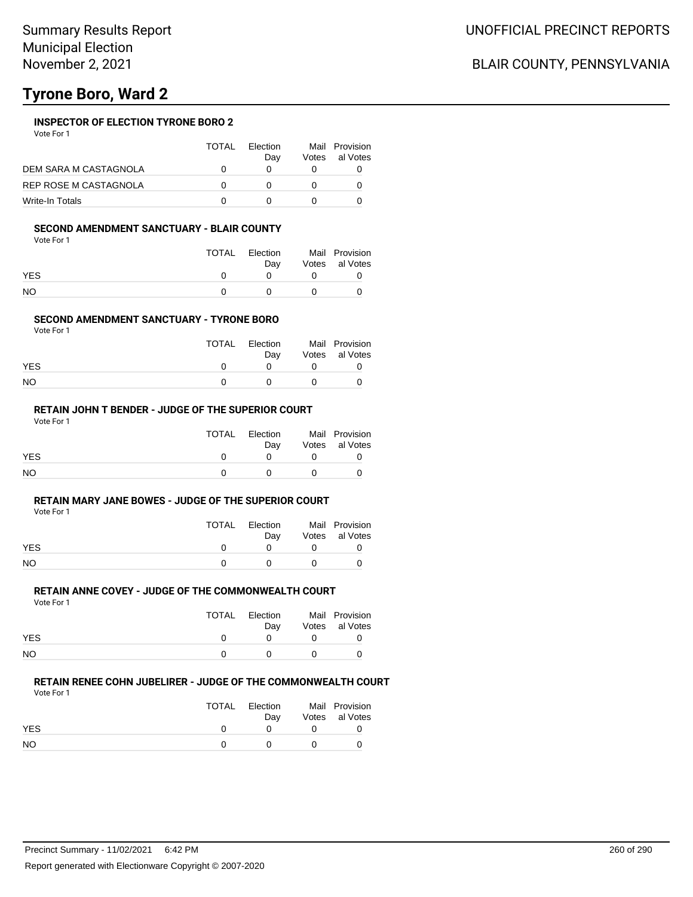#### **INSPECTOR OF ELECTION TYRONE BORO 2**

Vote For 1

|                       | TOTAL | Election<br>Dav | Votes | Mail Provision<br>al Votes |
|-----------------------|-------|-----------------|-------|----------------------------|
| DEM SARA M CASTAGNOLA |       |                 |       |                            |
| REP ROSE M CASTAGNOLA |       |                 |       |                            |
| Write-In Totals       |       |                 |       |                            |

#### **SECOND AMENDMENT SANCTUARY - BLAIR COUNTY**

Vote For 1

|            | TOTAL Election<br>Dav | Mail Provision<br>Votes al Votes |
|------------|-----------------------|----------------------------------|
| <b>YES</b> |                       |                                  |
| NO         |                       |                                  |

#### **SECOND AMENDMENT SANCTUARY - TYRONE BORO**

Vote For 1

|            | TOTAL | Election<br>Dav | Mail Provision<br>Votes al Votes |
|------------|-------|-----------------|----------------------------------|
| <b>YES</b> |       |                 |                                  |
| NO         |       |                 |                                  |

#### **RETAIN JOHN T BENDER - JUDGE OF THE SUPERIOR COURT**

Vote For 1

|            | TOTAL | Election<br>Dav | Mail Provision<br>Votes al Votes |
|------------|-------|-----------------|----------------------------------|
| <b>YES</b> |       |                 |                                  |
| <b>NO</b>  |       |                 |                                  |

#### **RETAIN MARY JANE BOWES - JUDGE OF THE SUPERIOR COURT**

Vote For 1

|            | TOTAL | Election<br>Dav | Mail Provision<br>Votes al Votes |
|------------|-------|-----------------|----------------------------------|
| <b>YES</b> |       |                 |                                  |
| <b>NO</b>  |       |                 |                                  |

#### **RETAIN ANNE COVEY - JUDGE OF THE COMMONWEALTH COURT**

Vote For 1

|            | TOTAL | Election<br>Dav |            | Mail Provision<br>Votes al Votes |
|------------|-------|-----------------|------------|----------------------------------|
| <b>YES</b> |       | n               | $^{\circ}$ |                                  |
| <b>NO</b>  |       | $\Omega$        | $^{\circ}$ |                                  |

### **RETAIN RENEE COHN JUBELIRER - JUDGE OF THE COMMONWEALTH COURT**

Vote For 1

|                | TOTAL | Election<br>Dav | Mail Provision<br>Votes al Votes |
|----------------|-------|-----------------|----------------------------------|
| YES.           |       |                 |                                  |
| N <sub>O</sub> |       |                 |                                  |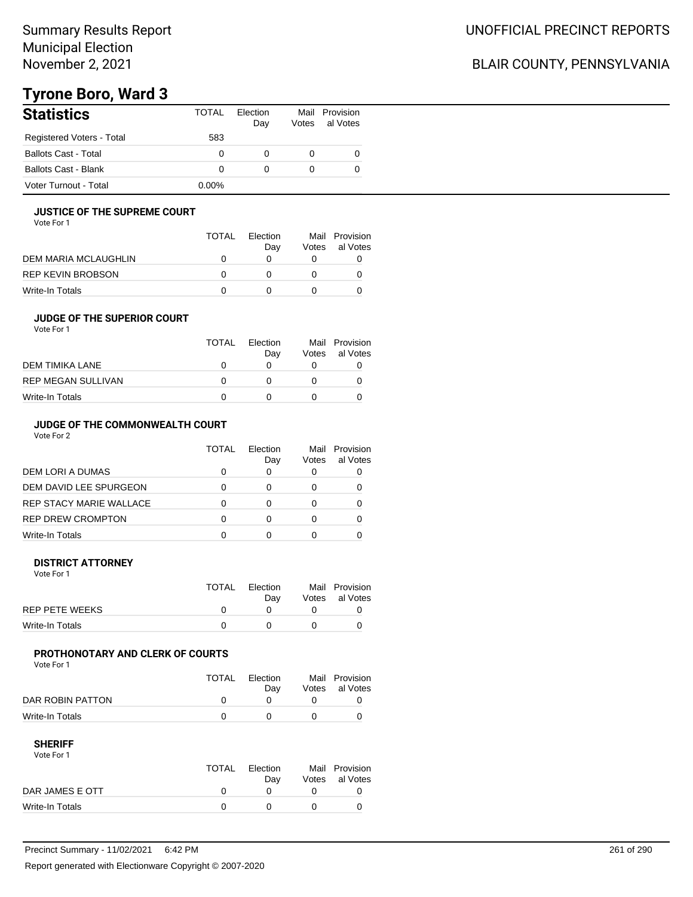## BLAIR COUNTY, PENNSYLVANIA

# **Tyrone Boro, Ward 3**

| <b>Statistics</b>           | TOTAL | Flection<br>Dav | Votes | Mail Provision<br>al Votes |
|-----------------------------|-------|-----------------|-------|----------------------------|
| Registered Voters - Total   | 583   |                 |       |                            |
| <b>Ballots Cast - Total</b> | 0     |                 |       | O                          |
| <b>Ballots Cast - Blank</b> | 0     |                 |       | O                          |
| Voter Turnout - Total       | 0.00% |                 |       |                            |

#### **JUSTICE OF THE SUPREME COURT**

Vote For 1

|                      | TOTAL | Election<br>Dav | Votes | Mail Provision<br>al Votes |
|----------------------|-------|-----------------|-------|----------------------------|
| DEM MARIA MCLAUGHLIN |       |                 |       |                            |
| REP KEVIN BROBSON    |       |                 |       |                            |
| Write-In Totals      |       |                 |       |                            |

#### **JUDGE OF THE SUPERIOR COURT**

| Vote For 1 |  |  |
|------------|--|--|
|            |  |  |

|                           | <b>TOTAL</b> | Election<br>Day | Votes | Mail Provision<br>al Votes |
|---------------------------|--------------|-----------------|-------|----------------------------|
| DEM TIMIKA LANE           |              |                 |       |                            |
| <b>REP MEGAN SULLIVAN</b> |              |                 |       |                            |
| Write-In Totals           |              |                 |       |                            |
|                           |              |                 |       |                            |

### **JUDGE OF THE COMMONWEALTH COURT**

Vote For 2

|                                | TOTAL | Flection<br>Day | Votes | Mail Provision<br>al Votes |
|--------------------------------|-------|-----------------|-------|----------------------------|
| DEM LORI A DUMAS               |       |                 |       |                            |
| DEM DAVID LEE SPURGEON         |       |                 |       |                            |
| <b>REP STACY MARIE WALLACE</b> |       |                 |       |                            |
| <b>REP DREW CROMPTON</b>       |       |                 |       |                            |
| Write-In Totals                |       |                 |       |                            |

#### **DISTRICT ATTORNEY**

| Vote For 1      |              |                 |                                  |
|-----------------|--------------|-----------------|----------------------------------|
|                 | <b>TOTAL</b> | Election<br>Dav | Mail Provision<br>Votes al Votes |
| REP PETE WEEKS  |              |                 |                                  |
| Write-In Totals |              |                 |                                  |

### **PROTHONOTARY AND CLERK OF COURTS**

Vote For 1

|                  | <b>TOTAL</b> | Election<br>Dav | Mail Provision<br>Votes al Votes |
|------------------|--------------|-----------------|----------------------------------|
| DAR ROBIN PATTON |              |                 |                                  |
| Write-In Totals  |              |                 |                                  |

| Vote For 1      |              |          |                |
|-----------------|--------------|----------|----------------|
|                 | <b>TOTAL</b> | Election | Mail Provision |
|                 |              | Dav      | Votes al Votes |
| DAR JAMES E OTT |              |          |                |
| Write-In Totals |              |          |                |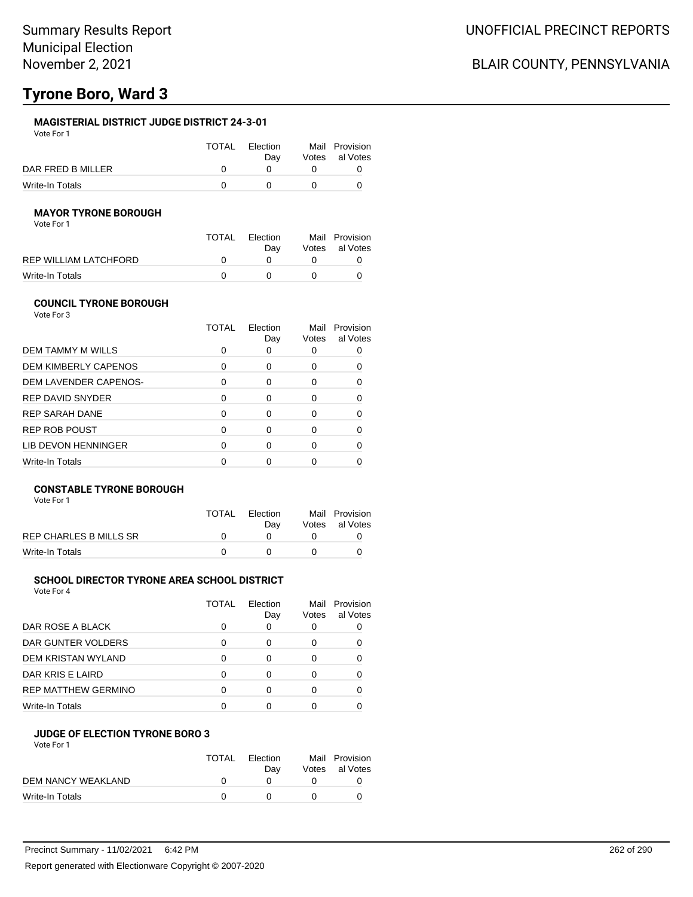### **MAGISTERIAL DISTRICT JUDGE DISTRICT 24-3-01**

Vote For 1

|                   | TOTAL | Election<br>Dav | Mail Provision<br>Votes al Votes |
|-------------------|-------|-----------------|----------------------------------|
| DAR FRED B MILLER |       |                 |                                  |
| Write-In Totals   |       |                 |                                  |

### **MAYOR TYRONE BOROUGH**

Vote For 1

| TOTAI | Election<br>Dav | Mail Provision<br>Votes al Votes |
|-------|-----------------|----------------------------------|
|       |                 |                                  |
|       |                 |                                  |
|       |                 |                                  |

#### **COUNCIL TYRONE BOROUGH** Vote For 3

|                             | TOTAL        | Election<br>Day | Mail<br>Votes | Provision<br>al Votes |
|-----------------------------|--------------|-----------------|---------------|-----------------------|
| DEM TAMMY M WILLS           |              | 0               |               |                       |
| <b>DEM KIMBERLY CAPENOS</b> | 0            | 0               | O             |                       |
| DEM LAVENDER CAPENOS-       | 0            | 0               | O             |                       |
| <b>REP DAVID SNYDER</b>     | <sup>0</sup> | ∩               |               |                       |
| REP SARAH DANE              | <sup>0</sup> | ∩               |               |                       |
| <b>REP ROB POUST</b>        | ∩            | ∩               |               |                       |
| LIB DEVON HENNINGER         | ∩            | ∩               |               |                       |
| Write-In Totals             |              |                 |               |                       |

### **CONSTABLE TYRONE BOROUGH**

Vote For 1

|                        | TOTAL | Election<br>Dav | Mail Provision<br>Votes al Votes |
|------------------------|-------|-----------------|----------------------------------|
| REP CHARLES B MILLS SR |       |                 |                                  |
| Write-In Totals        |       |                 |                                  |

### **SCHOOL DIRECTOR TYRONE AREA SCHOOL DISTRICT**

Vote For 4

|                            | TOTAL | Election<br>Day | Votes | Mail Provision<br>al Votes |
|----------------------------|-------|-----------------|-------|----------------------------|
| DAR ROSE A BLACK           | 0     |                 |       |                            |
| DAR GUNTER VOLDERS         | 0     | 0               |       |                            |
| <b>DEM KRISTAN WYLAND</b>  | 0     |                 |       |                            |
| DAR KRIS E LAIRD           | ∩     |                 |       |                            |
| <b>REP MATTHEW GERMINO</b> | O     |                 |       |                            |
| Write-In Totals            | n     |                 |       |                            |

#### **JUDGE OF ELECTION TYRONE BORO 3** Vote For 1

| .                  |              |          |                |
|--------------------|--------------|----------|----------------|
|                    | <b>TOTAL</b> | Election | Mail Provision |
|                    |              | Dav      | Votes al Votes |
| DEM NANCY WEAKLAND | $^{\prime}$  |          |                |
| Write-In Totals    |              |          |                |
|                    |              |          |                |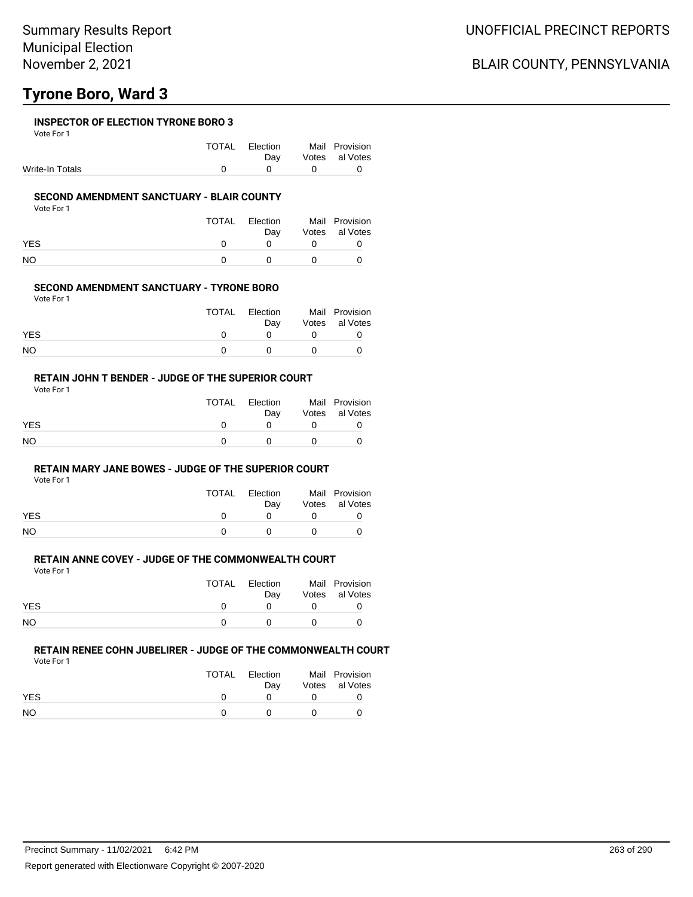#### **INSPECTOR OF ELECTION TYRONE BORO 3**

Vote For 1

|                 | TOTAL Election                                   | Mail Provision     |
|-----------------|--------------------------------------------------|--------------------|
|                 |                                                  | Day Votes al Votes |
| Write-In Totals | $\begin{array}{ccccccc}\n0 & 0 & 0\n\end{array}$ |                    |

#### **SECOND AMENDMENT SANCTUARY - BLAIR COUNTY**

Vote For 1

|            | <b>TOTAL</b> | Election<br>Dav | Mail Provision<br>Votes al Votes |
|------------|--------------|-----------------|----------------------------------|
| <b>YES</b> |              |                 |                                  |
| <b>NO</b>  |              |                 |                                  |

#### **SECOND AMENDMENT SANCTUARY - TYRONE BORO**

Vote For 1

|            | <b>TOTAL</b> | Election | Mail Provision |
|------------|--------------|----------|----------------|
|            |              | Dav      | Votes al Votes |
| <b>YES</b> |              |          |                |
| NO         |              |          |                |

#### **RETAIN JOHN T BENDER - JUDGE OF THE SUPERIOR COURT** Vote For 1

|            | TOTAL | Election<br>Dav | Mail Provision<br>Votes al Votes |
|------------|-------|-----------------|----------------------------------|
| <b>YES</b> |       |                 |                                  |
| NO         |       |                 |                                  |

#### **RETAIN MARY JANE BOWES - JUDGE OF THE SUPERIOR COURT**

Vote For 1

|            | TOTAL       | Election<br>Dav | Mail Provision<br>Votes al Votes |
|------------|-------------|-----------------|----------------------------------|
| <b>YES</b> | $^{\prime}$ | <sup>n</sup>    |                                  |
| NO         | $^{\prime}$ | n               |                                  |

## **RETAIN ANNE COVEY - JUDGE OF THE COMMONWEALTH COURT**

Vote For 1

|            | TOTAL | Election | Mail Provision |
|------------|-------|----------|----------------|
|            |       | Dav      | Votes al Votes |
| <b>YES</b> |       |          |                |
| NO         |       |          |                |

## **RETAIN RENEE COHN JUBELIRER - JUDGE OF THE COMMONWEALTH COURT**

Vote For 1

|           | TOTAL | Election<br>Dav | Mail Provision<br>Votes al Votes |
|-----------|-------|-----------------|----------------------------------|
| YES       |       |                 |                                  |
| <b>NO</b> |       |                 |                                  |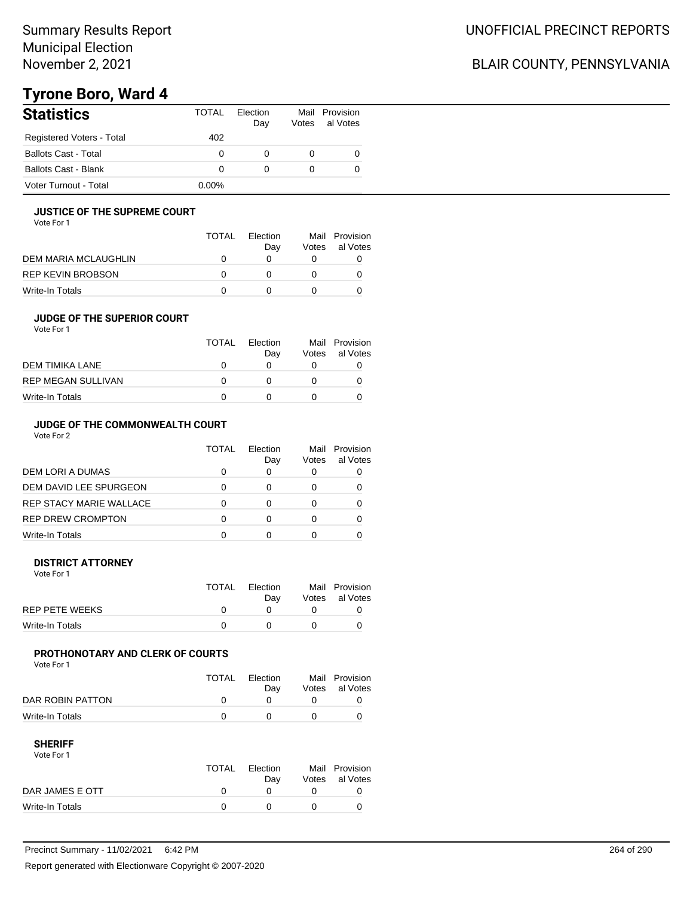## BLAIR COUNTY, PENNSYLVANIA

# **Tyrone Boro, Ward 4**

| <b>Statistics</b>           | TOTAL    | Flection<br>Day | Votes | Mail Provision<br>al Votes |
|-----------------------------|----------|-----------------|-------|----------------------------|
| Registered Voters - Total   | 402      |                 |       |                            |
| <b>Ballots Cast - Total</b> |          |                 |       |                            |
| Ballots Cast - Blank        | 0        |                 |       |                            |
| Voter Turnout - Total       | $0.00\%$ |                 |       |                            |

#### **JUSTICE OF THE SUPREME COURT**

Vote For 1

|                      | <b>TOTAL</b> | Election<br>Dav | Votes | Mail Provision<br>al Votes |
|----------------------|--------------|-----------------|-------|----------------------------|
| DEM MARIA MCLAUGHLIN |              |                 |       |                            |
| REP KEVIN BROBSON    |              |                 |       |                            |
| Write-In Totals      |              |                 |       |                            |

#### **JUDGE OF THE SUPERIOR COURT**

| Vote For 1 |  |  |
|------------|--|--|
|            |  |  |

|                           | <b>TOTAL</b> | Election |       | Mail Provision |
|---------------------------|--------------|----------|-------|----------------|
|                           |              | Dav      | Votes | al Votes       |
| DEM TIMIKA LANE           | $\Omega$     |          |       |                |
| <b>REP MEGAN SULLIVAN</b> | $^{\prime}$  |          |       |                |
| Write-In Totals           | n            |          |       |                |
|                           |              |          |       |                |

### **JUDGE OF THE COMMONWEALTH COURT**

Vote For 2

|                                | TOTAL | Flection<br>Day | Votes | Mail Provision<br>al Votes |
|--------------------------------|-------|-----------------|-------|----------------------------|
| DEM LORI A DUMAS               |       |                 |       |                            |
| DEM DAVID LEE SPURGEON         |       |                 |       |                            |
| <b>REP STACY MARIE WALLACE</b> |       |                 |       |                            |
| <b>REP DREW CROMPTON</b>       |       |                 |       |                            |
| Write-In Totals                |       |                 |       |                            |

#### **DISTRICT ATTORNEY**

| Vote For 1      |       |                 |                                  |
|-----------------|-------|-----------------|----------------------------------|
|                 | TOTAL | Election<br>Dav | Mail Provision<br>Votes al Votes |
| REP PETE WEEKS  |       |                 |                                  |
| Write-In Totals |       |                 |                                  |

### **PROTHONOTARY AND CLERK OF COURTS**

Vote For 1

|                  | <b>TOTAL</b> | Election<br>Dav | Mail Provision<br>Votes al Votes |
|------------------|--------------|-----------------|----------------------------------|
| DAR ROBIN PATTON |              |                 |                                  |
| Write-In Totals  |              |                 |                                  |

| Vote For 1      |       |          |                |
|-----------------|-------|----------|----------------|
|                 | TOTAL | Election | Mail Provision |
|                 |       | Dav      | Votes al Votes |
| DAR JAMES E OTT |       |          |                |
| Write-In Totals |       |          |                |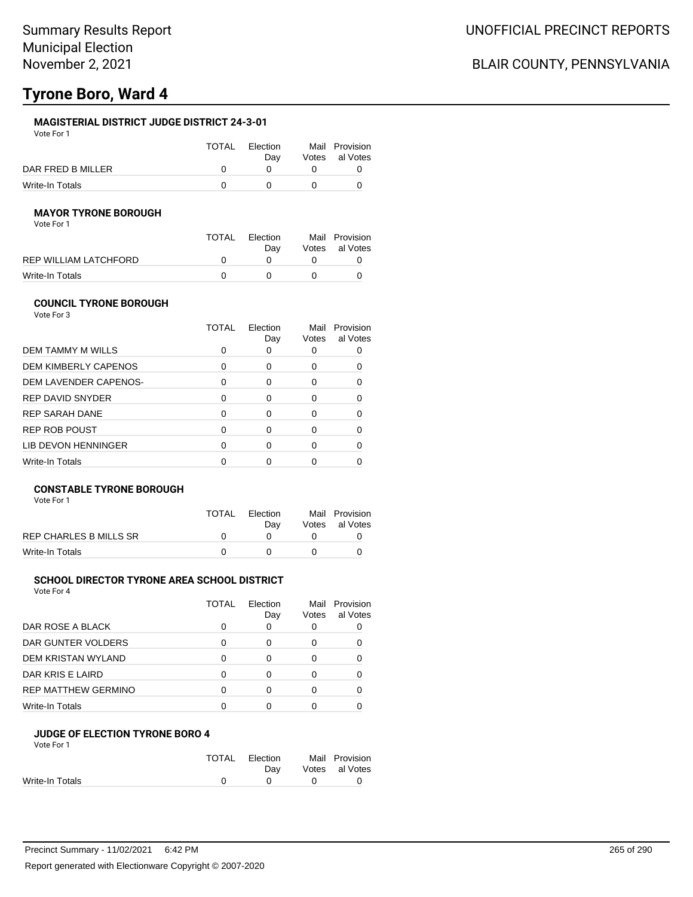#### **MAGISTERIAL DISTRICT JUDGE DISTRICT 24-3-01**

Vote For 1

|                   | <b>TOTAL</b> | Election<br>Dav | Mail Provision<br>Votes al Votes |
|-------------------|--------------|-----------------|----------------------------------|
| DAR FRED B MILLER |              |                 |                                  |
| Write-In Totals   |              |                 |                                  |

#### **MAYOR TYRONE BOROUGH**

Vote For 1

|                       | <b>TOTAL</b> | Election<br>Dav | Mail Provision<br>Votes al Votes |
|-----------------------|--------------|-----------------|----------------------------------|
| REP WILLIAM LATCHFORD |              |                 |                                  |
| Write-In Totals       |              |                 |                                  |

#### **COUNCIL TYRONE BOROUGH**

| Vote For 3              |       |                 |               |                       |
|-------------------------|-------|-----------------|---------------|-----------------------|
|                         | TOTAL | Election<br>Day | Mail<br>Votes | Provision<br>al Votes |
| DEM TAMMY M WILLS       | 0     |                 | O             |                       |
| DEM KIMBERLY CAPENOS    | 0     | Ω               | 0             | 0                     |
| DEM LAVENDER CAPENOS-   | 0     | 0               | 0             | 0                     |
| <b>REP DAVID SNYDER</b> | O     | 0               | 0             |                       |
| <b>REP SARAH DANE</b>   | O     | 0               | O             |                       |
| <b>REP ROB POUST</b>    | ∩     | ∩               | ∩             | ი                     |
| LIB DEVON HENNINGER     | O     | ∩               | O             |                       |
| Write-In Totals         |       |                 |               |                       |

### **CONSTABLE TYRONE BOROUGH**

Vote For 1

|                               | <b>TOTAL</b> | Election<br>Dav | Mail Provision<br>Votes al Votes |
|-------------------------------|--------------|-----------------|----------------------------------|
| <b>REP CHARLES B MILLS SR</b> |              |                 |                                  |
| Write-In Totals               |              |                 |                                  |

#### **SCHOOL DIRECTOR TYRONE AREA SCHOOL DISTRICT**

Vote For 4

|                            | TOTAL | Election<br>Day | Mail<br>Votes | Provision<br>al Votes |
|----------------------------|-------|-----------------|---------------|-----------------------|
| DAR ROSE A BLACK           | 0     | O               |               |                       |
| DAR GUNTER VOLDERS         | 0     | 0               |               |                       |
| <b>DEM KRISTAN WYLAND</b>  | 0     | 0               |               |                       |
| DAR KRIS E LAIRD           | ∩     | Ω               |               |                       |
| <b>REP MATTHEW GERMINO</b> | ∩     | Ω               |               |                       |
| Write-In Totals            | ŋ     |                 |               |                       |

#### **JUDGE OF ELECTION TYRONE BORO 4** Vote For 1

|                 | TOTAL | Election<br>Dav |          | Mail Provision<br>Votes al Votes |
|-----------------|-------|-----------------|----------|----------------------------------|
| Write-In Totals |       | $\mathbf{0}$    | $\Omega$ |                                  |
|                 |       |                 |          |                                  |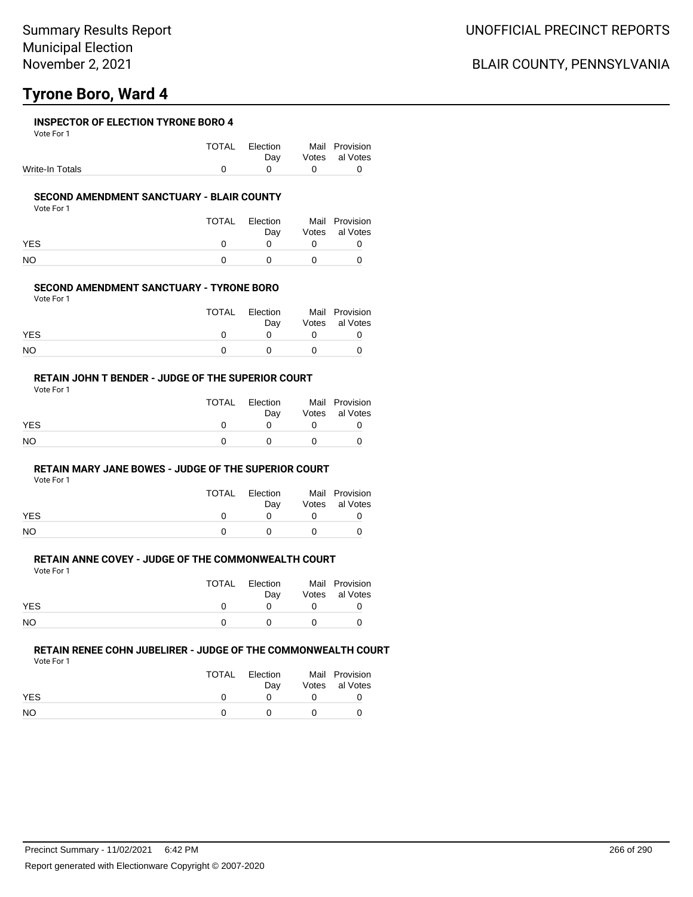#### **INSPECTOR OF ELECTION TYRONE BORO 4**

Vote For 1

|                 | TOTAL Election                                                 | Mail Provision     |
|-----------------|----------------------------------------------------------------|--------------------|
|                 |                                                                | Day Votes al Votes |
| Write-In Totals | $\begin{array}{ccccccccccccccccc}\n0 & 0 & 0 & 0\n\end{array}$ |                    |

#### **SECOND AMENDMENT SANCTUARY - BLAIR COUNTY**

Vote For 1

|            | <b>TOTAL</b> | Election<br>Dav | Mail Provision<br>Votes al Votes |
|------------|--------------|-----------------|----------------------------------|
| <b>YES</b> |              |                 |                                  |
| <b>NO</b>  |              |                 |                                  |

#### **SECOND AMENDMENT SANCTUARY - TYRONE BORO**

Vote For 1

|            | <b>TOTAL</b> | Election | Mail Provision |
|------------|--------------|----------|----------------|
|            |              | Dav      | Votes al Votes |
| <b>YES</b> |              |          |                |
| NO         |              |          |                |

#### **RETAIN JOHN T BENDER - JUDGE OF THE SUPERIOR COURT** Vote For 1

|            | TOTAL | Election<br>Dav | Mail Provision<br>Votes al Votes |
|------------|-------|-----------------|----------------------------------|
| <b>YES</b> |       |                 |                                  |
| NO         |       |                 |                                  |

#### **RETAIN MARY JANE BOWES - JUDGE OF THE SUPERIOR COURT**

Vote For 1

|            | TOTAL        | Election<br>Day | Mail Provision<br>Votes al Votes |
|------------|--------------|-----------------|----------------------------------|
| <b>YES</b> | $\mathbf{U}$ | <sup>n</sup>    |                                  |
| NO         | n            | $\Omega$        |                                  |

## **RETAIN ANNE COVEY - JUDGE OF THE COMMONWEALTH COURT**

Vote For 1

|            | TOTAL | Election | Mail Provision |
|------------|-------|----------|----------------|
|            |       | Dav      | Votes al Votes |
| <b>YES</b> |       |          |                |
| NO         |       |          |                |

## **RETAIN RENEE COHN JUBELIRER - JUDGE OF THE COMMONWEALTH COURT**

Vote For 1

|            | TOTAL | Election<br>Dav | Mail Provision<br>Votes al Votes |
|------------|-------|-----------------|----------------------------------|
| <b>YES</b> |       |                 |                                  |
| <b>NO</b>  |       |                 |                                  |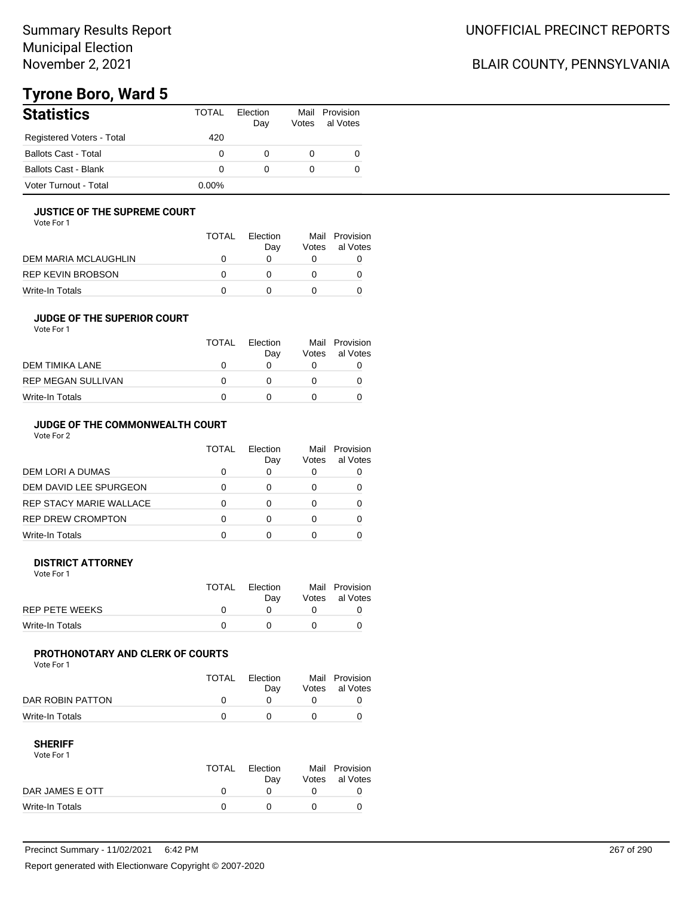## BLAIR COUNTY, PENNSYLVANIA

# **Tyrone Boro, Ward 5**

| <b>Statistics</b>           | <b>TOTAL</b> | Flection<br>Day | Votes | Mail Provision<br>al Votes |
|-----------------------------|--------------|-----------------|-------|----------------------------|
| Registered Voters - Total   | 420          |                 |       |                            |
| <b>Ballots Cast - Total</b> | 0            |                 |       |                            |
| <b>Ballots Cast - Blank</b> | 0            |                 |       |                            |
| Voter Turnout - Total       | $0.00\%$     |                 |       |                            |

#### **JUSTICE OF THE SUPREME COURT**

Vote For 1

|                      | <b>TOTAL</b> | Election<br>Dav | Mail<br>Votes | Provision<br>al Votes |
|----------------------|--------------|-----------------|---------------|-----------------------|
| DEM MARIA MCLAUGHLIN |              |                 |               |                       |
| REP KEVIN BROBSON    |              |                 |               |                       |
| Write-In Totals      |              |                 |               |                       |

### **JUDGE OF THE SUPERIOR COURT**

| Vote For 1 |  |
|------------|--|
|            |  |

|                    | <b>TOTAL</b> | Election<br>Dav | Votes | Mail Provision<br>al Votes |
|--------------------|--------------|-----------------|-------|----------------------------|
| DEM TIMIKA LANE    |              |                 |       |                            |
| REP MEGAN SULLIVAN | O            |                 |       |                            |
| Write-In Totals    |              |                 |       |                            |
|                    |              |                 |       |                            |

### **JUDGE OF THE COMMONWEALTH COURT**

Vote For 2

|                                | TOTAL | Flection<br>Day | Votes | Mail Provision<br>al Votes |
|--------------------------------|-------|-----------------|-------|----------------------------|
| DEM LORI A DUMAS               |       |                 |       |                            |
| DEM DAVID LEE SPURGEON         |       |                 |       |                            |
| <b>REP STACY MARIE WALLACE</b> |       |                 |       |                            |
| <b>REP DREW CROMPTON</b>       |       |                 |       |                            |
| Write-In Totals                |       |                 |       |                            |

#### **DISTRICT ATTORNEY**

| Vote For 1      |       |                 |                                  |
|-----------------|-------|-----------------|----------------------------------|
|                 | TOTAL | Election<br>Dav | Mail Provision<br>Votes al Votes |
| REP PETE WEEKS  |       |                 |                                  |
| Write-In Totals |       |                 |                                  |

### **PROTHONOTARY AND CLERK OF COURTS**

Vote For 1

|                  | <b>TOTAL</b> | Election<br>Dav | Mail Provision<br>Votes al Votes |
|------------------|--------------|-----------------|----------------------------------|
| DAR ROBIN PATTON |              |                 |                                  |
| Write-In Totals  |              |                 |                                  |

| Vote For 1      |       |          |                |
|-----------------|-------|----------|----------------|
|                 | TOTAL | Election | Mail Provision |
|                 |       | Dav      | Votes al Votes |
| DAR JAMES E OTT |       |          |                |
| Write-In Totals |       |          |                |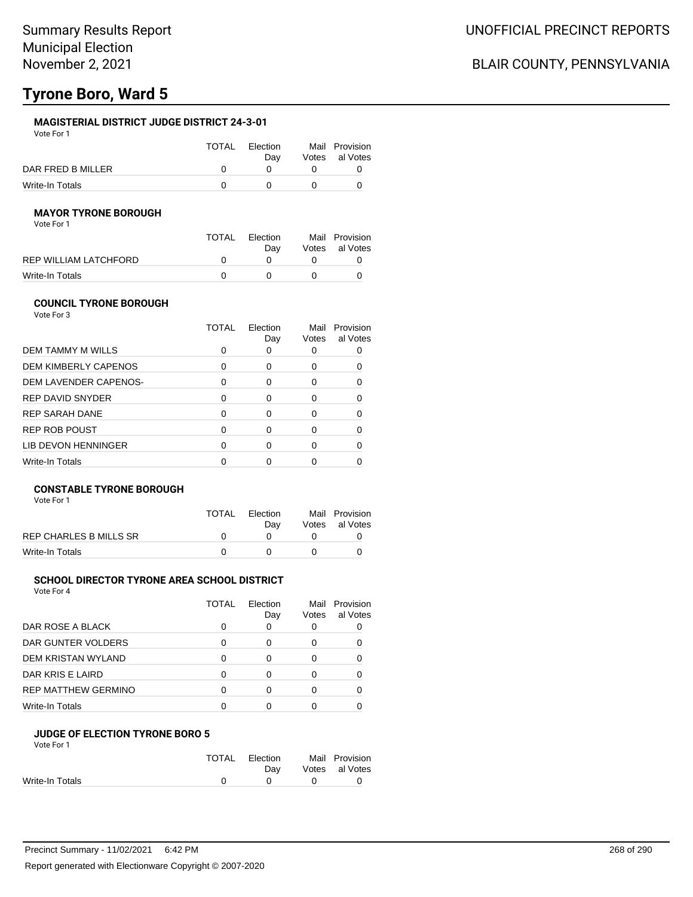### **MAGISTERIAL DISTRICT JUDGE DISTRICT 24-3-01**

Vote For 1

|                   | <b>TOTAL</b> | Election<br>Dav | Mail Provision<br>Votes al Votes |
|-------------------|--------------|-----------------|----------------------------------|
| DAR FRED B MILLER |              |                 |                                  |
| Write-In Totals   |              |                 |                                  |

#### **MAYOR TYRONE BOROUGH**

Vote For 1

|                       | TOTAL | Election | Mail Provision |
|-----------------------|-------|----------|----------------|
|                       |       | Dav      | Votes al Votes |
| REP WILLIAM LATCHFORD |       |          |                |
| Write-In Totals       |       |          |                |

#### **COUNCIL TYRONE BOROUGH**

| Vote For 3                  |              |                 |               |                       |
|-----------------------------|--------------|-----------------|---------------|-----------------------|
|                             | <b>TOTAL</b> | Election<br>Day | Mail<br>Votes | Provision<br>al Votes |
| DEM TAMMY M WILLS           |              |                 | 0             |                       |
| <b>DEM KIMBERLY CAPENOS</b> | ∩            | ∩               | 0             |                       |
| DEM LAVENDER CAPENOS-       | ŋ            | 0               | 0             | 0                     |
| <b>REP DAVID SNYDER</b>     | O            | ∩               | 0             |                       |
| <b>REP SARAH DANE</b>       | O            | ∩               | 0             |                       |
| <b>REP ROB POUST</b>        |              |                 | ∩             |                       |
| LIB DEVON HENNINGER         | O            | ∩               | 0             |                       |
| Write-In Totals             |              |                 |               |                       |

#### **CONSTABLE TYRONE BOROUGH**

Vote For 1

|                               | <b>TOTAL</b> | Election<br>Dav | Mail Provision<br>Votes al Votes |
|-------------------------------|--------------|-----------------|----------------------------------|
| <b>REP CHARLES B MILLS SR</b> |              |                 |                                  |
| Write-In Totals               |              |                 |                                  |

#### **SCHOOL DIRECTOR TYRONE AREA SCHOOL DISTRICT**

Vote For 4

|                            | TOTAL | Election<br>Day | Mail<br>Votes | Provision<br>al Votes |
|----------------------------|-------|-----------------|---------------|-----------------------|
| DAR ROSE A BLACK           | 0     | O               |               |                       |
| DAR GUNTER VOLDERS         | 0     | 0               |               |                       |
| <b>DEM KRISTAN WYLAND</b>  | 0     | 0               |               |                       |
| DAR KRIS E LAIRD           | ∩     | Ω               |               |                       |
| <b>REP MATTHEW GERMINO</b> | ∩     | Ω               |               |                       |
| Write-In Totals            | ŋ     |                 |               |                       |

#### **JUDGE OF ELECTION TYRONE BORO 5** Vote For 1

|                 | TOTAL | Election     |        | Mail Provision |
|-----------------|-------|--------------|--------|----------------|
|                 |       | Dav          |        | Votes al Votes |
| Write-In Totals |       | $\mathsf{n}$ | $\cap$ |                |
|                 |       |              |        |                |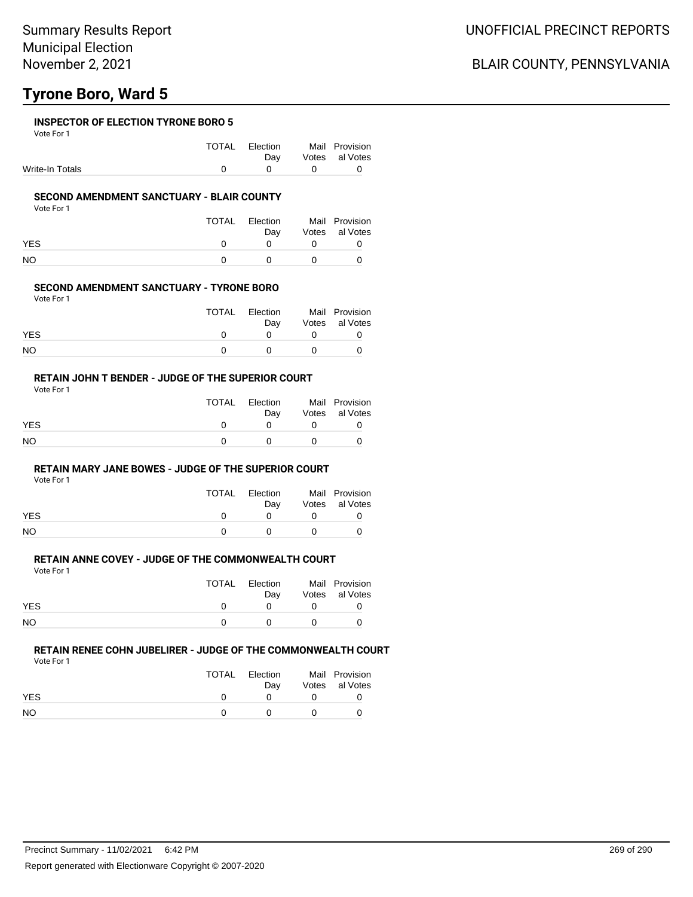#### **INSPECTOR OF ELECTION TYRONE BORO 5**

Vote For 1

|                 | TOTAL Election                                   | Mail Provision     |
|-----------------|--------------------------------------------------|--------------------|
|                 |                                                  | Day Votes al Votes |
| Write-In Totals | $\begin{array}{ccccccc}\n0 & 0 & 0\n\end{array}$ |                    |

#### **SECOND AMENDMENT SANCTUARY - BLAIR COUNTY**

Vote For 1

|            | <b>TOTAL</b> | Election<br>Dav | Mail Provision<br>Votes al Votes |
|------------|--------------|-----------------|----------------------------------|
| <b>YES</b> |              |                 |                                  |
| <b>NO</b>  |              |                 |                                  |

#### **SECOND AMENDMENT SANCTUARY - TYRONE BORO**

Vote For 1

|            | <b>TOTAL</b> | Election | Mail Provision |
|------------|--------------|----------|----------------|
|            |              | Dav      | Votes al Votes |
| <b>YES</b> |              |          |                |
| NO         |              |          |                |

#### **RETAIN JOHN T BENDER - JUDGE OF THE SUPERIOR COURT** Vote For 1

|            | TOTAL | Election<br>Dav | Mail Provision<br>Votes al Votes |
|------------|-------|-----------------|----------------------------------|
| <b>YES</b> |       |                 |                                  |
| NO         |       |                 |                                  |

#### **RETAIN MARY JANE BOWES - JUDGE OF THE SUPERIOR COURT**

Vote For 1

|            | TOTAL       | Election<br>Day | Mail Provision<br>Votes al Votes |
|------------|-------------|-----------------|----------------------------------|
| <b>YES</b> | $^{\prime}$ | <sup>n</sup>    |                                  |
| NO         | $^{\prime}$ | n               |                                  |

## **RETAIN ANNE COVEY - JUDGE OF THE COMMONWEALTH COURT**

Vote For 1

|            | TOTAL | Election | Mail Provision |
|------------|-------|----------|----------------|
|            |       | Dav      | Votes al Votes |
| <b>YES</b> |       |          |                |
| NO.        |       |          |                |

## **RETAIN RENEE COHN JUBELIRER - JUDGE OF THE COMMONWEALTH COURT**

Vote For 1

|            | TOTAL | Election<br>Dav | Mail Provision<br>Votes al Votes |
|------------|-------|-----------------|----------------------------------|
| <b>YES</b> |       |                 |                                  |
| NO.        |       | $^{\circ}$      |                                  |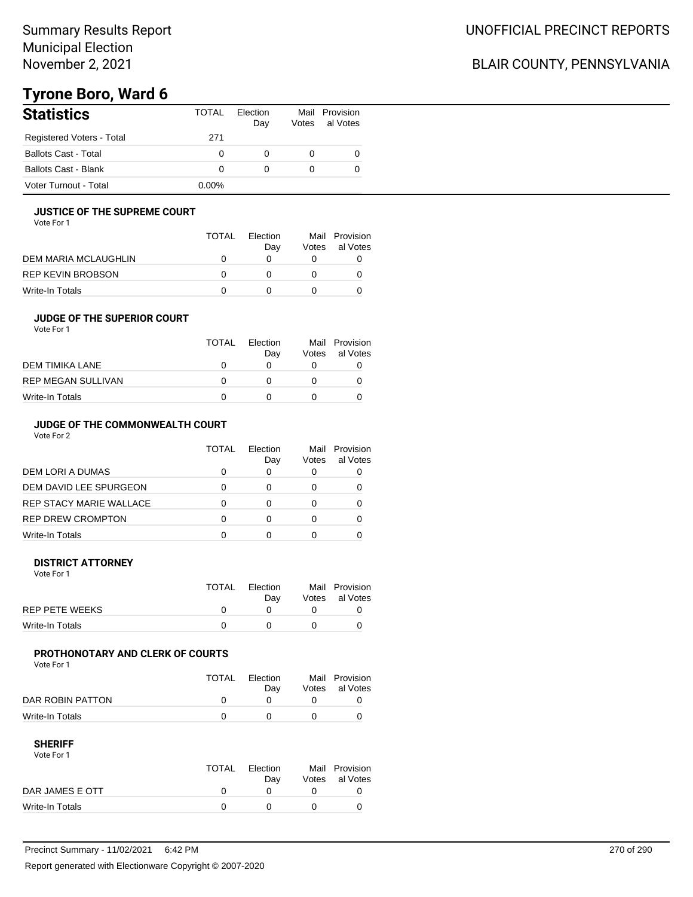## BLAIR COUNTY, PENNSYLVANIA

# **Tyrone Boro, Ward 6**

| <b>Statistics</b>           | TOTAL    | Flection<br>Dav | Mail<br>Votes | Provision<br>al Votes |
|-----------------------------|----------|-----------------|---------------|-----------------------|
| Registered Voters - Total   | 271      |                 |               |                       |
| Ballots Cast - Total        | 0        |                 |               |                       |
| <b>Ballots Cast - Blank</b> | 0        |                 |               |                       |
| Voter Turnout - Total       | $0.00\%$ |                 |               |                       |

#### **JUSTICE OF THE SUPREME COURT**

Vote For 1

|                      | TOTAL | Election<br>Dav | Votes | Mail Provision<br>al Votes |
|----------------------|-------|-----------------|-------|----------------------------|
| DEM MARIA MCLAUGHLIN |       |                 |       |                            |
| REP KEVIN BROBSON    |       |                 |       |                            |
| Write-In Totals      |       |                 |       |                            |

#### **JUDGE OF THE SUPERIOR COURT**

| Vote For 1 |  |  |
|------------|--|--|
|            |  |  |

|                           | <b>TOTAL</b> | Election |       | Mail Provision |
|---------------------------|--------------|----------|-------|----------------|
|                           |              | Dav      | Votes | al Votes       |
| DEM TIMIKA LANE           |              |          |       |                |
| <b>REP MEGAN SULLIVAN</b> |              |          |       |                |
| Write-In Totals           |              |          |       |                |
|                           |              |          |       |                |

### **JUDGE OF THE COMMONWEALTH COURT**

Vote For 2

|                                | TOTAL | Flection<br>Day | Mail<br>Votes | Provision<br>al Votes |
|--------------------------------|-------|-----------------|---------------|-----------------------|
| DEM LORI A DUMAS               |       |                 |               |                       |
| DEM DAVID LEE SPURGEON         |       |                 |               |                       |
| <b>REP STACY MARIE WALLACE</b> |       |                 |               |                       |
| <b>REP DREW CROMPTON</b>       |       |                 |               |                       |
| Write-In Totals                |       |                 |               |                       |

#### **DISTRICT ATTORNEY**

| Vote For 1            |              |                 |                                  |
|-----------------------|--------------|-----------------|----------------------------------|
|                       | <b>TOTAL</b> | Election<br>Dav | Mail Provision<br>Votes al Votes |
| <b>REP PETE WEEKS</b> |              |                 |                                  |
| Write-In Totals       |              |                 |                                  |

### **PROTHONOTARY AND CLERK OF COURTS**

Vote For 1

|                  | <b>TOTAL</b> | Election<br>Dav | Mail Provision<br>Votes al Votes |
|------------------|--------------|-----------------|----------------------------------|
| DAR ROBIN PATTON |              |                 |                                  |
| Write-In Totals  |              |                 |                                  |

| Vote For 1      |       |          |                |
|-----------------|-------|----------|----------------|
|                 | TOTAL | Election | Mail Provision |
|                 |       | Dav      | Votes al Votes |
| DAR JAMES E OTT |       |          |                |
| Write-In Totals |       |          |                |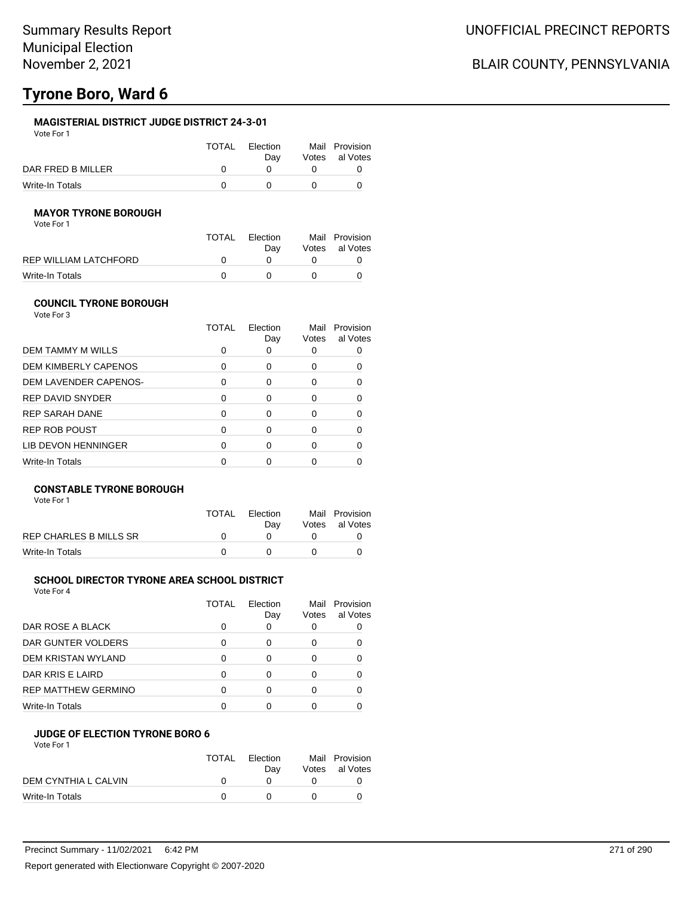### **MAGISTERIAL DISTRICT JUDGE DISTRICT 24-3-01**

Vote For 1

|                   | TOTAL | <b>Flection</b> | Mail Provision |
|-------------------|-------|-----------------|----------------|
|                   |       | Dav             | Votes al Votes |
| DAR FRED B MILLER |       |                 |                |
| Write-In Totals   |       |                 |                |

#### **MAYOR TYRONE BOROUGH**

Vote For 1

|                       | TOTAL | Election | Mail Provision |
|-----------------------|-------|----------|----------------|
|                       |       | Dav      | Votes al Votes |
| REP WILLIAM LATCHFORD |       |          |                |
| Write-In Totals       |       |          |                |

#### **COUNCIL TYRONE BOROUGH** Vote For 3

|                         | TOTAL | Election<br>Day | Mail<br>Votes | Provision<br>al Votes |
|-------------------------|-------|-----------------|---------------|-----------------------|
| DEM TAMMY M WILLS       |       |                 | 0             |                       |
| DEM KIMBERLY CAPENOS    | 0     | 0               | 0             |                       |
| DEM LAVENDER CAPENOS-   | ∩     | <sup>0</sup>    | O             |                       |
| <b>REP DAVID SNYDER</b> | ∩     | ∩               | O             |                       |
| <b>REP SARAH DANE</b>   | ∩     | ∩               | O             |                       |
| <b>REP ROB POUST</b>    |       | ∩               | ŋ             |                       |
| LIB DEVON HENNINGER     |       | ∩               | O             |                       |
| Write-In Totals         |       |                 |               |                       |

#### **CONSTABLE TYRONE BOROUGH**

Vote For 1

|                        | <b>TOTAL</b> | Election<br>Dav | Mail Provision<br>Votes al Votes |
|------------------------|--------------|-----------------|----------------------------------|
| REP CHARLES B MILLS SR |              |                 |                                  |
| Write-In Totals        |              |                 |                                  |

#### **SCHOOL DIRECTOR TYRONE AREA SCHOOL DISTRICT**

Vote For 4

|                            | TOTAL | Election<br>Day | Votes | Mail Provision<br>al Votes |
|----------------------------|-------|-----------------|-------|----------------------------|
| DAR ROSE A BLACK           | 0     | 0               |       |                            |
| DAR GUNTER VOLDERS         | 0     | Ω               |       |                            |
| DEM KRISTAN WYLAND         | 0     | Ω               |       |                            |
| DAR KRIS E LAIRD           | ∩     | O               |       |                            |
| <b>REP MATTHEW GERMINO</b> | n     |                 |       |                            |
| <b>Write-In Totals</b>     |       |                 |       |                            |

#### **JUDGE OF ELECTION TYRONE BORO 6** Vote For 1

|                      | <b>TOTAL</b> | Election<br>Dav | Mail Provision<br>Votes al Votes |
|----------------------|--------------|-----------------|----------------------------------|
| DEM CYNTHIA L CALVIN |              |                 |                                  |
| Write-In Totals      |              |                 |                                  |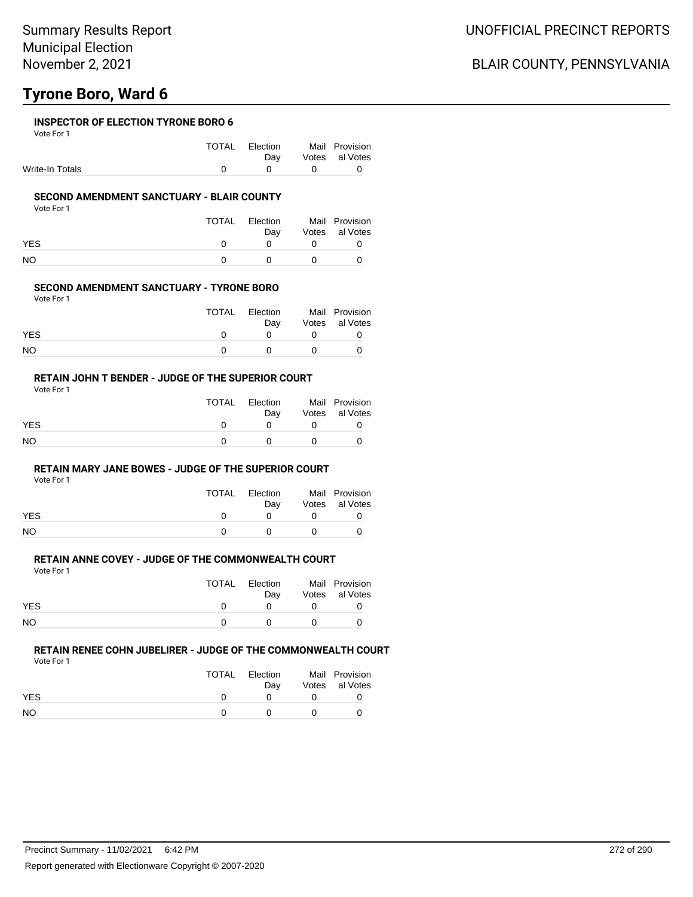#### **INSPECTOR OF ELECTION TYRONE BORO 6**

Vote For 1

|                 | TOTAL Election                | Mail Provision     |
|-----------------|-------------------------------|--------------------|
|                 |                               | Day Votes al Votes |
| Write-In Totals | $\overline{0}$ $\overline{0}$ |                    |

#### **SECOND AMENDMENT SANCTUARY - BLAIR COUNTY**

Vote For 1

|            | <b>TOTAL</b> | Election<br>Dav | Mail Provision<br>Votes al Votes |
|------------|--------------|-----------------|----------------------------------|
| <b>YES</b> |              |                 |                                  |
| <b>NO</b>  |              |                 |                                  |

#### **SECOND AMENDMENT SANCTUARY - TYRONE BORO**

Vote For 1

|            | <b>TOTAL</b> | Election | Mail Provision |
|------------|--------------|----------|----------------|
|            |              | Dav      | Votes al Votes |
| <b>YES</b> |              |          |                |
| NO         |              |          |                |

#### **RETAIN JOHN T BENDER - JUDGE OF THE SUPERIOR COURT** Vote For 1

|            | TOTAL | Election<br>Dav | Mail Provision<br>Votes al Votes |
|------------|-------|-----------------|----------------------------------|
| <b>YES</b> |       |                 |                                  |
| NO         |       |                 |                                  |

### **RETAIN MARY JANE BOWES - JUDGE OF THE SUPERIOR COURT**

Vote For 1

|            | TOTAL       | Election<br>Dav | Mail Provision<br>Votes al Votes |
|------------|-------------|-----------------|----------------------------------|
| <b>YES</b> | $^{\prime}$ | <sup>n</sup>    |                                  |
| NO         | $^{\prime}$ | n               |                                  |

## **RETAIN ANNE COVEY - JUDGE OF THE COMMONWEALTH COURT**

Vote For 1

|            | <b>TOTAL</b> | Election | Mail Provision |
|------------|--------------|----------|----------------|
|            |              | Dav      | Votes al Votes |
| <b>YES</b> |              |          |                |
| NO.        |              |          |                |

## **RETAIN RENEE COHN JUBELIRER - JUDGE OF THE COMMONWEALTH COURT**

Vote For 1

|           | TOTAL | Election<br>Dav | Mail Provision<br>Votes al Votes |
|-----------|-------|-----------------|----------------------------------|
| YES       |       |                 |                                  |
| <b>NO</b> |       |                 |                                  |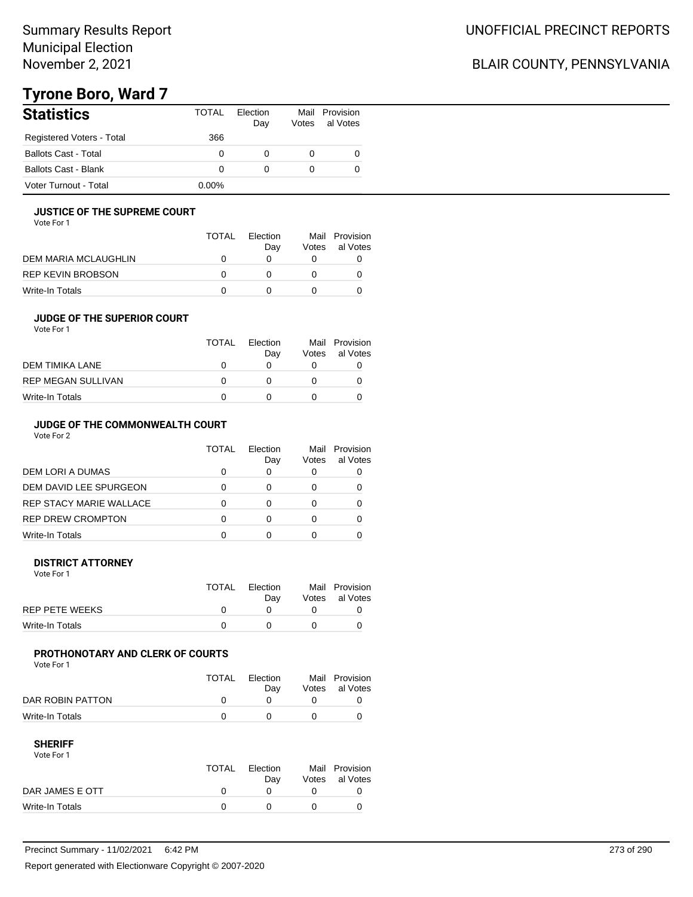## BLAIR COUNTY, PENNSYLVANIA

# **Tyrone Boro, Ward 7**

| <b>Statistics</b>           | TOTAL    | Flection<br>Day | Votes | Mail Provision<br>al Votes |
|-----------------------------|----------|-----------------|-------|----------------------------|
| Registered Voters - Total   | 366      |                 |       |                            |
| <b>Ballots Cast - Total</b> | 0        |                 |       |                            |
| <b>Ballots Cast - Blank</b> | 0        |                 |       |                            |
| Voter Turnout - Total       | $0.00\%$ |                 |       |                            |

#### **JUSTICE OF THE SUPREME COURT**

Vote For 1

|                      | TOTAL | Election<br>Dav | Votes | Mail Provision<br>al Votes |
|----------------------|-------|-----------------|-------|----------------------------|
| DEM MARIA MCLAUGHLIN |       |                 |       |                            |
| REP KEVIN BROBSON    |       |                 |       |                            |
| Write-In Totals      |       |                 |       |                            |

#### **JUDGE OF THE SUPERIOR COURT**

| Vote For 1 |  |  |
|------------|--|--|
|            |  |  |

|                    | <b>TOTAL</b> | Election<br>Day | Votes | Mail Provision<br>al Votes |
|--------------------|--------------|-----------------|-------|----------------------------|
| DEM TIMIKA LANE    | $\mathbf{I}$ |                 |       |                            |
| REP MEGAN SULLIVAN | $\mathbf{U}$ |                 |       |                            |
| Write-In Totals    |              |                 |       |                            |
|                    |              |                 |       |                            |

### **JUDGE OF THE COMMONWEALTH COURT**

Vote For 2

|                                | TOTAL | Flection<br>Day | Votes | Mail Provision<br>al Votes |
|--------------------------------|-------|-----------------|-------|----------------------------|
| DEM LORI A DUMAS               |       |                 |       |                            |
| DEM DAVID LEE SPURGEON         |       |                 |       |                            |
| <b>REP STACY MARIE WALLACE</b> |       |                 |       |                            |
| <b>REP DREW CROMPTON</b>       |       |                 |       |                            |
| Write-In Totals                |       |                 |       |                            |

#### **DISTRICT ATTORNEY**

| Vote For 1      |       |                 |                                  |
|-----------------|-------|-----------------|----------------------------------|
|                 | TOTAL | Election<br>Dav | Mail Provision<br>Votes al Votes |
| REP PETE WEEKS  |       |                 |                                  |
| Write-In Totals |       |                 |                                  |

### **PROTHONOTARY AND CLERK OF COURTS**

Vote For 1

|                  | <b>TOTAL</b> | Election<br>Dav | Mail Provision<br>Votes al Votes |
|------------------|--------------|-----------------|----------------------------------|
| DAR ROBIN PATTON |              |                 |                                  |
| Write-In Totals  |              |                 |                                  |

| Vote For 1      |       |          |                |
|-----------------|-------|----------|----------------|
|                 | TOTAL | Election | Mail Provision |
|                 |       | Dav      | Votes al Votes |
| DAR JAMES E OTT |       |          |                |
| Write-In Totals |       |          |                |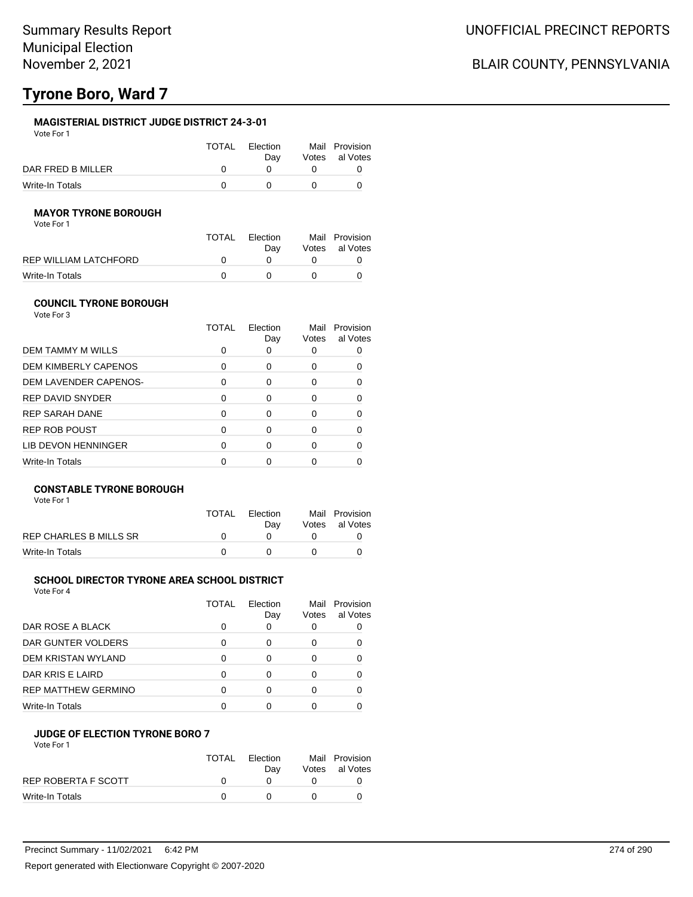### **MAGISTERIAL DISTRICT JUDGE DISTRICT 24-3-01**

Vote For 1

|                   | TOTAL | <b>Flection</b> | Mail Provision |
|-------------------|-------|-----------------|----------------|
|                   |       | Dav             | Votes al Votes |
| DAR FRED B MILLER |       |                 |                |
| Write-In Totals   |       |                 |                |

#### **MAYOR TYRONE BOROUGH**

Vote For 1

|                       | TOTAL | Election | Mail Provision |
|-----------------------|-------|----------|----------------|
|                       |       | Dav      | Votes al Votes |
| REP WILLIAM LATCHFORD |       |          |                |
| Write-In Totals       |       |          |                |

#### **COUNCIL TYRONE BOROUGH** Vote For 3

|                         | TOTAL | Election<br>Day | Mail<br>Votes | Provision<br>al Votes |
|-------------------------|-------|-----------------|---------------|-----------------------|
| DEM TAMMY M WILLS       |       |                 |               |                       |
| DEM KIMBERLY CAPENOS    | O     | 0               | 0             |                       |
| DEM LAVENDER CAPENOS-   | O     | ∩               | O             |                       |
| <b>REP DAVID SNYDER</b> | O     | ∩               |               |                       |
| <b>REP SARAH DANE</b>   |       | ∩               | O             |                       |
| <b>REP ROB POUST</b>    |       | ∩               | O             |                       |
| LIB DEVON HENNINGER     |       | ∩               | O             |                       |
| Write-In Totals         |       |                 |               |                       |

### **CONSTABLE TYRONE BOROUGH**

Vote For 1

|                        | <b>TOTAL</b> | Election<br>Dav | Mail Provision<br>Votes al Votes |
|------------------------|--------------|-----------------|----------------------------------|
| REP CHARLES B MILLS SR |              |                 |                                  |
| Write-In Totals        |              |                 |                                  |

#### **SCHOOL DIRECTOR TYRONE AREA SCHOOL DISTRICT**

Vote For 4

|                            | TOTAL | Election<br>Day | Votes | Mail Provision<br>al Votes |
|----------------------------|-------|-----------------|-------|----------------------------|
| DAR ROSE A BLACK           | 0     | 0               |       |                            |
| DAR GUNTER VOLDERS         | 0     | Ω               |       |                            |
| DEM KRISTAN WYLAND         | 0     | Ω               |       |                            |
| DAR KRIS E LAIRD           | ∩     | O               |       |                            |
| <b>REP MATTHEW GERMINO</b> | n     |                 |       |                            |
| <b>Write-In Totals</b>     |       |                 |       |                            |

#### **JUDGE OF ELECTION TYRONE BORO 7** Vote For 1

|                     | TOTAL | Election<br>Dav | Mail Provision<br>Votes al Votes |
|---------------------|-------|-----------------|----------------------------------|
| REP ROBERTA F SCOTT |       |                 |                                  |
| Write-In Totals     |       |                 |                                  |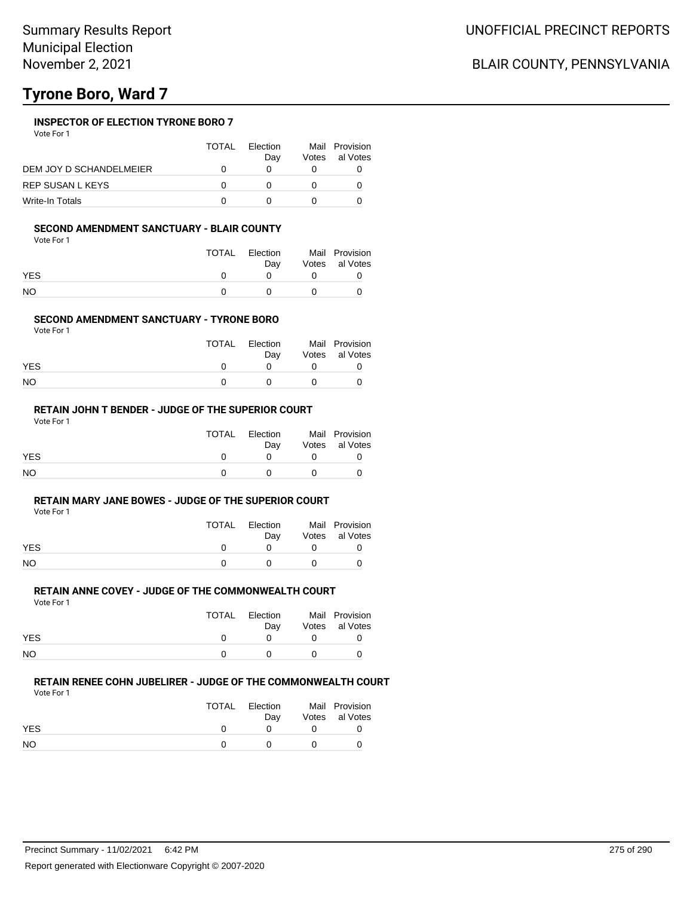#### **INSPECTOR OF ELECTION TYRONE BORO 7**

Vote For 1

|                         | <b>TOTAL</b> | Election<br>Dav | Votes | Mail Provision<br>al Votes |
|-------------------------|--------------|-----------------|-------|----------------------------|
| DEM JOY D SCHANDELMEIER |              |                 |       |                            |
| REP SUSAN L KEYS        |              |                 |       |                            |
| Write-In Totals         |              |                 |       |                            |

#### **SECOND AMENDMENT SANCTUARY - BLAIR COUNTY**

Vote For 1

|            | TOTAL | Election<br>Dav | Mail Provision<br>Votes al Votes |
|------------|-------|-----------------|----------------------------------|
| <b>YES</b> |       |                 |                                  |
| NO         |       |                 |                                  |

#### **SECOND AMENDMENT SANCTUARY - TYRONE BORO**

Vote For 1

|            | TOTAL | Election<br>Dav | Mail Provision<br>Votes al Votes |
|------------|-------|-----------------|----------------------------------|
| <b>YES</b> |       |                 |                                  |
| <b>NO</b>  |       |                 |                                  |

#### **RETAIN JOHN T BENDER - JUDGE OF THE SUPERIOR COURT**

Vote For 1

|            | TOTAL | Election<br>Dav | Mail Provision<br>Votes al Votes |
|------------|-------|-----------------|----------------------------------|
| <b>YES</b> |       |                 |                                  |
| <b>NO</b>  |       |                 |                                  |

#### **RETAIN MARY JANE BOWES - JUDGE OF THE SUPERIOR COURT**

Vote For 1

|            | TOTAL | Election<br>Dav | Mail Provision<br>Votes al Votes |
|------------|-------|-----------------|----------------------------------|
| <b>YES</b> |       |                 |                                  |
| <b>NO</b>  |       |                 |                                  |

#### **RETAIN ANNE COVEY - JUDGE OF THE COMMONWEALTH COURT**

Vote For 1

|            | <b>TOTAL</b> | Election    | Mail Provision |
|------------|--------------|-------------|----------------|
|            |              | Dav         | Votes al Votes |
| <b>YES</b> |              | $^{\prime}$ |                |
| <b>NO</b>  |              |             |                |

### **RETAIN RENEE COHN JUBELIRER - JUDGE OF THE COMMONWEALTH COURT**

Vote For 1

|                | TOTAL | Election<br>Dav | Mail Provision<br>Votes al Votes |
|----------------|-------|-----------------|----------------------------------|
| <b>YES</b>     |       |                 |                                  |
| N <sub>O</sub> |       |                 |                                  |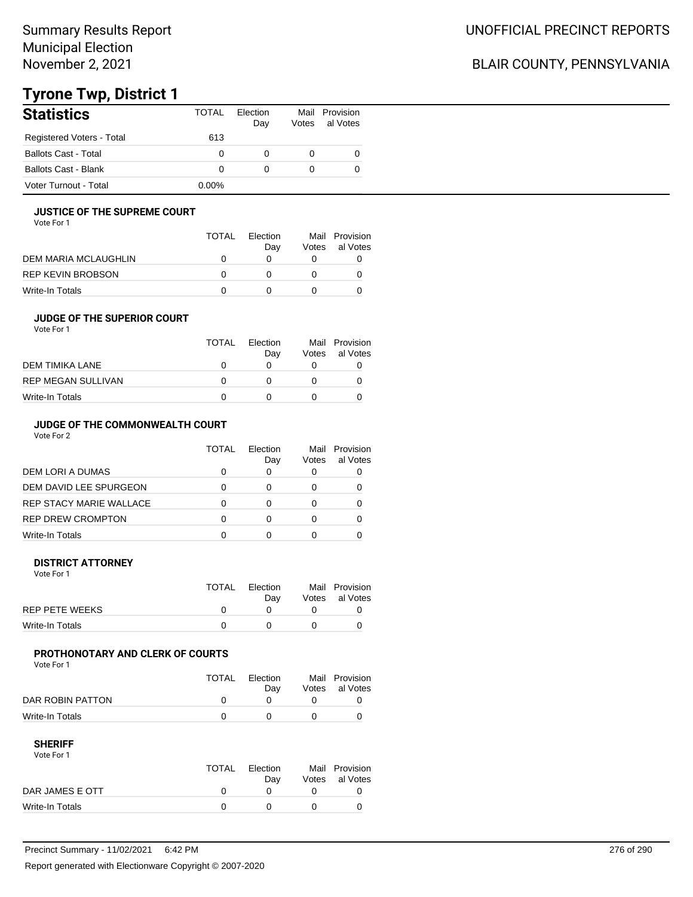## BLAIR COUNTY, PENNSYLVANIA

# **Tyrone Twp, District 1**

| <b>Statistics</b>           | TOTAL    | Flection<br>Day | Votes        | Mail Provision<br>al Votes |
|-----------------------------|----------|-----------------|--------------|----------------------------|
| Registered Voters - Total   | 613      |                 |              |                            |
| <b>Ballots Cast - Total</b> | 0        |                 | $\mathbf{0}$ |                            |
| <b>Ballots Cast - Blank</b> | $\Omega$ |                 | $\mathbf{0}$ |                            |
| Voter Turnout - Total       | $0.00\%$ |                 |              |                            |

#### **JUSTICE OF THE SUPREME COURT**

Vote For 1

|                      | <b>TOTAL</b> | Flection<br>Dav | Votes | Mail Provision<br>al Votes |
|----------------------|--------------|-----------------|-------|----------------------------|
| DEM MARIA MCLAUGHLIN |              |                 |       |                            |
| REP KEVIN BROBSON    | $\mathbf{I}$ |                 |       |                            |
| Write-In Totals      |              |                 |       |                            |

#### **JUDGE OF THE SUPERIOR COURT**

| Vote For 1 |  |  |
|------------|--|--|
|            |  |  |

|                           | <b>TOTAL</b> | Election |       | Mail Provision |
|---------------------------|--------------|----------|-------|----------------|
|                           |              | Dav      | Votes | al Votes       |
| DEM TIMIKA LANE           |              |          |       |                |
| <b>REP MEGAN SULLIVAN</b> |              |          |       |                |
| Write-In Totals           |              |          |       |                |
|                           |              |          |       |                |

### **JUDGE OF THE COMMONWEALTH COURT**

Vote For 2

|                                | TOTAL | Flection<br>Day | Votes | Mail Provision<br>al Votes |
|--------------------------------|-------|-----------------|-------|----------------------------|
| DEM LORI A DUMAS               |       |                 |       |                            |
| DEM DAVID LEE SPURGEON         |       |                 |       |                            |
| <b>REP STACY MARIE WALLACE</b> |       |                 |       |                            |
| <b>REP DREW CROMPTON</b>       |       |                 |       |                            |
| Write-In Totals                |       |                 |       |                            |

#### **DISTRICT ATTORNEY**

| Vote For 1      |       |                 |                                  |
|-----------------|-------|-----------------|----------------------------------|
|                 | TOTAL | Election<br>Dav | Mail Provision<br>Votes al Votes |
| REP PETE WEEKS  |       |                 |                                  |
| Write-In Totals |       |                 |                                  |

### **PROTHONOTARY AND CLERK OF COURTS**

Vote For 1

|                  | TOTAL | Election<br>Dav | Mail Provision<br>Votes al Votes |
|------------------|-------|-----------------|----------------------------------|
| DAR ROBIN PATTON |       |                 |                                  |
| Write-In Totals  |       |                 |                                  |

| Vote For 1      |       |          |                |
|-----------------|-------|----------|----------------|
|                 | TOTAL | Election | Mail Provision |
|                 |       | Dav      | Votes al Votes |
| DAR JAMES E OTT |       |          |                |
| Write-In Totals |       |          |                |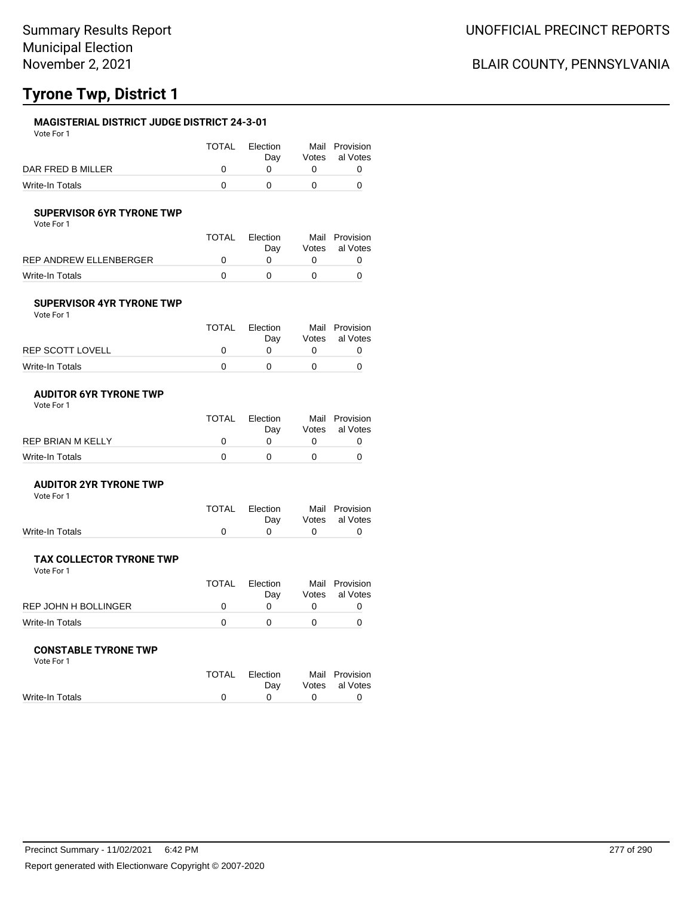# **Tyrone Twp, District 1**

### **MAGISTERIAL DISTRICT JUDGE DISTRICT 24-3-01**

Vote For 1

|                   | TOTAL | Election | Mail Provision |
|-------------------|-------|----------|----------------|
|                   |       | Dav      | Votes al Votes |
| DAR FRED B MILLER |       | $\Omega$ |                |
| Write-In Totals   |       |          |                |

#### **SUPERVISOR 6YR TYRONE TWP**

Vote For 1

| <b>TOTAL</b> | Election | Mail Provision |
|--------------|----------|----------------|
|              | Dav      | Votes al Votes |
|              |          |                |
|              |          |                |
|              |          |                |

#### **SUPERVISOR 4YR TYRONE TWP** Vote For 1

|                  | TOTAL | Election<br>Dav | Mail Provision<br>Votes al Votes |
|------------------|-------|-----------------|----------------------------------|
| REP SCOTT LOVELL |       |                 |                                  |
| Write-In Totals  |       |                 |                                  |

#### **AUDITOR 6YR TYRONE TWP** Vote For 1

| TOTAL | Election<br>Dav | Mail Provision<br>Votes al Votes |
|-------|-----------------|----------------------------------|
|       |                 |                                  |
|       |                 |                                  |
|       |                 |                                  |

#### **AUDITOR 2YR TYRONE TWP**

#### Vote For 1 TOTAL Election Day Mail Provision Votes al Votes Write-In Totals 0 0 0 0

#### **TAX COLLECTOR TYRONE TWP**

|                      | TOTAL | Flection | Mail Provision |
|----------------------|-------|----------|----------------|
|                      |       | Dav      | Votes al Votes |
| REP JOHN H BOLLINGER |       |          |                |
| Write-In Totals      |       |          |                |

#### **CONSTABLE TYRONE TWP**

Vote For 1

Vote For 1

|                 | TOTAL Election |                                   | Mail Provision     |
|-----------------|----------------|-----------------------------------|--------------------|
|                 |                |                                   | Day Votes al Votes |
| Write-In Totals |                | $\mathfrak{a}$ and $\mathfrak{a}$ |                    |
|                 |                |                                   |                    |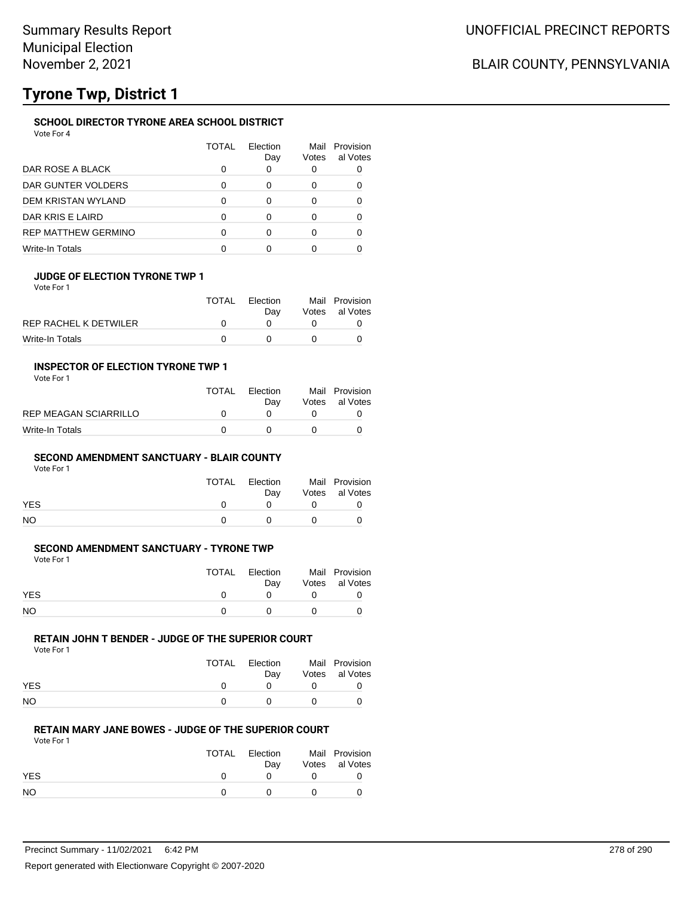### UNOFFICIAL PRECINCT REPORTS

### BLAIR COUNTY, PENNSYLVANIA

# **Tyrone Twp, District 1**

### **SCHOOL DIRECTOR TYRONE AREA SCHOOL DISTRICT**

Vote For 4

|                            | TOTAL | Flection<br>Day | Mail<br>Votes | Provision<br>al Votes |
|----------------------------|-------|-----------------|---------------|-----------------------|
| DAR ROSE A BLACK           |       |                 | 0             |                       |
| DAR GUNTER VOLDERS         | ∩     |                 |               |                       |
| DEM KRISTAN WYLAND         | ∩     | ∩               |               |                       |
| DAR KRIS E LAIRD           | ∩     |                 | O             |                       |
| <b>REP MATTHEW GERMINO</b> |       |                 | O             |                       |
| Write-In Totals            |       |                 |               |                       |

### **JUDGE OF ELECTION TYRONE TWP 1**

Vote For 1

|                       | TOTAL | Election | Mail Provision |
|-----------------------|-------|----------|----------------|
|                       |       | Dav      | Votes al Votes |
| REP RACHEL K DETWILER |       |          |                |
| Write-In Totals       |       |          |                |

#### **INSPECTOR OF ELECTION TYRONE TWP 1**

Vote For 1

|                       | <b>TOTAL</b> | Election<br>Dav | Mail Provision<br>Votes al Votes |
|-----------------------|--------------|-----------------|----------------------------------|
| REP MEAGAN SCIARRILLO |              |                 |                                  |
| Write-In Totals       |              |                 |                                  |

#### **SECOND AMENDMENT SANCTUARY - BLAIR COUNTY**

Vote For 1

|            | TOTAL | Election<br>Dav | Mail Provision<br>Votes al Votes |
|------------|-------|-----------------|----------------------------------|
| <b>YES</b> |       |                 |                                  |
| NO.        |       | <sup>n</sup>    |                                  |

#### **SECOND AMENDMENT SANCTUARY - TYRONE TWP**

Vote For 1

|            | TOTAL | Election<br>Dav | Mail Provision<br>Votes al Votes |
|------------|-------|-----------------|----------------------------------|
| <b>YES</b> |       |                 |                                  |
| NO         |       |                 |                                  |

### **RETAIN JOHN T BENDER - JUDGE OF THE SUPERIOR COURT**

Vote For 1

|            | TOTAL | Election<br>Dav | Mail Provision<br>Votes al Votes |
|------------|-------|-----------------|----------------------------------|
| <b>YES</b> |       |                 |                                  |
| NO         |       |                 |                                  |

#### **RETAIN MARY JANE BOWES - JUDGE OF THE SUPERIOR COURT**

Vote For 1

|            | TOTAL | Election<br>Dav | Mail Provision<br>Votes al Votes |
|------------|-------|-----------------|----------------------------------|
| <b>YES</b> |       |                 |                                  |
| NO.        |       |                 |                                  |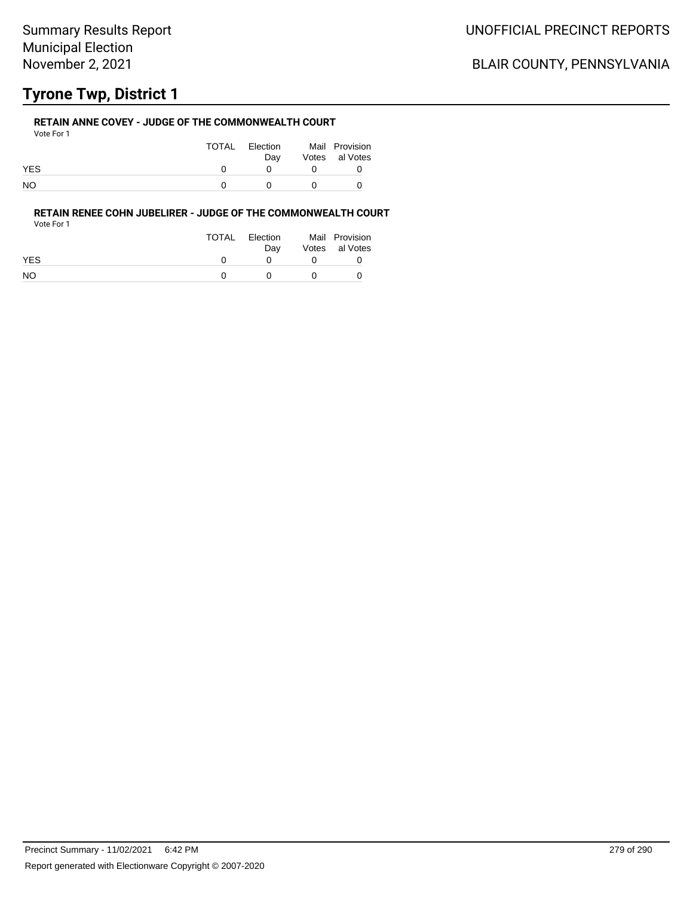## BLAIR COUNTY, PENNSYLVANIA

# **Tyrone Twp, District 1**

#### **RETAIN ANNE COVEY - JUDGE OF THE COMMONWEALTH COURT** Vote For 1

| VULTUII    |       |                 |                                  |
|------------|-------|-----------------|----------------------------------|
|            | TOTAL | Election<br>Dav | Mail Provision<br>Votes al Votes |
| <b>YES</b> |       |                 |                                  |
| NO.        |       |                 |                                  |

**RETAIN RENEE COHN JUBELIRER - JUDGE OF THE COMMONWEALTH COURT** Vote For 1

|           | <b>TOTAL</b> | Election | Mail Provision |
|-----------|--------------|----------|----------------|
|           |              | Dav      | Votes al Votes |
| YES       |              |          |                |
| <b>NO</b> |              |          |                |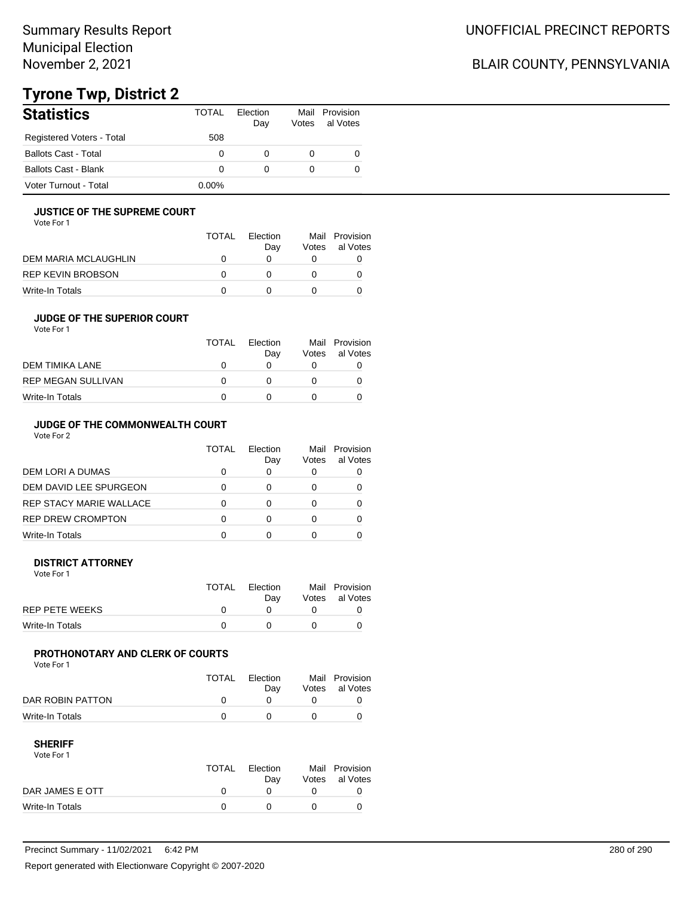## BLAIR COUNTY, PENNSYLVANIA

# **Tyrone Twp, District 2**

| <b>Statistics</b>           | TOTAL    | <b>Flection</b><br>Day | Votes | Mail Provision<br>al Votes |
|-----------------------------|----------|------------------------|-------|----------------------------|
| Registered Voters - Total   | 508      |                        |       |                            |
| <b>Ballots Cast - Total</b> | 0        |                        |       |                            |
| <b>Ballots Cast - Blank</b> | 0        |                        |       |                            |
| Voter Turnout - Total       | $0.00\%$ |                        |       |                            |

#### **JUSTICE OF THE SUPREME COURT**

Vote For 1

|                      | TOTAL | Election<br>Dav | Votes | Mail Provision<br>al Votes |
|----------------------|-------|-----------------|-------|----------------------------|
| DEM MARIA MCLAUGHLIN |       |                 |       |                            |
| REP KEVIN BROBSON    |       |                 |       |                            |
| Write-In Totals      |       |                 |       |                            |

#### **JUDGE OF THE SUPERIOR COURT**

| Vote For 1 |  |  |
|------------|--|--|
|            |  |  |

|                    | <b>TOTAL</b> | Election<br>Day | Votes | Mail Provision<br>al Votes |
|--------------------|--------------|-----------------|-------|----------------------------|
| DEM TIMIKA LANE    | $\mathbf{I}$ |                 |       |                            |
| REP MEGAN SULLIVAN | $\mathbf{U}$ |                 |       |                            |
| Write-In Totals    |              |                 |       |                            |
|                    |              |                 |       |                            |

### **JUDGE OF THE COMMONWEALTH COURT**

Vote For 2

|                                | TOTAL | Flection<br>Day | Votes | Mail Provision<br>al Votes |
|--------------------------------|-------|-----------------|-------|----------------------------|
| DEM LORI A DUMAS               |       |                 |       |                            |
| DEM DAVID LEE SPURGEON         |       |                 |       |                            |
| <b>REP STACY MARIE WALLACE</b> |       |                 |       |                            |
| <b>REP DREW CROMPTON</b>       |       |                 |       |                            |
| Write-In Totals                |       |                 |       |                            |

#### **DISTRICT ATTORNEY**

| Vote For 1      |       |                 |                                  |
|-----------------|-------|-----------------|----------------------------------|
|                 | TOTAL | Election<br>Dav | Mail Provision<br>Votes al Votes |
| REP PETE WEEKS  |       |                 |                                  |
| Write-In Totals |       |                 |                                  |

### **PROTHONOTARY AND CLERK OF COURTS**

Vote For 1

|                  | <b>TOTAL</b> | Election<br>Dav | Mail Provision<br>Votes al Votes |
|------------------|--------------|-----------------|----------------------------------|
| DAR ROBIN PATTON |              |                 |                                  |
| Write-In Totals  |              |                 |                                  |

| Vote For 1      |              |          |                |
|-----------------|--------------|----------|----------------|
|                 | <b>TOTAL</b> | Election | Mail Provision |
|                 |              | Dav      | Votes al Votes |
| DAR JAMES E OTT |              |          |                |
| Write-In Totals |              |          |                |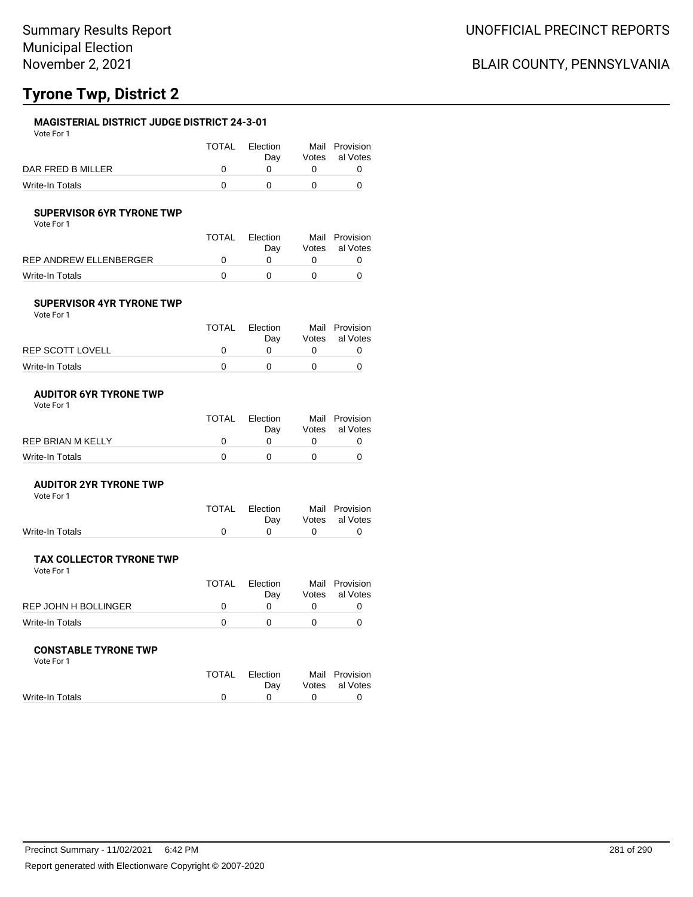# **Tyrone Twp, District 2**

### **MAGISTERIAL DISTRICT JUDGE DISTRICT 24-3-01**

Vote For 1

|                   | TOTAL | <b>Flection</b><br>Dav | Mail Provision<br>Votes al Votes |
|-------------------|-------|------------------------|----------------------------------|
| DAR FRED B MILLER |       |                        |                                  |
| Write-In Totals   |       |                        |                                  |

### **SUPERVISOR 6YR TYRONE TWP**

Vote For 1

|                        | <b>TOTAL</b> | Election<br>Dav | Mail Provision<br>Votes al Votes |
|------------------------|--------------|-----------------|----------------------------------|
| REP ANDREW ELLENBERGER |              |                 |                                  |
| Write-In Totals        |              |                 |                                  |

#### **SUPERVISOR 4YR TYRONE TWP** Vote For 1

| TOTAL | Election<br>Dav | Mail Provision<br>Votes al Votes |
|-------|-----------------|----------------------------------|
|       |                 |                                  |
|       |                 |                                  |
|       |                 |                                  |

#### **AUDITOR 6YR TYRONE TWP** Vote For 1

| 1 J J J J J J     |       |          |                |
|-------------------|-------|----------|----------------|
|                   | TOTAL | Election | Mail Provision |
|                   |       | Dav      | Votes al Votes |
| REP BRIAN M KELLY |       |          |                |
| Write-In Totals   |       |          |                |

#### **AUDITOR 2YR TYRONE TWP**

#### Vote For 1

|                 | TOTAL Election | Mail Provision<br>Day Votes al Votes |
|-----------------|----------------|--------------------------------------|
| Write-In Totals |                |                                      |

### **TAX COLLECTOR TYRONE TWP**

| Vote For 1           |              |                 |                                  |
|----------------------|--------------|-----------------|----------------------------------|
|                      | <b>TOTAL</b> | Election<br>Dav | Mail Provision<br>Votes al Votes |
| REP JOHN H BOLLINGER | $\mathbf{I}$ |                 |                                  |
| Write-In Totals      |              |                 |                                  |

#### **CONSTABLE TYRONE TWP**

Vote For 1

|                 | TOTAL Election<br>Dav | Mail Provision<br>Votes al Votes |
|-----------------|-----------------------|----------------------------------|
| Write-In Totals |                       |                                  |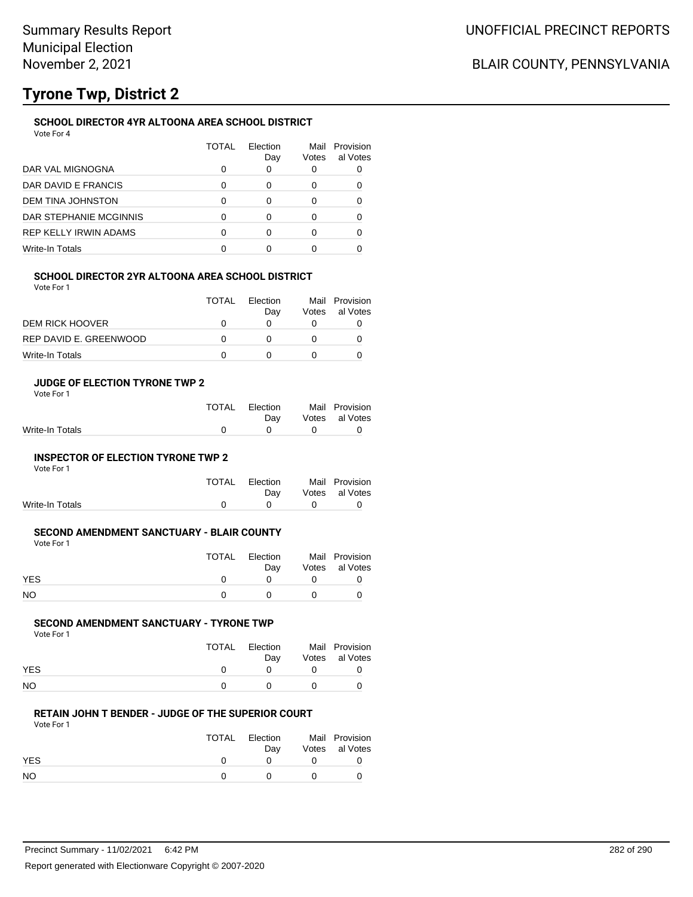### UNOFFICIAL PRECINCT REPORTS

### BLAIR COUNTY, PENNSYLVANIA

# **Tyrone Twp, District 2**

### **SCHOOL DIRECTOR 4YR ALTOONA AREA SCHOOL DISTRICT**

Vote For 4

|                        | TOTAL | Flection<br>Day | Mail<br>Votes | Provision<br>al Votes |
|------------------------|-------|-----------------|---------------|-----------------------|
| DAR VAL MIGNOGNA       |       |                 | 0             |                       |
| DAR DAVID E FRANCIS    | ∩     |                 |               |                       |
| DEM TINA JOHNSTON      | ∩     |                 |               |                       |
| DAR STEPHANIE MCGINNIS | ∩     | ∩               | O             |                       |
| REP KELLY IRWIN ADAMS  |       | ∩               | O             |                       |
| Write-In Totals        |       |                 |               |                       |

#### **SCHOOL DIRECTOR 2YR ALTOONA AREA SCHOOL DISTRICT**

Vote For 1

|                        | <b>TOTAL</b> | <b>Flection</b><br>Dav | Votes | Mail Provision<br>al Votes |
|------------------------|--------------|------------------------|-------|----------------------------|
| <b>DEM RICK HOOVER</b> |              |                        |       |                            |
| REP DAVID E. GREENWOOD |              |                        |       |                            |
| Write-In Totals        |              |                        |       |                            |

#### **JUDGE OF ELECTION TYRONE TWP 2**

Vote For 1

|                 | TOTAL Election | Mail Provision |
|-----------------|----------------|----------------|
|                 | Dav            | Votes al Votes |
| Write-In Totals |                |                |

#### **INSPECTOR OF ELECTION TYRONE TWP 2**

Vote For 1

|                 | TOTAL Election | Mail Provision |
|-----------------|----------------|----------------|
|                 | Dav            | Votes al Votes |
| Write-In Totals |                |                |

#### **SECOND AMENDMENT SANCTUARY - BLAIR COUNTY**

Vote For 1

|            | <b>TOTAL</b> | Election<br>Dav | Mail Provision<br>Votes al Votes |
|------------|--------------|-----------------|----------------------------------|
| <b>YES</b> |              |                 |                                  |
| <b>NO</b>  |              |                 |                                  |

#### **SECOND AMENDMENT SANCTUARY - TYRONE TWP**

Vote For 1

|     | TOTAL | Election<br>Dav | Mail Provision<br>Votes al Votes |
|-----|-------|-----------------|----------------------------------|
| YES |       |                 |                                  |
| NO  |       | $^{\circ}$      |                                  |

### **RETAIN JOHN T BENDER - JUDGE OF THE SUPERIOR COURT**

| Vote For 1 |  |  |
|------------|--|--|
|------------|--|--|

|            | TOTAL | Election<br>Dav | Mail Provision<br>Votes al Votes |
|------------|-------|-----------------|----------------------------------|
| <b>YES</b> |       |                 |                                  |
| <b>NO</b>  |       |                 |                                  |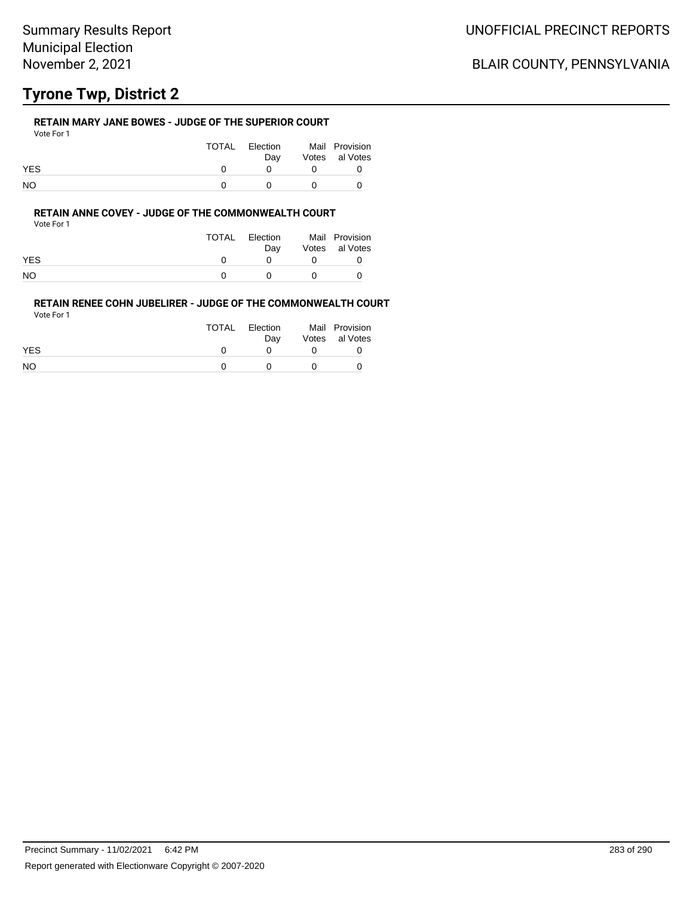## BLAIR COUNTY, PENNSYLVANIA

# **Tyrone Twp, District 2**

### **RETAIN MARY JANE BOWES - JUDGE OF THE SUPERIOR COURT**

Vote For 1

|            | TOTAL | Election<br>Dav | Mail Provision<br>Votes al Votes |
|------------|-------|-----------------|----------------------------------|
| <b>YES</b> |       |                 |                                  |
| NO         |       |                 |                                  |

#### **RETAIN ANNE COVEY - JUDGE OF THE COMMONWEALTH COURT** Vote For 1

|            | TOTAL | Election<br>Dav | Mail Provision<br>Votes al Votes |
|------------|-------|-----------------|----------------------------------|
| <b>YES</b> |       |                 |                                  |
| NO         |       |                 |                                  |

### **RETAIN RENEE COHN JUBELIRER - JUDGE OF THE COMMONWEALTH COURT**

Vote For 1

|            | <b>TOTAL</b> | Election<br>Dav | Mail Provision<br>Votes al Votes |
|------------|--------------|-----------------|----------------------------------|
| <b>YES</b> |              |                 |                                  |
| <b>NO</b>  |              |                 |                                  |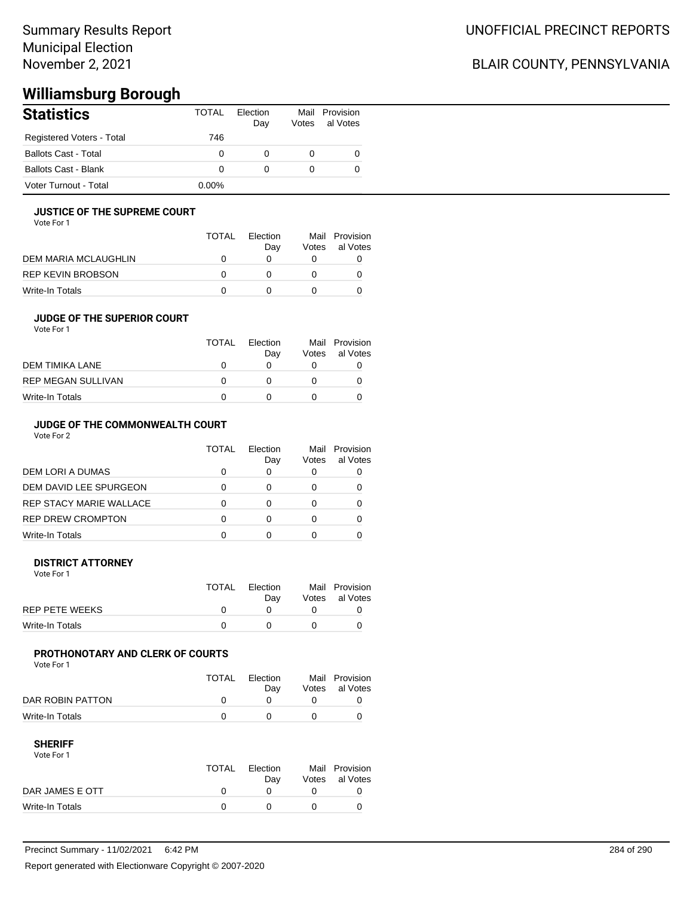## BLAIR COUNTY, PENNSYLVANIA

## **Williamsburg Borough**

| <b>Statistics</b>           | <b>TOTAL</b> | Flection<br>Day | Mail Provision<br>Votes al Votes |
|-----------------------------|--------------|-----------------|----------------------------------|
| Registered Voters - Total   | 746          |                 |                                  |
| <b>Ballots Cast - Total</b> | 0            | 0               | O                                |
| <b>Ballots Cast - Blank</b> | 0            | 0               |                                  |
| Voter Turnout - Total       | 0.00%        |                 |                                  |

#### **JUSTICE OF THE SUPREME COURT**

Vote For 1

|                      | TOTAL | Election<br>Dav | Votes | Mail Provision<br>al Votes |
|----------------------|-------|-----------------|-------|----------------------------|
| DEM MARIA MCLAUGHLIN |       |                 |       |                            |
| REP KEVIN BROBSON    |       |                 |       |                            |
| Write-In Totals      |       |                 |       |                            |

### **JUDGE OF THE SUPERIOR COURT**

| Vote For 1 |  |  |
|------------|--|--|
|            |  |  |

|                           | <b>TOTAL</b> | Election<br>Day | Votes | Mail Provision<br>al Votes |
|---------------------------|--------------|-----------------|-------|----------------------------|
| DEM TIMIKA LANE           |              |                 |       |                            |
| <b>REP MEGAN SULLIVAN</b> |              |                 |       |                            |
| Write-In Totals           |              |                 |       |                            |
|                           |              |                 |       |                            |

### **JUDGE OF THE COMMONWEALTH COURT**

Vote For 2

|                                | TOTAL | Flection<br>Day | Votes | Mail Provision<br>al Votes |
|--------------------------------|-------|-----------------|-------|----------------------------|
| DEM LORI A DUMAS               |       |                 |       |                            |
| DEM DAVID LEE SPURGEON         |       |                 |       |                            |
| <b>REP STACY MARIE WALLACE</b> |       |                 |       |                            |
| <b>REP DREW CROMPTON</b>       |       |                 |       |                            |
| Write-In Totals                |       |                 |       |                            |

#### **DISTRICT ATTORNEY**

| Vote For 1      |       |                 |                                  |
|-----------------|-------|-----------------|----------------------------------|
|                 | TOTAL | Election<br>Dav | Mail Provision<br>Votes al Votes |
| REP PETE WEEKS  |       |                 |                                  |
| Write-In Totals |       |                 |                                  |

### **PROTHONOTARY AND CLERK OF COURTS**

Vote For 1

|                  | <b>TOTAL</b> | Election<br>Dav | Mail Provision<br>Votes al Votes |
|------------------|--------------|-----------------|----------------------------------|
| DAR ROBIN PATTON |              |                 |                                  |
| Write-In Totals  |              |                 |                                  |

| Vote For 1      |       |          |                |
|-----------------|-------|----------|----------------|
|                 | TOTAL | Election | Mail Provision |
|                 |       | Dav      | Votes al Votes |
| DAR JAMES E OTT |       |          |                |
| Write-In Totals |       |          |                |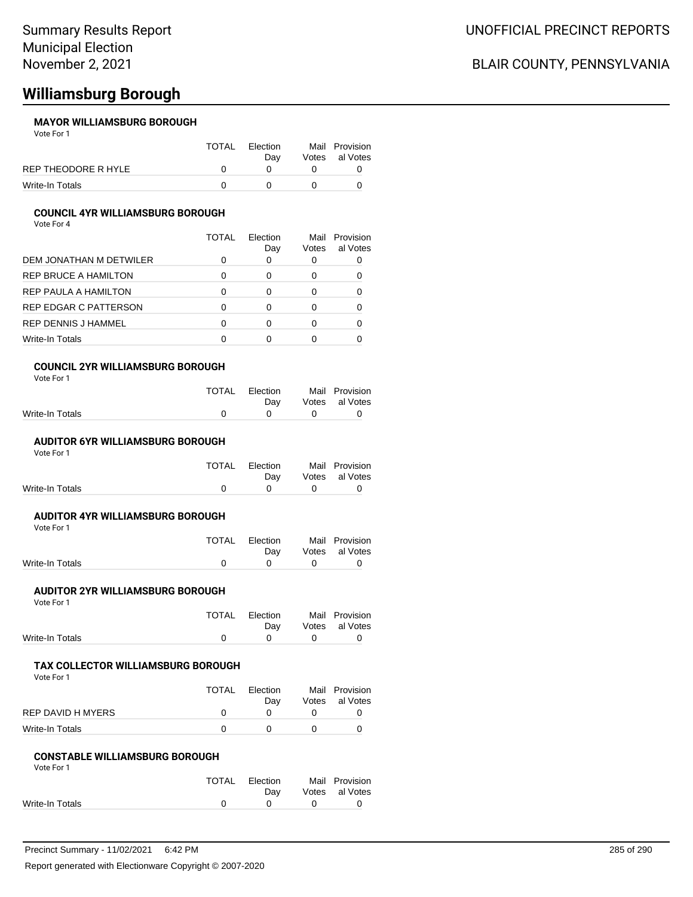## **Williamsburg Borough**

### **MAYOR WILLIAMSBURG BOROUGH**

Vote For 1

|                     | TOTAL | Election | Mail Provision |
|---------------------|-------|----------|----------------|
|                     |       | Dav      | Votes al Votes |
| REP THEODORE R HYLE |       |          |                |
| Write-In Totals     |       |          |                |

#### **COUNCIL 4YR WILLIAMSBURG BOROUGH**

Vote For 4

|                             | TOTAL | Election<br>Day | Mail<br>Votes | Provision<br>al Votes |
|-----------------------------|-------|-----------------|---------------|-----------------------|
| DEM JONATHAN M DETWILER     |       | O               |               |                       |
| <b>REP BRUCE A HAMILTON</b> | ∩     | 0               |               |                       |
| <b>REP PAULA A HAMILTON</b> |       | 0               |               |                       |
| REP EDGAR C PATTERSON       | O     | 0               |               |                       |
| <b>REP DENNIS J HAMMEL</b>  | ∩     | O               |               |                       |
| Write-In Totals             |       |                 |               |                       |

#### **COUNCIL 2YR WILLIAMSBURG BOROUGH**

Vote For 1

|                 | TOTAL Election | Mail Provision |
|-----------------|----------------|----------------|
|                 | Dav            | Votes al Votes |
| Write-In Totals | $\cap$ $\cap$  |                |

#### **AUDITOR 6YR WILLIAMSBURG BOROUGH**

Vote For 1

|                 | TOTAL Election                                                                                                                                                                                                                                                                                                                                                                                                                                                                                    | Mail Provision     |
|-----------------|---------------------------------------------------------------------------------------------------------------------------------------------------------------------------------------------------------------------------------------------------------------------------------------------------------------------------------------------------------------------------------------------------------------------------------------------------------------------------------------------------|--------------------|
|                 |                                                                                                                                                                                                                                                                                                                                                                                                                                                                                                   | Day Votes al Votes |
| Write-In Totals | $\begin{array}{ccc} & & & & & & \text{if } & \text{if } & \text{if } & \text{if } & \text{if } & \text{if } & \text{if } & \text{if } & \text{if } & \text{if } & \text{if } & \text{if } & \text{if } & \text{if } & \text{if } & \text{if } & \text{if } & \text{if } & \text{if } & \text{if } & \text{if } & \text{if } & \text{if } & \text{if } & \text{if } & \text{if } & \text{if } & \text{if } & \text{if } & \text{if } & \text{if } & \text{if } & \text{if } & \text{if } & \text{$ |                    |

#### **AUDITOR 4YR WILLIAMSBURG BOROUGH**

Vote For 1

|                 | TOTAL Election   | Mail Provision     |
|-----------------|------------------|--------------------|
|                 |                  | Day Votes al Votes |
| Write-In Totals | $\overline{0}$ 0 |                    |

#### **AUDITOR 2YR WILLIAMSBURG BOROUGH**

Vote For 1

|                 | TOTAL Election |                                            | Mail Provision     |
|-----------------|----------------|--------------------------------------------|--------------------|
|                 |                |                                            | Day Votes al Votes |
| Write-In Totals |                | $\begin{array}{ccc} 0 & 0 & 0 \end{array}$ |                    |

#### **TAX COLLECTOR WILLIAMSBURG BOROUGH**

Vote For 1

|                   | <b>TOTAL</b> | Election<br>Dav | Mail Provision<br>Votes al Votes |
|-------------------|--------------|-----------------|----------------------------------|
| REP DAVID H MYERS |              |                 |                                  |
| Write-In Totals   |              |                 |                                  |

#### **CONSTABLE WILLIAMSBURG BOROUGH** Vote For 1

| 1 J J J J J J   |                       |                                  |
|-----------------|-----------------------|----------------------------------|
|                 | TOTAL Election<br>Dav | Mail Provision<br>Votes al Votes |
| Write-In Totals | $^{\circ}$            | $\Omega$                         |
|                 |                       |                                  |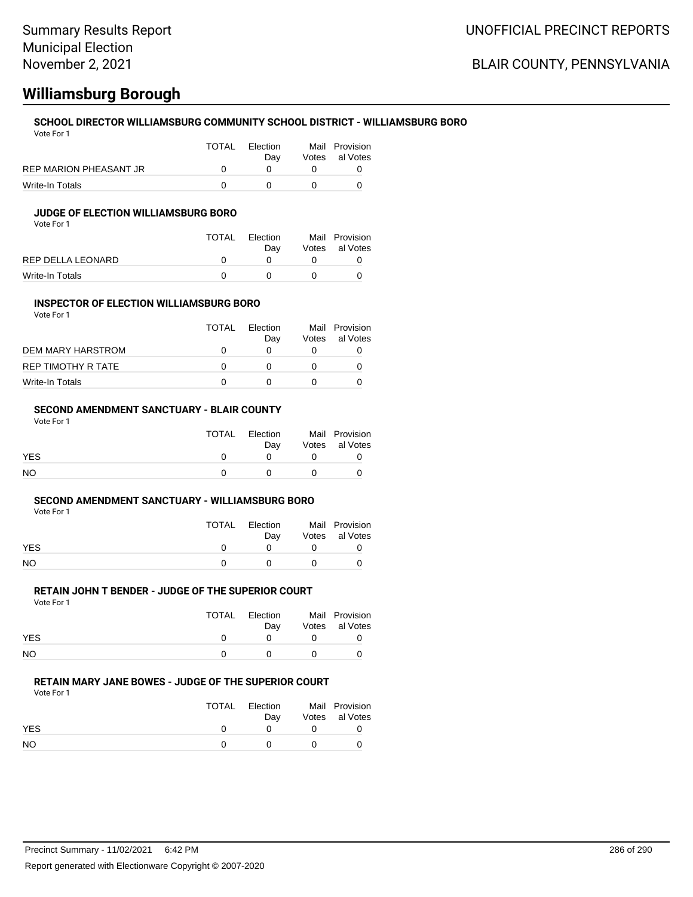### BLAIR COUNTY, PENNSYLVANIA

## **Williamsburg Borough**

### **SCHOOL DIRECTOR WILLIAMSBURG COMMUNITY SCHOOL DISTRICT - WILLIAMSBURG BORO**

Vote For 1

|                        | <b>TOTAL</b> | Election<br>Dav | Mail Provision<br>Votes al Votes |
|------------------------|--------------|-----------------|----------------------------------|
| REP MARION PHEASANT JR |              |                 |                                  |
| Write-In Totals        |              |                 |                                  |

#### **JUDGE OF ELECTION WILLIAMSBURG BORO**

Vote For 1

|                   | <b>TOTAL</b> | Election<br>Dav | Mail Provision<br>Votes al Votes |
|-------------------|--------------|-----------------|----------------------------------|
| REP DELLA LEONARD |              |                 |                                  |
| Write-In Totals   |              |                 |                                  |

#### **INSPECTOR OF ELECTION WILLIAMSBURG BORO**

Vote For 1

|                    | <b>TOTAL</b> | Election<br>Day | Votes | Mail Provision<br>al Votes |
|--------------------|--------------|-----------------|-------|----------------------------|
| DEM MARY HARSTROM  |              |                 |       |                            |
| REP TIMOTHY R TATE |              |                 |       |                            |
| Write-In Totals    |              |                 |       |                            |

#### **SECOND AMENDMENT SANCTUARY - BLAIR COUNTY**

Vote For 1

|            | TOTAL Election<br>Dav | Mail Provision<br>Votes al Votes |
|------------|-----------------------|----------------------------------|
| <b>YES</b> |                       |                                  |
| NO         |                       |                                  |

#### **SECOND AMENDMENT SANCTUARY - WILLIAMSBURG BORO**

Vote For 1

|            | TOTAL | Election<br>Dav | Mail Provision<br>Votes al Votes |
|------------|-------|-----------------|----------------------------------|
| <b>YES</b> |       |                 |                                  |
| NO         |       | $^{\prime}$     |                                  |

#### **RETAIN JOHN T BENDER - JUDGE OF THE SUPERIOR COURT**

Vote For 1

|            | TOTAL Election<br>Dav |          | Mail Provision<br>Votes al Votes |
|------------|-----------------------|----------|----------------------------------|
| <b>YES</b> |                       |          |                                  |
| NO         |                       | $\Omega$ |                                  |

#### **RETAIN MARY JANE BOWES - JUDGE OF THE SUPERIOR COURT**

Vote For 1

|                | <b>TOTAL</b> | Election<br>Dav | Mail Provision<br>Votes al Votes |
|----------------|--------------|-----------------|----------------------------------|
| <b>YES</b>     |              |                 |                                  |
| N <sub>O</sub> |              |                 |                                  |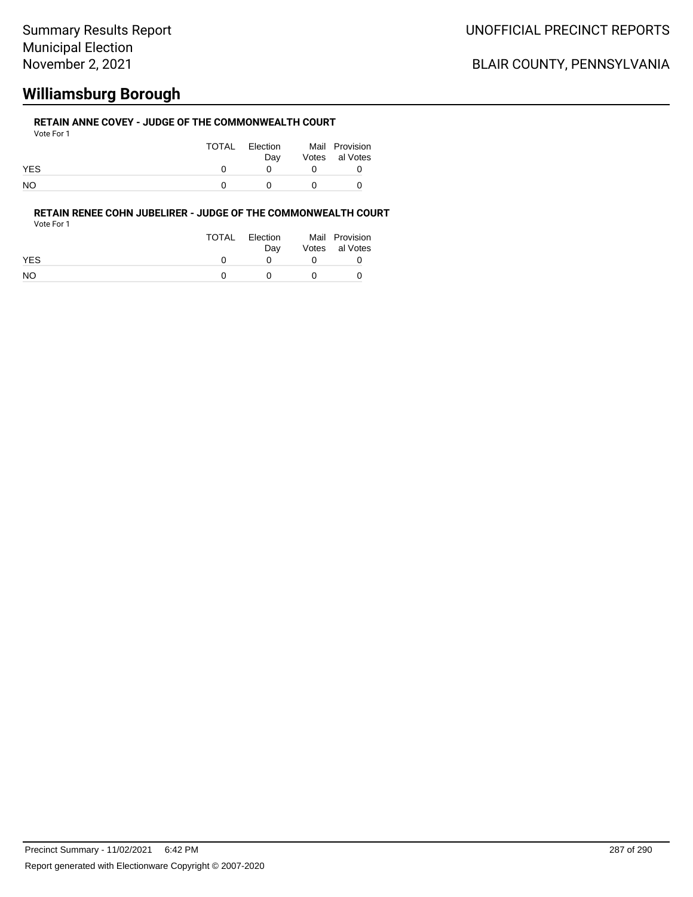## BLAIR COUNTY, PENNSYLVANIA

# **Williamsburg Borough**

#### **RETAIN ANNE COVEY - JUDGE OF THE COMMONWEALTH COURT** vote For

| VOLE FOR T |       |                 |            |                                  |
|------------|-------|-----------------|------------|----------------------------------|
|            | TOTAL | Election<br>Dav |            | Mail Provision<br>Votes al Votes |
| <b>YES</b> |       | <sup>n</sup>    | $^{\circ}$ |                                  |
| NO.        |       | $\mathbf{r}$    |            |                                  |

**RETAIN RENEE COHN JUBELIRER - JUDGE OF THE COMMONWEALTH COURT** Vote For 1

|           | <b>TOTAL</b> | Election | Mail Provision |
|-----------|--------------|----------|----------------|
|           |              | Dav      | Votes al Votes |
| YES       |              |          |                |
| <b>NO</b> |              |          |                |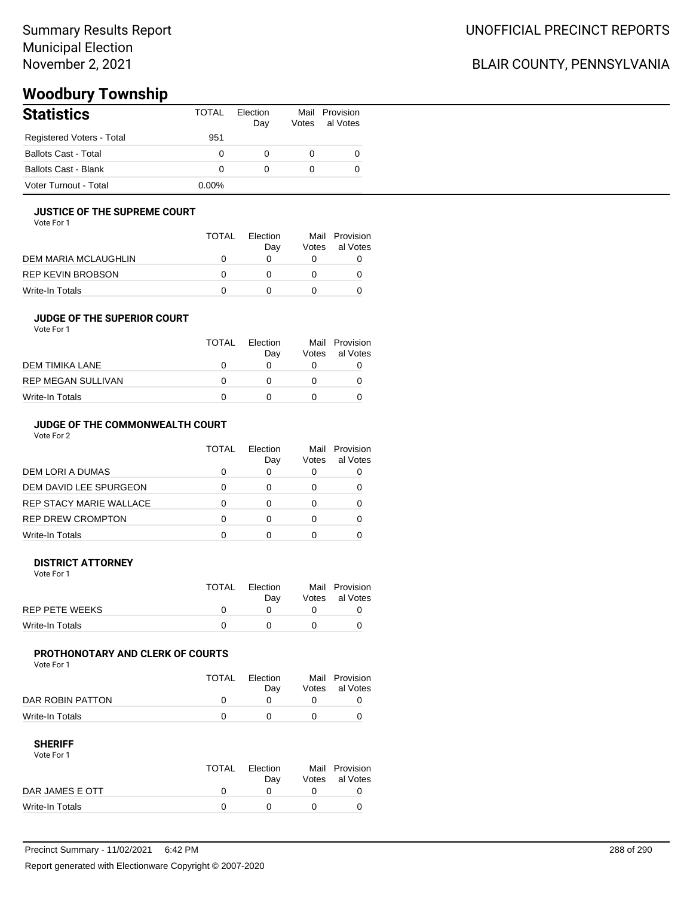## BLAIR COUNTY, PENNSYLVANIA

## **Woodbury Township**

| <b>Statistics</b>           | TOTAL    | Flection<br>Day | Votes | Mail Provision<br>al Votes |
|-----------------------------|----------|-----------------|-------|----------------------------|
| Registered Voters - Total   | 951      |                 |       |                            |
| <b>Ballots Cast - Total</b> | 0        |                 |       |                            |
| <b>Ballots Cast - Blank</b> | 0        | 0               |       |                            |
| Voter Turnout - Total       | $0.00\%$ |                 |       |                            |

#### **JUSTICE OF THE SUPREME COURT**

Vote For 1

|                      | <b>TOTAL</b> | Election<br>Dav | Mail<br>Votes | Provision<br>al Votes |
|----------------------|--------------|-----------------|---------------|-----------------------|
| DEM MARIA MCLAUGHLIN |              |                 |               |                       |
| REP KEVIN BROBSON    |              |                 |               |                       |
| Write-In Totals      |              |                 |               |                       |

#### **JUDGE OF THE SUPERIOR COURT**

| Vote For 1 |  |  |
|------------|--|--|
|            |  |  |

|                    | <b>TOTAL</b> | Election<br>Day | Votes | Mail Provision<br>al Votes |
|--------------------|--------------|-----------------|-------|----------------------------|
| DEM TIMIKA LANE    | $\mathbf{I}$ |                 |       |                            |
| REP MEGAN SULLIVAN | $\mathbf{U}$ |                 |       |                            |
| Write-In Totals    |              |                 |       |                            |
|                    |              |                 |       |                            |

### **JUDGE OF THE COMMONWEALTH COURT**

Vote For 2

|                                | TOTAL | Flection<br>Day | Votes | Mail Provision<br>al Votes |
|--------------------------------|-------|-----------------|-------|----------------------------|
| DEM LORI A DUMAS               |       |                 |       |                            |
| DEM DAVID LEE SPURGEON         |       |                 |       |                            |
| <b>REP STACY MARIE WALLACE</b> |       |                 |       |                            |
| <b>REP DREW CROMPTON</b>       |       |                 |       |                            |
| Write-In Totals                |       |                 |       |                            |

#### **DISTRICT ATTORNEY**

| Vote For 1      |       |                 |                                  |
|-----------------|-------|-----------------|----------------------------------|
|                 | TOTAL | Election<br>Dav | Mail Provision<br>Votes al Votes |
| REP PETE WEEKS  |       |                 |                                  |
| Write-In Totals |       |                 |                                  |

### **PROTHONOTARY AND CLERK OF COURTS**

Vote For 1

|                  | <b>TOTAL</b> | Election<br>Dav | Mail Provision<br>Votes al Votes |
|------------------|--------------|-----------------|----------------------------------|
| DAR ROBIN PATTON |              |                 |                                  |
| Write-In Totals  |              |                 |                                  |

#### **SHERIFF**

Vote For 1

|                 | TOTAL | Election<br>Dav | Mail Provision<br>Votes al Votes |
|-----------------|-------|-----------------|----------------------------------|
| DAR JAMES E OTT |       |                 |                                  |
| Write-In Totals |       |                 |                                  |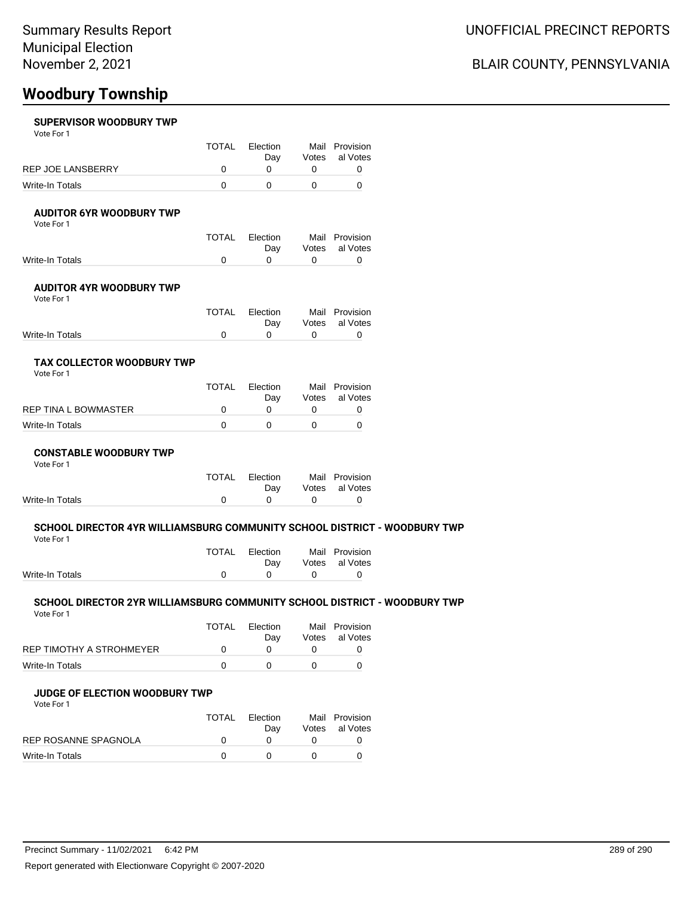# **Woodbury Township**

### **SUPERVISOR WOODBURY TWP**

Vote For 1

|                   | <b>TOTAL</b> | Election | Mail Provision |  |
|-------------------|--------------|----------|----------------|--|
|                   |              | Dav      | Votes al Votes |  |
| REP JOE LANSBERRY |              |          |                |  |
| Write-In Totals   |              |          |                |  |

### **AUDITOR 6YR WOODBURY TWP**

Vote For 1

|  |                | Mail Provision |
|--|----------------|----------------|
|  |                | Votes al Votes |
|  |                |                |
|  | TOTAL Election | Dav            |

### **AUDITOR 4YR WOODBURY TWP**

Vote For 1

|                 | TOTAL Election | Mail Provision |
|-----------------|----------------|----------------|
|                 | Dav            | Votes al Votes |
| Write-In Totals |                |                |

### **TAX COLLECTOR WOODBURY TWP**

Vote For 1

|                      | <b>TOTAL</b> | Election<br>Dav | Mail Provision<br>Votes al Votes |
|----------------------|--------------|-----------------|----------------------------------|
| REP TINA L BOWMASTER |              |                 |                                  |
| Write-In Totals      |              |                 |                                  |

#### **CONSTABLE WOODBURY TWP** Vote For 1

|                 | TOTAL | Election<br>Dav |        | Mail Provision<br>Votes al Votes |
|-----------------|-------|-----------------|--------|----------------------------------|
| Write-In Totals |       |                 | $\cap$ |                                  |

### **SCHOOL DIRECTOR 4YR WILLIAMSBURG COMMUNITY SCHOOL DISTRICT - WOODBURY TWP**

| <b>TOTAL</b> | Election | Mail Provision |
|--------------|----------|----------------|
|              | Dav      | Votes al Votes |
|              |          |                |
|              |          |                |

#### **SCHOOL DIRECTOR 2YR WILLIAMSBURG COMMUNITY SCHOOL DISTRICT - WOODBURY TWP** Vote For 1

| <u>vuurivii</u>          |       |                 |                                  |
|--------------------------|-------|-----------------|----------------------------------|
|                          | TOTAL | Flection<br>Dav | Mail Provision<br>Votes al Votes |
| REP TIMOTHY A STROHMEYER |       |                 |                                  |
| Write-In Totals          |       |                 |                                  |

### **JUDGE OF ELECTION WOODBURY TWP**

Vote For 1

|                             | TOTAL | Election | Mail Provision |
|-----------------------------|-------|----------|----------------|
|                             |       | Dav      | Votes al Votes |
| <b>REP ROSANNE SPAGNOLA</b> |       |          |                |
| Write-In Totals             |       |          |                |

## BLAIR COUNTY, PENNSYLVANIA